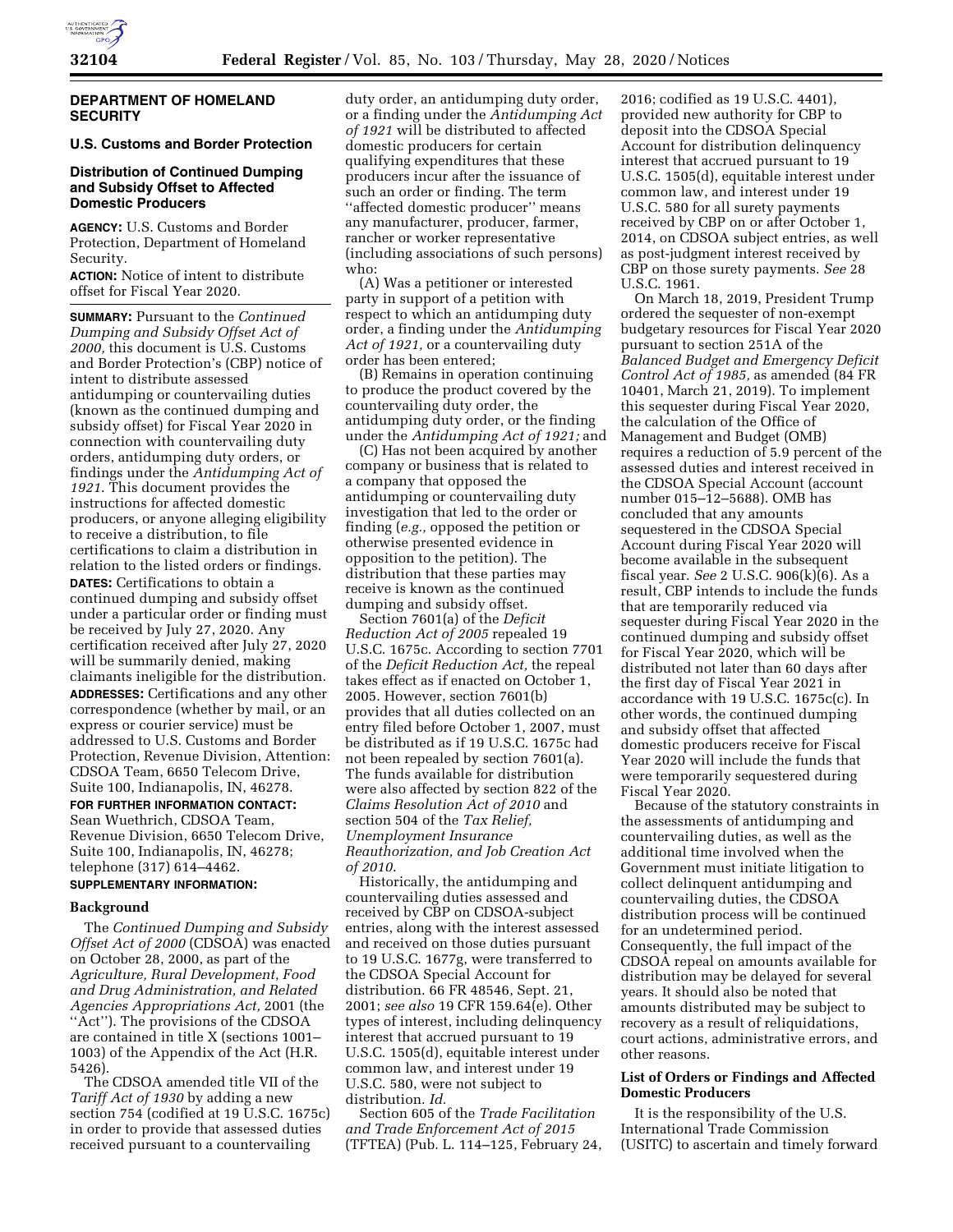

## **DEPARTMENT OF HOMELAND SECURITY**

# **U.S. Customs and Border Protection**

## **Distribution of Continued Dumping and Subsidy Offset to Affected Domestic Producers**

**AGENCY:** U.S. Customs and Border Protection, Department of Homeland Security.

**ACTION:** Notice of intent to distribute offset for Fiscal Year 2020.

**SUMMARY:** Pursuant to the *Continued Dumping and Subsidy Offset Act of 2000,* this document is U.S. Customs and Border Protection's (CBP) notice of intent to distribute assessed antidumping or countervailing duties (known as the continued dumping and subsidy offset) for Fiscal Year 2020 in connection with countervailing duty orders, antidumping duty orders, or findings under the *Antidumping Act of 1921*. This document provides the instructions for affected domestic producers, or anyone alleging eligibility to receive a distribution, to file certifications to claim a distribution in relation to the listed orders or findings. **DATES:** Certifications to obtain a continued dumping and subsidy offset under a particular order or finding must be received by July 27, 2020. Any certification received after July 27, 2020 will be summarily denied, making claimants ineligible for the distribution. **ADDRESSES:** Certifications and any other correspondence (whether by mail, or an express or courier service) must be addressed to U.S. Customs and Border Protection, Revenue Division, Attention: CDSOA Team, 6650 Telecom Drive, Suite 100, Indianapolis, IN, 46278.

## **FOR FURTHER INFORMATION CONTACT:**

Sean Wuethrich, CDSOA Team, Revenue Division, 6650 Telecom Drive, Suite 100, Indianapolis, IN, 46278; telephone (317) 614–4462.

# **SUPPLEMENTARY INFORMATION:**

## **Background**

The *Continued Dumping and Subsidy Offset Act of 2000* (CDSOA) was enacted on October 28, 2000, as part of the *Agriculture, Rural Development, Food and Drug Administration, and Related Agencies Appropriations Act,* 2001 (the "Act"). The provisions of the CDSOA are contained in title X (sections 1001– 1003) of the Appendix of the Act (H.R. 5426).

The CDSOA amended title VII of the *Tariff Act of 1930* by adding a new section 754 (codified at 19 U.S.C. 1675c) in order to provide that assessed duties received pursuant to a countervailing

duty order, an antidumping duty order, or a finding under the *Antidumping Act of 1921* will be distributed to affected domestic producers for certain qualifying expenditures that these producers incur after the issuance of such an order or finding. The term ''affected domestic producer'' means any manufacturer, producer, farmer, rancher or worker representative (including associations of such persons) who:

(A) Was a petitioner or interested party in support of a petition with respect to which an antidumping duty order, a finding under the *Antidumping Act of 1921,* or a countervailing duty order has been entered;

(B) Remains in operation continuing to produce the product covered by the countervailing duty order, the antidumping duty order, or the finding under the *Antidumping Act of 1921;* and

(C) Has not been acquired by another company or business that is related to a company that opposed the antidumping or countervailing duty investigation that led to the order or finding (*e.g.,* opposed the petition or otherwise presented evidence in opposition to the petition). The distribution that these parties may receive is known as the continued dumping and subsidy offset.

Section 7601(a) of the *Deficit Reduction Act of 2005* repealed 19 U.S.C. 1675c. According to section 7701 of the *Deficit Reduction Act,* the repeal takes effect as if enacted on October 1, 2005. However, section 7601(b) provides that all duties collected on an entry filed before October 1, 2007, must be distributed as if 19 U.S.C. 1675c had not been repealed by section 7601(a). The funds available for distribution were also affected by section 822 of the *Claims Resolution Act of 2010* and section 504 of the *Tax Relief, Unemployment Insurance Reauthorization, and Job Creation Act of 2010*.

Historically, the antidumping and countervailing duties assessed and received by CBP on CDSOA-subject entries, along with the interest assessed and received on those duties pursuant to 19 U.S.C. 1677g, were transferred to the CDSOA Special Account for distribution. 66 FR 48546, Sept. 21, 2001; *see also* 19 CFR 159.64(e). Other types of interest, including delinquency interest that accrued pursuant to 19 U.S.C. 1505(d), equitable interest under common law, and interest under 19 U.S.C. 580, were not subject to distribution. *Id.* 

Section 605 of the *Trade Facilitation and Trade Enforcement Act of 2015*  (TFTEA) (Pub. L. 114–125, February 24,

2016; codified as 19 U.S.C. 4401), provided new authority for CBP to deposit into the CDSOA Special Account for distribution delinquency interest that accrued pursuant to 19 U.S.C. 1505(d), equitable interest under common law, and interest under 19 U.S.C. 580 for all surety payments received by CBP on or after October 1, 2014, on CDSOA subject entries, as well as post-judgment interest received by CBP on those surety payments. *See* 28 U.S.C. 1961.

On March 18, 2019, President Trump ordered the sequester of non-exempt budgetary resources for Fiscal Year 2020 pursuant to section 251A of the *Balanced Budget and Emergency Deficit Control Act of 1985,* as amended (84 FR 10401, March 21, 2019). To implement this sequester during Fiscal Year 2020, the calculation of the Office of Management and Budget (OMB) requires a reduction of 5.9 percent of the assessed duties and interest received in the CDSOA Special Account (account number 015–12–5688). OMB has concluded that any amounts sequestered in the CDSOA Special Account during Fiscal Year 2020 will become available in the subsequent fiscal year. *See* 2 U.S.C. 906(k)(6). As a result, CBP intends to include the funds that are temporarily reduced via sequester during Fiscal Year 2020 in the continued dumping and subsidy offset for Fiscal Year 2020, which will be distributed not later than 60 days after the first day of Fiscal Year 2021 in accordance with 19 U.S.C. 1675c(c). In other words, the continued dumping and subsidy offset that affected domestic producers receive for Fiscal Year 2020 will include the funds that were temporarily sequestered during Fiscal Year 2020.

Because of the statutory constraints in the assessments of antidumping and countervailing duties, as well as the additional time involved when the Government must initiate litigation to collect delinquent antidumping and countervailing duties, the CDSOA distribution process will be continued for an undetermined period. Consequently, the full impact of the CDSOA repeal on amounts available for distribution may be delayed for several years. It should also be noted that amounts distributed may be subject to recovery as a result of reliquidations, court actions, administrative errors, and other reasons.

### **List of Orders or Findings and Affected Domestic Producers**

It is the responsibility of the U.S. International Trade Commission (USITC) to ascertain and timely forward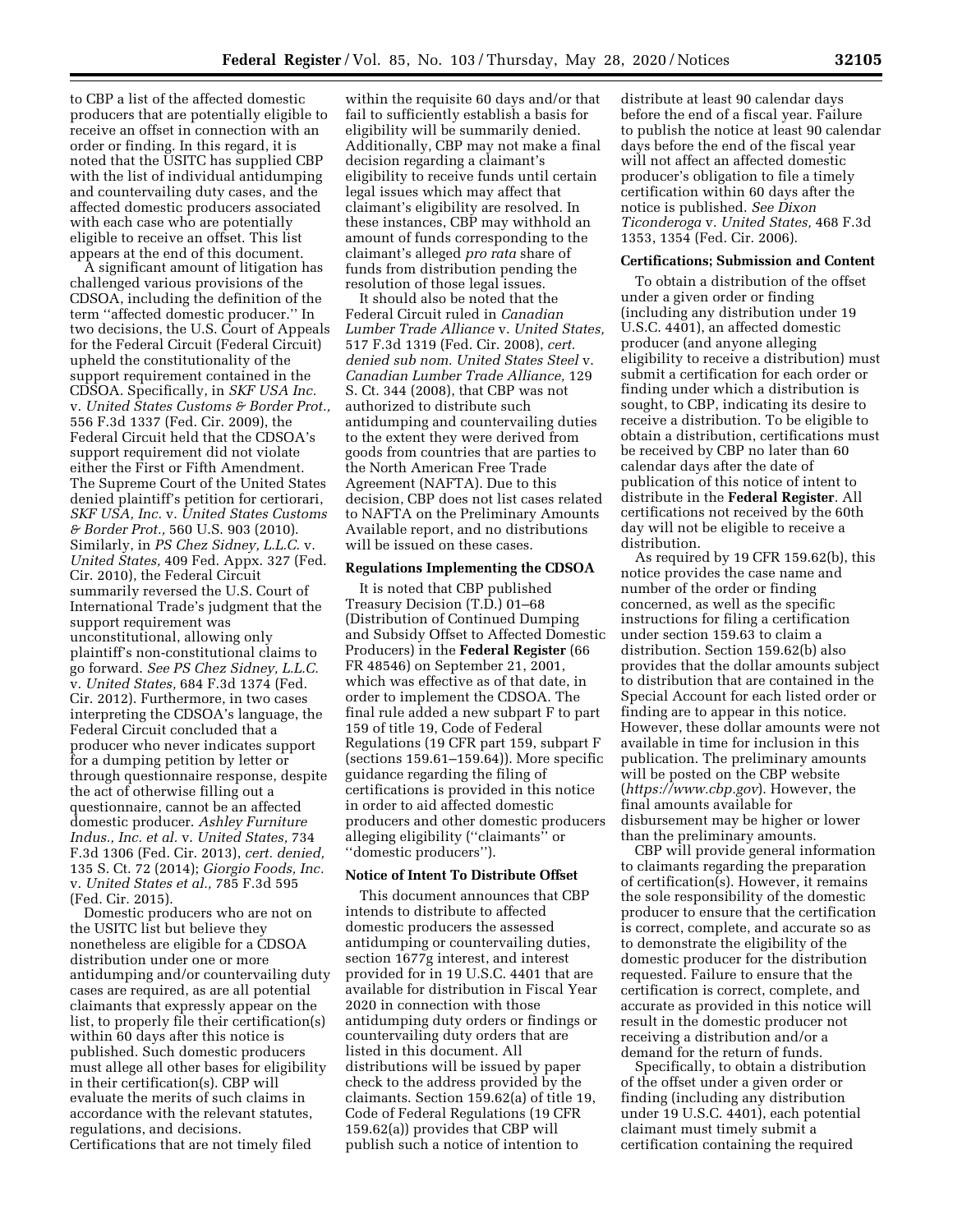to CBP a list of the affected domestic producers that are potentially eligible to receive an offset in connection with an order or finding. In this regard, it is noted that the USITC has supplied CBP with the list of individual antidumping and countervailing duty cases, and the affected domestic producers associated with each case who are potentially eligible to receive an offset. This list appears at the end of this document.

A significant amount of litigation has challenged various provisions of the CDSOA, including the definition of the term ''affected domestic producer.'' In two decisions, the U.S. Court of Appeals for the Federal Circuit (Federal Circuit) upheld the constitutionality of the support requirement contained in the CDSOA. Specifically, in *SKF USA Inc.*  v. *United States Customs & Border Prot.,*  556 F.3d 1337 (Fed. Cir. 2009), the Federal Circuit held that the CDSOA's support requirement did not violate either the First or Fifth Amendment. The Supreme Court of the United States denied plaintiff's petition for certiorari, *SKF USA, Inc.* v. *United States Customs & Border Prot.,* 560 U.S. 903 (2010). Similarly, in *PS Chez Sidney, L.L.C.* v. *United States,* 409 Fed. Appx. 327 (Fed. Cir. 2010), the Federal Circuit summarily reversed the U.S. Court of International Trade's judgment that the support requirement was unconstitutional, allowing only plaintiff's non-constitutional claims to go forward. *See PS Chez Sidney, L.L.C.*  v. *United States,* 684 F.3d 1374 (Fed. Cir. 2012). Furthermore, in two cases interpreting the CDSOA's language, the Federal Circuit concluded that a producer who never indicates support for a dumping petition by letter or through questionnaire response, despite the act of otherwise filling out a questionnaire, cannot be an affected domestic producer. *Ashley Furniture Indus., Inc. et al.* v. *United States,* 734 F.3d 1306 (Fed. Cir. 2013), *cert. denied,*  135 S. Ct. 72 (2014); *Giorgio Foods, Inc.*  v. *United States et al.,* 785 F.3d 595 (Fed. Cir. 2015).

Domestic producers who are not on the USITC list but believe they nonetheless are eligible for a CDSOA distribution under one or more antidumping and/or countervailing duty cases are required, as are all potential claimants that expressly appear on the list, to properly file their certification(s) within 60 days after this notice is published. Such domestic producers must allege all other bases for eligibility in their certification(s). CBP will evaluate the merits of such claims in accordance with the relevant statutes, regulations, and decisions. Certifications that are not timely filed

within the requisite 60 days and/or that fail to sufficiently establish a basis for eligibility will be summarily denied. Additionally, CBP may not make a final decision regarding a claimant's eligibility to receive funds until certain legal issues which may affect that claimant's eligibility are resolved. In these instances, CBP may withhold an amount of funds corresponding to the claimant's alleged *pro rata* share of funds from distribution pending the resolution of those legal issues.

It should also be noted that the Federal Circuit ruled in *Canadian Lumber Trade Alliance* v. *United States,*  517 F.3d 1319 (Fed. Cir. 2008), *cert. denied sub nom. United States Steel* v. *Canadian Lumber Trade Alliance,* 129 S. Ct. 344 (2008), that CBP was not authorized to distribute such antidumping and countervailing duties to the extent they were derived from goods from countries that are parties to the North American Free Trade Agreement (NAFTA). Due to this decision, CBP does not list cases related to NAFTA on the Preliminary Amounts Available report, and no distributions will be issued on these cases.

#### **Regulations Implementing the CDSOA**

It is noted that CBP published Treasury Decision (T.D.) 01–68 (Distribution of Continued Dumping and Subsidy Offset to Affected Domestic Producers) in the **Federal Register** (66 FR 48546) on September 21, 2001, which was effective as of that date, in order to implement the CDSOA. The final rule added a new subpart F to part 159 of title 19, Code of Federal Regulations (19 CFR part 159, subpart F (sections 159.61–159.64)). More specific guidance regarding the filing of certifications is provided in this notice in order to aid affected domestic producers and other domestic producers alleging eligibility (''claimants'' or ''domestic producers'').

### **Notice of Intent To Distribute Offset**

This document announces that CBP intends to distribute to affected domestic producers the assessed antidumping or countervailing duties, section 1677g interest, and interest provided for in 19 U.S.C. 4401 that are available for distribution in Fiscal Year 2020 in connection with those antidumping duty orders or findings or countervailing duty orders that are listed in this document. All distributions will be issued by paper check to the address provided by the claimants. Section 159.62(a) of title 19, Code of Federal Regulations (19 CFR 159.62(a)) provides that CBP will publish such a notice of intention to

distribute at least 90 calendar days before the end of a fiscal year. Failure to publish the notice at least 90 calendar days before the end of the fiscal year will not affect an affected domestic producer's obligation to file a timely certification within 60 days after the notice is published. *See Dixon Ticonderoga* v. *United States,* 468 F.3d 1353, 1354 (Fed. Cir. 2006).

#### **Certifications; Submission and Content**

To obtain a distribution of the offset under a given order or finding (including any distribution under 19 U.S.C. 4401), an affected domestic producer (and anyone alleging eligibility to receive a distribution) must submit a certification for each order or finding under which a distribution is sought, to CBP, indicating its desire to receive a distribution. To be eligible to obtain a distribution, certifications must be received by CBP no later than 60 calendar days after the date of publication of this notice of intent to distribute in the **Federal Register**. All certifications not received by the 60th day will not be eligible to receive a distribution.

As required by 19 CFR 159.62(b), this notice provides the case name and number of the order or finding concerned, as well as the specific instructions for filing a certification under section 159.63 to claim a distribution. Section 159.62(b) also provides that the dollar amounts subject to distribution that are contained in the Special Account for each listed order or finding are to appear in this notice. However, these dollar amounts were not available in time for inclusion in this publication. The preliminary amounts will be posted on the CBP website (*<https://www.cbp.gov>*). However, the final amounts available for disbursement may be higher or lower than the preliminary amounts.

CBP will provide general information to claimants regarding the preparation of certification(s). However, it remains the sole responsibility of the domestic producer to ensure that the certification is correct, complete, and accurate so as to demonstrate the eligibility of the domestic producer for the distribution requested. Failure to ensure that the certification is correct, complete, and accurate as provided in this notice will result in the domestic producer not receiving a distribution and/or a demand for the return of funds.

Specifically, to obtain a distribution of the offset under a given order or finding (including any distribution under 19 U.S.C. 4401), each potential claimant must timely submit a certification containing the required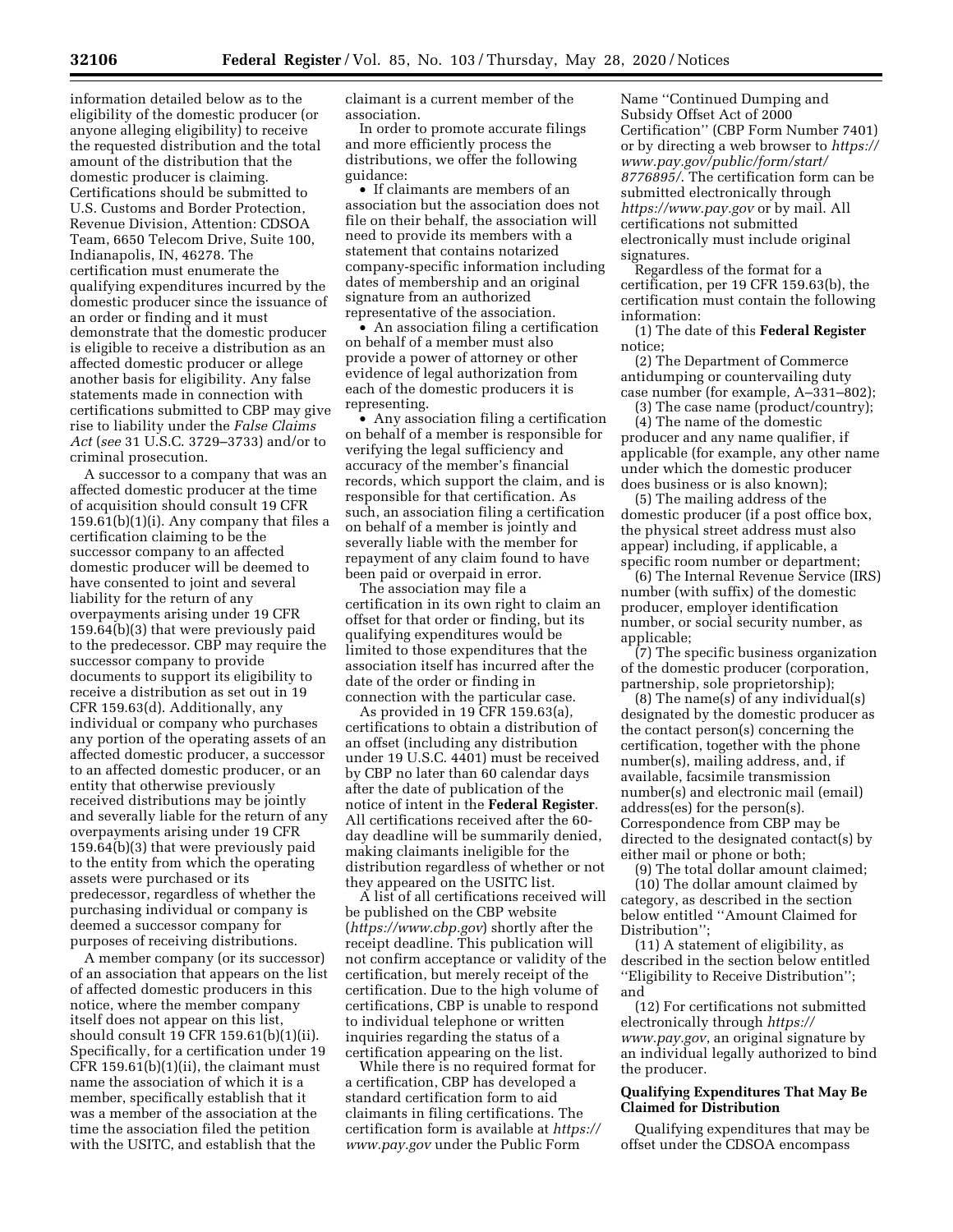information detailed below as to the eligibility of the domestic producer (or anyone alleging eligibility) to receive the requested distribution and the total amount of the distribution that the domestic producer is claiming. Certifications should be submitted to U.S. Customs and Border Protection, Revenue Division, Attention: CDSOA Team, 6650 Telecom Drive, Suite 100, Indianapolis, IN, 46278. The certification must enumerate the qualifying expenditures incurred by the domestic producer since the issuance of an order or finding and it must demonstrate that the domestic producer is eligible to receive a distribution as an affected domestic producer or allege another basis for eligibility. Any false statements made in connection with certifications submitted to CBP may give rise to liability under the *False Claims Act* (*see* 31 U.S.C. 3729–3733) and/or to criminal prosecution.

A successor to a company that was an affected domestic producer at the time of acquisition should consult 19 CFR 159.61(b)(1)(i). Any company that files a certification claiming to be the successor company to an affected domestic producer will be deemed to have consented to joint and several liability for the return of any overpayments arising under 19 CFR 159.64(b)(3) that were previously paid to the predecessor. CBP may require the successor company to provide documents to support its eligibility to receive a distribution as set out in 19 CFR 159.63(d). Additionally, any individual or company who purchases any portion of the operating assets of an affected domestic producer, a successor to an affected domestic producer, or an entity that otherwise previously received distributions may be jointly and severally liable for the return of any overpayments arising under 19 CFR 159.64(b)(3) that were previously paid to the entity from which the operating assets were purchased or its predecessor, regardless of whether the purchasing individual or company is deemed a successor company for purposes of receiving distributions.

A member company (or its successor) of an association that appears on the list of affected domestic producers in this notice, where the member company itself does not appear on this list, should consult 19 CFR 159.61(b)(1)(ii). Specifically, for a certification under 19 CFR 159.61(b)(1)(ii), the claimant must name the association of which it is a member, specifically establish that it was a member of the association at the time the association filed the petition with the USITC, and establish that the

claimant is a current member of the association.

In order to promote accurate filings and more efficiently process the distributions, we offer the following guidance:

• If claimants are members of an association but the association does not file on their behalf, the association will need to provide its members with a statement that contains notarized company-specific information including dates of membership and an original signature from an authorized representative of the association.

• An association filing a certification on behalf of a member must also provide a power of attorney or other evidence of legal authorization from each of the domestic producers it is representing.

• Any association filing a certification on behalf of a member is responsible for verifying the legal sufficiency and accuracy of the member's financial records, which support the claim, and is responsible for that certification. As such, an association filing a certification on behalf of a member is jointly and severally liable with the member for repayment of any claim found to have been paid or overpaid in error.

The association may file a certification in its own right to claim an offset for that order or finding, but its qualifying expenditures would be limited to those expenditures that the association itself has incurred after the date of the order or finding in connection with the particular case.

As provided in 19 CFR 159.63(a), certifications to obtain a distribution of an offset (including any distribution under 19 U.S.C. 4401) must be received by CBP no later than 60 calendar days after the date of publication of the notice of intent in the **Federal Register**. All certifications received after the 60 day deadline will be summarily denied, making claimants ineligible for the distribution regardless of whether or not they appeared on the USITC list.

A list of all certifications received will be published on the CBP website (*<https://www.cbp.gov>*) shortly after the receipt deadline. This publication will not confirm acceptance or validity of the certification, but merely receipt of the certification. Due to the high volume of certifications, CBP is unable to respond to individual telephone or written inquiries regarding the status of a certification appearing on the list.

While there is no required format for a certification, CBP has developed a standard certification form to aid claimants in filing certifications. The certification form is available at *[https://](https://www.pay.gov)  [www.pay.gov](https://www.pay.gov)* under the Public Form

Name ''Continued Dumping and Subsidy Offset Act of 2000 Certification'' (CBP Form Number 7401) or by directing a web browser to *[https://](https://www.pay.gov/public/form/start/8776895/)  [www.pay.gov/public/form/start/](https://www.pay.gov/public/form/start/8776895/) [8776895/](https://www.pay.gov/public/form/start/8776895/)*. The certification form can be submitted electronically through *<https://www.pay.gov>* or by mail. All certifications not submitted electronically must include original signatures.

Regardless of the format for a certification, per 19 CFR 159.63(b), the certification must contain the following information:

(1) The date of this **Federal Register**  notice;

(2) The Department of Commerce antidumping or countervailing duty case number (for example, A–331–802);

(3) The case name (product/country); (4) The name of the domestic producer and any name qualifier, if applicable (for example, any other name under which the domestic producer does business or is also known);

(5) The mailing address of the domestic producer (if a post office box, the physical street address must also appear) including, if applicable, a specific room number or department;

(6) The Internal Revenue Service (IRS) number (with suffix) of the domestic producer, employer identification number, or social security number, as applicable;

(7) The specific business organization of the domestic producer (corporation, partnership, sole proprietorship);

(8) The name(s) of any individual(s) designated by the domestic producer as the contact person(s) concerning the certification, together with the phone number(s), mailing address, and, if available, facsimile transmission number(s) and electronic mail (email) address(es) for the person(s). Correspondence from CBP may be directed to the designated contact(s) by either mail or phone or both;

(9) The total dollar amount claimed; (10) The dollar amount claimed by category, as described in the section below entitled ''Amount Claimed for Distribution'';

(11) A statement of eligibility, as described in the section below entitled ''Eligibility to Receive Distribution''; and

(12) For certifications not submitted electronically through *[https://](https://www.pay.gov) [www.pay.gov](https://www.pay.gov)*, an original signature by an individual legally authorized to bind the producer.

## **Qualifying Expenditures That May Be Claimed for Distribution**

Qualifying expenditures that may be offset under the CDSOA encompass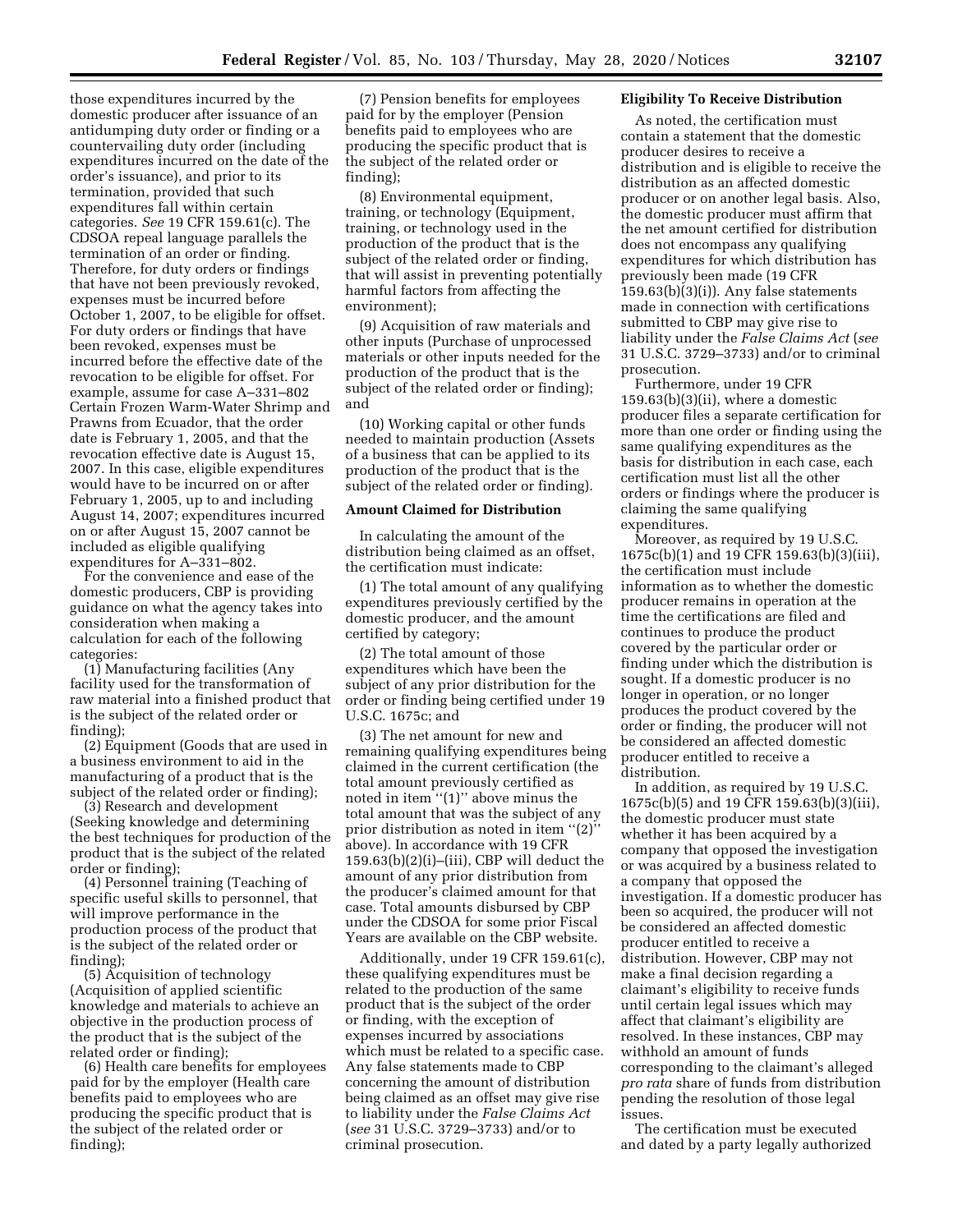those expenditures incurred by the domestic producer after issuance of an antidumping duty order or finding or a countervailing duty order (including expenditures incurred on the date of the order's issuance), and prior to its termination, provided that such expenditures fall within certain categories. *See* 19 CFR 159.61(c). The CDSOA repeal language parallels the termination of an order or finding. Therefore, for duty orders or findings that have not been previously revoked, expenses must be incurred before October 1, 2007, to be eligible for offset. For duty orders or findings that have been revoked, expenses must be incurred before the effective date of the revocation to be eligible for offset. For example, assume for case A–331–802 Certain Frozen Warm-Water Shrimp and Prawns from Ecuador, that the order date is February 1, 2005, and that the revocation effective date is August 15, 2007. In this case, eligible expenditures would have to be incurred on or after February 1, 2005, up to and including August 14, 2007; expenditures incurred on or after August 15, 2007 cannot be included as eligible qualifying expenditures for A–331–802.

For the convenience and ease of the domestic producers, CBP is providing guidance on what the agency takes into consideration when making a calculation for each of the following categories:

(1) Manufacturing facilities (Any facility used for the transformation of raw material into a finished product that is the subject of the related order or finding);

(2) Equipment (Goods that are used in a business environment to aid in the manufacturing of a product that is the subject of the related order or finding);

(3) Research and development (Seeking knowledge and determining the best techniques for production of the product that is the subject of the related order or finding);

(4) Personnel training (Teaching of specific useful skills to personnel, that will improve performance in the production process of the product that is the subject of the related order or finding);

(5) Acquisition of technology (Acquisition of applied scientific knowledge and materials to achieve an objective in the production process of the product that is the subject of the related order or finding);

(6) Health care benefits for employees paid for by the employer (Health care benefits paid to employees who are producing the specific product that is the subject of the related order or finding);

(7) Pension benefits for employees paid for by the employer (Pension benefits paid to employees who are producing the specific product that is the subject of the related order or finding);

(8) Environmental equipment, training, or technology (Equipment, training, or technology used in the production of the product that is the subject of the related order or finding, that will assist in preventing potentially harmful factors from affecting the environment);

(9) Acquisition of raw materials and other inputs (Purchase of unprocessed materials or other inputs needed for the production of the product that is the subject of the related order or finding); and

(10) Working capital or other funds needed to maintain production (Assets of a business that can be applied to its production of the product that is the subject of the related order or finding).

### **Amount Claimed for Distribution**

In calculating the amount of the distribution being claimed as an offset, the certification must indicate:

(1) The total amount of any qualifying expenditures previously certified by the domestic producer, and the amount certified by category;

(2) The total amount of those expenditures which have been the subject of any prior distribution for the order or finding being certified under 19 U.S.C. 1675c; and

(3) The net amount for new and remaining qualifying expenditures being claimed in the current certification (the total amount previously certified as noted in item "(1)" above minus the total amount that was the subject of any prior distribution as noted in item " $(2)$ " above). In accordance with 19 CFR 159.63(b)(2)(i)–(iii), CBP will deduct the amount of any prior distribution from the producer's claimed amount for that case. Total amounts disbursed by CBP under the CDSOA for some prior Fiscal Years are available on the CBP website.

Additionally, under 19 CFR 159.61(c), these qualifying expenditures must be related to the production of the same product that is the subject of the order or finding, with the exception of expenses incurred by associations which must be related to a specific case. Any false statements made to CBP concerning the amount of distribution being claimed as an offset may give rise to liability under the *False Claims Act*  (*see* 31 U.S.C. 3729–3733) and/or to criminal prosecution.

## **Eligibility To Receive Distribution**

As noted, the certification must contain a statement that the domestic producer desires to receive a distribution and is eligible to receive the distribution as an affected domestic producer or on another legal basis. Also, the domestic producer must affirm that the net amount certified for distribution does not encompass any qualifying expenditures for which distribution has previously been made (19 CFR  $159.63(b)(3)(i)$ . Any false statements made in connection with certifications submitted to CBP may give rise to liability under the *False Claims Act* (*see*  31 U.S.C. 3729–3733) and/or to criminal prosecution.

Furthermore, under 19 CFR 159.63(b)(3)(ii), where a domestic producer files a separate certification for more than one order or finding using the same qualifying expenditures as the basis for distribution in each case, each certification must list all the other orders or findings where the producer is claiming the same qualifying expenditures.

Moreover, as required by 19 U.S.C. 1675c(b)(1) and 19 CFR 159.63(b)(3)(iii), the certification must include information as to whether the domestic producer remains in operation at the time the certifications are filed and continues to produce the product covered by the particular order or finding under which the distribution is sought. If a domestic producer is no longer in operation, or no longer produces the product covered by the order or finding, the producer will not be considered an affected domestic producer entitled to receive a distribution.

In addition, as required by 19 U.S.C. 1675c(b)(5) and 19 CFR 159.63(b)(3)(iii), the domestic producer must state whether it has been acquired by a company that opposed the investigation or was acquired by a business related to a company that opposed the investigation. If a domestic producer has been so acquired, the producer will not be considered an affected domestic producer entitled to receive a distribution. However, CBP may not make a final decision regarding a claimant's eligibility to receive funds until certain legal issues which may affect that claimant's eligibility are resolved. In these instances, CBP may withhold an amount of funds corresponding to the claimant's alleged *pro rata* share of funds from distribution pending the resolution of those legal issues.

The certification must be executed and dated by a party legally authorized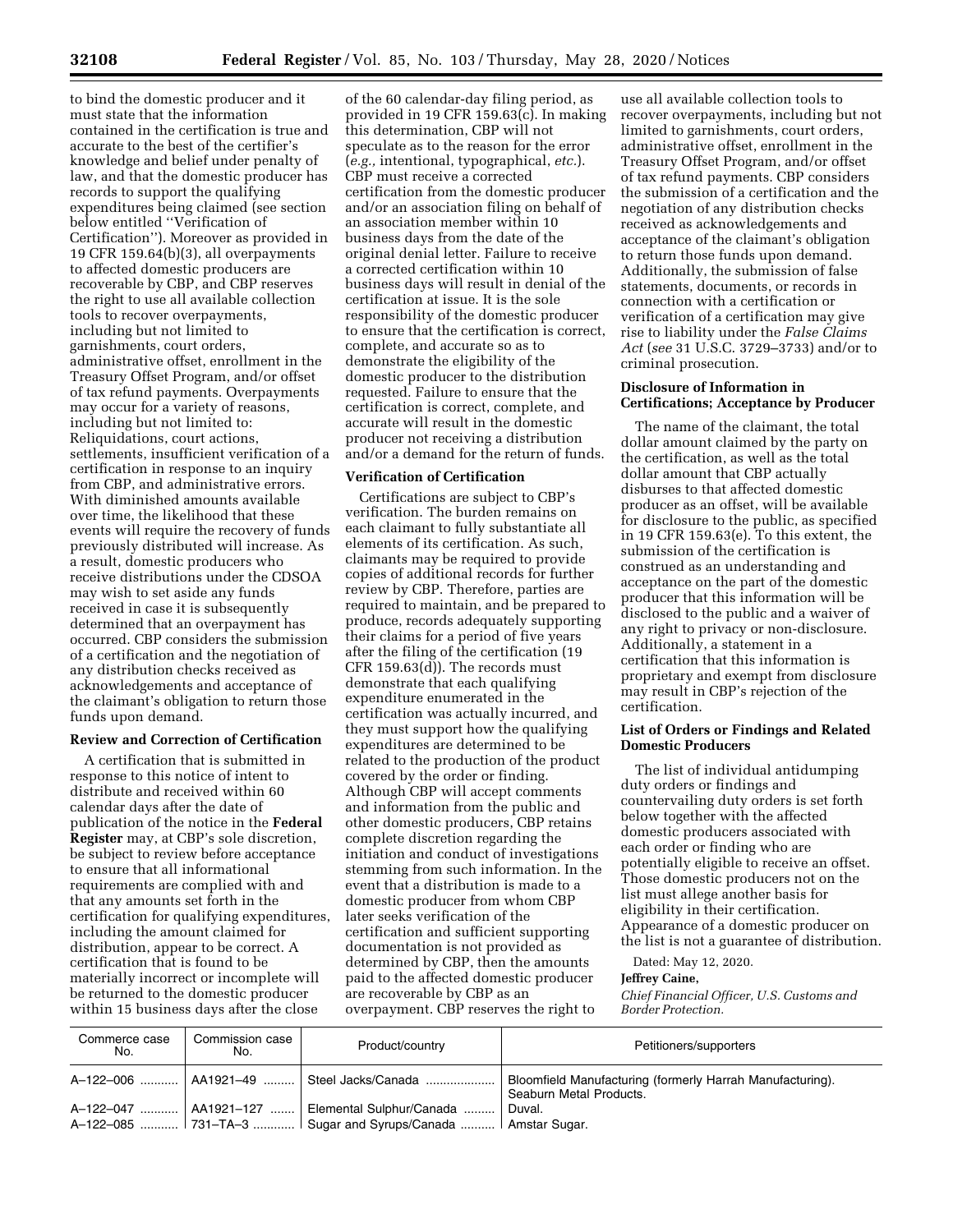to bind the domestic producer and it must state that the information contained in the certification is true and accurate to the best of the certifier's knowledge and belief under penalty of law, and that the domestic producer has records to support the qualifying expenditures being claimed (see section below entitled ''Verification of Certification''). Moreover as provided in 19 CFR 159.64(b)(3), all overpayments to affected domestic producers are recoverable by CBP, and CBP reserves the right to use all available collection tools to recover overpayments, including but not limited to garnishments, court orders, administrative offset, enrollment in the Treasury Offset Program, and/or offset of tax refund payments. Overpayments may occur for a variety of reasons, including but not limited to: Reliquidations, court actions, settlements, insufficient verification of a certification in response to an inquiry from CBP, and administrative errors. With diminished amounts available over time, the likelihood that these events will require the recovery of funds previously distributed will increase. As a result, domestic producers who receive distributions under the CDSOA may wish to set aside any funds received in case it is subsequently determined that an overpayment has occurred. CBP considers the submission of a certification and the negotiation of any distribution checks received as acknowledgements and acceptance of the claimant's obligation to return those funds upon demand.

#### **Review and Correction of Certification**

A certification that is submitted in response to this notice of intent to distribute and received within 60 calendar days after the date of publication of the notice in the **Federal Register** may, at CBP's sole discretion, be subject to review before acceptance to ensure that all informational requirements are complied with and that any amounts set forth in the certification for qualifying expenditures, including the amount claimed for distribution, appear to be correct. A certification that is found to be materially incorrect or incomplete will be returned to the domestic producer within 15 business days after the close

of the 60 calendar-day filing period, as provided in 19 CFR 159.63(c). In making this determination, CBP will not speculate as to the reason for the error (*e.g.,* intentional, typographical, *etc.*). CBP must receive a corrected certification from the domestic producer and/or an association filing on behalf of an association member within 10 business days from the date of the original denial letter. Failure to receive a corrected certification within 10 business days will result in denial of the certification at issue. It is the sole responsibility of the domestic producer to ensure that the certification is correct, complete, and accurate so as to demonstrate the eligibility of the domestic producer to the distribution requested. Failure to ensure that the certification is correct, complete, and accurate will result in the domestic producer not receiving a distribution and/or a demand for the return of funds.

## **Verification of Certification**

Certifications are subject to CBP's verification. The burden remains on each claimant to fully substantiate all elements of its certification. As such, claimants may be required to provide copies of additional records for further review by CBP. Therefore, parties are required to maintain, and be prepared to produce, records adequately supporting their claims for a period of five years after the filing of the certification (19 CFR 159.63(d)). The records must demonstrate that each qualifying expenditure enumerated in the certification was actually incurred, and they must support how the qualifying expenditures are determined to be related to the production of the product covered by the order or finding. Although CBP will accept comments and information from the public and other domestic producers, CBP retains complete discretion regarding the initiation and conduct of investigations stemming from such information. In the event that a distribution is made to a domestic producer from whom CBP later seeks verification of the certification and sufficient supporting documentation is not provided as determined by CBP, then the amounts paid to the affected domestic producer are recoverable by CBP as an overpayment. CBP reserves the right to

use all available collection tools to recover overpayments, including but not limited to garnishments, court orders, administrative offset, enrollment in the Treasury Offset Program, and/or offset of tax refund payments. CBP considers the submission of a certification and the negotiation of any distribution checks received as acknowledgements and acceptance of the claimant's obligation to return those funds upon demand. Additionally, the submission of false statements, documents, or records in connection with a certification or verification of a certification may give rise to liability under the *False Claims Act* (*see* 31 U.S.C. 3729–3733) and/or to criminal prosecution.

### **Disclosure of Information in Certifications; Acceptance by Producer**

The name of the claimant, the total dollar amount claimed by the party on the certification, as well as the total dollar amount that CBP actually disburses to that affected domestic producer as an offset, will be available for disclosure to the public, as specified in 19 CFR 159.63(e). To this extent, the submission of the certification is construed as an understanding and acceptance on the part of the domestic producer that this information will be disclosed to the public and a waiver of any right to privacy or non-disclosure. Additionally, a statement in a certification that this information is proprietary and exempt from disclosure may result in CBP's rejection of the certification.

## **List of Orders or Findings and Related Domestic Producers**

The list of individual antidumping duty orders or findings and countervailing duty orders is set forth below together with the affected domestic producers associated with each order or finding who are potentially eligible to receive an offset. Those domestic producers not on the list must allege another basis for eligibility in their certification. Appearance of a domestic producer on the list is not a guarantee of distribution.

Dated: May 12, 2020.

#### **Jeffrey Caine,**

*Chief Financial Officer, U.S. Customs and Border Protection.* 

| Commerce case<br>No. | Commission case<br>No. | Product/country                                                                                       | Petitioners/supporters                                                               |
|----------------------|------------------------|-------------------------------------------------------------------------------------------------------|--------------------------------------------------------------------------------------|
|                      |                        | A-122-006    AA1921-49    Steel Jacks/Canada                                                          | Bloomfield Manufacturing (formerly Harrah Manufacturing).<br>Seaburn Metal Products. |
| A-122-047            |                        | AA1921-127  Elemental Sulphur/Canada<br>A-122-085  731–TA-3  Sugar and Syrups/Canada    Amstar Sugar. | Duval.                                                                               |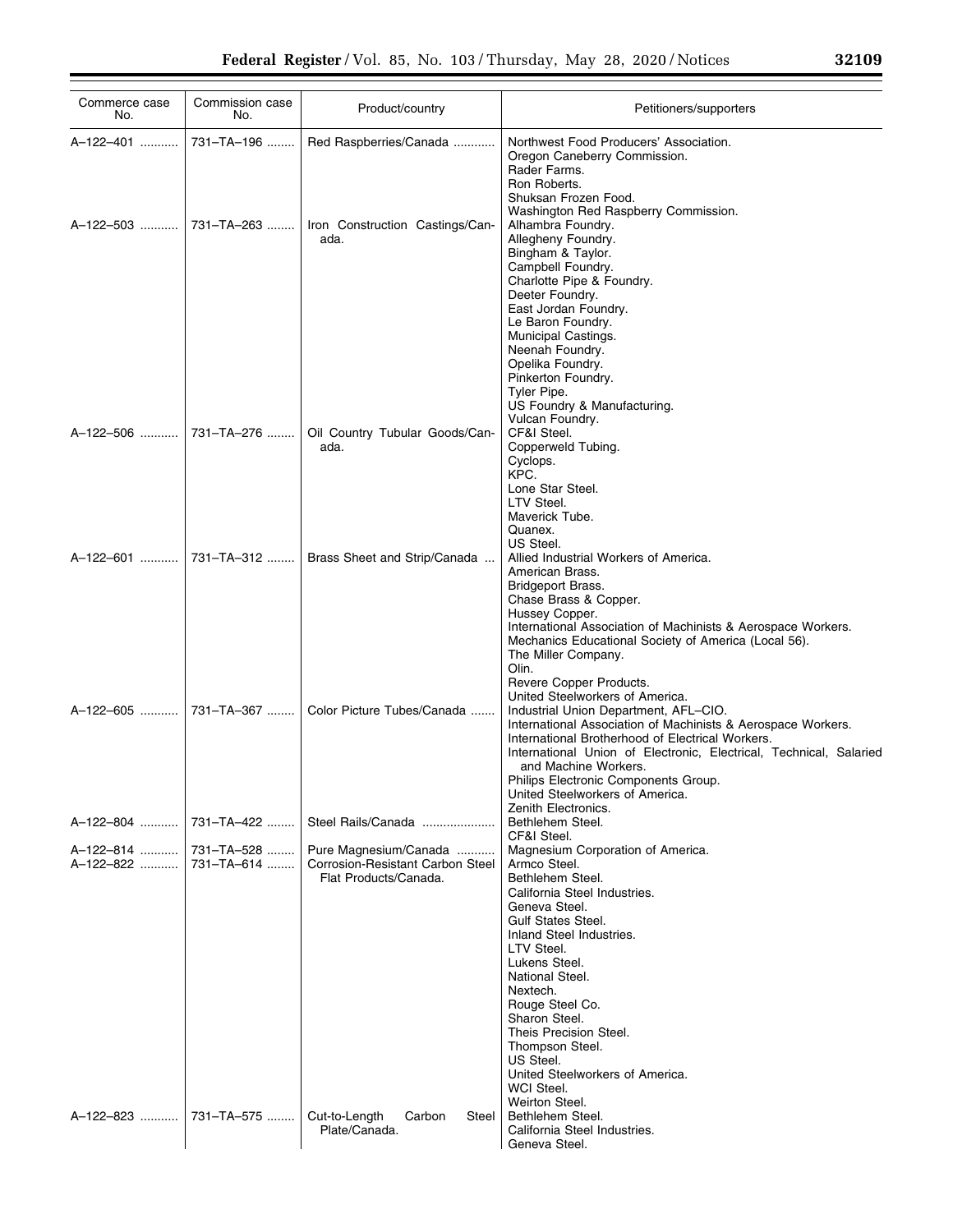| Commerce case<br>No.               | Commission case<br>No. | Product/country                                                                           | Petitioners/supporters                                                                                                                                                                                                                                                                                                                                                                                         |
|------------------------------------|------------------------|-------------------------------------------------------------------------------------------|----------------------------------------------------------------------------------------------------------------------------------------------------------------------------------------------------------------------------------------------------------------------------------------------------------------------------------------------------------------------------------------------------------------|
| A-122-401                          | 731-TA-196             | Red Raspberries/Canada                                                                    | Northwest Food Producers' Association.<br>Oregon Caneberry Commission.<br>Rader Farms.<br>Ron Roberts.<br>Shuksan Frozen Food.<br>Washington Red Raspberry Commission.                                                                                                                                                                                                                                         |
| A-122-503  731-TA-263              |                        | Iron Construction Castings/Can-<br>ada.                                                   | Alhambra Foundry.<br>Allegheny Foundry.<br>Bingham & Taylor.<br>Campbell Foundry.<br>Charlotte Pipe & Foundry.<br>Deeter Foundry.<br>East Jordan Foundry.<br>Le Baron Foundry.<br>Municipal Castings.<br>Neenah Foundry.<br>Opelika Foundry.<br>Pinkerton Foundry.<br>Tyler Pipe.<br>US Foundry & Manufacturing.<br>Vulcan Foundry.                                                                            |
| A-122-506  731-TA-276              |                        | Oil Country Tubular Goods/Can-<br>ada.                                                    | CF&I Steel.<br>Copperweld Tubing.<br>Cyclops.<br>KPC.<br>Lone Star Steel.<br>LTV Steel.<br>Maverick Tube.<br>Quanex.<br>US Steel.                                                                                                                                                                                                                                                                              |
| A-122-601  731-TA-312              |                        | Brass Sheet and Strip/Canada                                                              | Allied Industrial Workers of America.<br>American Brass.<br>Bridgeport Brass.<br>Chase Brass & Copper.<br>Hussey Copper.<br>International Association of Machinists & Aerospace Workers.<br>Mechanics Educational Society of America (Local 56).<br>The Miller Company.<br>Olin.<br>Revere Copper Products.<br>United Steelworkers of America.                                                                 |
|                                    |                        | Color Picture Tubes/Canada                                                                | Industrial Union Department, AFL-CIO.<br>International Association of Machinists & Aerospace Workers.<br>International Brotherhood of Electrical Workers.<br>International Union of Electronic, Electrical, Technical, Salaried<br>and Machine Workers.<br>Philips Electronic Components Group.<br>United Steelworkers of America.<br>Zenith Electronics.                                                      |
| A-122-804                          | 731–TA–422             | Steel Rails/Canada                                                                        | Bethlehem Steel.<br>CF&I Steel.                                                                                                                                                                                                                                                                                                                                                                                |
| A-122-814  731-TA-528<br>A-122-822 | 731-TA-614             | Pure Magnesium/Canada<br><b>Corrosion-Resistant Carbon Steel</b><br>Flat Products/Canada. | Magnesium Corporation of America.<br>Armco Steel.<br>Bethlehem Steel.<br>California Steel Industries.<br>Geneva Steel.<br><b>Gulf States Steel.</b><br>Inland Steel Industries.<br>LTV Steel.<br>Lukens Steel.<br>National Steel.<br>Nextech.<br>Rouge Steel Co.<br>Sharon Steel.<br>Theis Precision Steel.<br>Thompson Steel.<br>US Steel.<br>United Steelworkers of America.<br>WCI Steel.<br>Weirton Steel. |
| A-122-823    731-TA-575            |                        | Cut-to-Length<br>Carbon<br>Steel<br>Plate/Canada.                                         | Bethlehem Steel.<br>California Steel Industries.<br>Geneva Steel.                                                                                                                                                                                                                                                                                                                                              |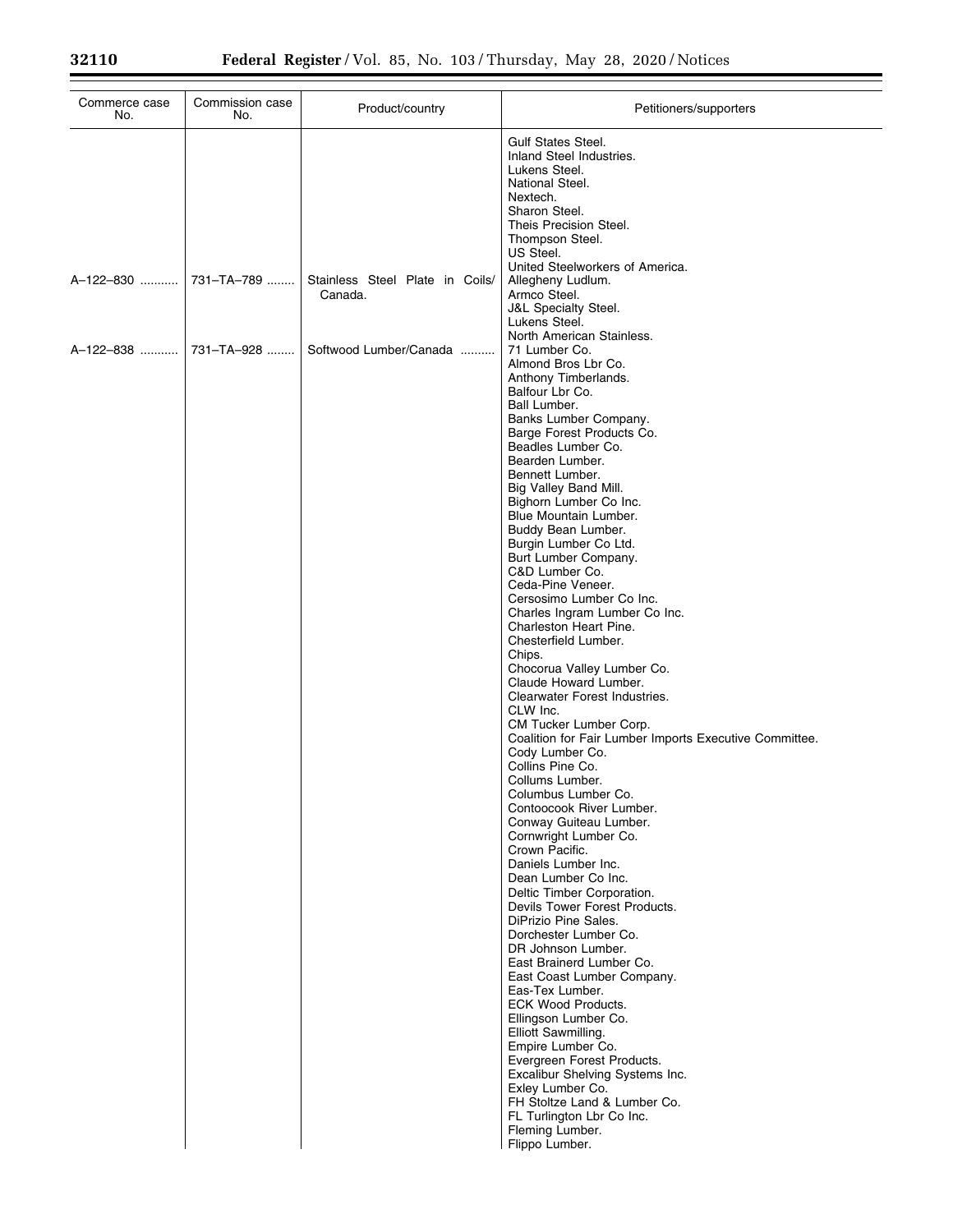| Commerce case<br>No. | Commission case<br>No. | Product/country                            | Petitioners/supporters                                                                                                                                                                                                                                                                                                                                                                                                                                                                                                                                                                                                                                                                                                                                                                                                                                                                                                                                                                                                                                                                                                                                                                                                                                                                                                                                                                                                                                                                               |
|----------------------|------------------------|--------------------------------------------|------------------------------------------------------------------------------------------------------------------------------------------------------------------------------------------------------------------------------------------------------------------------------------------------------------------------------------------------------------------------------------------------------------------------------------------------------------------------------------------------------------------------------------------------------------------------------------------------------------------------------------------------------------------------------------------------------------------------------------------------------------------------------------------------------------------------------------------------------------------------------------------------------------------------------------------------------------------------------------------------------------------------------------------------------------------------------------------------------------------------------------------------------------------------------------------------------------------------------------------------------------------------------------------------------------------------------------------------------------------------------------------------------------------------------------------------------------------------------------------------------|
|                      |                        |                                            | <b>Gulf States Steel.</b><br>Inland Steel Industries.<br>Lukens Steel.<br>National Steel.<br>Nextech.<br>Sharon Steel.<br>Theis Precision Steel.<br>Thompson Steel.<br>US Steel.<br>United Steelworkers of America.                                                                                                                                                                                                                                                                                                                                                                                                                                                                                                                                                                                                                                                                                                                                                                                                                                                                                                                                                                                                                                                                                                                                                                                                                                                                                  |
| A-122-830            | 731-TA-789             | Stainless Steel Plate in Coils/<br>Canada. | Allegheny Ludlum.<br>Armco Steel.<br><b>J&amp;L Specialty Steel.</b><br>Lukens Steel.                                                                                                                                                                                                                                                                                                                                                                                                                                                                                                                                                                                                                                                                                                                                                                                                                                                                                                                                                                                                                                                                                                                                                                                                                                                                                                                                                                                                                |
| A-122-838            | 731-TA-928             | Softwood Lumber/Canada                     | North American Stainless.<br>71 Lumber Co.<br>Almond Bros Lbr Co.<br>Anthony Timberlands.<br>Balfour Lbr Co.<br>Ball Lumber.<br>Banks Lumber Company.<br>Barge Forest Products Co.<br>Beadles Lumber Co.<br>Bearden Lumber.<br>Bennett Lumber.<br>Big Valley Band Mill.<br>Bighorn Lumber Co Inc.<br>Blue Mountain Lumber.<br>Buddy Bean Lumber.<br>Burgin Lumber Co Ltd.<br>Burt Lumber Company.<br>C&D Lumber Co.<br>Ceda-Pine Veneer.<br>Cersosimo Lumber Co Inc.<br>Charles Ingram Lumber Co Inc.<br>Charleston Heart Pine.<br>Chesterfield Lumber.<br>Chips.<br>Chocorua Valley Lumber Co.<br>Claude Howard Lumber.<br>Clearwater Forest Industries.<br>CLW Inc.<br>CM Tucker Lumber Corp.<br>Coalition for Fair Lumber Imports Executive Committee.<br>Cody Lumber Co.<br>Collins Pine Co.<br>Collums Lumber.<br>Columbus Lumber Co.<br>Contoocook River Lumber.<br>Conway Guiteau Lumber.<br>Cornwright Lumber Co.<br>Crown Pacific.<br>Daniels Lumber Inc.<br>Dean Lumber Co Inc.<br>Deltic Timber Corporation.<br>Devils Tower Forest Products.<br>DiPrizio Pine Sales.<br>Dorchester Lumber Co.<br>DR Johnson Lumber.<br>East Brainerd Lumber Co.<br>East Coast Lumber Company.<br>Eas-Tex Lumber.<br><b>ECK Wood Products.</b><br>Ellingson Lumber Co.<br>Elliott Sawmilling.<br>Empire Lumber Co.<br>Evergreen Forest Products.<br>Excalibur Shelving Systems Inc.<br>Exley Lumber Co.<br>FH Stoltze Land & Lumber Co.<br>FL Turlington Lbr Co Inc.<br>Fleming Lumber.<br>Flippo Lumber. |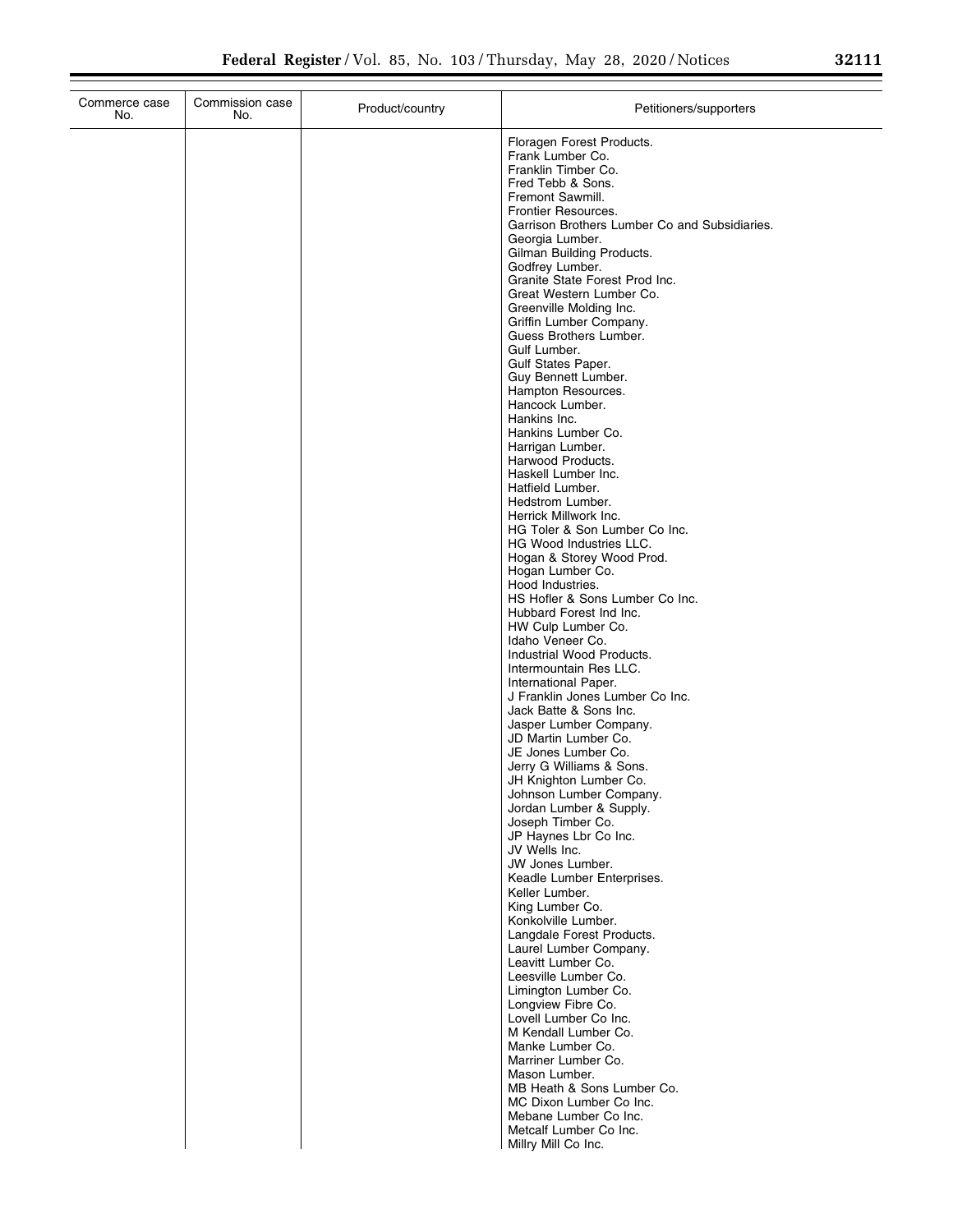| Commerce case<br>No. | Commission case<br>No. | Product/country | Petitioners/supporters                                           |
|----------------------|------------------------|-----------------|------------------------------------------------------------------|
|                      |                        |                 | Floragen Forest Products.                                        |
|                      |                        |                 | Frank Lumber Co.                                                 |
|                      |                        |                 | Franklin Timber Co.<br>Fred Tebb & Sons.                         |
|                      |                        |                 | Fremont Sawmill.                                                 |
|                      |                        |                 | Frontier Resources.                                              |
|                      |                        |                 | Garrison Brothers Lumber Co and Subsidiaries.<br>Georgia Lumber. |
|                      |                        |                 | Gilman Building Products.                                        |
|                      |                        |                 | Godfrey Lumber.                                                  |
|                      |                        |                 | Granite State Forest Prod Inc.<br>Great Western Lumber Co.       |
|                      |                        |                 | Greenville Molding Inc.                                          |
|                      |                        |                 | Griffin Lumber Company.                                          |
|                      |                        |                 | Guess Brothers Lumber.<br>Gulf Lumber.                           |
|                      |                        |                 | Gulf States Paper.                                               |
|                      |                        |                 | Guy Bennett Lumber.                                              |
|                      |                        |                 | Hampton Resources.<br>Hancock Lumber.                            |
|                      |                        |                 | Hankins Inc.                                                     |
|                      |                        |                 | Hankins Lumber Co.                                               |
|                      |                        |                 | Harrigan Lumber.                                                 |
|                      |                        |                 | Harwood Products.<br>Haskell Lumber Inc.                         |
|                      |                        |                 | Hatfield Lumber.                                                 |
|                      |                        |                 | Hedstrom Lumber.                                                 |
|                      |                        |                 | Herrick Millwork Inc.<br>HG Toler & Son Lumber Co Inc.           |
|                      |                        |                 | HG Wood Industries LLC.                                          |
|                      |                        |                 | Hogan & Storey Wood Prod.                                        |
|                      |                        |                 | Hogan Lumber Co.<br>Hood Industries.                             |
|                      |                        |                 | HS Hofler & Sons Lumber Co Inc.                                  |
|                      |                        |                 | Hubbard Forest Ind Inc.                                          |
|                      |                        |                 | HW Culp Lumber Co.<br>Idaho Veneer Co.                           |
|                      |                        |                 | Industrial Wood Products.                                        |
|                      |                        |                 | Intermountain Res LLC.                                           |
|                      |                        |                 | International Paper.<br>J Franklin Jones Lumber Co Inc.          |
|                      |                        |                 | Jack Batte & Sons Inc.                                           |
|                      |                        |                 | Jasper Lumber Company.                                           |
|                      |                        |                 | JD Martin Lumber Co.<br>JE Jones Lumber Co.                      |
|                      |                        |                 | Jerry G Williams & Sons.                                         |
|                      |                        |                 | JH Knighton Lumber Co.                                           |
|                      |                        |                 | Johnson Lumber Company.<br>Jordan Lumber & Supply.               |
|                      |                        |                 | Joseph Timber Co.                                                |
|                      |                        |                 | JP Haynes Lbr Co Inc.<br>JV Wells Inc.                           |
|                      |                        |                 | JW Jones Lumber.                                                 |
|                      |                        |                 | Keadle Lumber Enterprises.                                       |
|                      |                        |                 | Keller Lumber.<br>King Lumber Co.                                |
|                      |                        |                 | Konkolville Lumber.                                              |
|                      |                        |                 | Langdale Forest Products.                                        |
|                      |                        |                 | Laurel Lumber Company.<br>Leavitt Lumber Co.                     |
|                      |                        |                 | Leesville Lumber Co.                                             |
|                      |                        |                 | Limington Lumber Co.                                             |
|                      |                        |                 | Longview Fibre Co.<br>Lovell Lumber Co Inc.                      |
|                      |                        |                 | M Kendall Lumber Co.                                             |
|                      |                        |                 | Manke Lumber Co.                                                 |
|                      |                        |                 | Marriner Lumber Co.                                              |
|                      |                        |                 | Mason Lumber.<br>MB Heath & Sons Lumber Co.                      |
|                      |                        |                 | MC Dixon Lumber Co Inc.                                          |
|                      |                        |                 | Mebane Lumber Co Inc.                                            |
|                      |                        |                 | Metcalf Lumber Co Inc.<br>Millry Mill Co Inc.                    |
|                      |                        |                 |                                                                  |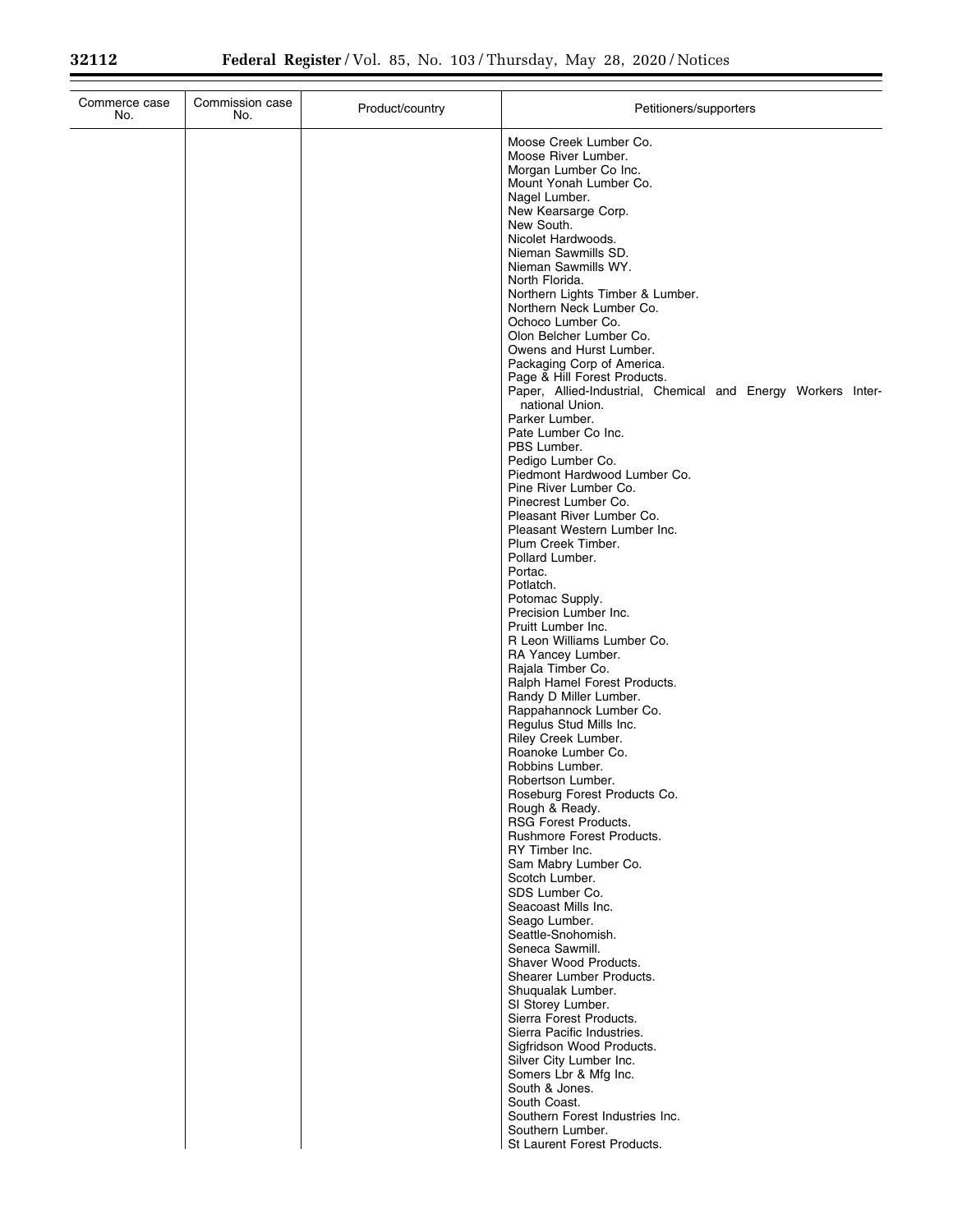| Commerce case<br>No. | Commission case<br>No. | Product/country | Petitioners/supporters                                                                                                                                                                                                                                                                                                                                                                                                                                                                                                |
|----------------------|------------------------|-----------------|-----------------------------------------------------------------------------------------------------------------------------------------------------------------------------------------------------------------------------------------------------------------------------------------------------------------------------------------------------------------------------------------------------------------------------------------------------------------------------------------------------------------------|
|                      |                        |                 | Moose Creek Lumber Co.<br>Moose River Lumber.<br>Morgan Lumber Co Inc.<br>Mount Yonah Lumber Co.<br>Nagel Lumber.<br>New Kearsarge Corp.<br>New South.<br>Nicolet Hardwoods.<br>Nieman Sawmills SD.<br>Nieman Sawmills WY.<br>North Florida.<br>Northern Lights Timber & Lumber.<br>Northern Neck Lumber Co.<br>Ochoco Lumber Co.<br>Olon Belcher Lumber Co.<br>Owens and Hurst Lumber.<br>Packaging Corp of America.<br>Page & Hill Forest Products.<br>Paper, Allied-Industrial, Chemical and Energy Workers Inter- |
|                      |                        |                 | national Union.<br>Parker Lumber.<br>Pate Lumber Co Inc.<br>PBS Lumber.<br>Pedigo Lumber Co.<br>Piedmont Hardwood Lumber Co.<br>Pine River Lumber Co.<br>Pinecrest Lumber Co.                                                                                                                                                                                                                                                                                                                                         |
|                      |                        |                 | Pleasant River Lumber Co.<br>Pleasant Western Lumber Inc.<br>Plum Creek Timber.<br>Pollard Lumber.<br>Portac.<br>Potlatch.<br>Potomac Supply.<br>Precision Lumber Inc.                                                                                                                                                                                                                                                                                                                                                |
|                      |                        |                 | Pruitt Lumber Inc.<br>R Leon Williams Lumber Co.<br>RA Yancey Lumber.<br>Rajala Timber Co.<br>Ralph Hamel Forest Products.<br>Randy D Miller Lumber.<br>Rappahannock Lumber Co.<br>Regulus Stud Mills Inc.                                                                                                                                                                                                                                                                                                            |
|                      |                        |                 | Riley Creek Lumber.<br>Roanoke Lumber Co.<br>Robbins Lumber.<br>Robertson Lumber.<br>Roseburg Forest Products Co.<br>Rough & Ready.<br><b>RSG Forest Products.</b>                                                                                                                                                                                                                                                                                                                                                    |
|                      |                        |                 | Rushmore Forest Products.<br>RY Timber Inc.<br>Sam Mabry Lumber Co.<br>Scotch Lumber.<br>SDS Lumber Co.<br>Seacoast Mills Inc.<br>Seago Lumber.                                                                                                                                                                                                                                                                                                                                                                       |
|                      |                        |                 | Seattle-Snohomish.<br>Seneca Sawmill.<br>Shaver Wood Products.<br>Shearer Lumber Products.<br>Shuqualak Lumber.<br>SI Storey Lumber.<br>Sierra Forest Products.                                                                                                                                                                                                                                                                                                                                                       |
|                      |                        |                 | Sierra Pacific Industries.<br>Sigfridson Wood Products.<br>Silver City Lumber Inc.<br>Somers Lbr & Mfg Inc.<br>South & Jones.<br>South Coast.<br>Southern Forest Industries Inc.                                                                                                                                                                                                                                                                                                                                      |
|                      |                        |                 | Southern Lumber.<br>St Laurent Forest Products.                                                                                                                                                                                                                                                                                                                                                                                                                                                                       |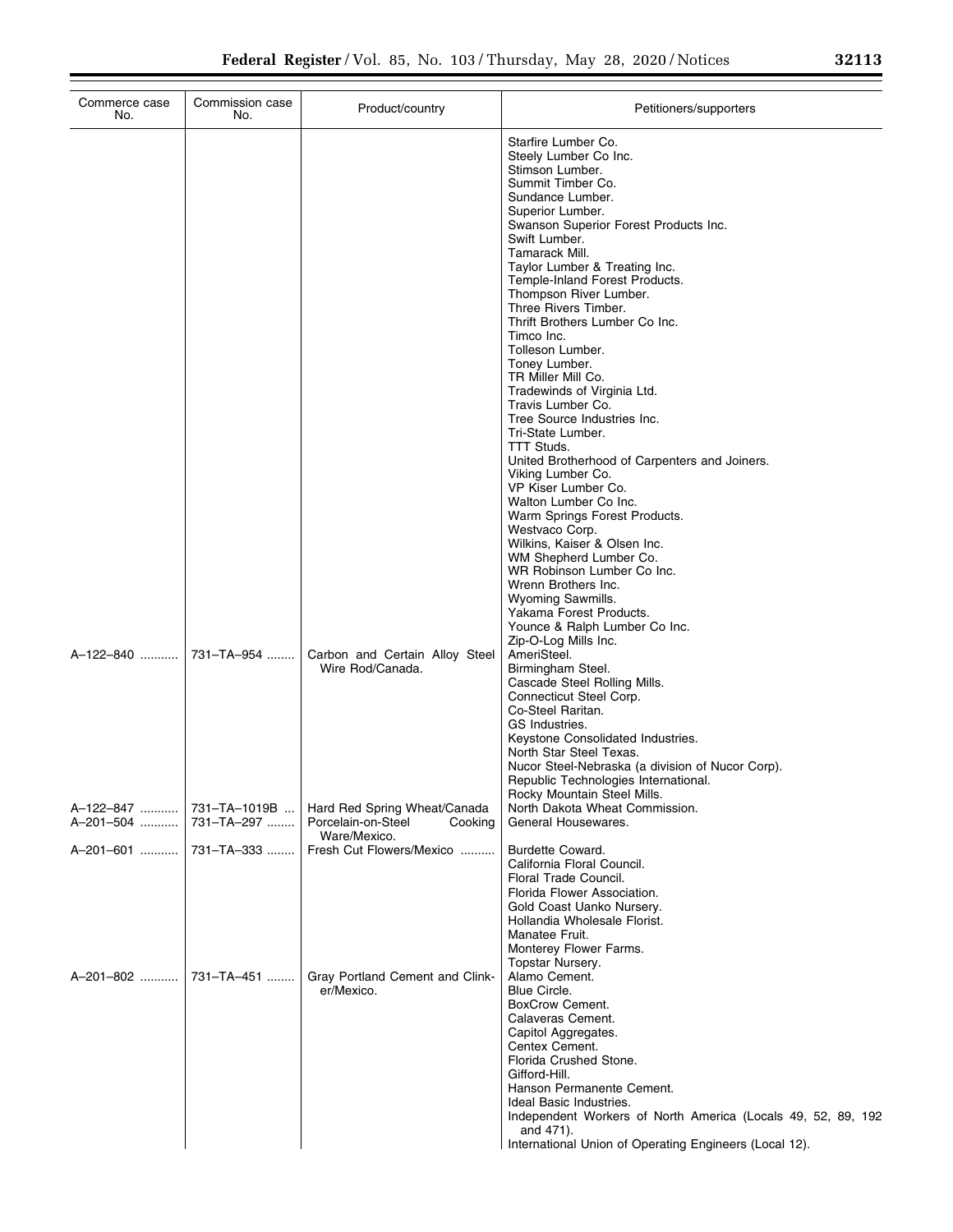| Commerce case<br>No.                 | Commission case<br>No. | Product/country                                                               | Petitioners/supporters                                                                                                                                                                                                                                                                                                                                                                                                                                                                                                                                                                                                                                                                                                                                                                                                                                                                                                                  |
|--------------------------------------|------------------------|-------------------------------------------------------------------------------|-----------------------------------------------------------------------------------------------------------------------------------------------------------------------------------------------------------------------------------------------------------------------------------------------------------------------------------------------------------------------------------------------------------------------------------------------------------------------------------------------------------------------------------------------------------------------------------------------------------------------------------------------------------------------------------------------------------------------------------------------------------------------------------------------------------------------------------------------------------------------------------------------------------------------------------------|
|                                      |                        |                                                                               | Starfire Lumber Co.<br>Steely Lumber Co Inc.<br>Stimson Lumber.<br>Summit Timber Co.<br>Sundance Lumber.<br>Superior Lumber.<br>Swanson Superior Forest Products Inc.<br>Swift Lumber.<br>Tamarack Mill.<br>Taylor Lumber & Treating Inc.<br>Temple-Inland Forest Products.<br>Thompson River Lumber.<br>Three Rivers Timber.<br>Thrift Brothers Lumber Co Inc.<br>Timco Inc.<br>Tolleson Lumber.<br>Toney Lumber.<br>TR Miller Mill Co.<br>Tradewinds of Virginia Ltd.<br>Travis Lumber Co.<br>Tree Source Industries Inc.<br>Tri-State Lumber.<br>TTT Studs.<br>United Brotherhood of Carpenters and Joiners.<br>Viking Lumber Co.<br>VP Kiser Lumber Co.<br>Walton Lumber Co Inc.<br>Warm Springs Forest Products.<br>Westvaco Corp.<br>Wilkins, Kaiser & Olsen Inc.<br>WM Shepherd Lumber Co.<br>WR Robinson Lumber Co Inc.<br>Wrenn Brothers Inc.<br>Wyoming Sawmills.<br>Yakama Forest Products.<br>Younce & Ralph Lumber Co Inc. |
|                                      |                        | Carbon and Certain Alloy Steel<br>Wire Rod/Canada.                            | Zip-O-Log Mills Inc.<br>AmeriSteel.<br>Birmingham Steel.<br>Cascade Steel Rolling Mills.<br>Connecticut Steel Corp.<br>Co-Steel Raritan.<br>GS Industries.<br>Keystone Consolidated Industries.<br>North Star Steel Texas.<br>Nucor Steel-Nebraska (a division of Nucor Corp).<br>Republic Technologies International.<br>Rocky Mountain Steel Mills.                                                                                                                                                                                                                                                                                                                                                                                                                                                                                                                                                                                   |
| A-122-847  731-TA-1019B<br>A-201-504 | 731–TA–297             | Hard Red Spring Wheat/Canada<br>Porcelain-on-Steel<br>Cooking<br>Ware/Mexico. | North Dakota Wheat Commission.<br>General Housewares.                                                                                                                                                                                                                                                                                                                                                                                                                                                                                                                                                                                                                                                                                                                                                                                                                                                                                   |
|                                      |                        | Fresh Cut Flowers/Mexico                                                      | Burdette Coward.<br>California Floral Council.<br>Floral Trade Council.<br>Florida Flower Association.<br>Gold Coast Uanko Nursery.<br>Hollandia Wholesale Florist.<br>Manatee Fruit.<br>Monterey Flower Farms.<br>Topstar Nursery.                                                                                                                                                                                                                                                                                                                                                                                                                                                                                                                                                                                                                                                                                                     |
|                                      | A-201-802  731-TA-451  | Gray Portland Cement and Clink-<br>er/Mexico.                                 | Alamo Cement.<br>Blue Circle.<br>BoxCrow Cement.<br>Calaveras Cement.<br>Capitol Aggregates.<br>Centex Cement.<br>Florida Crushed Stone.<br>Gifford-Hill.<br>Hanson Permanente Cement.<br>Ideal Basic Industries.<br>Independent Workers of North America (Locals 49, 52, 89, 192<br>and 471).<br>International Union of Operating Engineers (Local 12).                                                                                                                                                                                                                                                                                                                                                                                                                                                                                                                                                                                |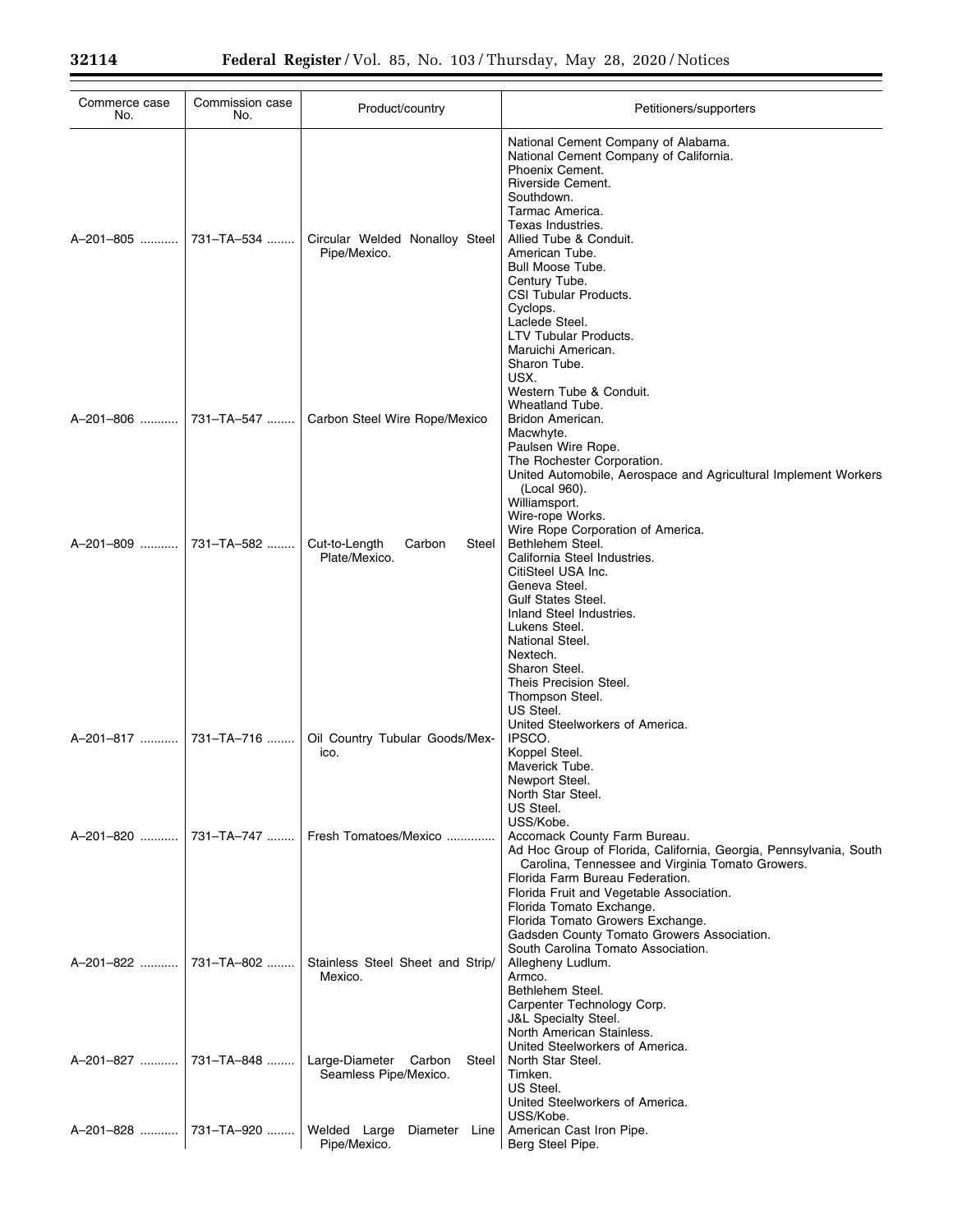| Commerce case<br>No.    | Commission case<br>No.  | Product/country                                         | Petitioners/supporters                                                                                                                                                                                                                                                                                                                                                                   |
|-------------------------|-------------------------|---------------------------------------------------------|------------------------------------------------------------------------------------------------------------------------------------------------------------------------------------------------------------------------------------------------------------------------------------------------------------------------------------------------------------------------------------------|
| A-201-805  731-TA-534   |                         | Circular Welded Nonalloy Steel<br>Pipe/Mexico.          | National Cement Company of Alabama.<br>National Cement Company of California.<br>Phoenix Cement.<br>Riverside Cement.<br>Southdown.<br>Tarmac America.<br>Texas Industries.<br>Allied Tube & Conduit.<br>American Tube.<br>Bull Moose Tube.<br>Century Tube.<br>CSI Tubular Products.<br>Cyclops.<br>Laclede Steel.<br>LTV Tubular Products.<br>Maruichi American.<br>Sharon Tube.       |
|                         | A-201-806  731-TA-547   | Carbon Steel Wire Rope/Mexico                           | USX.<br>Western Tube & Conduit.<br>Wheatland Tube.<br>Bridon American.<br>Macwhyte.<br>Paulsen Wire Rope.<br>The Rochester Corporation.<br>United Automobile, Aerospace and Agricultural Implement Workers<br>(Local 960).<br>Williamsport.                                                                                                                                              |
| A-201-809  731-TA-582   |                         | Cut-to-Length<br>Carbon<br>Steel<br>Plate/Mexico.       | Wire-rope Works.<br>Wire Rope Corporation of America.<br>Bethlehem Steel.<br>California Steel Industries.<br>CitiSteel USA Inc.<br>Geneva Steel.<br><b>Gulf States Steel.</b><br>Inland Steel Industries.<br>Lukens Steel.<br>National Steel.<br>Nextech.<br>Sharon Steel.<br>Theis Precision Steel.<br>Thompson Steel.<br>US Steel.                                                     |
| A-201-817    731-TA-716 |                         | Oil Country Tubular Goods/Mex-<br>ico.                  | United Steelworkers of America.<br>IPSCO.<br>Koppel Steel.<br>Maverick Tube.<br>Newport Steel.<br>North Star Steel.<br>US Steel.<br>USS/Kobe.                                                                                                                                                                                                                                            |
|                         | A-201-820  731-TA-747   | Fresh Tomatoes/Mexico                                   | Accomack County Farm Bureau.<br>Ad Hoc Group of Florida, California, Georgia, Pennsylvania, South<br>Carolina, Tennessee and Virginia Tomato Growers.<br>Florida Farm Bureau Federation.<br>Florida Fruit and Vegetable Association.<br>Florida Tomato Exchange.<br>Florida Tomato Growers Exchange.<br>Gadsden County Tomato Growers Association.<br>South Carolina Tomato Association. |
|                         | A-201-822  731-TA-802   | Stainless Steel Sheet and Strip/<br>Mexico.             | Allegheny Ludlum.<br>Armco.<br>Bethlehem Steel.<br>Carpenter Technology Corp.<br><b>J&amp;L Specialty Steel.</b><br>North American Stainless.                                                                                                                                                                                                                                            |
|                         |                         | Large-Diameter Carbon<br>Steel<br>Seamless Pipe/Mexico. | United Steelworkers of America.<br>North Star Steel.<br>Timken.<br>US Steel.<br>United Steelworkers of America.                                                                                                                                                                                                                                                                          |
|                         | A-201-828    731-TA-920 | Welded Large<br>Diameter Line<br>Pipe/Mexico.           | USS/Kobe.<br>American Cast Iron Pipe.<br>Berg Steel Pipe.                                                                                                                                                                                                                                                                                                                                |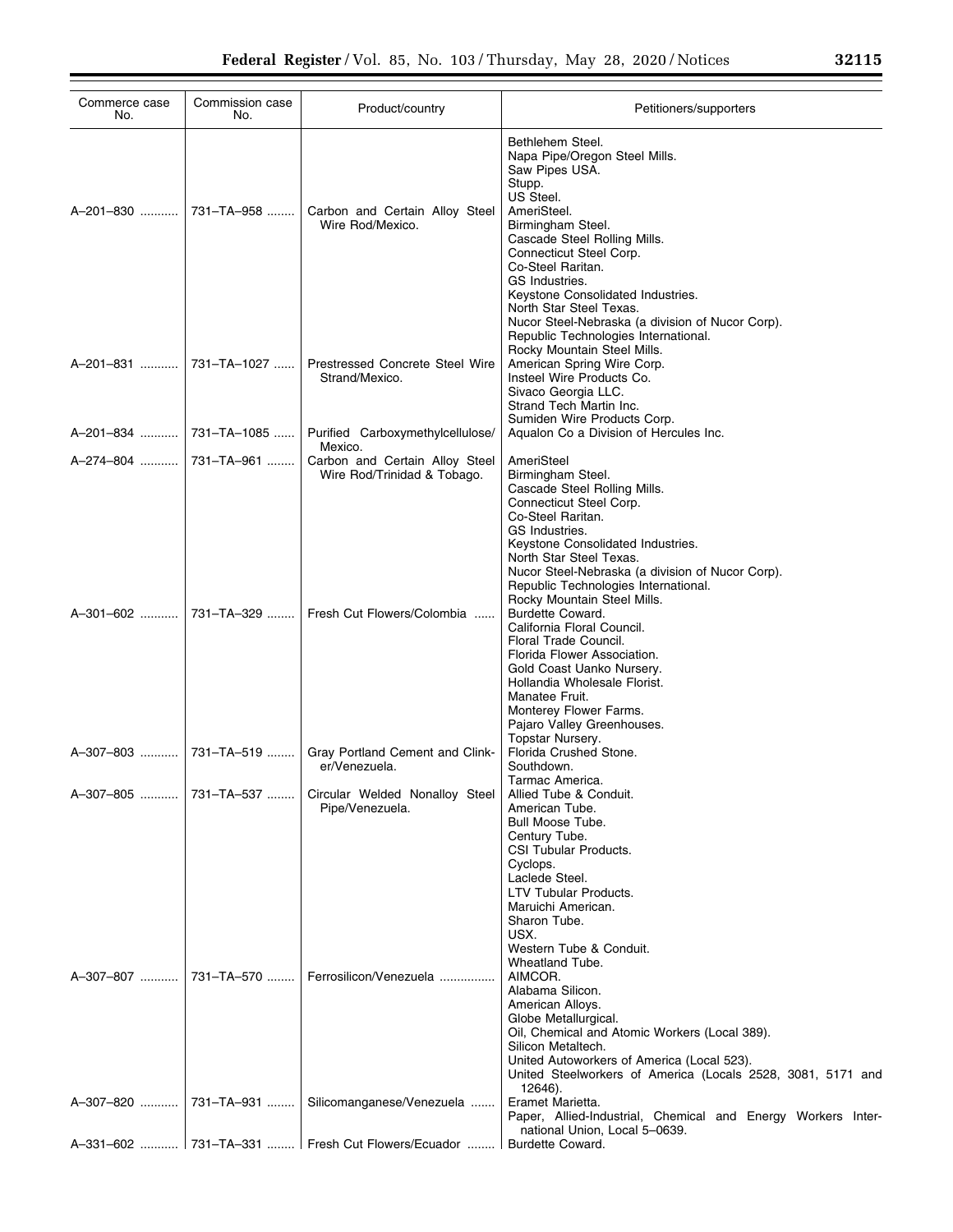| Commerce case<br>No.   | Commission case<br>No. | Product/country                                               | Petitioners/supporters                                                                                                                                                                                                                                                                                                                                                                                                    |
|------------------------|------------------------|---------------------------------------------------------------|---------------------------------------------------------------------------------------------------------------------------------------------------------------------------------------------------------------------------------------------------------------------------------------------------------------------------------------------------------------------------------------------------------------------------|
|                        |                        | Carbon and Certain Alloy Steel<br>Wire Rod/Mexico.            | Bethlehem Steel.<br>Napa Pipe/Oregon Steel Mills.<br>Saw Pipes USA.<br>Stupp.<br>US Steel.<br>AmeriSteel.<br>Birmingham Steel.<br>Cascade Steel Rolling Mills.<br>Connecticut Steel Corp.<br>Co-Steel Raritan.<br>GS Industries.<br>Keystone Consolidated Industries.<br>North Star Steel Texas.                                                                                                                          |
| A-201-831              | 731-TA-1027            | Prestressed Concrete Steel Wire<br>Strand/Mexico.             | Nucor Steel-Nebraska (a division of Nucor Corp).<br>Republic Technologies International.<br>Rocky Mountain Steel Mills.<br>American Spring Wire Corp.<br>Insteel Wire Products Co.<br>Sivaco Georgia LLC.<br>Strand Tech Martin Inc.                                                                                                                                                                                      |
| A-201-834  731-TA-1085 |                        | Purified Carboxymethylcellulose/<br>Mexico.                   | Sumiden Wire Products Corp.<br>Aqualon Co a Division of Hercules Inc.                                                                                                                                                                                                                                                                                                                                                     |
| A-274-804              | 731-TA-961             | Carbon and Certain Alloy Steel<br>Wire Rod/Trinidad & Tobago. | AmeriSteel<br>Birmingham Steel.<br>Cascade Steel Rolling Mills.<br>Connecticut Steel Corp.<br>Co-Steel Raritan.<br>GS Industries.                                                                                                                                                                                                                                                                                         |
| A-301-602              | 731-TA-329             | Fresh Cut Flowers/Colombia                                    | Keystone Consolidated Industries.<br>North Star Steel Texas.<br>Nucor Steel-Nebraska (a division of Nucor Corp).<br>Republic Technologies International.<br>Rocky Mountain Steel Mills.<br>Burdette Coward.<br>California Floral Council.<br>Floral Trade Council.<br>Florida Flower Association.<br>Gold Coast Uanko Nursery.<br>Hollandia Wholesale Florist.<br>Manatee Fruit.<br>Monterey Flower Farms.                |
| A-307-803              | 731-TA-519             | Gray Portland Cement and Clink-<br>er/Venezuela.              | Pajaro Valley Greenhouses.<br>Topstar Nursery.<br>Florida Crushed Stone.<br>Southdown.                                                                                                                                                                                                                                                                                                                                    |
| A-307-805              | 731-TA-537             | Circular Welded Nonalloy Steel<br>Pipe/Venezuela.             | Tarmac America.<br>Allied Tube & Conduit.<br>American Tube.<br>Bull Moose Tube.<br>Century Tube.<br>CSI Tubular Products.                                                                                                                                                                                                                                                                                                 |
| A-307-807              | 731-TA-570             | Ferrosilicon/Venezuela                                        | Cyclops.<br>Laclede Steel.<br>LTV Tubular Products.<br>Maruichi American.<br>Sharon Tube.<br>USX.<br>Western Tube & Conduit.<br>Wheatland Tube.<br>AIMCOR.<br>Alabama Silicon.<br>American Alloys.<br>Globe Metallurgical.<br>Oil, Chemical and Atomic Workers (Local 389).<br>Silicon Metaltech.<br>United Autoworkers of America (Local 523).<br>United Steelworkers of America (Locals 2528, 3081, 5171 and<br>12646). |
| A-307-820              | 731-TA-931             | Silicomanganese/Venezuela                                     | Eramet Marietta.<br>Paper, Allied-Industrial, Chemical and Energy Workers Inter-<br>national Union, Local 5-0639.                                                                                                                                                                                                                                                                                                         |
|                        |                        | A-331-602  731-TA-331  Fresh Cut Flowers/Ecuador              | <b>Burdette Coward.</b>                                                                                                                                                                                                                                                                                                                                                                                                   |

▀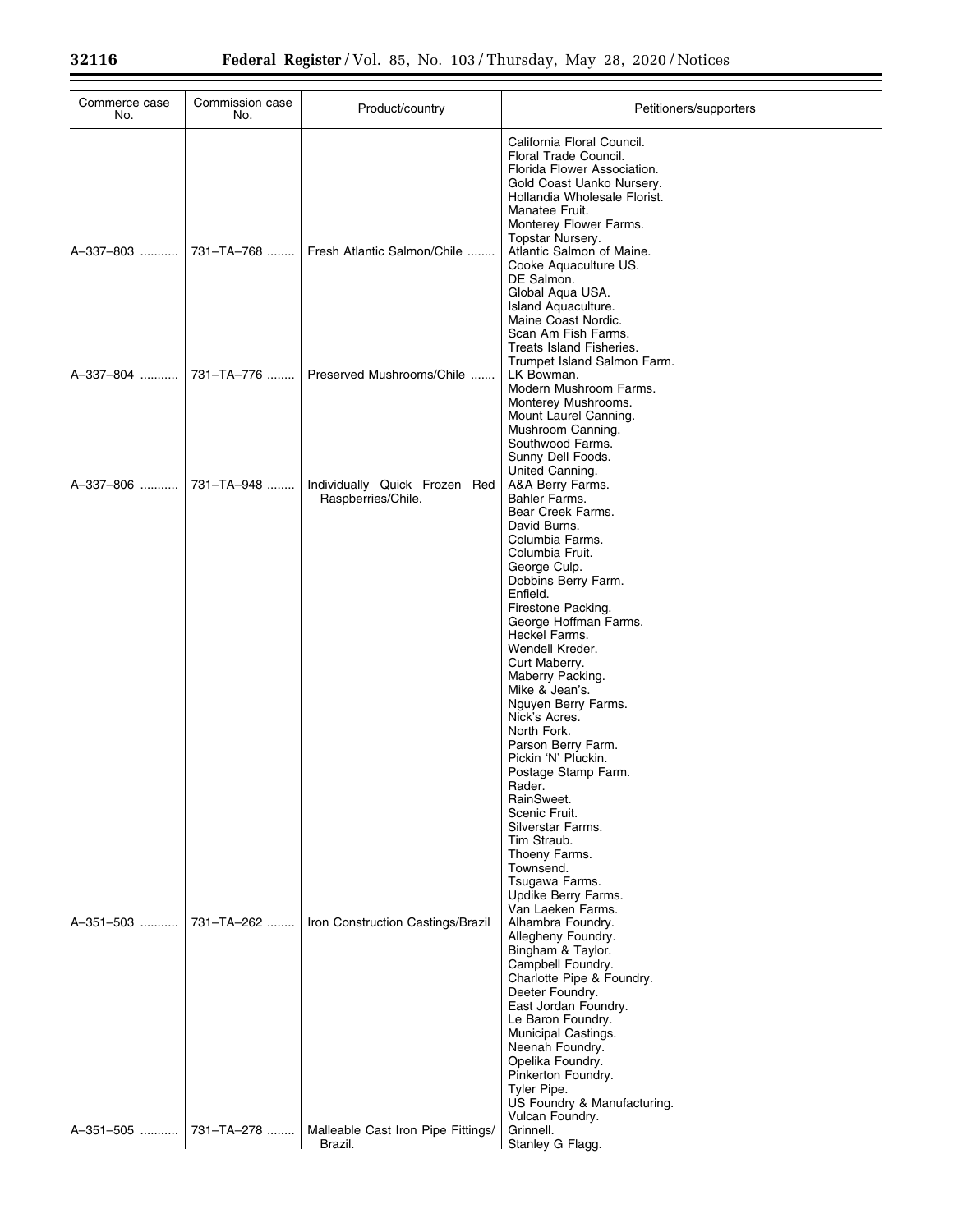| Commerce case<br>No.   | Commission case<br>No.   | Product/country                                                         | Petitioners/supporters                                                                                                                                                                                                                                                                                                                                                                                                                                                                                                                                                                                                           |
|------------------------|--------------------------|-------------------------------------------------------------------------|----------------------------------------------------------------------------------------------------------------------------------------------------------------------------------------------------------------------------------------------------------------------------------------------------------------------------------------------------------------------------------------------------------------------------------------------------------------------------------------------------------------------------------------------------------------------------------------------------------------------------------|
| A-337-803              | 731-TA-768               | Fresh Atlantic Salmon/Chile                                             | California Floral Council.<br>Floral Trade Council.<br>Florida Flower Association.<br>Gold Coast Uanko Nursery.<br>Hollandia Wholesale Florist.<br>Manatee Fruit.<br>Monterey Flower Farms.<br>Topstar Nursery.<br>Atlantic Salmon of Maine.<br>Cooke Aquaculture US.<br>DE Salmon.<br>Global Aqua USA.<br>Island Aquaculture.<br>Maine Coast Nordic.<br>Scan Am Fish Farms.<br>Treats Island Fisheries.                                                                                                                                                                                                                         |
| A-337-804              | 731-TA-776               | Preserved Mushrooms/Chile                                               | Trumpet Island Salmon Farm.<br>LK Bowman.<br>Modern Mushroom Farms.<br>Monterey Mushrooms.<br>Mount Laurel Canning.<br>Mushroom Canning.<br>Southwood Farms.                                                                                                                                                                                                                                                                                                                                                                                                                                                                     |
| A-337-806              | 731-TA-948               | Individually Quick Frozen Red<br>Raspberries/Chile.                     | Sunny Dell Foods.<br>United Canning.<br>A&A Berry Farms.<br>Bahler Farms.<br>Bear Creek Farms.<br>David Burns.<br>Columbia Farms.<br>Columbia Fruit.<br>George Culp.<br>Dobbins Berry Farm.<br>Enfield.<br>Firestone Packing.<br>George Hoffman Farms.<br>Heckel Farms.<br>Wendell Kreder.<br>Curt Maberry.<br>Maberry Packing.<br>Mike & Jean's.<br>Nguyen Berry Farms.<br>Nick's Acres.<br>North Fork.<br>Parson Berry Farm.<br>Pickin 'N' Pluckin.<br>Postage Stamp Farm.<br>Rader.<br>RainSweet.<br>Scenic Fruit.<br>Silverstar Farms.<br>Tim Straub.<br>Thoeny Farms.<br>Townsend.<br>Tsugawa Farms.<br>Updike Berry Farms. |
| A-351-503<br>A-351-505 | 731-TA-262<br>731-TA-278 | Iron Construction Castings/Brazil<br>Malleable Cast Iron Pipe Fittings/ | Van Laeken Farms.<br>Alhambra Foundry.<br>Allegheny Foundry.<br>Bingham & Taylor.<br>Campbell Foundry.<br>Charlotte Pipe & Foundry.<br>Deeter Foundry.<br>East Jordan Foundry.<br>Le Baron Foundry.<br>Municipal Castings.<br>Neenah Foundry.<br>Opelika Foundry.<br>Pinkerton Foundry.<br>Tyler Pipe.<br>US Foundry & Manufacturing.<br>Vulcan Foundry.<br>Grinnell.                                                                                                                                                                                                                                                            |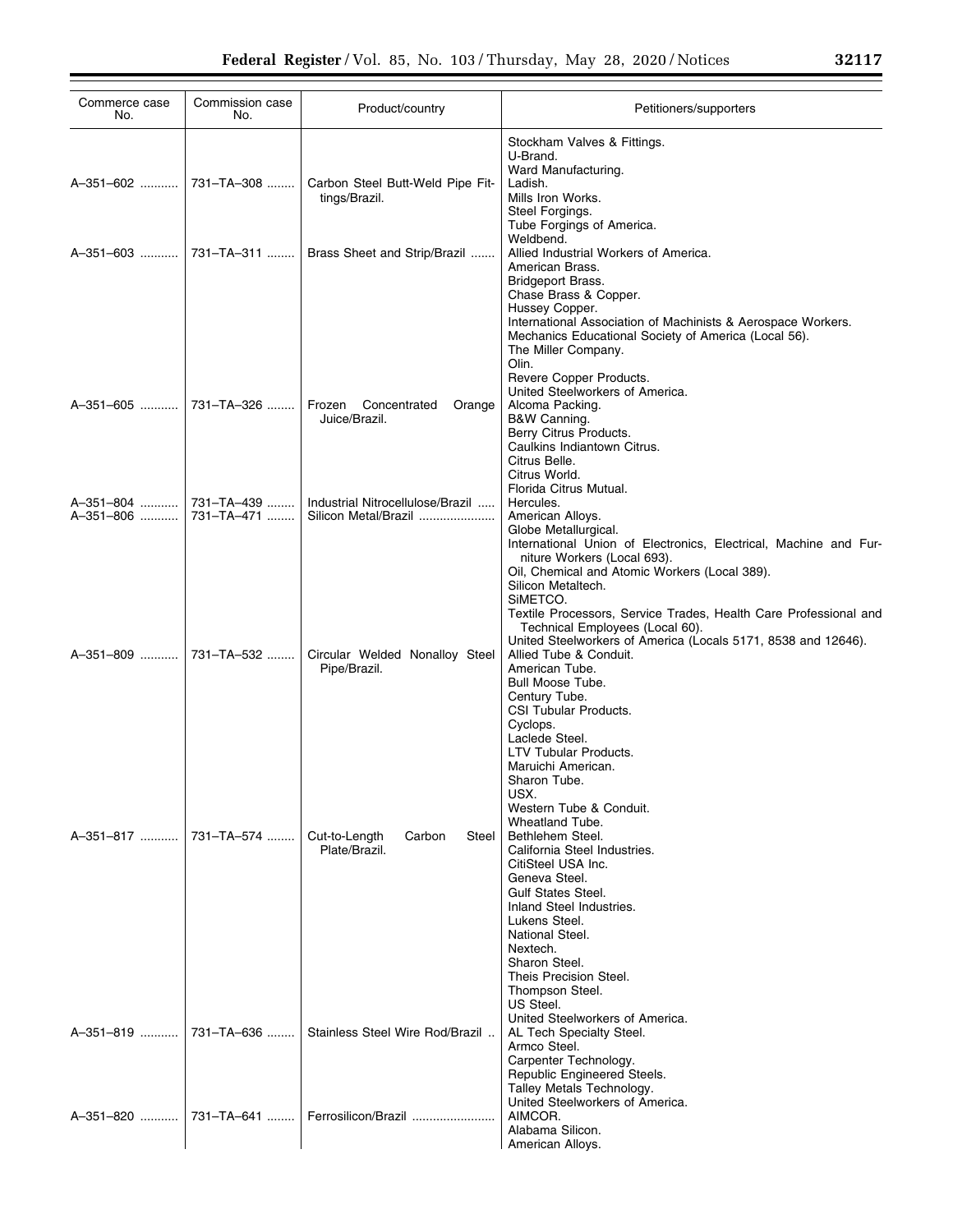| Commerce case<br>No.  | Commission case<br>No. | Product/country                                          | Petitioners/supporters                                                                                                                                                                                                                                                                                                                    |
|-----------------------|------------------------|----------------------------------------------------------|-------------------------------------------------------------------------------------------------------------------------------------------------------------------------------------------------------------------------------------------------------------------------------------------------------------------------------------------|
| A-351-602  731-TA-308 |                        | Carbon Steel Butt-Weld Pipe Fit-<br>tings/Brazil.        | Stockham Valves & Fittings.<br>U-Brand.<br>Ward Manufacturing.<br>Ladish.<br>Mills Iron Works.<br>Steel Forgings.<br>Tube Forgings of America.                                                                                                                                                                                            |
|                       |                        | Brass Sheet and Strip/Brazil                             | Weldbend.<br>Allied Industrial Workers of America.<br>American Brass.<br>Bridgeport Brass.<br>Chase Brass & Copper.<br>Hussey Copper.<br>International Association of Machinists & Aerospace Workers.<br>Mechanics Educational Society of America (Local 56).<br>The Miller Company.<br>Olin.                                             |
| A-351-605  731-TA-326 |                        | Frozen<br>Concentrated<br>Orange<br>Juice/Brazil.        | Revere Copper Products.<br>United Steelworkers of America.<br>Alcoma Packing.<br>B&W Canning.<br>Berry Citrus Products.<br>Caulkins Indiantown Citrus.<br>Citrus Belle.<br>Citrus World.                                                                                                                                                  |
| A-351-806  731-TA-471 |                        | Industrial Nitrocellulose/Brazil<br>Silicon Metal/Brazil | Florida Citrus Mutual.<br>Hercules.<br>American Alloys.<br>Globe Metallurgical.<br>International Union of Electronics, Electrical, Machine and Fur-<br>niture Workers (Local 693).<br>Oil, Chemical and Atomic Workers (Local 389).<br>Silicon Metaltech.<br>SIMETCO.<br>Textile Processors, Service Trades, Health Care Professional and |
| A-351-809  731-TA-532 |                        | Circular Welded Nonalloy Steel<br>Pipe/Brazil.           | Technical Employees (Local 60).<br>United Steelworkers of America (Locals 5171, 8538 and 12646).<br>Allied Tube & Conduit.<br>American Tube.<br>Bull Moose Tube.<br>Century Tube.<br>CSI Tubular Products.<br>Cyclops.<br>Laclede Steel.<br>LTV Tubular Products.                                                                         |
|                       |                        | Cut-to-Length<br>Carbon<br>Steel<br>Plate/Brazil.        | Maruichi American.<br>Sharon Tube.<br>USX.<br>Western Tube & Conduit.<br>Wheatland Tube.<br>Bethlehem Steel.<br>California Steel Industries.<br>CitiSteel USA Inc.<br>Geneva Steel.<br><b>Gulf States Steel.</b><br>Inland Steel Industries.<br>Lukens Steel.<br>National Steel.<br>Nextech.<br>Sharon Steel.                             |
| A-351-819  731-TA-636 |                        | Stainless Steel Wire Rod/Brazil<br>Ferrosilicon/Brazil   | Theis Precision Steel.<br>Thompson Steel.<br>US Steel.<br>United Steelworkers of America.<br>AL Tech Specialty Steel.<br>Armco Steel.<br>Carpenter Technology.<br>Republic Engineered Steels.<br>Talley Metals Technology.<br>United Steelworkers of America.<br>AIMCOR.                                                                  |
|                       |                        |                                                          | Alabama Silicon.<br>American Alloys.                                                                                                                                                                                                                                                                                                      |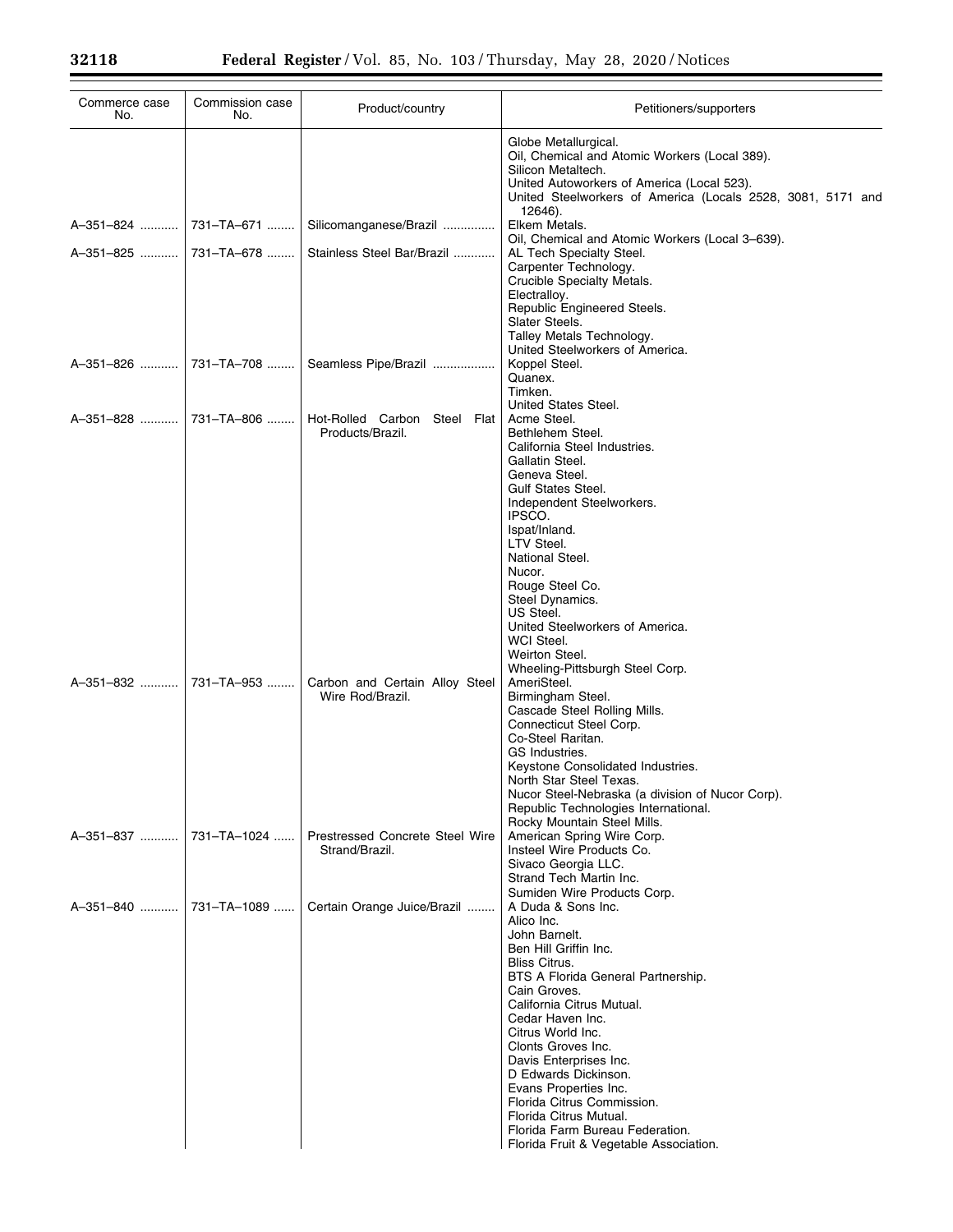| Commerce case<br>No.     | Commission case<br>No. | Product/country                                    | Petitioners/supporters                                                                                                                                                                                                                                                                                                                                                                                                                                               |  |
|--------------------------|------------------------|----------------------------------------------------|----------------------------------------------------------------------------------------------------------------------------------------------------------------------------------------------------------------------------------------------------------------------------------------------------------------------------------------------------------------------------------------------------------------------------------------------------------------------|--|
|                          |                        |                                                    | Globe Metallurgical.<br>Oil, Chemical and Atomic Workers (Local 389).<br>Silicon Metaltech.<br>United Autoworkers of America (Local 523).<br>United Steelworkers of America (Locals 2528, 3081, 5171 and                                                                                                                                                                                                                                                             |  |
|                          |                        | Silicomanganese/Brazil                             | 12646).<br>Elkem Metals.                                                                                                                                                                                                                                                                                                                                                                                                                                             |  |
|                          |                        | Stainless Steel Bar/Brazil                         | Oil, Chemical and Atomic Workers (Local 3-639).<br>AL Tech Specialty Steel.<br>Carpenter Technology.<br>Crucible Specialty Metals.<br>Electralloy.<br>Republic Engineered Steels.<br>Slater Steels.<br>Talley Metals Technology.                                                                                                                                                                                                                                     |  |
|                          |                        | Seamless Pipe/Brazil                               | United Steelworkers of America.<br>Koppel Steel.<br>Quanex.<br>Timken.                                                                                                                                                                                                                                                                                                                                                                                               |  |
|                          |                        | Hot-Rolled Carbon Steel Flat<br>Products/Brazil.   | United States Steel.<br>Acme Steel.<br>Bethlehem Steel.<br>California Steel Industries.<br>Gallatin Steel.<br>Geneva Steel.<br><b>Gulf States Steel.</b><br>Independent Steelworkers.<br>IPSCO.<br>Ispat/Inland.<br>LTV Steel.<br>National Steel.<br>Nucor.<br>Rouge Steel Co.<br>Steel Dynamics.<br>US Steel.<br>United Steelworkers of America.<br>WCI Steel.<br>Weirton Steel.<br>Wheeling-Pittsburgh Steel Corp.                                                 |  |
| A-351-832  731-TA-953    |                        | Carbon and Certain Alloy Steel<br>Wire Rod/Brazil. | AmeriSteel.<br>Birmingham Steel.<br>Cascade Steel Rolling Mills.<br>Connecticut Steel Corp.<br>Co-Steel Raritan.<br>GS Industries.<br>Keystone Consolidated Industries.<br>North Star Steel Texas.<br>Nucor Steel-Nebraska (a division of Nucor Corp).<br>Republic Technologies International.<br>Rocky Mountain Steel Mills.                                                                                                                                        |  |
| A-351-837  731-TA-1024   |                        | Prestressed Concrete Steel Wire<br>Strand/Brazil.  | American Spring Wire Corp.<br>Insteel Wire Products Co.<br>Sivaco Georgia LLC.<br>Strand Tech Martin Inc.<br>Sumiden Wire Products Corp.                                                                                                                                                                                                                                                                                                                             |  |
| A-351-840    731-TA-1089 |                        | Certain Orange Juice/Brazil                        | A Duda & Sons Inc.<br>Alico Inc.<br>John Barnelt.<br>Ben Hill Griffin Inc.<br><b>Bliss Citrus.</b><br>BTS A Florida General Partnership.<br>Cain Groves.<br>California Citrus Mutual.<br>Cedar Haven Inc.<br>Citrus World Inc.<br>Clonts Groves Inc.<br>Davis Enterprises Inc.<br>D Edwards Dickinson.<br>Evans Properties Inc.<br>Florida Citrus Commission.<br>Florida Citrus Mutual.<br>Florida Farm Bureau Federation.<br>Florida Fruit & Vegetable Association. |  |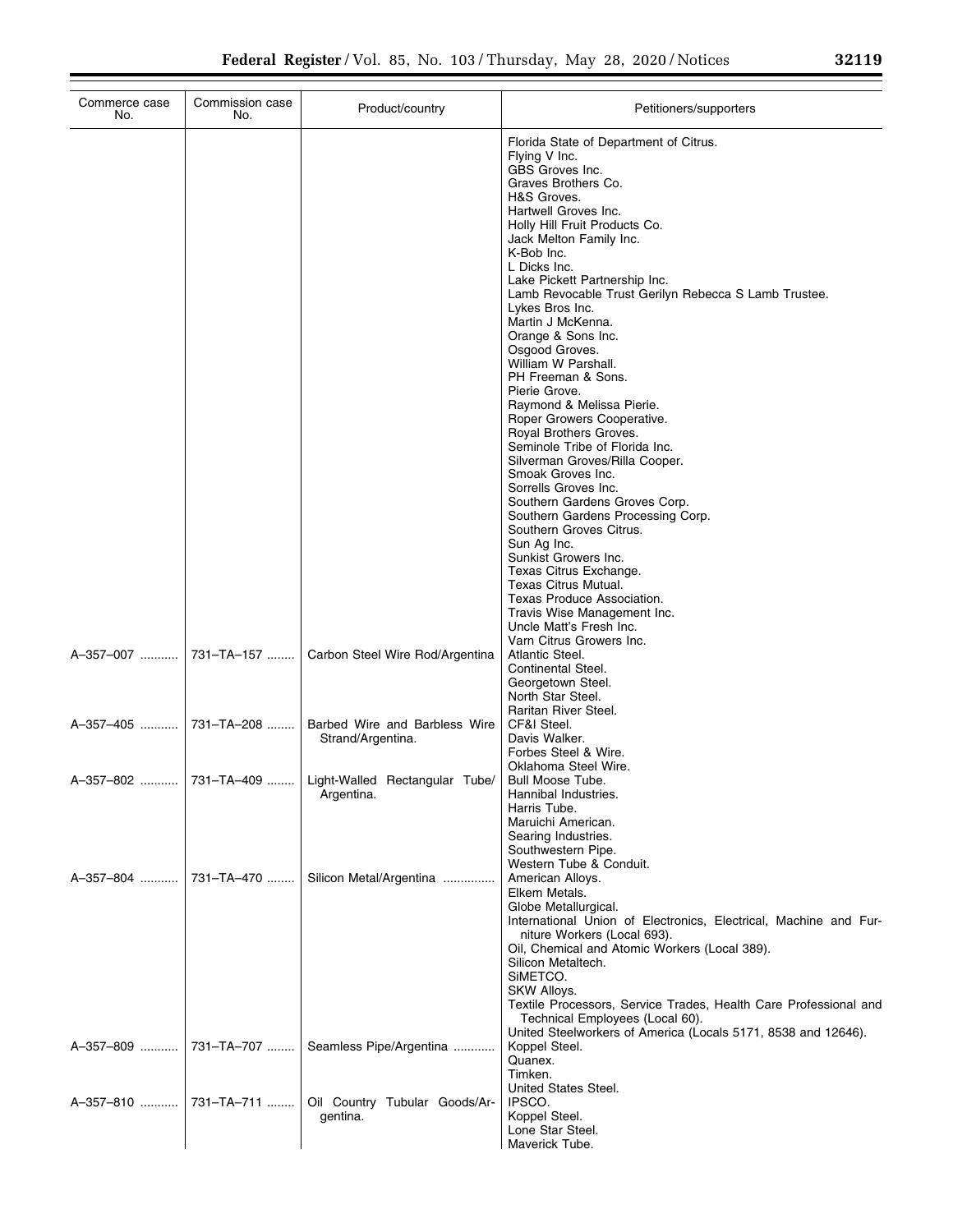| Commerce case<br>No.  | Commission case<br>No. | Product/country                                                       | Petitioners/supporters                                                                                                                                                                                                                                                                                                                                                                                                                                                                                                                                                                                                                                                                                                                                                                                                                                                                                                                 |
|-----------------------|------------------------|-----------------------------------------------------------------------|----------------------------------------------------------------------------------------------------------------------------------------------------------------------------------------------------------------------------------------------------------------------------------------------------------------------------------------------------------------------------------------------------------------------------------------------------------------------------------------------------------------------------------------------------------------------------------------------------------------------------------------------------------------------------------------------------------------------------------------------------------------------------------------------------------------------------------------------------------------------------------------------------------------------------------------|
|                       |                        |                                                                       | Florida State of Department of Citrus.<br>Flying V Inc.<br>GBS Groves Inc.<br>Graves Brothers Co.<br>H&S Groves.<br>Hartwell Groves Inc.<br>Holly Hill Fruit Products Co.<br>Jack Melton Family Inc.<br>K-Bob Inc.<br>L Dicks Inc.<br>Lake Pickett Partnership Inc.<br>Lamb Revocable Trust Gerilyn Rebecca S Lamb Trustee.<br>Lykes Bros Inc.<br>Martin J McKenna.<br>Orange & Sons Inc.<br>Osgood Groves.<br>William W Parshall.<br>PH Freeman & Sons.<br>Pierie Grove.<br>Raymond & Melissa Pierie.<br>Roper Growers Cooperative.<br>Royal Brothers Groves.<br>Seminole Tribe of Florida Inc.<br>Silverman Groves/Rilla Cooper.<br>Smoak Groves Inc.<br>Sorrells Groves Inc.<br>Southern Gardens Groves Corp.<br>Southern Gardens Processing Corp.<br>Southern Groves Citrus.<br>Sun Ag Inc.<br>Sunkist Growers Inc.<br>Texas Citrus Exchange.<br>Texas Citrus Mutual.<br>Texas Produce Association.<br>Travis Wise Management Inc. |
|                       |                        | Carbon Steel Wire Rod/Argentina                                       | Uncle Matt's Fresh Inc.<br>Varn Citrus Growers Inc.<br>Atlantic Steel.<br>Continental Steel.<br>Georgetown Steel.<br>North Star Steel.                                                                                                                                                                                                                                                                                                                                                                                                                                                                                                                                                                                                                                                                                                                                                                                                 |
| A-357-405  731-TA-208 |                        | Barbed Wire and Barbless Wire<br>Strand/Argentina.                    | Raritan River Steel.<br>CF&I Steel.<br>Davis Walker.<br>Forbes Steel & Wire.                                                                                                                                                                                                                                                                                                                                                                                                                                                                                                                                                                                                                                                                                                                                                                                                                                                           |
|                       |                        | A-357-802  731-TA-409    Light-Walled Rectangular Tube/<br>Argentina. | Oklahoma Steel Wire.<br>Bull Moose Tube.<br>Hannibal Industries.<br>Harris Tube.<br>Maruichi American.                                                                                                                                                                                                                                                                                                                                                                                                                                                                                                                                                                                                                                                                                                                                                                                                                                 |
| A-357-804  731-TA-470 |                        | Silicon Metal/Argentina                                               | Searing Industries.<br>Southwestern Pipe.<br>Western Tube & Conduit.<br>American Alloys.<br>Elkem Metals.<br>Globe Metallurgical.<br>International Union of Electronics, Electrical, Machine and Fur-                                                                                                                                                                                                                                                                                                                                                                                                                                                                                                                                                                                                                                                                                                                                  |
|                       |                        |                                                                       | niture Workers (Local 693).<br>Oil, Chemical and Atomic Workers (Local 389).<br>Silicon Metaltech.<br>SIMETCO.<br>SKW Alloys.<br>Textile Processors, Service Trades, Health Care Professional and<br>Technical Employees (Local 60).<br>United Steelworkers of America (Locals 5171, 8538 and 12646).                                                                                                                                                                                                                                                                                                                                                                                                                                                                                                                                                                                                                                  |
| A-357-809             | 731–TA–707             | Seamless Pipe/Argentina                                               | Koppel Steel.<br>Quanex.<br>Timken.<br>United States Steel.                                                                                                                                                                                                                                                                                                                                                                                                                                                                                                                                                                                                                                                                                                                                                                                                                                                                            |
| A-357-810             | 731–TA–711             | Oil Country Tubular Goods/Ar-<br>gentina.                             | IPSCO.<br>Koppel Steel.<br>Lone Star Steel.<br>Maverick Tube.                                                                                                                                                                                                                                                                                                                                                                                                                                                                                                                                                                                                                                                                                                                                                                                                                                                                          |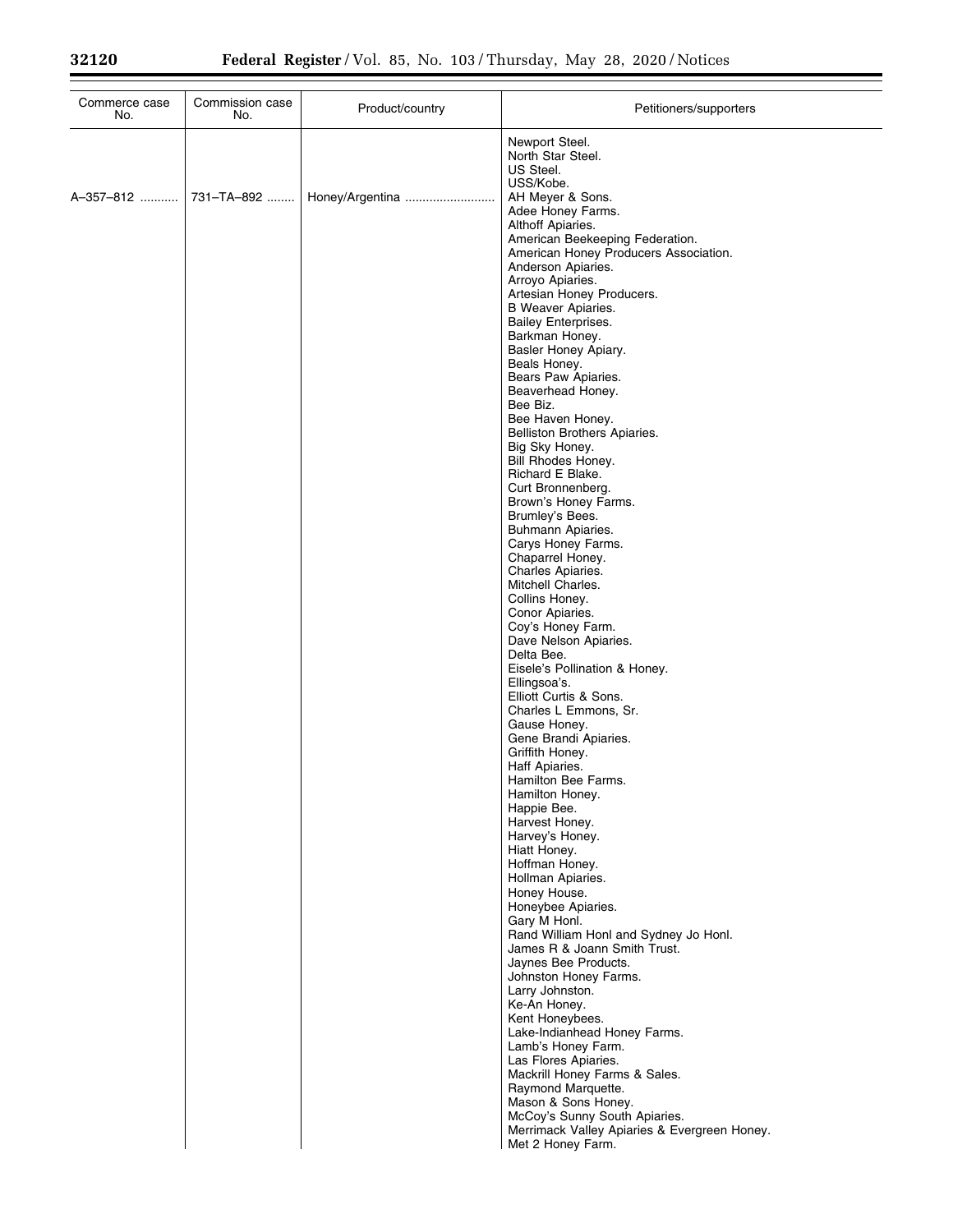| Commerce case<br>No. | Commission case<br>No. | Product/country | Petitioners/supporters                                                                                                    |
|----------------------|------------------------|-----------------|---------------------------------------------------------------------------------------------------------------------------|
|                      |                        |                 | Newport Steel.<br>North Star Steel.<br>US Steel.<br>USS/Kobe.                                                             |
| A-357-812            | 731-TA-892             | Honey/Argentina | AH Meyer & Sons.<br>Adee Honey Farms.<br>Althoff Apiaries.                                                                |
|                      |                        |                 | American Beekeeping Federation.<br>American Honey Producers Association.<br>Anderson Apiaries.<br>Arroyo Apiaries.        |
|                      |                        |                 | Artesian Honey Producers.<br><b>B</b> Weaver Apiaries.<br><b>Bailey Enterprises.</b>                                      |
|                      |                        |                 | Barkman Honey.<br>Basler Honey Apiary.                                                                                    |
|                      |                        |                 | Beals Honey.<br>Bears Paw Apiaries.<br>Beaverhead Honey.                                                                  |
|                      |                        |                 | Bee Biz.<br>Bee Haven Honey.<br>Belliston Brothers Apiaries.                                                              |
|                      |                        |                 | Big Sky Honey.<br>Bill Rhodes Honey.<br>Richard E Blake.                                                                  |
|                      |                        |                 | Curt Bronnenberg.<br>Brown's Honey Farms.                                                                                 |
|                      |                        |                 | Brumley's Bees.<br>Buhmann Apiaries.<br>Carys Honey Farms.                                                                |
|                      |                        |                 | Chaparrel Honey.<br>Charles Apiaries.<br>Mitchell Charles.                                                                |
|                      |                        |                 | Collins Honey.<br>Conor Apiaries.<br>Coy's Honey Farm.                                                                    |
|                      |                        |                 | Dave Nelson Apiaries.<br>Delta Bee.<br>Eisele's Pollination & Honey.                                                      |
|                      |                        |                 | Ellingsoa's.<br>Elliott Curtis & Sons.                                                                                    |
|                      |                        |                 | Charles L Emmons, Sr.<br>Gause Honey.<br>Gene Brandi Apiaries.                                                            |
|                      |                        |                 | Griffith Honey.<br>Haff Apiaries.<br>Hamilton Bee Farms.                                                                  |
|                      |                        |                 | Hamilton Honey.<br>Happie Bee.<br>Harvest Honey.                                                                          |
|                      |                        |                 | Harvey's Honey.<br>Hiatt Honey.<br>Hoffman Honey.                                                                         |
|                      |                        |                 | Hollman Apiaries.<br>Honey House.                                                                                         |
|                      |                        |                 | Honeybee Apiaries.<br>Gary M Honl.<br>Rand William Honl and Sydney Jo Honl.                                               |
|                      |                        |                 | James R & Joann Smith Trust.<br>Jaynes Bee Products.<br>Johnston Honey Farms.                                             |
|                      |                        |                 | Larry Johnston.<br>Ke-An Honey.<br>Kent Honeybees.                                                                        |
|                      |                        |                 | Lake-Indianhead Honey Farms.<br>Lamb's Honey Farm.<br>Las Flores Apiaries.                                                |
|                      |                        |                 | Mackrill Honey Farms & Sales.<br>Raymond Marquette.                                                                       |
|                      |                        |                 | Mason & Sons Honey.<br>McCoy's Sunny South Apiaries.<br>Merrimack Valley Apiaries & Evergreen Honey.<br>Met 2 Honey Farm. |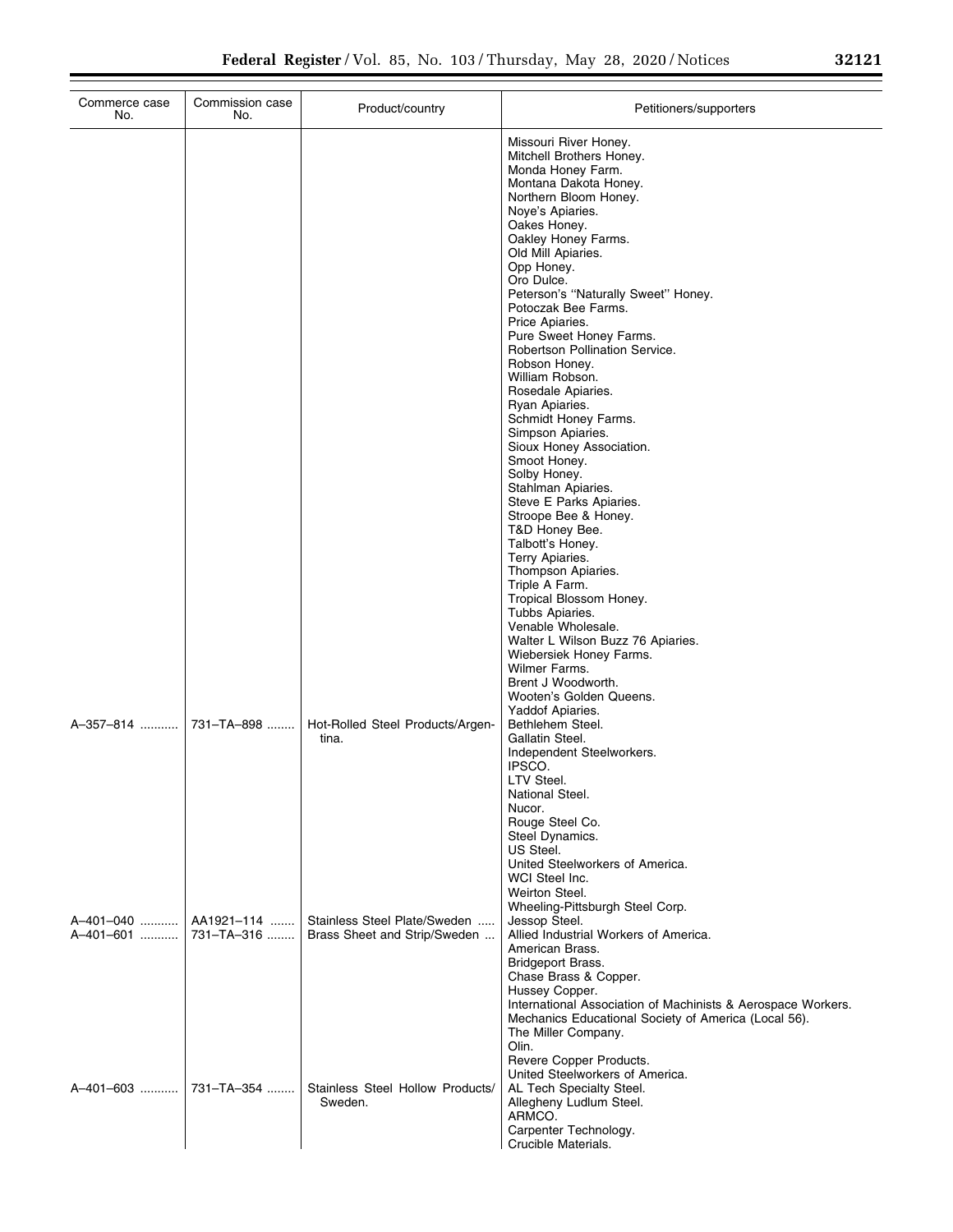| Commerce case<br>No. | Commission case<br>No.                | Product/country                                              | Petitioners/supporters                                                                                                                                                                                                                                                                                                                                                                                                                                                                                                                                                                                                                                                                                                           |
|----------------------|---------------------------------------|--------------------------------------------------------------|----------------------------------------------------------------------------------------------------------------------------------------------------------------------------------------------------------------------------------------------------------------------------------------------------------------------------------------------------------------------------------------------------------------------------------------------------------------------------------------------------------------------------------------------------------------------------------------------------------------------------------------------------------------------------------------------------------------------------------|
|                      |                                       |                                                              | Missouri River Honey.<br>Mitchell Brothers Honey.<br>Monda Honey Farm.<br>Montana Dakota Honey.<br>Northern Bloom Honey.<br>Noye's Apiaries.<br>Oakes Honey.<br>Oakley Honey Farms.<br>Old Mill Apiaries.<br>Opp Honey.<br>Oro Dulce.<br>Peterson's "Naturally Sweet" Honey.<br>Potoczak Bee Farms.<br>Price Apiaries.<br>Pure Sweet Honey Farms.<br>Robertson Pollination Service.<br>Robson Honey.<br>William Robson.<br>Rosedale Apiaries.<br>Ryan Apiaries.<br>Schmidt Honey Farms.<br>Simpson Apiaries.<br>Sioux Honey Association.<br>Smoot Honey.<br>Solby Honey.<br>Stahlman Apiaries.<br>Steve E Parks Apiaries.<br>Stroope Bee & Honey.<br>T&D Honey Bee.<br>Talbott's Honey.<br>Terry Apiaries.<br>Thompson Apiaries. |
| A-357-814            | 731-TA-898                            | Hot-Rolled Steel Products/Argen-<br>tina.                    | Triple A Farm.<br>Tropical Blossom Honey.<br>Tubbs Apiaries.<br>Venable Wholesale.<br>Walter L Wilson Buzz 76 Apiaries.<br>Wiebersiek Honey Farms.<br>Wilmer Farms.<br>Brent J Woodworth.<br>Wooten's Golden Queens.<br>Yaddof Apiaries.<br>Bethlehem Steel.<br>Gallatin Steel.<br>Independent Steelworkers.<br>IPSCO.<br>LTV Steel.<br>National Steel.<br>Nucor.                                                                                                                                                                                                                                                                                                                                                                |
| A-401-601            | A-401-040    AA1921-114<br>731-TA-316 | Stainless Steel Plate/Sweden<br>Brass Sheet and Strip/Sweden | Rouge Steel Co.<br>Steel Dynamics.<br>US Steel.<br>United Steelworkers of America.<br>WCI Steel Inc.<br>Weirton Steel.<br>Wheeling-Pittsburgh Steel Corp.<br>Jessop Steel.<br>Allied Industrial Workers of America.<br>American Brass.<br><b>Bridgeport Brass.</b><br>Chase Brass & Copper.<br>Hussey Copper.<br>International Association of Machinists & Aerospace Workers.<br>Mechanics Educational Society of America (Local 56).<br>The Miller Company.                                                                                                                                                                                                                                                                     |
| A-401-603            | 731-TA-354                            | Stainless Steel Hollow Products/<br>Sweden.                  | Olin.<br>Revere Copper Products.<br>United Steelworkers of America.<br>AL Tech Specialty Steel.<br>Allegheny Ludlum Steel.<br>ARMCO.<br>Carpenter Technology.<br>Crucible Materials.                                                                                                                                                                                                                                                                                                                                                                                                                                                                                                                                             |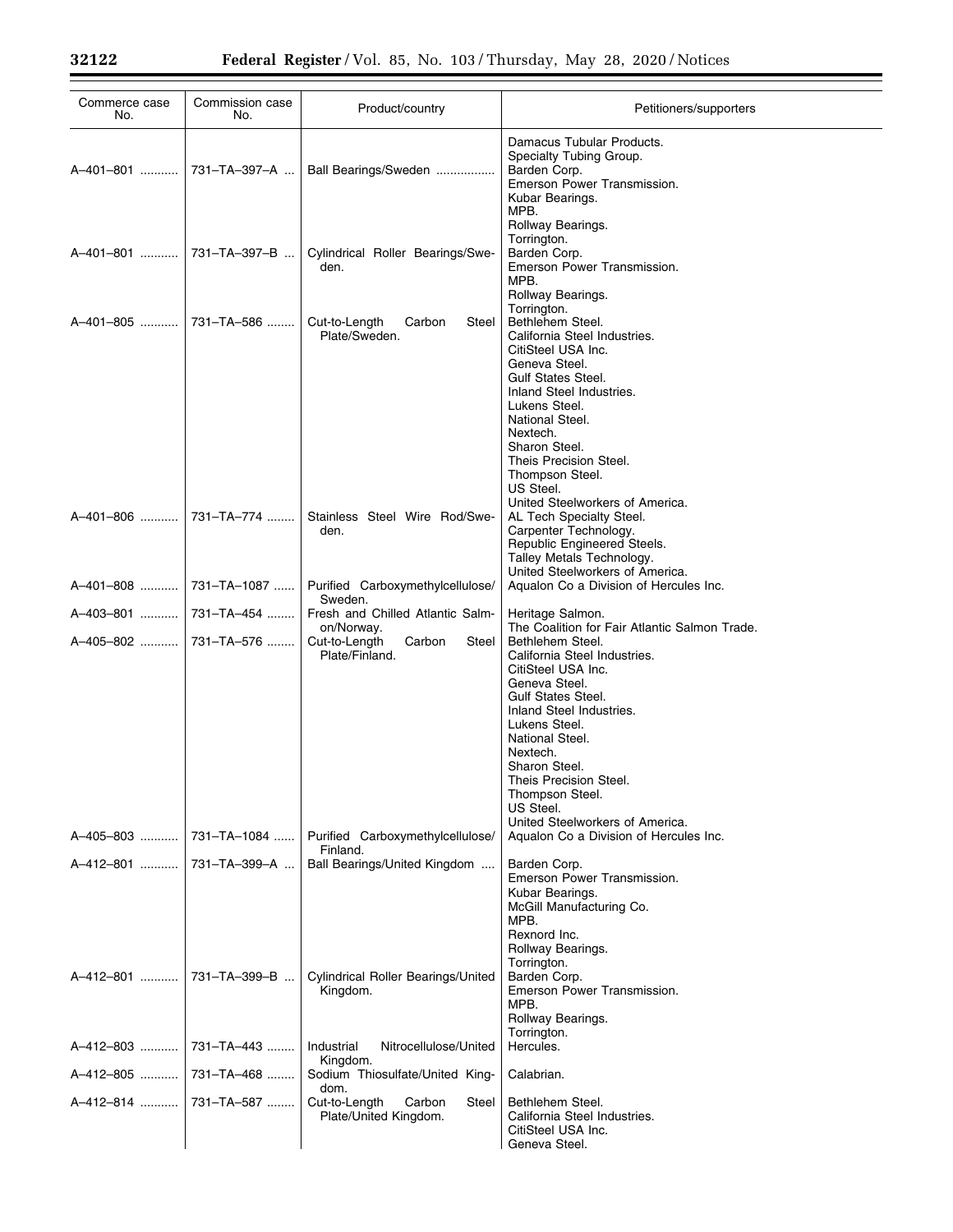Ξ

| Commerce case<br>No.      | Commission case<br>No. | Product/country                                                  | Petitioners/supporters                                                                                                                                                                                                                                                                                                                                          |
|---------------------------|------------------------|------------------------------------------------------------------|-----------------------------------------------------------------------------------------------------------------------------------------------------------------------------------------------------------------------------------------------------------------------------------------------------------------------------------------------------------------|
| A-401-801                 | 731-TA-397-A           | Ball Bearings/Sweden                                             | Damacus Tubular Products.<br>Specialty Tubing Group.<br>Barden Corp.<br>Emerson Power Transmission.<br>Kubar Bearings.<br>MPB.                                                                                                                                                                                                                                  |
| A-401-801                 | 731-TA-397-B           | Cylindrical Roller Bearings/Swe-<br>den.                         | Rollway Bearings.<br>Torrington.<br>Barden Corp.<br>Emerson Power Transmission.<br>MPB.<br>Rollway Bearings.                                                                                                                                                                                                                                                    |
| A-401-805                 | 731-TA-586             | Cut-to-Length<br>Steel<br>Carbon<br>Plate/Sweden.                | Torrington.<br>Bethlehem Steel.<br>California Steel Industries.<br>CitiSteel USA Inc.<br>Geneva Steel.<br><b>Gulf States Steel.</b><br>Inland Steel Industries.<br>Lukens Steel.<br>National Steel.<br>Nextech.<br>Sharon Steel.<br>Theis Precision Steel.<br>Thompson Steel.<br>US Steel.                                                                      |
| A-401-806                 | 731-TA-774             | Stainless Steel Wire Rod/Swe-<br>den.                            | United Steelworkers of America.<br>AL Tech Specialty Steel.<br>Carpenter Technology.<br>Republic Engineered Steels.<br>Talley Metals Technology.<br>United Steelworkers of America.                                                                                                                                                                             |
|                           |                        | Purified Carboxymethylcellulose/                                 | Aqualon Co a Division of Hercules Inc.                                                                                                                                                                                                                                                                                                                          |
| A-403-801                 | 731-TA-454             | Sweden.<br>Fresh and Chilled Atlantic Salm-                      | Heritage Salmon.                                                                                                                                                                                                                                                                                                                                                |
| A-405-802  731-TA-576     |                        | on/Norway.<br>Cut-to-Length<br>Carbon<br>Steel<br>Plate/Finland. | The Coalition for Fair Atlantic Salmon Trade.<br>Bethlehem Steel.<br>California Steel Industries.<br>CitiSteel USA Inc.<br>Geneva Steel.<br><b>Gulf States Steel.</b><br>Inland Steel Industries.<br>Lukens Steel.<br>National Steel.<br>Nextech.<br>Sharon Steel.<br>Theis Precision Steel.<br>Thompson Steel.<br>US Steel.<br>United Steelworkers of America. |
| A-405-803  731-TA-1084    |                        | Purified Carboxymethylcellulose/<br>Finland.                     | Aqualon Co a Division of Hercules Inc.                                                                                                                                                                                                                                                                                                                          |
| A-412-801                 | 731-TA-399-A           | Ball Bearings/United Kingdom                                     | Barden Corp.<br>Emerson Power Transmission.<br>Kubar Bearings.<br>McGill Manufacturing Co.<br>MPB.<br>Rexnord Inc.<br>Rollway Bearings.                                                                                                                                                                                                                         |
| A-412-801    731-TA-399-B |                        | <b>Cylindrical Roller Bearings/United</b><br>Kingdom.            | Torrington.<br>Barden Corp.<br>Emerson Power Transmission.<br>MPB.<br>Rollway Bearings.<br>Torrington.                                                                                                                                                                                                                                                          |
| A-412-803                 | 731-TA-443             | Industrial<br>Nitrocellulose/United<br>Kingdom.                  | Hercules.                                                                                                                                                                                                                                                                                                                                                       |
| A–412–805 ……….            | 731-TA-468             | Sodium Thiosulfate/United King-<br>dom.                          | Calabrian.                                                                                                                                                                                                                                                                                                                                                      |
| A–412–814 ……….            | 731-TA-587             | Cut-to-Length<br>Carbon<br>Steel<br>Plate/United Kingdom.        | Bethlehem Steel.<br>California Steel Industries.<br>CitiSteel USA Inc.<br>Geneva Steel.                                                                                                                                                                                                                                                                         |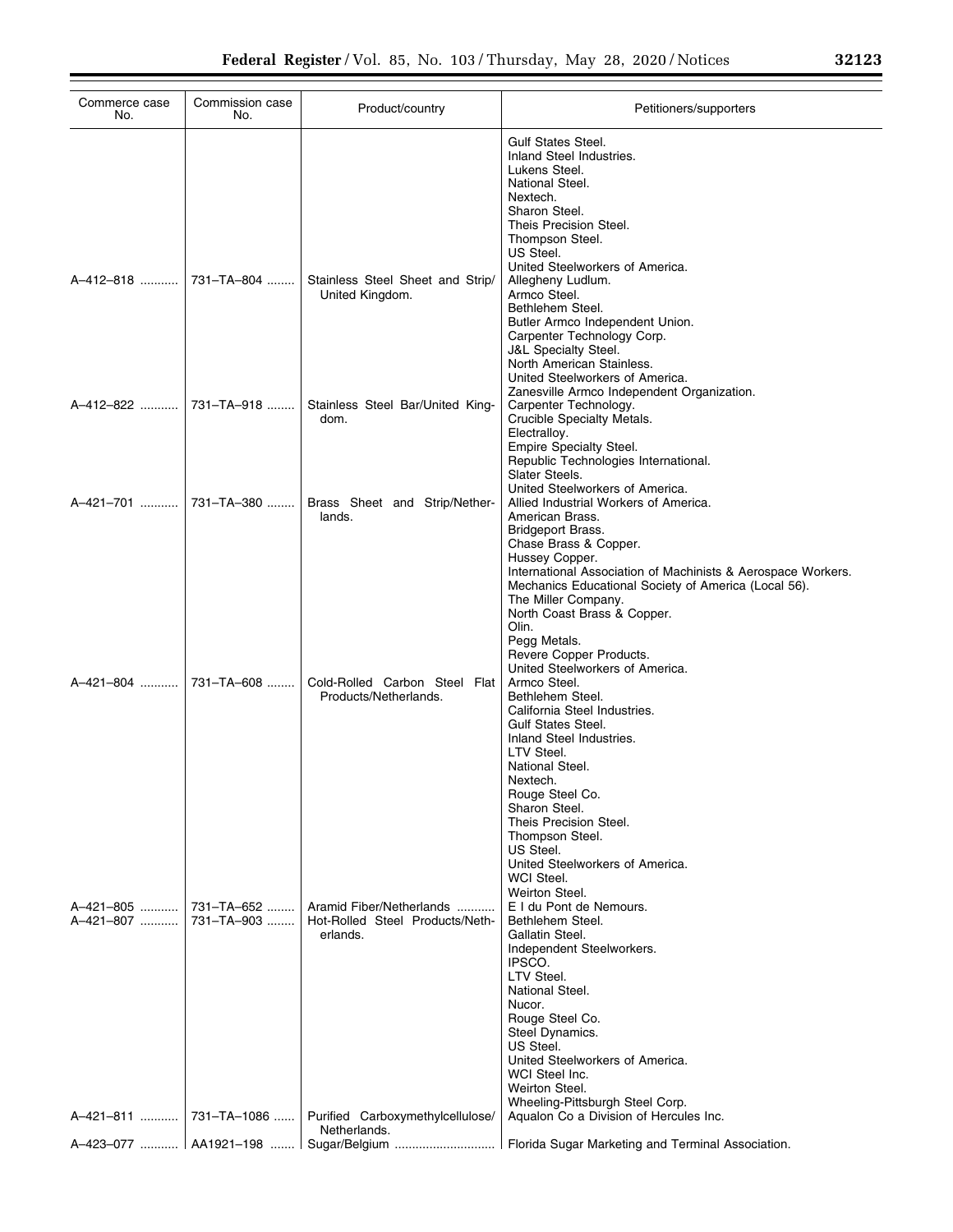| Commerce case<br>No. | Commission case<br>No.                | Product/country                                                         | Petitioners/supporters                                                                                                                                                                                                                                                                                                                                                |
|----------------------|---------------------------------------|-------------------------------------------------------------------------|-----------------------------------------------------------------------------------------------------------------------------------------------------------------------------------------------------------------------------------------------------------------------------------------------------------------------------------------------------------------------|
|                      |                                       |                                                                         | <b>Gulf States Steel.</b><br>Inland Steel Industries.<br>Lukens Steel.<br>National Steel.<br>Nextech.<br>Sharon Steel.<br>Theis Precision Steel.<br>Thompson Steel.<br>US Steel.                                                                                                                                                                                      |
| A-412-818            | 731-TA-804                            | Stainless Steel Sheet and Strip/<br>United Kingdom.                     | United Steelworkers of America.<br>Allegheny Ludlum.<br>Armco Steel.<br>Bethlehem Steel.<br>Butler Armco Independent Union.<br>Carpenter Technology Corp.<br><b>J&amp;L Specialty Steel.</b><br>North American Stainless.<br>United Steelworkers of America.                                                                                                          |
|                      | A-412-822  731-TA-918                 | Stainless Steel Bar/United King-<br>dom.                                | Zanesville Armco Independent Organization.<br>Carpenter Technology.<br>Crucible Specialty Metals.<br>Electralloy.<br>Empire Specialty Steel.<br>Republic Technologies International.<br>Slater Steels.                                                                                                                                                                |
| A-421-701            | 731–TA–380                            | Brass Sheet and Strip/Nether-<br>lands.                                 | United Steelworkers of America.<br>Allied Industrial Workers of America.<br>American Brass.<br>Bridgeport Brass.<br>Chase Brass & Copper.<br>Hussey Copper.<br>International Association of Machinists & Aerospace Workers.<br>Mechanics Educational Society of America (Local 56).<br>The Miller Company.<br>North Coast Brass & Copper.<br>Olin.<br>Pegg Metals.    |
|                      | A-421-804  731-TA-608                 | Cold-Rolled Carbon Steel Flat<br>Products/Netherlands.                  | Revere Copper Products.<br>United Steelworkers of America.<br>Armco Steel.<br>Bethlehem Steel.<br>California Steel Industries.<br><b>Gulf States Steel.</b><br>Inland Steel Industries.<br>LTV Steel.<br>National Steel.<br>Nextech.<br>Rouge Steel Co.<br>Sharon Steel.<br>Theis Precision Steel.<br>Thompson Steel.<br>US Steel.<br>United Steelworkers of America. |
| A-421-807            | A-421-805    731-TA-652<br>731-TA-903 | Aramid Fiber/Netherlands<br>Hot-Rolled Steel Products/Neth-<br>erlands. | WCI Steel.<br>Weirton Steel.<br>E I du Pont de Nemours.<br>Bethlehem Steel.<br>Gallatin Steel.<br>Independent Steelworkers.<br>IPSCO.<br>LTV Steel.<br>National Steel.<br>Nucor.<br>Rouge Steel Co.<br>Steel Dynamics.<br>US Steel.<br>United Steelworkers of America.<br>WCI Steel Inc.<br>Weirton Steel.<br>Wheeling-Pittsburgh Steel Corp.                         |
|                      | A-421-811  731-TA-1086                | Purified Carboxymethylcellulose/<br>Netherlands.                        | Aqualon Co a Division of Hercules Inc.                                                                                                                                                                                                                                                                                                                                |
|                      |                                       |                                                                         | Florida Sugar Marketing and Terminal Association.                                                                                                                                                                                                                                                                                                                     |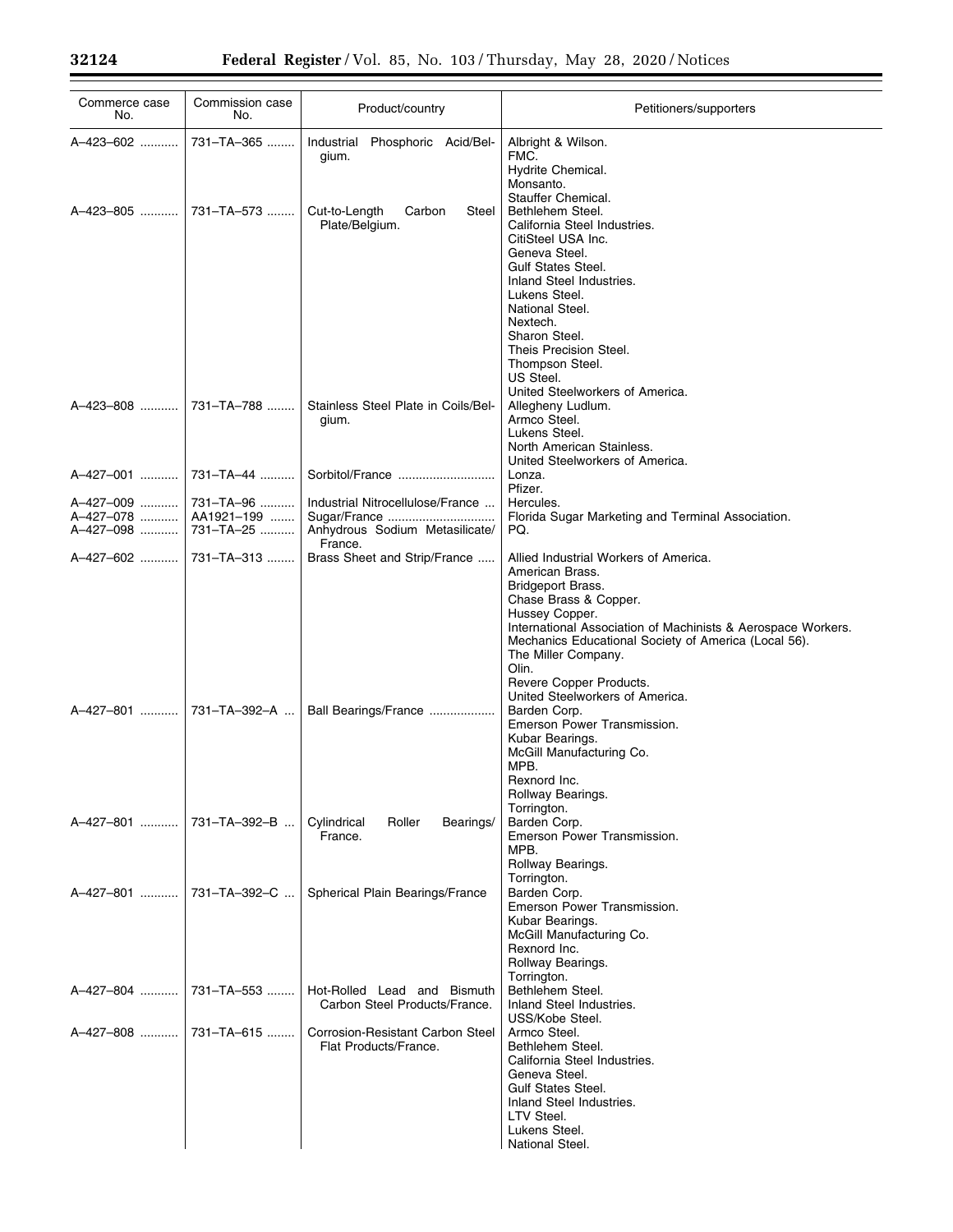Ξ

| Commerce case<br>No.                                 | Commission case<br>No. | Product/country                                                               | Petitioners/supporters                                                                                                                                                                                                                                                                                                                                |
|------------------------------------------------------|------------------------|-------------------------------------------------------------------------------|-------------------------------------------------------------------------------------------------------------------------------------------------------------------------------------------------------------------------------------------------------------------------------------------------------------------------------------------------------|
| A-423-602                                            | 731-TA-365             | Industrial Phosphoric Acid/Bel-<br>gium.                                      | Albright & Wilson.<br>FMC.<br>Hydrite Chemical.<br>Monsanto.                                                                                                                                                                                                                                                                                          |
| A-423-805                                            | 731-TA-573             | Cut-to-Length<br>Carbon<br>Steel<br>Plate/Belgium.                            | Stauffer Chemical.<br>Bethlehem Steel.<br>California Steel Industries.<br>CitiSteel USA Inc.<br>Geneva Steel.<br><b>Gulf States Steel.</b><br>Inland Steel Industries.<br>Lukens Steel.<br>National Steel.<br>Nextech.<br>Sharon Steel.<br>Theis Precision Steel.<br>Thompson Steel.<br>US Steel.<br>United Steelworkers of America.                  |
| A-423-808                                            | 731-TA-788             | Stainless Steel Plate in Coils/Bel-<br>gium.                                  | Allegheny Ludlum.<br>Armco Steel.<br>Lukens Steel.<br>North American Stainless.<br>United Steelworkers of America.                                                                                                                                                                                                                                    |
| A-427-001                                            | 731-TA-44              |                                                                               | Lonza.<br>Pfizer.                                                                                                                                                                                                                                                                                                                                     |
| A-427-009   <br>A-427-078    AA1921-199<br>A-427-098 | 731-TA-96<br>731-TA-25 | Industrial Nitrocellulose/France<br>Anhydrous Sodium Metasilicate/<br>France. | Hercules.<br>Florida Sugar Marketing and Terminal Association.<br>PQ.                                                                                                                                                                                                                                                                                 |
| A-427-602                                            | 731–TA–313             | Brass Sheet and Strip/France                                                  | Allied Industrial Workers of America.<br>American Brass.<br><b>Bridgeport Brass.</b><br>Chase Brass & Copper.<br>Hussey Copper.<br>International Association of Machinists & Aerospace Workers.<br>Mechanics Educational Society of America (Local 56).<br>The Miller Company.<br>Olin.<br>Revere Copper Products.<br>United Steelworkers of America. |
| A-427-801  731-TA-392-A                              |                        | Ball Bearings/France                                                          | Barden Corp.<br>Emerson Power Transmission.<br>Kubar Bearings.<br>McGill Manufacturing Co.<br>MPB.<br>Rexnord Inc.<br>Rollway Bearings.<br>Torrington.                                                                                                                                                                                                |
| A-427-801    731-TA-392-B                            |                        | Cylindrical<br>Roller<br>Bearings/<br>France.                                 | Barden Corp.<br>Emerson Power Transmission.<br>MPB.<br>Rollway Bearings.<br>Torrington.                                                                                                                                                                                                                                                               |
| A-427-801  731-TA-392-C                              |                        | Spherical Plain Bearings/France                                               | Barden Corp.<br>Emerson Power Transmission.<br>Kubar Bearings.<br>McGill Manufacturing Co.<br>Rexnord Inc.<br>Rollway Bearings.<br>Torrington.                                                                                                                                                                                                        |
| A-427-804  731-TA-553                                |                        | Hot-Rolled Lead and Bismuth<br>Carbon Steel Products/France.                  | Bethlehem Steel.<br>Inland Steel Industries.<br>USS/Kobe Steel.                                                                                                                                                                                                                                                                                       |
| A-427-808    731-TA-615                              |                        | Corrosion-Resistant Carbon Steel<br>Flat Products/France.                     | Armco Steel.<br>Bethlehem Steel.<br>California Steel Industries.<br>Geneva Steel.<br><b>Gulf States Steel.</b><br>Inland Steel Industries.<br>LTV Steel.<br>Lukens Steel.<br>National Steel.                                                                                                                                                          |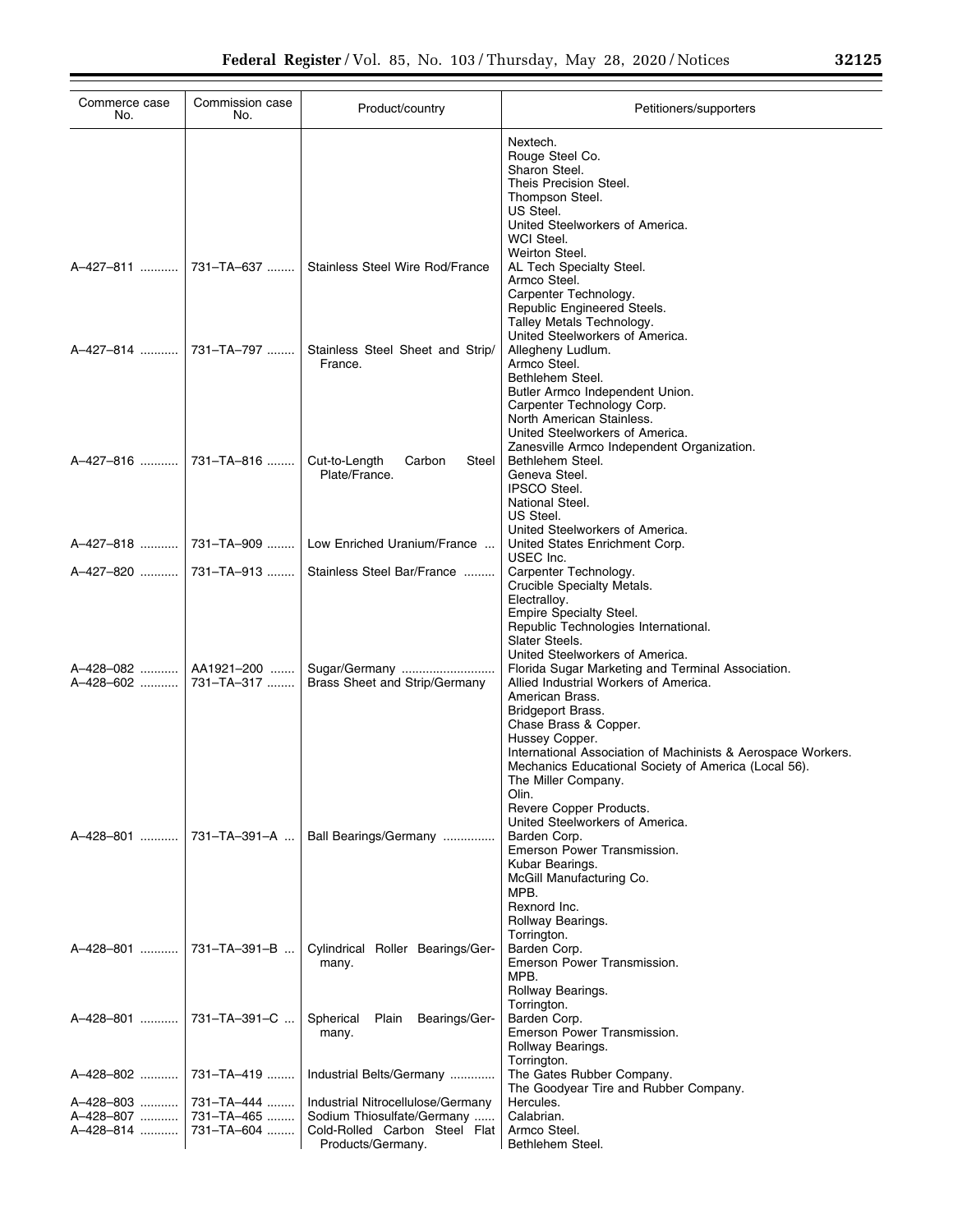| Commerce case<br>No.                              | Commission case<br>No.                 | Product/country                                                                                                       | Petitioners/supporters                                                                                                                                                                                                                                                                                                                                                                                                                              |
|---------------------------------------------------|----------------------------------------|-----------------------------------------------------------------------------------------------------------------------|-----------------------------------------------------------------------------------------------------------------------------------------------------------------------------------------------------------------------------------------------------------------------------------------------------------------------------------------------------------------------------------------------------------------------------------------------------|
|                                                   |                                        |                                                                                                                       | Nextech.<br>Rouge Steel Co.<br>Sharon Steel.<br>Theis Precision Steel.<br>Thompson Steel.<br>US Steel.<br>United Steelworkers of America.                                                                                                                                                                                                                                                                                                           |
|                                                   | A-427-811  731-TA-637                  | Stainless Steel Wire Rod/France                                                                                       | WCI Steel.<br>Weirton Steel.<br>AL Tech Specialty Steel.<br>Armco Steel.<br>Carpenter Technology.<br>Republic Engineered Steels.                                                                                                                                                                                                                                                                                                                    |
|                                                   |                                        | Stainless Steel Sheet and Strip/<br>France.                                                                           | Talley Metals Technology.<br>United Steelworkers of America.<br>Allegheny Ludlum.<br>Armco Steel.<br>Bethlehem Steel.<br>Butler Armco Independent Union.<br>Carpenter Technology Corp.                                                                                                                                                                                                                                                              |
|                                                   |                                        | Cut-to-Length<br>Carbon<br>Steel<br>Plate/France.                                                                     | North American Stainless.<br>United Steelworkers of America.<br>Zanesville Armco Independent Organization.<br>Bethlehem Steel.<br>Geneva Steel.<br><b>IPSCO Steel.</b><br>National Steel.                                                                                                                                                                                                                                                           |
|                                                   | A-427-818  731-TA-909                  | Low Enriched Uranium/France                                                                                           | US Steel.<br>United Steelworkers of America.<br>United States Enrichment Corp.<br>USEC Inc.                                                                                                                                                                                                                                                                                                                                                         |
| A-427-820    731-TA-913<br>A-428-082<br>A-428-602 | AA1921–200   <br>731-TA-317            | Stainless Steel Bar/France<br>Sugar/Germany<br>Brass Sheet and Strip/Germany                                          | Carpenter Technology.<br>Crucible Specialty Metals.<br>Electralloy.<br><b>Empire Specialty Steel.</b><br>Republic Technologies International.<br>Slater Steels.<br>United Steelworkers of America.<br>Florida Sugar Marketing and Terminal Association.<br>Allied Industrial Workers of America.<br>American Brass.<br>Bridgeport Brass.<br>Chase Brass & Copper.<br>Hussey Copper.<br>International Association of Machinists & Aerospace Workers. |
| A-428-801                                         | 731-TA-391-A                           | Ball Bearings/Germany                                                                                                 | Mechanics Educational Society of America (Local 56).<br>The Miller Company.<br>Olin.<br>Revere Copper Products.<br>United Steelworkers of America.<br>Barden Corp.<br>Emerson Power Transmission.<br>Kubar Bearings.<br>McGill Manufacturing Co.<br>MPB.                                                                                                                                                                                            |
| A-428-801                                         | 731-TA-391-B                           | Cylindrical Roller Bearings/Ger-<br>many.                                                                             | Rexnord Inc.<br>Rollway Bearings.<br>Torrington.<br>Barden Corp.<br>Emerson Power Transmission.<br>MPB.                                                                                                                                                                                                                                                                                                                                             |
| A-428-801                                         | 731-TA-391-C                           | Spherical<br>Plain<br>Bearings/Ger-<br>many.                                                                          | Rollway Bearings.<br>Torrington.<br>Barden Corp.<br>Emerson Power Transmission.<br>Rollway Bearings.                                                                                                                                                                                                                                                                                                                                                |
| A-428-802                                         | 731-TA-419                             | Industrial Belts/Germany                                                                                              | Torrington.<br>The Gates Rubber Company.<br>The Goodyear Tire and Rubber Company.                                                                                                                                                                                                                                                                                                                                                                   |
| A-428-803<br>A-428-807<br>A-428-814               | 731-TA-444<br>731-TA-465<br>731-TA-604 | Industrial Nitrocellulose/Germany<br>Sodium Thiosulfate/Germany<br>Cold-Rolled Carbon Steel Flat<br>Products/Germany. | Hercules.<br>Calabrian.<br>Armco Steel.<br>Bethlehem Steel.                                                                                                                                                                                                                                                                                                                                                                                         |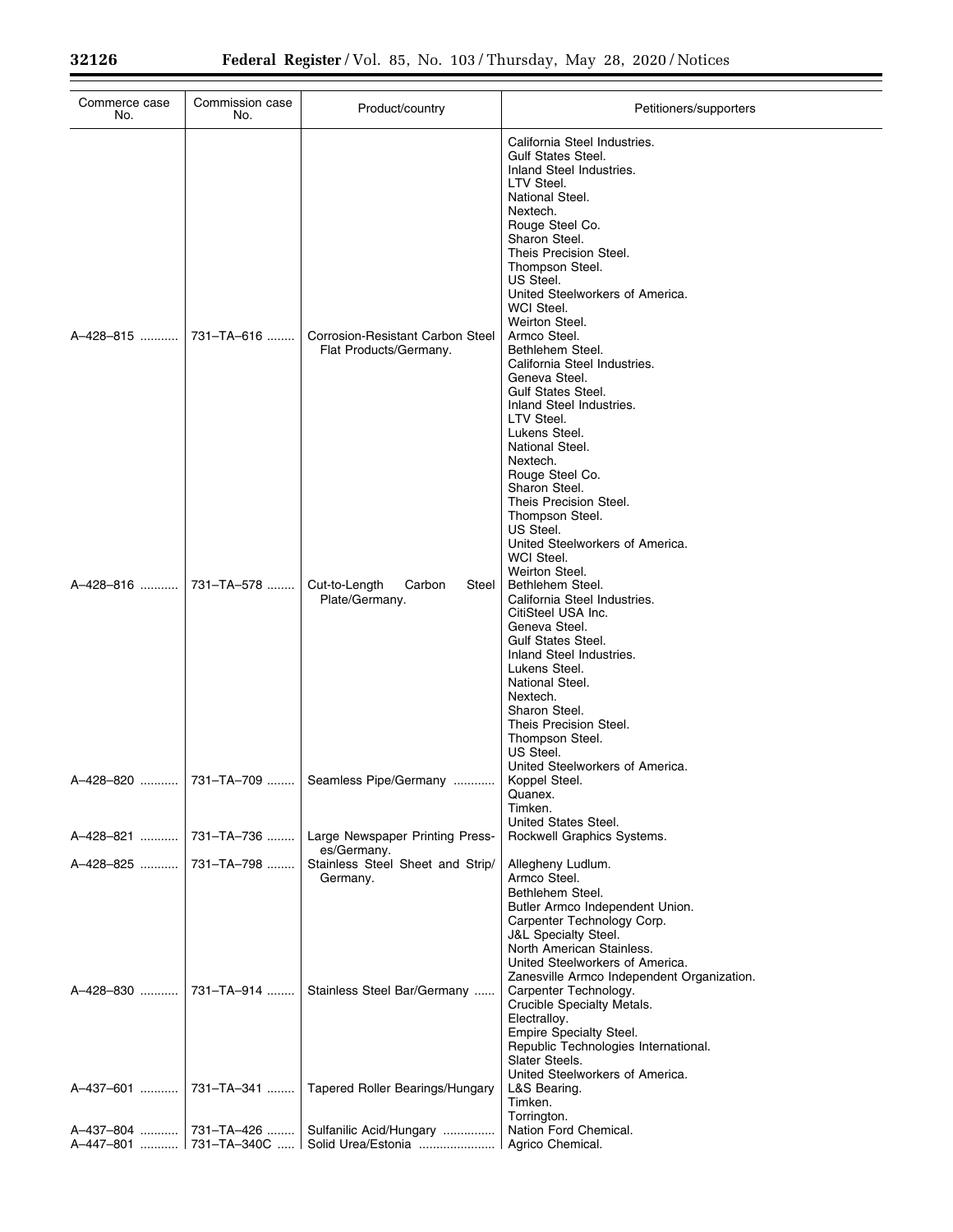| Commerce case<br>No. | Commission case<br>No. | Product/country                                            | Petitioners/supporters                                                                                                                                                                                                                                                                                                                                                                                                                                                                                          |
|----------------------|------------------------|------------------------------------------------------------|-----------------------------------------------------------------------------------------------------------------------------------------------------------------------------------------------------------------------------------------------------------------------------------------------------------------------------------------------------------------------------------------------------------------------------------------------------------------------------------------------------------------|
| A-428-815            | 731-TA-616             | Corrosion-Resistant Carbon Steel<br>Flat Products/Germany. | California Steel Industries.<br><b>Gulf States Steel.</b><br>Inland Steel Industries.<br>LTV Steel.<br>National Steel.<br>Nextech.<br>Rouge Steel Co.<br>Sharon Steel.<br>Theis Precision Steel.<br>Thompson Steel.<br>US Steel.<br>United Steelworkers of America.<br>WCI Steel.<br>Weirton Steel.<br>Armco Steel.<br>Bethlehem Steel.<br>California Steel Industries.<br>Geneva Steel.<br><b>Gulf States Steel.</b><br>Inland Steel Industries.<br>LTV Steel.<br>Lukens Steel.<br>National Steel.<br>Nextech. |
| A-428-816            | 731-TA-578             | Cut-to-Length<br>Carbon<br>Steel                           | Rouge Steel Co.<br>Sharon Steel.<br>Theis Precision Steel.<br>Thompson Steel.<br>US Steel.<br>United Steelworkers of America.<br>WCI Steel.<br>Weirton Steel.<br>Bethlehem Steel.                                                                                                                                                                                                                                                                                                                               |
|                      |                        | Plate/Germany.                                             | California Steel Industries.<br>CitiSteel USA Inc.<br>Geneva Steel.<br><b>Gulf States Steel.</b><br>Inland Steel Industries.<br>Lukens Steel.<br>National Steel.<br>Nextech.<br>Sharon Steel.<br>Theis Precision Steel.<br>Thompson Steel.<br>US Steel.<br>United Steelworkers of America.                                                                                                                                                                                                                      |
| A-428-820            | 731-TA-709             | Seamless Pipe/Germany                                      | Koppel Steel.<br>Quanex.<br>Timken.<br>United States Steel.                                                                                                                                                                                                                                                                                                                                                                                                                                                     |
| A-428-821            | 731-TA-736             | Large Newspaper Printing Press-<br>es/Germany.             | Rockwell Graphics Systems.                                                                                                                                                                                                                                                                                                                                                                                                                                                                                      |
| A-428-825            | 731-TA-798             | Stainless Steel Sheet and Strip/<br>Germany.               | Allegheny Ludlum.<br>Armco Steel.<br>Bethlehem Steel.<br>Butler Armco Independent Union.<br>Carpenter Technology Corp.<br><b>J&amp;L Specialty Steel.</b><br>North American Stainless.<br>United Steelworkers of America.<br>Zanesville Armco Independent Organization.                                                                                                                                                                                                                                         |
|                      |                        | Stainless Steel Bar/Germany                                | Carpenter Technology.<br>Crucible Specialty Metals.<br>Electralloy.<br>Empire Specialty Steel.<br>Republic Technologies International.<br>Slater Steels.<br>United Steelworkers of America.                                                                                                                                                                                                                                                                                                                     |
| A-437-601            | 731–TA–341             | Tapered Roller Bearings/Hungary                            | L&S Bearing.<br>Timken.<br>Torrington.                                                                                                                                                                                                                                                                                                                                                                                                                                                                          |
|                      |                        | A-437-804  731-TA-426  Sulfanilic Acid/Hungary             | Nation Ford Chemical.                                                                                                                                                                                                                                                                                                                                                                                                                                                                                           |
|                      |                        | A-447-801  731-TA-340C  Solid Urea/Estonia                 | Agrico Chemical.                                                                                                                                                                                                                                                                                                                                                                                                                                                                                                |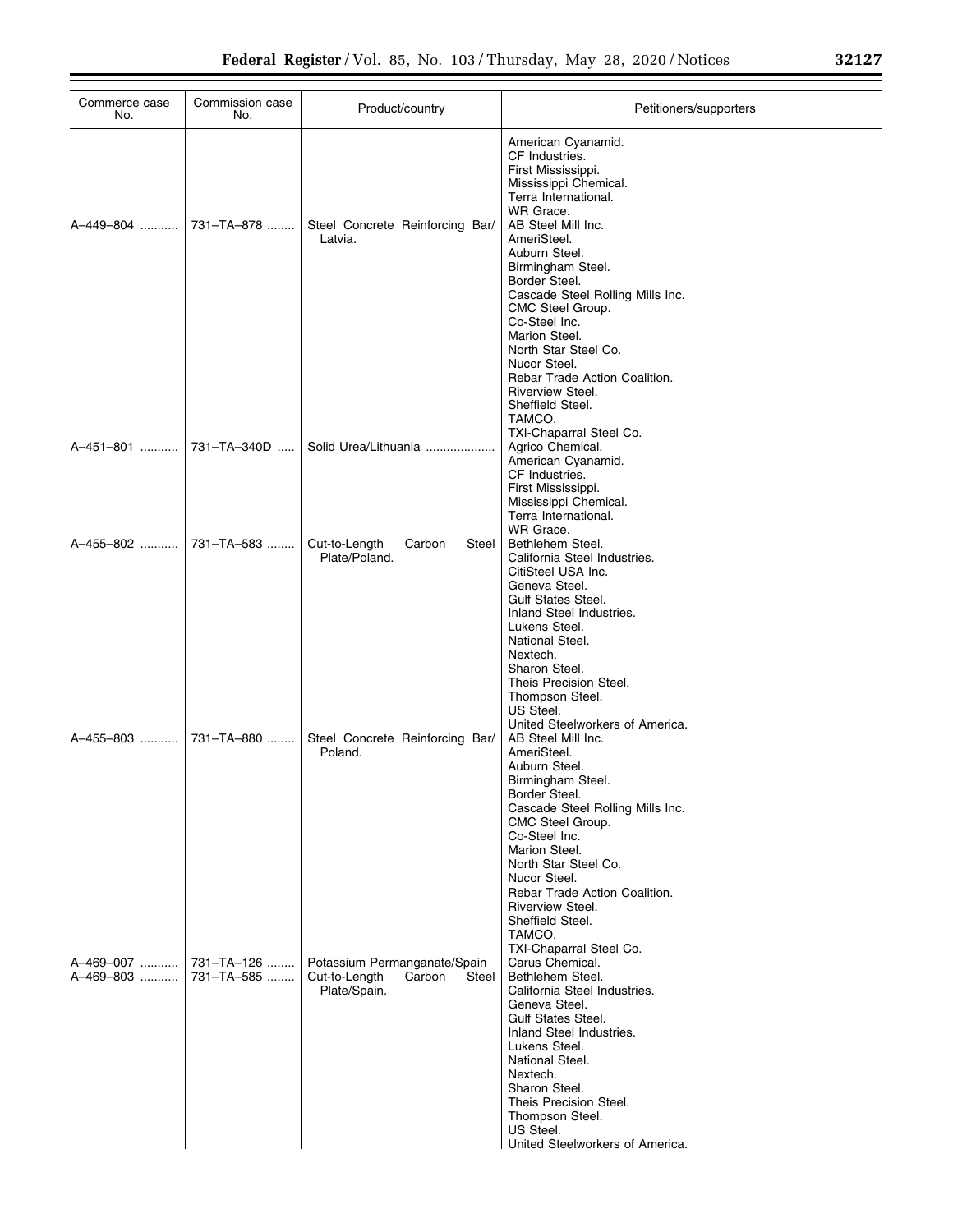| Commerce case<br>No.        | Commission case<br>No.   | Product/country                                                                  | Petitioners/supporters                                                                                                                                                                                                                                                                                                                                                                                                         |
|-----------------------------|--------------------------|----------------------------------------------------------------------------------|--------------------------------------------------------------------------------------------------------------------------------------------------------------------------------------------------------------------------------------------------------------------------------------------------------------------------------------------------------------------------------------------------------------------------------|
| A-449-804 ……….              | 731-TA-878               | Steel Concrete Reinforcing Bar/<br>Latvia.                                       | American Cyanamid.<br>CF Industries.<br>First Mississippi.<br>Mississippi Chemical.<br>Terra International.<br>WR Grace.<br>AB Steel Mill Inc.<br>AmeriSteel.<br>Auburn Steel.<br>Birmingham Steel.<br>Border Steel.<br>Cascade Steel Rolling Mills Inc.<br>CMC Steel Group.<br>Co-Steel Inc.<br>Marion Steel.                                                                                                                 |
| A–451–801                   | 731-TA-340D              | Solid Urea/Lithuania                                                             | North Star Steel Co.<br>Nucor Steel.<br>Rebar Trade Action Coalition.<br>Riverview Steel.<br>Sheffield Steel.<br>TAMCO.<br>TXI-Chaparral Steel Co.<br>Agrico Chemical.<br>American Cyanamid.<br>CF Industries.<br>First Mississippi.<br>Mississippi Chemical.<br>Terra International.<br>WR Grace.                                                                                                                             |
| A-455-802                   | 731-TA-583               | Cut-to-Length<br>Carbon<br>Steel<br>Plate/Poland.                                | Bethlehem Steel.<br>California Steel Industries.<br>CitiSteel USA Inc.<br>Geneva Steel.<br><b>Gulf States Steel.</b><br>Inland Steel Industries.<br>Lukens Steel.<br>National Steel.<br>Nextech.<br>Sharon Steel.<br>Theis Precision Steel.                                                                                                                                                                                    |
| A-455-803                   | 731-TA-880               | Steel Concrete Reinforcing Bar/<br>Poland.                                       | Thompson Steel.<br>US Steel.<br>United Steelworkers of America.<br>AB Steel Mill Inc.<br>AmeriSteel.<br>Auburn Steel.<br>Birmingham Steel.<br>Border Steel.<br>Cascade Steel Rolling Mills Inc.<br>CMC Steel Group.<br>Co-Steel Inc.<br>Marion Steel.                                                                                                                                                                          |
| A–469–007 ……….<br>A-469-803 | 731-TA-126<br>731-TA-585 | Potassium Permanganate/Spain<br>Cut-to-Length<br>Steel<br>Carbon<br>Plate/Spain. | North Star Steel Co.<br>Nucor Steel.<br>Rebar Trade Action Coalition.<br>Riverview Steel.<br>Sheffield Steel.<br>TAMCO.<br>TXI-Chaparral Steel Co.<br>Carus Chemical.<br>Bethlehem Steel.<br>California Steel Industries.<br>Geneva Steel.<br><b>Gulf States Steel.</b><br>Inland Steel Industries.<br>Lukens Steel.<br>National Steel.<br>Nextech.<br>Sharon Steel.<br>Theis Precision Steel.<br>Thompson Steel.<br>US Steel. |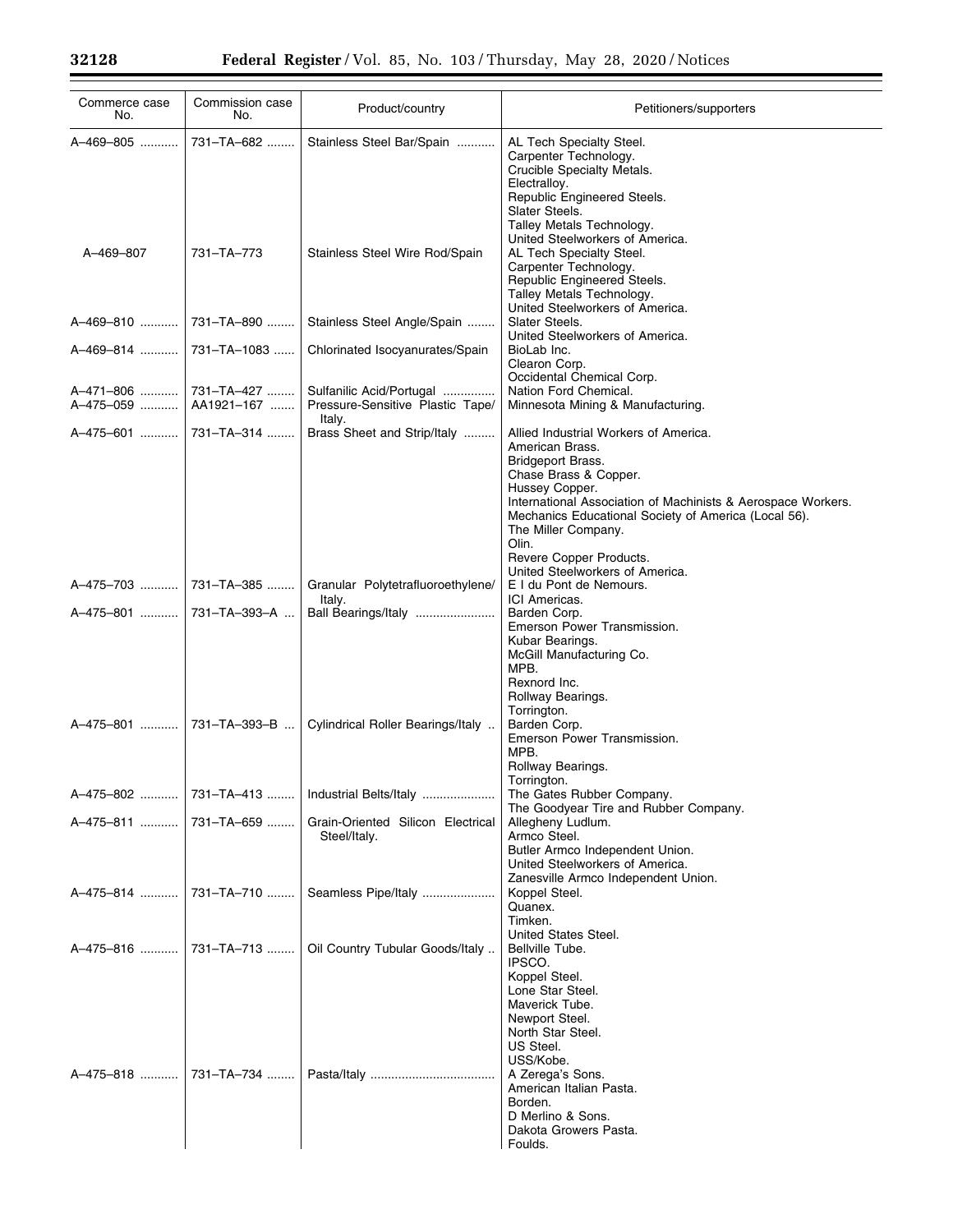| Commerce case<br>No.      | Commission case<br>No.    | Product/country                                                        | Petitioners/supporters                                                                                                                                                                                                                                                                                                                         |
|---------------------------|---------------------------|------------------------------------------------------------------------|------------------------------------------------------------------------------------------------------------------------------------------------------------------------------------------------------------------------------------------------------------------------------------------------------------------------------------------------|
| A-469-805                 | 731-TA-682                | Stainless Steel Bar/Spain                                              | AL Tech Specialty Steel.<br>Carpenter Technology.<br>Crucible Specialty Metals.<br>Electralloy.<br>Republic Engineered Steels.<br>Slater Steels.<br>Talley Metals Technology.                                                                                                                                                                  |
| A-469-807                 | 731-TA-773                | Stainless Steel Wire Rod/Spain                                         | United Steelworkers of America.<br>AL Tech Specialty Steel.<br>Carpenter Technology.<br>Republic Engineered Steels.<br>Talley Metals Technology.<br>United Steelworkers of America.                                                                                                                                                            |
| A-469-810  731-TA-890     |                           | Stainless Steel Angle/Spain                                            | Slater Steels.<br>United Steelworkers of America.                                                                                                                                                                                                                                                                                              |
| A-469-814  731-TA-1083    |                           | Chlorinated Isocyanurates/Spain                                        | BioLab Inc.<br>Clearon Corp.<br>Occidental Chemical Corp.                                                                                                                                                                                                                                                                                      |
| A-471-806   <br>A-475-059 | 731-TA-427<br>AA1921-167  | Sulfanilic Acid/Portugal<br>Pressure-Sensitive Plastic Tape/<br>Italy. | Nation Ford Chemical.<br>Minnesota Mining & Manufacturing.                                                                                                                                                                                                                                                                                     |
| A-475-601  731-TA-314     |                           | Brass Sheet and Strip/Italy                                            | Allied Industrial Workers of America.<br>American Brass.<br>Bridgeport Brass.<br>Chase Brass & Copper.<br>Hussey Copper.<br>International Association of Machinists & Aerospace Workers.<br>Mechanics Educational Society of America (Local 56).<br>The Miller Company.<br>Olin.<br>Revere Copper Products.<br>United Steelworkers of America. |
| A-475-703  731-TA-385     |                           | Granular Polytetrafluoroethylene/                                      | E I du Pont de Nemours.<br>ICI Americas.                                                                                                                                                                                                                                                                                                       |
| A–475–801    731–TA–393–A |                           | Italy.<br>Ball Bearings/Italy                                          | Barden Corp.<br>Emerson Power Transmission.<br>Kubar Bearings.<br>McGill Manufacturing Co.<br>MPB.<br>Rexnord Inc.<br>Rollway Bearings.<br>Torrington.                                                                                                                                                                                         |
|                           | A–475–801    731–TA–393–B | Cylindrical Roller Bearings/Italy                                      | Barden Corp.<br>Emerson Power Transmission.<br>MPB.<br>Rollway Bearings.<br>Torrington.                                                                                                                                                                                                                                                        |
| A-475-802                 | 731-TA-413                | Industrial Belts/Italy                                                 | The Gates Rubber Company.<br>The Goodyear Tire and Rubber Company.                                                                                                                                                                                                                                                                             |
| A–475–811 …………            | 731-TA-659                | Grain-Oriented Silicon Electrical<br>Steel/Italy.                      | Allegheny Ludlum.<br>Armco Steel.<br>Butler Armco Independent Union.<br>United Steelworkers of America.<br>Zanesville Armco Independent Union.                                                                                                                                                                                                 |
|                           |                           | Seamless Pipe/Italy                                                    | Koppel Steel.<br>Quanex.<br>Timken.                                                                                                                                                                                                                                                                                                            |
| A-475-816  731-TA-713     |                           | Oil Country Tubular Goods/Italy                                        | United States Steel.<br>Bellville Tube.<br>IPSCO.<br>Koppel Steel.<br>Lone Star Steel.<br>Maverick Tube.<br>Newport Steel.<br>North Star Steel.<br>US Steel.<br>USS/Kobe.                                                                                                                                                                      |
|                           | A–475–818    731–TA–734   |                                                                        | A Zerega's Sons.<br>American Italian Pasta.<br>Borden.<br>D Merlino & Sons.<br>Dakota Growers Pasta.<br>Foulds.                                                                                                                                                                                                                                |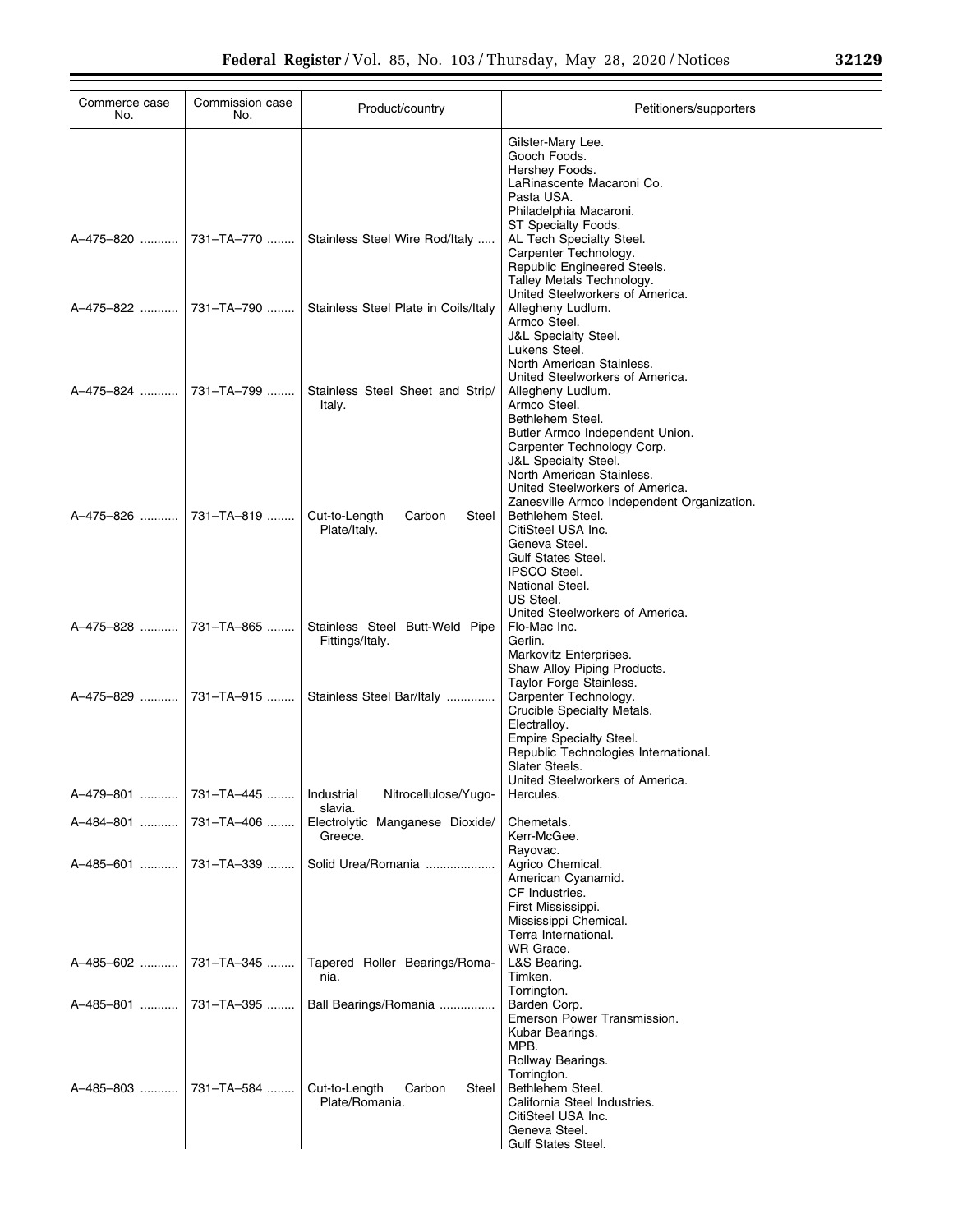| Commerce case<br>No.  | Commission case<br>No.  | Product/country                                   | Petitioners/supporters                                                        |
|-----------------------|-------------------------|---------------------------------------------------|-------------------------------------------------------------------------------|
|                       |                         |                                                   | Gilster-Mary Lee.                                                             |
|                       |                         |                                                   | Gooch Foods.                                                                  |
|                       |                         |                                                   | Hershey Foods.<br>LaRinascente Macaroni Co.                                   |
|                       |                         |                                                   | Pasta USA.                                                                    |
|                       |                         |                                                   | Philadelphia Macaroni.                                                        |
|                       |                         | Stainless Steel Wire Rod/Italy                    | ST Specialty Foods.<br>AL Tech Specialty Steel.                               |
|                       |                         |                                                   | Carpenter Technology.                                                         |
|                       |                         |                                                   | Republic Engineered Steels.                                                   |
|                       |                         |                                                   | Talley Metals Technology.                                                     |
|                       | A-475-822    731-TA-790 | Stainless Steel Plate in Coils/Italy              | United Steelworkers of America.<br>Allegheny Ludlum.                          |
|                       |                         |                                                   | Armco Steel.                                                                  |
|                       |                         |                                                   | <b>J&amp;L Specialty Steel.</b>                                               |
|                       |                         |                                                   | Lukens Steel.                                                                 |
|                       |                         |                                                   | North American Stainless.<br>United Steelworkers of America.                  |
| A-475-824  731-TA-799 |                         | Stainless Steel Sheet and Strip/                  | Allegheny Ludlum.                                                             |
|                       |                         | Italy.                                            | Armco Steel.                                                                  |
|                       |                         |                                                   | Bethlehem Steel.<br>Butler Armco Independent Union.                           |
|                       |                         |                                                   | Carpenter Technology Corp.                                                    |
|                       |                         |                                                   | <b>J&amp;L Specialty Steel.</b>                                               |
|                       |                         |                                                   | North American Stainless.                                                     |
|                       |                         |                                                   | United Steelworkers of America.<br>Zanesville Armco Independent Organization. |
| A-475-826  731-TA-819 |                         | Cut-to-Length<br>Carbon<br>Steel                  | Bethlehem Steel.                                                              |
|                       |                         | Plate/Italy.                                      | CitiSteel USA Inc.                                                            |
|                       |                         |                                                   | Geneva Steel.                                                                 |
|                       |                         |                                                   | <b>Gulf States Steel.</b><br><b>IPSCO Steel.</b>                              |
|                       |                         |                                                   | National Steel.                                                               |
|                       |                         |                                                   | US Steel.                                                                     |
|                       |                         |                                                   | United Steelworkers of America.                                               |
|                       | A–475–828    731–TA–865 | Stainless Steel Butt-Weld Pipe<br>Fittings/Italy. | Flo-Mac Inc.<br>Gerlin.                                                       |
|                       |                         |                                                   | Markovitz Enterprises.                                                        |
|                       |                         |                                                   | Shaw Alloy Piping Products.                                                   |
|                       | A-475-829  731-TA-915   | Stainless Steel Bar/Italy                         | Taylor Forge Stainless.<br>Carpenter Technology.                              |
|                       |                         |                                                   | Crucible Specialty Metals.                                                    |
|                       |                         |                                                   | Electralloy.                                                                  |
|                       |                         |                                                   | Empire Specialty Steel.                                                       |
|                       |                         |                                                   | Republic Technologies International.<br>Slater Steels.                        |
|                       |                         |                                                   | United Steelworkers of America.                                               |
| A-479-801             | 731-TA-445              | Nitrocellulose/Yugo-<br>Industrial                | Hercules.                                                                     |
|                       |                         | slavia.                                           |                                                                               |
| A-484-801             | 731-TA-406              | Electrolytic Manganese Dioxide/<br>Greece.        | Chemetals.<br>Kerr-McGee.                                                     |
|                       |                         |                                                   | Rayovac.                                                                      |
| A-485-601             | 731-TA-339              | Solid Urea/Romania                                | Agrico Chemical.                                                              |
|                       |                         |                                                   | American Cyanamid.                                                            |
|                       |                         |                                                   | CF Industries.<br>First Mississippi.                                          |
|                       |                         |                                                   | Mississippi Chemical.                                                         |
|                       |                         |                                                   | Terra International.                                                          |
|                       |                         |                                                   | WR Grace.                                                                     |
| A-485-602             | 731-TA-345              | Tapered Roller Bearings/Roma-<br>nia.             | L&S Bearing.<br>Timken.                                                       |
|                       |                         |                                                   | Torrington.                                                                   |
|                       |                         | Ball Bearings/Romania                             | Barden Corp.                                                                  |
|                       |                         |                                                   | Emerson Power Transmission.                                                   |
|                       |                         |                                                   | Kubar Bearings.<br>MPB.                                                       |
|                       |                         |                                                   | Rollway Bearings.                                                             |
|                       |                         |                                                   | Torrington.                                                                   |
| A-485-803             | 731-TA-584              | Cut-to-Length<br>Carbon<br>Steel                  | Bethlehem Steel.                                                              |
|                       |                         | Plate/Romania.                                    | California Steel Industries.<br>CitiSteel USA Inc.                            |
|                       |                         |                                                   | Geneva Steel.                                                                 |
|                       |                         |                                                   | Gulf States Steel.                                                            |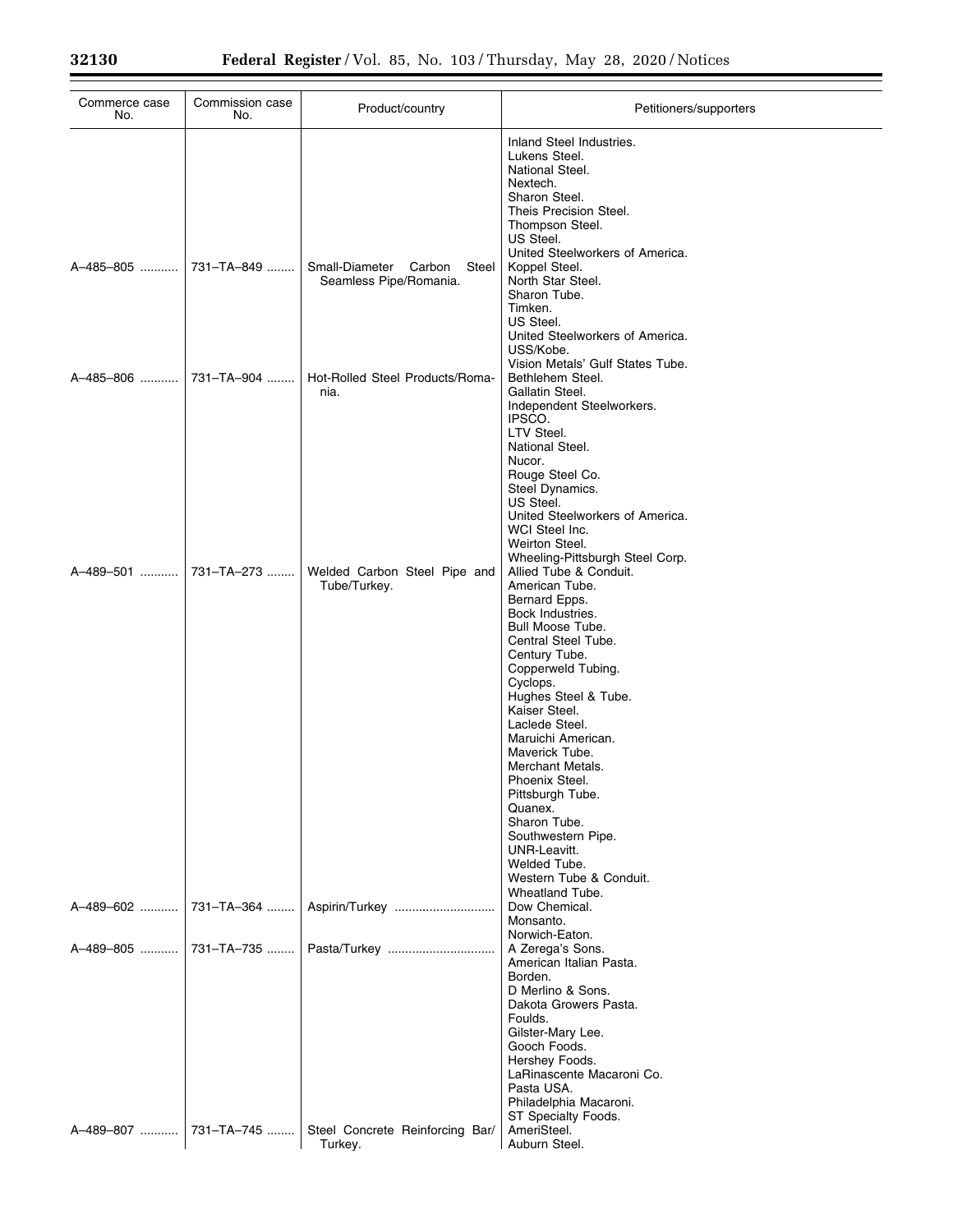Ξ

| Commerce case<br>No.  | Commission case<br>No. | Product/country                                          | Petitioners/supporters                                                                                                                                                                                                                                                                                                                                                                                                                                                                                     |
|-----------------------|------------------------|----------------------------------------------------------|------------------------------------------------------------------------------------------------------------------------------------------------------------------------------------------------------------------------------------------------------------------------------------------------------------------------------------------------------------------------------------------------------------------------------------------------------------------------------------------------------------|
|                       |                        |                                                          | Inland Steel Industries.<br>Lukens Steel.<br>National Steel.<br>Nextech.<br>Sharon Steel.<br>Theis Precision Steel.<br>Thompson Steel.<br>US Steel.<br>United Steelworkers of America.                                                                                                                                                                                                                                                                                                                     |
| A-485-805  731-TA-849 |                        | Small-Diameter Carbon<br>Steel<br>Seamless Pipe/Romania. | Koppel Steel.<br>North Star Steel.<br>Sharon Tube.<br>Timken.<br>US Steel.<br>United Steelworkers of America.<br>USS/Kobe.                                                                                                                                                                                                                                                                                                                                                                                 |
| A-485-806             | 731–TA–904 ……          | Hot-Rolled Steel Products/Roma-<br>nia.                  | Vision Metals' Gulf States Tube.<br>Bethlehem Steel.<br>Gallatin Steel.<br>Independent Steelworkers.<br>IPSCO.<br>LTV Steel.<br>National Steel.<br>Nucor.<br>Rouge Steel Co.<br>Steel Dynamics.<br>US Steel.<br>United Steelworkers of America.<br>WCI Steel Inc.<br>Weirton Steel.                                                                                                                                                                                                                        |
| A-489-501             | 731-TA-273             | Welded Carbon Steel Pipe and<br>Tube/Turkey.             | Wheeling-Pittsburgh Steel Corp.<br>Allied Tube & Conduit.<br>American Tube.<br>Bernard Epps.<br>Bock Industries.<br>Bull Moose Tube.<br>Central Steel Tube.<br>Century Tube.<br>Copperweld Tubing.<br>Cyclops.<br>Hughes Steel & Tube.<br>Kaiser Steel.<br>Laclede Steel.<br>Maruichi American.<br>Maverick Tube.<br>Merchant Metals.<br>Phoenix Steel.<br>Pittsburgh Tube.<br>Quanex.<br>Sharon Tube.<br>Southwestern Pipe.<br>UNR-Leavitt.<br>Welded Tube.<br>Western Tube & Conduit.<br>Wheatland Tube. |
| A-489-602             | 731-TA-364             | Aspirin/Turkey                                           | Dow Chemical.<br>Monsanto.<br>Norwich-Eaton.                                                                                                                                                                                                                                                                                                                                                                                                                                                               |
|                       | A-489-805  731-TA-735  | Pasta/Turkey                                             | A Zerega's Sons.<br>American Italian Pasta.<br>Borden.<br>D Merlino & Sons.<br>Dakota Growers Pasta.<br>Foulds.<br>Gilster-Mary Lee.<br>Gooch Foods.<br>Hershey Foods.<br>LaRinascente Macaroni Co.<br>Pasta USA.<br>Philadelphia Macaroni.<br>ST Specialty Foods.                                                                                                                                                                                                                                         |
| A-489-807             | 731-TA-745             | Steel Concrete Reinforcing Bar/<br>Turkey.               | AmeriSteel.<br>Auburn Steel.                                                                                                                                                                                                                                                                                                                                                                                                                                                                               |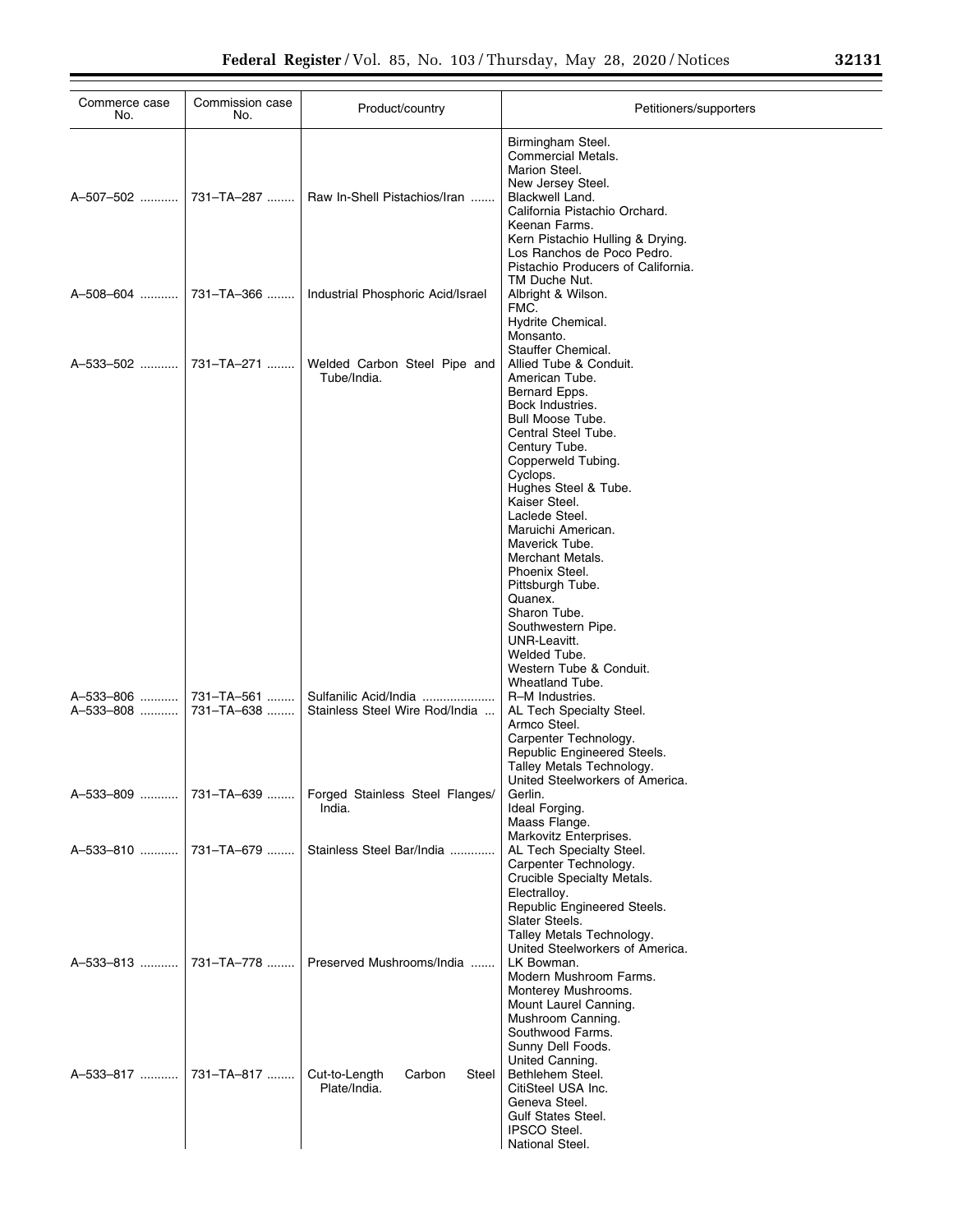| Commerce case<br>No.    | Commission case<br>No.   | Product/country                                            | Petitioners/supporters                                                                                                                                                                                                                                                                                                                                                                                                                                                     |
|-------------------------|--------------------------|------------------------------------------------------------|----------------------------------------------------------------------------------------------------------------------------------------------------------------------------------------------------------------------------------------------------------------------------------------------------------------------------------------------------------------------------------------------------------------------------------------------------------------------------|
| A–507–502 ……….          | 731–TA–287               | Raw In-Shell Pistachios/Iran                               | Birmingham Steel.<br>Commercial Metals.<br>Marion Steel.<br>New Jersey Steel.<br>Blackwell Land.<br>California Pistachio Orchard.<br>Keenan Farms.<br>Kern Pistachio Hulling & Drying.<br>Los Ranchos de Poco Pedro.<br>Pistachio Producers of California.                                                                                                                                                                                                                 |
|                         |                          | A-508-604  731-TA-366    Industrial Phosphoric Acid/Israel | TM Duche Nut.<br>Albright & Wilson.<br>FMC.<br>Hydrite Chemical.<br>Monsanto.                                                                                                                                                                                                                                                                                                                                                                                              |
| A–533–502    731–TA–271 |                          | Welded Carbon Steel Pipe and<br>Tube/India.                | Stauffer Chemical.<br>Allied Tube & Conduit.<br>American Tube.<br>Bernard Epps.<br>Bock Industries.<br>Bull Moose Tube.<br>Central Steel Tube.<br>Century Tube.<br>Copperweld Tubing.<br>Cyclops.<br>Hughes Steel & Tube.<br>Kaiser Steel.<br>Laclede Steel.<br>Maruichi American.<br>Maverick Tube.<br>Merchant Metals.<br>Phoenix Steel.<br>Pittsburgh Tube.<br>Quanex.<br>Sharon Tube.<br>Southwestern Pipe.<br>UNR-Leavitt.<br>Welded Tube.<br>Western Tube & Conduit. |
| A-533-806<br>A-533-808  | 731-TA-561<br>731-TA-638 | Sulfanilic Acid/India<br>Stainless Steel Wire Rod/India    | Wheatland Tube.<br>R-M Industries.<br>AL Tech Specialty Steel.<br>Armco Steel.<br>Carpenter Technology.<br>Republic Engineered Steels.<br>Talley Metals Technology.<br>United Steelworkers of America.                                                                                                                                                                                                                                                                     |
| A-533-809               | 731-TA-639               | Forged Stainless Steel Flanges/<br>India.                  | Gerlin.<br>Ideal Forging.<br>Maass Flange.                                                                                                                                                                                                                                                                                                                                                                                                                                 |
| A-533-810               | 731-TA-679               | Stainless Steel Bar/India                                  | Markovitz Enterprises.<br>AL Tech Specialty Steel.<br>Carpenter Technology.<br>Crucible Specialty Metals.<br>Electralloy.<br>Republic Engineered Steels.<br>Slater Steels.<br>Talley Metals Technology.<br>United Steelworkers of America.                                                                                                                                                                                                                                 |
| A–533–813 ……….          | 731-TA-778               | Preserved Mushrooms/India                                  | LK Bowman.<br>Modern Mushroom Farms.<br>Monterey Mushrooms.<br>Mount Laurel Canning.<br>Mushroom Canning.<br>Southwood Farms.<br>Sunny Dell Foods.                                                                                                                                                                                                                                                                                                                         |
| A–533–817 ……….          | 731-TA-817               | Cut-to-Length<br>Carbon<br>Steel<br>Plate/India.           | United Canning.<br>Bethlehem Steel.<br>CitiSteel USA Inc.<br>Geneva Steel.<br><b>Gulf States Steel.</b><br><b>IPSCO Steel.</b><br>National Steel.                                                                                                                                                                                                                                                                                                                          |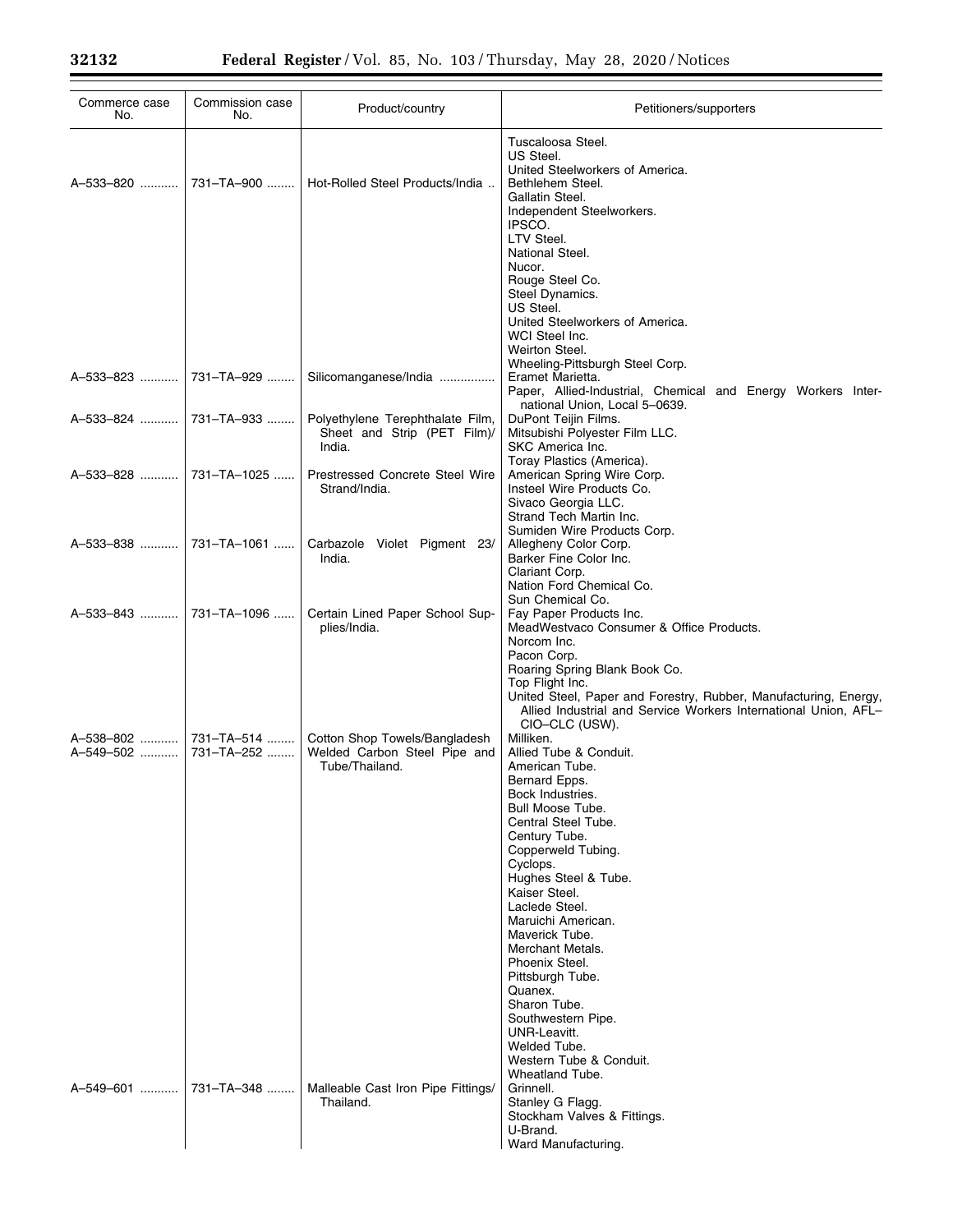| Commerce case<br>No.   | Commission case<br>No.   | Product/country                                                                 | Petitioners/supporters                                                                                                                                                                                                                                                                                                                                                                                                                                                                                        |
|------------------------|--------------------------|---------------------------------------------------------------------------------|---------------------------------------------------------------------------------------------------------------------------------------------------------------------------------------------------------------------------------------------------------------------------------------------------------------------------------------------------------------------------------------------------------------------------------------------------------------------------------------------------------------|
| A-533-820  731-TA-900  |                          | Hot-Rolled Steel Products/India                                                 | Tuscaloosa Steel.<br>US Steel.<br>United Steelworkers of America.<br>Bethlehem Steel.<br>Gallatin Steel.<br>Independent Steelworkers.<br>IPSCO.<br>LTV Steel.<br>National Steel.<br>Nucor.<br>Rouge Steel Co.                                                                                                                                                                                                                                                                                                 |
|                        |                          |                                                                                 | Steel Dynamics.<br>US Steel.<br>United Steelworkers of America.<br>WCI Steel Inc.<br>Weirton Steel.                                                                                                                                                                                                                                                                                                                                                                                                           |
| A-533-823  731-TA-929  |                          | Silicomanganese/India                                                           | Wheeling-Pittsburgh Steel Corp.<br>Eramet Marietta.<br>Paper, Allied-Industrial, Chemical and Energy Workers Inter-<br>national Union, Local 5-0639.                                                                                                                                                                                                                                                                                                                                                          |
|                        | A-533-824  731-TA-933    | Polyethylene Terephthalate Film,<br>Sheet and Strip (PET Film)/<br>India.       | DuPont Teijin Films.<br>Mitsubishi Polyester Film LLC.<br>SKC America Inc.<br>Toray Plastics (America).                                                                                                                                                                                                                                                                                                                                                                                                       |
|                        | A-533-828    731-TA-1025 | Prestressed Concrete Steel Wire<br>Strand/India.                                | American Spring Wire Corp.<br>Insteel Wire Products Co.<br>Sivaco Georgia LLC.<br>Strand Tech Martin Inc.<br>Sumiden Wire Products Corp.                                                                                                                                                                                                                                                                                                                                                                      |
| A-533-838  731-TA-1061 |                          | Carbazole Violet Pigment 23/<br>India.                                          | Allegheny Color Corp.<br>Barker Fine Color Inc.<br>Clariant Corp.<br>Nation Ford Chemical Co.                                                                                                                                                                                                                                                                                                                                                                                                                 |
| A-533-843  731-TA-1096 |                          | Certain Lined Paper School Sup-<br>plies/India.                                 | Sun Chemical Co.<br>Fay Paper Products Inc.<br>MeadWestvaco Consumer & Office Products.<br>Norcom Inc.<br>Pacon Corp.<br>Roaring Spring Blank Book Co.<br>Top Flight Inc.<br>United Steel, Paper and Forestry, Rubber, Manufacturing, Energy,<br>Allied Industrial and Service Workers International Union, AFL-                                                                                                                                                                                              |
| A-549-502  731-TA-252  |                          | Cotton Shop Towels/Bangladesh<br>Welded Carbon Steel Pipe and<br>Tube/Thailand. | CIO-CLC (USW).<br>Milliken.<br>Allied Tube & Conduit.<br>American Tube.<br>Bernard Epps.<br>Bock Industries.<br>Bull Moose Tube.<br>Central Steel Tube.<br>Century Tube.<br>Copperweld Tubing.<br>Cyclops.<br>Hughes Steel & Tube.<br>Kaiser Steel.<br>Laclede Steel.<br>Maruichi American.<br>Maverick Tube.<br>Merchant Metals.<br>Phoenix Steel.<br>Pittsburgh Tube.<br>Quanex.<br>Sharon Tube.<br>Southwestern Pipe.<br>UNR-Leavitt.<br>Welded Tube.<br>Western Tube & Conduit.<br><b>Wheatland Tube.</b> |
| A-549-601              | 731-TA-348               | Malleable Cast Iron Pipe Fittings/<br>Thailand.                                 | Grinnell.<br>Stanley G Flagg.<br>Stockham Valves & Fittings.<br>U-Brand.<br>Ward Manufacturing.                                                                                                                                                                                                                                                                                                                                                                                                               |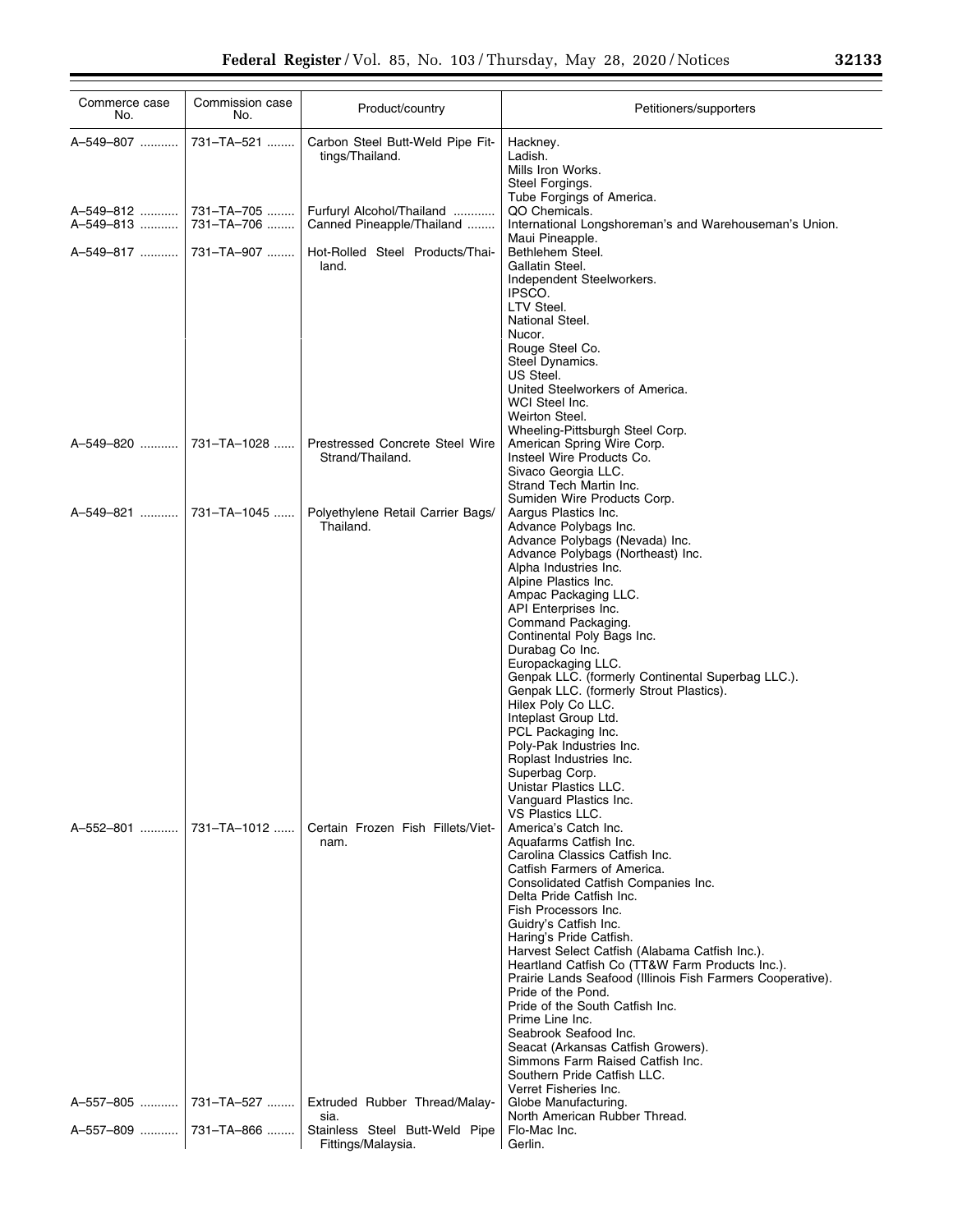| Commerce case<br>No.     | Commission case<br>No. | Product/country                                        | Petitioners/supporters                                                                                                                                                                                                                                                                                                                                                                                                                                                                                                                                                                                                                                                       |
|--------------------------|------------------------|--------------------------------------------------------|------------------------------------------------------------------------------------------------------------------------------------------------------------------------------------------------------------------------------------------------------------------------------------------------------------------------------------------------------------------------------------------------------------------------------------------------------------------------------------------------------------------------------------------------------------------------------------------------------------------------------------------------------------------------------|
| A-549-807                | 731-TA-521             | Carbon Steel Butt-Weld Pipe Fit-<br>tings/Thailand.    | Hackney.<br>Ladish.<br>Mills Iron Works.<br>Steel Forgings.                                                                                                                                                                                                                                                                                                                                                                                                                                                                                                                                                                                                                  |
| A-549-813  731-TA-706    |                        | Furfuryl Alcohol/Thailand<br>Canned Pineapple/Thailand | Tube Forgings of America.<br>QO Chemicals.<br>International Longshoreman's and Warehouseman's Union.<br>Maui Pineapple.                                                                                                                                                                                                                                                                                                                                                                                                                                                                                                                                                      |
| A-549-817  731-TA-907    |                        | Hot-Rolled Steel Products/Thai-<br>land.               | Bethlehem Steel.<br>Gallatin Steel.<br>Independent Steelworkers.<br>IPSCO.<br>LTV Steel.<br>National Steel.<br>Nucor.<br>Rouge Steel Co.<br>Steel Dynamics.<br>US Steel.<br>United Steelworkers of America.<br>WCI Steel Inc.<br>Weirton Steel.<br>Wheeling-Pittsburgh Steel Corp.                                                                                                                                                                                                                                                                                                                                                                                           |
| A-549-820    731-TA-1028 |                        | Prestressed Concrete Steel Wire<br>Strand/Thailand.    | American Spring Wire Corp.<br>Insteel Wire Products Co.<br>Sivaco Georgia LLC.<br>Strand Tech Martin Inc.                                                                                                                                                                                                                                                                                                                                                                                                                                                                                                                                                                    |
| A-549-821  731-TA-1045   |                        | Polyethylene Retail Carrier Bags/<br>Thailand.         | Sumiden Wire Products Corp.<br>Aargus Plastics Inc.<br>Advance Polybags Inc.<br>Advance Polybags (Nevada) Inc.<br>Advance Polybags (Northeast) Inc.<br>Alpha Industries Inc.<br>Alpine Plastics Inc.<br>Ampac Packaging LLC.<br>API Enterprises Inc.<br>Command Packaging.<br>Continental Poly Bags Inc.<br>Durabag Co Inc.<br>Europackaging LLC.<br>Genpak LLC. (formerly Continental Superbag LLC.).<br>Genpak LLC. (formerly Strout Plastics).<br>Hilex Poly Co LLC.<br>Inteplast Group Ltd.<br>PCL Packaging Inc.<br>Poly-Pak Industries Inc.<br>Roplast Industries Inc.<br>Superbag Corp.<br>Unistar Plastics LLC.<br>Vanguard Plastics Inc.<br><b>VS Plastics LLC.</b> |
| A-552-801    731-TA-1012 |                        | Certain Frozen Fish Fillets/Viet-<br>nam.              | America's Catch Inc.<br>Aquafarms Catfish Inc.<br>Carolina Classics Catfish Inc.<br>Catfish Farmers of America.<br>Consolidated Catfish Companies Inc.<br>Delta Pride Catfish Inc.<br>Fish Processors Inc.<br>Guidry's Catfish Inc.<br>Haring's Pride Catfish.<br>Harvest Select Catfish (Alabama Catfish Inc.).<br>Heartland Catfish Co (TT&W Farm Products Inc.).<br>Prairie Lands Seafood (Illinois Fish Farmers Cooperative).<br>Pride of the Pond.<br>Pride of the South Catfish Inc.<br>Prime Line Inc.<br>Seabrook Seafood Inc.<br>Seacat (Arkansas Catfish Growers).<br>Simmons Farm Raised Catfish Inc.<br>Southern Pride Catfish LLC.<br>Verret Fisheries Inc.     |
| A-557-805    731-TA-527  |                        | Extruded Rubber Thread/Malay-<br>sia.                  | Globe Manufacturing.<br>North American Rubber Thread.                                                                                                                                                                                                                                                                                                                                                                                                                                                                                                                                                                                                                        |
| A-557-809    731-TA-866  |                        | Stainless Steel Butt-Weld Pipe<br>Fittings/Malaysia.   | Flo-Mac Inc.<br>Gerlin.                                                                                                                                                                                                                                                                                                                                                                                                                                                                                                                                                                                                                                                      |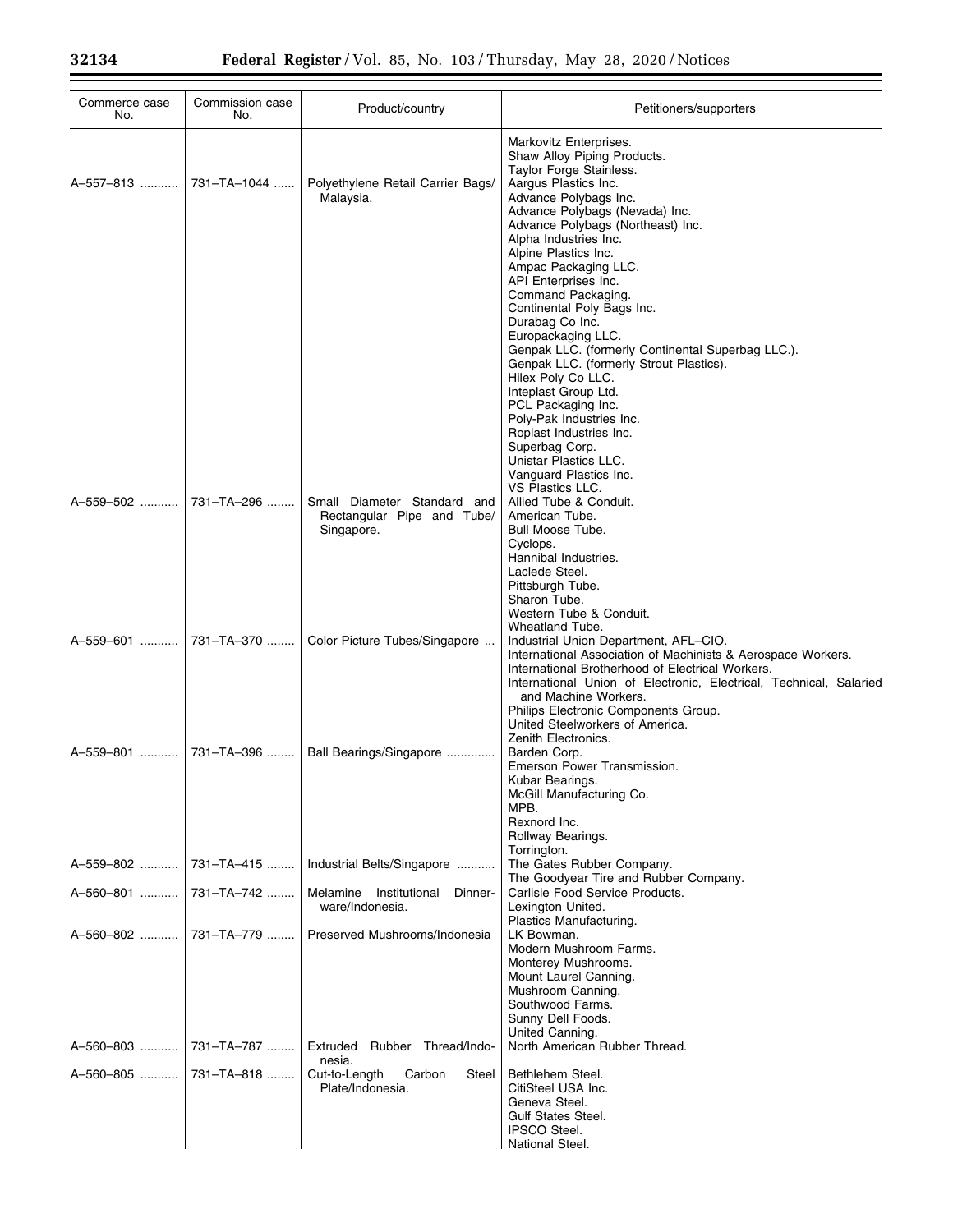| Commerce case<br>No.     | Commission case<br>No. | Product/country                                                         | Petitioners/supporters                                                                                                                                                                                                                                                                                                                                                                                                                                                                                                                                                                                                                                                       |
|--------------------------|------------------------|-------------------------------------------------------------------------|------------------------------------------------------------------------------------------------------------------------------------------------------------------------------------------------------------------------------------------------------------------------------------------------------------------------------------------------------------------------------------------------------------------------------------------------------------------------------------------------------------------------------------------------------------------------------------------------------------------------------------------------------------------------------|
| A-557-813    731-TA-1044 |                        | Polyethylene Retail Carrier Bags/<br>Malaysia.                          | Markovitz Enterprises.<br>Shaw Alloy Piping Products.<br>Taylor Forge Stainless.<br>Aargus Plastics Inc.<br>Advance Polybags Inc.<br>Advance Polybags (Nevada) Inc.<br>Advance Polybags (Northeast) Inc.<br>Alpha Industries Inc.<br>Alpine Plastics Inc.<br>Ampac Packaging LLC.<br>API Enterprises Inc.<br>Command Packaging.<br>Continental Poly Bags Inc.<br>Durabag Co Inc.<br>Europackaging LLC.<br>Genpak LLC. (formerly Continental Superbag LLC.).<br>Genpak LLC. (formerly Strout Plastics).<br>Hilex Poly Co LLC.<br>Inteplast Group Ltd.<br>PCL Packaging Inc.<br>Poly-Pak Industries Inc.<br>Roplast Industries Inc.<br>Superbag Corp.<br>Unistar Plastics LLC. |
| A-559-502                | 731-TA-296             | Small Diameter Standard and<br>Rectangular Pipe and Tube/<br>Singapore. | Vanguard Plastics Inc.<br>VS Plastics LLC.<br>Allied Tube & Conduit.<br>American Tube.<br>Bull Moose Tube.<br>Cyclops.<br>Hannibal Industries.<br>Laclede Steel.                                                                                                                                                                                                                                                                                                                                                                                                                                                                                                             |
| A-559-601  731-TA-370    |                        | Color Picture Tubes/Singapore                                           | Pittsburgh Tube.<br>Sharon Tube.<br>Western Tube & Conduit.<br>Wheatland Tube.<br>Industrial Union Department, AFL-CIO.<br>International Association of Machinists & Aerospace Workers.<br>International Brotherhood of Electrical Workers.<br>International Union of Electronic, Electrical, Technical, Salaried                                                                                                                                                                                                                                                                                                                                                            |
|                          |                        | Ball Bearings/Singapore                                                 | and Machine Workers.<br>Philips Electronic Components Group.<br>United Steelworkers of America.<br>Zenith Electronics.<br>Barden Corp.<br>Emerson Power Transmission.<br>Kubar Bearings.<br>McGill Manufacturing Co.                                                                                                                                                                                                                                                                                                                                                                                                                                                         |
| A-559-802                | 731–TA–415             | Industrial Belts/Singapore                                              | MPB.<br>Rexnord Inc.<br>Rollway Bearings.<br>Torrington.<br>The Gates Rubber Company.<br>The Goodyear Tire and Rubber Company.                                                                                                                                                                                                                                                                                                                                                                                                                                                                                                                                               |
| A-560-801                | 731–TA–742             | Melamine Institutional<br>Dinner-<br>ware/Indonesia.                    | Carlisle Food Service Products.<br>Lexington United.<br>Plastics Manufacturing.                                                                                                                                                                                                                                                                                                                                                                                                                                                                                                                                                                                              |
| A-560-802    731-TA-779  |                        | Preserved Mushrooms/Indonesia                                           | LK Bowman.<br>Modern Mushroom Farms.<br>Monterey Mushrooms.<br>Mount Laurel Canning.<br>Mushroom Canning.<br>Southwood Farms.<br>Sunny Dell Foods.<br>United Canning.                                                                                                                                                                                                                                                                                                                                                                                                                                                                                                        |
| A-560-803                | 731-TA-787             | Extruded Rubber Thread/Indo-<br>nesia.                                  | North American Rubber Thread.                                                                                                                                                                                                                                                                                                                                                                                                                                                                                                                                                                                                                                                |
| A-560-805    731-TA-818  |                        | Cut-to-Length<br>Carbon<br>Steel<br>Plate/Indonesia.                    | Bethlehem Steel.<br>CitiSteel USA Inc.<br>Geneva Steel.<br><b>Gulf States Steel.</b><br><b>IPSCO Steel.</b><br>National Steel.                                                                                                                                                                                                                                                                                                                                                                                                                                                                                                                                               |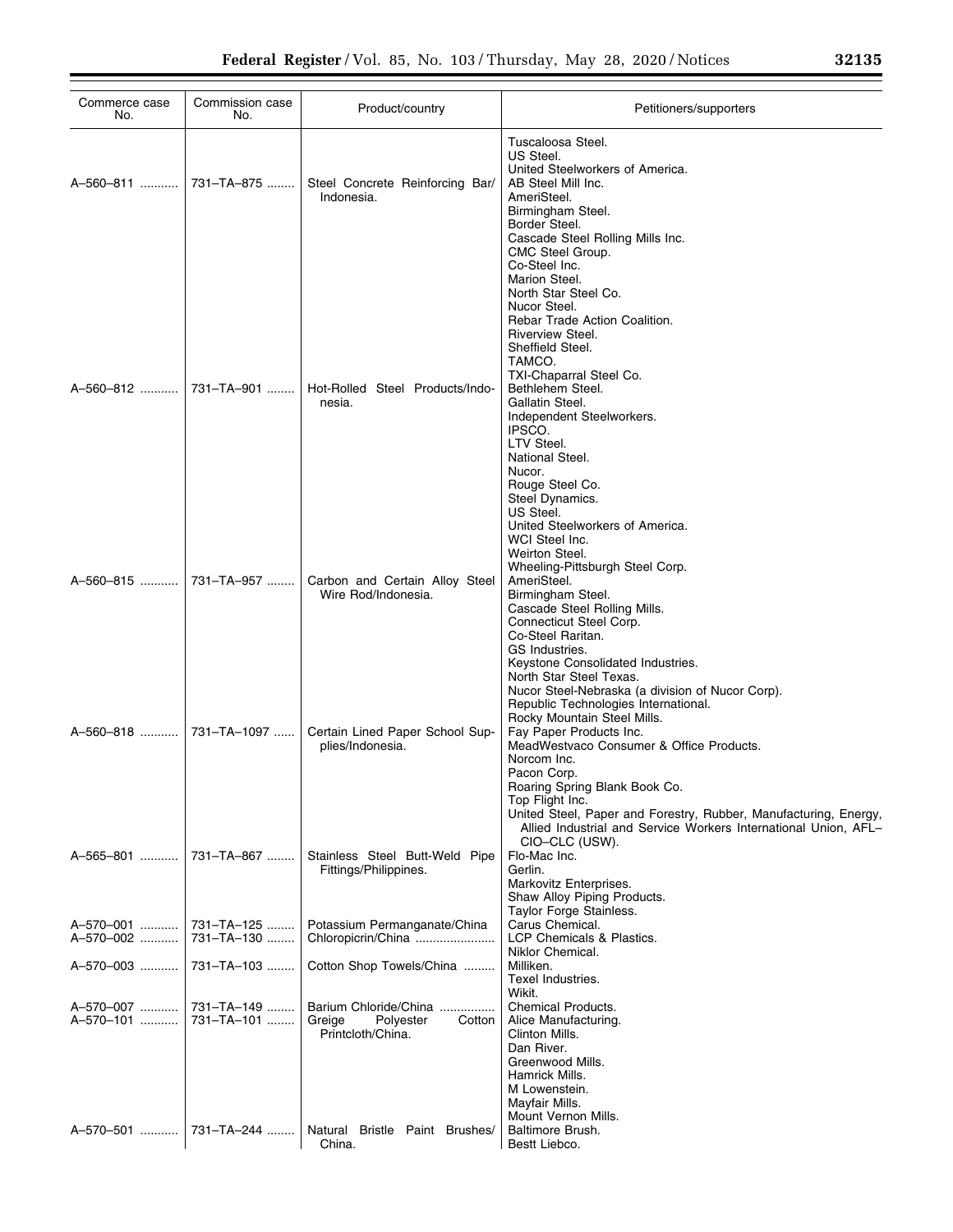| Commerce case<br>No.    | Commission case<br>No.   | Product/country                                                             | Petitioners/supporters                                                                                                                                                                                                                                                                                                                                                                                               |
|-------------------------|--------------------------|-----------------------------------------------------------------------------|----------------------------------------------------------------------------------------------------------------------------------------------------------------------------------------------------------------------------------------------------------------------------------------------------------------------------------------------------------------------------------------------------------------------|
| A-560-811    731-TA-875 |                          | Steel Concrete Reinforcing Bar/<br>Indonesia.                               | Tuscaloosa Steel.<br>US Steel.<br>United Steelworkers of America.<br>AB Steel Mill Inc.<br>AmeriSteel.<br>Birmingham Steel.<br>Border Steel.<br>Cascade Steel Rolling Mills Inc.<br>CMC Steel Group.<br>Co-Steel Inc.                                                                                                                                                                                                |
| A-560-812               | 731–TA–901 ……            | Hot-Rolled Steel Products/Indo-<br>nesia.                                   | Marion Steel.<br>North Star Steel Co.<br>Nucor Steel.<br>Rebar Trade Action Coalition.<br>Riverview Steel.<br>Sheffield Steel.<br>TAMCO.<br>TXI-Chaparral Steel Co.<br>Bethlehem Steel.<br>Gallatin Steel.<br>Independent Steelworkers.<br>IPSCO.<br>LTV Steel.<br>National Steel.<br>Nucor.<br>Rouge Steel Co.<br>Steel Dynamics.                                                                                   |
|                         | A-560-815  731-TA-957    | Carbon and Certain Alloy Steel<br>Wire Rod/Indonesia.                       | US Steel.<br>United Steelworkers of America.<br>WCI Steel Inc.<br>Weirton Steel.<br>Wheeling-Pittsburgh Steel Corp.<br>AmeriSteel.<br>Birmingham Steel.<br>Cascade Steel Rolling Mills.<br>Connecticut Steel Corp.<br>Co-Steel Raritan.<br>GS Industries.                                                                                                                                                            |
| A-560-818  731-TA-1097  |                          | Certain Lined Paper School Sup-<br>plies/Indonesia.                         | Keystone Consolidated Industries.<br>North Star Steel Texas.<br>Nucor Steel-Nebraska (a division of Nucor Corp).<br>Republic Technologies International.<br>Rocky Mountain Steel Mills.<br>Fay Paper Products Inc.<br>MeadWestvaco Consumer & Office Products.<br>Norcom Inc.<br>Pacon Corp.<br>Roaring Spring Blank Book Co.<br>Top Flight Inc.<br>United Steel, Paper and Forestry, Rubber, Manufacturing, Energy, |
| A-565-801               | 731-TA-867               | Stainless Steel Butt-Weld Pipe<br>Fittings/Philippines.                     | Allied Industrial and Service Workers International Union, AFL-<br>CIO-CLC (USW).<br>Flo-Mac Inc.<br>Gerlin.<br>Markovitz Enterprises.<br>Shaw Alloy Piping Products.                                                                                                                                                                                                                                                |
| A-570-001<br>A-570-002  | 731-TA-125<br>731-TA-130 | Potassium Permanganate/China<br>Chloropicrin/China                          | Taylor Forge Stainless.<br>Carus Chemical.<br>LCP Chemicals & Plastics.                                                                                                                                                                                                                                                                                                                                              |
| A-570-003               | 731-TA-103               | Cotton Shop Towels/China                                                    | Niklor Chemical.<br>Milliken.<br>Texel Industries.                                                                                                                                                                                                                                                                                                                                                                   |
| A-570-007<br>A-570-101  | 731-TA-149<br>731-TA-101 | Barium Chloride/China<br>Greige<br>Polyester<br>Cotton<br>Printcloth/China. | Wikit.<br>Chemical Products.<br>Alice Manufacturing.<br>Clinton Mills.<br>Dan River.<br>Greenwood Mills.<br>Hamrick Mills.<br>M Lowenstein.<br>Mayfair Mills.                                                                                                                                                                                                                                                        |
| A-570-501               | 731-TA-244               | Natural Bristle Paint Brushes/<br>China.                                    | Mount Vernon Mills.<br>Baltimore Brush.<br>Bestt Liebco.                                                                                                                                                                                                                                                                                                                                                             |

÷.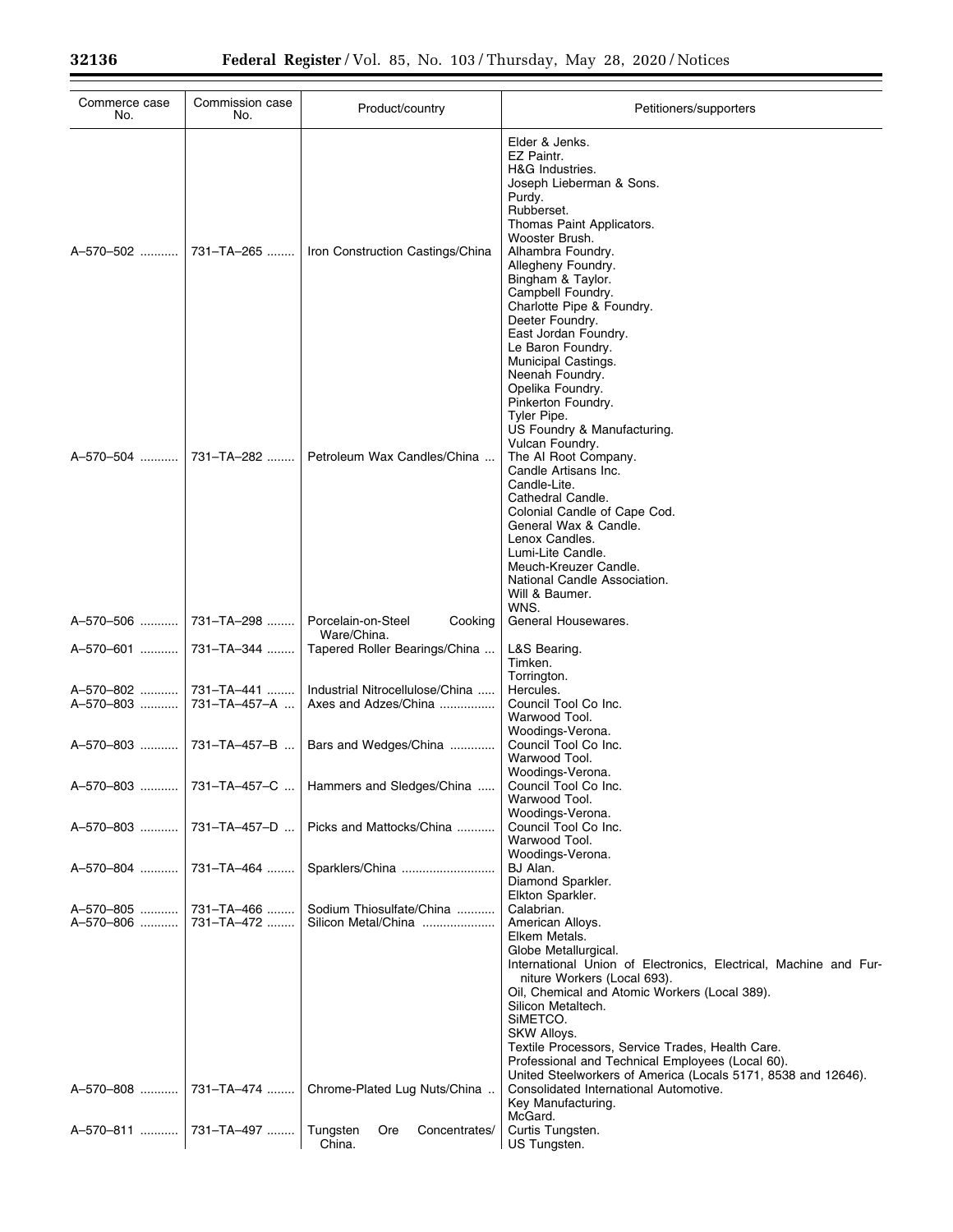| Commerce case<br>No.      | Commission case<br>No.        | Product/country                                         | Petitioners/supporters                                                                                                                                                                                                                                                                                                                               |
|---------------------------|-------------------------------|---------------------------------------------------------|------------------------------------------------------------------------------------------------------------------------------------------------------------------------------------------------------------------------------------------------------------------------------------------------------------------------------------------------------|
| A-570-502  731-TA-265     |                               | Iron Construction Castings/China                        | Elder & Jenks.<br>EZ Paintr.<br>H&G Industries.<br>Joseph Lieberman & Sons.<br>Purdy.<br>Rubberset.<br>Thomas Paint Applicators.<br>Wooster Brush.<br>Alhambra Foundry.<br>Allegheny Foundry.<br>Bingham & Taylor.<br>Campbell Foundry.<br>Charlotte Pipe & Foundry.<br>Deeter Foundry.                                                              |
| A-570-504    731-TA-282   |                               | Petroleum Wax Candles/China                             | East Jordan Foundry.<br>Le Baron Foundry.<br>Municipal Castings.<br>Neenah Foundry.<br>Opelika Foundry.<br>Pinkerton Foundry.<br>Tyler Pipe.<br>US Foundry & Manufacturing.<br>Vulcan Foundry.<br>The AI Root Company.<br>Candle Artisans Inc.<br>Candle-Lite.                                                                                       |
|                           |                               |                                                         | Cathedral Candle.<br>Colonial Candle of Cape Cod.<br>General Wax & Candle.<br>Lenox Candles.<br>Lumi-Lite Candle.<br>Meuch-Kreuzer Candle.<br>National Candle Association.<br>Will & Baumer.<br>WNS.                                                                                                                                                 |
| A-570-506  731-TA-298     |                               | Porcelain-on-Steel<br>Cooking<br>Ware/China.            | General Housewares.                                                                                                                                                                                                                                                                                                                                  |
| A-570-601                 | 731-TA-344                    | Tapered Roller Bearings/China                           | L&S Bearing.<br>Timken.                                                                                                                                                                                                                                                                                                                              |
| A-570-802   <br>A-570-803 | 731–TA–441 ……<br>731-TA-457-A | Industrial Nitrocellulose/China<br>Axes and Adzes/China | Torrington.<br>Hercules.<br>Council Tool Co Inc.<br>Warwood Tool.<br>Woodings-Verona.                                                                                                                                                                                                                                                                |
|                           | A-570-803    731-TA-457-B     | Bars and Wedges/China                                   | Council Tool Co Inc.<br>Warwood Tool.                                                                                                                                                                                                                                                                                                                |
| A-570-803.                | 731-TA-457-C                  | Hammers and Sledges/China                               | Woodings-Verona.<br>Council Tool Co Inc.<br>Warwood Tool.<br>Woodings-Verona.                                                                                                                                                                                                                                                                        |
| A-570-803                 | 731-TA-457-D                  | Picks and Mattocks/China                                | Council Tool Co Inc.<br>Warwood Tool.<br>Woodings-Verona.                                                                                                                                                                                                                                                                                            |
| A-570-804                 | 731-TA-464                    | Sparklers/China                                         | BJ Alan.<br>Diamond Sparkler.                                                                                                                                                                                                                                                                                                                        |
| A-570-805<br>A-570-806    | 731-TA-466<br>731-TA-472      | Sodium Thiosulfate/China<br>Silicon Metal/China         | Elkton Sparkler.<br>Calabrian.<br>American Alloys.<br>Elkem Metals.<br>Globe Metallurgical.<br>International Union of Electronics, Electrical, Machine and Fur-<br>niture Workers (Local 693).<br>Oil, Chemical and Atomic Workers (Local 389).<br>Silicon Metaltech.<br>SIMETCO.<br>SKW Alloys.<br>Textile Processors, Service Trades, Health Care. |
| A-570-808                 | 731-TA-474                    | Chrome-Plated Lug Nuts/China                            | Professional and Technical Employees (Local 60).<br>United Steelworkers of America (Locals 5171, 8538 and 12646).<br>Consolidated International Automotive.<br>Key Manufacturing.                                                                                                                                                                    |
| A-570-811                 | 731-TA-497                    | Tungsten<br>Ore<br>Concentrates/<br>China.              | McGard.<br>Curtis Tungsten.<br>US Tungsten.                                                                                                                                                                                                                                                                                                          |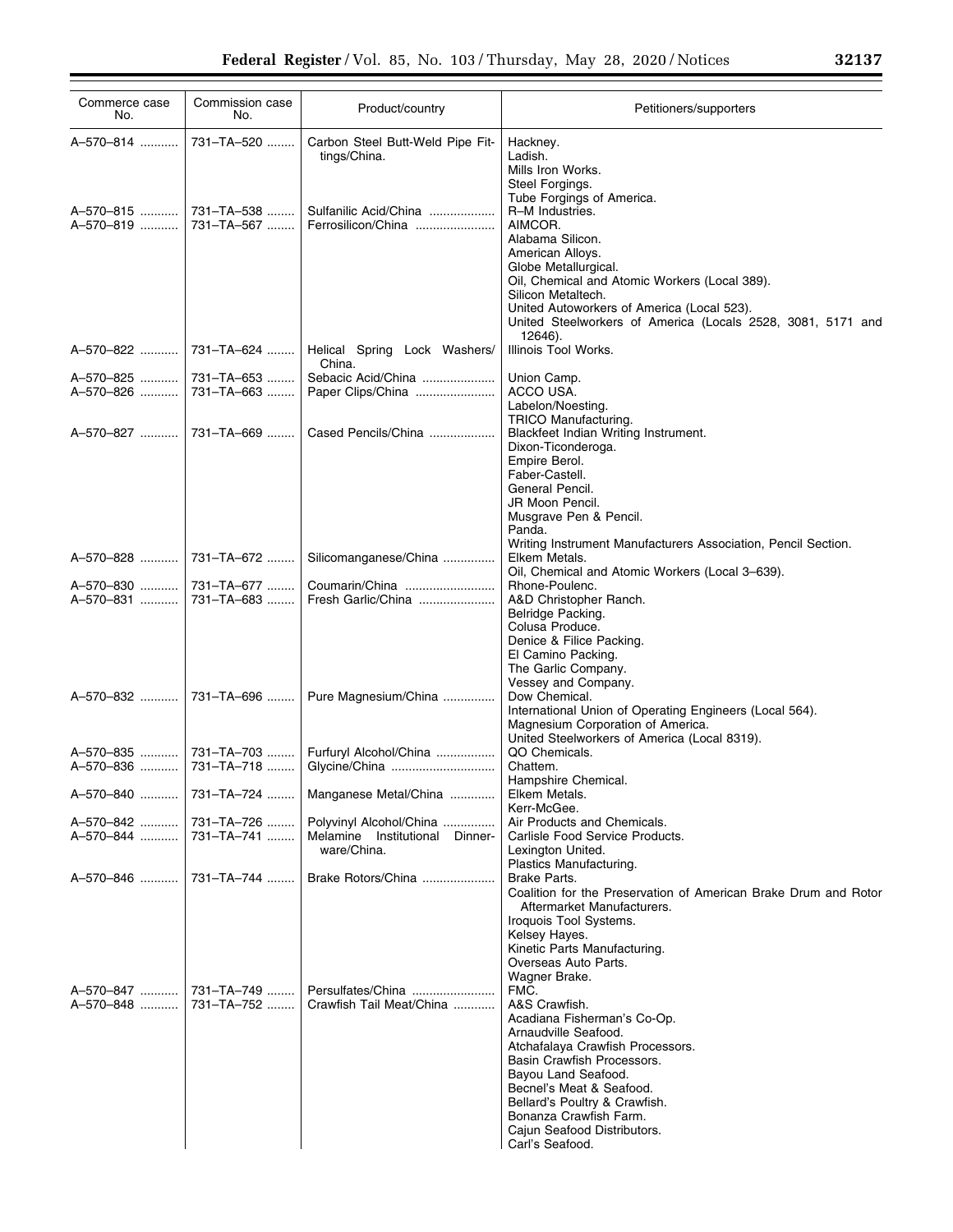| Commerce case<br>No.  | Commission case<br>No.  | Product/country                                           | Petitioners/supporters                                                                                                                                                                                                                                                                    |
|-----------------------|-------------------------|-----------------------------------------------------------|-------------------------------------------------------------------------------------------------------------------------------------------------------------------------------------------------------------------------------------------------------------------------------------------|
| A-570-814             | 731-TA-520              | Carbon Steel Butt-Weld Pipe Fit-<br>tings/China.          | Hackney.<br>Ladish.<br>Mills Iron Works.<br>Steel Forgings.<br>Tube Forgings of America.                                                                                                                                                                                                  |
| A-570-819  731-TA-567 | A-570-815    731-TA-538 | Sulfanilic Acid/China<br>Ferrosilicon/China               | R-M Industries.<br>AIMCOR.<br>Alabama Silicon.<br>American Alloys.<br>Globe Metallurgical.<br>Oil, Chemical and Atomic Workers (Local 389).<br>Silicon Metaltech.<br>United Autoworkers of America (Local 523).<br>United Steelworkers of America (Locals 2528, 3081, 5171 and<br>12646). |
|                       | A-570-822  731-TA-624   | Helical Spring Lock Washers/<br>China.                    | Illinois Tool Works.                                                                                                                                                                                                                                                                      |
| A-570-825             | l 731–TA–653            | Sebacic Acid/China                                        | Union Camp.                                                                                                                                                                                                                                                                               |
| A-570-826             | 731–TA–663              | Paper Clips/China                                         | ACCO USA.                                                                                                                                                                                                                                                                                 |
|                       |                         |                                                           | Labelon/Noesting.                                                                                                                                                                                                                                                                         |
|                       | A-570-827  731-TA-669   | Cased Pencils/China                                       | TRICO Manufacturing.<br>Blackfeet Indian Writing Instrument.                                                                                                                                                                                                                              |
|                       |                         |                                                           | Dixon-Ticonderoga.                                                                                                                                                                                                                                                                        |
|                       |                         |                                                           | Empire Berol.                                                                                                                                                                                                                                                                             |
|                       |                         |                                                           | Faber-Castell.                                                                                                                                                                                                                                                                            |
|                       |                         |                                                           | General Pencil.<br>JR Moon Pencil.                                                                                                                                                                                                                                                        |
|                       |                         |                                                           | Musgrave Pen & Pencil.                                                                                                                                                                                                                                                                    |
|                       |                         |                                                           | Panda.                                                                                                                                                                                                                                                                                    |
|                       |                         |                                                           | Writing Instrument Manufacturers Association, Pencil Section.                                                                                                                                                                                                                             |
|                       | A-570-828  731-TA-672   | Silicomanganese/China                                     | Elkem Metals.                                                                                                                                                                                                                                                                             |
|                       | A-570-830    731-TA-677 | Coumarin/China                                            | Oil, Chemical and Atomic Workers (Local 3-639).<br>Rhone-Poulenc.                                                                                                                                                                                                                         |
| A-570-831             | 731–TA–683              | Fresh Garlic/China                                        | A&D Christopher Ranch.                                                                                                                                                                                                                                                                    |
|                       |                         |                                                           | Belridge Packing.                                                                                                                                                                                                                                                                         |
|                       |                         |                                                           | Colusa Produce.                                                                                                                                                                                                                                                                           |
|                       |                         |                                                           | Denice & Filice Packing.                                                                                                                                                                                                                                                                  |
|                       |                         |                                                           | El Camino Packing.<br>The Garlic Company.                                                                                                                                                                                                                                                 |
|                       |                         |                                                           | Vessey and Company.                                                                                                                                                                                                                                                                       |
|                       |                         | A-570-832  731-TA-696    Pure Magnesium/China             | Dow Chemical.                                                                                                                                                                                                                                                                             |
|                       |                         |                                                           | International Union of Operating Engineers (Local 564).                                                                                                                                                                                                                                   |
|                       |                         |                                                           | Magnesium Corporation of America.<br>United Steelworkers of America (Local 8319).                                                                                                                                                                                                         |
|                       | A-570-835  731-TA-703   | Furfuryl Alcohol/China                                    | QO Chemicals.                                                                                                                                                                                                                                                                             |
|                       | A-570-836  731-TA-718   | Glycine/China                                             | Chattem.                                                                                                                                                                                                                                                                                  |
|                       |                         |                                                           | Hampshire Chemical.                                                                                                                                                                                                                                                                       |
|                       |                         | A-570-840    731-TA-724    Manganese Metal/China          | Elkem Metals.                                                                                                                                                                                                                                                                             |
|                       |                         |                                                           | Kerr-McGee.                                                                                                                                                                                                                                                                               |
|                       | A-570-842    731-TA-726 | Polyvinyl Alcohol/China<br>Melamine Institutional Dinner- | Air Products and Chemicals.<br>Carlisle Food Service Products.                                                                                                                                                                                                                            |
|                       |                         | ware/China.                                               | Lexington United.                                                                                                                                                                                                                                                                         |
|                       |                         |                                                           | Plastics Manufacturing.                                                                                                                                                                                                                                                                   |
|                       |                         | Brake Rotors/China                                        | Brake Parts.<br>Coalition for the Preservation of American Brake Drum and Rotor                                                                                                                                                                                                           |
|                       |                         |                                                           | Aftermarket Manufacturers.                                                                                                                                                                                                                                                                |
|                       |                         |                                                           | Iroquois Tool Systems.                                                                                                                                                                                                                                                                    |
|                       |                         |                                                           | Kelsey Hayes.                                                                                                                                                                                                                                                                             |
|                       |                         |                                                           | Kinetic Parts Manufacturing.                                                                                                                                                                                                                                                              |
|                       |                         |                                                           | Overseas Auto Parts.<br>Wagner Brake.                                                                                                                                                                                                                                                     |
|                       |                         | A-570-847  731-TA-749  Persulfates/China                  | FMC.                                                                                                                                                                                                                                                                                      |
|                       | A-570-848  731-TA-752   | Crawfish Tail Meat/China                                  | A&S Crawfish.                                                                                                                                                                                                                                                                             |
|                       |                         |                                                           | Acadiana Fisherman's Co-Op.                                                                                                                                                                                                                                                               |
|                       |                         |                                                           | Arnaudville Seafood.                                                                                                                                                                                                                                                                      |
|                       |                         |                                                           | Atchafalaya Crawfish Processors.<br>Basin Crawfish Processors.                                                                                                                                                                                                                            |
|                       |                         |                                                           | Bayou Land Seafood.                                                                                                                                                                                                                                                                       |
|                       |                         |                                                           | Becnel's Meat & Seafood.                                                                                                                                                                                                                                                                  |
|                       |                         |                                                           | Bellard's Poultry & Crawfish.                                                                                                                                                                                                                                                             |
|                       |                         |                                                           | Bonanza Crawfish Farm.                                                                                                                                                                                                                                                                    |
|                       |                         |                                                           | Cajun Seafood Distributors.<br>Carl's Seafood.                                                                                                                                                                                                                                            |
|                       |                         |                                                           |                                                                                                                                                                                                                                                                                           |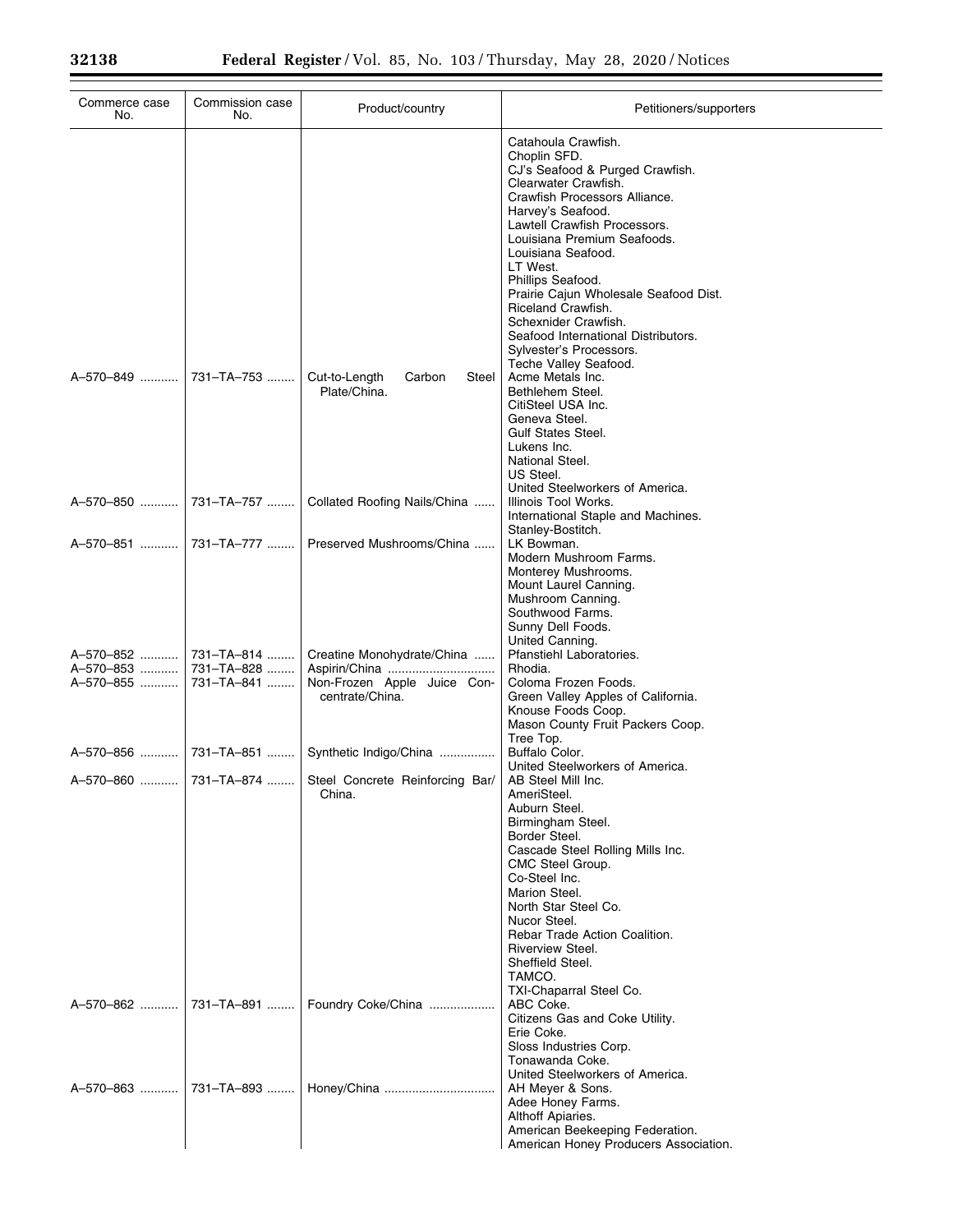| Commerce case<br>No.      | Commission case<br>No.   | Product/country                                                              | Petitioners/supporters                                                                                                                                                                                                                                                                                                                                                                                                                                       |
|---------------------------|--------------------------|------------------------------------------------------------------------------|--------------------------------------------------------------------------------------------------------------------------------------------------------------------------------------------------------------------------------------------------------------------------------------------------------------------------------------------------------------------------------------------------------------------------------------------------------------|
|                           |                          |                                                                              | Catahoula Crawfish.<br>Choplin SFD.<br>CJ's Seafood & Purged Crawfish.<br>Clearwater Crawfish.<br>Crawfish Processors Alliance.<br>Harvey's Seafood.<br>Lawtell Crawfish Processors.<br>Louisiana Premium Seafoods.<br>Louisiana Seafood.<br>LT West.<br>Phillips Seafood.<br>Prairie Cajun Wholesale Seafood Dist.<br>Riceland Crawfish.<br>Schexnider Crawfish.<br>Seafood International Distributors.<br>Sylvester's Processors.<br>Teche Valley Seafood. |
| A-570-849  731-TA-753     |                          | Cut-to-Length<br>Carbon<br>Steel  <br>Plate/China.                           | Acme Metals Inc.<br>Bethlehem Steel.<br>CitiSteel USA Inc.<br>Geneva Steel.<br><b>Gulf States Steel.</b><br>Lukens Inc.<br>National Steel.<br>US Steel.<br>United Steelworkers of America.                                                                                                                                                                                                                                                                   |
| A-570-850                 | 731–TA–757               | Collated Roofing Nails/China                                                 | Illinois Tool Works.<br>International Staple and Machines.<br>Stanley-Bostitch.                                                                                                                                                                                                                                                                                                                                                                              |
| A-570-851                 | 731–TA–777               | Preserved Mushrooms/China                                                    | LK Bowman.<br>Modern Mushroom Farms.<br>Monterey Mushrooms.<br>Mount Laurel Canning.<br>Mushroom Canning.<br>Southwood Farms.<br>Sunny Dell Foods.<br>United Canning.                                                                                                                                                                                                                                                                                        |
| A-570-853   <br>A-570-855 | 731-TA-828<br>731-TA-841 | Creatine Monohydrate/China<br>Non-Frozen Apple Juice Con-<br>centrate/China. | Pfanstiehl Laboratories.<br>Rhodia.<br>Coloma Frozen Foods.<br>Green Valley Apples of California.<br>Knouse Foods Coop.<br>Mason County Fruit Packers Coop.                                                                                                                                                                                                                                                                                                  |
|                           |                          | Synthetic Indigo/China                                                       | Tree Top.<br>Buffalo Color.<br>United Steelworkers of America.                                                                                                                                                                                                                                                                                                                                                                                               |
| A-570-860                 |                          | 731-TA-874    Steel Concrete Reinforcing Bar/<br>China.                      | AB Steel Mill Inc.<br>AmeriSteel.<br>Auburn Steel.<br>Birmingham Steel.<br>Border Steel.<br>Cascade Steel Rolling Mills Inc.<br>CMC Steel Group.<br>Co-Steel Inc.<br>Marion Steel.<br>North Star Steel Co.<br>Nucor Steel.<br>Rebar Trade Action Coalition.<br>Riverview Steel.<br>Sheffield Steel.<br>TAMCO.<br>TXI-Chaparral Steel Co.                                                                                                                     |
| A-570-862                 |                          | 731-TA-891    Foundry Coke/China                                             | ABC Coke.<br>Citizens Gas and Coke Utility.<br>Erie Coke.<br>Sloss Industries Corp.<br>Tonawanda Coke.<br>United Steelworkers of America.                                                                                                                                                                                                                                                                                                                    |
|                           |                          | A-570-863  731-TA-893    Honey/China                                         | AH Meyer & Sons.<br>Adee Honey Farms.<br>Althoff Apiaries.<br>American Beekeeping Federation.<br>American Honey Producers Association.                                                                                                                                                                                                                                                                                                                       |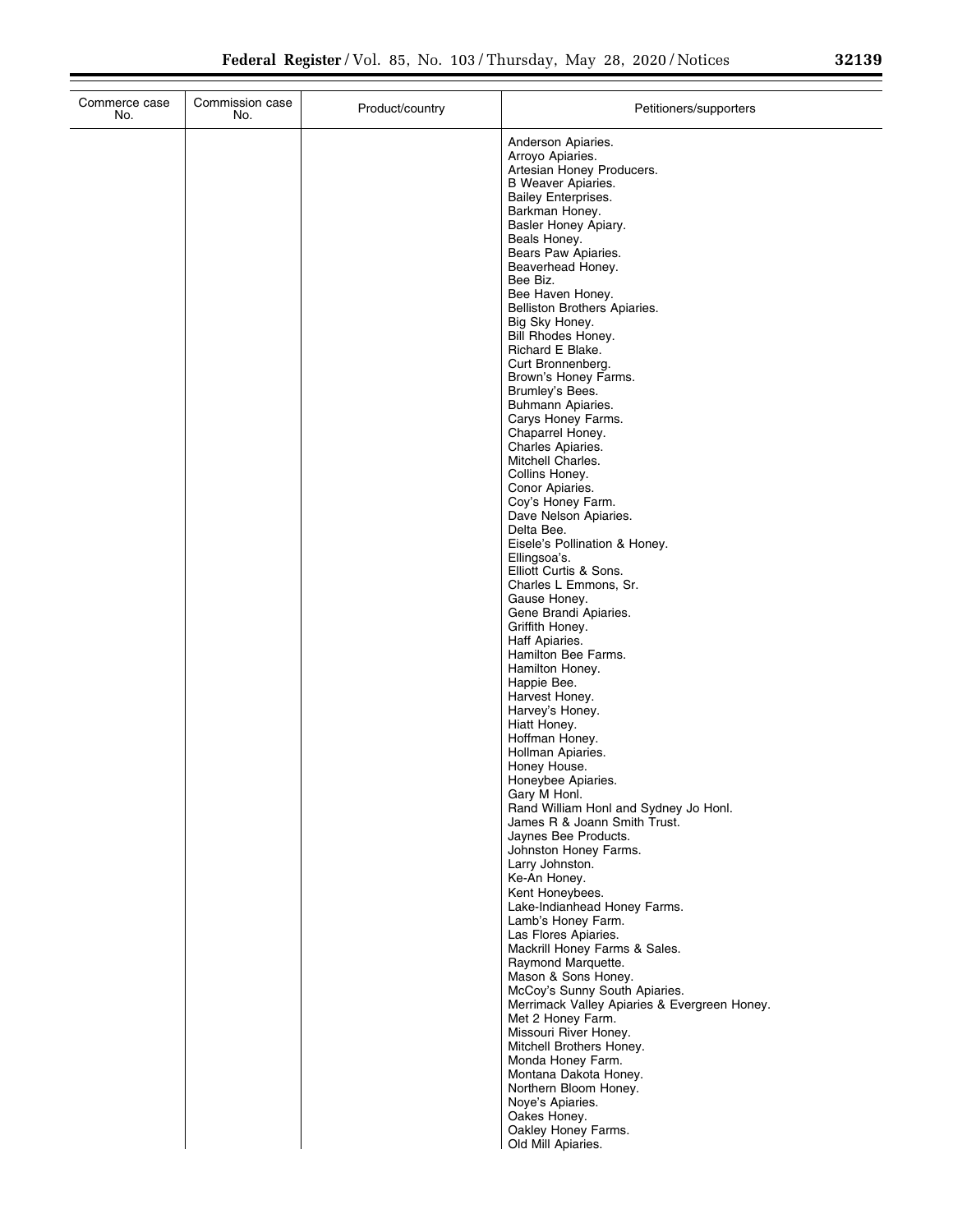÷.

| Commerce case<br>No. | Commission case<br>No. | Product/country | Petitioners/supporters                                                        |
|----------------------|------------------------|-----------------|-------------------------------------------------------------------------------|
|                      |                        |                 | Anderson Apiaries.                                                            |
|                      |                        |                 | Arroyo Apiaries.                                                              |
|                      |                        |                 | Artesian Honey Producers.<br>B Weaver Apiaries.                               |
|                      |                        |                 | <b>Bailey Enterprises.</b>                                                    |
|                      |                        |                 | Barkman Honey.                                                                |
|                      |                        |                 | Basler Honey Apiary.<br>Beals Honey.                                          |
|                      |                        |                 | Bears Paw Apiaries.                                                           |
|                      |                        |                 | Beaverhead Honey.                                                             |
|                      |                        |                 | Bee Biz.<br>Bee Haven Honey.                                                  |
|                      |                        |                 | Belliston Brothers Apiaries.                                                  |
|                      |                        |                 | Big Sky Honey.                                                                |
|                      |                        |                 | Bill Rhodes Honey.<br>Richard E Blake.                                        |
|                      |                        |                 | Curt Bronnenberg.                                                             |
|                      |                        |                 | Brown's Honey Farms.                                                          |
|                      |                        |                 | Brumley's Bees.<br>Buhmann Apiaries.                                          |
|                      |                        |                 | Carys Honey Farms.                                                            |
|                      |                        |                 | Chaparrel Honey.                                                              |
|                      |                        |                 | Charles Apiaries.<br>Mitchell Charles.                                        |
|                      |                        |                 | Collins Honey.                                                                |
|                      |                        |                 | Conor Apiaries.                                                               |
|                      |                        |                 | Coy's Honey Farm.<br>Dave Nelson Apiaries.                                    |
|                      |                        |                 | Delta Bee.                                                                    |
|                      |                        |                 | Eisele's Pollination & Honey.                                                 |
|                      |                        |                 | Ellingsoa's.<br>Elliott Curtis & Sons.                                        |
|                      |                        |                 | Charles L Emmons, Sr.                                                         |
|                      |                        |                 | Gause Honey.                                                                  |
|                      |                        |                 | Gene Brandi Apiaries.<br>Griffith Honey.                                      |
|                      |                        |                 | Haff Apiaries.                                                                |
|                      |                        |                 | Hamilton Bee Farms.                                                           |
|                      |                        |                 | Hamilton Honey.<br>Happie Bee.                                                |
|                      |                        |                 | Harvest Honey.                                                                |
|                      |                        |                 | Harvey's Honey.<br>Hiatt Honey.                                               |
|                      |                        |                 | Hoffman Honey.                                                                |
|                      |                        |                 | Hollman Apiaries.                                                             |
|                      |                        |                 | Honey House.<br>Honeybee Apiaries.                                            |
|                      |                        |                 | Gary M Honl.                                                                  |
|                      |                        |                 | Rand William Honl and Sydney Jo Honl.                                         |
|                      |                        |                 | James R & Joann Smith Trust.<br>Jaynes Bee Products.                          |
|                      |                        |                 | Johnston Honey Farms.                                                         |
|                      |                        |                 | Larry Johnston.                                                               |
|                      |                        |                 | Ke-An Honey.<br>Kent Honeybees.                                               |
|                      |                        |                 | Lake-Indianhead Honey Farms.                                                  |
|                      |                        |                 | Lamb's Honey Farm.                                                            |
|                      |                        |                 | Las Flores Apiaries.<br>Mackrill Honey Farms & Sales.                         |
|                      |                        |                 | Raymond Marquette.                                                            |
|                      |                        |                 | Mason & Sons Honey.                                                           |
|                      |                        |                 | McCoy's Sunny South Apiaries.<br>Merrimack Valley Apiaries & Evergreen Honey. |
|                      |                        |                 | Met 2 Honey Farm.                                                             |
|                      |                        |                 | Missouri River Honey.                                                         |
|                      |                        |                 | Mitchell Brothers Honey.<br>Monda Honey Farm.                                 |
|                      |                        |                 | Montana Dakota Honey.                                                         |
|                      |                        |                 | Northern Bloom Honey.                                                         |
|                      |                        |                 | Noye's Apiaries.<br>Oakes Honey.                                              |
|                      |                        |                 | Oakley Honey Farms.                                                           |
|                      |                        |                 | Old Mill Apiaries.                                                            |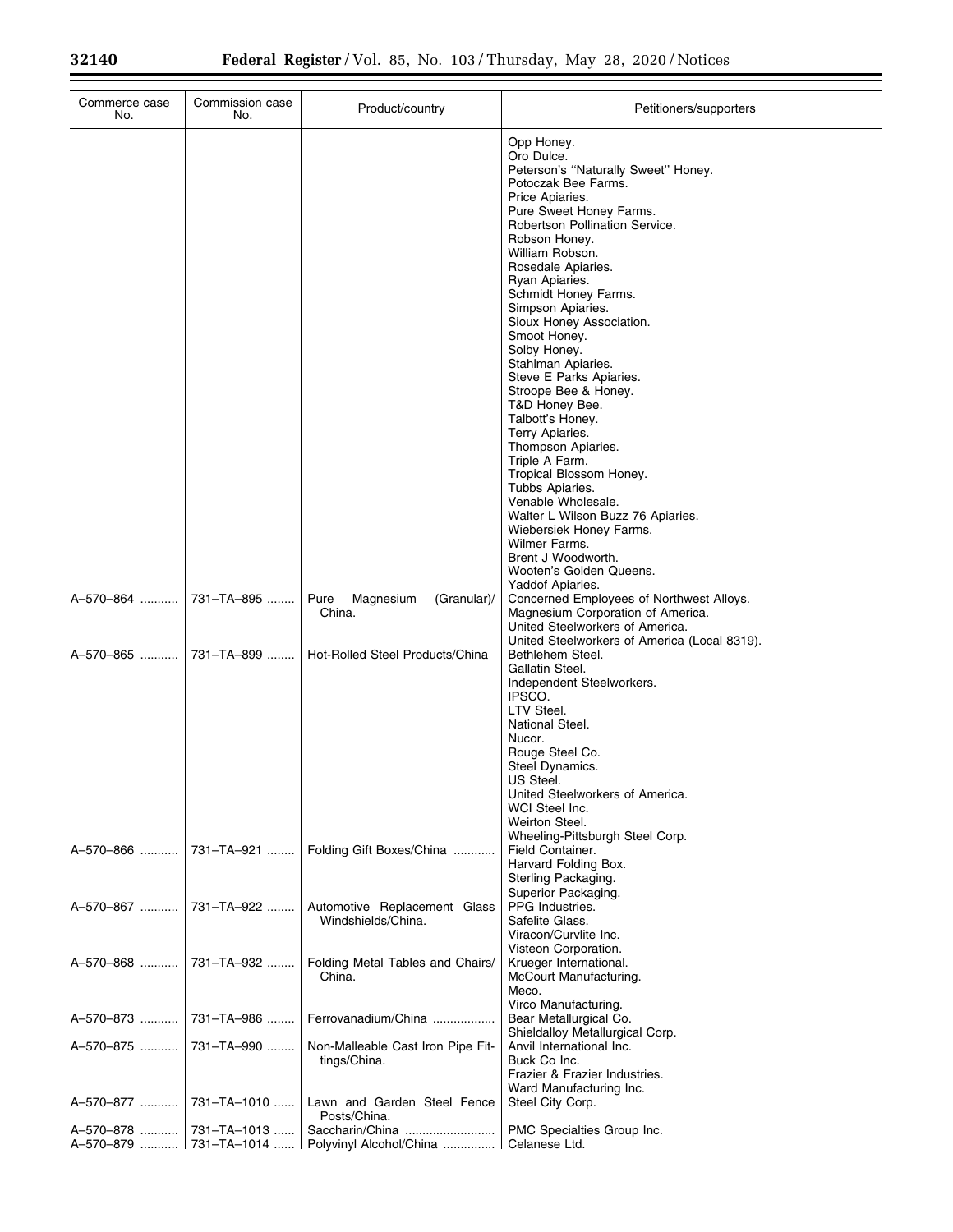Ξ

| Commerce case<br>No.   | Commission case<br>No. | Product/country                                     | Petitioners/supporters                                                                                                               |
|------------------------|------------------------|-----------------------------------------------------|--------------------------------------------------------------------------------------------------------------------------------------|
|                        |                        |                                                     | Opp Honey.<br>Oro Dulce.<br>Peterson's "Naturally Sweet" Honey.<br>Potoczak Bee Farms.<br>Price Apiaries.                            |
|                        |                        |                                                     | Pure Sweet Honey Farms.<br>Robertson Pollination Service.<br>Robson Honey.                                                           |
|                        |                        |                                                     | William Robson.<br>Rosedale Apiaries.                                                                                                |
|                        |                        |                                                     | Ryan Apiaries.<br>Schmidt Honey Farms.<br>Simpson Apiaries.                                                                          |
|                        |                        |                                                     | Sioux Honey Association.<br>Smoot Honey.<br>Solby Honey.                                                                             |
|                        |                        |                                                     | Stahlman Apiaries.<br>Steve E Parks Apiaries.                                                                                        |
|                        |                        |                                                     | Stroope Bee & Honey.<br>T&D Honey Bee.<br>Talbott's Honey.                                                                           |
|                        |                        |                                                     | Terry Apiaries.<br>Thompson Apiaries.<br>Triple A Farm.                                                                              |
|                        |                        |                                                     | Tropical Blossom Honey.<br>Tubbs Apiaries.                                                                                           |
|                        |                        |                                                     | Venable Wholesale.<br>Walter L Wilson Buzz 76 Apiaries.<br>Wiebersiek Honey Farms.                                                   |
|                        |                        |                                                     | Wilmer Farms.<br>Brent J Woodworth.<br>Wooten's Golden Queens.                                                                       |
| A-570-864  731-TA-895  |                        | Pure<br>Magnesium<br>(Granular)/<br>China.          | Yaddof Apiaries.<br>Concerned Employees of Northwest Alloys.<br>Magnesium Corporation of America.<br>United Steelworkers of America. |
| A-570-865  731-TA-899  |                        | Hot-Rolled Steel Products/China                     | United Steelworkers of America (Local 8319).<br>Bethlehem Steel.<br>Gallatin Steel.                                                  |
|                        |                        |                                                     | Independent Steelworkers.<br>IPSCO.<br>LTV Steel.                                                                                    |
|                        |                        |                                                     | National Steel.<br>Nucor.                                                                                                            |
|                        |                        |                                                     | Rouge Steel Co.<br>Steel Dynamics.<br>US Steel.                                                                                      |
|                        |                        |                                                     | United Steelworkers of America.<br>WCI Steel Inc.                                                                                    |
| A-570-866              | 731–TA–921             | Folding Gift Boxes/China                            | Weirton Steel.<br>Wheeling-Pittsburgh Steel Corp.<br>Field Container.                                                                |
|                        |                        |                                                     | Harvard Folding Box.<br>Sterling Packaging.<br>Superior Packaging.                                                                   |
| A-570-867              | 731–TA–922 …….         | Automotive Replacement Glass<br>Windshields/China.  | PPG Industries.<br>Safelite Glass.<br>Viracon/Curvlite Inc.                                                                          |
| A-570-868  731-TA-932  |                        | Folding Metal Tables and Chairs/<br>China.          | Visteon Corporation.<br>Krueger International.<br>McCourt Manufacturing.<br>Meco.                                                    |
| A-570-873              | 731–TA–986             | Ferrovanadium/China                                 | Virco Manufacturing.<br>Bear Metallurgical Co.<br>Shieldalloy Metallurgical Corp.                                                    |
|                        |                        | Non-Malleable Cast Iron Pipe Fit-<br>tings/China.   | Anvil International Inc.<br>Buck Co Inc.<br>Frazier & Frazier Industries.                                                            |
| A-570-877              | 731-TA-1010            | Lawn and Garden Steel Fence<br>Posts/China.         | Ward Manufacturing Inc.<br>Steel City Corp.                                                                                          |
| A-570-878  731-TA-1013 |                        | A-570-879    731-TA-1014    Polyvinyl Alcohol/China | PMC Specialties Group Inc.<br>Celanese Ltd.                                                                                          |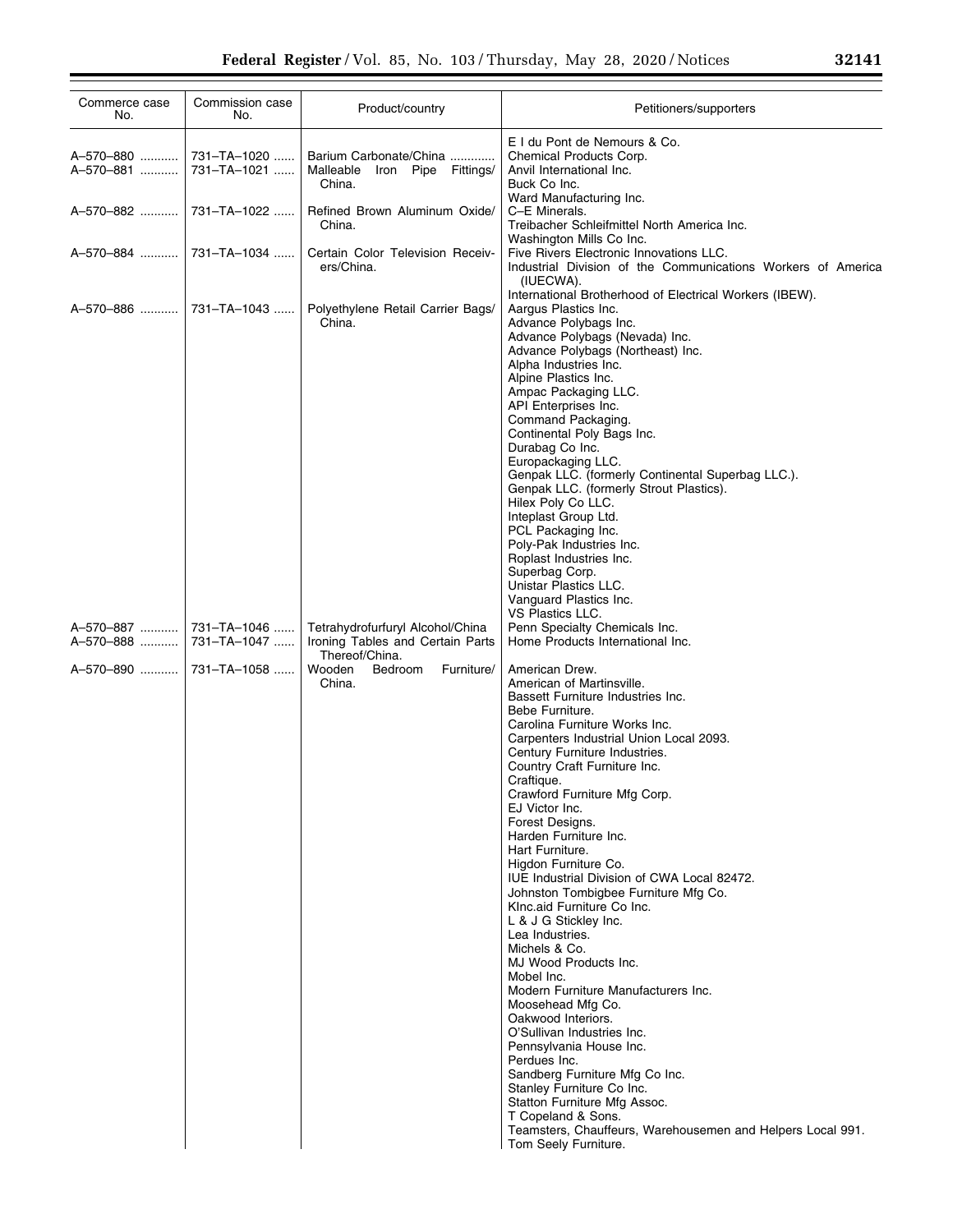| Commerce case<br>No.                | Commission case<br>No.                    | Product/country                                                                                                                     | Petitioners/supporters                                                                                                                                                                                                                                                                                                                                                                                                                                                                                                                                                                                                                                                                                                                                                                                                                                                                                                                                                                                                                                                                                                                             |
|-------------------------------------|-------------------------------------------|-------------------------------------------------------------------------------------------------------------------------------------|----------------------------------------------------------------------------------------------------------------------------------------------------------------------------------------------------------------------------------------------------------------------------------------------------------------------------------------------------------------------------------------------------------------------------------------------------------------------------------------------------------------------------------------------------------------------------------------------------------------------------------------------------------------------------------------------------------------------------------------------------------------------------------------------------------------------------------------------------------------------------------------------------------------------------------------------------------------------------------------------------------------------------------------------------------------------------------------------------------------------------------------------------|
| A-570-880<br>A-570-881              | 731-TA-1020<br>731-TA-1021                | Barium Carbonate/China<br>Malleable<br>Iron Pipe Fittings/<br>China.                                                                | E I du Pont de Nemours & Co.<br>Chemical Products Corp.<br>Anvil International Inc.<br>Buck Co Inc.<br>Ward Manufacturing Inc.                                                                                                                                                                                                                                                                                                                                                                                                                                                                                                                                                                                                                                                                                                                                                                                                                                                                                                                                                                                                                     |
|                                     | A-570-882  731-TA-1022                    | Refined Brown Aluminum Oxide/<br>China.                                                                                             | C-E Minerals.<br>Treibacher Schleifmittel North America Inc.                                                                                                                                                                                                                                                                                                                                                                                                                                                                                                                                                                                                                                                                                                                                                                                                                                                                                                                                                                                                                                                                                       |
| A-570-884                           | 731-TA-1034                               | Certain Color Television Receiv-<br>ers/China.                                                                                      | Washington Mills Co Inc.<br>Five Rivers Electronic Innovations LLC.<br>Industrial Division of the Communications Workers of America<br>(IUECWA).                                                                                                                                                                                                                                                                                                                                                                                                                                                                                                                                                                                                                                                                                                                                                                                                                                                                                                                                                                                                   |
|                                     | A-570-886  731-TA-1043                    | Polyethylene Retail Carrier Bags/<br>China.                                                                                         | International Brotherhood of Electrical Workers (IBEW).<br>Aargus Plastics Inc.<br>Advance Polybags Inc.<br>Advance Polybags (Nevada) Inc.<br>Advance Polybags (Northeast) Inc.<br>Alpha Industries Inc.<br>Alpine Plastics Inc.<br>Ampac Packaging LLC.<br>API Enterprises Inc.<br>Command Packaging.<br>Continental Poly Bags Inc.<br>Durabag Co Inc.<br>Europackaging LLC.<br>Genpak LLC. (formerly Continental Superbag LLC.).<br>Genpak LLC. (formerly Strout Plastics).<br>Hilex Poly Co LLC.<br>Inteplast Group Ltd.<br>PCL Packaging Inc.<br>Poly-Pak Industries Inc.<br>Roplast Industries Inc.<br>Superbag Corp.                                                                                                                                                                                                                                                                                                                                                                                                                                                                                                                         |
| A-570-887<br>A-570-888<br>A-570-890 | 731–TA–1046<br>731–TA–1047<br>731–TA–1058 | Tetrahydrofurfuryl Alcohol/China<br>Ironing Tables and Certain Parts<br>Thereof/China.<br>Wooden<br>Bedroom<br>Furniture/<br>China. | Unistar Plastics LLC.<br>Vanguard Plastics Inc.<br>VS Plastics LLC.<br>Penn Specialty Chemicals Inc.<br>Home Products International Inc.<br>American Drew.<br>American of Martinsville.<br>Bassett Furniture Industries Inc.<br>Bebe Furniture.<br>Carolina Furniture Works Inc.<br>Carpenters Industrial Union Local 2093.<br>Century Furniture Industries.<br>Country Craft Furniture Inc.<br>Craftique.<br>Crawford Furniture Mfg Corp.<br>EJ Victor Inc.<br>Forest Designs.<br>Harden Furniture Inc.<br>Hart Furniture.<br>Higdon Furniture Co.<br>IUE Industrial Division of CWA Local 82472.<br>Johnston Tombigbee Furniture Mfg Co.<br>Klnc.aid Furniture Co Inc.<br>L & J G Stickley Inc.<br>Lea Industries.<br>Michels & Co.<br>MJ Wood Products Inc.<br>Mobel Inc.<br>Modern Furniture Manufacturers Inc.<br>Moosehead Mfg Co.<br>Oakwood Interiors.<br>O'Sullivan Industries Inc.<br>Pennsylvania House Inc.<br>Perdues Inc.<br>Sandberg Furniture Mfg Co Inc.<br>Stanley Furniture Co Inc.<br>Statton Furniture Mfg Assoc.<br>T Copeland & Sons.<br>Teamsters, Chauffeurs, Warehousemen and Helpers Local 991.<br>Tom Seely Furniture. |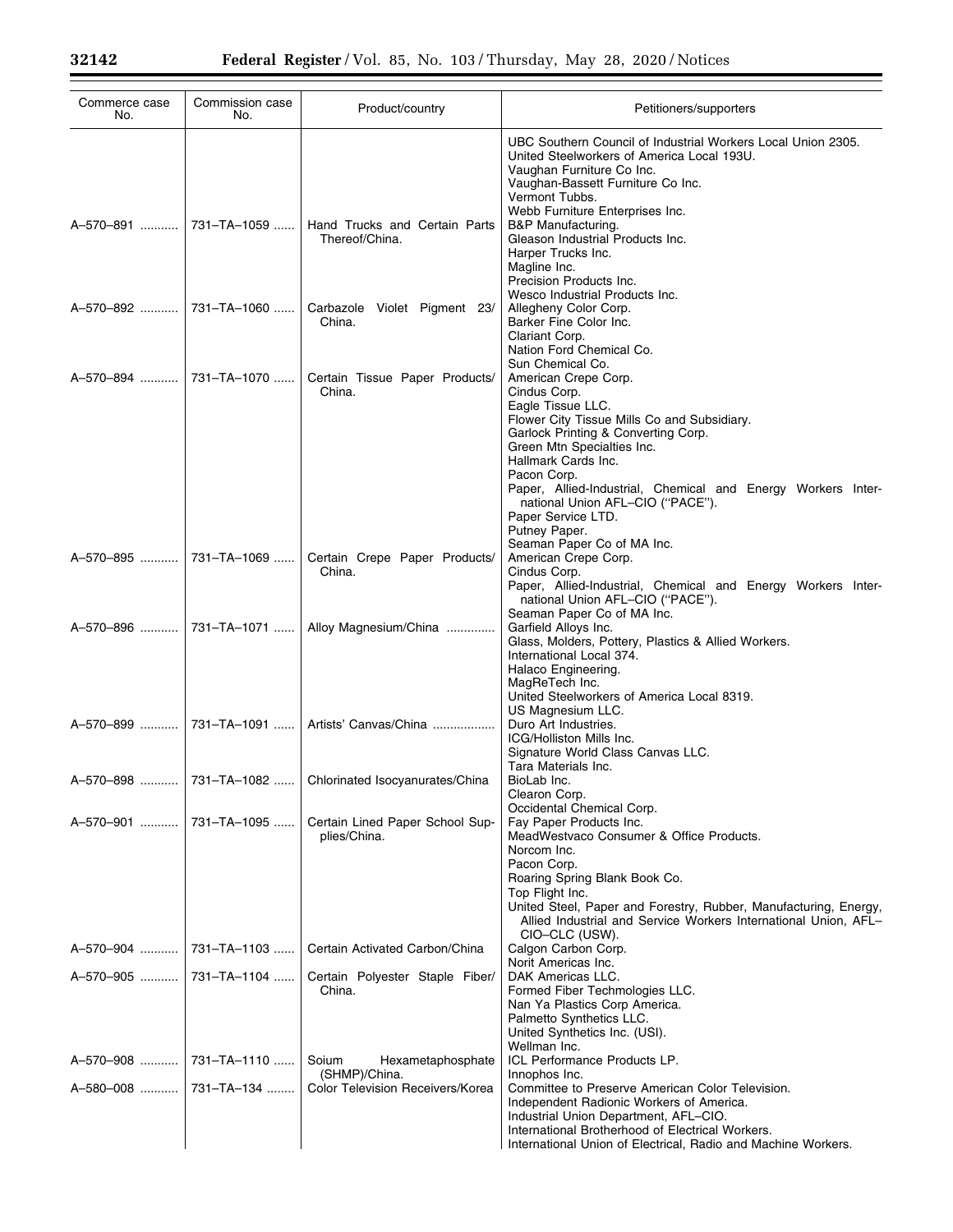| Commerce case<br>No.     | Commission case<br>No. | Product/country                                         | Petitioners/supporters                                                                                                                                                                                                                                                                                                                                            |
|--------------------------|------------------------|---------------------------------------------------------|-------------------------------------------------------------------------------------------------------------------------------------------------------------------------------------------------------------------------------------------------------------------------------------------------------------------------------------------------------------------|
| A-570-891    731-TA-1059 |                        | Hand Trucks and Certain Parts<br>Thereof/China.         | UBC Southern Council of Industrial Workers Local Union 2305.<br>United Steelworkers of America Local 193U.<br>Vaughan Furniture Co Inc.<br>Vaughan-Bassett Furniture Co Inc.<br>Vermont Tubbs.<br>Webb Furniture Enterprises Inc.<br>B&P Manufacturing.<br>Gleason Industrial Products Inc.<br>Harper Trucks Inc.<br>Magline Inc.<br>Precision Products Inc.      |
| A-570-892    731-TA-1060 |                        | Carbazole Violet Pigment 23/<br>China.                  | Wesco Industrial Products Inc.<br>Allegheny Color Corp.<br>Barker Fine Color Inc.<br>Clariant Corp.<br>Nation Ford Chemical Co.                                                                                                                                                                                                                                   |
| A-570-894    731-TA-1070 |                        | Certain Tissue Paper Products/<br>China.                | Sun Chemical Co.<br>American Crepe Corp.<br>Cindus Corp.<br>Eagle Tissue LLC.<br>Flower City Tissue Mills Co and Subsidiary.<br>Garlock Printing & Converting Corp.<br>Green Mtn Specialties Inc.<br>Hallmark Cards Inc.<br>Pacon Corp.<br>Paper, Allied-Industrial, Chemical and Energy Workers Inter-<br>national Union AFL-CIO ("PACE").<br>Paper Service LTD. |
| A-570-895                | 731-TA-1069            | Certain Crepe Paper Products/<br>China.                 | Putney Paper.<br>Seaman Paper Co of MA Inc.<br>American Crepe Corp.<br>Cindus Corp.<br>Paper, Allied-Industrial, Chemical and Energy Workers Inter-<br>national Union AFL-CIO ("PACE").                                                                                                                                                                           |
|                          |                        | Alloy Magnesium/China                                   | Seaman Paper Co of MA Inc.<br>Garfield Alloys Inc.<br>Glass, Molders, Pottery, Plastics & Allied Workers.<br>International Local 374.<br>Halaco Engineering.<br>MagReTech Inc.<br>United Steelworkers of America Local 8319.                                                                                                                                      |
|                          |                        | A-570-899  731-TA-1091  Artists' Canvas/China           | US Magnesium LLC.<br>Duro Art Industries.<br>ICG/Holliston Mills Inc.<br>Signature World Class Canvas LLC.                                                                                                                                                                                                                                                        |
|                          |                        | A-570-898  731-TA-1082  Chlorinated Isocyanurates/China | Tara Materials Inc.<br>BioLab Inc.<br>Clearon Corp.                                                                                                                                                                                                                                                                                                               |
| A-570-901  731-TA-1095   |                        | Certain Lined Paper School Sup-<br>plies/China.         | Occidental Chemical Corp.<br>Fay Paper Products Inc.<br>MeadWestvaco Consumer & Office Products.<br>Norcom Inc.<br>Pacon Corp.<br>Roaring Spring Blank Book Co.<br>Top Flight Inc.<br>United Steel, Paper and Forestry, Rubber, Manufacturing, Energy,<br>Allied Industrial and Service Workers International Union, AFL-                                         |
| A-570-904  731-TA-1103   |                        | Certain Activated Carbon/China                          | CIO-CLC (USW).<br>Calgon Carbon Corp.<br>Norit Americas Inc.                                                                                                                                                                                                                                                                                                      |
|                          |                        | Certain Polyester Staple Fiber/<br>China.               | DAK Americas LLC.<br>Formed Fiber Techmologies LLC.<br>Nan Ya Plastics Corp America.<br>Palmetto Synthetics LLC.<br>United Synthetics Inc. (USI).<br>Wellman Inc.                                                                                                                                                                                                 |
| A-570-908  731-TA-1110   |                        | Soium<br>Hexametaphosphate<br>(SHMP)/China.             | ICL Performance Products LP.<br>Innophos Inc.                                                                                                                                                                                                                                                                                                                     |
|                          |                        | Color Television Receivers/Korea                        | Committee to Preserve American Color Television.<br>Independent Radionic Workers of America.<br>Industrial Union Department, AFL-CIO.<br>International Brotherhood of Electrical Workers.<br>International Union of Electrical, Radio and Machine Workers.                                                                                                        |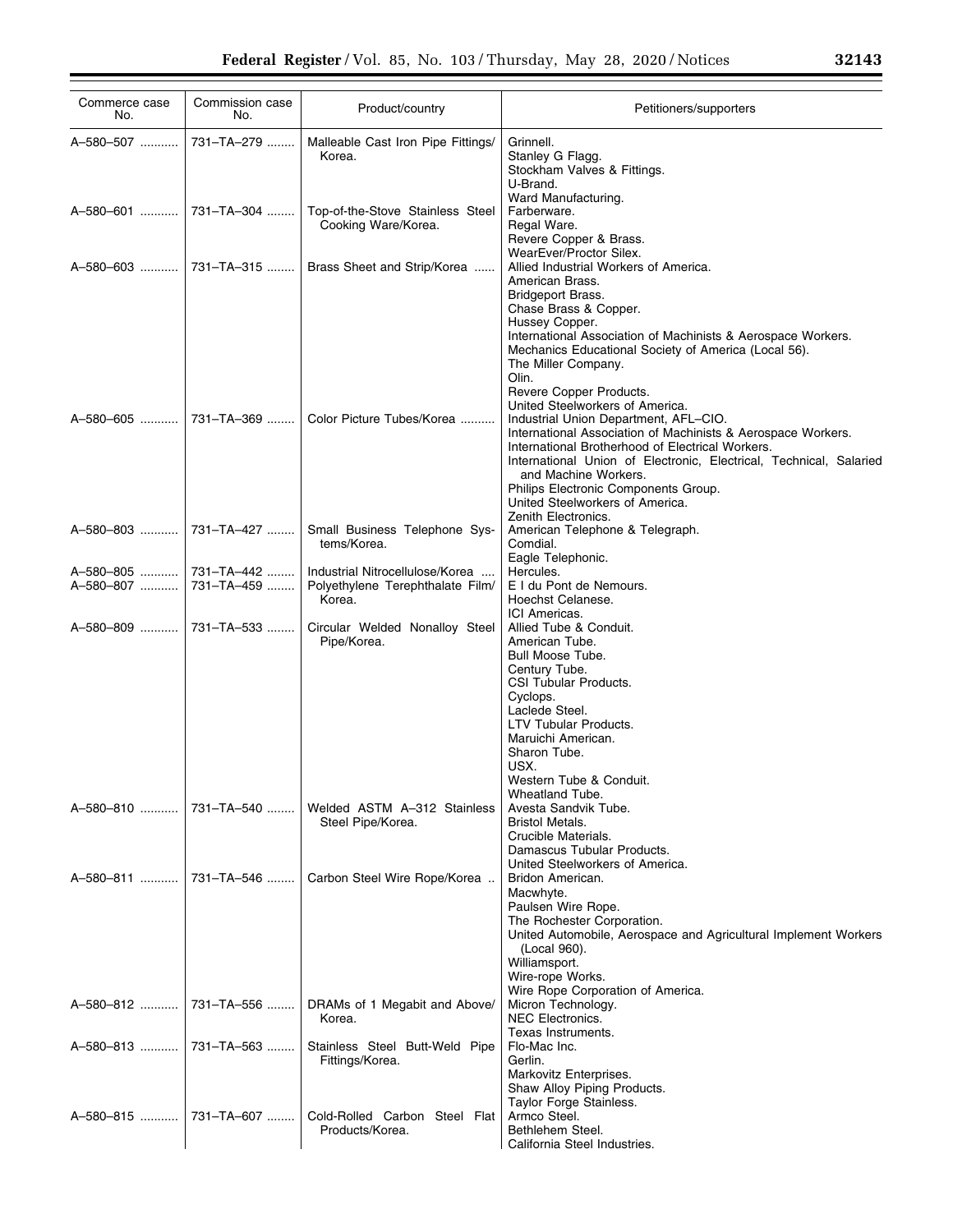| Commerce case<br>No.   | Commission case<br>No.   | Product/country                                                               | Petitioners/supporters                                                                                                                                                                                                                                                                     |
|------------------------|--------------------------|-------------------------------------------------------------------------------|--------------------------------------------------------------------------------------------------------------------------------------------------------------------------------------------------------------------------------------------------------------------------------------------|
| A-580-507              | 731-TA-279               | Malleable Cast Iron Pipe Fittings/<br>Korea.                                  | Grinnell.<br>Stanley G Flagg.<br>Stockham Valves & Fittings.<br>U-Brand.                                                                                                                                                                                                                   |
| A-580-601              | 731-TA-304               | Top-of-the-Stove Stainless Steel<br>Cooking Ware/Korea.                       | Ward Manufacturing.<br>Farberware.<br>Regal Ware.<br>Revere Copper & Brass.                                                                                                                                                                                                                |
|                        |                          | Brass Sheet and Strip/Korea                                                   | WearEver/Proctor Silex.<br>Allied Industrial Workers of America.<br>American Brass.<br>Bridgeport Brass.                                                                                                                                                                                   |
|                        |                          |                                                                               | Chase Brass & Copper.<br>Hussey Copper.<br>International Association of Machinists & Aerospace Workers.<br>Mechanics Educational Society of America (Local 56).<br>The Miller Company.<br>Olin.<br>Revere Copper Products.                                                                 |
| A-580-605              | 731-TA-369               | Color Picture Tubes/Korea                                                     | United Steelworkers of America.<br>Industrial Union Department, AFL-CIO.<br>International Association of Machinists & Aerospace Workers.<br>International Brotherhood of Electrical Workers.<br>International Union of Electronic, Electrical, Technical, Salaried<br>and Machine Workers. |
|                        |                          |                                                                               | Philips Electronic Components Group.<br>United Steelworkers of America.<br>Zenith Electronics.                                                                                                                                                                                             |
| A-580-803              | 731–TA–427               | Small Business Telephone Sys-<br>tems/Korea.                                  | American Telephone & Telegraph.<br>Comdial.<br>Eagle Telephonic.                                                                                                                                                                                                                           |
| A-580-805<br>A-580-807 | 731-TA-442<br>731-TA-459 | Industrial Nitrocellulose/Korea<br>Polyethylene Terephthalate Film/<br>Korea. | Hercules.<br>E I du Pont de Nemours.<br>Hoechst Celanese.<br>ICI Americas.                                                                                                                                                                                                                 |
| A-580-809              | 731-TA-533               | Circular Welded Nonalloy Steel<br>Pipe/Korea.                                 | Allied Tube & Conduit.<br>American Tube.<br>Bull Moose Tube.<br>Century Tube.<br>CSI Tubular Products.<br>Cyclops.<br>Laclede Steel.<br>LTV Tubular Products.<br>Maruichi American.<br>Sharon Tube.<br>USX.<br>Western Tube & Conduit.<br>Wheatland Tube.                                  |
| A-580-810              | 731-TA-540               | Welded ASTM A-312 Stainless<br>Steel Pipe/Korea.                              | Avesta Sandvik Tube.<br><b>Bristol Metals.</b><br>Crucible Materials.<br>Damascus Tubular Products.<br>United Steelworkers of America.                                                                                                                                                     |
| A-580-811              | 731-TA-546               | Carbon Steel Wire Rope/Korea                                                  | Bridon American.<br>Macwhyte.<br>Paulsen Wire Rope.<br>The Rochester Corporation.<br>United Automobile, Aerospace and Agricultural Implement Workers<br>(Local 960).<br>Williamsport.<br>Wire-rope Works.<br>Wire Rope Corporation of America.                                             |
| A-580-812              | 731-TA-556               | DRAMs of 1 Megabit and Above/<br>Korea.                                       | Micron Technology.<br><b>NEC Electronics.</b><br>Texas Instruments.                                                                                                                                                                                                                        |
| A-580-813              | 731-TA-563               | Stainless Steel Butt-Weld Pipe<br>Fittings/Korea.                             | Flo-Mac Inc.<br>Gerlin.<br>Markovitz Enterprises.<br>Shaw Alloy Piping Products.                                                                                                                                                                                                           |
| A-580-815              | 731-TA-607               | Cold-Rolled Carbon Steel Flat<br>Products/Korea.                              | Taylor Forge Stainless.<br>Armco Steel.<br>Bethlehem Steel.<br>California Steel Industries.                                                                                                                                                                                                |

▀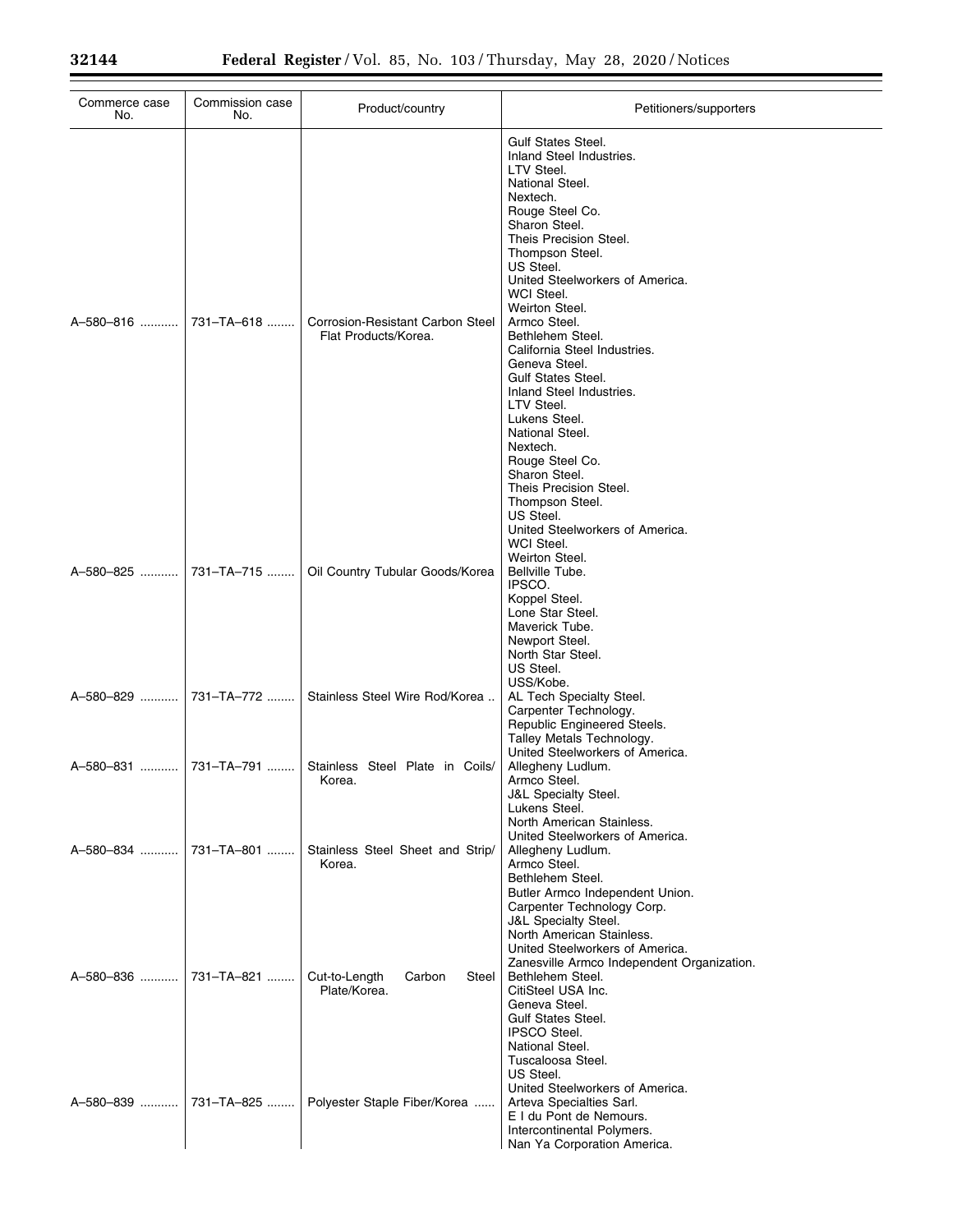| Commerce case<br>No. | Commission case<br>No. | Product/country                                          | Petitioners/supporters                                                                                                                                                                                                                                                                                                                                                                                                                                                                                              |
|----------------------|------------------------|----------------------------------------------------------|---------------------------------------------------------------------------------------------------------------------------------------------------------------------------------------------------------------------------------------------------------------------------------------------------------------------------------------------------------------------------------------------------------------------------------------------------------------------------------------------------------------------|
| A-580-816            | 731-TA-618             | Corrosion-Resistant Carbon Steel<br>Flat Products/Korea. | <b>Gulf States Steel.</b><br>Inland Steel Industries.<br>LTV Steel.<br>National Steel.<br>Nextech.<br>Rouge Steel Co.<br>Sharon Steel.<br>Theis Precision Steel.<br>Thompson Steel.<br>US Steel.<br>United Steelworkers of America.<br>WCI Steel.<br>Weirton Steel.<br>Armco Steel.<br>Bethlehem Steel.<br>California Steel Industries.<br>Geneva Steel.<br><b>Gulf States Steel.</b><br>Inland Steel Industries.<br>LTV Steel.<br>Lukens Steel.<br>National Steel.<br>Nextech.<br>Rouge Steel Co.<br>Sharon Steel. |
| A-580-825            | 731-TA-715             | Oil Country Tubular Goods/Korea                          | Theis Precision Steel.<br>Thompson Steel.<br>US Steel.<br>United Steelworkers of America.<br>WCI Steel.<br>Weirton Steel.<br>Bellville Tube.<br>IPSCO.<br>Koppel Steel.<br>Lone Star Steel.<br>Maverick Tube.<br>Newport Steel.<br>North Star Steel.<br>US Steel.                                                                                                                                                                                                                                                   |
| A-580-829            | 731-TA-772             | Stainless Steel Wire Rod/Korea                           | USS/Kobe.<br>AL Tech Specialty Steel.<br>Carpenter Technology.<br>Republic Engineered Steels.<br>Talley Metals Technology.                                                                                                                                                                                                                                                                                                                                                                                          |
| A-580-831            | 731-TA-791             | Stainless Steel Plate in Coils/<br>Korea.                | United Steelworkers of America.<br>Allegheny Ludlum.<br>Armco Steel.<br>J&L Specialty Steel.<br>Lukens Steel.<br>North American Stainless.                                                                                                                                                                                                                                                                                                                                                                          |
| A-580-834            | 731-TA-801             | Stainless Steel Sheet and Strip/<br>Korea.               | United Steelworkers of America.<br>Allegheny Ludlum.<br>Armco Steel.<br>Bethlehem Steel.<br>Butler Armco Independent Union.<br>Carpenter Technology Corp.<br><b>J&amp;L Specialty Steel.</b>                                                                                                                                                                                                                                                                                                                        |
| A-580-836            | 731-TA-821             | Cut-to-Length<br>Steel<br>Carbon<br>Plate/Korea.         | North American Stainless.<br>United Steelworkers of America.<br>Zanesville Armco Independent Organization.<br>Bethlehem Steel.<br>CitiSteel USA Inc.<br>Geneva Steel.<br><b>Gulf States Steel.</b><br><b>IPSCO Steel.</b><br>National Steel.                                                                                                                                                                                                                                                                        |
| A-580-839            | 731-TA-825             | Polyester Staple Fiber/Korea                             | Tuscaloosa Steel.<br>US Steel.<br>United Steelworkers of America.<br>Arteva Specialties Sarl.<br>E I du Pont de Nemours.<br>Intercontinental Polymers.<br>Nan Ya Corporation America.                                                                                                                                                                                                                                                                                                                               |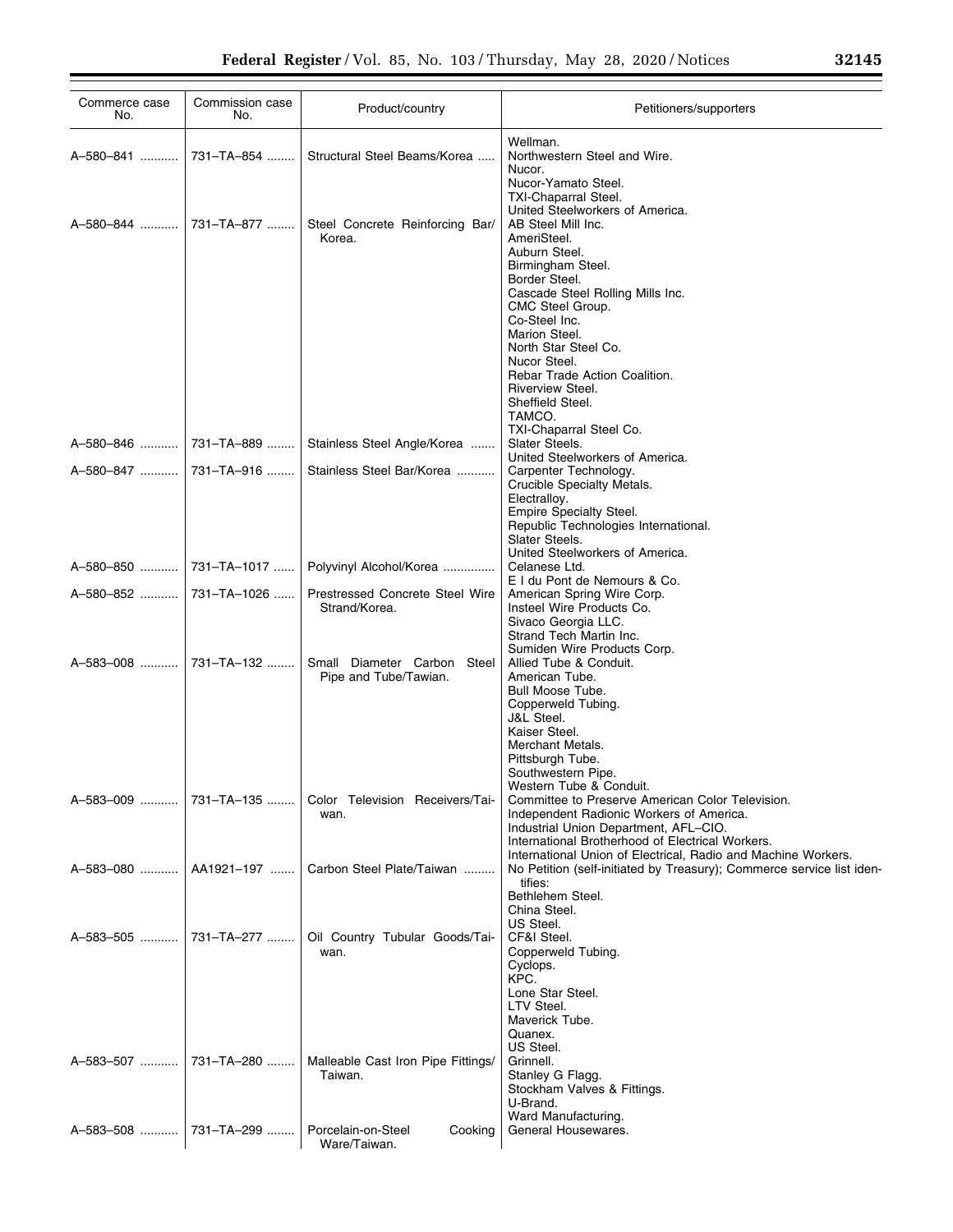| Commerce case<br>No.                           | Commission case<br>No. | Product/country                                                                | Petitioners/supporters                                                                                                                                                                                                                     |
|------------------------------------------------|------------------------|--------------------------------------------------------------------------------|--------------------------------------------------------------------------------------------------------------------------------------------------------------------------------------------------------------------------------------------|
|                                                |                        | Structural Steel Beams/Korea                                                   | Wellman.<br>Northwestern Steel and Wire.<br>Nucor.                                                                                                                                                                                         |
|                                                |                        | Steel Concrete Reinforcing Bar/<br>Korea.                                      | Nucor-Yamato Steel.<br><b>TXI-Chaparral Steel.</b><br>United Steelworkers of America.<br>AB Steel Mill Inc.<br>AmeriSteel.<br>Auburn Steel.<br>Birmingham Steel.                                                                           |
|                                                |                        |                                                                                | Border Steel.<br>Cascade Steel Rolling Mills Inc.<br>CMC Steel Group.<br>Co-Steel Inc.<br>Marion Steel.<br>North Star Steel Co.                                                                                                            |
|                                                |                        |                                                                                | Nucor Steel.<br>Rebar Trade Action Coalition.<br>Riverview Steel.<br>Sheffield Steel.<br>TAMCO.<br>TXI-Chaparral Steel Co.                                                                                                                 |
|                                                |                        | Stainless Steel Angle/Korea                                                    | Slater Steels.<br>United Steelworkers of America.                                                                                                                                                                                          |
| A-580-847  731-TA-916                          |                        | Stainless Steel Bar/Korea                                                      | Carpenter Technology.<br>Crucible Specialty Metals.<br>Electralloy.<br>Empire Specialty Steel.<br>Republic Technologies International.<br>Slater Steels.                                                                                   |
|                                                |                        | Polyvinyl Alcohol/Korea                                                        | United Steelworkers of America.<br>Celanese Ltd.                                                                                                                                                                                           |
| A-580-852    731-TA-1026                       |                        | Prestressed Concrete Steel Wire<br>Strand/Korea.                               | E I du Pont de Nemours & Co.<br>American Spring Wire Corp.<br>Insteel Wire Products Co.<br>Sivaco Georgia LLC.                                                                                                                             |
| A-583-008  731-TA-132                          |                        | Small Diameter Carbon Steel<br>Pipe and Tube/Tawian.                           | Strand Tech Martin Inc.<br>Sumiden Wire Products Corp.<br>Allied Tube & Conduit.<br>American Tube.<br>Bull Moose Tube.<br>Copperweld Tubing.<br>J&L Steel.<br>Kaiser Steel.<br>Merchant Metals.<br>Pittsburgh Tube.                        |
|                                                |                        | Color Television Receivers/Tai-<br>wan.                                        | Southwestern Pipe.<br>Western Tube & Conduit.<br>Committee to Preserve American Color Television.<br>Independent Radionic Workers of America.<br>Industrial Union Department, AFL-CIO.<br>International Brotherhood of Electrical Workers. |
| A-583-080    AA1921-197                        |                        | Carbon Steel Plate/Taiwan                                                      | International Union of Electrical, Radio and Machine Workers.<br>No Petition (self-initiated by Treasury); Commerce service list iden-<br>tifies:<br>Bethlehem Steel.                                                                      |
| A-583-505  731-TA-277                          |                        | Oil Country Tubular Goods/Tai-<br>wan.                                         | China Steel.<br>US Steel.<br>CF&I Steel.<br>Copperweld Tubing.<br>Cyclops.<br>KPC.                                                                                                                                                         |
| A-583-507  731-TA-280<br>A-583-508  731-TA-299 |                        | Malleable Cast Iron Pipe Fittings/<br>Taiwan.<br>Porcelain-on-Steel<br>Cooking | Lone Star Steel.<br>LTV Steel.<br>Maverick Tube.<br>Quanex.<br>US Steel.<br>Grinnell.<br>Stanley G Flagg.<br>Stockham Valves & Fittings.<br>U-Brand.<br>Ward Manufacturing.<br>General Housewares.                                         |
|                                                |                        | Ware/Taiwan.                                                                   |                                                                                                                                                                                                                                            |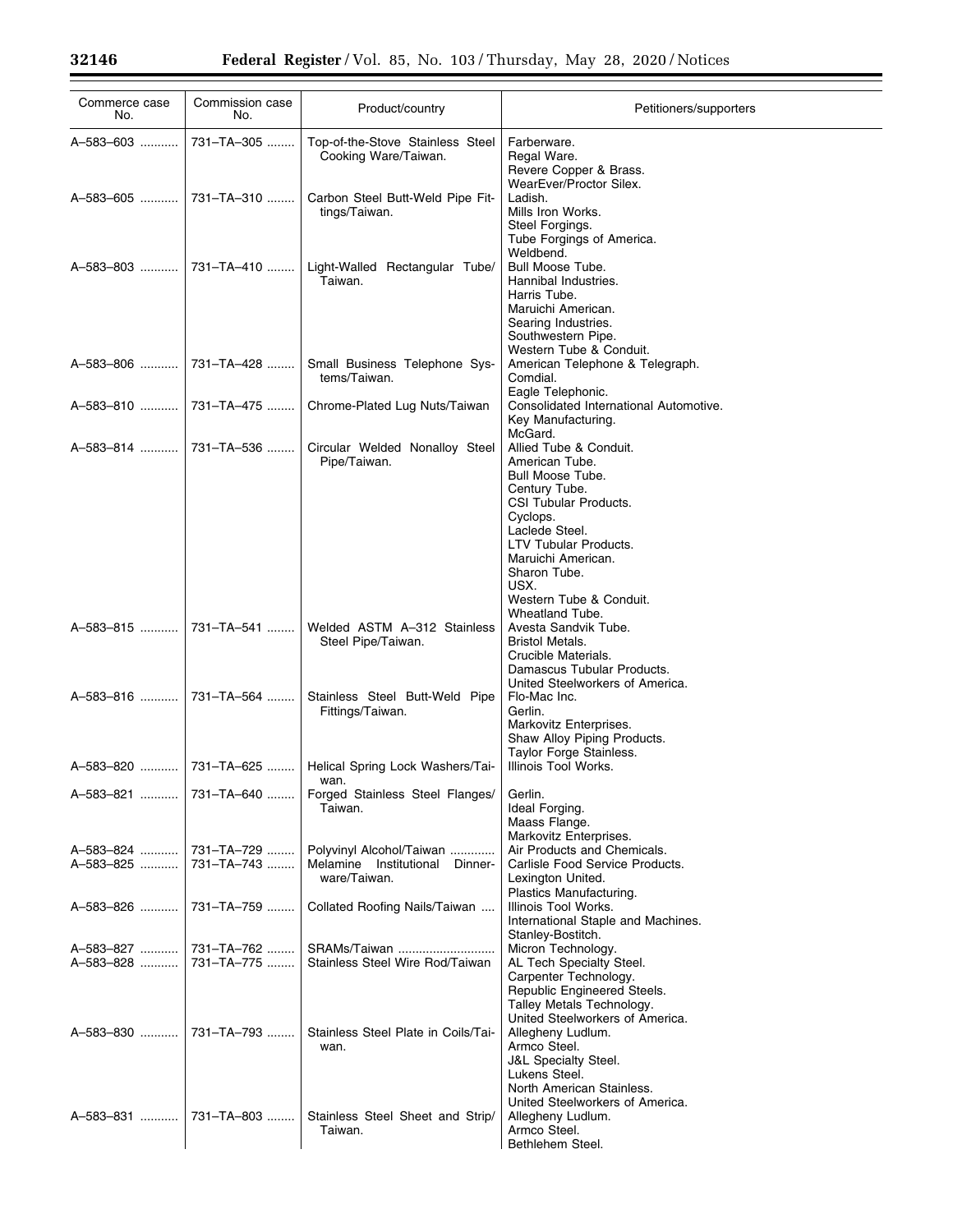| Commerce case<br>No.      | Commission case<br>No.   | Product/country                                                               | Petitioners/supporters                                                                                                                                                                                                                                           |
|---------------------------|--------------------------|-------------------------------------------------------------------------------|------------------------------------------------------------------------------------------------------------------------------------------------------------------------------------------------------------------------------------------------------------------|
| A-583-603                 | 731-TA-305               | Top-of-the-Stove Stainless Steel<br>Cooking Ware/Taiwan.                      | Farberware.<br>Regal Ware.<br>Revere Copper & Brass.                                                                                                                                                                                                             |
| A-583-605                 | 731-TA-310               | Carbon Steel Butt-Weld Pipe Fit-<br>tings/Taiwan.                             | WearEver/Proctor Silex.<br>Ladish.<br>Mills Iron Works.<br>Steel Forgings.<br>Tube Forgings of America.                                                                                                                                                          |
| A-583-803                 | 731-TA-410               | Light-Walled Rectangular Tube/<br>Taiwan.                                     | Weldbend.<br><b>Bull Moose Tube.</b><br>Hannibal Industries.<br>Harris Tube.<br>Maruichi American.<br>Searing Industries.<br>Southwestern Pipe.<br>Western Tube & Conduit.                                                                                       |
| A-583-806                 | 731-TA-428               | Small Business Telephone Sys-<br>tems/Taiwan.                                 | American Telephone & Telegraph.<br>Comdial.<br>Eagle Telephonic.                                                                                                                                                                                                 |
| A-583-810                 | 731-TA-475               | Chrome-Plated Lug Nuts/Taiwan                                                 | Consolidated International Automotive.<br>Key Manufacturing.<br>McGard.                                                                                                                                                                                          |
| A-583-814                 | 731-TA-536               | Circular Welded Nonalloy Steel<br>Pipe/Taiwan.                                | Allied Tube & Conduit.<br>American Tube.<br>Bull Moose Tube.<br>Century Tube.<br><b>CSI Tubular Products.</b><br>Cyclops.<br>Laclede Steel.<br>LTV Tubular Products.<br>Maruichi American.<br>Sharon Tube.<br>USX.<br>Western Tube & Conduit.<br>Wheatland Tube. |
| A-583-815                 | 731-TA-541               | Welded ASTM A-312 Stainless<br>Steel Pipe/Taiwan.                             | Avesta Sandvik Tube.<br><b>Bristol Metals.</b><br>Crucible Materials.<br>Damascus Tubular Products.<br>United Steelworkers of America.                                                                                                                           |
| A-583-816                 | 731-TA-564               | Stainless Steel Butt-Weld Pipe<br>Fittings/Taiwan.                            | Flo-Mac Inc.<br>Gerlin.<br>Markovitz Enterprises.<br>Shaw Alloy Piping Products.<br>Taylor Forge Stainless.                                                                                                                                                      |
| A-583-820                 | 731-TA-625               | Helical Spring Lock Washers/Tai-<br>wan.                                      | Illinois Tool Works.                                                                                                                                                                                                                                             |
| A-583-821                 | 731-TA-640               | Forged Stainless Steel Flanges/<br>Taiwan.                                    | Gerlin.<br>Ideal Forging.<br>Maass Flange.<br>Markovitz Enterprises.                                                                                                                                                                                             |
| A-583-824   <br>A-583-825 | 731-TA-729<br>731-TA-743 | Polyvinyl Alcohol/Taiwan<br>Melamine Institutional<br>Dinner-<br>ware/Taiwan. | Air Products and Chemicals.<br>Carlisle Food Service Products.<br>Lexington United.                                                                                                                                                                              |
| A-583-826                 | 731-TA-759               | Collated Roofing Nails/Taiwan                                                 | Plastics Manufacturing.<br>Illinois Tool Works.<br>International Staple and Machines.<br>Stanley-Bostitch.                                                                                                                                                       |
| A-583-827<br>A-583-828    | 731-TA-762<br>731-TA-775 | SRAMs/Taiwan<br>Stainless Steel Wire Rod/Taiwan                               | Micron Technology.<br>AL Tech Specialty Steel.<br>Carpenter Technology.<br>Republic Engineered Steels.<br>Talley Metals Technology.<br>United Steelworkers of America.                                                                                           |
| A-583-830                 | 731-TA-793               | Stainless Steel Plate in Coils/Tai-<br>wan.                                   | Allegheny Ludlum.<br>Armco Steel.<br><b>J&amp;L Specialty Steel.</b><br>Lukens Steel.<br>North American Stainless.<br>United Steelworkers of America.                                                                                                            |
| A-583-831                 | 731-TA-803               | Stainless Steel Sheet and Strip/<br>Taiwan.                                   | Allegheny Ludlum.<br>Armco Steel.<br>Bethlehem Steel.                                                                                                                                                                                                            |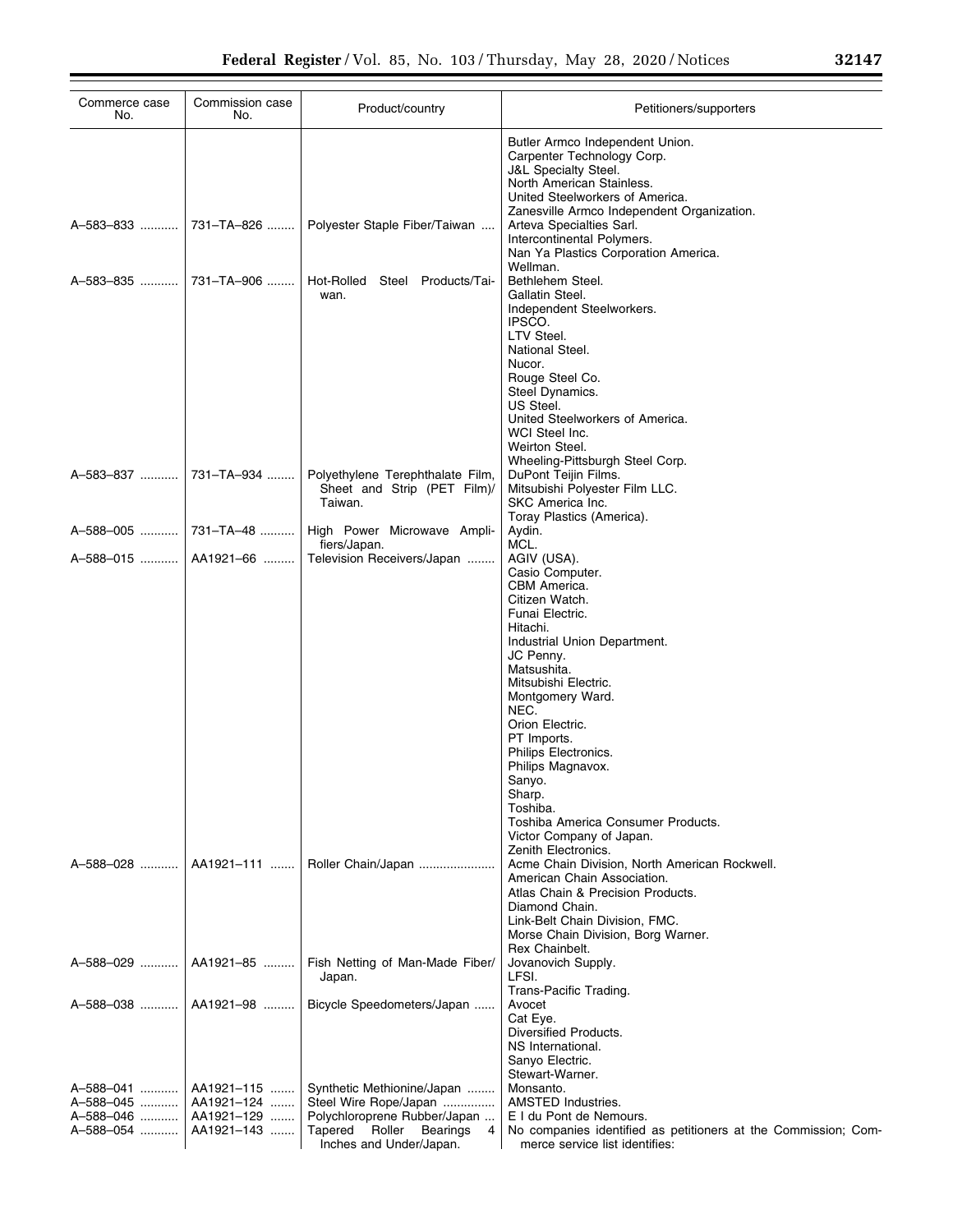| Commerce case<br>No.   | Commission case<br>No.   | Product/country                                                                            | Petitioners/supporters                                                                                                                                                                                                                                                                                                                                                                                                  |
|------------------------|--------------------------|--------------------------------------------------------------------------------------------|-------------------------------------------------------------------------------------------------------------------------------------------------------------------------------------------------------------------------------------------------------------------------------------------------------------------------------------------------------------------------------------------------------------------------|
| A-583-833              | 731-TA-826               | Polyester Staple Fiber/Taiwan                                                              | Butler Armco Independent Union.<br>Carpenter Technology Corp.<br><b>J&amp;L Specialty Steel.</b><br>North American Stainless.<br>United Steelworkers of America.<br>Zanesville Armco Independent Organization.<br>Arteva Specialties Sarl.<br>Intercontinental Polymers.<br>Nan Ya Plastics Corporation America.                                                                                                        |
| A-583-835              | 731-TA-906               | Steel Products/Tai-<br>Hot-Rolled<br>wan.                                                  | Wellman.<br>Bethlehem Steel.<br>Gallatin Steel.<br>Independent Steelworkers.<br>IPSCO.<br>LTV Steel.<br>National Steel.<br>Nucor.<br>Rouge Steel Co.<br>Steel Dynamics.<br>US Steel.<br>United Steelworkers of America.<br>WCI Steel Inc.<br>Weirton Steel.<br>Wheeling-Pittsburgh Steel Corp.                                                                                                                          |
| A-583-837              | 731-TA-934               | Polyethylene Terephthalate Film,<br>Sheet and Strip (PET Film)/<br>Taiwan.                 | DuPont Teijin Films.<br>Mitsubishi Polyester Film LLC.<br>SKC America Inc.<br>Toray Plastics (America).                                                                                                                                                                                                                                                                                                                 |
| A-588-005              | 731–TA–48                | High Power Microwave Ampli-<br>fiers/Japan.                                                | Aydin.<br>MCL.                                                                                                                                                                                                                                                                                                                                                                                                          |
| A-588-015              | AA1921-66                | Television Receivers/Japan                                                                 | AGIV (USA).<br>Casio Computer.<br>CBM America.<br>Citizen Watch.<br>Funai Electric.<br>Hitachi.<br>Industrial Union Department.<br>JC Penny.<br>Matsushita.<br>Mitsubishi Electric.<br>Montgomery Ward.<br>NEC.<br>Orion Electric.<br>PT Imports.<br>Philips Electronics.<br>Philips Magnavox.<br>Sanyo.<br>Sharp.<br>Toshiba.<br>Toshiba America Consumer Products.<br>Victor Company of Japan.<br>Zenith Electronics. |
| A-588-028              | AA1921-111               | Roller Chain/Japan                                                                         | Acme Chain Division, North American Rockwell.<br>American Chain Association.<br>Atlas Chain & Precision Products.<br>Diamond Chain.<br>Link-Belt Chain Division, FMC.<br>Morse Chain Division, Borg Warner.<br>Rex Chainbelt.                                                                                                                                                                                           |
| A-588-029              | AA1921-85                | Fish Netting of Man-Made Fiber/<br>Japan.                                                  | Jovanovich Supply.<br>LFSI.<br>Trans-Pacific Trading.                                                                                                                                                                                                                                                                                                                                                                   |
| A-588-038    AA1921-98 |                          | Bicycle Speedometers/Japan                                                                 | Avocet<br>Cat Eye.<br>Diversified Products.<br>NS International.<br>Sanyo Electric.<br>Stewart-Warner.                                                                                                                                                                                                                                                                                                                  |
| A-588-041              | AA1921-115               | Synthetic Methionine/Japan                                                                 | Monsanto.                                                                                                                                                                                                                                                                                                                                                                                                               |
| A-588-045              | AA1921-124               | Steel Wire Rope/Japan                                                                      | AMSTED Industries.                                                                                                                                                                                                                                                                                                                                                                                                      |
| A-588-046<br>A-588-054 | AA1921-129<br>AA1921-143 | Polychloroprene Rubber/Japan<br>Tapered Roller<br>Bearings<br>4<br>Inches and Under/Japan. | E I du Pont de Nemours.<br>No companies identified as petitioners at the Commission; Com-<br>merce service list identifies:                                                                                                                                                                                                                                                                                             |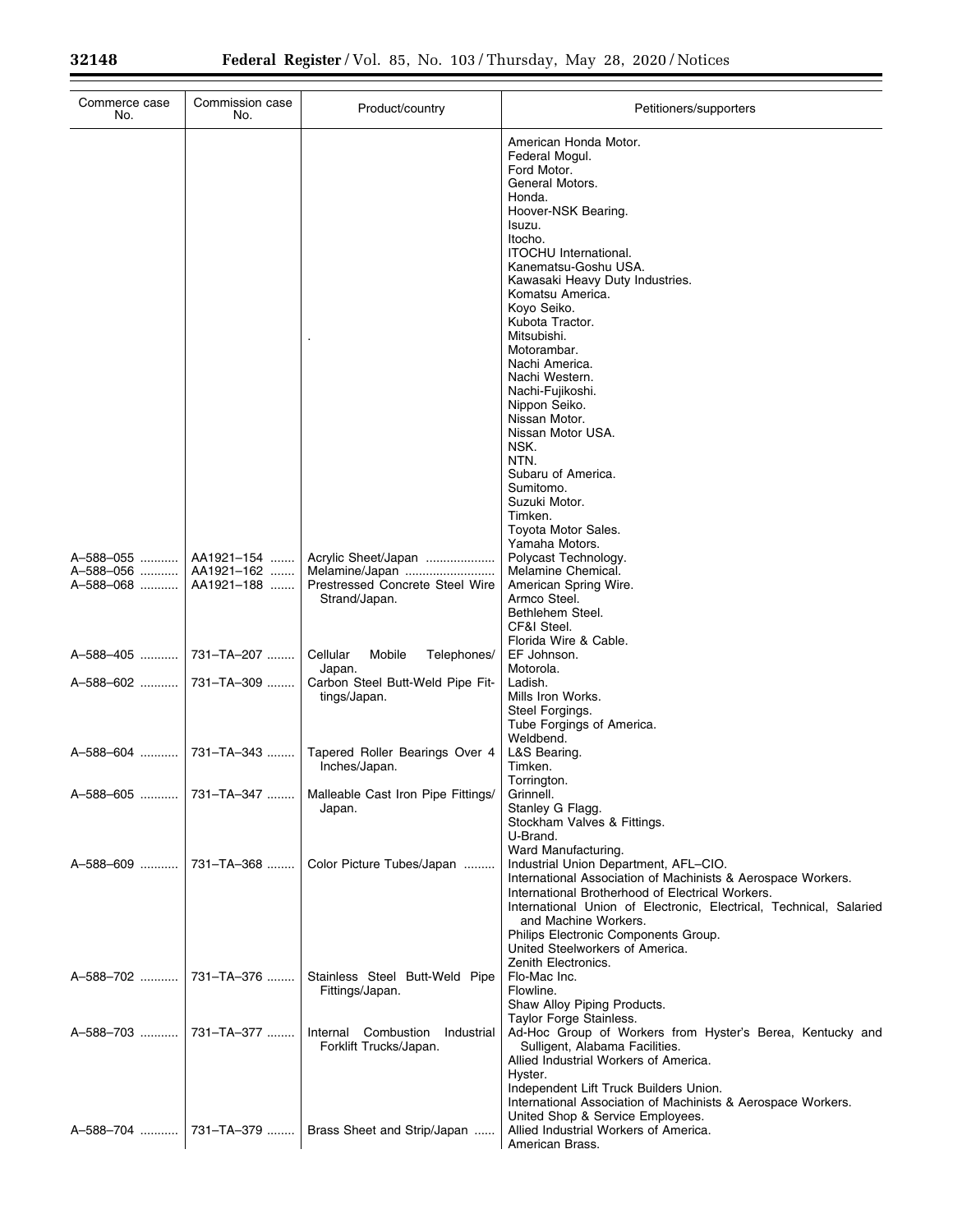| Commerce case<br>No.                   | Commission case<br>No.                 | Product/country                                                                           | Petitioners/supporters                                                                                                                                                                                                                                                                                                                                                                                                        |
|----------------------------------------|----------------------------------------|-------------------------------------------------------------------------------------------|-------------------------------------------------------------------------------------------------------------------------------------------------------------------------------------------------------------------------------------------------------------------------------------------------------------------------------------------------------------------------------------------------------------------------------|
|                                        |                                        |                                                                                           | American Honda Motor.<br>Federal Mogul.<br>Ford Motor.<br>General Motors.<br>Honda.<br>Hoover-NSK Bearing.<br>Isuzu.<br>Itocho.<br><b>ITOCHU</b> International.<br>Kanematsu-Goshu USA.<br>Kawasaki Heavy Duty Industries.<br>Komatsu America.<br>Koyo Seiko.<br>Kubota Tractor.<br>Mitsubishi.<br>Motorambar.<br>Nachi America.<br>Nachi Western.<br>Nachi-Fujikoshi.<br>Nippon Seiko.<br>Nissan Motor.<br>Nissan Motor USA. |
|                                        |                                        |                                                                                           | NSK.<br>NTN.<br>Subaru of America.<br>Sumitomo.<br>Suzuki Motor.<br>Timken.<br>Toyota Motor Sales.<br>Yamaha Motors.                                                                                                                                                                                                                                                                                                          |
| A-588-055   <br>A-588-056<br>A-588-068 | AA1921-154<br>AA1921-162<br>AA1921-188 | Acrylic Sheet/Japan<br>Melamine/Japan<br>Prestressed Concrete Steel Wire<br>Strand/Japan. | Polycast Technology.<br>Melamine Chemical.<br>American Spring Wire.<br>Armco Steel.<br>Bethlehem Steel.<br>CF&I Steel.                                                                                                                                                                                                                                                                                                        |
| A-588-405                              | 731-TA-207                             | Cellular<br>Mobile<br>Telephones/<br>Japan.                                               | Florida Wire & Cable.<br>EF Johnson.<br>Motorola.                                                                                                                                                                                                                                                                                                                                                                             |
| A-588-602                              | 731-TA-309                             | Carbon Steel Butt-Weld Pipe Fit-<br>tings/Japan.                                          | Ladish.<br>Mills Iron Works.<br>Steel Forgings.<br>Tube Forgings of America.<br>Weldbend.                                                                                                                                                                                                                                                                                                                                     |
| A-588-604                              | 731-TA-343                             | Tapered Roller Bearings Over 4<br>Inches/Japan.                                           | L&S Bearing.<br>Timken.<br>Torrington.                                                                                                                                                                                                                                                                                                                                                                                        |
| A-588-605                              | 731-TA-347                             | Malleable Cast Iron Pipe Fittings/<br>Japan.                                              | Grinnell.<br>Stanley G Flagg.<br>Stockham Valves & Fittings.<br>U-Brand.<br>Ward Manufacturing.                                                                                                                                                                                                                                                                                                                               |
| A-588-609  731-TA-368                  |                                        | Color Picture Tubes/Japan                                                                 | Industrial Union Department, AFL-CIO.<br>International Association of Machinists & Aerospace Workers.<br>International Brotherhood of Electrical Workers.<br>International Union of Electronic, Electrical, Technical, Salaried<br>and Machine Workers.<br>Philips Electronic Components Group.<br>United Steelworkers of America.<br>Zenith Electronics.                                                                     |
| A-588-702  731-TA-376                  |                                        | Stainless Steel Butt-Weld Pipe<br>Fittings/Japan.                                         | Flo-Mac Inc.<br>Flowline.<br>Shaw Alloy Piping Products.<br>Taylor Forge Stainless.                                                                                                                                                                                                                                                                                                                                           |
| A-588-703                              | 731–TA–377                             | Internal Combustion Industrial<br>Forklift Trucks/Japan.                                  | Ad-Hoc Group of Workers from Hyster's Berea, Kentucky and<br>Sulligent, Alabama Facilities.<br>Allied Industrial Workers of America.<br>Hyster.<br>Independent Lift Truck Builders Union.<br>International Association of Machinists & Aerospace Workers.                                                                                                                                                                     |
|                                        | A-588-704    731-TA-379                | Brass Sheet and Strip/Japan                                                               | United Shop & Service Employees.<br>Allied Industrial Workers of America.<br>American Brass.                                                                                                                                                                                                                                                                                                                                  |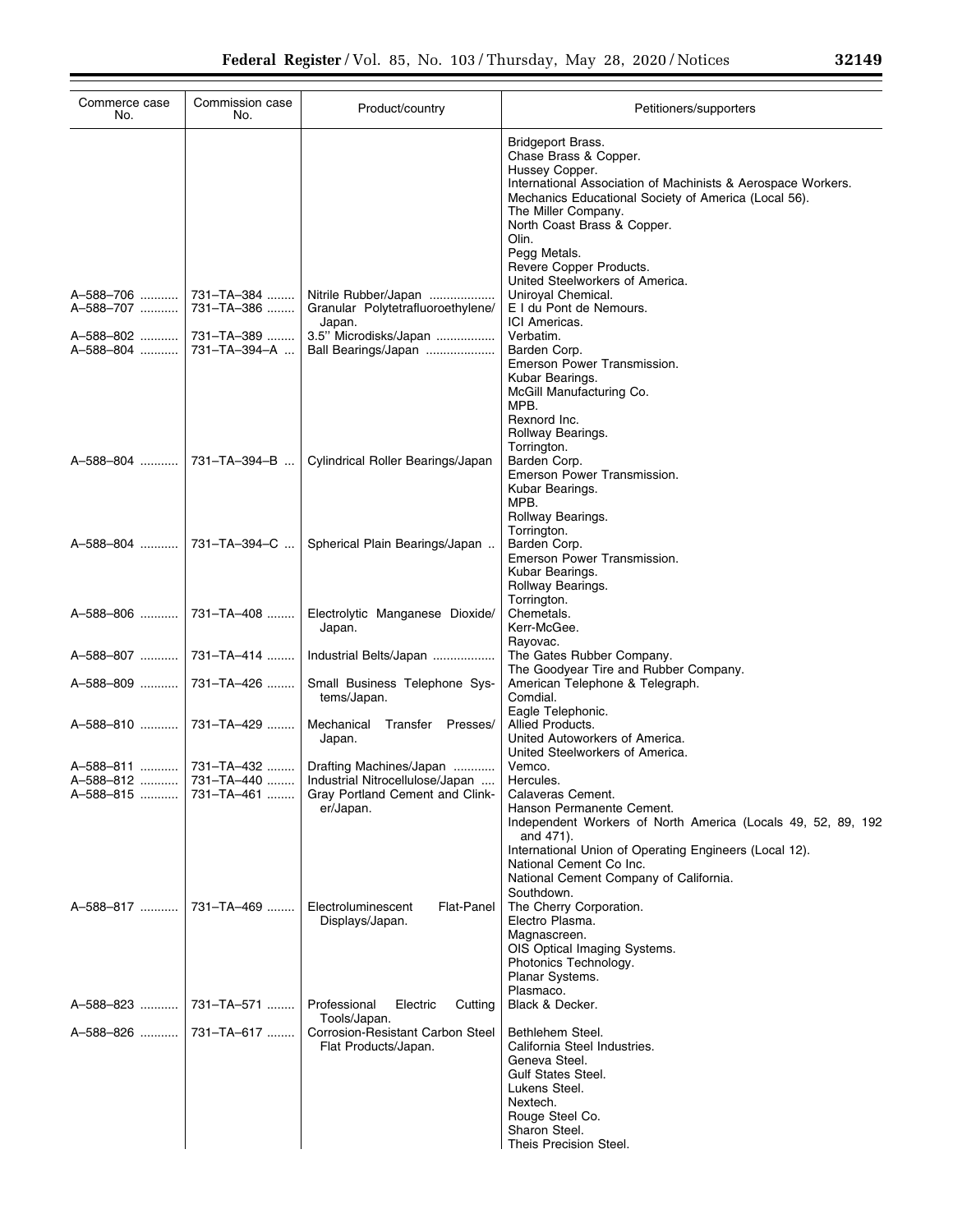| Commerce case<br>No.   | Commission case<br>No.      | Product/country                                                                                                                                            | Petitioners/supporters                                                                                                                                                                                                                                                                                |
|------------------------|-----------------------------|------------------------------------------------------------------------------------------------------------------------------------------------------------|-------------------------------------------------------------------------------------------------------------------------------------------------------------------------------------------------------------------------------------------------------------------------------------------------------|
|                        |                             |                                                                                                                                                            | <b>Bridgeport Brass.</b><br>Chase Brass & Copper.<br>Hussey Copper.<br>International Association of Machinists & Aerospace Workers.<br>Mechanics Educational Society of America (Local 56).<br>The Miller Company.<br>North Coast Brass & Copper.<br>Olin.<br>Pegg Metals.<br>Revere Copper Products. |
| A-588-706<br>A-588-707 | 731–TA–384   <br>731-TA-386 | Nitrile Rubber/Japan<br>Granular Polytetrafluoroethylene/<br>Japan.                                                                                        | United Steelworkers of America.<br>Uniroyal Chemical.<br>E I du Pont de Nemours.<br>ICI Americas.                                                                                                                                                                                                     |
| A-588-802<br>A-588-804 | 731–TA–389<br>731-TA-394-A  | 3.5" Microdisks/Japan<br>Ball Bearings/Japan                                                                                                               | Verbatim.<br>Barden Corp.<br>Emerson Power Transmission.<br>Kubar Bearings.<br>McGill Manufacturing Co.<br>MPB.<br>Rexnord Inc.<br>Rollway Bearings.                                                                                                                                                  |
| A-588-804              | 731-TA-394-B                | Cylindrical Roller Bearings/Japan                                                                                                                          | Torrington.<br>Barden Corp.<br>Emerson Power Transmission.<br>Kubar Bearings.<br>MPB.<br>Rollway Bearings.                                                                                                                                                                                            |
|                        | A-588-804    731-TA-394-C   | Spherical Plain Bearings/Japan                                                                                                                             | Torrington.<br>Barden Corp.<br>Emerson Power Transmission.<br>Kubar Bearings.<br>Rollway Bearings.                                                                                                                                                                                                    |
| A-588-806              | 731-TA-408                  | Electrolytic Manganese Dioxide/<br>Japan.                                                                                                                  | Torrington.<br>Chemetals.<br>Kerr-McGee.                                                                                                                                                                                                                                                              |
|                        |                             | Industrial Belts/Japan                                                                                                                                     | Rayovac.<br>The Gates Rubber Company.                                                                                                                                                                                                                                                                 |
| A-588-809  731-TA-426  |                             | Small Business Telephone Sys-<br>tems/Japan.                                                                                                               | The Goodyear Tire and Rubber Company.<br>American Telephone & Telegraph.<br>Comdial.<br>Eagle Telephonic.                                                                                                                                                                                             |
| A-588-810  731-TA-429  |                             | Mechanical Transfer Presses/<br>Japan.                                                                                                                     | Allied Products.<br>United Autoworkers of America.<br>United Steelworkers of America.                                                                                                                                                                                                                 |
| A-588-815              | 731-TA-461                  | A-588-811  731-TA-432  Drafting Machines/Japan<br>A-588-812  731-TA-440    Industrial Nitrocellulose/Japan<br>Gray Portland Cement and Clink-<br>er/Japan. | Vemco.<br>Hercules.<br>Calaveras Cement.<br>Hanson Permanente Cement.<br>Independent Workers of North America (Locals 49, 52, 89, 192<br>and 471).<br>International Union of Operating Engineers (Local 12).<br>National Cement Co Inc.<br>National Cement Company of California.<br>Southdown.       |
| A-588-817              | 731–TA–469                  | Electroluminescent<br><b>Flat-Panel</b><br>Displays/Japan.                                                                                                 | The Cherry Corporation.<br>Electro Plasma.<br>Magnascreen.<br>OIS Optical Imaging Systems.<br>Photonics Technology.<br>Planar Systems.<br>Plasmaco.                                                                                                                                                   |
| A-588-823              | 731–TA–571                  | Professional<br>Electric<br>Cutting<br>Tools/Japan.                                                                                                        | Black & Decker.                                                                                                                                                                                                                                                                                       |
| A-588-826  731-TA-617  |                             | Corrosion-Resistant Carbon Steel<br>Flat Products/Japan.                                                                                                   | Bethlehem Steel.<br>California Steel Industries.<br>Geneva Steel.<br><b>Gulf States Steel.</b><br>Lukens Steel.<br>Nextech.<br>Rouge Steel Co.<br>Sharon Steel.<br>Theis Precision Steel.                                                                                                             |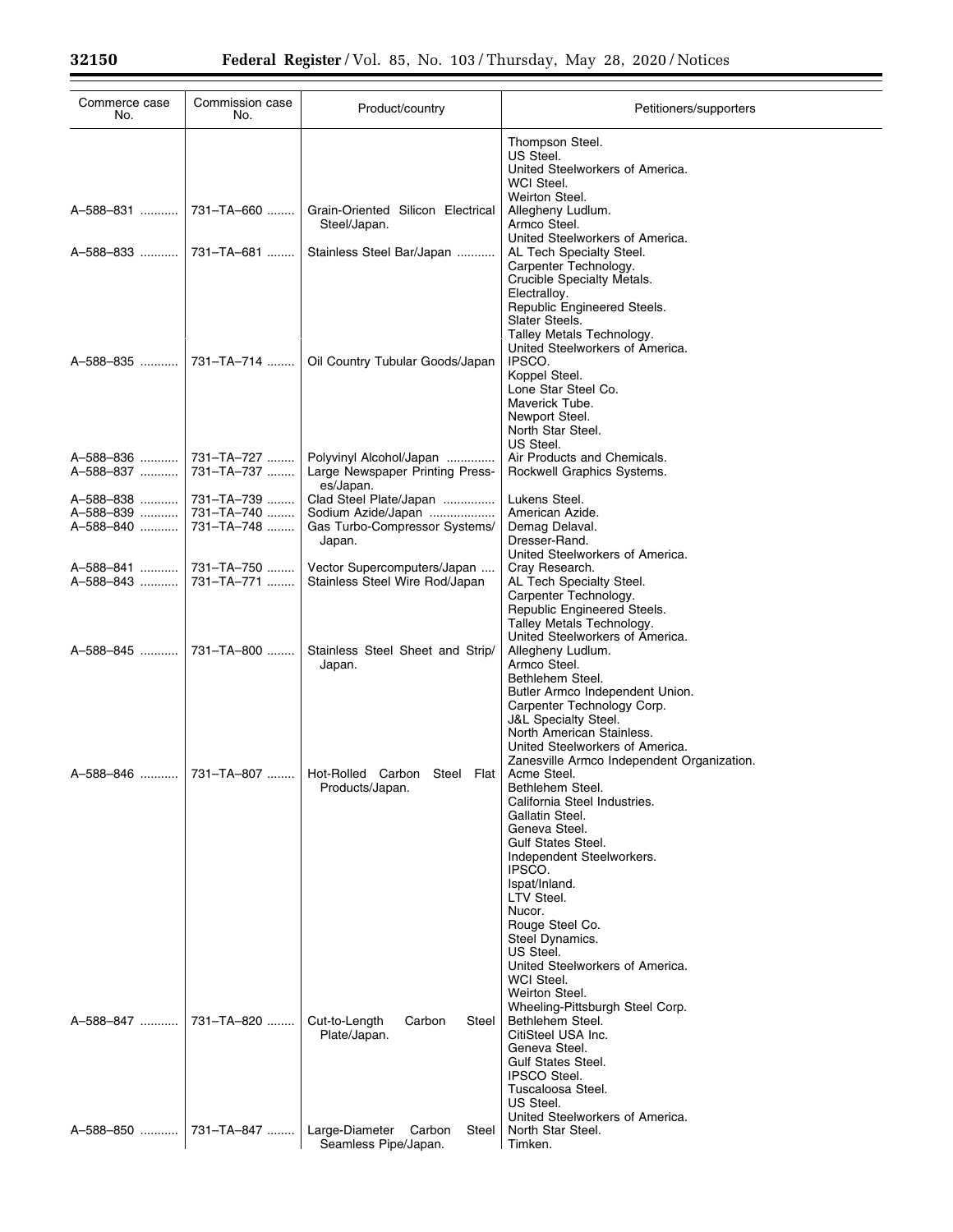| Commerce case<br>No.                                                    | Commission case<br>No. | Product/country                                                                         | Petitioners/supporters                                                                                                                                                                              |
|-------------------------------------------------------------------------|------------------------|-----------------------------------------------------------------------------------------|-----------------------------------------------------------------------------------------------------------------------------------------------------------------------------------------------------|
|                                                                         |                        |                                                                                         | Thompson Steel.<br>US Steel.<br>United Steelworkers of America.<br>WCI Steel.                                                                                                                       |
|                                                                         |                        | Grain-Oriented Silicon Electrical<br>Steel/Japan.                                       | Weirton Steel.<br>Allegheny Ludlum.<br>Armco Steel.                                                                                                                                                 |
|                                                                         |                        | Stainless Steel Bar/Japan                                                               | United Steelworkers of America.<br>AL Tech Specialty Steel.<br>Carpenter Technology.<br>Crucible Specialty Metals.                                                                                  |
|                                                                         |                        | Oil Country Tubular Goods/Japan                                                         | Electralloy.<br>Republic Engineered Steels.<br>Slater Steels.<br>Talley Metals Technology.<br>United Steelworkers of America.<br>IPSCO.                                                             |
|                                                                         |                        |                                                                                         | Koppel Steel.<br>Lone Star Steel Co.<br>Maverick Tube.<br>Newport Steel.<br>North Star Steel.<br>US Steel.                                                                                          |
| A-588-837  731-TA-737                                                   |                        | Polyvinyl Alcohol/Japan<br>Large Newspaper Printing Press-<br>es/Japan.                 | Air Products and Chemicals.<br>Rockwell Graphics Systems.                                                                                                                                           |
| A-588-838  731-TA-739<br>A-588-839  731-TA-740<br>A-588-840  731-TA-748 |                        | Clad Steel Plate/Japan<br>Sodium Azide/Japan<br>Gas Turbo-Compressor Systems/<br>Japan. | Lukens Steel.<br>American Azide.<br>Demag Delaval.<br>Dresser-Rand.                                                                                                                                 |
| A-588-843  731-TA-771                                                   |                        | Vector Supercomputers/Japan<br>Stainless Steel Wire Rod/Japan                           | United Steelworkers of America.<br>Cray Research.<br>AL Tech Specialty Steel.<br>Carpenter Technology.<br>Republic Engineered Steels.                                                               |
|                                                                         |                        | Stainless Steel Sheet and Strip/<br>Japan.                                              | Talley Metals Technology.<br>United Steelworkers of America.<br>Allegheny Ludlum.<br>Armco Steel.<br>Bethlehem Steel.                                                                               |
|                                                                         |                        |                                                                                         | Butler Armco Independent Union.<br>Carpenter Technology Corp.<br>J&L Specialty Steel.<br>North American Stainless.<br>United Steelworkers of America.<br>Zanesville Armco Independent Organization. |
|                                                                         |                        | Hot-Rolled Carbon Steel Flat<br>Products/Japan.                                         | Acme Steel.<br>Bethlehem Steel.<br>California Steel Industries.<br>Gallatin Steel.<br>Geneva Steel.<br><b>Gulf States Steel.</b>                                                                    |
|                                                                         |                        |                                                                                         | Independent Steelworkers.<br>IPSCO.<br>Ispat/Inland.<br>LTV Steel.<br>Nucor.<br>Rouge Steel Co.                                                                                                     |
|                                                                         |                        |                                                                                         | Steel Dynamics.<br>US Steel.<br>United Steelworkers of America.<br>WCI Steel.<br>Weirton Steel.<br>Wheeling-Pittsburgh Steel Corp.                                                                  |
| A-588-847  731-TA-820                                                   |                        | Cut-to-Length<br>Steel<br>Carbon<br>Plate/Japan.                                        | Bethlehem Steel.<br>CitiSteel USA Inc.<br>Geneva Steel.<br><b>Gulf States Steel.</b><br><b>IPSCO Steel.</b>                                                                                         |
|                                                                         |                        | Large-Diameter Carbon<br>Steel                                                          | Tuscaloosa Steel.<br>US Steel.<br>United Steelworkers of America.<br>North Star Steel.                                                                                                              |
|                                                                         |                        | Seamless Pipe/Japan.                                                                    | Timken.                                                                                                                                                                                             |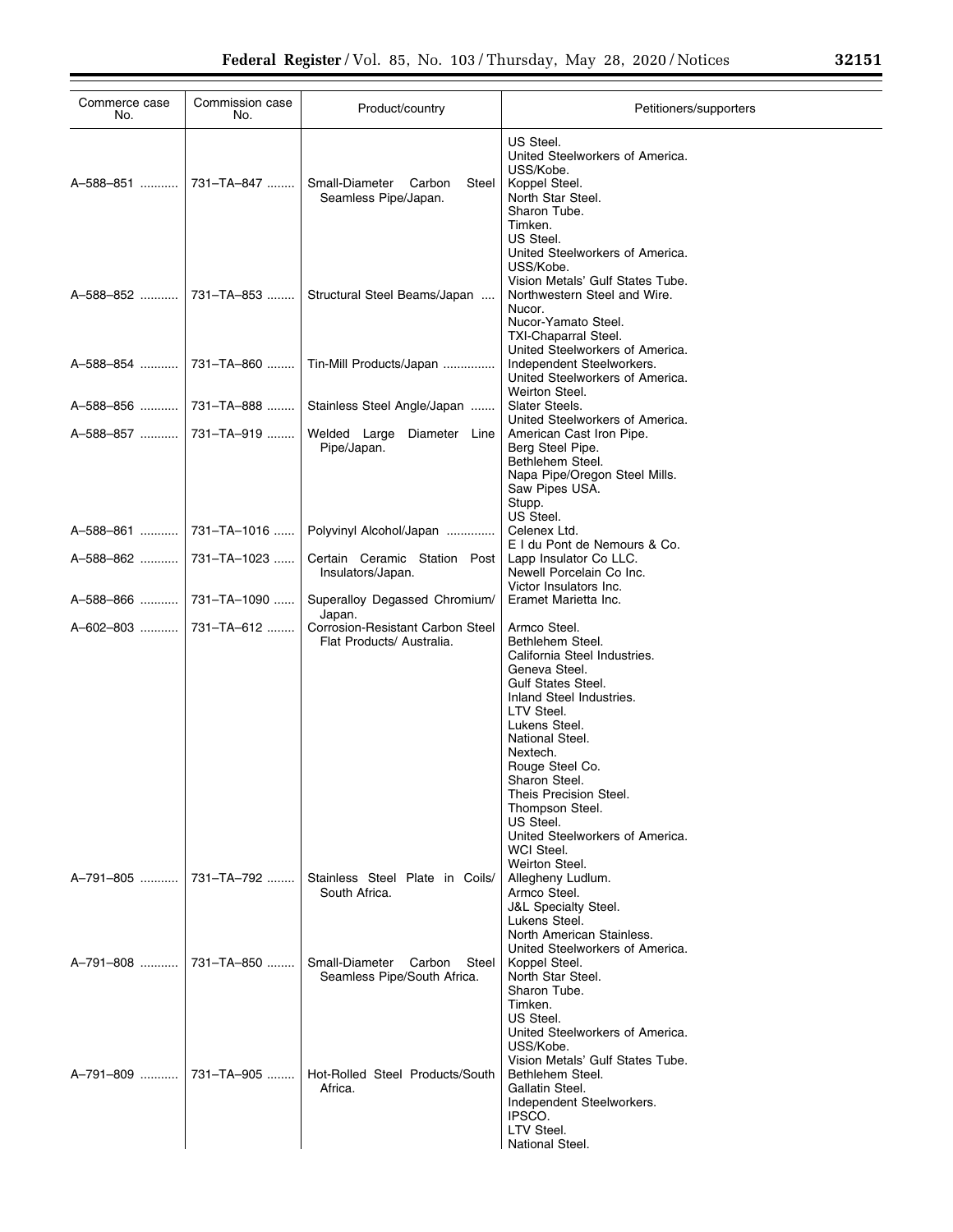| Commerce case<br>No.  | Commission case<br>No. | Product/country                                                         | Petitioners/supporters                                                                                                                                                                                                                                                                                                                                             |
|-----------------------|------------------------|-------------------------------------------------------------------------|--------------------------------------------------------------------------------------------------------------------------------------------------------------------------------------------------------------------------------------------------------------------------------------------------------------------------------------------------------------------|
| A-588-851             | 731-TA-847             | Small-Diameter<br>Carbon<br>Steel<br>Seamless Pipe/Japan.               | US Steel.<br>United Steelworkers of America.<br>USS/Kobe.<br>Koppel Steel.<br>North Star Steel.<br>Sharon Tube.<br>Timken.<br>US Steel.<br>United Steelworkers of America.                                                                                                                                                                                         |
| A-588-852             | 731–TA–853             | Structural Steel Beams/Japan                                            | USS/Kobe.<br>Vision Metals' Gulf States Tube.<br>Northwestern Steel and Wire.<br>Nucor.<br>Nucor-Yamato Steel.                                                                                                                                                                                                                                                     |
| A-588-854             | 731–TA–860             | Tin-Mill Products/Japan                                                 | TXI-Chaparral Steel.<br>United Steelworkers of America.<br>Independent Steelworkers.<br>United Steelworkers of America.                                                                                                                                                                                                                                            |
| A–588–856             | 731-TA-888             | Stainless Steel Angle/Japan                                             | Weirton Steel.<br>Slater Steels.                                                                                                                                                                                                                                                                                                                                   |
| A–588–857             | 731-TA-919             | Welded Large Diameter Line<br>Pipe/Japan.                               | United Steelworkers of America.<br>American Cast Iron Pipe.<br>Berg Steel Pipe.<br>Bethlehem Steel.<br>Napa Pipe/Oregon Steel Mills.<br>Saw Pipes USA.<br>Stupp.                                                                                                                                                                                                   |
| A-588-861             | 731-TA-1016            | Polyvinyl Alcohol/Japan                                                 | US Steel.<br>Celenex Ltd.                                                                                                                                                                                                                                                                                                                                          |
| A–588–862  …………       | 731-TA-1023            | Certain Ceramic Station Post<br>Insulators/Japan.                       | E I du Pont de Nemours & Co.<br>Lapp Insulator Co LLC.<br>Newell Porcelain Co Inc.                                                                                                                                                                                                                                                                                 |
| A-588-866             | 731-TA-1090            | Superalloy Degassed Chromium/                                           | Victor Insulators Inc.<br>Eramet Marietta Inc.                                                                                                                                                                                                                                                                                                                     |
| A–602–803  …………       | 731-TA-612             | Japan.<br>Corrosion-Resistant Carbon Steel<br>Flat Products/ Australia. | Armco Steel.<br>Bethlehem Steel.<br>California Steel Industries.<br>Geneva Steel.<br>Gulf States Steel.<br>Inland Steel Industries.<br>LTV Steel.<br>Lukens Steel.<br>National Steel.<br>Nextech.<br>Rouge Steel Co.<br>Sharon Steel.<br>Theis Precision Steel.<br>Thompson Steel.<br>US Steel.<br>United Steelworkers of America.<br>WCI Steel.<br>Weirton Steel. |
| A-791-805             | 731-TA-792             | Stainless Steel Plate in Coils/<br>South Africa.                        | Allegheny Ludlum.<br>Armco Steel.<br><b>J&amp;L Specialty Steel.</b><br>Lukens Steel.<br>North American Stainless.<br>United Steelworkers of America.                                                                                                                                                                                                              |
| A-791-808  731-TA-850 |                        | Small-Diameter<br>Carbon<br>Steel<br>Seamless Pipe/South Africa.        | Koppel Steel.<br>North Star Steel.<br>Sharon Tube.<br>Timken.<br>US Steel.<br>United Steelworkers of America.<br>USS/Kobe.<br>Vision Metals' Gulf States Tube.                                                                                                                                                                                                     |
| A-791-809  731-TA-905 |                        | Hot-Rolled Steel Products/South<br>Africa.                              | Bethlehem Steel.<br>Gallatin Steel.<br>Independent Steelworkers.<br>IPSCO.<br>LTV Steel.<br>National Steel.                                                                                                                                                                                                                                                        |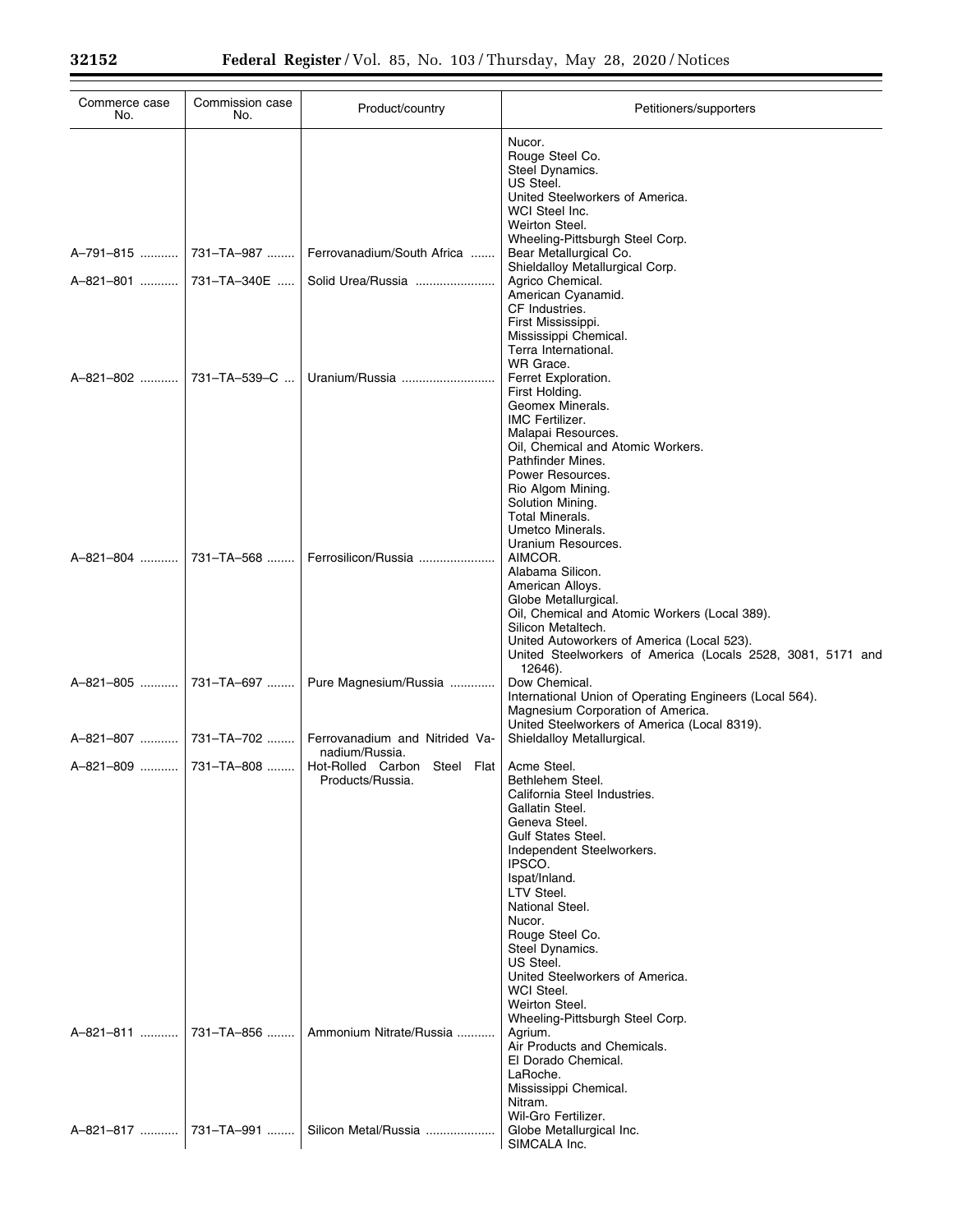| Commerce case<br>No. | Commission case<br>No. | Product/country                                  | Petitioners/supporters                                                                                                                                                                                                                                                                                                                                                                       |
|----------------------|------------------------|--------------------------------------------------|----------------------------------------------------------------------------------------------------------------------------------------------------------------------------------------------------------------------------------------------------------------------------------------------------------------------------------------------------------------------------------------------|
|                      |                        |                                                  | Nucor.<br>Rouge Steel Co.<br>Steel Dynamics.<br>US Steel.<br>United Steelworkers of America.<br>WCI Steel Inc.<br>Weirton Steel.                                                                                                                                                                                                                                                             |
| A-791-815            | 731-TA-987             | Ferrovanadium/South Africa                       | Wheeling-Pittsburgh Steel Corp.<br>Bear Metallurgical Co.<br>Shieldalloy Metallurgical Corp.                                                                                                                                                                                                                                                                                                 |
| A–821–801 ……….       | 731-TA-340E            | Solid Urea/Russia                                | Agrico Chemical.<br>American Cyanamid.<br>CF Industries.<br>First Mississippi.<br>Mississippi Chemical.                                                                                                                                                                                                                                                                                      |
| A-821-802            | 731-TA-539-C           | Uranium/Russia                                   | Terra International.<br>WR Grace.<br>Ferret Exploration.<br>First Holding.<br>Geomex Minerals.<br><b>IMC Fertilizer.</b><br>Malapai Resources.<br>Oil, Chemical and Atomic Workers.                                                                                                                                                                                                          |
|                      |                        |                                                  | Pathfinder Mines.<br>Power Resources.<br>Rio Algom Mining.<br>Solution Mining.<br>Total Minerals.<br>Umetco Minerals.                                                                                                                                                                                                                                                                        |
| A-821-804            | 731-TA-568             | Ferrosilicon/Russia                              | Uranium Resources.<br>AIMCOR.<br>Alabama Silicon.<br>American Alloys.<br>Globe Metallurgical.<br>Oil, Chemical and Atomic Workers (Local 389).<br>Silicon Metaltech.<br>United Autoworkers of America (Local 523).<br>United Steelworkers of America (Locals 2528, 3081, 5171 and                                                                                                            |
| A-821-805            | 731-TA-697             | Pure Magnesium/Russia                            | 12646).<br>Dow Chemical.<br>International Union of Operating Engineers (Local 564).<br>Magnesium Corporation of America.<br>United Steelworkers of America (Local 8319).                                                                                                                                                                                                                     |
| A-821-807            | 731-TA-702             | Ferrovanadium and Nitrided Va-<br>nadium/Russia. | Shieldalloy Metallurgical.                                                                                                                                                                                                                                                                                                                                                                   |
| A-821-809            | 731-TA-808             | Hot-Rolled Carbon Steel Flat<br>Products/Russia. | Acme Steel.<br>Bethlehem Steel.<br>California Steel Industries.<br>Gallatin Steel.<br>Geneva Steel.<br><b>Gulf States Steel.</b><br>Independent Steelworkers.<br>IPSCO.<br>Ispat/Inland.<br>LTV Steel.<br>National Steel.<br>Nucor.<br>Rouge Steel Co.<br>Steel Dynamics.<br>US Steel.<br>United Steelworkers of America.<br>WCI Steel.<br>Weirton Steel.<br>Wheeling-Pittsburgh Steel Corp. |
| A-821-811            | 731-TA-856             | Ammonium Nitrate/Russia                          | Agrium.<br>Air Products and Chemicals.<br>El Dorado Chemical.<br>LaRoche.<br>Mississippi Chemical.<br>Nitram.                                                                                                                                                                                                                                                                                |
|                      |                        | Silicon Metal/Russia                             | Wil-Gro Fertilizer.<br>Globe Metallurgical Inc.<br>SIMCALA Inc.                                                                                                                                                                                                                                                                                                                              |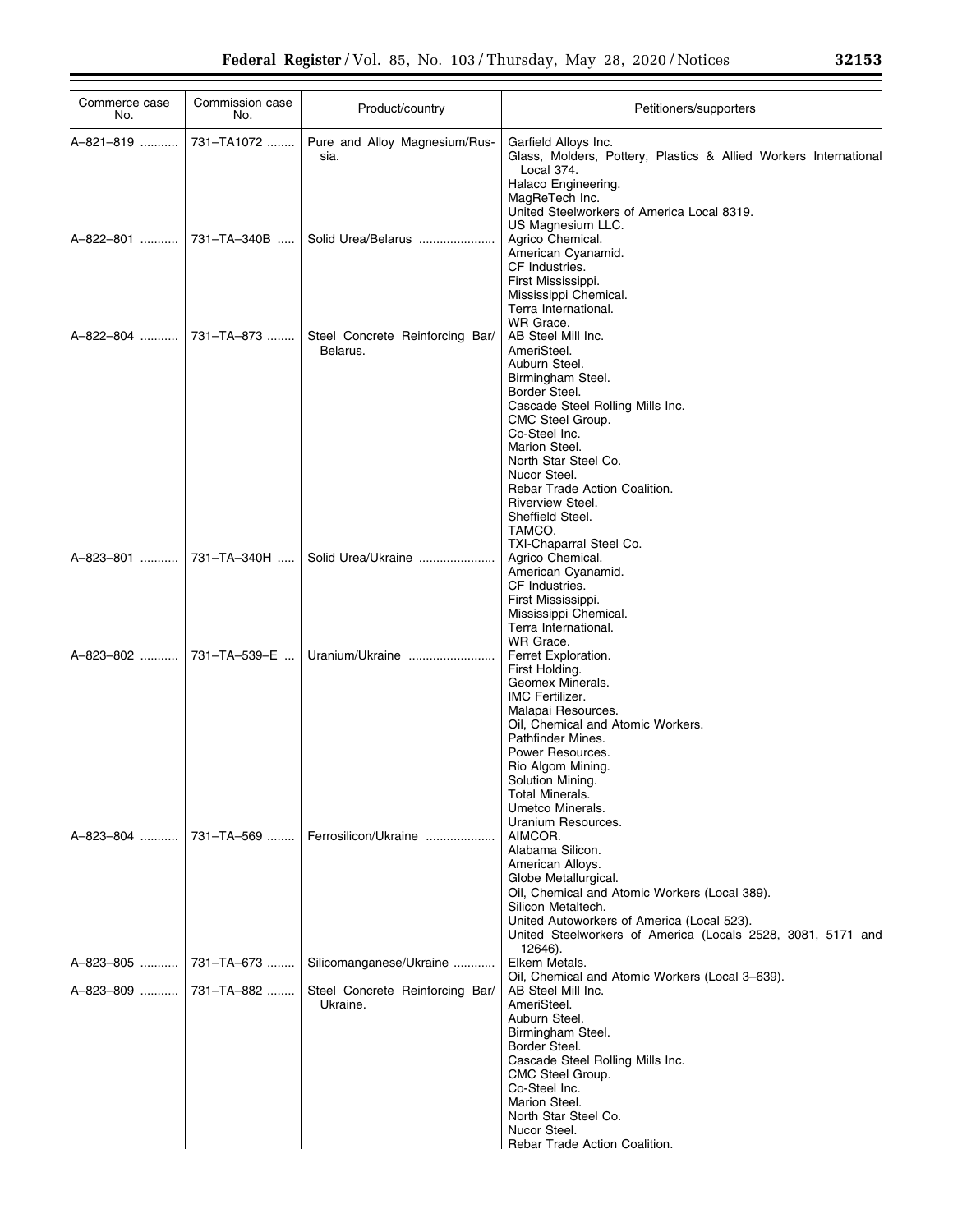| Commerce case<br>No.                             | Commission case<br>No. | Product/country                                                        | Petitioners/supporters                                                                                                                                                                                                                                                                                                          |
|--------------------------------------------------|------------------------|------------------------------------------------------------------------|---------------------------------------------------------------------------------------------------------------------------------------------------------------------------------------------------------------------------------------------------------------------------------------------------------------------------------|
| A-821-819                                        | 731-TA1072             | Pure and Alloy Magnesium/Rus-<br>sia.                                  | Garfield Alloys Inc.<br>Glass, Molders, Pottery, Plastics & Allied Workers International<br>Local 374.<br>Halaco Engineering.<br>MagReTech Inc.<br>United Steelworkers of America Local 8319.                                                                                                                                   |
| A-822-801                                        | 731-TA-340B            | Solid Urea/Belarus                                                     | US Magnesium LLC.<br>Agrico Chemical.<br>American Cyanamid.<br>CF Industries.<br>First Mississippi.<br>Mississippi Chemical.<br>Terra International.                                                                                                                                                                            |
| A-822-804  731-TA-873                            |                        | Steel Concrete Reinforcing Bar/<br>Belarus.                            | WR Grace.<br>AB Steel Mill Inc.<br>AmeriSteel.<br>Auburn Steel.<br>Birmingham Steel.<br>Border Steel.<br>Cascade Steel Rolling Mills Inc.<br>CMC Steel Group.<br>Co-Steel Inc.<br>Marion Steel.<br>North Star Steel Co.<br>Nucor Steel.<br>Rebar Trade Action Coalition.<br>Riverview Steel.<br>Sheffield Steel.<br>TAMCO.      |
| A-823-801                                        | 731-TA-340H            | Solid Urea/Ukraine                                                     | TXI-Chaparral Steel Co.<br>Agrico Chemical.<br>American Cyanamid.<br>CF Industries.<br>First Mississippi.<br>Mississippi Chemical.<br>Terra International.                                                                                                                                                                      |
| A-823-802  731-TA-539-E                          |                        | Uranium/Ukraine                                                        | WR Grace.<br>Ferret Exploration.<br>First Holding.<br>Geomex Minerals.<br>IMC Fertilizer.<br>Malapai Resources.<br>Oil, Chemical and Atomic Workers.<br>Pathfinder Mines.<br>Power Resources.<br>Rio Algom Mining.<br>Solution Mining.<br>Total Minerals.<br>Umetco Minerals.                                                   |
| A-823-804                                        | 731–TA–569             | Ferrosilicon/Ukraine                                                   | Uranium Resources.<br>AIMCOR.<br>Alabama Silicon.<br>American Alloys.<br>Globe Metallurgical.<br>Oil, Chemical and Atomic Workers (Local 389).<br>Silicon Metaltech.<br>United Autoworkers of America (Local 523).<br>United Steelworkers of America (Locals 2528, 3081, 5171 and<br>12646).                                    |
| A-823-805  731-TA-673<br>A-823-809    731-TA-882 |                        | Silicomanganese/Ukraine<br>Steel Concrete Reinforcing Bar/<br>Ukraine. | Elkem Metals.<br>Oil, Chemical and Atomic Workers (Local 3-639).<br>AB Steel Mill Inc.<br>AmeriSteel.<br>Auburn Steel.<br>Birmingham Steel.<br>Border Steel.<br>Cascade Steel Rolling Mills Inc.<br>CMC Steel Group.<br>Co-Steel Inc.<br>Marion Steel.<br>North Star Steel Co.<br>Nucor Steel.<br>Rebar Trade Action Coalition. |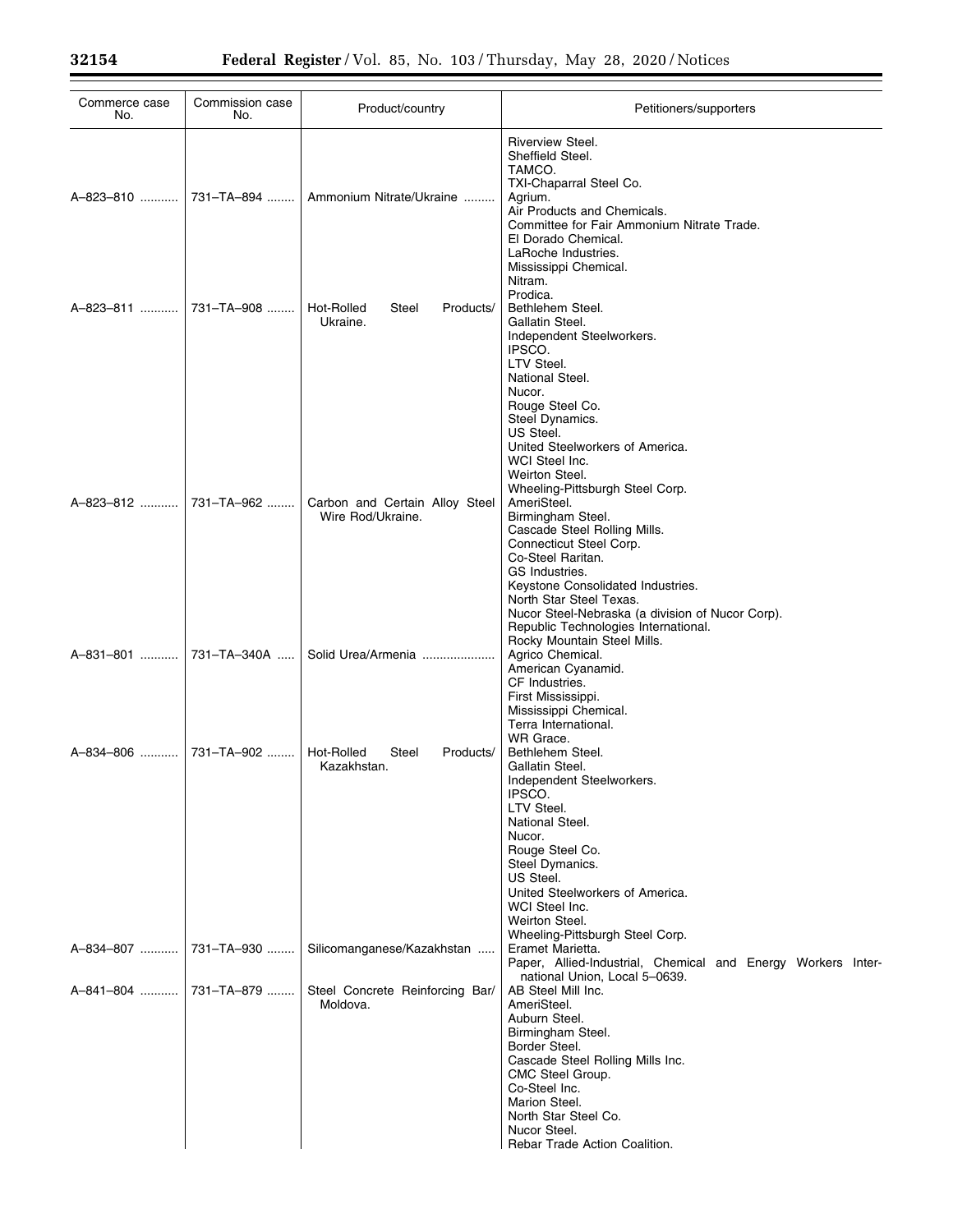| Commerce case<br>No. | Commission case<br>No. | Product/country                                     | Petitioners/supporters                                                                                                                                                                                                                                                                    |
|----------------------|------------------------|-----------------------------------------------------|-------------------------------------------------------------------------------------------------------------------------------------------------------------------------------------------------------------------------------------------------------------------------------------------|
| A-823-810            | 731-TA-894             | Ammonium Nitrate/Ukraine                            | Riverview Steel.<br>Sheffield Steel.<br>TAMCO.<br>TXI-Chaparral Steel Co.<br>Agrium.<br>Air Products and Chemicals.<br>Committee for Fair Ammonium Nitrate Trade.<br>El Dorado Chemical.<br>LaRoche Industries.<br>Mississippi Chemical.                                                  |
| A-823-811            | 731-TA-908             | Hot-Rolled<br>Steel<br>Products/<br>Ukraine.        | Nitram.<br>Prodica.<br>Bethlehem Steel.<br>Gallatin Steel.<br>Independent Steelworkers.<br>IPSCO.<br>LTV Steel.<br>National Steel.<br>Nucor.                                                                                                                                              |
| A-823-812            | 731-TA-962             | Carbon and Certain Alloy Steel<br>Wire Rod/Ukraine. | Rouge Steel Co.<br>Steel Dynamics.<br>US Steel.<br>United Steelworkers of America.<br>WCI Steel Inc.<br>Weirton Steel.<br>Wheeling-Pittsburgh Steel Corp.<br>AmeriSteel.<br>Birmingham Steel.                                                                                             |
|                      |                        |                                                     | Cascade Steel Rolling Mills.<br>Connecticut Steel Corp.<br>Co-Steel Raritan.<br>GS Industries.<br>Keystone Consolidated Industries.<br>North Star Steel Texas.<br>Nucor Steel-Nebraska (a division of Nucor Corp).<br>Republic Technologies International.<br>Rocky Mountain Steel Mills. |
| A-831-801            | 731-TA-340A            | Solid Urea/Armenia                                  | Agrico Chemical.<br>American Cyanamid.<br>CF Industries.<br>First Mississippi.<br>Mississippi Chemical.<br>Terra International.<br>WR Grace.                                                                                                                                              |
| A-834-806            | 731-TA-902             | Hot-Rolled<br>Steel<br>Products/<br>Kazakhstan.     | Bethlehem Steel.<br>Gallatin Steel.<br>Independent Steelworkers.<br>IPSCO.<br>LTV Steel.<br>National Steel.<br>Nucor.<br>Rouge Steel Co.<br>Steel Dymanics.<br>US Steel.<br>United Steelworkers of America.<br>WCI Steel Inc.<br>Weirton Steel.                                           |
| A-834-807            | 731-TA-930             | Silicomanganese/Kazakhstan                          | Wheeling-Pittsburgh Steel Corp.<br>Eramet Marietta.<br>Paper, Allied-Industrial, Chemical and Energy Workers Inter-<br>national Union, Local 5-0639.                                                                                                                                      |
| A-841-804            | 731-TA-879             | Steel Concrete Reinforcing Bar/<br>Moldova.         | AB Steel Mill Inc.<br>AmeriSteel.<br>Auburn Steel.<br>Birmingham Steel.<br>Border Steel.<br>Cascade Steel Rolling Mills Inc.<br>CMC Steel Group.<br>Co-Steel Inc.<br>Marion Steel.<br>North Star Steel Co.<br>Nucor Steel.<br>Rebar Trade Action Coalition.                               |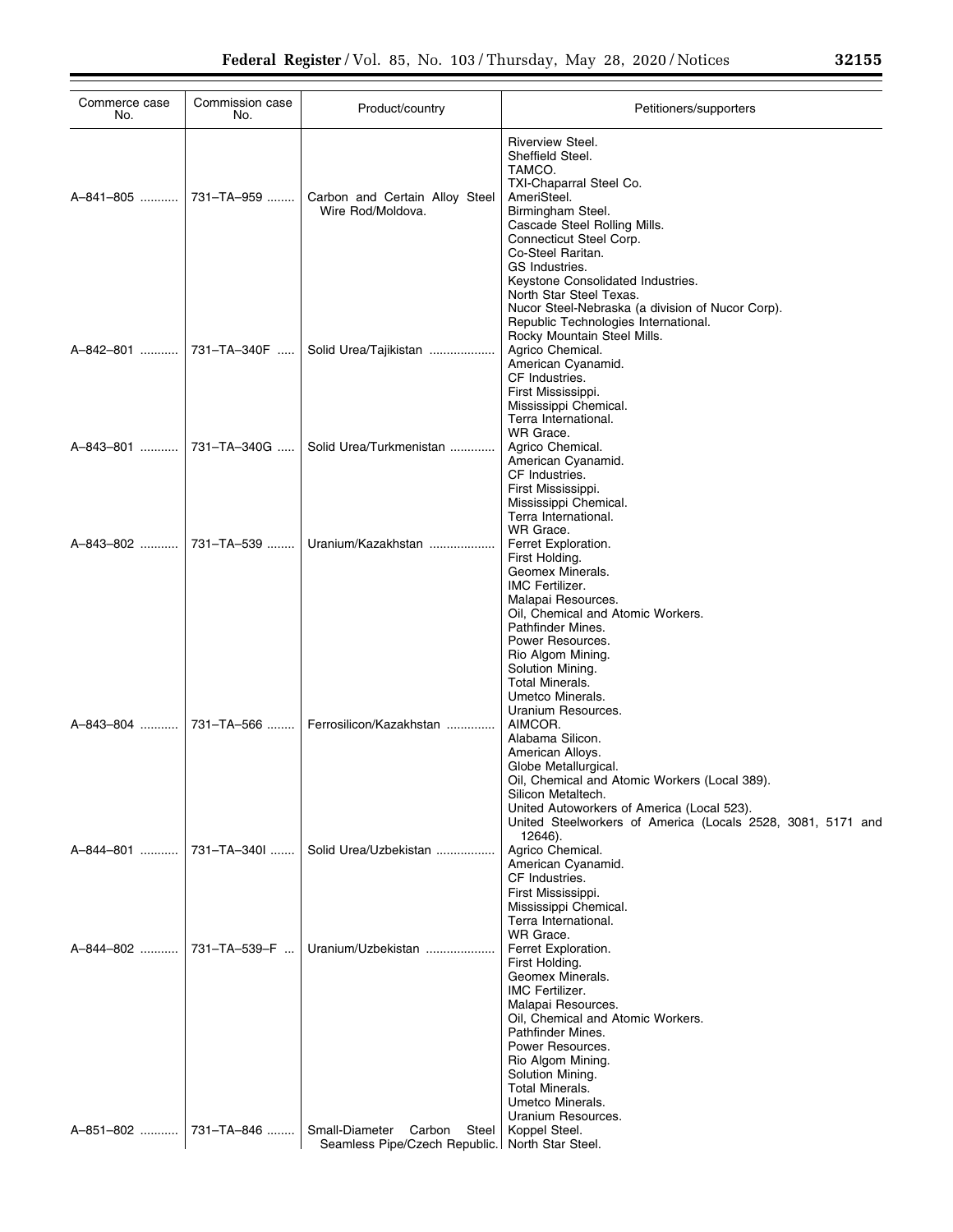| Commerce case<br>No.                 | Commission case<br>No. | Product/country                                                      | Petitioners/supporters                                                                                                                                                                                                                                                                                                                      |
|--------------------------------------|------------------------|----------------------------------------------------------------------|---------------------------------------------------------------------------------------------------------------------------------------------------------------------------------------------------------------------------------------------------------------------------------------------------------------------------------------------|
| A-841-805                            | 731-TA-959             | Carbon and Certain Alloy Steel<br>Wire Rod/Moldova.                  | <b>Riverview Steel.</b><br>Sheffield Steel.<br>TAMCO.<br>TXI-Chaparral Steel Co.<br>AmeriSteel.<br>Birmingham Steel.<br>Cascade Steel Rolling Mills.<br>Connecticut Steel Corp.<br>Co-Steel Raritan.<br>GS Industries.<br>Keystone Consolidated Industries.                                                                                 |
| A-842-801  731-TA-340F               |                        | Solid Urea/Tajikistan                                                | North Star Steel Texas.<br>Nucor Steel-Nebraska (a division of Nucor Corp).<br>Republic Technologies International.<br>Rocky Mountain Steel Mills.<br>Agrico Chemical.<br>American Cyanamid.<br>CF Industries.<br>First Mississippi.<br>Mississippi Chemical.                                                                               |
| A-843-801                            | 731-TA-340G            | Solid Urea/Turkmenistan                                              | Terra International.<br>WR Grace.<br>Agrico Chemical.<br>American Cyanamid.<br>CF Industries.                                                                                                                                                                                                                                               |
| A-843-802  731-TA-539                |                        | Uranium/Kazakhstan                                                   | First Mississippi.<br>Mississippi Chemical.<br>Terra International.<br>WR Grace.<br>Ferret Exploration.<br>First Holding.<br>Geomex Minerals.<br><b>IMC Fertilizer.</b><br>Malapai Resources.<br>Oil, Chemical and Atomic Workers.                                                                                                          |
| A-843-804                            | 731-TA-566             | Ferrosilicon/Kazakhstan                                              | Pathfinder Mines.<br>Power Resources.<br>Rio Algom Mining.<br>Solution Mining.<br>Total Minerals.<br>Umetco Minerals.<br>Uranium Resources.<br>AIMCOR.<br>Alabama Silicon.<br>American Alloys.<br>Globe Metallurgical.<br>Oil, Chemical and Atomic Workers (Local 389).<br>Silicon Metaltech.<br>United Autoworkers of America (Local 523). |
| A-844-801                            | 731-TA-340I            | Solid Urea/Uzbekistan                                                | United Steelworkers of America (Locals 2528, 3081, 5171 and<br>12646).<br>Agrico Chemical.<br>American Cyanamid.<br>CF Industries.<br>First Mississippi.<br>Mississippi Chemical.<br>Terra International.                                                                                                                                   |
| A-844-802  731-TA-539-F<br>A-851-802 | 731-TA-846             | Uranium/Uzbekistan<br>Small-Diameter                                 | WR Grace.<br>Ferret Exploration.<br>First Holding.<br>Geomex Minerals.<br><b>IMC Fertilizer.</b><br>Malapai Resources.<br>Oil, Chemical and Atomic Workers.<br>Pathfinder Mines.<br>Power Resources.<br>Rio Algom Mining.<br>Solution Mining.<br>Total Minerals.<br>Umetco Minerals.<br>Uranium Resources.                                  |
|                                      |                        | Carbon<br>Steel  <br>Seamless Pipe/Czech Republic. North Star Steel. | Koppel Steel.                                                                                                                                                                                                                                                                                                                               |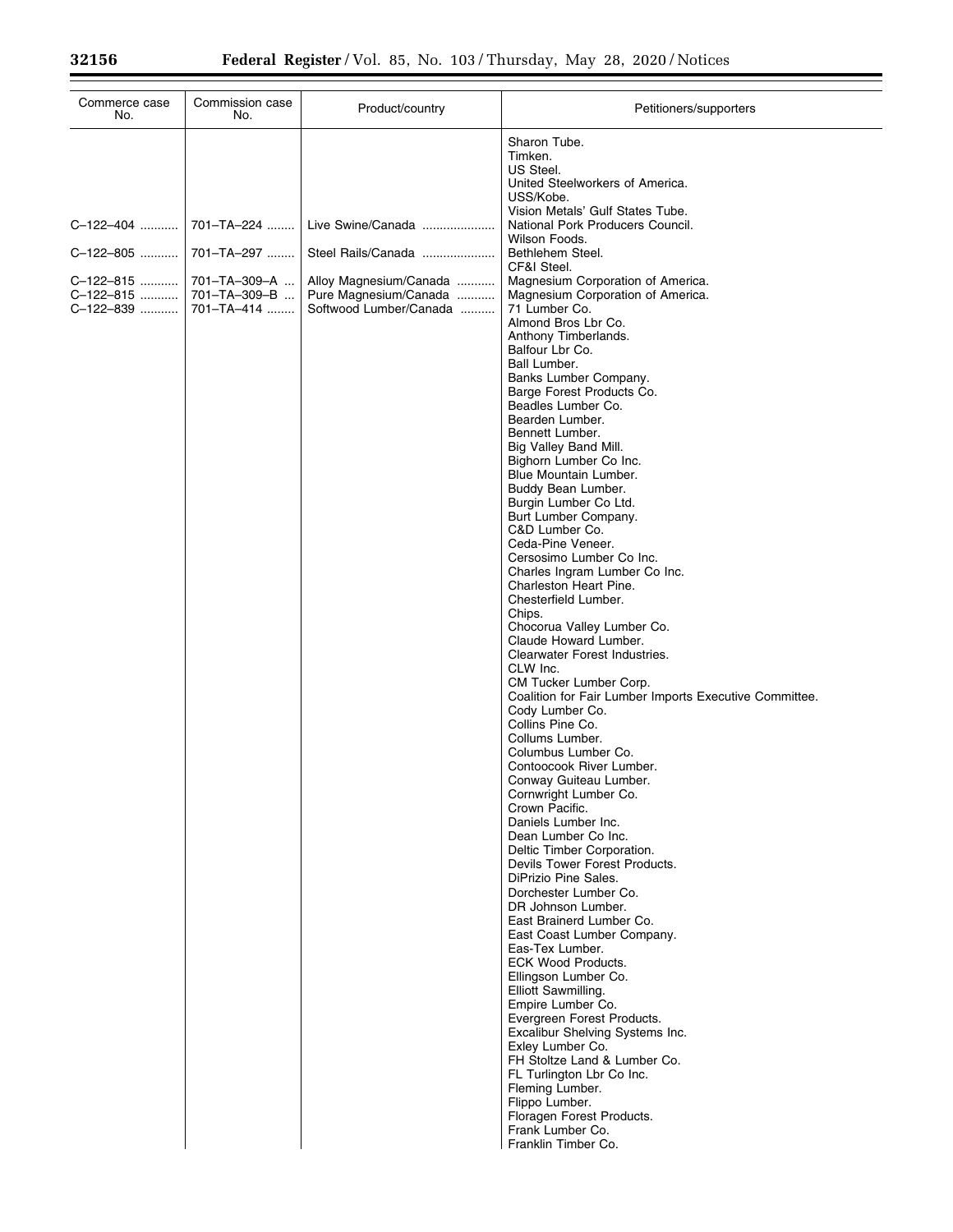Ξ

| Commerce case<br>No.                                          | Commission case<br>No.                                                 | Product/country                                                                                                      | Petitioners/supporters                                                                                                                                                                                                                                                                                                                                                                                                                                                                                                                                                                                                                                                                                                                                                                                                                                                                                                                 |
|---------------------------------------------------------------|------------------------------------------------------------------------|----------------------------------------------------------------------------------------------------------------------|----------------------------------------------------------------------------------------------------------------------------------------------------------------------------------------------------------------------------------------------------------------------------------------------------------------------------------------------------------------------------------------------------------------------------------------------------------------------------------------------------------------------------------------------------------------------------------------------------------------------------------------------------------------------------------------------------------------------------------------------------------------------------------------------------------------------------------------------------------------------------------------------------------------------------------------|
| C-122-404<br>C-122-805<br>C-122-815<br>C-122-815<br>C-122-839 | 701-TA-224<br>701-TA-297<br>701-TA-309-A<br>701-TA-309-B<br>701-TA-414 | Live Swine/Canada<br>Steel Rails/Canada<br>Alloy Magnesium/Canada<br>Pure Magnesium/Canada<br>Softwood Lumber/Canada | Sharon Tube.<br>Timken.<br>US Steel.<br>United Steelworkers of America.<br>USS/Kobe.<br>Vision Metals' Gulf States Tube.<br>National Pork Producers Council.<br>Wilson Foods.<br>Bethlehem Steel.<br>CF&I Steel.<br>Magnesium Corporation of America.<br>Magnesium Corporation of America.<br>71 Lumber Co.<br>Almond Bros Lbr Co.<br>Anthony Timberlands.<br>Balfour Lbr Co.<br>Ball Lumber.<br>Banks Lumber Company.<br>Barge Forest Products Co.<br>Beadles Lumber Co.<br>Bearden Lumber.<br>Bennett Lumber.<br>Big Valley Band Mill.<br>Bighorn Lumber Co Inc.<br>Blue Mountain Lumber.<br>Buddy Bean Lumber.<br>Burgin Lumber Co Ltd.<br>Burt Lumber Company.<br>C&D Lumber Co.<br>Ceda-Pine Veneer.<br>Cersosimo Lumber Co Inc.<br>Charles Ingram Lumber Co Inc.<br>Charleston Heart Pine.<br>Chesterfield Lumber.<br>Chips.<br>Chocorua Valley Lumber Co.<br>Claude Howard Lumber.<br>Clearwater Forest Industries.<br>CLW Inc. |
|                                                               |                                                                        |                                                                                                                      | Coalition for Fair Lumber Imports Executive Committee.<br>Cody Lumber Co.<br>Collins Pine Co.<br>Collums Lumber.<br>Columbus Lumber Co.<br>Contoocook River Lumber.<br>Conway Guiteau Lumber.<br>Cornwright Lumber Co.<br>Crown Pacific.<br>Daniels Lumber Inc.<br>Dean Lumber Co Inc.<br>Deltic Timber Corporation.<br>Devils Tower Forest Products.<br>DiPrizio Pine Sales.<br>Dorchester Lumber Co.<br>DR Johnson Lumber.<br>East Brainerd Lumber Co.<br>East Coast Lumber Company.<br>Eas-Tex Lumber.<br><b>ECK Wood Products.</b><br>Ellingson Lumber Co.<br>Elliott Sawmilling.<br>Empire Lumber Co.<br>Evergreen Forest Products.<br>Excalibur Shelving Systems Inc.<br>Exley Lumber Co.<br>FH Stoltze Land & Lumber Co.<br>FL Turlington Lbr Co Inc.<br>Fleming Lumber.<br>Flippo Lumber.<br>Floragen Forest Products.<br>Frank Lumber Co.<br>Franklin Timber Co.                                                              |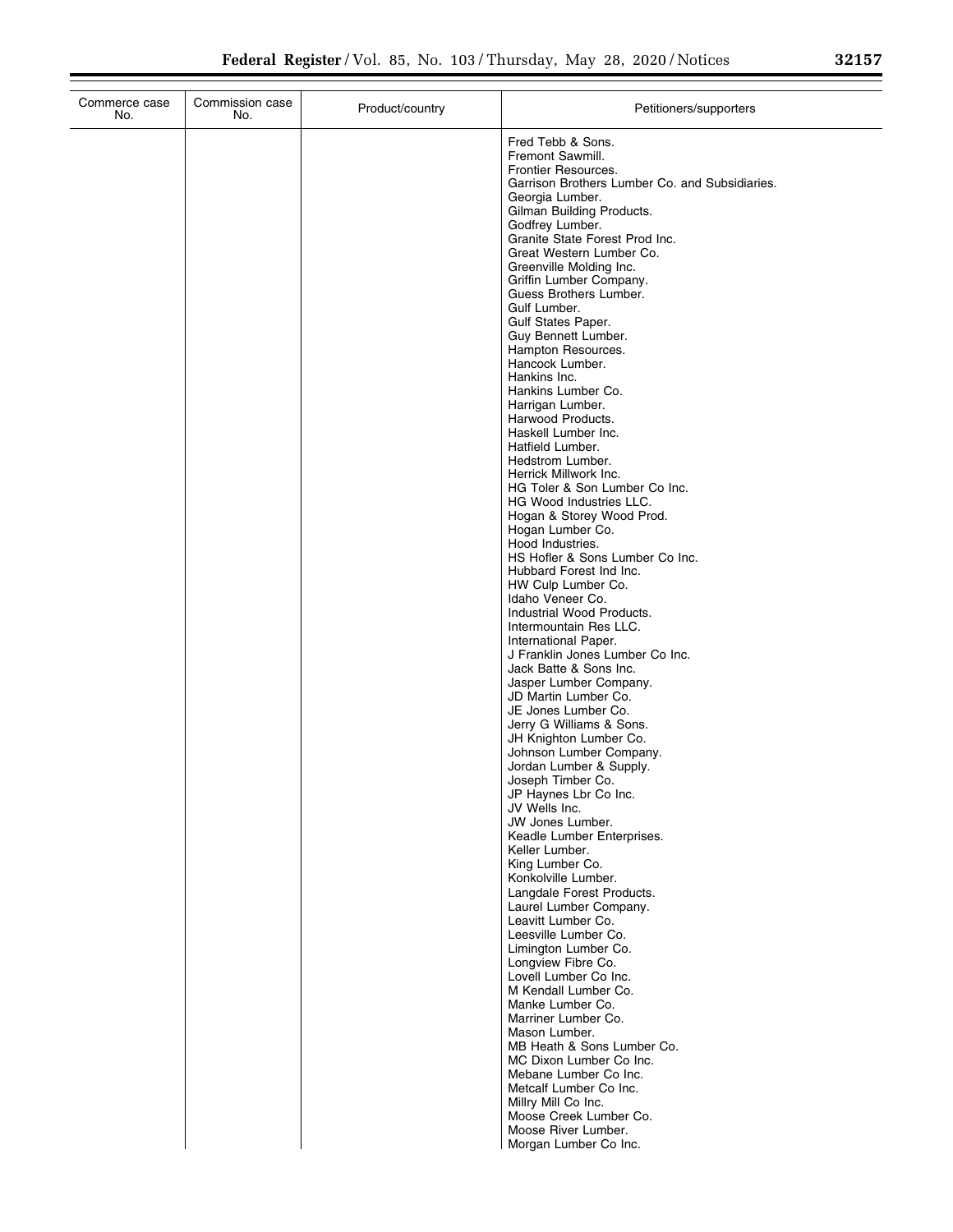| r<br>- |  |  |
|--------|--|--|
|        |  |  |

| Commerce case<br>No. | Commission case<br>No. | Product/country | Petitioners/supporters                                            |
|----------------------|------------------------|-----------------|-------------------------------------------------------------------|
|                      |                        |                 | Fred Tebb & Sons.                                                 |
|                      |                        |                 | Fremont Sawmill.                                                  |
|                      |                        |                 | Frontier Resources.                                               |
|                      |                        |                 | Garrison Brothers Lumber Co. and Subsidiaries.<br>Georgia Lumber. |
|                      |                        |                 | Gilman Building Products.                                         |
|                      |                        |                 | Godfrey Lumber.                                                   |
|                      |                        |                 | Granite State Forest Prod Inc.                                    |
|                      |                        |                 | Great Western Lumber Co.<br>Greenville Molding Inc.               |
|                      |                        |                 | Griffin Lumber Company.                                           |
|                      |                        |                 | Guess Brothers Lumber.                                            |
|                      |                        |                 | Gulf Lumber.                                                      |
|                      |                        |                 | Gulf States Paper.<br>Guy Bennett Lumber.                         |
|                      |                        |                 | Hampton Resources.                                                |
|                      |                        |                 | Hancock Lumber.                                                   |
|                      |                        |                 | Hankins Inc.<br>Hankins Lumber Co.                                |
|                      |                        |                 | Harrigan Lumber.                                                  |
|                      |                        |                 | Harwood Products.                                                 |
|                      |                        |                 | Haskell Lumber Inc.                                               |
|                      |                        |                 | Hatfield Lumber.<br>Hedstrom Lumber.                              |
|                      |                        |                 | Herrick Millwork Inc.                                             |
|                      |                        |                 | HG Toler & Son Lumber Co Inc.                                     |
|                      |                        |                 | <b>HG Wood Industries LLC.</b><br>Hogan & Storey Wood Prod.       |
|                      |                        |                 | Hogan Lumber Co.                                                  |
|                      |                        |                 | Hood Industries.                                                  |
|                      |                        |                 | HS Hofler & Sons Lumber Co Inc.                                   |
|                      |                        |                 | Hubbard Forest Ind Inc.<br>HW Culp Lumber Co.                     |
|                      |                        |                 | Idaho Veneer Co.                                                  |
|                      |                        |                 | Industrial Wood Products.                                         |
|                      |                        |                 | Intermountain Res LLC.                                            |
|                      |                        |                 | International Paper.<br>J Franklin Jones Lumber Co Inc.           |
|                      |                        |                 | Jack Batte & Sons Inc.                                            |
|                      |                        |                 | Jasper Lumber Company.                                            |
|                      |                        |                 | JD Martin Lumber Co.<br>JE Jones Lumber Co.                       |
|                      |                        |                 | Jerry G Williams & Sons.                                          |
|                      |                        |                 | JH Knighton Lumber Co.                                            |
|                      |                        |                 | Johnson Lumber Company.<br>Jordan Lumber & Supply.                |
|                      |                        |                 | Joseph Timber Co.                                                 |
|                      |                        |                 | JP Haynes Lbr Co Inc.                                             |
|                      |                        |                 | JV Wells Inc.                                                     |
|                      |                        |                 | JW Jones Lumber.<br>Keadle Lumber Enterprises.                    |
|                      |                        |                 | Keller Lumber.                                                    |
|                      |                        |                 | King Lumber Co.                                                   |
|                      |                        |                 | Konkolville Lumber.<br>Langdale Forest Products.                  |
|                      |                        |                 | Laurel Lumber Company.                                            |
|                      |                        |                 | Leavitt Lumber Co.                                                |
|                      |                        |                 | Leesville Lumber Co.                                              |
|                      |                        |                 | Limington Lumber Co.<br>Longview Fibre Co.                        |
|                      |                        |                 | Lovell Lumber Co Inc.                                             |
|                      |                        |                 | M Kendall Lumber Co.                                              |
|                      |                        |                 | Manke Lumber Co.<br>Marriner Lumber Co.                           |
|                      |                        |                 | Mason Lumber.                                                     |
|                      |                        |                 | MB Heath & Sons Lumber Co.                                        |
|                      |                        |                 | MC Dixon Lumber Co Inc.                                           |
|                      |                        |                 | Mebane Lumber Co Inc.<br>Metcalf Lumber Co Inc.                   |
|                      |                        |                 | Millry Mill Co Inc.                                               |
|                      |                        |                 | Moose Creek Lumber Co.                                            |
|                      |                        |                 | Moose River Lumber.<br>Morgan Lumber Co Inc.                      |
|                      |                        |                 |                                                                   |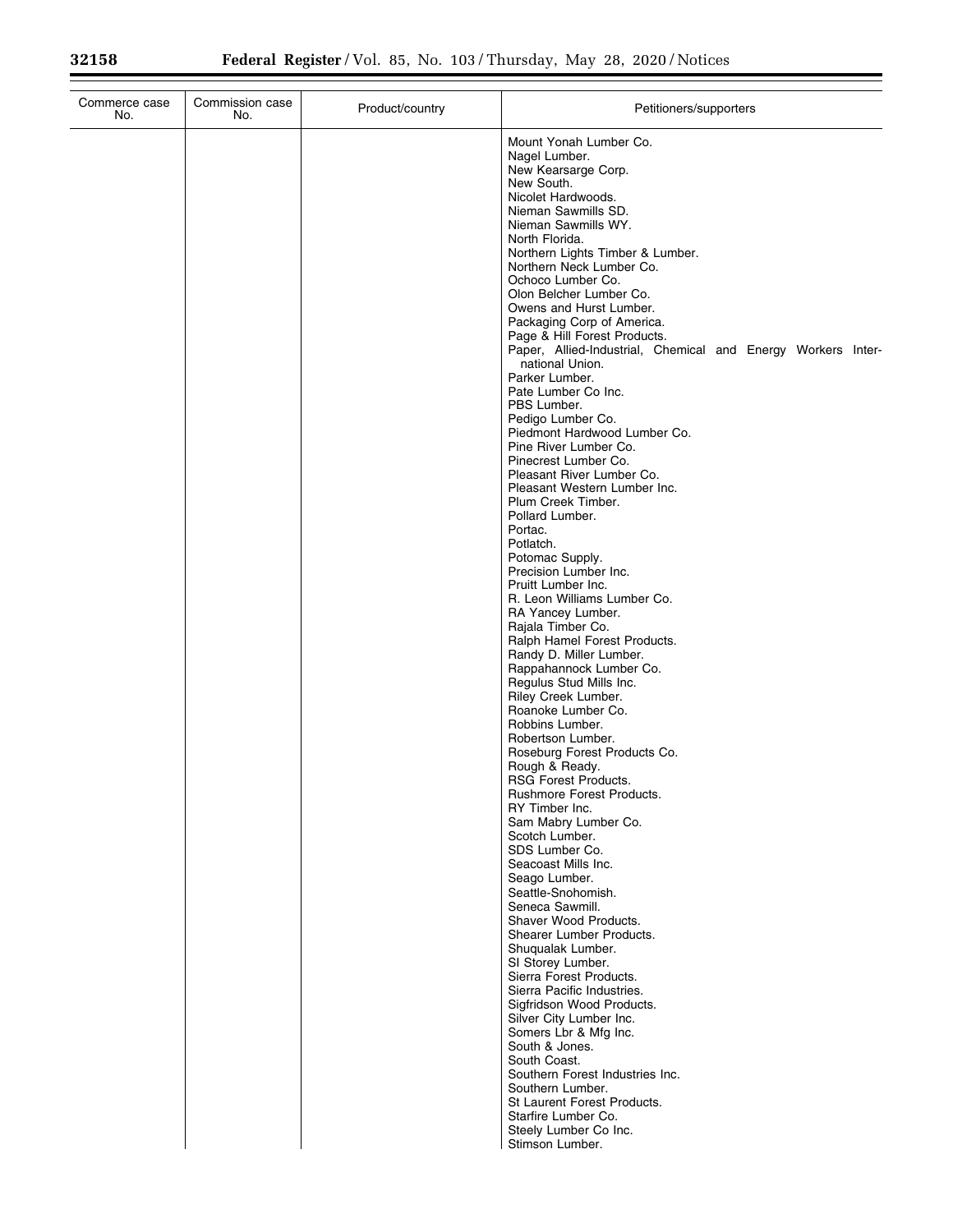| Commerce case<br>No. | Commission case<br>No. | Product/country | Petitioners/supporters                                                                                                                                                                                                                                                                                                                                                                                                                                                                                                                                                                                                                                                                                                                                                                                                                                                                                                                                                                                                                                                                                                                                                                                                                                                                                                                                                                                                                                                                                                                                                                                                                                                                                                                                    |
|----------------------|------------------------|-----------------|-----------------------------------------------------------------------------------------------------------------------------------------------------------------------------------------------------------------------------------------------------------------------------------------------------------------------------------------------------------------------------------------------------------------------------------------------------------------------------------------------------------------------------------------------------------------------------------------------------------------------------------------------------------------------------------------------------------------------------------------------------------------------------------------------------------------------------------------------------------------------------------------------------------------------------------------------------------------------------------------------------------------------------------------------------------------------------------------------------------------------------------------------------------------------------------------------------------------------------------------------------------------------------------------------------------------------------------------------------------------------------------------------------------------------------------------------------------------------------------------------------------------------------------------------------------------------------------------------------------------------------------------------------------------------------------------------------------------------------------------------------------|
|                      |                        |                 | Mount Yonah Lumber Co.<br>Nagel Lumber.<br>New Kearsarge Corp.<br>New South.<br>Nicolet Hardwoods.<br>Nieman Sawmills SD.<br>Nieman Sawmills WY.<br>North Florida.<br>Northern Lights Timber & Lumber.<br>Northern Neck Lumber Co.<br>Ochoco Lumber Co.<br>Olon Belcher Lumber Co.<br>Owens and Hurst Lumber.<br>Packaging Corp of America.<br>Page & Hill Forest Products.<br>Paper, Allied-Industrial, Chemical and Energy Workers Inter-<br>national Union.<br>Parker Lumber.<br>Pate Lumber Co Inc.<br>PBS Lumber.<br>Pedigo Lumber Co.<br>Piedmont Hardwood Lumber Co.<br>Pine River Lumber Co.<br>Pinecrest Lumber Co.<br>Pleasant River Lumber Co.<br>Pleasant Western Lumber Inc.<br>Plum Creek Timber.<br>Pollard Lumber.<br>Portac.<br>Potlatch.<br>Potomac Supply.<br>Precision Lumber Inc.<br>Pruitt Lumber Inc.<br>R. Leon Williams Lumber Co.<br>RA Yancey Lumber.<br>Rajala Timber Co.<br>Ralph Hamel Forest Products.<br>Randy D. Miller Lumber.<br>Rappahannock Lumber Co.<br>Regulus Stud Mills Inc.<br>Riley Creek Lumber.<br>Roanoke Lumber Co.<br>Robbins Lumber.<br>Robertson Lumber.<br>Roseburg Forest Products Co.<br>Rough & Ready.<br><b>RSG Forest Products.</b><br>Rushmore Forest Products.<br>RY Timber Inc.<br>Sam Mabry Lumber Co.<br>Scotch Lumber.<br>SDS Lumber Co.<br>Seacoast Mills Inc.<br>Seago Lumber.<br>Seattle-Snohomish.<br>Seneca Sawmill.<br>Shaver Wood Products.<br>Shearer Lumber Products.<br>Shuqualak Lumber.<br>SI Storey Lumber.<br>Sierra Forest Products.<br>Sierra Pacific Industries.<br>Sigfridson Wood Products.<br>Silver City Lumber Inc.<br>Somers Lbr & Mfg Inc.<br>South & Jones.<br>South Coast.<br>Southern Forest Industries Inc.<br>Southern Lumber.<br>St Laurent Forest Products. |
|                      |                        |                 | Starfire Lumber Co.<br>Steely Lumber Co Inc.<br>Stimson Lumber.                                                                                                                                                                                                                                                                                                                                                                                                                                                                                                                                                                                                                                                                                                                                                                                                                                                                                                                                                                                                                                                                                                                                                                                                                                                                                                                                                                                                                                                                                                                                                                                                                                                                                           |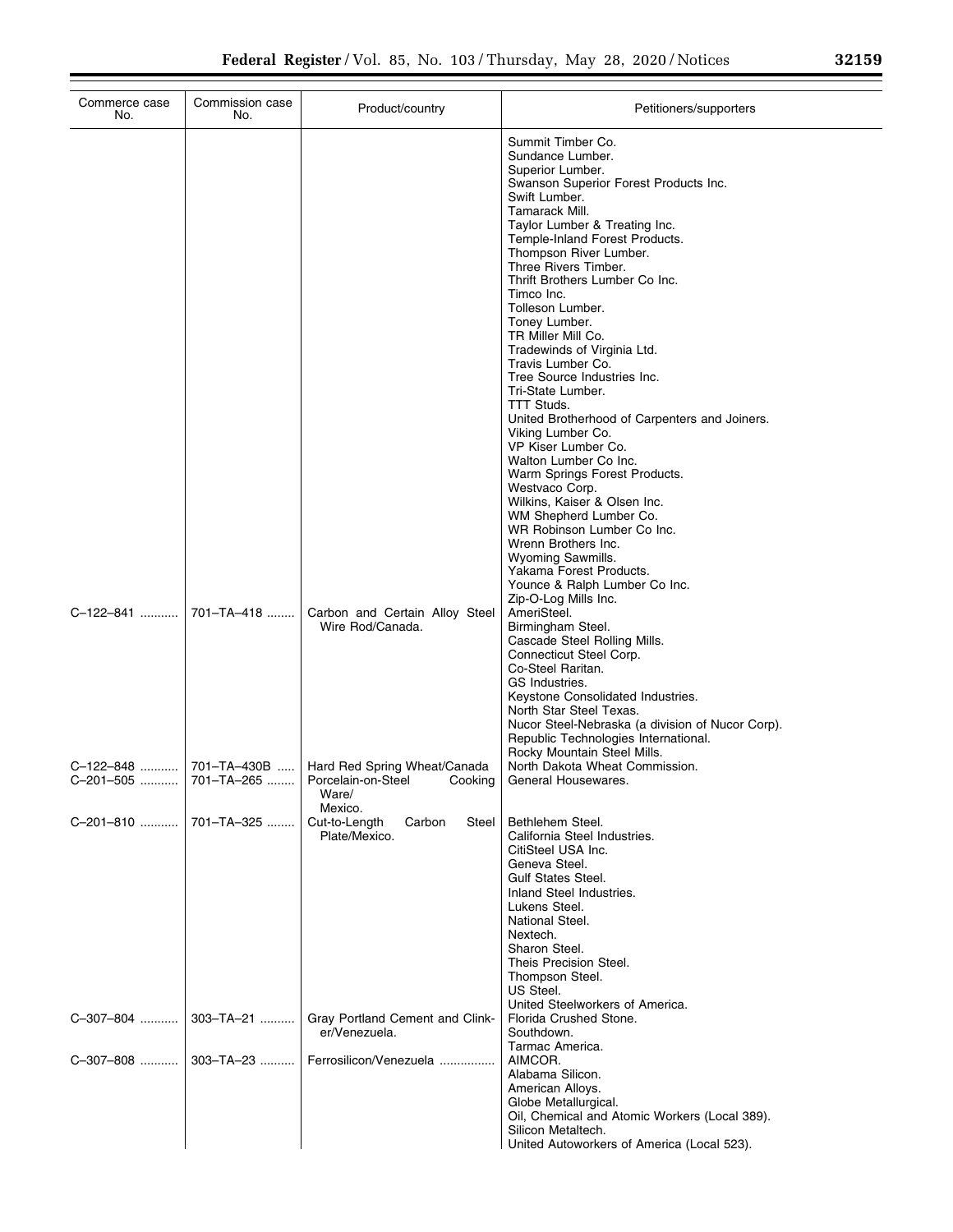| Commerce case<br>No.   | Commission case<br>No. | Product/country                                                                       | Petitioners/supporters                                                                                                                                                                                                                                                                                                                                                                                                                                                                                                                                                                                                                                                                                                                                                                                                                                               |
|------------------------|------------------------|---------------------------------------------------------------------------------------|----------------------------------------------------------------------------------------------------------------------------------------------------------------------------------------------------------------------------------------------------------------------------------------------------------------------------------------------------------------------------------------------------------------------------------------------------------------------------------------------------------------------------------------------------------------------------------------------------------------------------------------------------------------------------------------------------------------------------------------------------------------------------------------------------------------------------------------------------------------------|
|                        |                        |                                                                                       | Summit Timber Co.<br>Sundance Lumber.<br>Superior Lumber.<br>Swanson Superior Forest Products Inc.<br>Swift Lumber.<br>Tamarack Mill.<br>Taylor Lumber & Treating Inc.<br>Temple-Inland Forest Products.<br>Thompson River Lumber.<br>Three Rivers Timber.<br>Thrift Brothers Lumber Co Inc.<br>Timco Inc.<br>Tolleson Lumber.<br>Toney Lumber.<br>TR Miller Mill Co.<br>Tradewinds of Virginia Ltd.<br>Travis Lumber Co.<br>Tree Source Industries Inc.<br>Tri-State Lumber.<br>TTT Studs.<br>United Brotherhood of Carpenters and Joiners.<br>Viking Lumber Co.<br>VP Kiser Lumber Co.<br>Walton Lumber Co Inc.<br>Warm Springs Forest Products.<br>Westvaco Corp.<br>Wilkins, Kaiser & Olsen Inc.<br>WM Shepherd Lumber Co.<br>WR Robinson Lumber Co Inc.<br>Wrenn Brothers Inc.<br>Wyoming Sawmills.<br>Yakama Forest Products.<br>Younce & Ralph Lumber Co Inc. |
| C-122-841              | 701-TA-418             | Carbon and Certain Alloy Steel<br>Wire Rod/Canada.                                    | Zip-O-Log Mills Inc.<br>AmeriSteel.<br>Birmingham Steel.<br>Cascade Steel Rolling Mills.<br>Connecticut Steel Corp.<br>Co-Steel Raritan.<br>GS Industries.<br>Keystone Consolidated Industries.<br>North Star Steel Texas.<br>Nucor Steel-Nebraska (a division of Nucor Corp).<br>Republic Technologies International.<br>Rocky Mountain Steel Mills.                                                                                                                                                                                                                                                                                                                                                                                                                                                                                                                |
| C-122-848<br>C-201-505 | 701–TA–265             | 701-TA-430B    Hard Red Spring Wheat/Canada<br>Porcelain-on-Steel<br>Cooking<br>Ware/ | North Dakota Wheat Commission.<br>General Housewares.                                                                                                                                                                                                                                                                                                                                                                                                                                                                                                                                                                                                                                                                                                                                                                                                                |
| C-201-810              | 701-TA-325             | Mexico.<br>Cut-to-Length<br>Carbon<br>Steel<br>Plate/Mexico.                          | Bethlehem Steel.<br>California Steel Industries.<br>CitiSteel USA Inc.<br>Geneva Steel.<br>Gulf States Steel.<br>Inland Steel Industries.<br>Lukens Steel.<br>National Steel.<br>Nextech.<br>Sharon Steel.<br>Theis Precision Steel.<br>Thompson Steel.<br>US Steel.<br>United Steelworkers of America.                                                                                                                                                                                                                                                                                                                                                                                                                                                                                                                                                              |
| C-307-804              | 303-TA-21              | Gray Portland Cement and Clink-<br>er/Venezuela.                                      | Florida Crushed Stone.<br>Southdown.<br>Tarmac America.                                                                                                                                                                                                                                                                                                                                                                                                                                                                                                                                                                                                                                                                                                                                                                                                              |
| C-307-808              | $303 - TA - 23$        | Ferrosilicon/Venezuela                                                                | AIMCOR.<br>Alabama Silicon.<br>American Alloys.<br>Globe Metallurgical.<br>Oil, Chemical and Atomic Workers (Local 389).<br>Silicon Metaltech.<br>United Autoworkers of America (Local 523).                                                                                                                                                                                                                                                                                                                                                                                                                                                                                                                                                                                                                                                                         |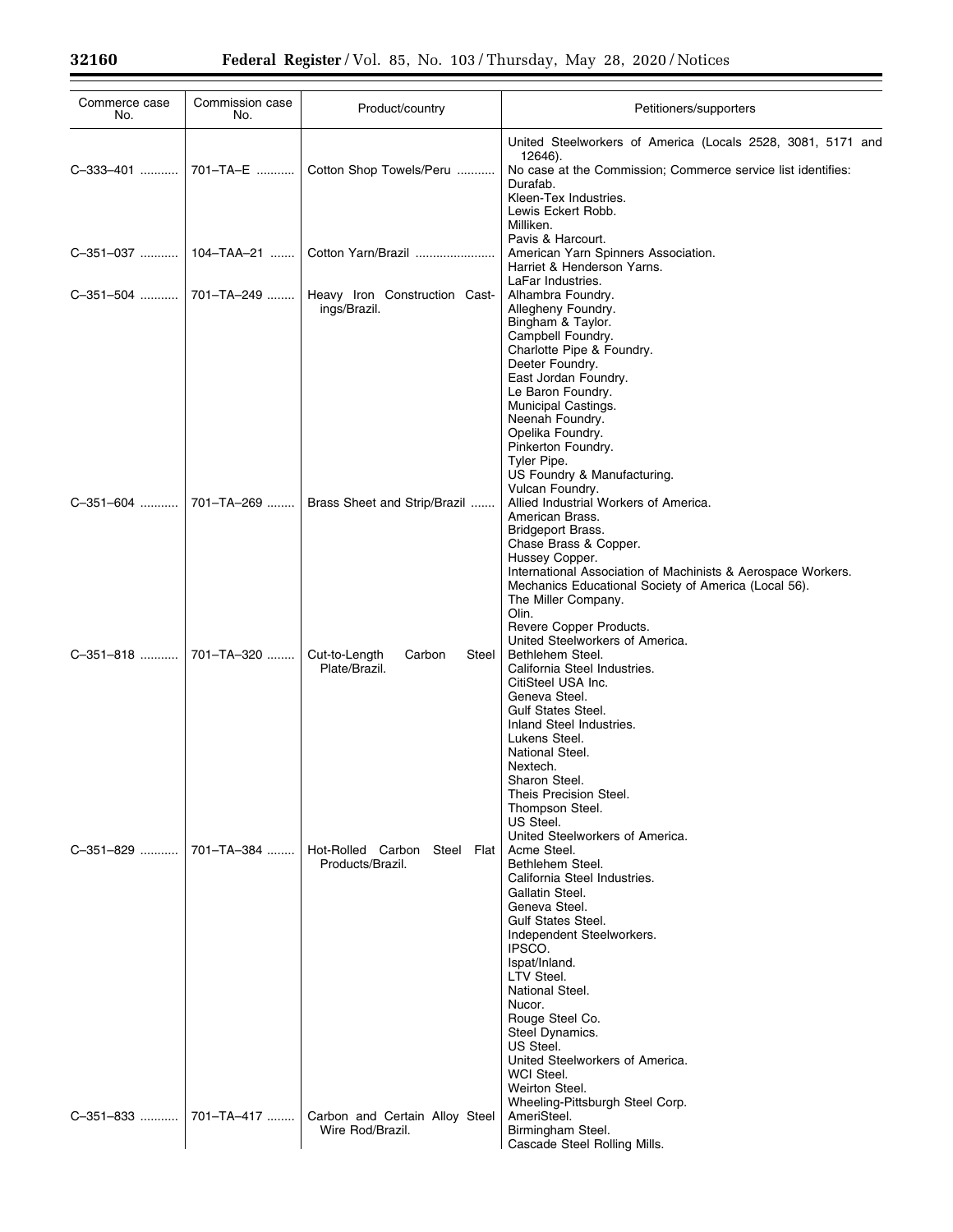| Commerce case<br>No. | Commission case<br>No.  | Product/country                                    | Petitioners/supporters                                                                                                                                                                                                                                                                                                                                                                                                          |
|----------------------|-------------------------|----------------------------------------------------|---------------------------------------------------------------------------------------------------------------------------------------------------------------------------------------------------------------------------------------------------------------------------------------------------------------------------------------------------------------------------------------------------------------------------------|
|                      |                         |                                                    | United Steelworkers of America (Locals 2528, 3081, 5171 and<br>12646).                                                                                                                                                                                                                                                                                                                                                          |
| C-333-401            | 701-TA-E                | Cotton Shop Towels/Peru                            | No case at the Commission; Commerce service list identifies:<br>Durafab.<br>Kleen-Tex Industries.<br>Lewis Eckert Robb.<br>Milliken.                                                                                                                                                                                                                                                                                            |
|                      | C-351-037    104-TAA-21 | Cotton Yarn/Brazil                                 | Pavis & Harcourt.<br>American Yarn Spinners Association.<br>Harriet & Henderson Yarns.                                                                                                                                                                                                                                                                                                                                          |
| C-351-504            | 701-TA-249              | Heavy Iron Construction Cast-<br>ings/Brazil.      | LaFar Industries.<br>Alhambra Foundry.<br>Allegheny Foundry.<br>Bingham & Taylor.<br>Campbell Foundry.<br>Charlotte Pipe & Foundry.<br>Deeter Foundry.<br>East Jordan Foundry.<br>Le Baron Foundry.<br>Municipal Castings.<br>Neenah Foundry.<br>Opelika Foundry.<br>Pinkerton Foundry.<br>Tyler Pipe.<br>US Foundry & Manufacturing.<br>Vulcan Foundry.                                                                        |
| C-351-604            | 701-TA-269              | Brass Sheet and Strip/Brazil                       | Allied Industrial Workers of America.<br>American Brass.<br>Bridgeport Brass.<br>Chase Brass & Copper.<br>Hussey Copper.<br>International Association of Machinists & Aerospace Workers.<br>Mechanics Educational Society of America (Local 56).<br>The Miller Company.<br>Olin.<br>Revere Copper Products.<br>United Steelworkers of America.                                                                                  |
| C-351-818            | 701-TA-320              | Cut-to-Length<br>Carbon<br>Steel<br>Plate/Brazil.  | Bethlehem Steel.<br>California Steel Industries.<br>CitiSteel USA Inc.<br>Geneva Steel.<br><b>Gulf States Steel.</b><br>Inland Steel Industries.<br>Lukens Steel.<br>National Steel.<br>Nextech.<br>Sharon Steel.<br>Theis Precision Steel.<br>Thompson Steel.<br>US Steel.                                                                                                                                                     |
| C-351-829            | 701-TA-384              | Hot-Rolled Carbon Steel Flat<br>Products/Brazil.   | United Steelworkers of America.<br>Acme Steel.<br>Bethlehem Steel.<br>California Steel Industries.<br>Gallatin Steel.<br>Geneva Steel.<br><b>Gulf States Steel.</b><br>Independent Steelworkers.<br>IPSCO.<br>Ispat/Inland.<br>LTV Steel.<br>National Steel.<br>Nucor.<br>Rouge Steel Co.<br>Steel Dynamics.<br>US Steel.<br>United Steelworkers of America.<br>WCI Steel.<br>Weirton Steel.<br>Wheeling-Pittsburgh Steel Corp. |
| C-351-833            | 701-TA-417              | Carbon and Certain Alloy Steel<br>Wire Rod/Brazil. | AmeriSteel.<br>Birmingham Steel.<br>Cascade Steel Rolling Mills.                                                                                                                                                                                                                                                                                                                                                                |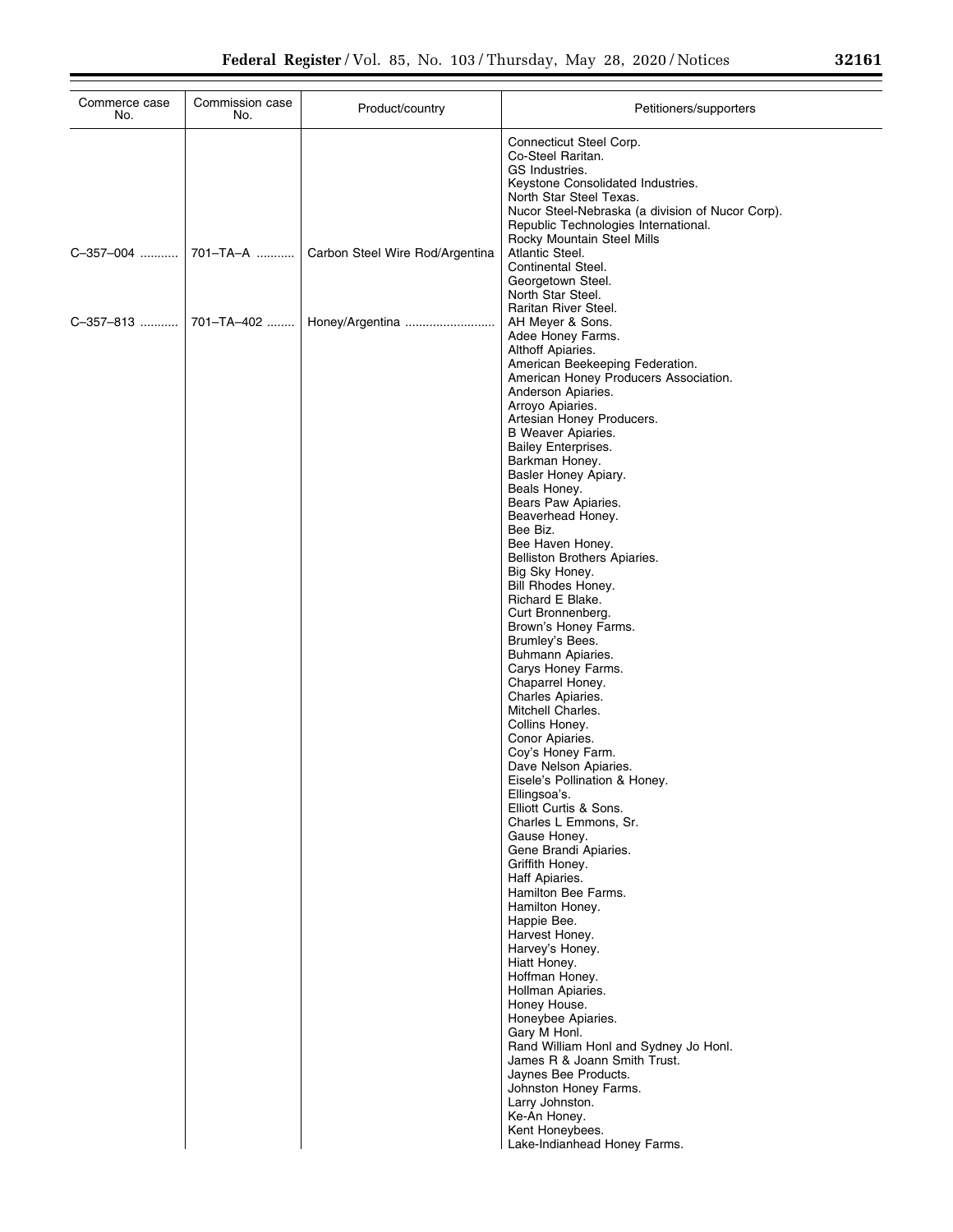| Commerce case<br>No.    | Commission case<br>No. | Product/country                 | Petitioners/supporters                                                                                                                                                                                                                                                                                                                                                                                                                                                                                                                                                                                                                                                                                                                                                                                                                          |
|-------------------------|------------------------|---------------------------------|-------------------------------------------------------------------------------------------------------------------------------------------------------------------------------------------------------------------------------------------------------------------------------------------------------------------------------------------------------------------------------------------------------------------------------------------------------------------------------------------------------------------------------------------------------------------------------------------------------------------------------------------------------------------------------------------------------------------------------------------------------------------------------------------------------------------------------------------------|
|                         |                        |                                 | Connecticut Steel Corp.<br>Co-Steel Raritan.<br>GS Industries.<br>Keystone Consolidated Industries.<br>North Star Steel Texas.<br>Nucor Steel-Nebraska (a division of Nucor Corp).<br>Republic Technologies International.                                                                                                                                                                                                                                                                                                                                                                                                                                                                                                                                                                                                                      |
| C-357-004               | 701-TA-A               | Carbon Steel Wire Rod/Argentina | Rocky Mountain Steel Mills<br>Atlantic Steel.<br>Continental Steel.<br>Georgetown Steel.<br>North Star Steel.                                                                                                                                                                                                                                                                                                                                                                                                                                                                                                                                                                                                                                                                                                                                   |
| C–357–813    701–TA–402 |                        | Honey/Argentina                 | Raritan River Steel.<br>AH Meyer & Sons.<br>Adee Honey Farms.<br>Althoff Apiaries.<br>American Beekeeping Federation.<br>American Honey Producers Association.<br>Anderson Apiaries.<br>Arroyo Apiaries.<br>Artesian Honey Producers.<br><b>B</b> Weaver Apiaries.<br><b>Bailey Enterprises.</b><br>Barkman Honey.<br>Basler Honey Apiary.<br>Beals Honey.<br>Bears Paw Apiaries.<br>Beaverhead Honey.<br>Bee Biz.<br>Bee Haven Honey.<br>Belliston Brothers Apiaries.<br>Big Sky Honey.<br>Bill Rhodes Honey.<br>Richard E Blake.<br>Curt Bronnenberg.<br>Brown's Honey Farms.<br>Brumley's Bees.<br>Buhmann Apiaries.<br>Carys Honey Farms.<br>Chaparrel Honey.<br>Charles Apiaries.<br>Mitchell Charles.<br>Collins Honey.<br>Conor Apiaries.<br>Coy's Honey Farm.<br>Dave Nelson Apiaries.<br>Eisele's Pollination & Honey.<br>Ellingsoa's. |
|                         |                        |                                 | Elliott Curtis & Sons.<br>Charles L Emmons, Sr.<br>Gause Honey.<br>Gene Brandi Apiaries.<br>Griffith Honey.<br>Haff Apiaries.<br>Hamilton Bee Farms.<br>Hamilton Honev.<br>Happie Bee.<br>Harvest Honey.<br>Harvey's Honey.<br>Hiatt Honey.<br>Hoffman Honey.<br>Hollman Apiaries.<br>Honey House.<br>Honeybee Apiaries.<br>Gary M Honl.<br>Rand William Honl and Sydney Jo Honl.<br>James R & Joann Smith Trust.<br>Jaynes Bee Products.<br>Johnston Honey Farms.<br>Larry Johnston.<br>Ke-An Honey.<br>Kent Honeybees.<br>Lake-Indianhead Honey Farms.                                                                                                                                                                                                                                                                                        |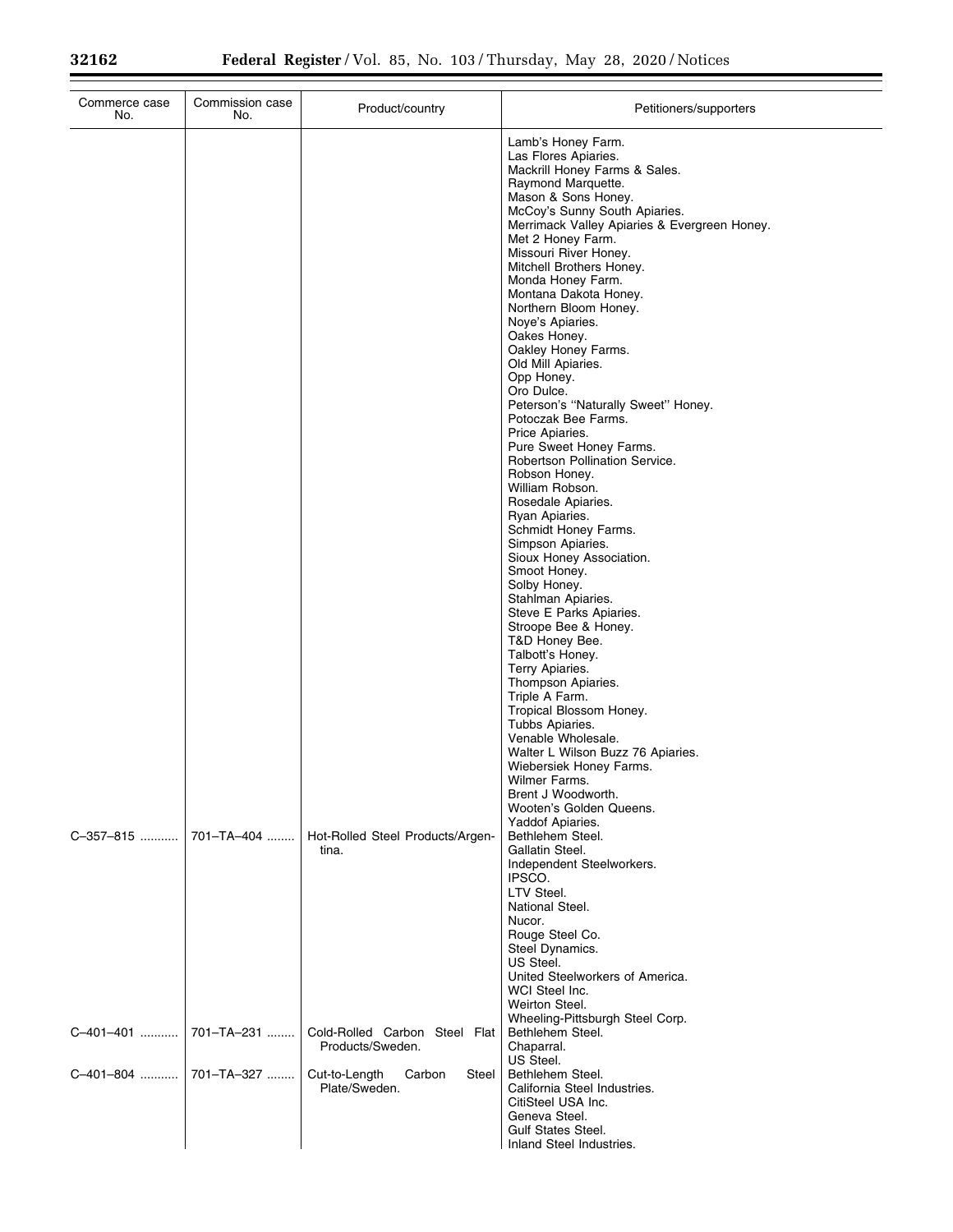| Commerce case<br>No. | Commission case<br>No. | Product/country                                   | Petitioners/supporters                                                                                                                                                                                                                                                                                                                                                                                                                                                                                                                                                                                                                                                                                                                                                                                                                                                                                                                                                                                                                                                                                                                                                                     |
|----------------------|------------------------|---------------------------------------------------|--------------------------------------------------------------------------------------------------------------------------------------------------------------------------------------------------------------------------------------------------------------------------------------------------------------------------------------------------------------------------------------------------------------------------------------------------------------------------------------------------------------------------------------------------------------------------------------------------------------------------------------------------------------------------------------------------------------------------------------------------------------------------------------------------------------------------------------------------------------------------------------------------------------------------------------------------------------------------------------------------------------------------------------------------------------------------------------------------------------------------------------------------------------------------------------------|
|                      |                        |                                                   | Lamb's Honey Farm.<br>Las Flores Apiaries.<br>Mackrill Honey Farms & Sales.<br>Raymond Marquette.<br>Mason & Sons Honey.<br>McCoy's Sunny South Apiaries.<br>Merrimack Valley Apiaries & Evergreen Honey.<br>Met 2 Honey Farm.<br>Missouri River Honey.<br>Mitchell Brothers Honey.<br>Monda Honey Farm.<br>Montana Dakota Honey.<br>Northern Bloom Honey.<br>Noye's Apiaries.<br>Oakes Honey.<br>Oakley Honey Farms.<br>Old Mill Apiaries.<br>Opp Honey.<br>Oro Dulce.<br>Peterson's "Naturally Sweet" Honey.<br>Potoczak Bee Farms.<br>Price Apiaries.<br>Pure Sweet Honey Farms.<br>Robertson Pollination Service.<br>Robson Honey.<br>William Robson.<br>Rosedale Apiaries.<br>Ryan Apiaries.<br>Schmidt Honey Farms.<br>Simpson Apiaries.<br>Sioux Honey Association.<br>Smoot Honey.<br>Solby Honey.<br>Stahlman Apiaries.<br>Steve E Parks Apiaries.<br>Stroope Bee & Honey.<br>T&D Honey Bee.<br>Talbott's Honey.<br>Terry Apiaries.<br>Thompson Apiaries.<br>Triple A Farm.<br>Tropical Blossom Honey.<br>Tubbs Apiaries.<br>Venable Wholesale.<br>Walter L Wilson Buzz 76 Apiaries.<br>Wiebersiek Honey Farms.<br>Wilmer Farms.<br>Brent J Woodworth.<br>Wooten's Golden Queens. |
| C-357-815            | 701-TA-404             | Hot-Rolled Steel Products/Argen-<br>tina.         | Yaddof Apiaries.<br>Bethlehem Steel.<br>Gallatin Steel.<br>Independent Steelworkers.<br>IPSCO.<br>LTV Steel.<br>National Steel.<br>Nucor.<br>Rouge Steel Co.<br>Steel Dynamics.<br>US Steel.<br>United Steelworkers of America.<br>WCI Steel Inc.<br>Weirton Steel.                                                                                                                                                                                                                                                                                                                                                                                                                                                                                                                                                                                                                                                                                                                                                                                                                                                                                                                        |
| C-401-401            | 701-TA-231             | Cold-Rolled Carbon Steel Flat<br>Products/Sweden. | Wheeling-Pittsburgh Steel Corp.<br>Bethlehem Steel.<br>Chaparral.<br>US Steel.                                                                                                                                                                                                                                                                                                                                                                                                                                                                                                                                                                                                                                                                                                                                                                                                                                                                                                                                                                                                                                                                                                             |
| C-401-804            | 701-TA-327             | Cut-to-Length<br>Carbon<br>Steel<br>Plate/Sweden. | Bethlehem Steel.<br>California Steel Industries.<br>CitiSteel USA Inc.<br>Geneva Steel.<br><b>Gulf States Steel.</b><br>Inland Steel Industries.                                                                                                                                                                                                                                                                                                                                                                                                                                                                                                                                                                                                                                                                                                                                                                                                                                                                                                                                                                                                                                           |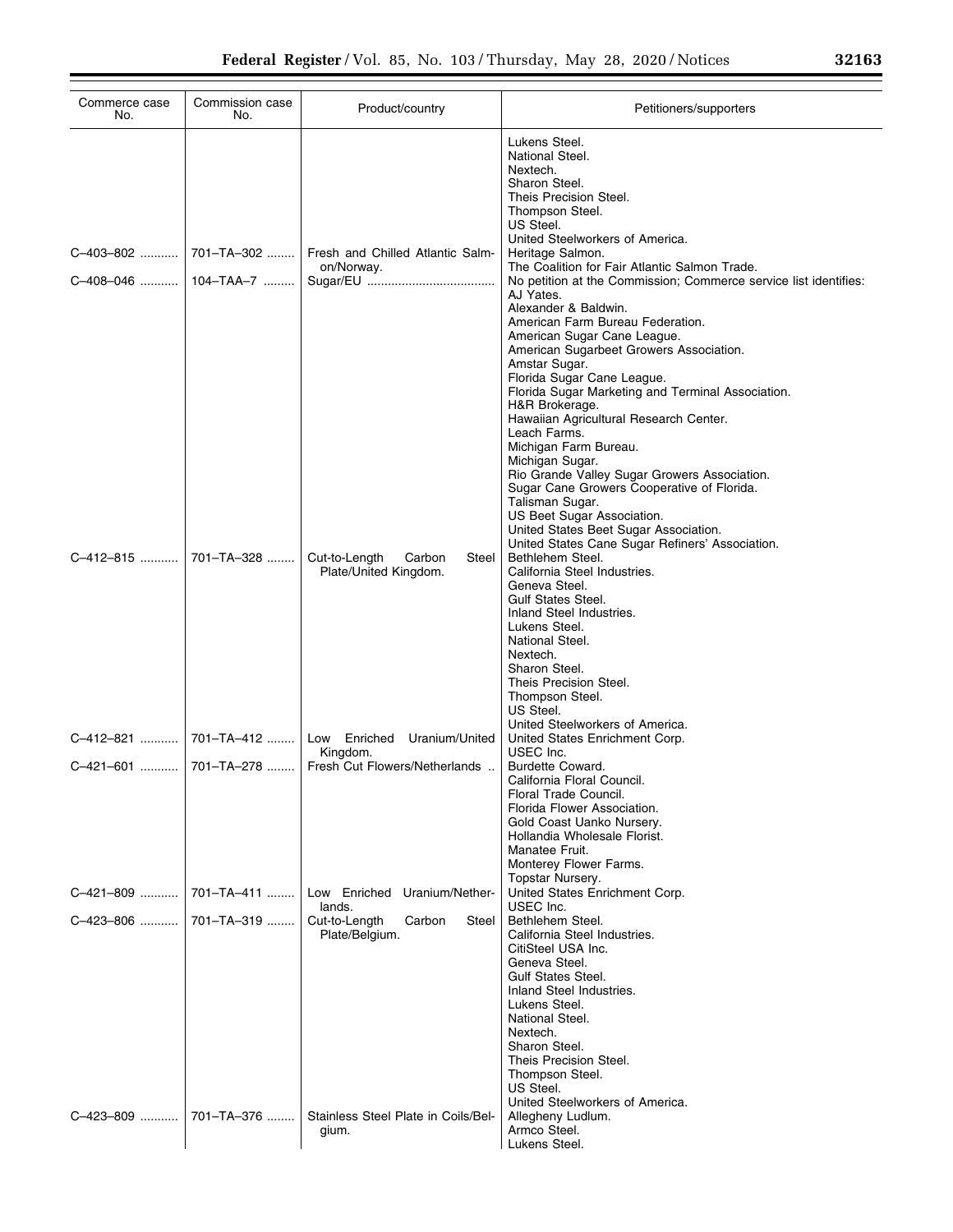| Commerce case<br>No.   | Commission case<br>No. | Product/country                                           | Petitioners/supporters                                                                                                                                                                                                                                                                                                                                                                                                                                                                                                                                                                                                                                      |
|------------------------|------------------------|-----------------------------------------------------------|-------------------------------------------------------------------------------------------------------------------------------------------------------------------------------------------------------------------------------------------------------------------------------------------------------------------------------------------------------------------------------------------------------------------------------------------------------------------------------------------------------------------------------------------------------------------------------------------------------------------------------------------------------------|
|                        |                        |                                                           | Lukens Steel.<br>National Steel.<br>Nextech.<br>Sharon Steel.<br>Theis Precision Steel.<br>Thompson Steel.<br>US Steel.                                                                                                                                                                                                                                                                                                                                                                                                                                                                                                                                     |
| C-403-802              | 701-TA-302             | Fresh and Chilled Atlantic Salm-<br>on/Norway.            | United Steelworkers of America.<br>Heritage Salmon.<br>The Coalition for Fair Atlantic Salmon Trade.                                                                                                                                                                                                                                                                                                                                                                                                                                                                                                                                                        |
| C-408-046    104-TAA-7 |                        |                                                           | No petition at the Commission; Commerce service list identifies:<br>AJ Yates.<br>Alexander & Baldwin.<br>American Farm Bureau Federation.<br>American Sugar Cane League.<br>American Sugarbeet Growers Association.<br>Amstar Sugar.<br>Florida Sugar Cane League.<br>Florida Sugar Marketing and Terminal Association.                                                                                                                                                                                                                                                                                                                                     |
| C-412-815              | 701-TA-328             | Cut-to-Length<br>Carbon<br>Steel<br>Plate/United Kingdom. | H&R Brokerage.<br>Hawaiian Agricultural Research Center.<br>Leach Farms.<br>Michigan Farm Bureau.<br>Michigan Sugar.<br>Rio Grande Valley Sugar Growers Association.<br>Sugar Cane Growers Cooperative of Florida.<br>Talisman Sugar.<br>US Beet Sugar Association.<br>United States Beet Sugar Association.<br>United States Cane Sugar Refiners' Association.<br>Bethlehem Steel.<br>California Steel Industries.<br>Geneva Steel.<br><b>Gulf States Steel.</b><br>Inland Steel Industries.<br>Lukens Steel.<br>National Steel.<br>Nextech.<br>Sharon Steel.<br>Theis Precision Steel.<br>Thompson Steel.<br>US Steel.<br>United Steelworkers of America. |
| C–412–821              | 701-TA-412             | Low Enriched Uranium/United<br>Kingdom.                   | United States Enrichment Corp.<br>USEC Inc.                                                                                                                                                                                                                                                                                                                                                                                                                                                                                                                                                                                                                 |
| C-421-601              | 701–TA–278             | Fresh Cut Flowers/Netherlands                             | Burdette Coward.<br>California Floral Council.<br>Floral Trade Council.<br>Florida Flower Association.<br>Gold Coast Uanko Nursery.<br>Hollandia Wholesale Florist.<br>Manatee Fruit.<br>Monterey Flower Farms.<br>Topstar Nursery.                                                                                                                                                                                                                                                                                                                                                                                                                         |
| C-421-809              | 701-TA-411             | Low Enriched Uranium/Nether-<br>lands.                    | United States Enrichment Corp.<br>USEC Inc.                                                                                                                                                                                                                                                                                                                                                                                                                                                                                                                                                                                                                 |
| C-423-806              | 701-TA-319             | Cut-to-Length<br>Carbon<br>Steel<br>Plate/Belgium.        | Bethlehem Steel.<br>California Steel Industries.<br>CitiSteel USA Inc.<br>Geneva Steel.<br><b>Gulf States Steel.</b><br>Inland Steel Industries.<br>Lukens Steel.<br>National Steel.<br>Nextech.<br>Sharon Steel.<br>Theis Precision Steel.<br>Thompson Steel.<br>US Steel.<br>United Steelworkers of America.                                                                                                                                                                                                                                                                                                                                              |
| C-423-809              | 701-TA-376             | Stainless Steel Plate in Coils/Bel-<br>gium.              | Allegheny Ludlum.<br>Armco Steel.<br>Lukens Steel.                                                                                                                                                                                                                                                                                                                                                                                                                                                                                                                                                                                                          |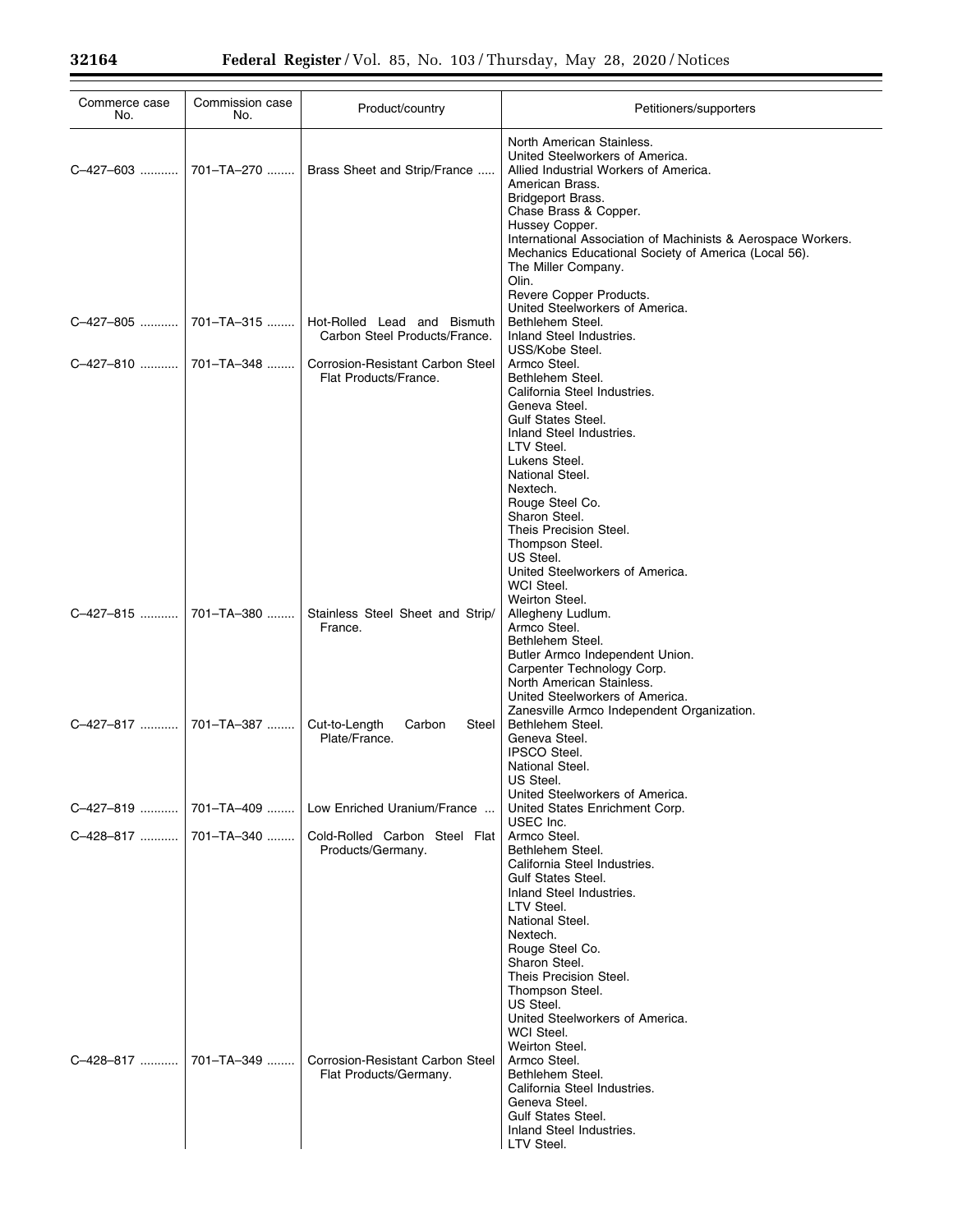| Commerce case<br>No. | Commission case<br>No. | Product/country                                              | Petitioners/supporters                                                                                                                                                                                                                                                                                                    |
|----------------------|------------------------|--------------------------------------------------------------|---------------------------------------------------------------------------------------------------------------------------------------------------------------------------------------------------------------------------------------------------------------------------------------------------------------------------|
| C-427-603            | 701-TA-270             | Brass Sheet and Strip/France                                 | North American Stainless.<br>United Steelworkers of America.<br>Allied Industrial Workers of America.<br>American Brass.                                                                                                                                                                                                  |
|                      |                        |                                                              | Bridgeport Brass.<br>Chase Brass & Copper.<br>Hussey Copper.<br>International Association of Machinists & Aerospace Workers.<br>Mechanics Educational Society of America (Local 56).<br>The Miller Company.<br>Olin.<br>Revere Copper Products.<br>United Steelworkers of America.                                        |
| C-427-805            | 701-TA-315             | Hot-Rolled Lead and Bismuth<br>Carbon Steel Products/France. | Bethlehem Steel.<br>Inland Steel Industries.                                                                                                                                                                                                                                                                              |
|                      |                        | Corrosion-Resistant Carbon Steel<br>Flat Products/France.    | USS/Kobe Steel.<br>Armco Steel.<br>Bethlehem Steel.<br>California Steel Industries.<br>Geneva Steel.<br><b>Gulf States Steel.</b><br>Inland Steel Industries.<br>LTV Steel.                                                                                                                                               |
|                      |                        |                                                              | Lukens Steel.<br>National Steel.<br>Nextech.<br>Rouge Steel Co.<br>Sharon Steel.<br>Theis Precision Steel.<br>Thompson Steel.<br>US Steel.<br>United Steelworkers of America.<br>WCI Steel.                                                                                                                               |
| C-427-815            | 701-TA-380             | Stainless Steel Sheet and Strip/<br>France.                  | Weirton Steel.<br>Allegheny Ludlum.<br>Armco Steel.<br>Bethlehem Steel.<br>Butler Armco Independent Union.<br>Carpenter Technology Corp.<br>North American Stainless.<br>United Steelworkers of America.                                                                                                                  |
|                      |                        | Cut-to-Length<br>Steel<br>Carbon<br>Plate/France.            | Zanesville Armco Independent Organization.<br>Bethlehem Steel.<br>Geneva Steel.<br><b>IPSCO Steel.</b><br>National Steel.<br>US Steel.                                                                                                                                                                                    |
| C-427-819            | 701-TA-409             | Low Enriched Uranium/France                                  | United Steelworkers of America.<br>United States Enrichment Corp.                                                                                                                                                                                                                                                         |
| C-428-817            | 701-TA-340             | Cold-Rolled Carbon Steel Flat<br>Products/Germany.           | USEC Inc.<br>Armco Steel.<br>Bethlehem Steel.<br>California Steel Industries.<br><b>Gulf States Steel.</b><br>Inland Steel Industries.<br>LTV Steel.<br>National Steel.<br>Nextech.                                                                                                                                       |
| C-428-817            | 701-TA-349             | Corrosion-Resistant Carbon Steel<br>Flat Products/Germany.   | Rouge Steel Co.<br>Sharon Steel.<br>Theis Precision Steel.<br>Thompson Steel.<br>US Steel.<br>United Steelworkers of America.<br>WCI Steel.<br>Weirton Steel.<br>Armco Steel.<br>Bethlehem Steel.<br>California Steel Industries.<br>Geneva Steel.<br><b>Gulf States Steel.</b><br>Inland Steel Industries.<br>LTV Steel. |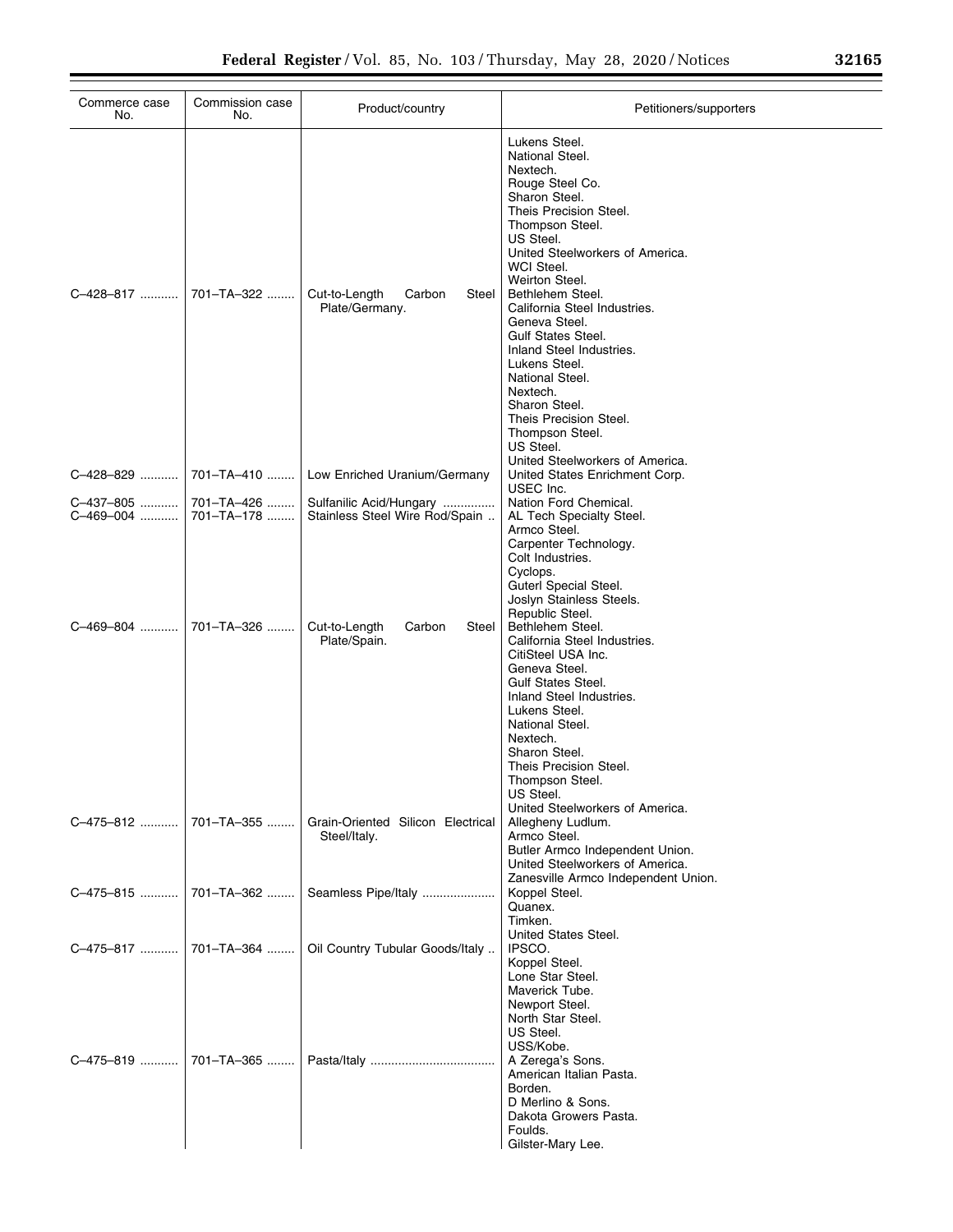| Commerce case<br>No.   | Commission case<br>No.   | Product/country                                           | Petitioners/supporters                                                                                                                                                                                                                                                                                                                                                                                                                                                        |
|------------------------|--------------------------|-----------------------------------------------------------|-------------------------------------------------------------------------------------------------------------------------------------------------------------------------------------------------------------------------------------------------------------------------------------------------------------------------------------------------------------------------------------------------------------------------------------------------------------------------------|
| C-428-817              | 701-TA-322               | Cut-to-Length<br>Carbon<br>Steel<br>Plate/Germany.        | Lukens Steel.<br>National Steel.<br>Nextech.<br>Rouge Steel Co.<br>Sharon Steel.<br>Theis Precision Steel.<br>Thompson Steel.<br>US Steel.<br>United Steelworkers of America.<br><b>WCI Steel.</b><br>Weirton Steel.<br>Bethlehem Steel.<br>California Steel Industries.<br>Geneva Steel.<br><b>Gulf States Steel.</b><br>Inland Steel Industries.<br>Lukens Steel.<br>National Steel.<br>Nextech.<br>Sharon Steel.<br>Theis Precision Steel.<br>Thompson Steel.<br>US Steel. |
| C-428-829              | 701-TA-410               | Low Enriched Uranium/Germany                              | United Steelworkers of America.<br>United States Enrichment Corp.<br>USEC Inc.                                                                                                                                                                                                                                                                                                                                                                                                |
| C-437-805<br>C-469-004 | 701-TA-426<br>701-TA-178 | Sulfanilic Acid/Hungary<br>Stainless Steel Wire Rod/Spain | Nation Ford Chemical.<br>AL Tech Specialty Steel.<br>Armco Steel.<br>Carpenter Technology.<br>Colt Industries.<br>Cyclops.<br>Guterl Special Steel.<br>Joslyn Stainless Steels.                                                                                                                                                                                                                                                                                               |
| C-469-804              | 701-TA-326               | Cut-to-Length<br>Steel<br>Carbon<br>Plate/Spain.          | Republic Steel.<br>Bethlehem Steel.<br>California Steel Industries.<br>CitiSteel USA Inc.<br>Geneva Steel.<br><b>Gulf States Steel.</b><br>Inland Steel Industries.<br>Lukens Steel.<br>National Steel.<br>Nextech.<br>Sharon Steel.<br>Theis Precision Steel.<br>Thompson Steel.<br>US Steel.                                                                                                                                                                                |
| C-475-812              | 701-TA-355               | Grain-Oriented Silicon Electrical<br>Steel/Italy.         | United Steelworkers of America.<br>Allegheny Ludlum.<br>Armco Steel.<br>Butler Armco Independent Union.<br>United Steelworkers of America.<br>Zanesville Armco Independent Union.                                                                                                                                                                                                                                                                                             |
| C-475-815              | 701-TA-362               | Seamless Pipe/Italy                                       | Koppel Steel.<br>Quanex.<br>Timken.                                                                                                                                                                                                                                                                                                                                                                                                                                           |
| C-475-817              | 701-TA-364               | Oil Country Tubular Goods/Italy                           | United States Steel.<br>IPSCO.<br>Koppel Steel.<br>Lone Star Steel.<br>Maverick Tube.<br>Newport Steel.<br>North Star Steel.<br>US Steel.                                                                                                                                                                                                                                                                                                                                     |
| C-475-819              | 701-TA-365               |                                                           | USS/Kobe.<br>A Zerega's Sons.<br>American Italian Pasta.<br>Borden.<br>D Merlino & Sons.<br>Dakota Growers Pasta.<br>Foulds.<br>Gilster-Mary Lee.                                                                                                                                                                                                                                                                                                                             |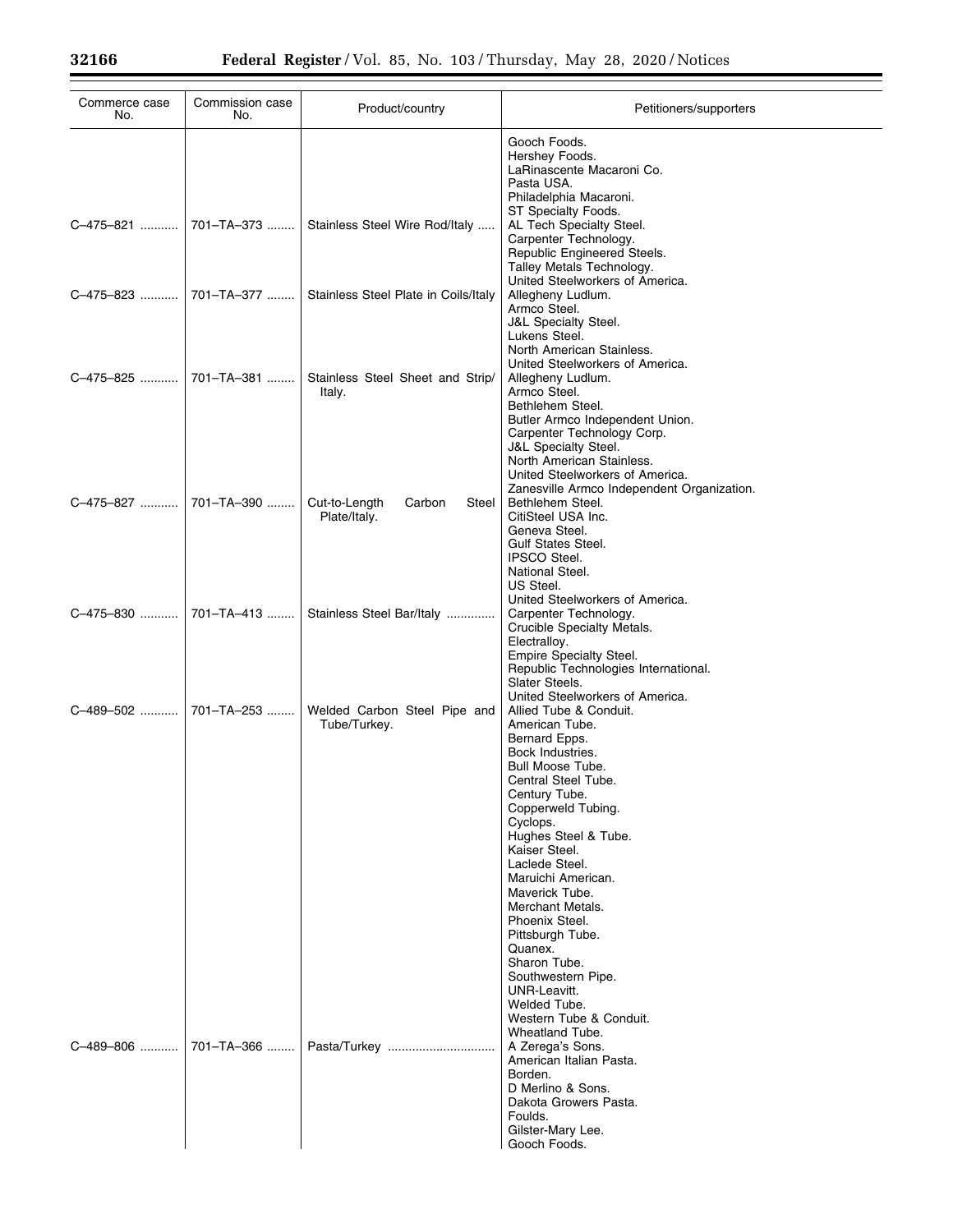| Commerce case<br>No. | Commission case<br>No. | Product/country                                  | Petitioners/supporters                                                                                                                                                                                                                                                                                                                                                                                                                                                                                     |
|----------------------|------------------------|--------------------------------------------------|------------------------------------------------------------------------------------------------------------------------------------------------------------------------------------------------------------------------------------------------------------------------------------------------------------------------------------------------------------------------------------------------------------------------------------------------------------------------------------------------------------|
|                      |                        |                                                  | Gooch Foods.<br>Hershey Foods.<br>LaRinascente Macaroni Co.<br>Pasta USA.<br>Philadelphia Macaroni.                                                                                                                                                                                                                                                                                                                                                                                                        |
| C-475-821            | 701-TA-373             | Stainless Steel Wire Rod/Italy                   | ST Specialty Foods.<br>AL Tech Specialty Steel.<br>Carpenter Technology.<br>Republic Engineered Steels.<br>Talley Metals Technology.                                                                                                                                                                                                                                                                                                                                                                       |
| C-475-823            | 701-TA-377             | Stainless Steel Plate in Coils/Italy             | United Steelworkers of America.<br>Allegheny Ludlum.<br>Armco Steel.<br><b>J&amp;L Specialty Steel.</b><br>Lukens Steel.                                                                                                                                                                                                                                                                                                                                                                                   |
| C-475-825            | 701-TA-381             | Stainless Steel Sheet and Strip/<br>Italy.       | North American Stainless.<br>United Steelworkers of America.<br>Allegheny Ludlum.<br>Armco Steel.<br>Bethlehem Steel.<br>Butler Armco Independent Union.<br>Carpenter Technology Corp.<br>J&L Specialty Steel.<br>North American Stainless.<br>United Steelworkers of America.                                                                                                                                                                                                                             |
| C-475-827            | 701-TA-390             | Cut-to-Length<br>Carbon<br>Steel<br>Plate/Italy. | Zanesville Armco Independent Organization.<br>Bethlehem Steel.<br>CitiSteel USA Inc.<br>Geneva Steel.<br><b>Gulf States Steel.</b><br><b>IPSCO Steel.</b><br>National Steel.<br>US Steel.                                                                                                                                                                                                                                                                                                                  |
| C-475-830            | 701-TA-413             | Stainless Steel Bar/Italy                        | United Steelworkers of America.<br>Carpenter Technology.<br>Crucible Specialty Metals.<br>Electralloy.<br>Empire Specialty Steel.<br>Republic Technologies International.<br>Slater Steels.                                                                                                                                                                                                                                                                                                                |
| C-489-502            | 701-TA-253             | Welded Carbon Steel Pipe and<br>Tube/Turkey.     | United Steelworkers of America.<br>Allied Tube & Conduit.<br>American Tube.<br>Bernard Epps.<br>Bock Industries.<br>Bull Moose Tube.<br>Central Steel Tube.<br>Century Tube.<br>Copperweld Tubing.<br>Cyclops.<br>Hughes Steel & Tube.<br>Kaiser Steel.<br>Laclede Steel.<br>Maruichi American.<br>Maverick Tube.<br>Merchant Metals.<br>Phoenix Steel.<br>Pittsburgh Tube.<br>Quanex.<br>Sharon Tube.<br>Southwestern Pipe.<br>UNR-Leavitt.<br>Welded Tube.<br>Western Tube & Conduit.<br>Wheatland Tube. |
| C-489-806            | 701-TA-366             |                                                  | A Zerega's Sons.<br>American Italian Pasta.<br>Borden.<br>D Merlino & Sons.<br>Dakota Growers Pasta.<br>Foulds.<br>Gilster-Mary Lee.<br>Gooch Foods.                                                                                                                                                                                                                                                                                                                                                       |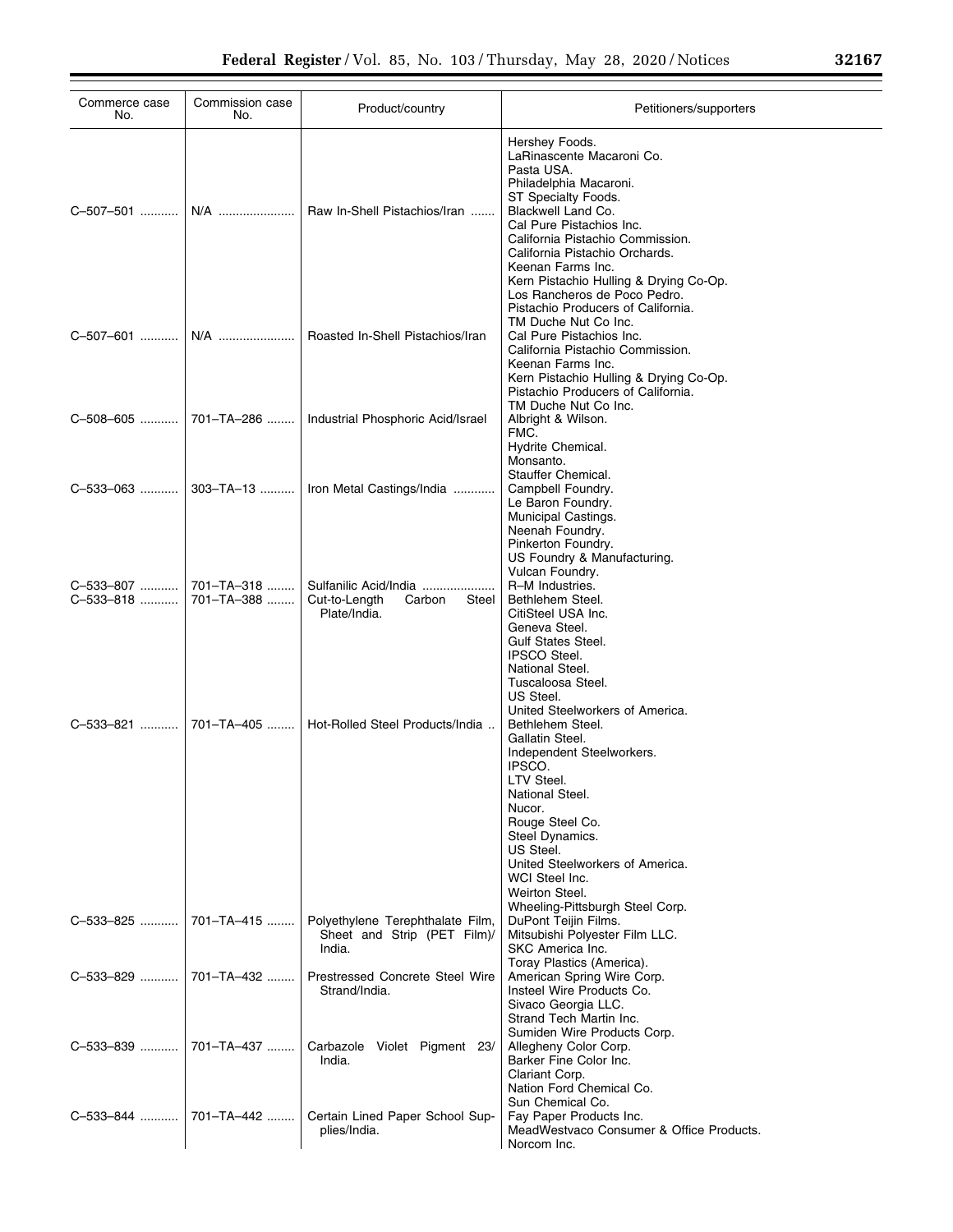| Commerce case<br>No.   | Commission case<br>No.   | Product/country                                                           | Petitioners/supporters                                                                                                                                                                                                                                                                            |
|------------------------|--------------------------|---------------------------------------------------------------------------|---------------------------------------------------------------------------------------------------------------------------------------------------------------------------------------------------------------------------------------------------------------------------------------------------|
| C-507-501    N/A       |                          | Raw In-Shell Pistachios/Iran                                              | Hershey Foods.<br>LaRinascente Macaroni Co.<br>Pasta USA.<br>Philadelphia Macaroni.<br>ST Specialty Foods.<br>Blackwell Land Co.<br>Cal Pure Pistachios Inc.<br>California Pistachio Commission.<br>California Pistachio Orchards.<br>Keenan Farms Inc.<br>Kern Pistachio Hulling & Drying Co-Op. |
| C-507-601    N/A       |                          | Roasted In-Shell Pistachios/Iran                                          | Los Rancheros de Poco Pedro.<br>Pistachio Producers of California.<br>TM Duche Nut Co Inc.<br>Cal Pure Pistachios Inc.<br>California Pistachio Commission.<br>Keenan Farms Inc.<br>Kern Pistachio Hulling & Drying Co-Op.<br>Pistachio Producers of California.                                   |
|                        |                          | C-508-605    701-TA-286    Industrial Phosphoric Acid/Israel              | TM Duche Nut Co Inc.<br>Albright & Wilson.<br>FMC.<br>Hydrite Chemical.                                                                                                                                                                                                                           |
|                        |                          | C-533-063    303-TA-13    Iron Metal Castings/India                       | Monsanto.<br>Stauffer Chemical.<br>Campbell Foundry.<br>Le Baron Foundry.<br>Municipal Castings.<br>Neenah Foundry.<br>Pinkerton Foundry.                                                                                                                                                         |
| C-533-807<br>C-533-818 | 701–TA–318<br>701-TA-388 | Sulfanilic Acid/India<br>Cut-to-Length<br>Carbon<br>Steel<br>Plate/India. | US Foundry & Manufacturing.<br>Vulcan Foundry.<br>R-M Industries.<br>Bethlehem Steel.<br>CitiSteel USA Inc.<br>Geneva Steel.<br><b>Gulf States Steel.</b><br><b>IPSCO Steel.</b><br>National Steel.                                                                                               |
| C-533-821              | 701–TA–405 ……… l         | Hot-Rolled Steel Products/India                                           | Tuscaloosa Steel.<br>US Steel.<br>United Steelworkers of America.<br>Bethlehem Steel.<br>Gallatin Steel.<br>Independent Steelworkers.<br>IPSCO.<br>LTV Steel.<br>National Steel.<br>Nucor.<br>Rouge Steel Co.<br>Steel Dynamics.<br>US Steel.<br>United Steelworkers of America.                  |
| C-533-825              | 701–TA–415 ……            | Polyethylene Terephthalate Film,<br>Sheet and Strip (PET Film)/<br>India. | WCI Steel Inc.<br>Weirton Steel.<br>Wheeling-Pittsburgh Steel Corp.<br>DuPont Teijin Films.<br>Mitsubishi Polyester Film LLC.<br>SKC America Inc.                                                                                                                                                 |
| C-533-829              | l 701–TA–432 ……          | Prestressed Concrete Steel Wire<br>Strand/India.                          | Toray Plastics (America).<br>American Spring Wire Corp.<br>Insteel Wire Products Co.<br>Sivaco Georgia LLC.<br>Strand Tech Martin Inc.                                                                                                                                                            |
| C-533-839              | 701-TA-437               | Carbazole Violet Pigment 23/<br>India.                                    | Sumiden Wire Products Corp.<br>Allegheny Color Corp.<br>Barker Fine Color Inc.<br>Clariant Corp.<br>Nation Ford Chemical Co.                                                                                                                                                                      |
|                        | C-533-844    701-TA-442  | Certain Lined Paper School Sup-<br>plies/India.                           | Sun Chemical Co.<br>Fay Paper Products Inc.<br>MeadWestvaco Consumer & Office Products.<br>Norcom Inc.                                                                                                                                                                                            |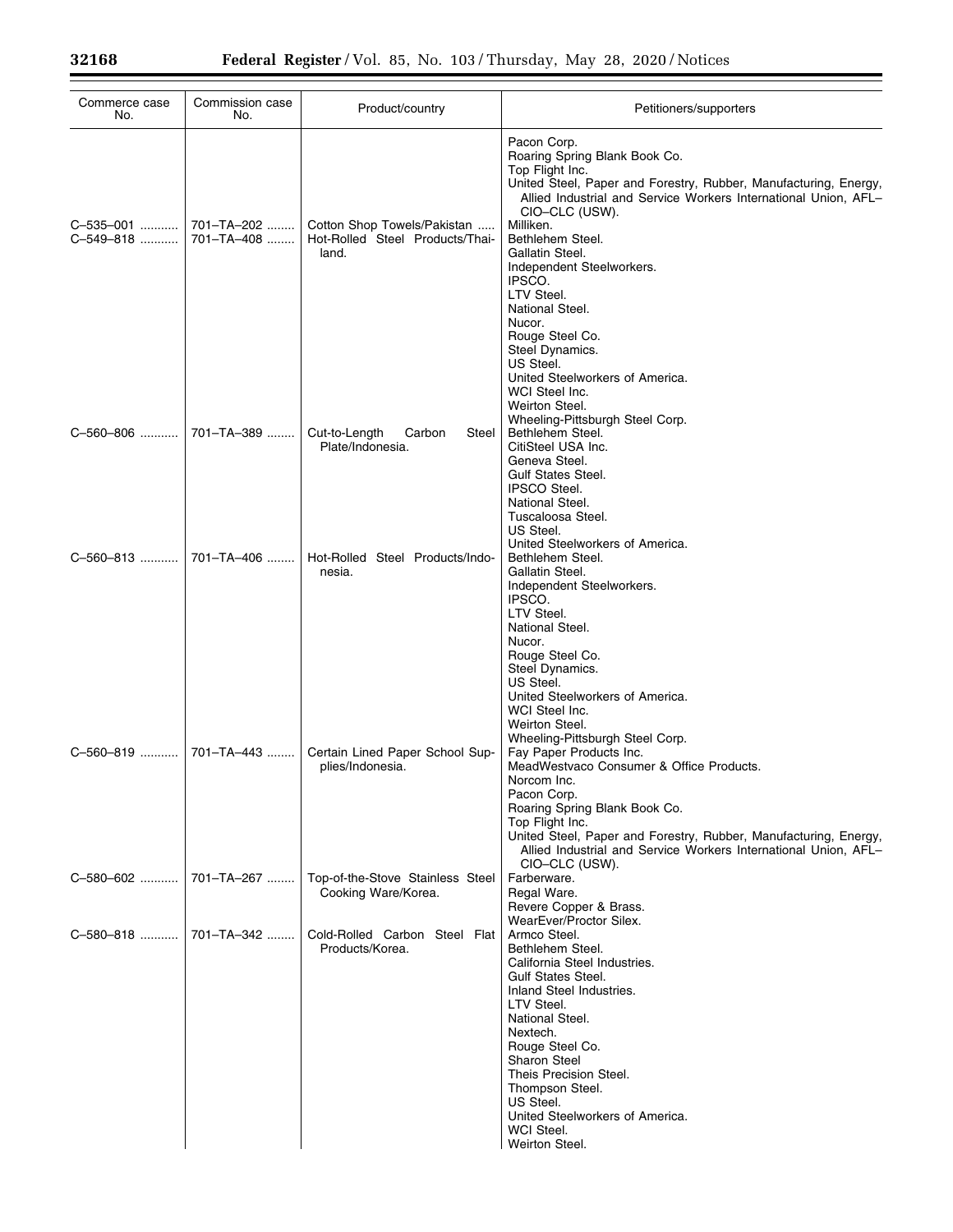| Commerce case<br>No.   | Commission case<br>No.   | Product/country                                                         | Petitioners/supporters                                                                                                                                                                                                                                                                                                                                                            |
|------------------------|--------------------------|-------------------------------------------------------------------------|-----------------------------------------------------------------------------------------------------------------------------------------------------------------------------------------------------------------------------------------------------------------------------------------------------------------------------------------------------------------------------------|
| C-535-001<br>C-549-818 | 701-TA-202<br>701-TA-408 | Cotton Shop Towels/Pakistan<br>Hot-Rolled Steel Products/Thai-<br>land. | Pacon Corp.<br>Roaring Spring Blank Book Co.<br>Top Flight Inc.<br>United Steel, Paper and Forestry, Rubber, Manufacturing, Energy,<br>Allied Industrial and Service Workers International Union, AFL-<br>CIO-CLC (USW).<br>Milliken.<br>Bethlehem Steel.<br>Gallatin Steel.<br>Independent Steelworkers.<br>IPSCO.<br>LTV Steel.<br>National Steel.<br>Nucor.<br>Rouge Steel Co. |
| C-560-806              | 701-TA-389               | Cut-to-Length<br>Carbon<br>Steel<br>Plate/Indonesia.                    | Steel Dynamics.<br>US Steel.<br>United Steelworkers of America.<br>WCI Steel Inc.<br>Weirton Steel.<br>Wheeling-Pittsburgh Steel Corp.<br>Bethlehem Steel.<br>CitiSteel USA Inc.<br>Geneva Steel.<br><b>Gulf States Steel.</b><br><b>IPSCO Steel.</b>                                                                                                                             |
| C-560-813              | 701-TA-406               | Hot-Rolled Steel Products/Indo-<br>nesia.                               | National Steel.<br>Tuscaloosa Steel.<br>US Steel.<br>United Steelworkers of America.<br>Bethlehem Steel.<br>Gallatin Steel.<br>Independent Steelworkers.<br>IPSCO.<br>LTV Steel.<br>National Steel.                                                                                                                                                                               |
| C-560-819              | 701–TA–443               | Certain Lined Paper School Sup-<br>plies/Indonesia.                     | Nucor.<br>Rouge Steel Co.<br>Steel Dynamics.<br>US Steel.<br>United Steelworkers of America.<br>WCI Steel Inc.<br>Weirton Steel.<br>Wheeling-Pittsburgh Steel Corp.<br>Fay Paper Products Inc.<br>MeadWestvaco Consumer & Office Products.<br>Norcom Inc.                                                                                                                         |
|                        |                          |                                                                         | Pacon Corp.<br>Roaring Spring Blank Book Co.<br>Top Flight Inc.<br>United Steel, Paper and Forestry, Rubber, Manufacturing, Energy,<br>Allied Industrial and Service Workers International Union, AFL-<br>CIO-CLC (USW).                                                                                                                                                          |
| C-580-602              | 701-TA-267               | Top-of-the-Stove Stainless Steel<br>Cooking Ware/Korea.                 | Farberware.<br>Regal Ware.<br>Revere Copper & Brass.<br>WearEver/Proctor Silex.                                                                                                                                                                                                                                                                                                   |
| C-580-818  701-TA-342  |                          | Cold-Rolled Carbon Steel Flat<br>Products/Korea.                        | Armco Steel.<br>Bethlehem Steel.<br>California Steel Industries.<br><b>Gulf States Steel.</b><br>Inland Steel Industries.<br>LTV Steel.<br>National Steel.<br>Nextech.<br>Rouge Steel Co.<br><b>Sharon Steel</b><br>Theis Precision Steel.<br>Thompson Steel.<br>US Steel.<br>United Steelworkers of America.<br>WCI Steel.<br>Weirton Steel.                                     |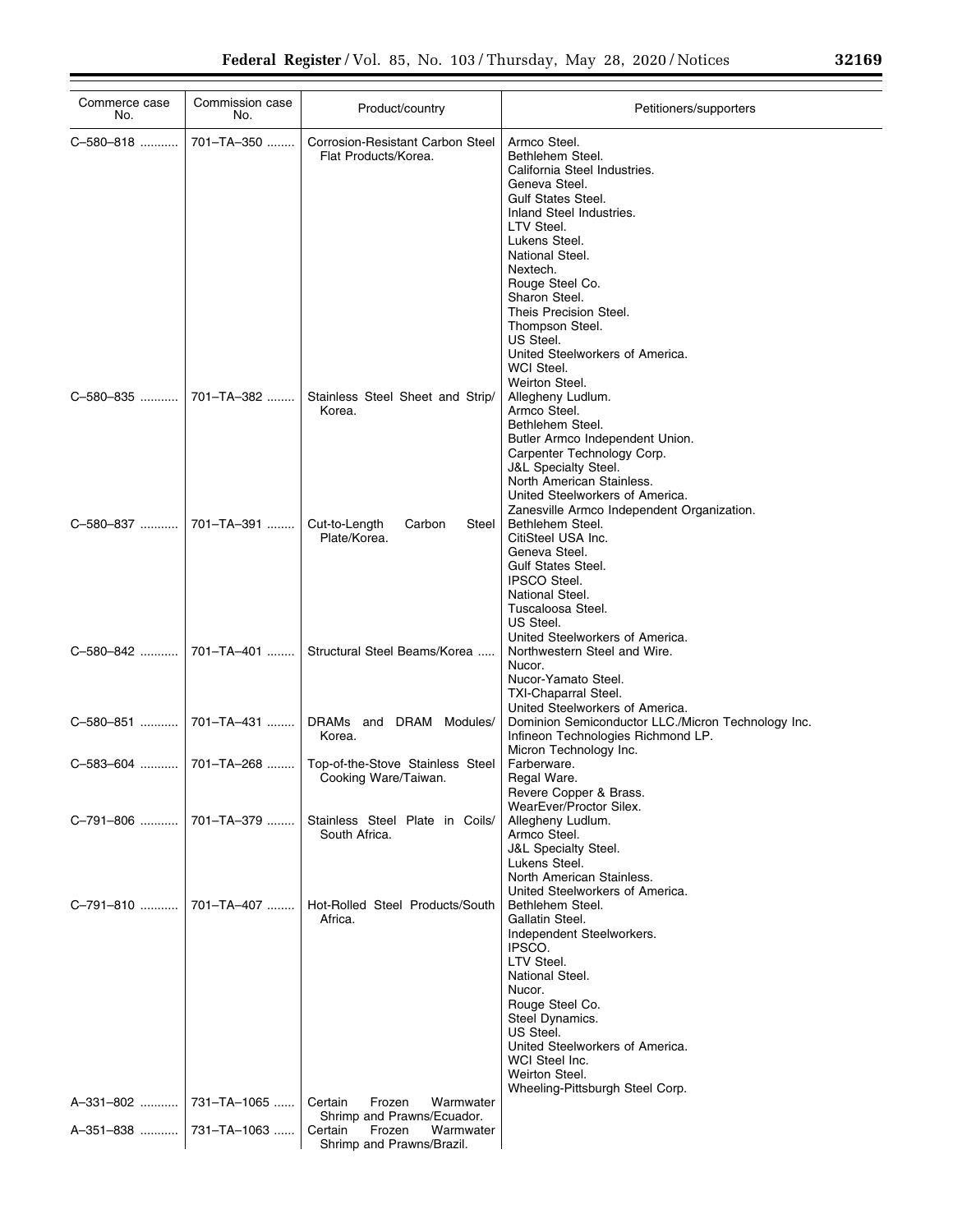| Commerce case<br>No.  | Commission case<br>No. | Product/country                                                 | Petitioners/supporters                                                                                                                                                                                                                                                                                                                                  |
|-----------------------|------------------------|-----------------------------------------------------------------|---------------------------------------------------------------------------------------------------------------------------------------------------------------------------------------------------------------------------------------------------------------------------------------------------------------------------------------------------------|
| C-580-818             | 701-TA-350             | <b>Corrosion-Resistant Carbon Steel</b><br>Flat Products/Korea. | Armco Steel.<br>Bethlehem Steel.<br>California Steel Industries.<br>Geneva Steel.<br><b>Gulf States Steel.</b><br>Inland Steel Industries.<br>LTV Steel.<br>Lukens Steel.<br>National Steel.<br>Nextech.<br>Rouge Steel Co.<br>Sharon Steel.<br>Theis Precision Steel.<br>Thompson Steel.<br>US Steel.<br>United Steelworkers of America.<br>WCI Steel. |
| C-580-835             | 701-TA-382             | Stainless Steel Sheet and Strip/<br>Korea.                      | Weirton Steel.<br>Allegheny Ludlum.<br>Armco Steel.<br>Bethlehem Steel.<br>Butler Armco Independent Union.<br>Carpenter Technology Corp.<br><b>J&amp;L Specialty Steel.</b><br>North American Stainless.<br>United Steelworkers of America.<br>Zanesville Armco Independent Organization.                                                               |
| C-580-837             | 701-TA-391             | Cut-to-Length<br>Carbon<br>Steel<br>Plate/Korea.                | Bethlehem Steel.<br>CitiSteel USA Inc.<br>Geneva Steel.<br><b>Gulf States Steel.</b><br><b>IPSCO Steel.</b><br>National Steel.<br>Tuscaloosa Steel.<br>US Steel.<br>United Steelworkers of America.                                                                                                                                                     |
| C-580-842             | 701-TA-401             | Structural Steel Beams/Korea                                    | Northwestern Steel and Wire.<br>Nucor.<br>Nucor-Yamato Steel.<br><b>TXI-Chaparral Steel.</b><br>United Steelworkers of America.                                                                                                                                                                                                                         |
| C-580-851             | 701-TA-431             | DRAMs and DRAM Modules/<br>Korea.                               | Dominion Semiconductor LLC./Micron Technology Inc.<br>Infineon Technologies Richmond LP.<br>Micron Technology Inc.                                                                                                                                                                                                                                      |
| C-583-604             | 701-TA-268             | Top-of-the-Stove Stainless Steel<br>Cooking Ware/Taiwan.        | Farberware.<br>Regal Ware.<br>Revere Copper & Brass.<br>WearEver/Proctor Silex.                                                                                                                                                                                                                                                                         |
| C-791-806  701-TA-379 |                        | Stainless Steel Plate in Coils/<br>South Africa.                | Allegheny Ludlum.<br>Armco Steel.<br><b>J&amp;L Specialty Steel.</b><br>Lukens Steel.<br>North American Stainless.<br>United Steelworkers of America.                                                                                                                                                                                                   |
|                       |                        | Hot-Rolled Steel Products/South<br>Africa.                      | Bethlehem Steel.<br>Gallatin Steel.<br>Independent Steelworkers.<br>IPSCO.<br>LTV Steel.<br>National Steel.<br>Nucor.<br>Rouge Steel Co.<br>Steel Dynamics.<br>US Steel.<br>United Steelworkers of America.<br>WCI Steel Inc.<br>Weirton Steel.<br>Wheeling-Pittsburgh Steel Corp.                                                                      |
| A-331-802             | 731-TA-1065            | Frozen<br>Warmwater<br>Certain<br>Shrimp and Prawns/Ecuador.    |                                                                                                                                                                                                                                                                                                                                                         |
| A-351-838             | 731-TA-1063            | Certain<br>Frozen<br>Warmwater<br>Shrimp and Prawns/Brazil.     |                                                                                                                                                                                                                                                                                                                                                         |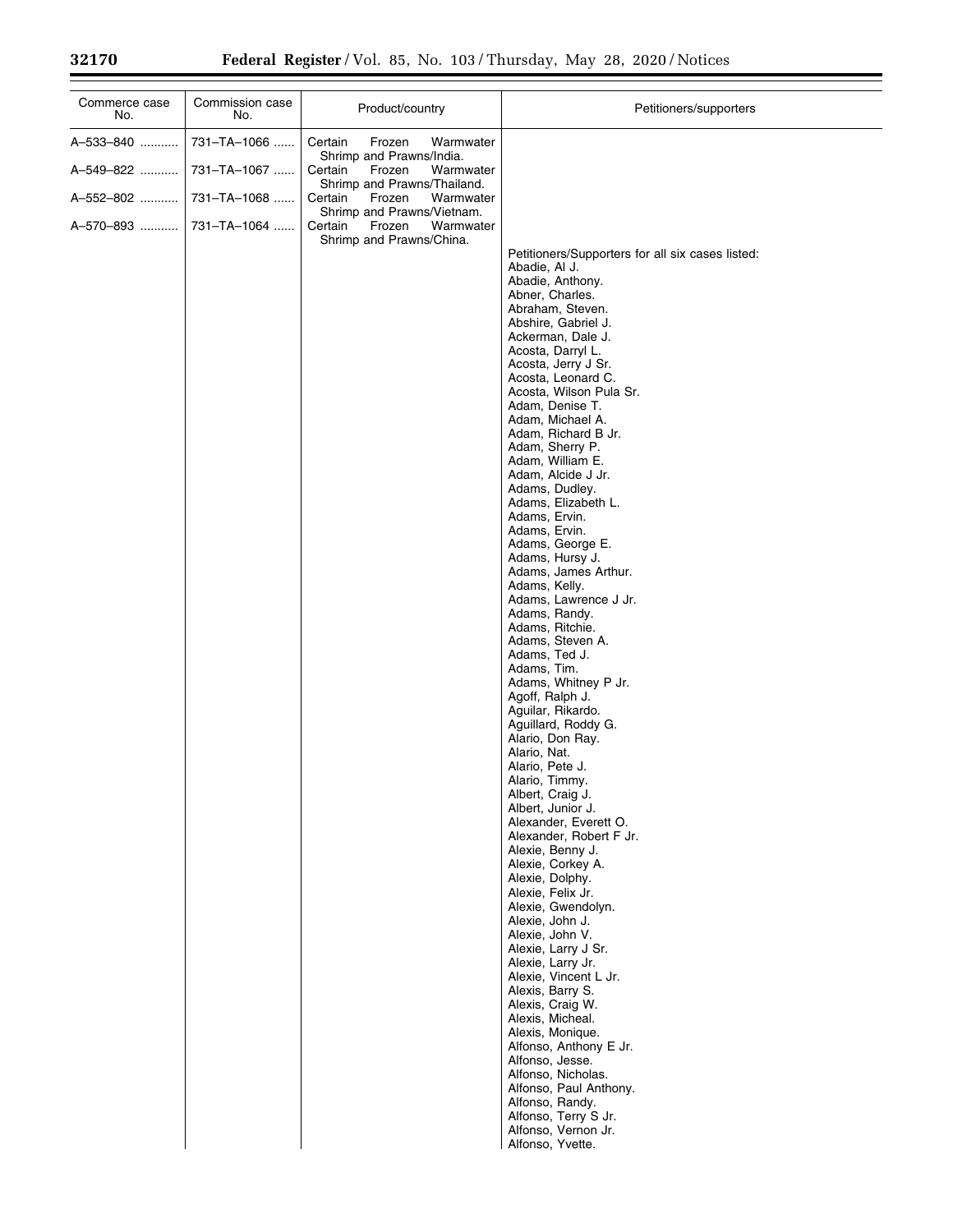| Commerce case<br>No. | Commission case<br>No. | Product/country                                               | Petitioners/supporters                                                                                                                                                                                                                                                                                                                                                                                                                                                                                                                                                                                                                                                                                                                                                                                                                                                                                                                                                                                                                                                                                                                                                                                                                                                |
|----------------------|------------------------|---------------------------------------------------------------|-----------------------------------------------------------------------------------------------------------------------------------------------------------------------------------------------------------------------------------------------------------------------------------------------------------------------------------------------------------------------------------------------------------------------------------------------------------------------------------------------------------------------------------------------------------------------------------------------------------------------------------------------------------------------------------------------------------------------------------------------------------------------------------------------------------------------------------------------------------------------------------------------------------------------------------------------------------------------------------------------------------------------------------------------------------------------------------------------------------------------------------------------------------------------------------------------------------------------------------------------------------------------|
| A-533-840            | 731-TA-1066            | Certain<br>Frozen<br>Warmwater                                |                                                                                                                                                                                                                                                                                                                                                                                                                                                                                                                                                                                                                                                                                                                                                                                                                                                                                                                                                                                                                                                                                                                                                                                                                                                                       |
| A-549-822            | 731-TA-1067            | Shrimp and Prawns/India.<br>Certain<br>Frozen<br>Warmwater    |                                                                                                                                                                                                                                                                                                                                                                                                                                                                                                                                                                                                                                                                                                                                                                                                                                                                                                                                                                                                                                                                                                                                                                                                                                                                       |
| A-552-802            | 731-TA-1068            | Shrimp and Prawns/Thailand.<br>Certain<br>Frozen<br>Warmwater |                                                                                                                                                                                                                                                                                                                                                                                                                                                                                                                                                                                                                                                                                                                                                                                                                                                                                                                                                                                                                                                                                                                                                                                                                                                                       |
| A-570-893            | 731-TA-1064            | Frozen<br>Warmwater<br>Certain                                |                                                                                                                                                                                                                                                                                                                                                                                                                                                                                                                                                                                                                                                                                                                                                                                                                                                                                                                                                                                                                                                                                                                                                                                                                                                                       |
|                      |                        | Shrimp and Prawns/Vietnam.<br>Shrimp and Prawns/China.        | Petitioners/Supporters for all six cases listed:<br>Abadie, Al J.<br>Abadie, Anthony.<br>Abner, Charles.<br>Abraham, Steven.<br>Abshire, Gabriel J.<br>Ackerman, Dale J.<br>Acosta, Darryl L.<br>Acosta, Jerry J Sr.<br>Acosta, Leonard C.<br>Acosta, Wilson Pula Sr.<br>Adam, Denise T.<br>Adam, Michael A.<br>Adam, Richard B Jr.<br>Adam, Sherry P.<br>Adam, William E.<br>Adam, Alcide J Jr.<br>Adams, Dudley.<br>Adams, Elizabeth L.<br>Adams, Ervin.<br>Adams, Ervin.<br>Adams, George E.<br>Adams, Hursy J.<br>Adams, James Arthur.<br>Adams, Kelly.<br>Adams, Lawrence J Jr.<br>Adams, Randy.<br>Adams, Ritchie.<br>Adams, Steven A.<br>Adams, Ted J.<br>Adams, Tim.<br>Adams, Whitney P Jr.<br>Agoff, Ralph J.<br>Aguilar, Rikardo.<br>Aguillard, Roddy G.<br>Alario, Don Ray.<br>Alario, Nat.<br>Alario, Pete J.<br>Alario, Timmy.<br>Albert, Craig J.<br>Albert, Junior J.<br>Alexander, Everett O.<br>Alexander, Robert F Jr.<br>Alexie, Benny J.<br>Alexie, Corkey A.<br>Alexie, Dolphy.<br>Alexie, Felix Jr.<br>Alexie, Gwendolyn.<br>Alexie, John J.<br>Alexie, John V.<br>Alexie, Larry J Sr.<br>Alexie, Larry Jr.<br>Alexie, Vincent L Jr.<br>Alexis, Barry S.<br>Alexis, Craig W.<br>Alexis, Micheal.<br>Alexis, Monique.<br>Alfonso, Anthony E Jr. |
|                      |                        |                                                               | Alfonso, Jesse.<br>Alfonso, Nicholas.<br>Alfonso, Paul Anthony.                                                                                                                                                                                                                                                                                                                                                                                                                                                                                                                                                                                                                                                                                                                                                                                                                                                                                                                                                                                                                                                                                                                                                                                                       |
|                      |                        |                                                               | Alfonso, Randy.<br>Alfonso, Terry S Jr.                                                                                                                                                                                                                                                                                                                                                                                                                                                                                                                                                                                                                                                                                                                                                                                                                                                                                                                                                                                                                                                                                                                                                                                                                               |
|                      |                        |                                                               | Alfonso, Vernon Jr.<br>Alfonso, Yvette.                                                                                                                                                                                                                                                                                                                                                                                                                                                                                                                                                                                                                                                                                                                                                                                                                                                                                                                                                                                                                                                                                                                                                                                                                               |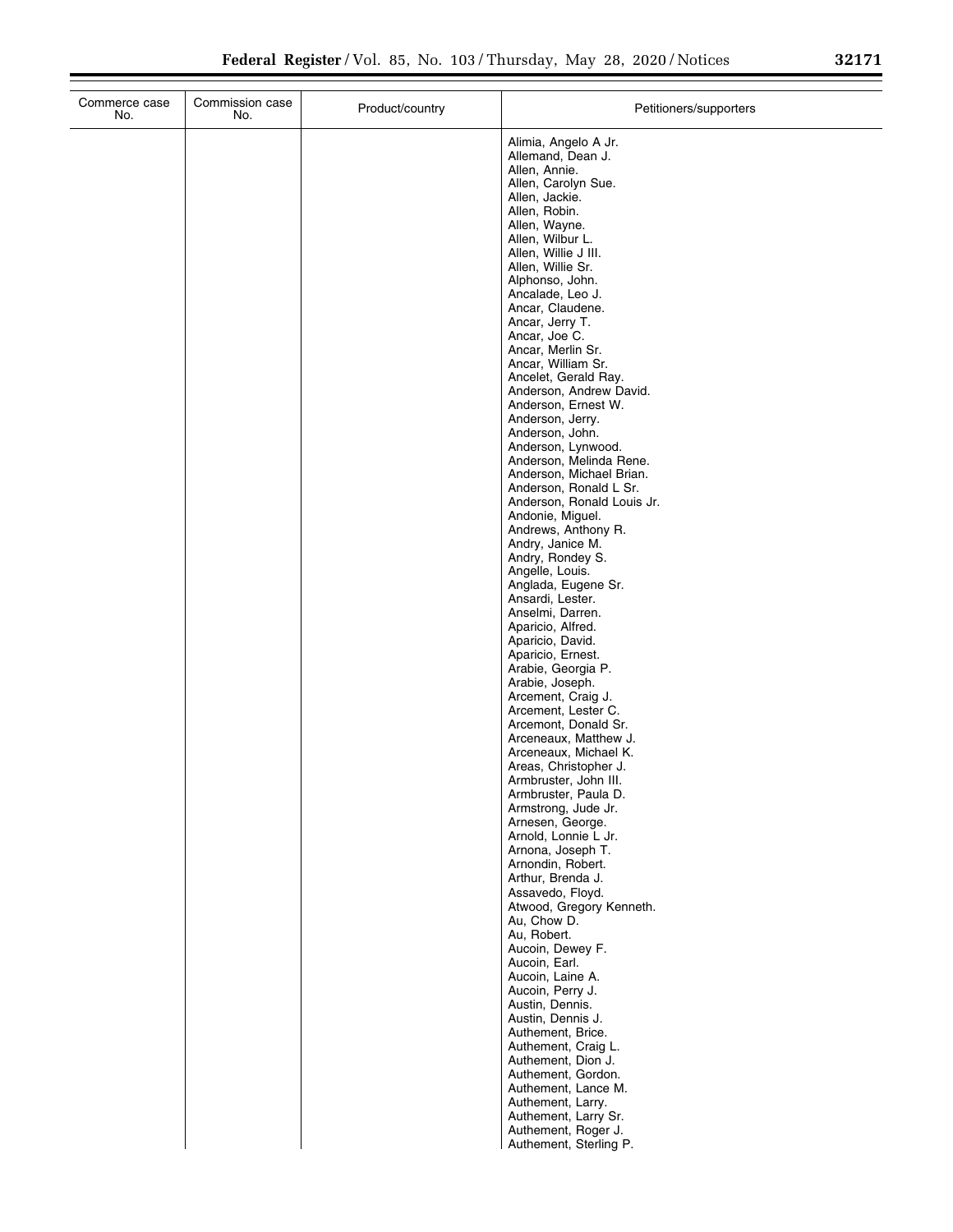| Commerce case<br>No. | Commission case<br>No. | Product/country | Petitioners/supporters                                                                              |
|----------------------|------------------------|-----------------|-----------------------------------------------------------------------------------------------------|
|                      |                        |                 | Alimia, Angelo A Jr.<br>Allemand, Dean J.<br>Allen, Annie.<br>Allen, Carolyn Sue.<br>Allen, Jackie. |
|                      |                        |                 | Allen, Robin.<br>Allen, Wayne.                                                                      |
|                      |                        |                 | Allen, Wilbur L.<br>Allen, Willie J III.<br>Allen, Willie Sr.                                       |
|                      |                        |                 | Alphonso, John.<br>Ancalade, Leo J.                                                                 |
|                      |                        |                 | Ancar, Claudene.<br>Ancar, Jerry T.                                                                 |
|                      |                        |                 | Ancar, Joe C.<br>Ancar, Merlin Sr.                                                                  |
|                      |                        |                 | Ancar, William Sr.<br>Ancelet, Gerald Ray.                                                          |
|                      |                        |                 | Anderson, Andrew David.<br>Anderson, Ernest W.                                                      |
|                      |                        |                 | Anderson, Jerry.<br>Anderson, John.                                                                 |
|                      |                        |                 | Anderson, Lynwood.<br>Anderson, Melinda Rene.<br>Anderson, Michael Brian.                           |
|                      |                        |                 | Anderson, Ronald L Sr.<br>Anderson, Ronald Louis Jr.                                                |
|                      |                        |                 | Andonie, Miguel.<br>Andrews, Anthony R.                                                             |
|                      |                        |                 | Andry, Janice M.<br>Andry, Rondey S.                                                                |
|                      |                        |                 | Angelle, Louis.<br>Anglada, Eugene Sr.                                                              |
|                      |                        |                 | Ansardi, Lester.<br>Anselmi, Darren.                                                                |
|                      |                        |                 | Aparicio, Alfred.<br>Aparicio, David.<br>Aparicio, Ernest.                                          |
|                      |                        |                 | Arabie, Georgia P.<br>Arabie, Joseph.                                                               |
|                      |                        |                 | Arcement, Craig J.<br>Arcement, Lester C.                                                           |
|                      |                        |                 | Arcemont, Donald Sr.<br>Arceneaux, Matthew J.                                                       |
|                      |                        |                 | Arceneaux, Michael K.<br>Areas, Christopher J.                                                      |
|                      |                        |                 | Armbruster, John III.<br>Armbruster, Paula D.                                                       |
|                      |                        |                 | Armstrong, Jude Jr.<br>Arnesen, George.                                                             |
|                      |                        |                 | Arnold, Lonnie L Jr.<br>Arnona, Joseph T.<br>Arnondin, Robert.                                      |
|                      |                        |                 | Arthur, Brenda J.<br>Assavedo, Floyd.                                                               |
|                      |                        |                 | Atwood, Gregory Kenneth.<br>Au, Chow D.                                                             |
|                      |                        |                 | Au, Robert.<br>Aucoin, Dewey F.                                                                     |
|                      |                        |                 | Aucoin, Earl.<br>Aucoin, Laine A.                                                                   |
|                      |                        |                 | Aucoin, Perry J.<br>Austin, Dennis.                                                                 |
|                      |                        |                 | Austin, Dennis J.<br>Authement, Brice.                                                              |
|                      |                        |                 | Authement, Craig L.<br>Authement, Dion J.<br>Authement, Gordon.                                     |
|                      |                        |                 | Authement, Lance M.<br>Authement, Larry.                                                            |
|                      |                        |                 | Authement, Larry Sr.<br>Authement, Roger J.                                                         |
|                      |                        |                 | Authement, Sterling P.                                                                              |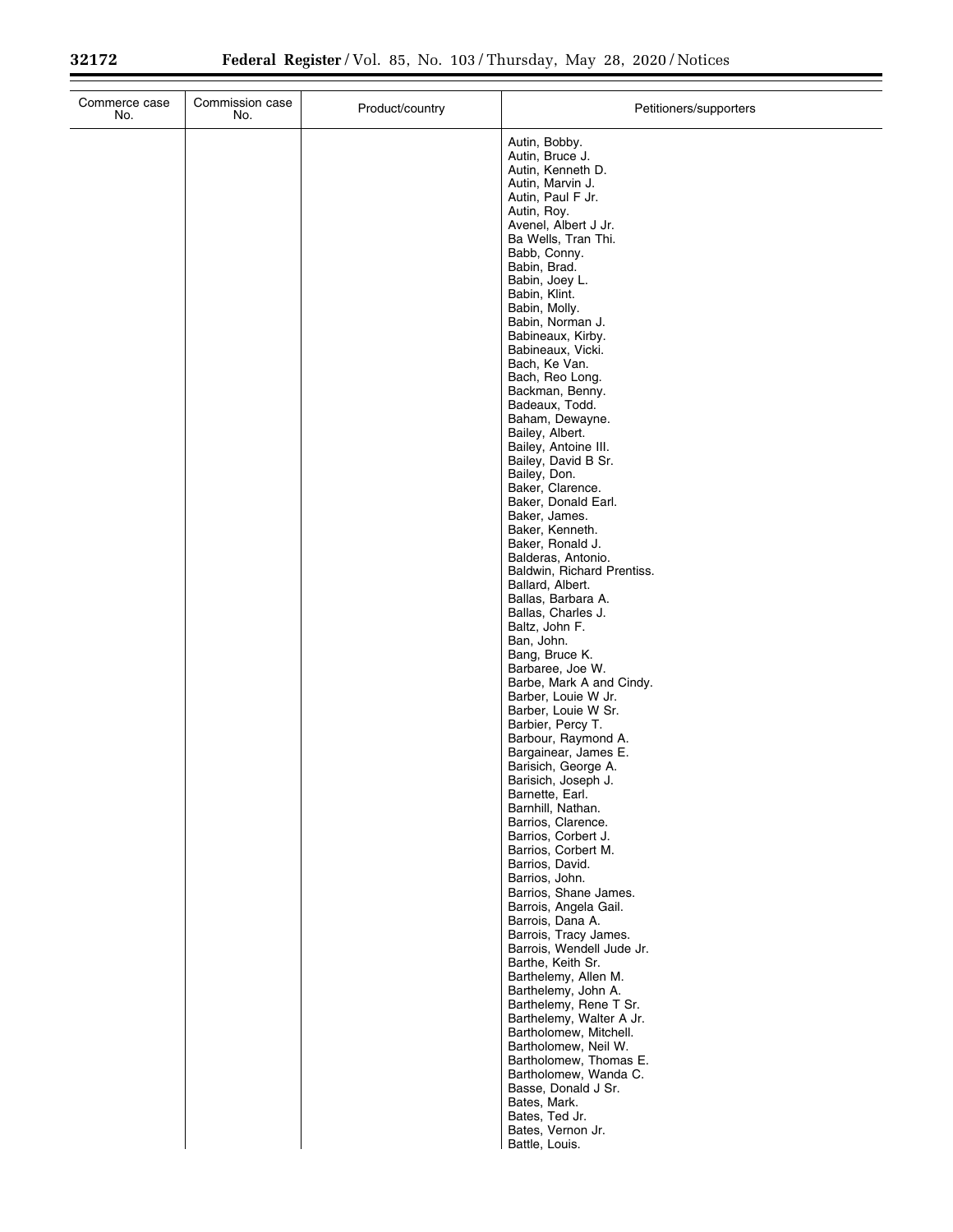| Commerce case<br>No. | Commission case<br>No. | Product/country | Petitioners/supporters                                                                                                                                                                                                                                                                                                                                                                                                                                                                                                                                                                                                                                                                                                                                                                                                                                                                                                                                                                                                                                                                                                                                                                                                                                                                                                                                                                                                 |
|----------------------|------------------------|-----------------|------------------------------------------------------------------------------------------------------------------------------------------------------------------------------------------------------------------------------------------------------------------------------------------------------------------------------------------------------------------------------------------------------------------------------------------------------------------------------------------------------------------------------------------------------------------------------------------------------------------------------------------------------------------------------------------------------------------------------------------------------------------------------------------------------------------------------------------------------------------------------------------------------------------------------------------------------------------------------------------------------------------------------------------------------------------------------------------------------------------------------------------------------------------------------------------------------------------------------------------------------------------------------------------------------------------------------------------------------------------------------------------------------------------------|
|                      |                        |                 | Autin, Bobby.<br>Autin, Bruce J.<br>Autin, Kenneth D.<br>Autin, Marvin J.<br>Autin, Paul F Jr.<br>Autin, Roy.<br>Avenel, Albert J Jr.<br>Ba Wells, Tran Thi.<br>Babb, Conny.<br>Babin, Brad.<br>Babin, Joey L.<br>Babin, Klint.<br>Babin, Molly.<br>Babin, Norman J.<br>Babineaux, Kirby.<br>Babineaux, Vicki.<br>Bach, Ke Van.<br>Bach, Reo Long.<br>Backman, Benny.<br>Badeaux, Todd.<br>Baham, Dewayne.<br>Bailey, Albert.<br>Bailey, Antoine III.<br>Bailey, David B Sr.<br>Bailey, Don.<br>Baker, Clarence.<br>Baker, Donald Earl.<br>Baker, James.<br>Baker, Kenneth.<br>Baker, Ronald J.<br>Balderas, Antonio.<br>Baldwin, Richard Prentiss.<br>Ballard, Albert.<br>Ballas, Barbara A.<br>Ballas, Charles J.<br>Baltz, John F.<br>Ban, John.<br>Bang, Bruce K.<br>Barbaree, Joe W.<br>Barbe, Mark A and Cindy.<br>Barber, Louie W Jr.<br>Barber, Louie W Sr.<br>Barbier, Percy T.<br>Barbour, Raymond A.<br>Bargainear, James E.<br>Barisich, George A.<br>Barisich, Joseph J.<br>Barnette, Earl.<br>Barnhill, Nathan.<br>Barrios, Clarence.<br>Barrios, Corbert J.<br>Barrios, Corbert M.<br>Barrios, David.<br>Barrios, John.<br>Barrios, Shane James.<br>Barrois, Angela Gail.<br>Barrois, Dana A.<br>Barrois, Tracy James.<br>Barrois, Wendell Jude Jr.<br>Barthe, Keith Sr.<br>Barthelemy, Allen M.<br>Barthelemy, John A.<br>Barthelemy, Rene T Sr.<br>Barthelemy, Walter A Jr.<br>Bartholomew, Mitchell. |
|                      |                        |                 | Bartholomew, Neil W.<br>Bartholomew, Thomas E.<br>Bartholomew, Wanda C.<br>Basse, Donald J Sr.<br>Bates, Mark.<br>Bates, Ted Jr.                                                                                                                                                                                                                                                                                                                                                                                                                                                                                                                                                                                                                                                                                                                                                                                                                                                                                                                                                                                                                                                                                                                                                                                                                                                                                       |
|                      |                        |                 | Bates, Vernon Jr.<br>Battle, Louis.                                                                                                                                                                                                                                                                                                                                                                                                                                                                                                                                                                                                                                                                                                                                                                                                                                                                                                                                                                                                                                                                                                                                                                                                                                                                                                                                                                                    |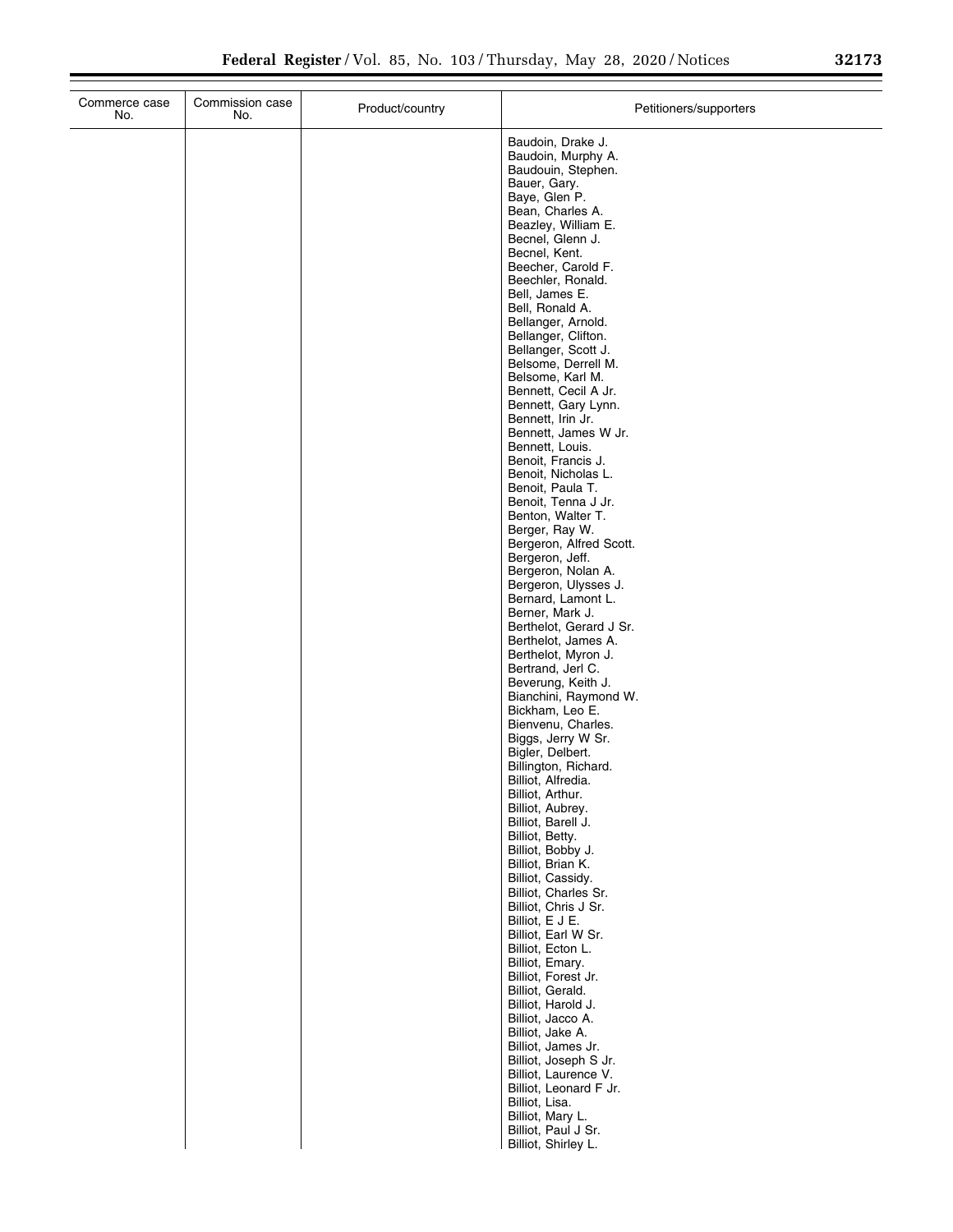| Commerce case<br>No. | Commission case<br>No. | Product/country | Petitioners/supporters                                                                                                                                                                                                                                                                                                                                                                                                                                                                                                                                                                                                                                                                                                                                                                                                                                                                                                                                 |
|----------------------|------------------------|-----------------|--------------------------------------------------------------------------------------------------------------------------------------------------------------------------------------------------------------------------------------------------------------------------------------------------------------------------------------------------------------------------------------------------------------------------------------------------------------------------------------------------------------------------------------------------------------------------------------------------------------------------------------------------------------------------------------------------------------------------------------------------------------------------------------------------------------------------------------------------------------------------------------------------------------------------------------------------------|
|                      |                        |                 | Baudoin, Drake J.<br>Baudoin, Murphy A.<br>Baudouin, Stephen.<br>Bauer, Gary.<br>Baye, Glen P.<br>Bean, Charles A.<br>Beazley, William E.<br>Becnel, Glenn J.<br>Becnel, Kent.<br>Beecher, Carold F.<br>Beechler, Ronald.<br>Bell, James E.<br>Bell, Ronald A.<br>Bellanger, Arnold.<br>Bellanger, Clifton.<br>Bellanger, Scott J.<br>Belsome, Derrell M.<br>Belsome, Karl M.<br>Bennett, Cecil A Jr.<br>Bennett, Gary Lynn.<br>Bennett, Irin Jr.<br>Bennett, James W Jr.<br>Bennett, Louis.<br>Benoit, Francis J.<br>Benoit, Nicholas L.<br>Benoit, Paula T.<br>Benoit, Tenna J Jr.<br>Benton, Walter T.<br>Berger, Ray W.<br>Bergeron, Alfred Scott.<br>Bergeron, Jeff.<br>Bergeron, Nolan A.<br>Bergeron, Ulysses J.<br>Bernard, Lamont L.<br>Berner, Mark J.<br>Berthelot, Gerard J Sr.<br>Berthelot, James A.<br>Berthelot, Myron J.<br>Bertrand, Jerl C.<br>Beverung, Keith J.<br>Bianchini, Raymond W.<br>Bickham, Leo E.<br>Bienvenu, Charles. |
|                      |                        |                 | Biggs, Jerry W Sr.<br>Bigler, Delbert.<br>Billington, Richard.<br>Billiot, Alfredia.<br>Billiot, Arthur.<br>Billiot, Aubrey.                                                                                                                                                                                                                                                                                                                                                                                                                                                                                                                                                                                                                                                                                                                                                                                                                           |
|                      |                        |                 | Billiot, Barell J.<br>Billiot, Betty.<br>Billiot, Bobby J.<br>Billiot, Brian K.<br>Billiot, Cassidy.<br>Billiot, Charles Sr.<br>Billiot, Chris J Sr.<br>Billiot, E J E.<br>Billiot, Earl W Sr.<br>Billiot, Ecton L.                                                                                                                                                                                                                                                                                                                                                                                                                                                                                                                                                                                                                                                                                                                                    |
|                      |                        |                 | Billiot, Emary.<br>Billiot, Forest Jr.<br>Billiot, Gerald.<br>Billiot, Harold J.<br>Billiot, Jacco A.<br>Billiot, Jake A.<br>Billiot, James Jr.<br>Billiot, Joseph S Jr.<br>Billiot, Laurence V.<br>Billiot, Leonard F Jr.<br>Billiot, Lisa.<br>Billiot, Mary L.<br>Billiot, Paul J Sr.<br>Billiot, Shirley L.                                                                                                                                                                                                                                                                                                                                                                                                                                                                                                                                                                                                                                         |

Billiot, Shirley L.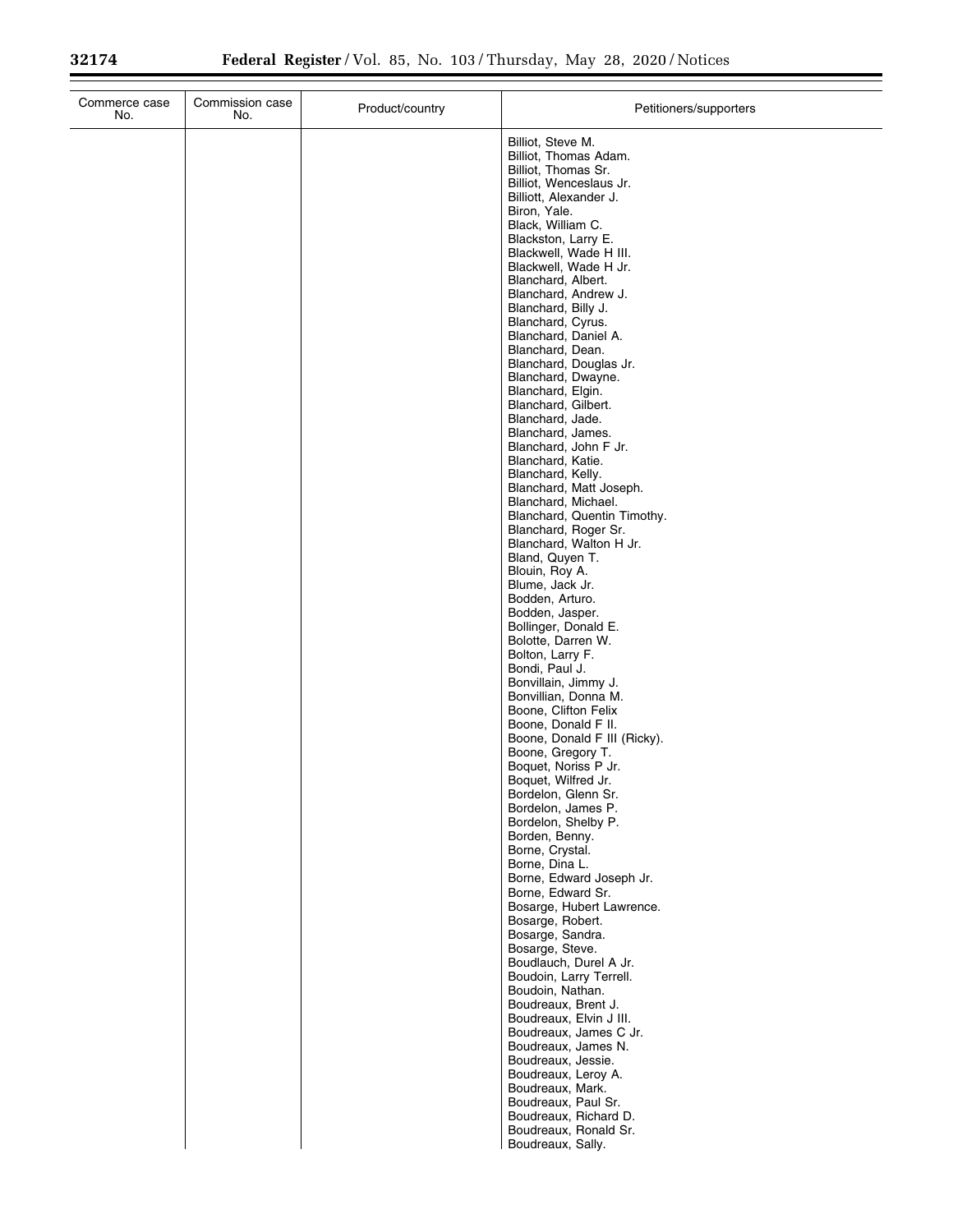| Commerce case<br>No. | Commission case<br>No. | Product/country | Petitioners/supporters                                            |
|----------------------|------------------------|-----------------|-------------------------------------------------------------------|
|                      |                        |                 | Billiot, Steve M.<br>Billiot, Thomas Adam.<br>Billiot, Thomas Sr. |
|                      |                        |                 | Billiot, Wenceslaus Jr.<br>Billiott, Alexander J.                 |
|                      |                        |                 | Biron, Yale.                                                      |
|                      |                        |                 | Black, William C.<br>Blackston, Larry E.                          |
|                      |                        |                 | Blackwell, Wade H III.<br>Blackwell, Wade H Jr.                   |
|                      |                        |                 | Blanchard, Albert.                                                |
|                      |                        |                 | Blanchard, Andrew J.<br>Blanchard, Billy J.                       |
|                      |                        |                 | Blanchard, Cyrus.<br>Blanchard, Daniel A.                         |
|                      |                        |                 | Blanchard, Dean.                                                  |
|                      |                        |                 | Blanchard, Douglas Jr.<br>Blanchard, Dwayne.                      |
|                      |                        |                 | Blanchard, Elgin.<br>Blanchard, Gilbert.                          |
|                      |                        |                 | Blanchard, Jade.                                                  |
|                      |                        |                 | Blanchard, James.<br>Blanchard, John F Jr.                        |
|                      |                        |                 | Blanchard, Katie.<br>Blanchard, Kelly.                            |
|                      |                        |                 | Blanchard, Matt Joseph.                                           |
|                      |                        |                 | Blanchard, Michael.<br>Blanchard, Quentin Timothy.                |
|                      |                        |                 | Blanchard, Roger Sr.<br>Blanchard, Walton H Jr.                   |
|                      |                        |                 | Bland, Quyen T.                                                   |
|                      |                        |                 | Blouin, Roy A.<br>Blume, Jack Jr.                                 |
|                      |                        |                 | Bodden, Arturo.<br>Bodden, Jasper.                                |
|                      |                        |                 | Bollinger, Donald E.                                              |
|                      |                        |                 | Bolotte, Darren W.<br>Bolton, Larry F.                            |
|                      |                        |                 | Bondi, Paul J.<br>Bonvillain, Jimmy J.                            |
|                      |                        |                 | Bonvillian, Donna M.                                              |
|                      |                        |                 | Boone, Clifton Felix<br>Boone, Donald F II.                       |
|                      |                        |                 | Boone, Donald F III (Ricky).<br>Boone, Gregory T.                 |
|                      |                        |                 | Boquet, Noriss P Jr.                                              |
|                      |                        |                 | Boquet, Wilfred Jr.<br>Bordelon, Glenn Sr.                        |
|                      |                        |                 | Bordelon, James P.<br>Bordelon, Shelby P.                         |
|                      |                        |                 | Borden, Benny.                                                    |
|                      |                        |                 | Borne, Crystal.<br>Borne, Dina L.                                 |
|                      |                        |                 | Borne, Edward Joseph Jr.<br>Borne, Edward Sr.                     |
|                      |                        |                 | Bosarge, Hubert Lawrence.                                         |
|                      |                        |                 | Bosarge, Robert.<br>Bosarge, Sandra.                              |
|                      |                        |                 | Bosarge, Steve.<br>Boudlauch, Durel A Jr.                         |
|                      |                        |                 | Boudoin, Larry Terrell.                                           |
|                      |                        |                 | Boudoin, Nathan.<br>Boudreaux, Brent J.                           |
|                      |                        |                 | Boudreaux, Elvin J III.<br>Boudreaux, James C Jr.                 |
|                      |                        |                 | Boudreaux, James N.                                               |
|                      |                        |                 | Boudreaux, Jessie.<br>Boudreaux, Leroy A.                         |
|                      |                        |                 | Boudreaux, Mark.<br>Boudreaux, Paul Sr.                           |
|                      |                        |                 | Boudreaux, Richard D.                                             |
|                      |                        |                 | Boudreaux, Ronald Sr.<br>Boudreaux, Sally.                        |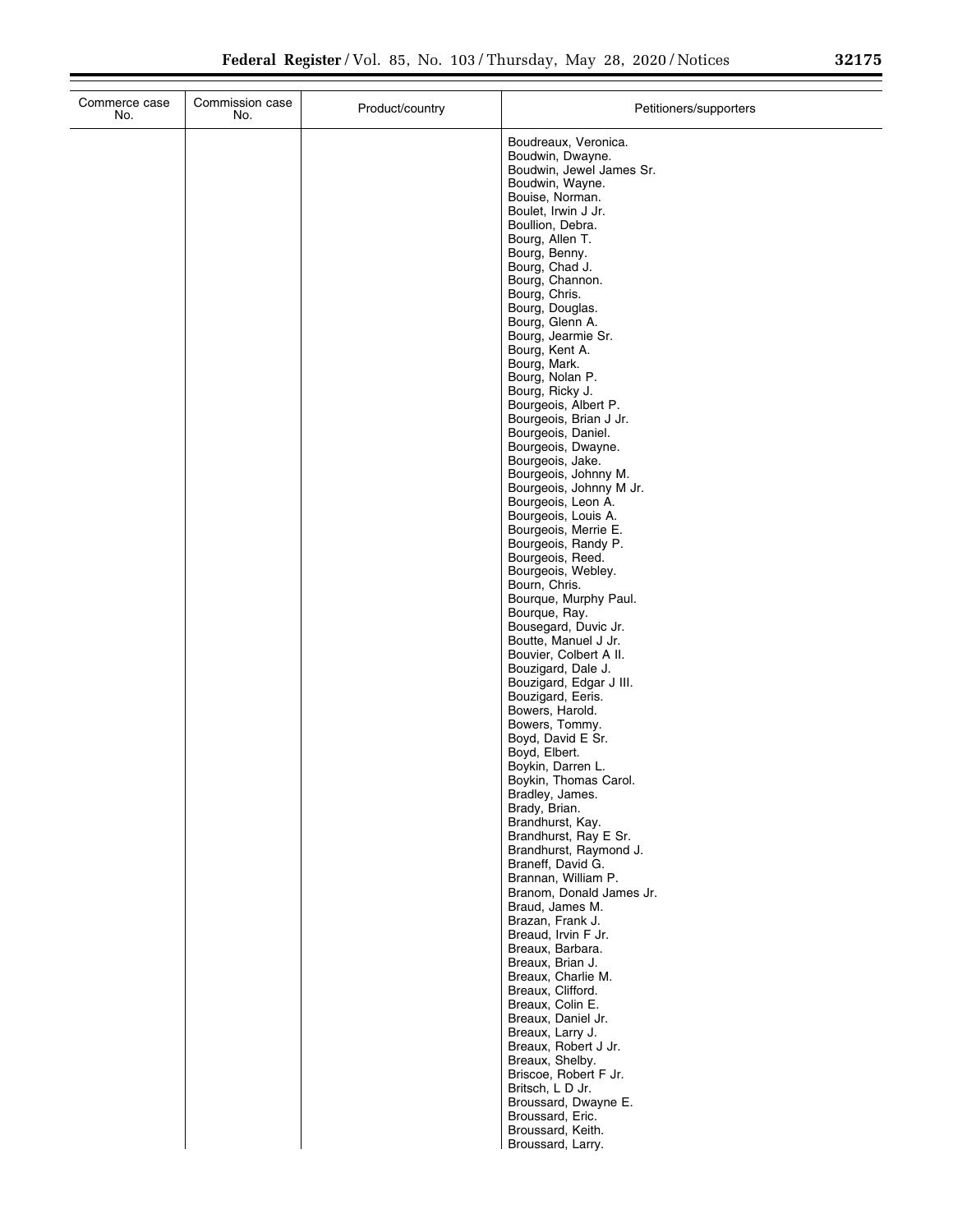| Commerce case<br>No. | Commission case<br>No. | Product/country | Petitioners/supporters                                                                                                                                                                                                                                                                                                                                                                                                                                                                                                                                                                                                                                                                                                                                                                                                                                                                                                                                                                                                             |  |
|----------------------|------------------------|-----------------|------------------------------------------------------------------------------------------------------------------------------------------------------------------------------------------------------------------------------------------------------------------------------------------------------------------------------------------------------------------------------------------------------------------------------------------------------------------------------------------------------------------------------------------------------------------------------------------------------------------------------------------------------------------------------------------------------------------------------------------------------------------------------------------------------------------------------------------------------------------------------------------------------------------------------------------------------------------------------------------------------------------------------------|--|
|                      |                        |                 | Boudreaux, Veronica.<br>Boudwin, Dwayne.<br>Boudwin, Jewel James Sr.<br>Boudwin, Wayne.<br>Bouise, Norman.<br>Boulet, Irwin J Jr.<br>Boullion, Debra.<br>Bourg, Allen T.<br>Bourg, Benny.<br>Bourg, Chad J.<br>Bourg, Channon.<br>Bourg, Chris.<br>Bourg, Douglas.<br>Bourg, Glenn A.<br>Bourg, Jearmie Sr.<br>Bourg, Kent A.<br>Bourg, Mark.<br>Bourg, Nolan P.<br>Bourg, Ricky J.<br>Bourgeois, Albert P.<br>Bourgeois, Brian J Jr.<br>Bourgeois, Daniel.<br>Bourgeois, Dwayne.<br>Bourgeois, Jake.<br>Bourgeois, Johnny M.<br>Bourgeois, Johnny M Jr.<br>Bourgeois, Leon A.<br>Bourgeois, Louis A.<br>Bourgeois, Merrie E.<br>Bourgeois, Randy P.<br>Bourgeois, Reed.<br>Bourgeois, Webley.<br>Bourn, Chris.<br>Bourque, Murphy Paul.<br>Bourque, Ray.<br>Bousegard, Duvic Jr.<br>Boutte, Manuel J Jr.<br>Bouvier, Colbert A II.<br>Bouzigard, Dale J.<br>Bouzigard, Edgar J III.<br>Bouzigard, Eeris.<br>Bowers, Harold.<br>Bowers, Tommy.<br>Boyd, David E Sr.<br>Boyd, Elbert.<br>Boykin, Darren L.<br>Boykin, Thomas Carol. |  |
|                      |                        |                 |                                                                                                                                                                                                                                                                                                                                                                                                                                                                                                                                                                                                                                                                                                                                                                                                                                                                                                                                                                                                                                    |  |
|                      |                        |                 | Bradley, James.<br>Brady, Brian.<br>Brandhurst, Kay.<br>Brandhurst, Ray E Sr.<br>Brandhurst, Raymond J.<br>Braneff, David G.                                                                                                                                                                                                                                                                                                                                                                                                                                                                                                                                                                                                                                                                                                                                                                                                                                                                                                       |  |
|                      |                        |                 | Brannan, William P.<br>Branom, Donald James Jr.<br>Braud, James M.<br>Brazan, Frank J.<br>Breaud, Irvin F Jr.<br>Breaux, Barbara.<br>Breaux, Brian J.<br>Breaux, Charlie M.                                                                                                                                                                                                                                                                                                                                                                                                                                                                                                                                                                                                                                                                                                                                                                                                                                                        |  |
|                      |                        |                 | Breaux, Clifford.<br>Breaux, Colin E.<br>Breaux, Daniel Jr.<br>Breaux, Larry J.<br>Breaux, Robert J Jr.<br>Breaux, Shelby.<br>Briscoe, Robert F Jr.<br>Britsch, L D Jr.                                                                                                                                                                                                                                                                                                                                                                                                                                                                                                                                                                                                                                                                                                                                                                                                                                                            |  |
|                      |                        |                 | Broussard, Dwayne E.<br>Broussard, Eric.<br>Broussard, Keith.<br>Broussard, Larry.                                                                                                                                                                                                                                                                                                                                                                                                                                                                                                                                                                                                                                                                                                                                                                                                                                                                                                                                                 |  |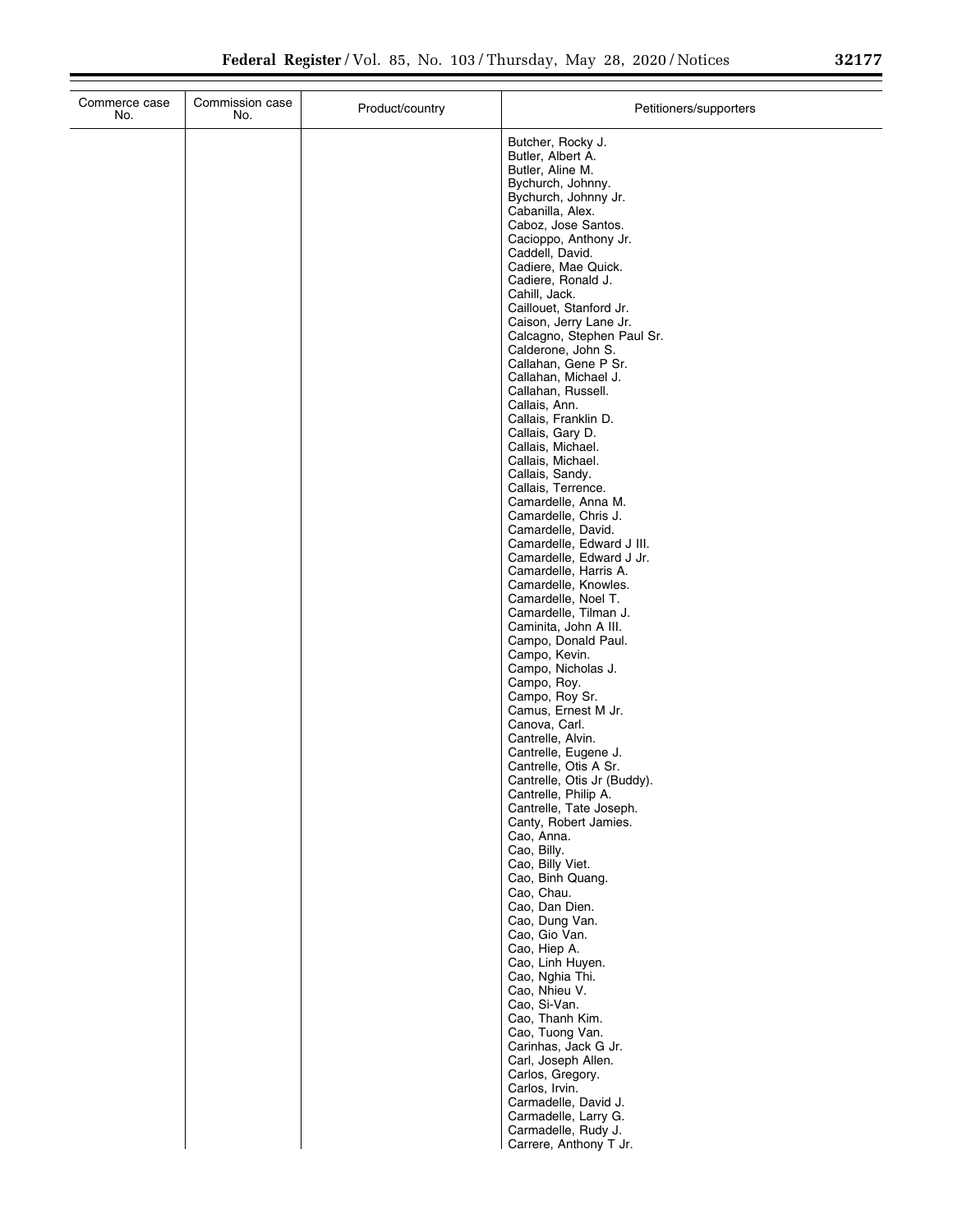| No.           | Commission case<br>No. | Product/country | Petitioners/supporters                                                                                                                                                                                                                                                                                                                                                                                                                                                                                                                                                                                                                                                                                                                                                                                                                                                                                                                                                                                                                  |
|---------------|------------------------|-----------------|-----------------------------------------------------------------------------------------------------------------------------------------------------------------------------------------------------------------------------------------------------------------------------------------------------------------------------------------------------------------------------------------------------------------------------------------------------------------------------------------------------------------------------------------------------------------------------------------------------------------------------------------------------------------------------------------------------------------------------------------------------------------------------------------------------------------------------------------------------------------------------------------------------------------------------------------------------------------------------------------------------------------------------------------|
| Commerce case |                        |                 | Butcher, Rocky J.<br>Butler, Albert A.<br>Butler, Aline M.<br>Bychurch, Johnny.<br>Bychurch, Johnny Jr.<br>Cabanilla, Alex.<br>Caboz, Jose Santos.<br>Cacioppo, Anthony Jr.<br>Caddell, David.<br>Cadiere, Mae Quick.<br>Cadiere, Ronald J.<br>Cahill, Jack.<br>Caillouet, Stanford Jr.<br>Caison, Jerry Lane Jr.<br>Calcagno, Stephen Paul Sr.<br>Calderone, John S.<br>Callahan, Gene P Sr.<br>Callahan, Michael J.<br>Callahan, Russell.<br>Callais, Ann.<br>Callais, Franklin D.<br>Callais, Gary D.<br>Callais, Michael.<br>Callais, Michael.<br>Callais, Sandy.<br>Callais, Terrence.<br>Camardelle, Anna M.<br>Camardelle, Chris J.<br>Camardelle, David.<br>Camardelle, Edward J III.<br>Camardelle, Edward J Jr.<br>Camardelle, Harris A.<br>Camardelle, Knowles.<br>Camardelle, Noel T.<br>Camardelle, Tilman J.<br>Caminita, John A III.<br>Campo, Donald Paul.<br>Campo, Kevin.<br>Campo, Nicholas J.<br>Campo, Roy.<br>Campo, Roy Sr.<br>Camus, Ernest M Jr.<br>Canova, Carl.<br>Cantrelle, Alvin.<br>Cantrelle, Eugene J. |
|               |                        |                 | Cantrelle, Otis A Sr.<br>Cantrelle, Otis Jr (Buddy).<br>Cantrelle, Philip A.<br>Cantrelle, Tate Joseph.<br>Canty, Robert Jamies.<br>Cao, Anna.<br>Cao, Billy.<br>Cao, Billy Viet.<br>Cao, Binh Quang.<br>Cao, Chau.<br>Cao, Dan Dien.<br>Cao, Dung Van.<br>Cao, Gio Van.<br>Cao, Hiep A.<br>Cao, Linh Huyen.<br>Cao, Nghia Thi.<br>Cao, Nhieu V.<br>Cao, Si-Van.<br>Cao, Thanh Kim.<br>Cao, Tuong Van.<br>Carinhas, Jack G Jr.<br>Carl, Joseph Allen.<br>Carlos, Gregory.<br>Carlos, Irvin.<br>Carmadelle, David J.<br>Carmadelle, Larry G.<br>Carmadelle Rudy J                                                                                                                                                                                                                                                                                                                                                                                                                                                                        |

Carmadelle, Rudy J. Carrere, Anthony T Jr.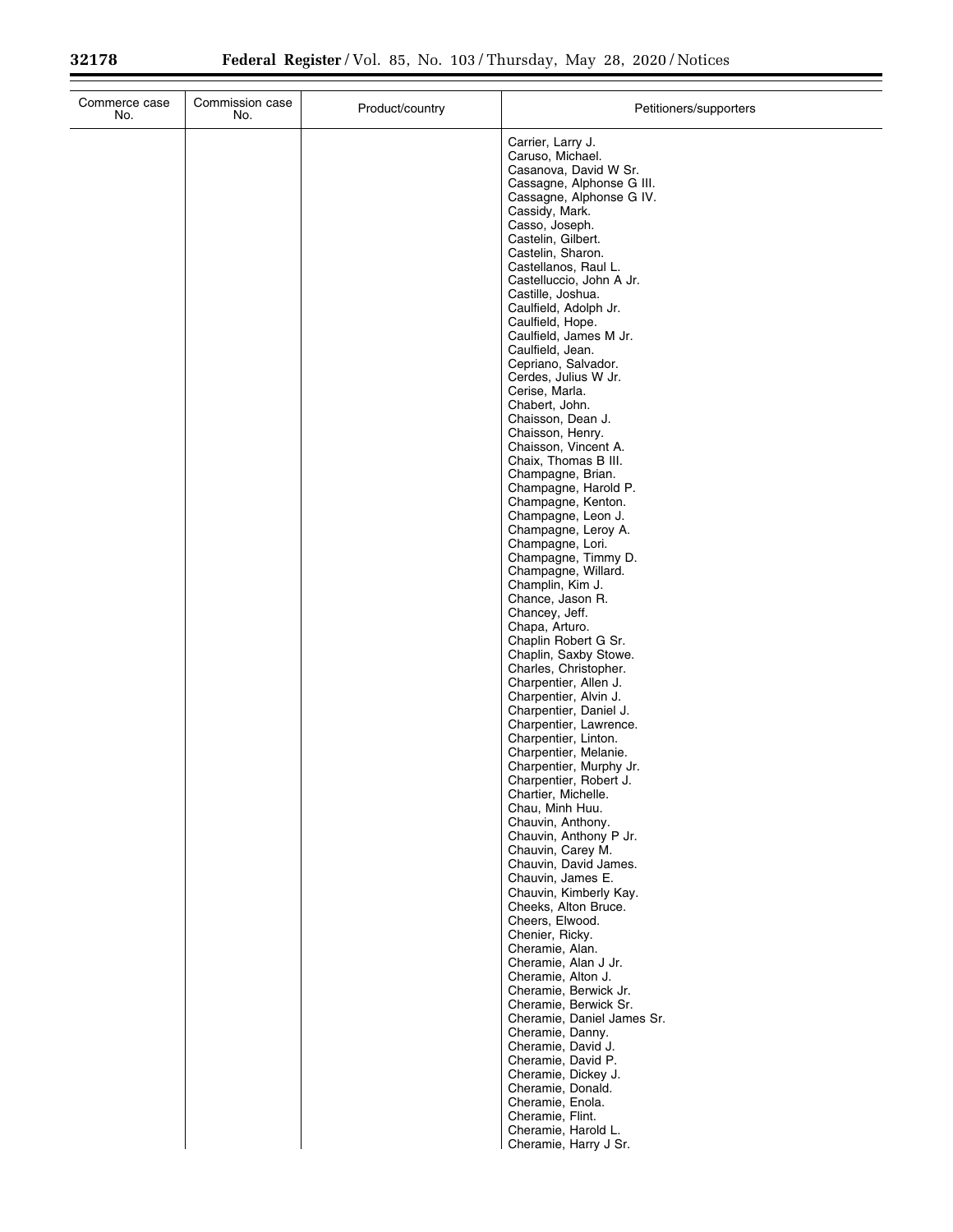| Commerce case<br>No. | Commission case<br>No. | Product/country | Petitioners/supporters                                                                                                                    |
|----------------------|------------------------|-----------------|-------------------------------------------------------------------------------------------------------------------------------------------|
|                      |                        |                 | Carrier, Larry J.<br>Caruso, Michael.<br>Casanova, David W Sr.<br>Cassagne, Alphonse G III.<br>Cassagne, Alphonse G IV.<br>Cassidy, Mark. |
|                      |                        |                 | Casso, Joseph.<br>Castelin, Gilbert.                                                                                                      |
|                      |                        |                 | Castelin, Sharon.<br>Castellanos, Raul L.<br>Castelluccio, John A Jr.                                                                     |
|                      |                        |                 | Castille, Joshua.<br>Caulfield, Adolph Jr.<br>Caulfield, Hope.                                                                            |
|                      |                        |                 | Caulfield, James M Jr.<br>Caulfield, Jean.                                                                                                |
|                      |                        |                 | Cepriano, Salvador.<br>Cerdes, Julius W Jr.<br>Cerise, Marla.                                                                             |
|                      |                        |                 | Chabert, John.<br>Chaisson, Dean J.                                                                                                       |
|                      |                        |                 | Chaisson, Henry.<br>Chaisson, Vincent A.<br>Chaix, Thomas B III.                                                                          |
|                      |                        |                 | Champagne, Brian.<br>Champagne, Harold P.<br>Champagne, Kenton.                                                                           |
|                      |                        |                 | Champagne, Leon J.<br>Champagne, Leroy A.<br>Champagne, Lori.                                                                             |
|                      |                        |                 | Champagne, Timmy D.<br>Champagne, Willard.                                                                                                |
|                      |                        |                 | Champlin, Kim J.<br>Chance, Jason R.<br>Chancey, Jeff.                                                                                    |
|                      |                        |                 | Chapa, Arturo.<br>Chaplin Robert G Sr.<br>Chaplin, Saxby Stowe.                                                                           |
|                      |                        |                 | Charles, Christopher.<br>Charpentier, Allen J.<br>Charpentier, Alvin J.                                                                   |
|                      |                        |                 | Charpentier, Daniel J.<br>Charpentier, Lawrence.                                                                                          |
|                      |                        |                 | Charpentier, Linton.<br>Charpentier, Melanie.<br>Charpentier, Murphy Jr.                                                                  |
|                      |                        |                 | Charpentier, Robert J.<br>Chartier, Michelle.<br>Chau, Minh Huu.                                                                          |
|                      |                        |                 | Chauvin, Anthony.<br>Chauvin, Anthony P Jr.<br>Chauvin, Carey M.                                                                          |
|                      |                        |                 | Chauvin, David James.<br>Chauvin, James E.                                                                                                |
|                      |                        |                 | Chauvin, Kimberly Kay.<br>Cheeks, Alton Bruce.<br>Cheers, Elwood.                                                                         |
|                      |                        |                 | Chenier, Ricky.<br>Cheramie, Alan.<br>Cheramie, Alan J Jr.                                                                                |
|                      |                        |                 | Cheramie, Alton J.<br>Cheramie, Berwick Jr.                                                                                               |
|                      |                        |                 | Cheramie, Berwick Sr.<br>Cheramie, Daniel James Sr.<br>Cheramie, Danny.                                                                   |
|                      |                        |                 | Cheramie, David J.<br>Cheramie, David P.<br>Cheramie, Dickey J.                                                                           |
|                      |                        |                 | Cheramie, Donald.<br>Cheramie, Enola.                                                                                                     |
|                      |                        |                 | Cheramie, Flint.<br>Cheramie, Harold L.<br>Cheramie, Harry J Sr.                                                                          |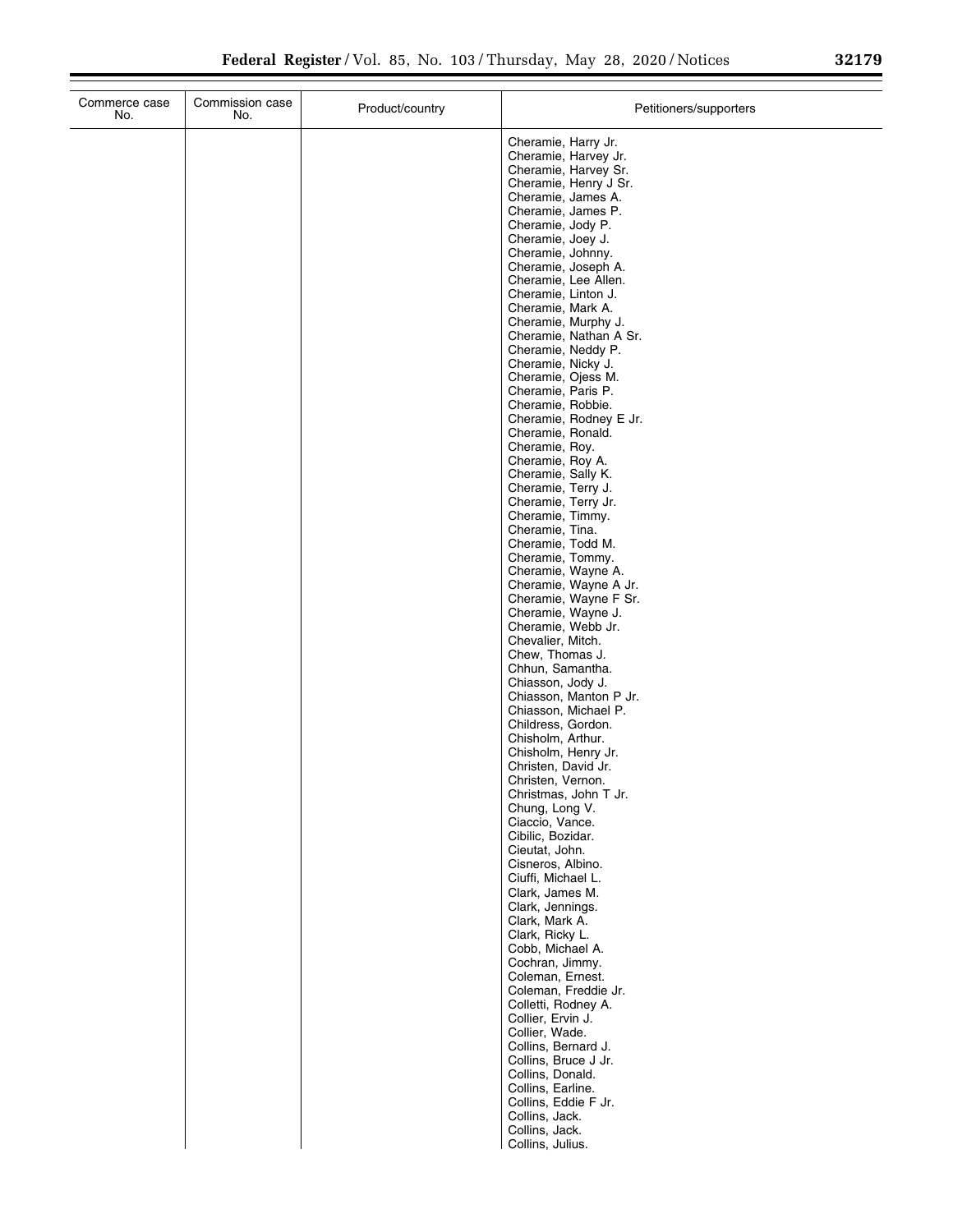| Commerce case<br>No. | Commission case<br>No. | Product/country | Petitioners/supporters                                                                                                                                                                                                                                                                                                                                                                                                                                                                                                                                                                                                                                                                                                                                                                                                                                                                                                                                                                                                                                                                                                                                                                                                                                                                                                                                                                                                                                                                                                                                                                       |
|----------------------|------------------------|-----------------|----------------------------------------------------------------------------------------------------------------------------------------------------------------------------------------------------------------------------------------------------------------------------------------------------------------------------------------------------------------------------------------------------------------------------------------------------------------------------------------------------------------------------------------------------------------------------------------------------------------------------------------------------------------------------------------------------------------------------------------------------------------------------------------------------------------------------------------------------------------------------------------------------------------------------------------------------------------------------------------------------------------------------------------------------------------------------------------------------------------------------------------------------------------------------------------------------------------------------------------------------------------------------------------------------------------------------------------------------------------------------------------------------------------------------------------------------------------------------------------------------------------------------------------------------------------------------------------------|
|                      |                        |                 | Cheramie, Harry Jr.<br>Cheramie, Harvey Jr.<br>Cheramie, Harvey Sr.<br>Cheramie, Henry J Sr.<br>Cheramie, James A.<br>Cheramie, James P.<br>Cheramie, Jody P.<br>Cheramie, Joey J.<br>Cheramie, Johnny.<br>Cheramie, Joseph A.<br>Cheramie, Lee Allen.<br>Cheramie, Linton J.<br>Cheramie, Mark A.<br>Cheramie, Murphy J.<br>Cheramie, Nathan A Sr.<br>Cheramie, Neddy P.<br>Cheramie, Nicky J.<br>Cheramie, Ojess M.<br>Cheramie, Paris P.<br>Cheramie, Robbie.<br>Cheramie, Rodney E Jr.<br>Cheramie, Ronald.<br>Cheramie, Roy.<br>Cheramie, Roy A.<br>Cheramie, Sally K.<br>Cheramie, Terry J.<br>Cheramie, Terry Jr.<br>Cheramie, Timmy.<br>Cheramie, Tina.<br>Cheramie, Todd M.<br>Cheramie, Tommy.<br>Cheramie, Wayne A.<br>Cheramie, Wayne A Jr.<br>Cheramie, Wayne F Sr.<br>Cheramie, Wayne J.<br>Cheramie, Webb Jr.<br>Chevalier, Mitch.<br>Chew, Thomas J.<br>Chhun, Samantha.<br>Chiasson, Jody J.<br>Chiasson, Manton P Jr.<br>Chiasson, Michael P.<br>Childress, Gordon.<br>Chisholm, Arthur.<br>Chisholm, Henry Jr.<br>Christen, David Jr.<br>Christen, Vernon.<br>Christmas, John T Jr.<br>Chung, Long V.<br>Ciaccio, Vance.<br>Cibilic, Bozidar.<br>Cieutat, John.<br>Cisneros, Albino.<br>Ciuffi, Michael L.<br>Clark, James M.<br>Clark, Jennings.<br>Clark, Mark A.<br>Clark, Ricky L.<br>Cobb, Michael A.<br>Cochran, Jimmy.<br>Coleman, Ernest.<br>Coleman, Freddie Jr.<br>Colletti, Rodney A.<br>Collier, Ervin J.<br>Collier, Wade.<br>Collins, Bernard J.<br>Collins, Bruce J Jr.<br>Collins, Donald.<br>Collins, Earline.<br>Collins, Eddie F Jr.<br>Collins, Jack. |
|                      |                        |                 | Collins, Jack.<br>Collins, Julius.                                                                                                                                                                                                                                                                                                                                                                                                                                                                                                                                                                                                                                                                                                                                                                                                                                                                                                                                                                                                                                                                                                                                                                                                                                                                                                                                                                                                                                                                                                                                                           |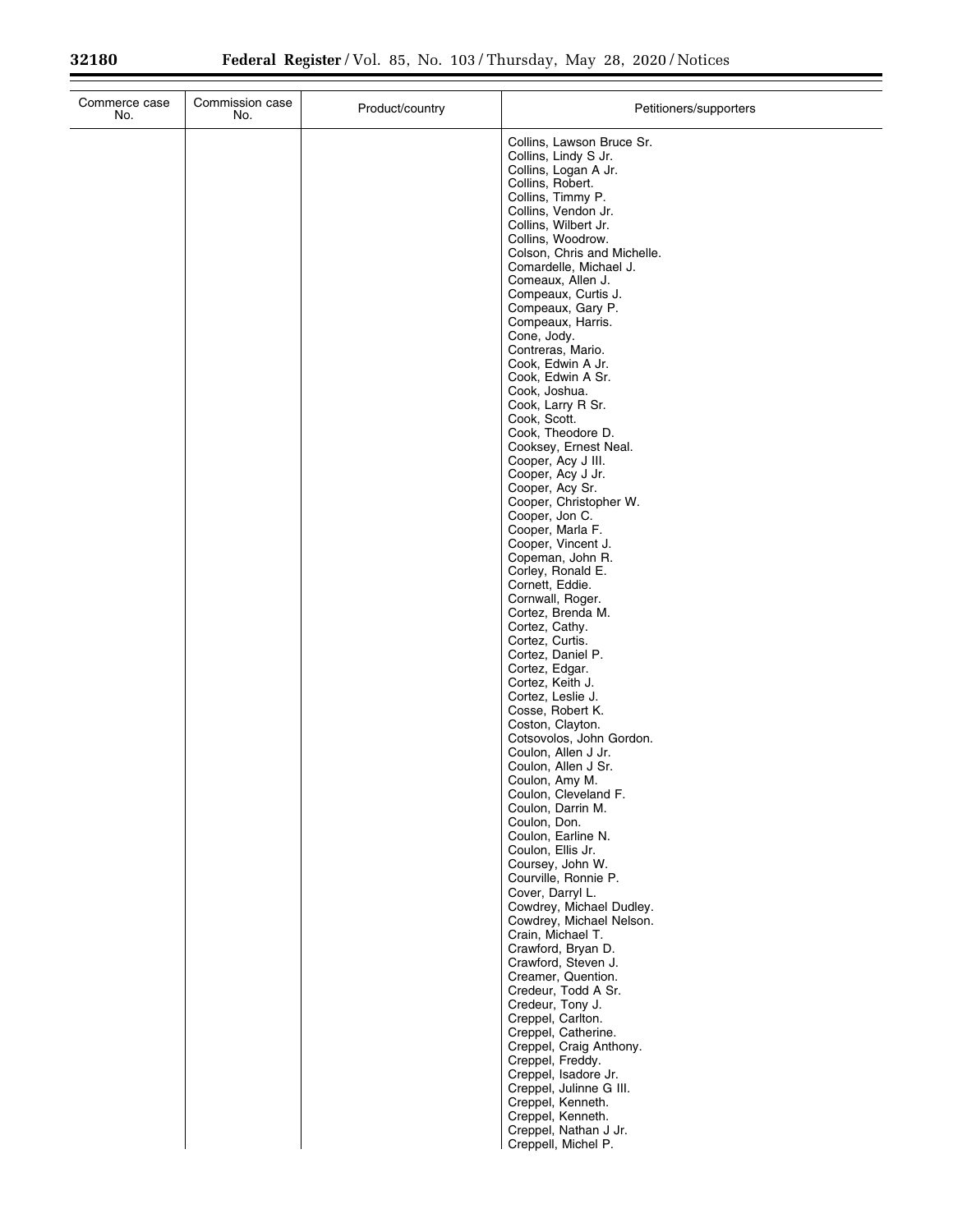| Commerce case<br>No. | Commission case<br>No. | Product/country | Petitioners/supporters                               |
|----------------------|------------------------|-----------------|------------------------------------------------------|
|                      |                        |                 | Collins, Lawson Bruce Sr.<br>Collins, Lindy S Jr.    |
|                      |                        |                 | Collins, Logan A Jr.                                 |
|                      |                        |                 | Collins, Robert.<br>Collins, Timmy P.                |
|                      |                        |                 | Collins, Vendon Jr.                                  |
|                      |                        |                 | Collins, Wilbert Jr.<br>Collins, Woodrow.            |
|                      |                        |                 | Colson, Chris and Michelle.                          |
|                      |                        |                 | Comardelle, Michael J.                               |
|                      |                        |                 | Comeaux, Allen J.<br>Compeaux, Curtis J.             |
|                      |                        |                 | Compeaux, Gary P.                                    |
|                      |                        |                 | Compeaux, Harris.<br>Cone, Jody.                     |
|                      |                        |                 | Contreras, Mario.                                    |
|                      |                        |                 | Cook, Edwin A Jr.<br>Cook, Edwin A Sr.               |
|                      |                        |                 | Cook, Joshua.                                        |
|                      |                        |                 | Cook, Larry R Sr.<br>Cook, Scott.                    |
|                      |                        |                 | Cook, Theodore D.                                    |
|                      |                        |                 | Cooksey, Ernest Neal.                                |
|                      |                        |                 | Cooper, Acy J III.<br>Cooper, Acy J Jr.              |
|                      |                        |                 | Cooper, Acy Sr.                                      |
|                      |                        |                 | Cooper, Christopher W.<br>Cooper, Jon C.             |
|                      |                        |                 | Cooper, Marla F.                                     |
|                      |                        |                 | Cooper, Vincent J.<br>Copeman, John R.               |
|                      |                        |                 | Corley, Ronald E.                                    |
|                      |                        |                 | Cornett, Eddie.<br>Cornwall, Roger.                  |
|                      |                        |                 | Cortez, Brenda M.                                    |
|                      |                        |                 | Cortez, Cathy.                                       |
|                      |                        |                 | Cortez, Curtis.<br>Cortez, Daniel P.                 |
|                      |                        |                 | Cortez, Edgar.                                       |
|                      |                        |                 | Cortez, Keith J.<br>Cortez, Leslie J.                |
|                      |                        |                 | Cosse, Robert K.                                     |
|                      |                        |                 | Coston, Clayton.<br>Cotsovolos, John Gordon.         |
|                      |                        |                 | Coulon, Allen J Jr.                                  |
|                      |                        |                 | Coulon, Allen J Sr.                                  |
|                      |                        |                 | Coulon, Amy M.<br>Coulon, Cleveland F.               |
|                      |                        |                 | Coulon, Darrin M.                                    |
|                      |                        |                 | Coulon, Don.<br>Coulon, Earline N.                   |
|                      |                        |                 | Coulon, Ellis Jr.                                    |
|                      |                        |                 | Coursey, John W.<br>Courville, Ronnie P.             |
|                      |                        |                 | Cover, Darryl L.                                     |
|                      |                        |                 | Cowdrey, Michael Dudley.<br>Cowdrey, Michael Nelson. |
|                      |                        |                 | Crain, Michael T.                                    |
|                      |                        |                 | Crawford, Bryan D.<br>Crawford, Steven J.            |
|                      |                        |                 | Creamer, Quention.                                   |
|                      |                        |                 | Credeur, Todd A Sr.<br>Credeur, Tony J.              |
|                      |                        |                 | Creppel, Carlton.                                    |
|                      |                        |                 | Creppel, Catherine.                                  |
|                      |                        |                 | Creppel, Craig Anthony.<br>Creppel, Freddy.          |
|                      |                        |                 | Creppel, Isadore Jr.                                 |
|                      |                        |                 | Creppel, Julinne G III.                              |
|                      |                        |                 | Creppel, Kenneth.<br>Creppel, Kenneth.               |
|                      |                        |                 | Creppel, Nathan J Jr.                                |
|                      |                        |                 | Creppell, Michel P.                                  |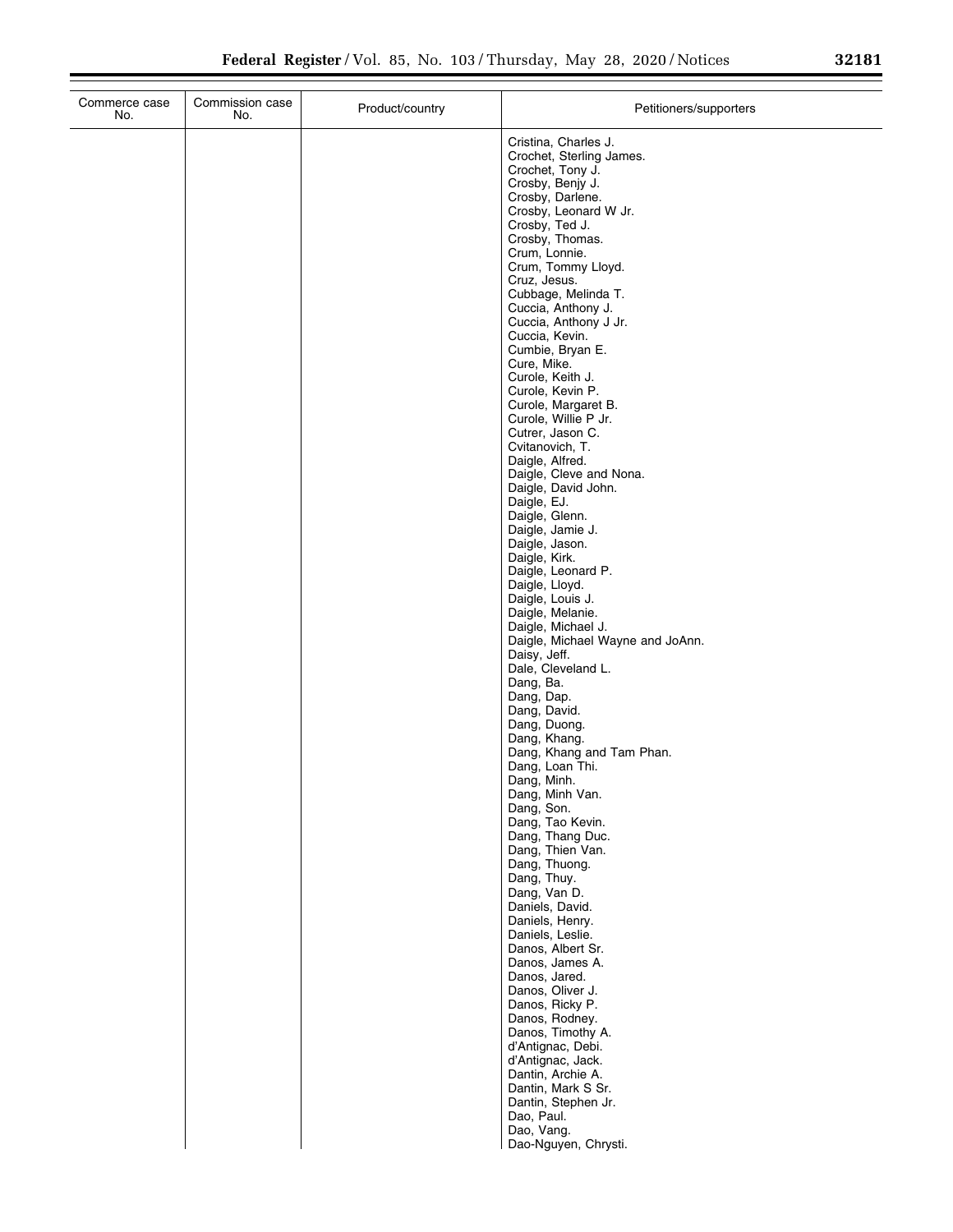| Commerce case<br>No. | Commission case<br>No. | Product/country | Petitioners/supporters                                                                                                                                                                                                                                                                                                                                                                                                                                                                                                                                                                                                                                                                                                                                                                                                                                                                                                                                                                                                                                                                                                                                                                                                                                                                                                                               |
|----------------------|------------------------|-----------------|------------------------------------------------------------------------------------------------------------------------------------------------------------------------------------------------------------------------------------------------------------------------------------------------------------------------------------------------------------------------------------------------------------------------------------------------------------------------------------------------------------------------------------------------------------------------------------------------------------------------------------------------------------------------------------------------------------------------------------------------------------------------------------------------------------------------------------------------------------------------------------------------------------------------------------------------------------------------------------------------------------------------------------------------------------------------------------------------------------------------------------------------------------------------------------------------------------------------------------------------------------------------------------------------------------------------------------------------------|
|                      |                        |                 | Cristina, Charles J.<br>Crochet, Sterling James.<br>Crochet, Tony J.<br>Crosby, Benjy J.<br>Crosby, Darlene.<br>Crosby, Leonard W Jr.<br>Crosby, Ted J.<br>Crosby, Thomas.<br>Crum, Lonnie.<br>Crum, Tommy Lloyd.<br>Cruz, Jesus.<br>Cubbage, Melinda T.<br>Cuccia, Anthony J.<br>Cuccia, Anthony J Jr.<br>Cuccia, Kevin.<br>Cumbie, Bryan E.<br>Cure, Mike.<br>Curole, Keith J.<br>Curole, Kevin P.<br>Curole, Margaret B.<br>Curole, Willie P Jr.<br>Cutrer, Jason C.<br>Cvitanovich, T.<br>Daigle, Alfred.<br>Daigle, Cleve and Nona.<br>Daigle, David John.<br>Daigle, EJ.<br>Daigle, Glenn.<br>Daigle, Jamie J.<br>Daigle, Jason.<br>Daigle, Kirk.<br>Daigle, Leonard P.<br>Daigle, Lloyd.<br>Daigle, Louis J.<br>Daigle, Melanie.<br>Daigle, Michael J.<br>Daigle, Michael Wayne and JoAnn.<br>Daisy, Jeff.<br>Dale, Cleveland L.<br>Dang, Ba.<br>Dang, Dap.<br>Dang, David.<br>Dang, Duong.<br>Dang, Khang.<br>Dang, Khang and Tam Phan.<br>Dang, Loan Thi.<br>Dang, Minh.<br>Dang, Minh Van.<br>Dang, Son.<br>Dang, Tao Kevin.<br>Dang, Thang Duc.<br>Dang, Thien Van.<br>Dang, Thuong.<br>Dang, Thuy.<br>Dang, Van D.<br>Daniels, David.<br>Daniels, Henry.<br>Daniels, Leslie.<br>Danos, Albert Sr.<br>Danos, James A.<br>Danos, Jared.<br>Danos, Oliver J.<br>Danos, Ricky P.<br>Danos, Rodney.<br>Danos, Timothy A.<br>d'Antignac, Debi. |
|                      |                        |                 | d'Antignac, Jack.<br>Dantin, Archie A.<br>Dantin, Mark S Sr.<br>Dantin, Stephen Jr.<br>Dao, Paul.                                                                                                                                                                                                                                                                                                                                                                                                                                                                                                                                                                                                                                                                                                                                                                                                                                                                                                                                                                                                                                                                                                                                                                                                                                                    |
|                      |                        |                 | Dao, Vang.<br>Dao-Nguyen, Chrysti.                                                                                                                                                                                                                                                                                                                                                                                                                                                                                                                                                                                                                                                                                                                                                                                                                                                                                                                                                                                                                                                                                                                                                                                                                                                                                                                   |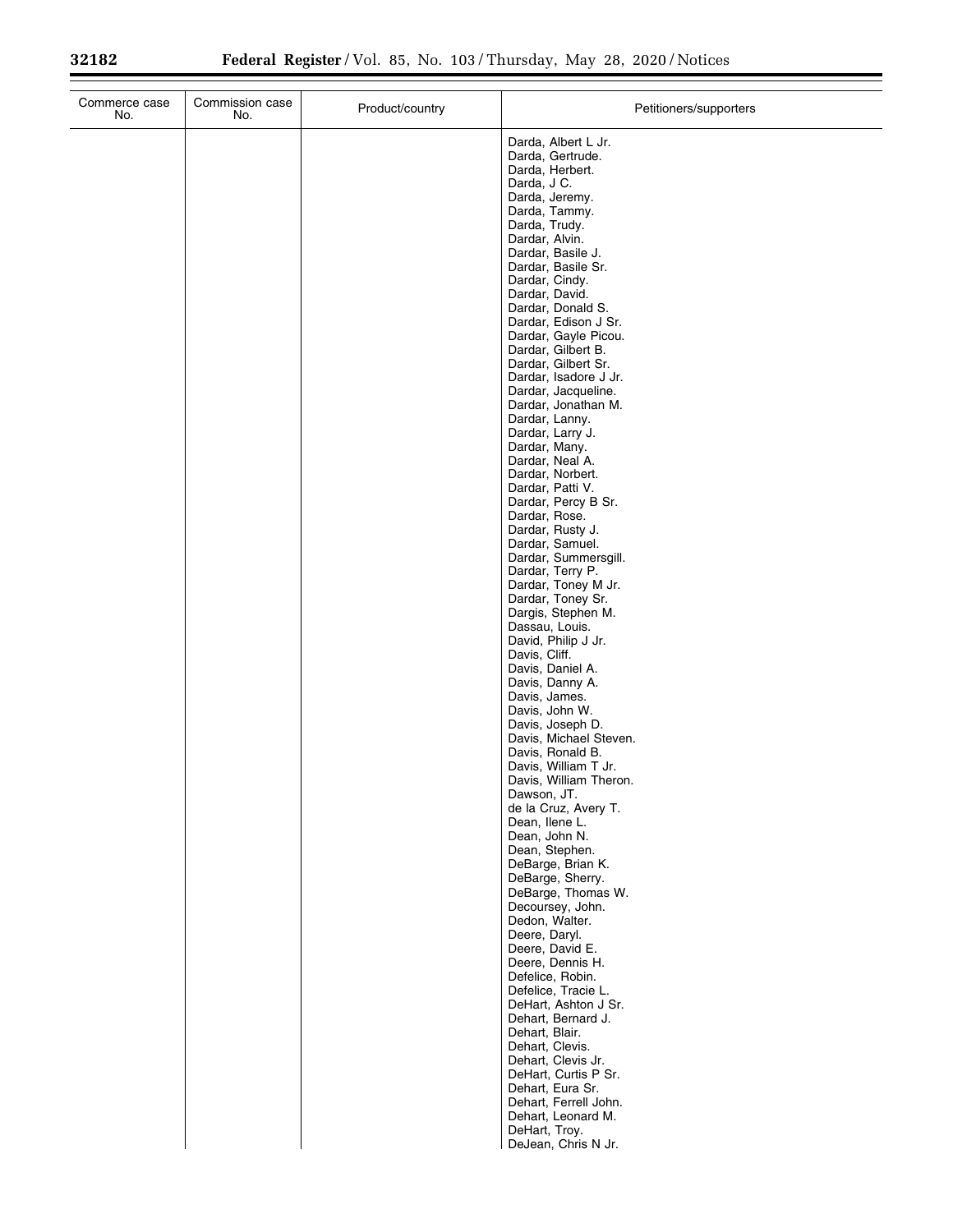$\equiv$ 

| Commerce case<br>No. | Commission case<br>No. | Product/country | Petitioners/supporters                                                                                                                                                                                                                                                                                                                                                                                                                                                                                                                                                                                                                                                                                                                                                                                                                                                                                                                                                                                                                                                                                                                                    |
|----------------------|------------------------|-----------------|-----------------------------------------------------------------------------------------------------------------------------------------------------------------------------------------------------------------------------------------------------------------------------------------------------------------------------------------------------------------------------------------------------------------------------------------------------------------------------------------------------------------------------------------------------------------------------------------------------------------------------------------------------------------------------------------------------------------------------------------------------------------------------------------------------------------------------------------------------------------------------------------------------------------------------------------------------------------------------------------------------------------------------------------------------------------------------------------------------------------------------------------------------------|
|                      |                        |                 | Darda, Albert L Jr.<br>Darda, Gertrude.<br>Darda, Herbert.<br>Darda, J C.<br>Darda, Jeremy.<br>Darda, Tammy.<br>Darda, Trudy.<br>Dardar, Alvin.<br>Dardar, Basile J.<br>Dardar, Basile Sr.<br>Dardar, Cindy.<br>Dardar, David.<br>Dardar, Donald S.<br>Dardar, Edison J Sr.<br>Dardar, Gayle Picou.<br>Dardar, Gilbert B.<br>Dardar, Gilbert Sr.<br>Dardar, Isadore J Jr.<br>Dardar, Jacqueline.<br>Dardar, Jonathan M.<br>Dardar, Lanny.<br>Dardar, Larry J.<br>Dardar, Many.<br>Dardar, Neal A.<br>Dardar, Norbert.<br>Dardar, Patti V.<br>Dardar, Percy B Sr.<br>Dardar, Rose.<br>Dardar, Rusty J.<br>Dardar, Samuel.<br>Dardar, Summersgill.<br>Dardar, Terry P.<br>Dardar, Toney M Jr.<br>Dardar, Toney Sr.<br>Dargis, Stephen M.<br>Dassau, Louis.<br>David, Philip J Jr.<br>Davis, Cliff.<br>Davis, Daniel A.<br>Davis, Danny A.<br>Davis, James.<br>Davis, John W.<br>Davis, Joseph D.<br>Davis, Michael Steven.<br>Davis, Ronald B.<br>Davis, William T Jr.<br>Davis, William Theron.<br>Dawson, JT.<br>de la Cruz, Avery T.<br>Dean, Ilene L.<br>Dean, John N.<br>Dean, Stephen.<br>DeBarge, Brian K.<br>DeBarge, Sherry.<br>DeBarge, Thomas W. |
|                      |                        |                 |                                                                                                                                                                                                                                                                                                                                                                                                                                                                                                                                                                                                                                                                                                                                                                                                                                                                                                                                                                                                                                                                                                                                                           |
|                      |                        |                 | Decoursey, John.<br>Dedon, Walter.<br>Deere, Daryl.<br>Deere, David E.<br>Deere, Dennis H.<br>Defelice, Robin.<br>Defelice, Tracie L.<br>DeHart, Ashton J Sr.<br>Dehart, Bernard J.<br>Dehart, Blair.<br>Dehart, Clevis.<br>Dehart, Clevis Jr.<br>DeHart, Curtis P Sr.<br>Dehart, Eura Sr.<br>Dehart, Ferrell John.<br>Dehart, Leonard M.                                                                                                                                                                                                                                                                                                                                                                                                                                                                                                                                                                                                                                                                                                                                                                                                                 |
|                      |                        |                 | DeHart, Troy.<br>DeJean, Chris N Jr.                                                                                                                                                                                                                                                                                                                                                                                                                                                                                                                                                                                                                                                                                                                                                                                                                                                                                                                                                                                                                                                                                                                      |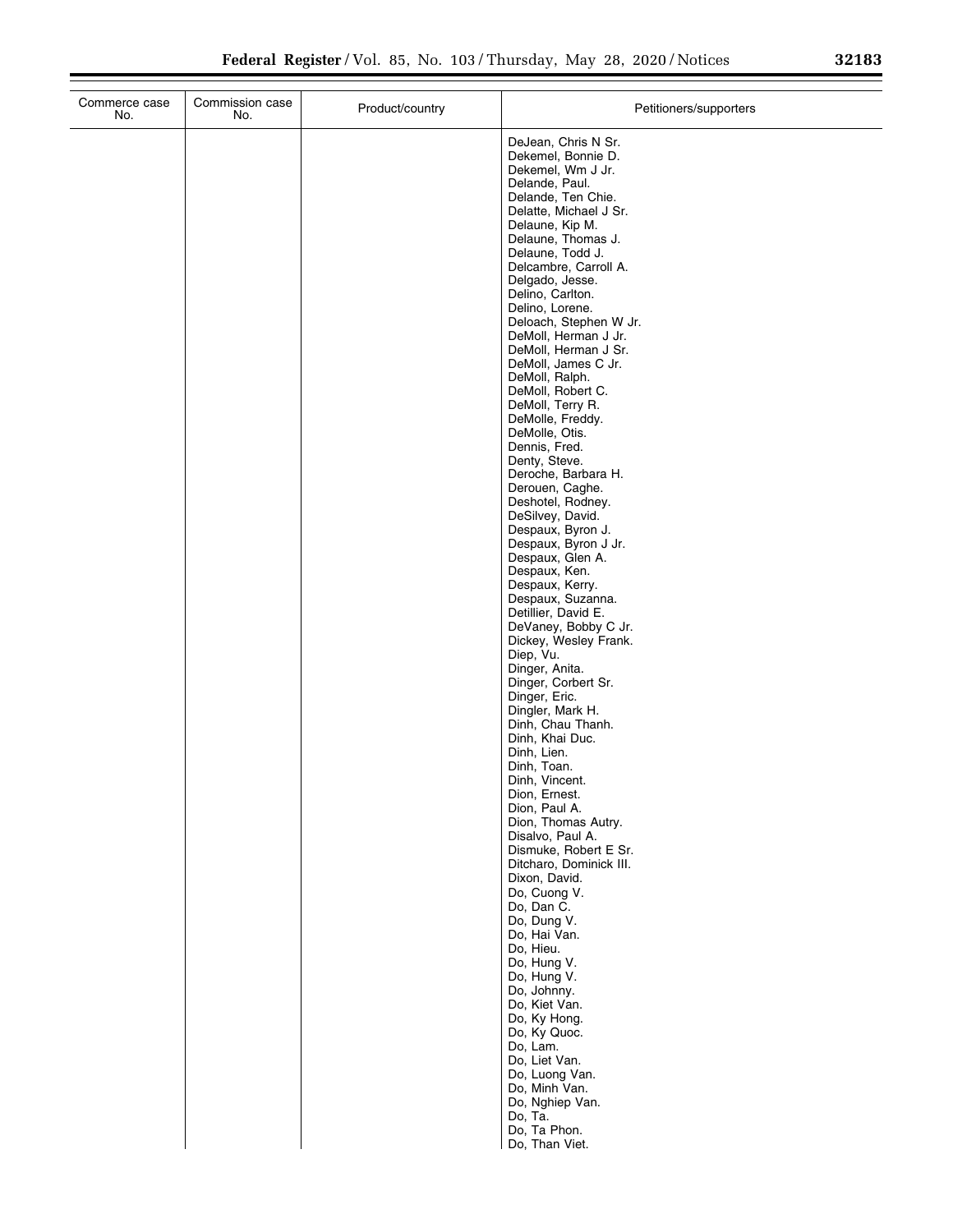| Commerce case<br>No. | Commission case<br>No. | Product/country | Petitioners/supporters                      |
|----------------------|------------------------|-----------------|---------------------------------------------|
|                      |                        |                 | DeJean, Chris N Sr.                         |
|                      |                        |                 | Dekemel, Bonnie D.                          |
|                      |                        |                 | Dekemel, Wm J Jr.<br>Delande, Paul.         |
|                      |                        |                 | Delande, Ten Chie.                          |
|                      |                        |                 | Delatte, Michael J Sr.                      |
|                      |                        |                 | Delaune, Kip M.                             |
|                      |                        |                 | Delaune, Thomas J.<br>Delaune, Todd J.      |
|                      |                        |                 | Delcambre, Carroll A.                       |
|                      |                        |                 | Delgado, Jesse.                             |
|                      |                        |                 | Delino, Carlton.<br>Delino, Lorene.         |
|                      |                        |                 | Deloach, Stephen W Jr.                      |
|                      |                        |                 | DeMoll, Herman J Jr.                        |
|                      |                        |                 | DeMoll, Herman J Sr.                        |
|                      |                        |                 | DeMoll, James C Jr.<br>DeMoll, Ralph.       |
|                      |                        |                 | DeMoll, Robert C.                           |
|                      |                        |                 | DeMoll, Terry R.                            |
|                      |                        |                 | DeMolle, Freddy.<br>DeMolle, Otis.          |
|                      |                        |                 | Dennis, Fred.                               |
|                      |                        |                 | Denty, Steve.                               |
|                      |                        |                 | Deroche, Barbara H.                         |
|                      |                        |                 | Derouen, Caghe.<br>Deshotel, Rodney.        |
|                      |                        |                 | DeSilvey, David.                            |
|                      |                        |                 | Despaux, Byron J.                           |
|                      |                        |                 | Despaux, Byron J Jr.                        |
|                      |                        |                 | Despaux, Glen A.<br>Despaux, Ken.           |
|                      |                        |                 | Despaux, Kerry.                             |
|                      |                        |                 | Despaux, Suzanna.                           |
|                      |                        |                 | Detillier, David E.<br>DeVaney, Bobby C Jr. |
|                      |                        |                 | Dickey, Wesley Frank.                       |
|                      |                        |                 | Diep, Vu.                                   |
|                      |                        |                 | Dinger, Anita.                              |
|                      |                        |                 | Dinger, Corbert Sr.<br>Dinger, Eric.        |
|                      |                        |                 | Dingler, Mark H.                            |
|                      |                        |                 | Dinh, Chau Thanh.                           |
|                      |                        |                 | Dinh, Khai Duc.<br>Dinh, Lien.              |
|                      |                        |                 | Dinh, Toan.                                 |
|                      |                        |                 | Dinh, Vincent.                              |
|                      |                        |                 | Dion, Ernest.                               |
|                      |                        |                 | Dion, Paul A.<br>Dion, Thomas Autry.        |
|                      |                        |                 | Disalvo, Paul A.                            |
|                      |                        |                 | Dismuke, Robert E Sr.                       |
|                      |                        |                 | Ditcharo, Dominick III.<br>Dixon, David.    |
|                      |                        |                 | Do, Cuong V.                                |
|                      |                        |                 | Do, Dan C.                                  |
|                      |                        |                 | Do, Dung V.                                 |
|                      |                        |                 | Do, Hai Van.<br>Do, Hieu.                   |
|                      |                        |                 | Do, Hung V.                                 |
|                      |                        |                 | Do, Hung V.                                 |
|                      |                        |                 | Do, Johnny.                                 |
|                      |                        |                 | Do, Kiet Van.<br>Do, Ky Hong.               |
|                      |                        |                 | Do, Ky Quoc.                                |
|                      |                        |                 | Do, Lam.                                    |
|                      |                        |                 | Do, Liet Van.                               |
|                      |                        |                 | Do, Luong Van.<br>Do, Minh Van.             |
|                      |                        |                 | Do, Nghiep Van.                             |
|                      |                        |                 | Do, Ta.                                     |
|                      |                        |                 | Do, Ta Phon.<br>Do, Than Viet.              |
|                      |                        |                 |                                             |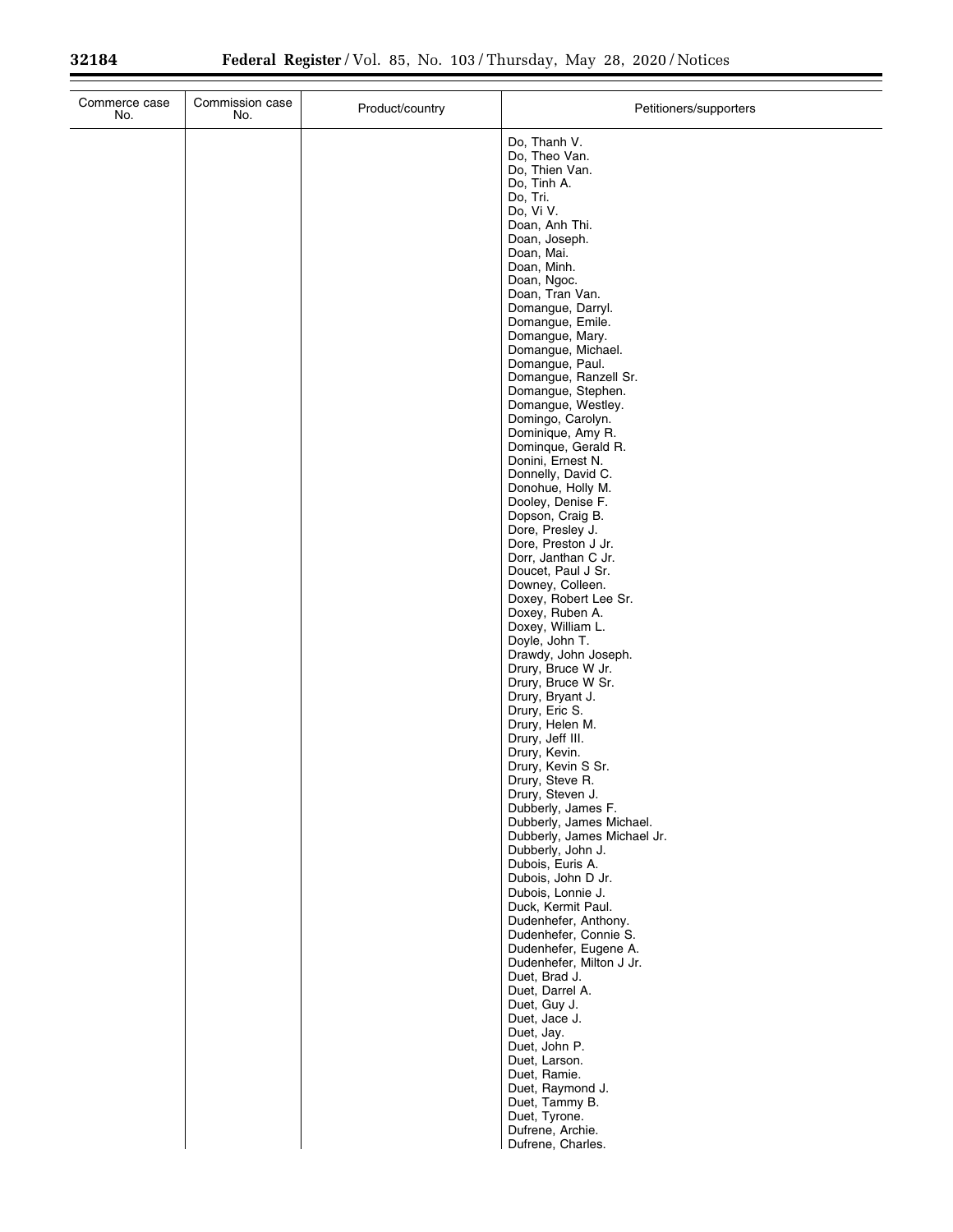| Commerce case<br>No. | Commission case<br>No. | Product/country | Petitioners/supporters                                                 |
|----------------------|------------------------|-----------------|------------------------------------------------------------------------|
|                      |                        |                 | Do, Thanh V.<br>Do, Theo Van.<br>Do, Thien Van.<br>Do, Tinh A.         |
|                      |                        |                 | Do, Tri.<br>Do, Vi V.<br>Doan, Anh Thi.                                |
|                      |                        |                 | Doan, Joseph.<br>Doan, Mai.                                            |
|                      |                        |                 | Doan, Minh.<br>Doan, Ngoc.<br>Doan, Tran Van.                          |
|                      |                        |                 | Domangue, Darryl.<br>Domangue, Emile.                                  |
|                      |                        |                 | Domangue, Mary.<br>Domangue, Michael.                                  |
|                      |                        |                 | Domangue, Paul.<br>Domangue, Ranzell Sr.<br>Domangue, Stephen.         |
|                      |                        |                 | Domangue, Westley.<br>Domingo, Carolyn.                                |
|                      |                        |                 | Dominique, Amy R.<br>Domingue, Gerald R.<br>Donini, Ernest N.          |
|                      |                        |                 | Donnelly, David C.<br>Donohue, Holly M.                                |
|                      |                        |                 | Dooley, Denise F.<br>Dopson, Craig B.<br>Dore, Presley J.              |
|                      |                        |                 | Dore, Preston J Jr.<br>Dorr, Janthan C Jr.                             |
|                      |                        |                 | Doucet, Paul J Sr.<br>Downey, Colleen.<br>Doxey, Robert Lee Sr.        |
|                      |                        |                 | Doxey, Ruben A.<br>Doxey, William L.                                   |
|                      |                        |                 | Doyle, John T.<br>Drawdy, John Joseph.<br>Drury, Bruce W Jr.           |
|                      |                        |                 | Drury, Bruce W Sr.<br>Drury, Bryant J.                                 |
|                      |                        |                 | Drury, Eric S.<br>Drury, Helen M.<br>Drury, Jeff III.                  |
|                      |                        |                 | Drury, Kevin.<br>Drury, Kevin S Sr.                                    |
|                      |                        |                 | Drury, Steve R.<br>Drury, Steven J.<br>Dubberly, James F.              |
|                      |                        |                 | Dubberly, James Michael.<br>Dubberly, James Michael Jr.                |
|                      |                        |                 | Dubberly, John J.<br>Dubois, Euris A.<br>Dubois, John D Jr.            |
|                      |                        |                 | Dubois, Lonnie J.<br>Duck, Kermit Paul.                                |
|                      |                        |                 | Dudenhefer, Anthony.<br>Dudenhefer, Connie S.<br>Dudenhefer, Eugene A. |
|                      |                        |                 | Dudenhefer, Milton J Jr.<br>Duet, Brad J.                              |
|                      |                        |                 | Duet, Darrel A.<br>Duet, Guy J.<br>Duet, Jace J.                       |
|                      |                        |                 | Duet, Jay.<br>Duet, John P.                                            |
|                      |                        |                 | Duet, Larson.<br>Duet, Ramie.<br>Duet, Raymond J.                      |
|                      |                        |                 | Duet, Tammy B.<br>Duet, Tyrone.                                        |
|                      |                        |                 | Dufrene, Archie.<br>Dufrene, Charles.                                  |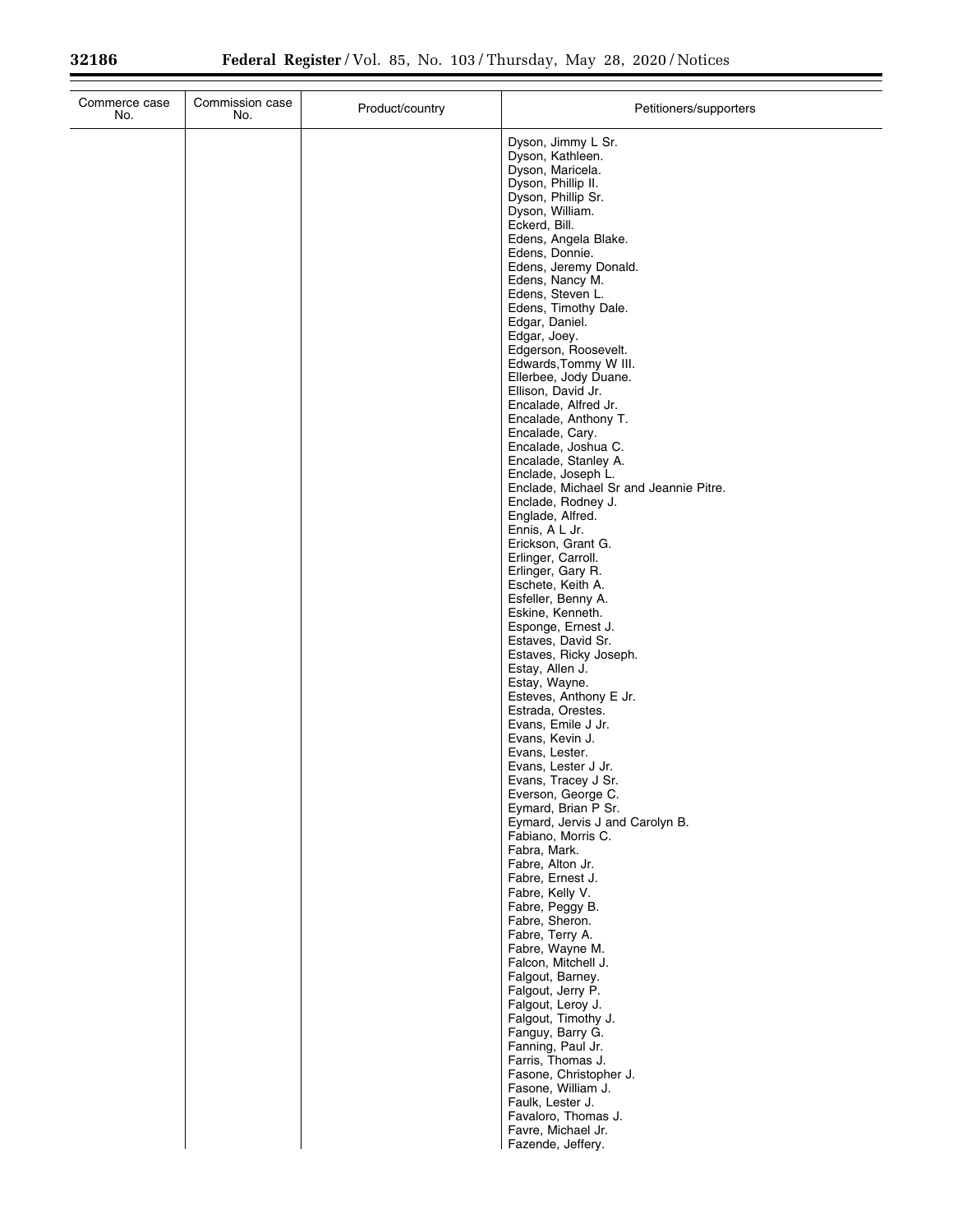| Commerce case<br>No. | Commission case<br>No. | Product/country | Petitioners/supporters                                       |
|----------------------|------------------------|-----------------|--------------------------------------------------------------|
|                      |                        |                 | Dyson, Jimmy L Sr.<br>Dyson, Kathleen.                       |
|                      |                        |                 | Dyson, Maricela.                                             |
|                      |                        |                 | Dyson, Phillip II.<br>Dyson, Phillip Sr.                     |
|                      |                        |                 | Dyson, William.                                              |
|                      |                        |                 | Eckerd, Bill.                                                |
|                      |                        |                 | Edens, Angela Blake.<br>Edens, Donnie.                       |
|                      |                        |                 | Edens, Jeremy Donald.                                        |
|                      |                        |                 | Edens, Nancy M.<br>Edens, Steven L.                          |
|                      |                        |                 | Edens, Timothy Dale.                                         |
|                      |                        |                 | Edgar, Daniel.                                               |
|                      |                        |                 | Edgar, Joey.<br>Edgerson, Roosevelt.                         |
|                      |                        |                 | Edwards, Tommy W III.                                        |
|                      |                        |                 | Ellerbee, Jody Duane.<br>Ellison, David Jr.                  |
|                      |                        |                 | Encalade, Alfred Jr.                                         |
|                      |                        |                 | Encalade, Anthony T.                                         |
|                      |                        |                 | Encalade, Cary.<br>Encalade, Joshua C.                       |
|                      |                        |                 | Encalade, Stanley A.                                         |
|                      |                        |                 | Enclade, Joseph L.<br>Enclade, Michael Sr and Jeannie Pitre. |
|                      |                        |                 | Enclade, Rodney J.                                           |
|                      |                        |                 | Englade, Alfred.<br>Ennis, A L Jr.                           |
|                      |                        |                 | Erickson, Grant G.                                           |
|                      |                        |                 | Erlinger, Carroll.<br>Erlinger, Gary R.                      |
|                      |                        |                 | Eschete, Keith A.                                            |
|                      |                        |                 | Esfeller, Benny A.                                           |
|                      |                        |                 | Eskine, Kenneth.<br>Esponge, Ernest J.                       |
|                      |                        |                 | Estaves, David Sr.                                           |
|                      |                        |                 | Estaves, Ricky Joseph.<br>Estay, Allen J.                    |
|                      |                        |                 | Estay, Wayne.                                                |
|                      |                        |                 | Esteves, Anthony E Jr.<br>Estrada, Orestes.                  |
|                      |                        |                 | Evans, Emile J Jr.                                           |
|                      |                        |                 | Evans, Kevin J.<br>Evans, Lester.                            |
|                      |                        |                 | Evans, Lester J Jr.                                          |
|                      |                        |                 | Evans, Tracey J Sr.                                          |
|                      |                        |                 | Everson, George C.<br>Eymard, Brian P Sr.                    |
|                      |                        |                 | Eymard, Jervis J and Carolyn B.                              |
|                      |                        |                 | Fabiano, Morris C.<br>Fabra, Mark.                           |
|                      |                        |                 | Fabre, Alton Jr.                                             |
|                      |                        |                 | Fabre, Ernest J.<br>Fabre, Kelly V.                          |
|                      |                        |                 | Fabre, Peggy B.                                              |
|                      |                        |                 | Fabre, Sheron.                                               |
|                      |                        |                 | Fabre, Terry A.<br>Fabre, Wayne M.                           |
|                      |                        |                 | Falcon, Mitchell J.                                          |
|                      |                        |                 | Falgout, Barney.<br>Falgout, Jerry P.                        |
|                      |                        |                 | Falgout, Leroy J.                                            |
|                      |                        |                 | Falgout, Timothy J.<br>Fanguy, Barry G.                      |
|                      |                        |                 | Fanning, Paul Jr.                                            |
|                      |                        |                 | Farris, Thomas J.                                            |
|                      |                        |                 | Fasone, Christopher J.<br>Fasone, William J.                 |
|                      |                        |                 | Faulk, Lester J.                                             |
|                      |                        |                 | Favaloro, Thomas J.<br>Favre, Michael Jr.                    |
|                      |                        |                 | Fazende, Jeffery.                                            |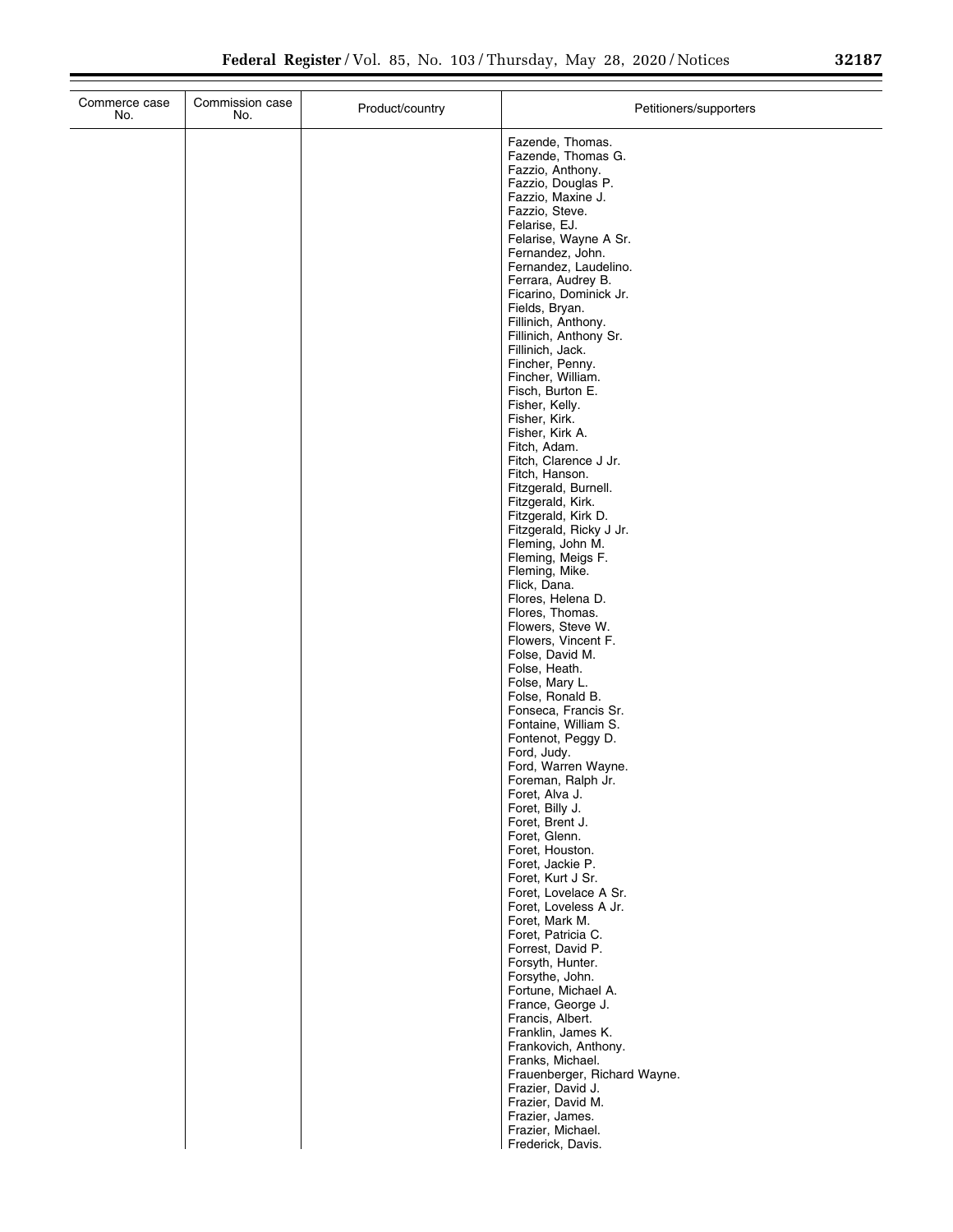| Commerce case<br>No. | Commission case<br>No. | Product/country | Petitioners/supporters                                                                                                                                                                                                                                                                                                                                                                                                                                                                                                                                                                                                                                                                                                                                                                                                                                                                                                                                                                                       |
|----------------------|------------------------|-----------------|--------------------------------------------------------------------------------------------------------------------------------------------------------------------------------------------------------------------------------------------------------------------------------------------------------------------------------------------------------------------------------------------------------------------------------------------------------------------------------------------------------------------------------------------------------------------------------------------------------------------------------------------------------------------------------------------------------------------------------------------------------------------------------------------------------------------------------------------------------------------------------------------------------------------------------------------------------------------------------------------------------------|
|                      |                        |                 | Fazende, Thomas.<br>Fazende, Thomas G.<br>Fazzio, Anthony.<br>Fazzio, Douglas P.<br>Fazzio, Maxine J.<br>Fazzio, Steve.<br>Felarise, EJ.<br>Felarise, Wayne A Sr.<br>Fernandez, John.<br>Fernandez, Laudelino.<br>Ferrara, Audrey B.<br>Ficarino, Dominick Jr.<br>Fields, Bryan.<br>Fillinich, Anthony.<br>Fillinich, Anthony Sr.<br>Fillinich, Jack.<br>Fincher, Penny.<br>Fincher, William.<br>Fisch, Burton E.<br>Fisher, Kelly.<br>Fisher, Kirk.<br>Fisher, Kirk A.<br>Fitch, Adam.<br>Fitch, Clarence J Jr.<br>Fitch, Hanson.<br>Fitzgerald, Burnell.<br>Fitzgerald, Kirk.<br>Fitzgerald, Kirk D.<br>Fitzgerald, Ricky J Jr.<br>Fleming, John M.<br>Fleming, Meigs F.<br>Fleming, Mike.<br>Flick, Dana.<br>Flores, Helena D.<br>Flores, Thomas.<br>Flowers, Steve W.<br>Flowers, Vincent F.<br>Folse, David M.<br>Folse, Heath.<br>Folse, Mary L.<br>Folse, Ronald B.<br>Fonseca, Francis Sr.<br>Fontaine, William S.<br>Fontenot, Peggy D.<br>Ford, Judy.<br>Ford, Warren Wayne.<br>Foreman, Ralph Jr. |
|                      |                        |                 |                                                                                                                                                                                                                                                                                                                                                                                                                                                                                                                                                                                                                                                                                                                                                                                                                                                                                                                                                                                                              |
|                      |                        |                 | Foret, Alva J.<br>Foret, Billy J.<br>Foret, Brent J.                                                                                                                                                                                                                                                                                                                                                                                                                                                                                                                                                                                                                                                                                                                                                                                                                                                                                                                                                         |
|                      |                        |                 | Foret, Glenn.<br>Foret, Houston.<br>Foret, Jackie P.<br>Foret, Kurt J Sr.<br>Foret, Lovelace A Sr.<br>Foret, Loveless A Jr.<br>Foret, Mark M.<br>Foret, Patricia C.<br>Forrest, David P.                                                                                                                                                                                                                                                                                                                                                                                                                                                                                                                                                                                                                                                                                                                                                                                                                     |
|                      |                        |                 | Forsyth, Hunter.<br>Forsythe, John.<br>Fortune, Michael A.<br>France, George J.<br>Francis, Albert.<br>Franklin, James K.<br>Frankovich, Anthony.                                                                                                                                                                                                                                                                                                                                                                                                                                                                                                                                                                                                                                                                                                                                                                                                                                                            |
|                      |                        |                 | Franks, Michael.<br>Frauenberger, Richard Wayne.<br>Frazier, David J.<br>Frazier, David M.<br>Frazier, James.<br>Frazier, Michael.<br>Frederick, Davis.                                                                                                                                                                                                                                                                                                                                                                                                                                                                                                                                                                                                                                                                                                                                                                                                                                                      |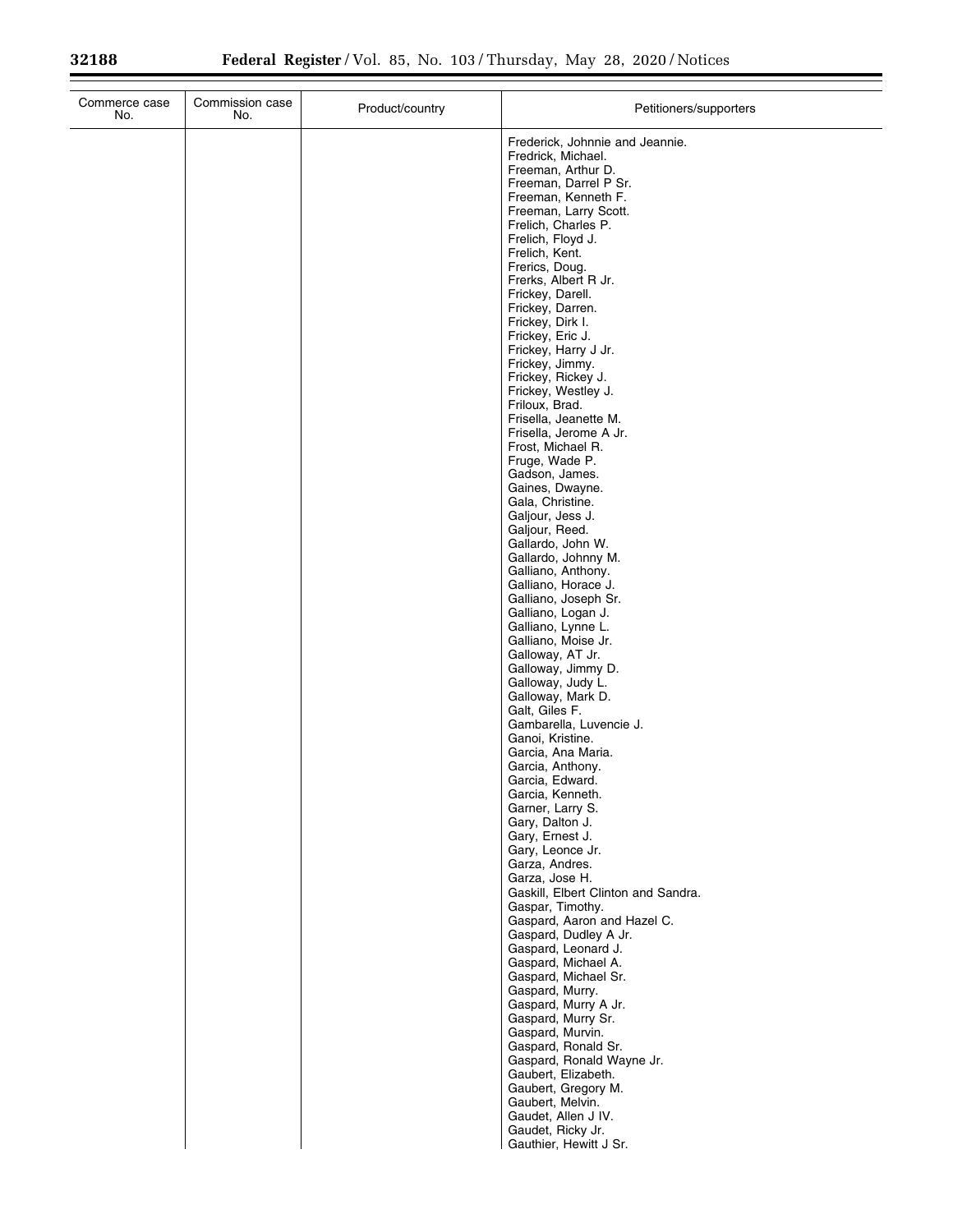| Frederick, Johnnie and Jeannie.<br>Fredrick, Michael.<br>Freeman, Arthur D.<br>Freeman, Darrel P Sr.<br>Freeman, Kenneth F.<br>Freeman, Larry Scott.<br>Frelich, Charles P.<br>Frelich, Floyd J.<br>Frelich, Kent.<br>Frerics, Doug.<br>Frerks, Albert R Jr.<br>Frickey, Darell.<br>Frickey, Darren.<br>Frickey, Dirk I.<br>Frickey, Eric J.<br>Frickey, Harry J Jr.<br>Frickey, Jimmy.<br>Frickey, Rickey J.<br>Frickey, Westley J.<br>Friloux, Brad.<br>Frisella, Jeanette M.<br>Frisella, Jerome A Jr.<br>Frost, Michael R.<br>Fruge, Wade P.<br>Gadson, James.<br>Gaines, Dwayne.<br>Gala, Christine.<br>Galjour, Jess J.<br>Galjour, Reed.<br>Gallardo, John W.<br>Gallardo, Johnny M.<br>Galliano, Anthony.<br>Galliano, Horace J.<br>Galliano, Joseph Sr.<br>Galliano, Logan J.<br>Galliano, Lynne L.<br>Galliano, Moise Jr.<br>Galloway, AT Jr.<br>Galloway, Jimmy D.<br>Galloway, Judy L.<br>Galloway, Mark D.<br>Galt, Giles F.<br>Gambarella, Luvencie J.<br>Ganoi, Kristine.<br>Garcia, Ana Maria.<br>Garcia, Anthony.<br>Garcia, Edward.<br>Garcia, Kenneth.<br>Garner, Larry S.<br>Gary, Dalton J.<br>Gary, Ernest J.<br>Gary, Leonce Jr.<br>Garza, Andres.<br>Garza, Jose H.<br>Gaskill, Elbert Clinton and Sandra.<br>Gaspar, Timothy.<br>Gaspard, Aaron and Hazel C.<br>Gaspard, Dudley A Jr.<br>Gaspard, Leonard J.<br>Gaspard, Michael A.<br>Gaspard, Michael Sr.<br>Gaspard, Murry.<br>Gaspard, Murry A Jr.<br>Gaspard, Murry Sr.<br>Gaspard, Murvin.<br>Gaspard, Ronald Sr.<br>Gaspard, Ronald Wayne Jr.<br>Gaubert, Elizabeth.<br>Gaubert, Gregory M.<br>Gaubert, Melvin.<br>Gaudet, Allen J IV.<br>Gaudet, Ricky Jr.<br>Gauthier, Hewitt J Sr. | Commerce case<br>No. | Commission case<br>No. | Product/country | Petitioners/supporters |
|-----------------------------------------------------------------------------------------------------------------------------------------------------------------------------------------------------------------------------------------------------------------------------------------------------------------------------------------------------------------------------------------------------------------------------------------------------------------------------------------------------------------------------------------------------------------------------------------------------------------------------------------------------------------------------------------------------------------------------------------------------------------------------------------------------------------------------------------------------------------------------------------------------------------------------------------------------------------------------------------------------------------------------------------------------------------------------------------------------------------------------------------------------------------------------------------------------------------------------------------------------------------------------------------------------------------------------------------------------------------------------------------------------------------------------------------------------------------------------------------------------------------------------------------------------------------------------------------------------------------------------------------------------------------------|----------------------|------------------------|-----------------|------------------------|
|                                                                                                                                                                                                                                                                                                                                                                                                                                                                                                                                                                                                                                                                                                                                                                                                                                                                                                                                                                                                                                                                                                                                                                                                                                                                                                                                                                                                                                                                                                                                                                                                                                                                       |                      |                        |                 |                        |
|                                                                                                                                                                                                                                                                                                                                                                                                                                                                                                                                                                                                                                                                                                                                                                                                                                                                                                                                                                                                                                                                                                                                                                                                                                                                                                                                                                                                                                                                                                                                                                                                                                                                       |                      |                        |                 |                        |
|                                                                                                                                                                                                                                                                                                                                                                                                                                                                                                                                                                                                                                                                                                                                                                                                                                                                                                                                                                                                                                                                                                                                                                                                                                                                                                                                                                                                                                                                                                                                                                                                                                                                       |                      |                        |                 |                        |
|                                                                                                                                                                                                                                                                                                                                                                                                                                                                                                                                                                                                                                                                                                                                                                                                                                                                                                                                                                                                                                                                                                                                                                                                                                                                                                                                                                                                                                                                                                                                                                                                                                                                       |                      |                        |                 |                        |
|                                                                                                                                                                                                                                                                                                                                                                                                                                                                                                                                                                                                                                                                                                                                                                                                                                                                                                                                                                                                                                                                                                                                                                                                                                                                                                                                                                                                                                                                                                                                                                                                                                                                       |                      |                        |                 |                        |
|                                                                                                                                                                                                                                                                                                                                                                                                                                                                                                                                                                                                                                                                                                                                                                                                                                                                                                                                                                                                                                                                                                                                                                                                                                                                                                                                                                                                                                                                                                                                                                                                                                                                       |                      |                        |                 |                        |
|                                                                                                                                                                                                                                                                                                                                                                                                                                                                                                                                                                                                                                                                                                                                                                                                                                                                                                                                                                                                                                                                                                                                                                                                                                                                                                                                                                                                                                                                                                                                                                                                                                                                       |                      |                        |                 |                        |
|                                                                                                                                                                                                                                                                                                                                                                                                                                                                                                                                                                                                                                                                                                                                                                                                                                                                                                                                                                                                                                                                                                                                                                                                                                                                                                                                                                                                                                                                                                                                                                                                                                                                       |                      |                        |                 |                        |
|                                                                                                                                                                                                                                                                                                                                                                                                                                                                                                                                                                                                                                                                                                                                                                                                                                                                                                                                                                                                                                                                                                                                                                                                                                                                                                                                                                                                                                                                                                                                                                                                                                                                       |                      |                        |                 |                        |
|                                                                                                                                                                                                                                                                                                                                                                                                                                                                                                                                                                                                                                                                                                                                                                                                                                                                                                                                                                                                                                                                                                                                                                                                                                                                                                                                                                                                                                                                                                                                                                                                                                                                       |                      |                        |                 |                        |
|                                                                                                                                                                                                                                                                                                                                                                                                                                                                                                                                                                                                                                                                                                                                                                                                                                                                                                                                                                                                                                                                                                                                                                                                                                                                                                                                                                                                                                                                                                                                                                                                                                                                       |                      |                        |                 |                        |
|                                                                                                                                                                                                                                                                                                                                                                                                                                                                                                                                                                                                                                                                                                                                                                                                                                                                                                                                                                                                                                                                                                                                                                                                                                                                                                                                                                                                                                                                                                                                                                                                                                                                       |                      |                        |                 |                        |
|                                                                                                                                                                                                                                                                                                                                                                                                                                                                                                                                                                                                                                                                                                                                                                                                                                                                                                                                                                                                                                                                                                                                                                                                                                                                                                                                                                                                                                                                                                                                                                                                                                                                       |                      |                        |                 |                        |
|                                                                                                                                                                                                                                                                                                                                                                                                                                                                                                                                                                                                                                                                                                                                                                                                                                                                                                                                                                                                                                                                                                                                                                                                                                                                                                                                                                                                                                                                                                                                                                                                                                                                       |                      |                        |                 |                        |
|                                                                                                                                                                                                                                                                                                                                                                                                                                                                                                                                                                                                                                                                                                                                                                                                                                                                                                                                                                                                                                                                                                                                                                                                                                                                                                                                                                                                                                                                                                                                                                                                                                                                       |                      |                        |                 |                        |
|                                                                                                                                                                                                                                                                                                                                                                                                                                                                                                                                                                                                                                                                                                                                                                                                                                                                                                                                                                                                                                                                                                                                                                                                                                                                                                                                                                                                                                                                                                                                                                                                                                                                       |                      |                        |                 |                        |
|                                                                                                                                                                                                                                                                                                                                                                                                                                                                                                                                                                                                                                                                                                                                                                                                                                                                                                                                                                                                                                                                                                                                                                                                                                                                                                                                                                                                                                                                                                                                                                                                                                                                       |                      |                        |                 |                        |
|                                                                                                                                                                                                                                                                                                                                                                                                                                                                                                                                                                                                                                                                                                                                                                                                                                                                                                                                                                                                                                                                                                                                                                                                                                                                                                                                                                                                                                                                                                                                                                                                                                                                       |                      |                        |                 |                        |
|                                                                                                                                                                                                                                                                                                                                                                                                                                                                                                                                                                                                                                                                                                                                                                                                                                                                                                                                                                                                                                                                                                                                                                                                                                                                                                                                                                                                                                                                                                                                                                                                                                                                       |                      |                        |                 |                        |
|                                                                                                                                                                                                                                                                                                                                                                                                                                                                                                                                                                                                                                                                                                                                                                                                                                                                                                                                                                                                                                                                                                                                                                                                                                                                                                                                                                                                                                                                                                                                                                                                                                                                       |                      |                        |                 |                        |
|                                                                                                                                                                                                                                                                                                                                                                                                                                                                                                                                                                                                                                                                                                                                                                                                                                                                                                                                                                                                                                                                                                                                                                                                                                                                                                                                                                                                                                                                                                                                                                                                                                                                       |                      |                        |                 |                        |
|                                                                                                                                                                                                                                                                                                                                                                                                                                                                                                                                                                                                                                                                                                                                                                                                                                                                                                                                                                                                                                                                                                                                                                                                                                                                                                                                                                                                                                                                                                                                                                                                                                                                       |                      |                        |                 |                        |
|                                                                                                                                                                                                                                                                                                                                                                                                                                                                                                                                                                                                                                                                                                                                                                                                                                                                                                                                                                                                                                                                                                                                                                                                                                                                                                                                                                                                                                                                                                                                                                                                                                                                       |                      |                        |                 |                        |
|                                                                                                                                                                                                                                                                                                                                                                                                                                                                                                                                                                                                                                                                                                                                                                                                                                                                                                                                                                                                                                                                                                                                                                                                                                                                                                                                                                                                                                                                                                                                                                                                                                                                       |                      |                        |                 |                        |
|                                                                                                                                                                                                                                                                                                                                                                                                                                                                                                                                                                                                                                                                                                                                                                                                                                                                                                                                                                                                                                                                                                                                                                                                                                                                                                                                                                                                                                                                                                                                                                                                                                                                       |                      |                        |                 |                        |
|                                                                                                                                                                                                                                                                                                                                                                                                                                                                                                                                                                                                                                                                                                                                                                                                                                                                                                                                                                                                                                                                                                                                                                                                                                                                                                                                                                                                                                                                                                                                                                                                                                                                       |                      |                        |                 |                        |
|                                                                                                                                                                                                                                                                                                                                                                                                                                                                                                                                                                                                                                                                                                                                                                                                                                                                                                                                                                                                                                                                                                                                                                                                                                                                                                                                                                                                                                                                                                                                                                                                                                                                       |                      |                        |                 |                        |
|                                                                                                                                                                                                                                                                                                                                                                                                                                                                                                                                                                                                                                                                                                                                                                                                                                                                                                                                                                                                                                                                                                                                                                                                                                                                                                                                                                                                                                                                                                                                                                                                                                                                       |                      |                        |                 |                        |
|                                                                                                                                                                                                                                                                                                                                                                                                                                                                                                                                                                                                                                                                                                                                                                                                                                                                                                                                                                                                                                                                                                                                                                                                                                                                                                                                                                                                                                                                                                                                                                                                                                                                       |                      |                        |                 |                        |
|                                                                                                                                                                                                                                                                                                                                                                                                                                                                                                                                                                                                                                                                                                                                                                                                                                                                                                                                                                                                                                                                                                                                                                                                                                                                                                                                                                                                                                                                                                                                                                                                                                                                       |                      |                        |                 |                        |
|                                                                                                                                                                                                                                                                                                                                                                                                                                                                                                                                                                                                                                                                                                                                                                                                                                                                                                                                                                                                                                                                                                                                                                                                                                                                                                                                                                                                                                                                                                                                                                                                                                                                       |                      |                        |                 |                        |
|                                                                                                                                                                                                                                                                                                                                                                                                                                                                                                                                                                                                                                                                                                                                                                                                                                                                                                                                                                                                                                                                                                                                                                                                                                                                                                                                                                                                                                                                                                                                                                                                                                                                       |                      |                        |                 |                        |
|                                                                                                                                                                                                                                                                                                                                                                                                                                                                                                                                                                                                                                                                                                                                                                                                                                                                                                                                                                                                                                                                                                                                                                                                                                                                                                                                                                                                                                                                                                                                                                                                                                                                       |                      |                        |                 |                        |
|                                                                                                                                                                                                                                                                                                                                                                                                                                                                                                                                                                                                                                                                                                                                                                                                                                                                                                                                                                                                                                                                                                                                                                                                                                                                                                                                                                                                                                                                                                                                                                                                                                                                       |                      |                        |                 |                        |
|                                                                                                                                                                                                                                                                                                                                                                                                                                                                                                                                                                                                                                                                                                                                                                                                                                                                                                                                                                                                                                                                                                                                                                                                                                                                                                                                                                                                                                                                                                                                                                                                                                                                       |                      |                        |                 |                        |
|                                                                                                                                                                                                                                                                                                                                                                                                                                                                                                                                                                                                                                                                                                                                                                                                                                                                                                                                                                                                                                                                                                                                                                                                                                                                                                                                                                                                                                                                                                                                                                                                                                                                       |                      |                        |                 |                        |
|                                                                                                                                                                                                                                                                                                                                                                                                                                                                                                                                                                                                                                                                                                                                                                                                                                                                                                                                                                                                                                                                                                                                                                                                                                                                                                                                                                                                                                                                                                                                                                                                                                                                       |                      |                        |                 |                        |
|                                                                                                                                                                                                                                                                                                                                                                                                                                                                                                                                                                                                                                                                                                                                                                                                                                                                                                                                                                                                                                                                                                                                                                                                                                                                                                                                                                                                                                                                                                                                                                                                                                                                       |                      |                        |                 |                        |
|                                                                                                                                                                                                                                                                                                                                                                                                                                                                                                                                                                                                                                                                                                                                                                                                                                                                                                                                                                                                                                                                                                                                                                                                                                                                                                                                                                                                                                                                                                                                                                                                                                                                       |                      |                        |                 |                        |
|                                                                                                                                                                                                                                                                                                                                                                                                                                                                                                                                                                                                                                                                                                                                                                                                                                                                                                                                                                                                                                                                                                                                                                                                                                                                                                                                                                                                                                                                                                                                                                                                                                                                       |                      |                        |                 |                        |
|                                                                                                                                                                                                                                                                                                                                                                                                                                                                                                                                                                                                                                                                                                                                                                                                                                                                                                                                                                                                                                                                                                                                                                                                                                                                                                                                                                                                                                                                                                                                                                                                                                                                       |                      |                        |                 |                        |
|                                                                                                                                                                                                                                                                                                                                                                                                                                                                                                                                                                                                                                                                                                                                                                                                                                                                                                                                                                                                                                                                                                                                                                                                                                                                                                                                                                                                                                                                                                                                                                                                                                                                       |                      |                        |                 |                        |
|                                                                                                                                                                                                                                                                                                                                                                                                                                                                                                                                                                                                                                                                                                                                                                                                                                                                                                                                                                                                                                                                                                                                                                                                                                                                                                                                                                                                                                                                                                                                                                                                                                                                       |                      |                        |                 |                        |
|                                                                                                                                                                                                                                                                                                                                                                                                                                                                                                                                                                                                                                                                                                                                                                                                                                                                                                                                                                                                                                                                                                                                                                                                                                                                                                                                                                                                                                                                                                                                                                                                                                                                       |                      |                        |                 |                        |
|                                                                                                                                                                                                                                                                                                                                                                                                                                                                                                                                                                                                                                                                                                                                                                                                                                                                                                                                                                                                                                                                                                                                                                                                                                                                                                                                                                                                                                                                                                                                                                                                                                                                       |                      |                        |                 |                        |
|                                                                                                                                                                                                                                                                                                                                                                                                                                                                                                                                                                                                                                                                                                                                                                                                                                                                                                                                                                                                                                                                                                                                                                                                                                                                                                                                                                                                                                                                                                                                                                                                                                                                       |                      |                        |                 |                        |
|                                                                                                                                                                                                                                                                                                                                                                                                                                                                                                                                                                                                                                                                                                                                                                                                                                                                                                                                                                                                                                                                                                                                                                                                                                                                                                                                                                                                                                                                                                                                                                                                                                                                       |                      |                        |                 |                        |
|                                                                                                                                                                                                                                                                                                                                                                                                                                                                                                                                                                                                                                                                                                                                                                                                                                                                                                                                                                                                                                                                                                                                                                                                                                                                                                                                                                                                                                                                                                                                                                                                                                                                       |                      |                        |                 |                        |
|                                                                                                                                                                                                                                                                                                                                                                                                                                                                                                                                                                                                                                                                                                                                                                                                                                                                                                                                                                                                                                                                                                                                                                                                                                                                                                                                                                                                                                                                                                                                                                                                                                                                       |                      |                        |                 |                        |
|                                                                                                                                                                                                                                                                                                                                                                                                                                                                                                                                                                                                                                                                                                                                                                                                                                                                                                                                                                                                                                                                                                                                                                                                                                                                                                                                                                                                                                                                                                                                                                                                                                                                       |                      |                        |                 |                        |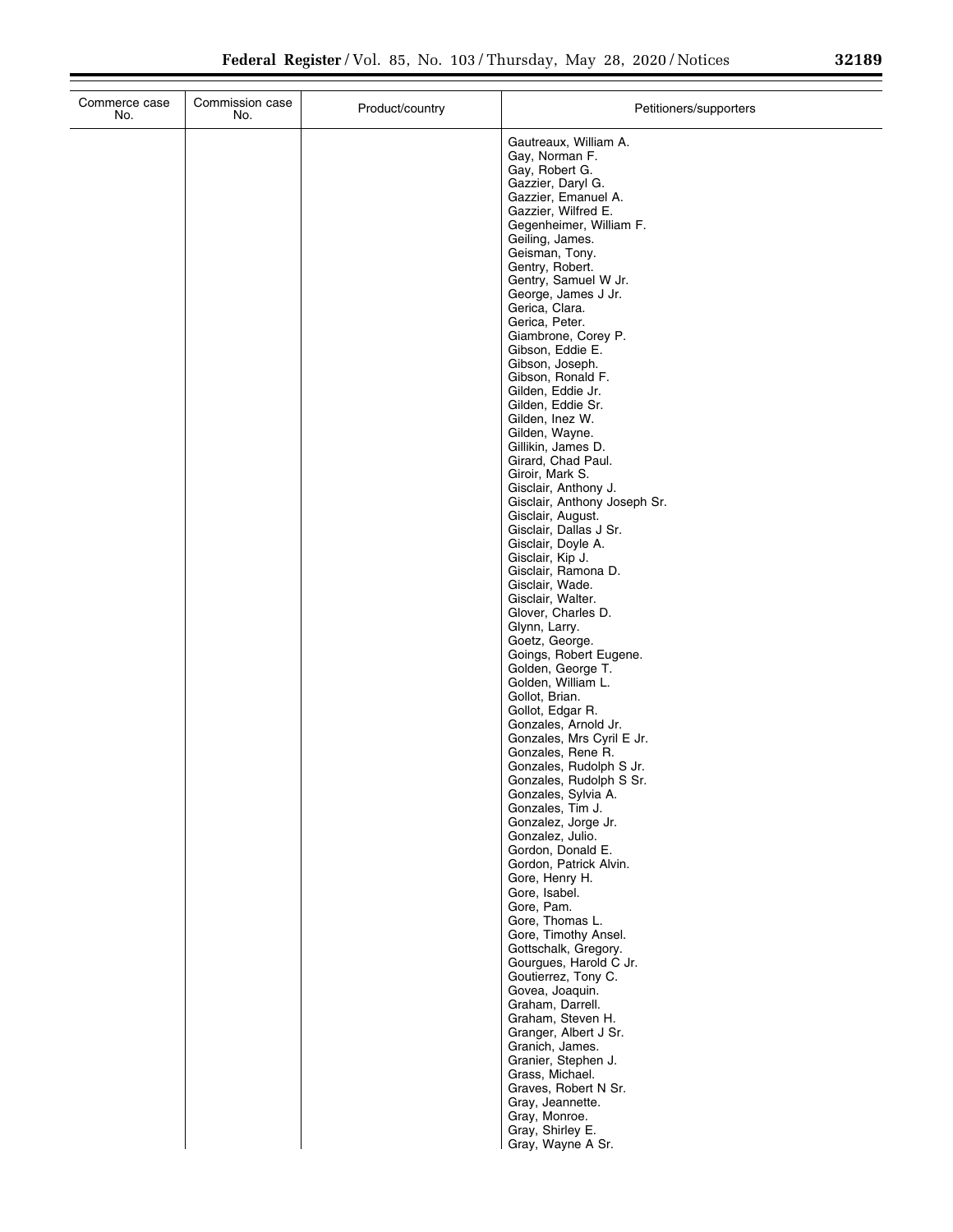|  | I |  |
|--|---|--|
|  |   |  |
|  |   |  |
|  |   |  |

| Commerce case<br>No. | Commission case<br>No. | Product/country | Petitioners/supporters                               |
|----------------------|------------------------|-----------------|------------------------------------------------------|
|                      |                        |                 | Gautreaux, William A.<br>Gay, Norman F.              |
|                      |                        |                 | Gay, Robert G.                                       |
|                      |                        |                 | Gazzier, Daryl G.<br>Gazzier, Emanuel A.             |
|                      |                        |                 | Gazzier, Wilfred E.                                  |
|                      |                        |                 | Gegenheimer, William F.                              |
|                      |                        |                 | Geiling, James.<br>Geisman, Tony.                    |
|                      |                        |                 | Gentry, Robert.                                      |
|                      |                        |                 | Gentry, Samuel W Jr.                                 |
|                      |                        |                 | George, James J Jr.<br>Gerica, Clara.                |
|                      |                        |                 | Gerica, Peter.                                       |
|                      |                        |                 | Giambrone, Corey P.<br>Gibson, Eddie E.              |
|                      |                        |                 | Gibson, Joseph.                                      |
|                      |                        |                 | Gibson, Ronald F.                                    |
|                      |                        |                 | Gilden, Eddie Jr.<br>Gilden, Eddie Sr.               |
|                      |                        |                 | Gilden, Inez W.                                      |
|                      |                        |                 | Gilden, Wayne.<br>Gillikin, James D.                 |
|                      |                        |                 | Girard, Chad Paul.                                   |
|                      |                        |                 | Giroir, Mark S.                                      |
|                      |                        |                 | Gisclair, Anthony J.<br>Gisclair, Anthony Joseph Sr. |
|                      |                        |                 | Gisclair, August.                                    |
|                      |                        |                 | Gisclair, Dallas J Sr.                               |
|                      |                        |                 | Gisclair, Doyle A.<br>Gisclair, Kip J.               |
|                      |                        |                 | Gisclair, Ramona D.                                  |
|                      |                        |                 | Gisclair, Wade.<br>Gisclair, Walter.                 |
|                      |                        |                 | Glover, Charles D.                                   |
|                      |                        |                 | Glynn, Larry.                                        |
|                      |                        |                 | Goetz, George.<br>Goings, Robert Eugene.             |
|                      |                        |                 | Golden, George T.                                    |
|                      |                        |                 | Golden, William L.<br>Gollot, Brian.                 |
|                      |                        |                 | Gollot, Edgar R.                                     |
|                      |                        |                 | Gonzales, Arnold Jr.                                 |
|                      |                        |                 | Gonzales, Mrs Cyril E Jr.<br>Gonzales, Rene R.       |
|                      |                        |                 | Gonzales, Rudolph S Jr.                              |
|                      |                        |                 | Gonzales, Rudolph S Sr.<br>Gonzales, Sylvia A.       |
|                      |                        |                 | Gonzales, Tim J.                                     |
|                      |                        |                 | Gonzalez, Jorge Jr.                                  |
|                      |                        |                 | Gonzalez, Julio.<br>Gordon, Donald E.                |
|                      |                        |                 | Gordon, Patrick Alvin.                               |
|                      |                        |                 | Gore, Henry H.<br>Gore, Isabel.                      |
|                      |                        |                 | Gore, Pam.                                           |
|                      |                        |                 | Gore, Thomas L.                                      |
|                      |                        |                 | Gore, Timothy Ansel.<br>Gottschalk, Gregory.         |
|                      |                        |                 | Gourgues, Harold C Jr.                               |
|                      |                        |                 | Goutierrez, Tony C.<br>Govea, Joaquin.               |
|                      |                        |                 | Graham, Darrell.                                     |
|                      |                        |                 | Graham, Steven H.                                    |
|                      |                        |                 | Granger, Albert J Sr.<br>Granich, James.             |
|                      |                        |                 | Granier, Stephen J.                                  |
|                      |                        |                 | Grass, Michael.                                      |
|                      |                        |                 | Graves, Robert N Sr.<br>Gray, Jeannette.             |
|                      |                        |                 | Gray, Monroe.                                        |
|                      |                        |                 | Gray, Shirley E.                                     |
|                      |                        |                 | Gray, Wayne A Sr.                                    |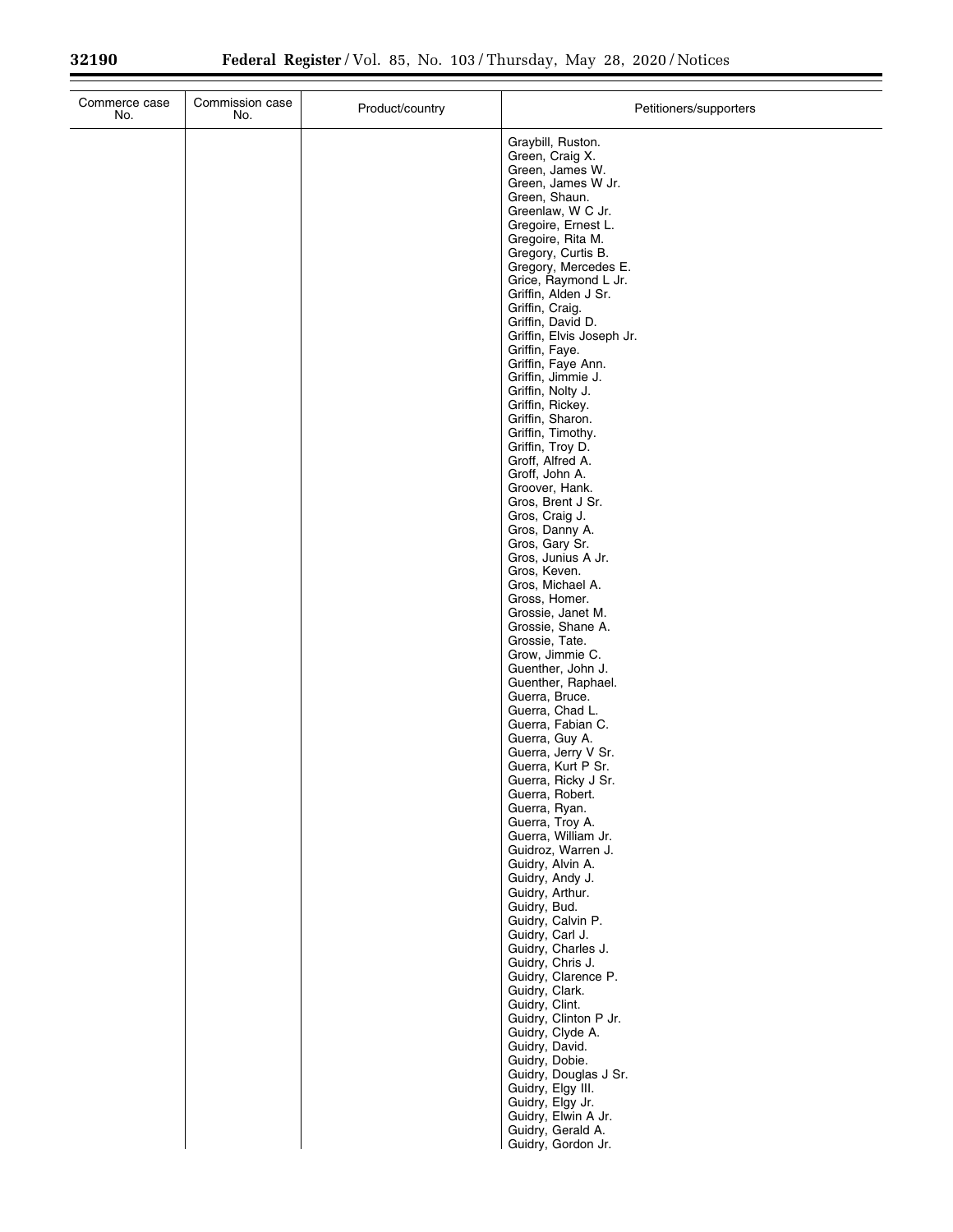| Commerce case<br>No. | Commission case<br>No. | Product/country | Petitioners/supporters                                                                                                                                                                                                                                                                                                                                                                                                                                                                                                                                                                                                                                                                                                                                                                                                                                                                                                                                                                                                                                                                                                                                                                                               |
|----------------------|------------------------|-----------------|----------------------------------------------------------------------------------------------------------------------------------------------------------------------------------------------------------------------------------------------------------------------------------------------------------------------------------------------------------------------------------------------------------------------------------------------------------------------------------------------------------------------------------------------------------------------------------------------------------------------------------------------------------------------------------------------------------------------------------------------------------------------------------------------------------------------------------------------------------------------------------------------------------------------------------------------------------------------------------------------------------------------------------------------------------------------------------------------------------------------------------------------------------------------------------------------------------------------|
|                      |                        |                 | Graybill, Ruston.<br>Green, Craig X.<br>Green, James W.<br>Green, James W Jr.<br>Green, Shaun.<br>Greenlaw, W C Jr.<br>Gregoire, Ernest L.<br>Gregoire, Rita M.<br>Gregory, Curtis B.<br>Gregory, Mercedes E.<br>Grice, Raymond L Jr.<br>Griffin, Alden J Sr.<br>Griffin, Craig.<br>Griffin, David D.<br>Griffin, Elvis Joseph Jr.<br>Griffin, Faye.<br>Griffin, Faye Ann.<br>Griffin, Jimmie J.<br>Griffin, Nolty J.<br>Griffin, Rickey.<br>Griffin, Sharon.<br>Griffin, Timothy.<br>Griffin, Troy D.<br>Groff, Alfred A.<br>Groff, John A.<br>Groover, Hank.<br>Gros, Brent J Sr.<br>Gros, Craig J.<br>Gros, Danny A.<br>Gros, Gary Sr.<br>Gros, Junius A Jr.<br>Gros, Keven.<br>Gros, Michael A.<br>Gross, Homer.<br>Grossie, Janet M.<br>Grossie, Shane A.<br>Grossie, Tate.<br>Grow, Jimmie C.<br>Guenther, John J.<br>Guenther, Raphael.<br>Guerra, Bruce.<br>Guerra, Chad L.<br>Guerra, Fabian C.<br>Guerra, Guy A.<br>Guerra, Jerry V Sr.<br>Guerra, Kurt P Sr.<br>Guerra, Ricky J Sr.<br>Guerra, Robert.<br>Guerra, Ryan.<br>Guerra, Troy A.<br>Guerra, William Jr.<br>Guidroz, Warren J.<br>Guidry, Alvin A.<br>Guidry, Andy J.<br>Guidry, Arthur.<br>Guidry, Bud.<br>Guidry, Calvin P.<br>Guidry, Carl J. |
|                      |                        |                 | Guidry, Charles J.<br>Guidry, Chris J.<br>Guidry, Clarence P.<br>Guidry, Clark.<br>Guidry, Clint.<br>Guidry, Clinton P Jr.<br>Guidry, Clyde A.<br>Guidry, David.                                                                                                                                                                                                                                                                                                                                                                                                                                                                                                                                                                                                                                                                                                                                                                                                                                                                                                                                                                                                                                                     |
|                      |                        |                 | Guidry, Dobie.<br>Guidry, Douglas J Sr.<br>Guidry, Elgy III.<br>Guidry, Elgy Jr.<br>Guidry, Elwin A Jr.<br>Guidry, Gerald A.<br>Guidry, Gordon Jr.                                                                                                                                                                                                                                                                                                                                                                                                                                                                                                                                                                                                                                                                                                                                                                                                                                                                                                                                                                                                                                                                   |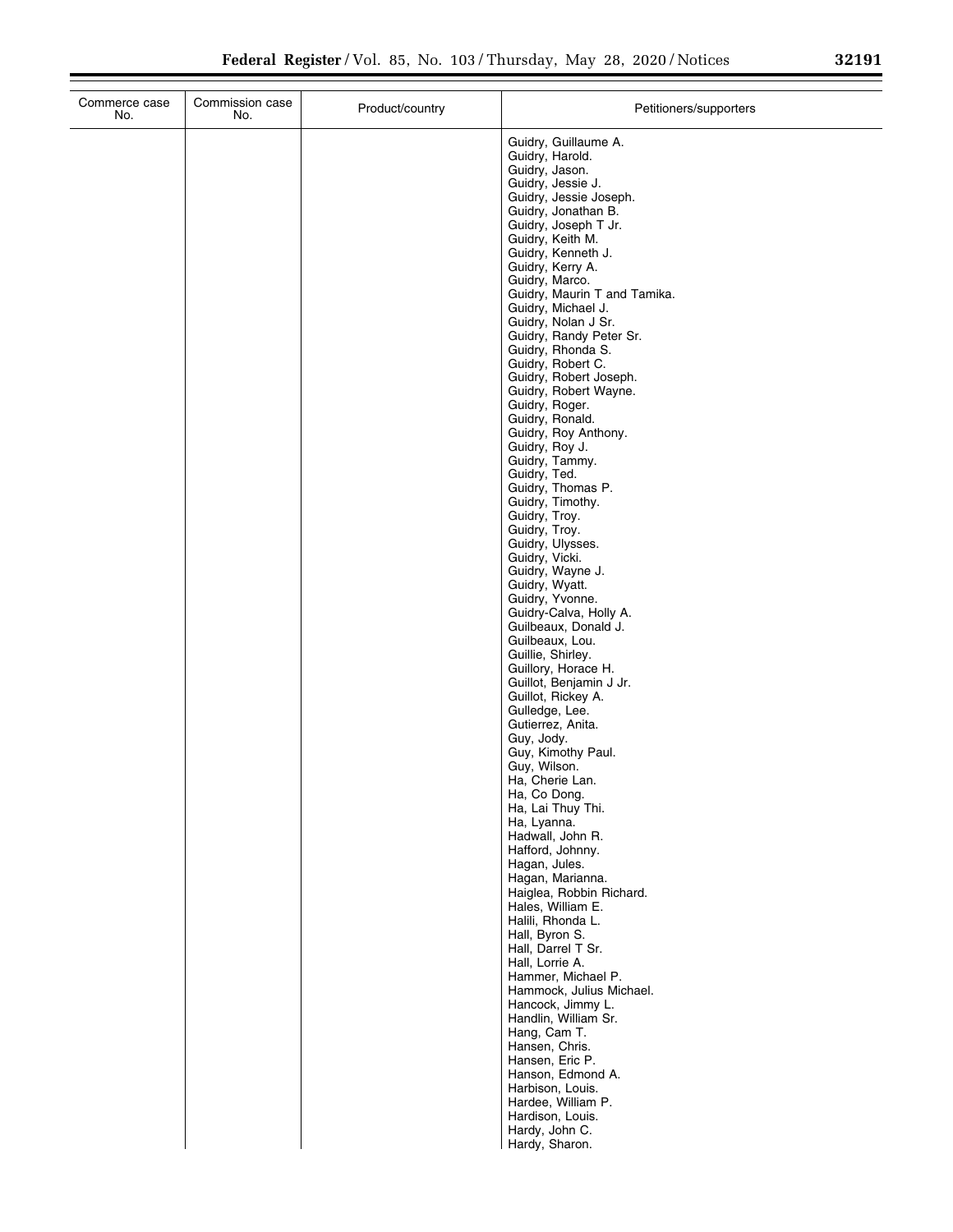| Guidry, Guillaume A.<br>Guidry, Harold.<br>Guidry, Jason.<br>Guidry, Jessie J.<br>Guidry, Jessie Joseph.<br>Guidry, Jonathan B.<br>Guidry, Joseph T Jr.<br>Guidry, Keith M.<br>Guidry, Kenneth J.<br>Guidry, Kerry A.<br>Guidry, Marco.<br>Guidry, Maurin T and Tamika.<br>Guidry, Michael J.<br>Guidry, Nolan J Sr.<br>Guidry, Randy Peter Sr.<br>Guidry, Rhonda S.<br>Guidry, Robert C.<br>Guidry, Robert Joseph.<br>Guidry, Robert Wayne.<br>Guidry, Roger.<br>Guidry, Ronald.<br>Guidry, Roy Anthony.<br>Guidry, Roy J.<br>Guidry, Tammy.<br>Guidry, Ted.<br>Guidry, Thomas P.<br>Guidry, Timothy.<br>Guidry, Troy.<br>Guidry, Troy.<br>Guidry, Ulysses.<br>Guidry, Vicki.<br>Guidry, Wayne J.<br>Guidry, Wyatt.<br>Guidry, Yvonne.<br>Guidry-Calva, Holly A.<br>Guilbeaux, Donald J.<br>Guilbeaux, Lou.<br>Guillie, Shirley.<br>Guillory, Horace H.<br>Guillot, Benjamin J Jr.<br>Guillot, Rickey A.<br>Gulledge, Lee.<br>Gutierrez, Anita.<br>Guy, Jody.<br>Guy, Kimothy Paul.<br>Guy, Wilson.<br>Ha, Cherie Lan.<br>Ha, Co Dong.<br>Ha, Lai Thuy Thi.<br>Ha, Lyanna.<br>Hadwall, John R.<br>Hafford, Johnny.<br>Hagan, Jules.<br>Hagan, Marianna.<br>Haiglea, Robbin Richard.<br>Hales, William E.<br>Halili, Rhonda L.<br>Hall, Byron S.<br>Hall, Darrel T Sr.<br>Hall, Lorrie A.<br>Hammer, Michael P.<br>Hammock, Julius Michael.<br>Hancock, Jimmy L.<br>Handlin, William Sr.<br>Hang, Cam T.<br>Hansen, Chris. | Commerce case<br>No. | Commission case<br>No. | Product/country | Petitioners/supporters |
|----------------------------------------------------------------------------------------------------------------------------------------------------------------------------------------------------------------------------------------------------------------------------------------------------------------------------------------------------------------------------------------------------------------------------------------------------------------------------------------------------------------------------------------------------------------------------------------------------------------------------------------------------------------------------------------------------------------------------------------------------------------------------------------------------------------------------------------------------------------------------------------------------------------------------------------------------------------------------------------------------------------------------------------------------------------------------------------------------------------------------------------------------------------------------------------------------------------------------------------------------------------------------------------------------------------------------------------------------------------------------------------------------------------------------|----------------------|------------------------|-----------------|------------------------|
|                                                                                                                                                                                                                                                                                                                                                                                                                                                                                                                                                                                                                                                                                                                                                                                                                                                                                                                                                                                                                                                                                                                                                                                                                                                                                                                                                                                                                            |                      |                        |                 |                        |
| Hanson, Edmond A.<br>Harbison, Louis.<br>Hardee, William P.<br>Hardison, Louis.<br>Hardy, John C.                                                                                                                                                                                                                                                                                                                                                                                                                                                                                                                                                                                                                                                                                                                                                                                                                                                                                                                                                                                                                                                                                                                                                                                                                                                                                                                          |                      |                        |                 | Hansen, Eric P.        |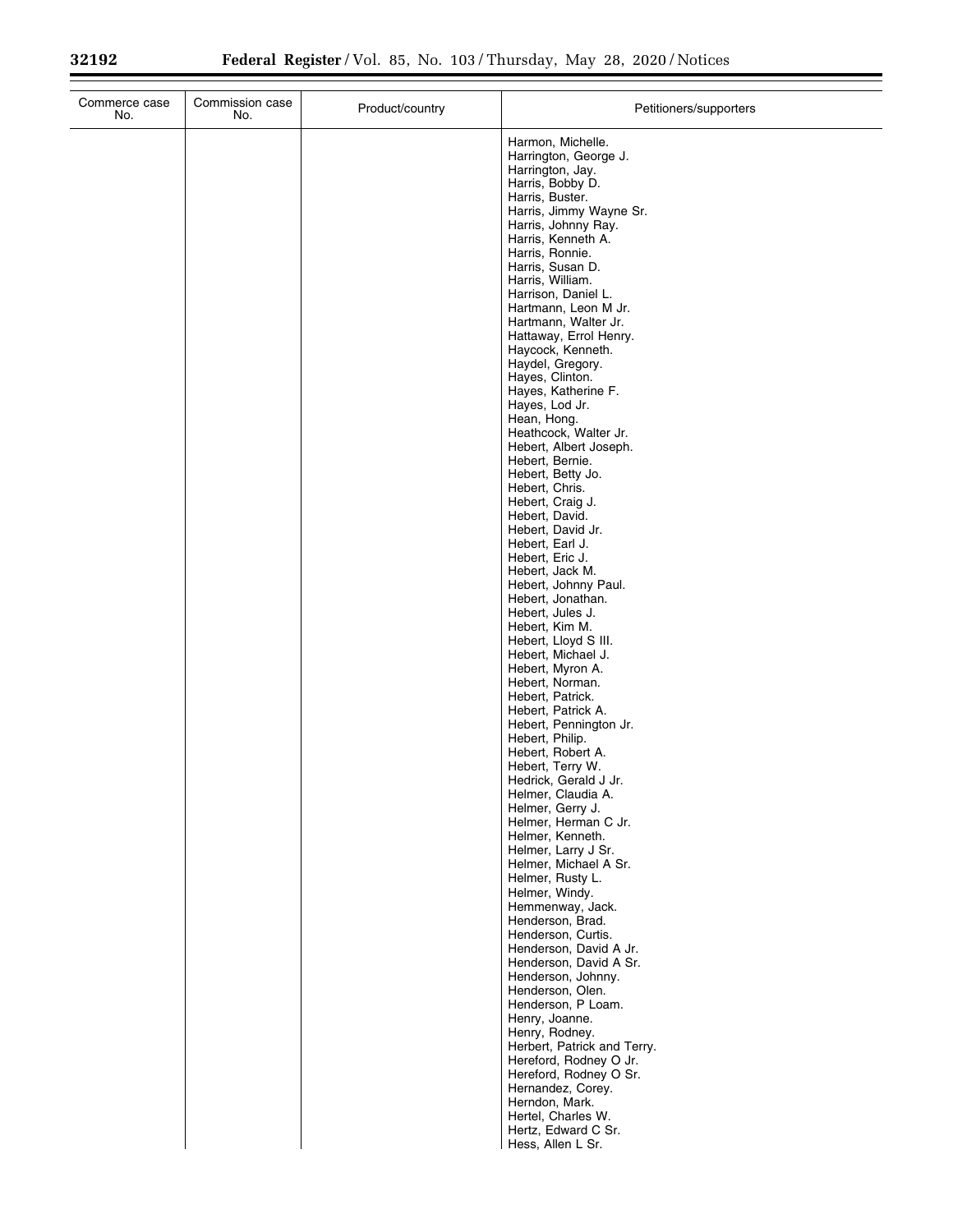| Commerce case<br>No. | Commission case<br>No. | Product/country | Petitioners/supporters                                                                                                                                                                                                                                                                                                                                                                                                                                                                                                                                                                                                                                                                         |
|----------------------|------------------------|-----------------|------------------------------------------------------------------------------------------------------------------------------------------------------------------------------------------------------------------------------------------------------------------------------------------------------------------------------------------------------------------------------------------------------------------------------------------------------------------------------------------------------------------------------------------------------------------------------------------------------------------------------------------------------------------------------------------------|
|                      |                        |                 | Harmon, Michelle.<br>Harrington, George J.<br>Harrington, Jay.<br>Harris, Bobby D.<br>Harris, Buster.<br>Harris, Jimmy Wayne Sr.<br>Harris, Johnny Ray.<br>Harris, Kenneth A.<br>Harris, Ronnie.<br>Harris, Susan D.<br>Harris, William.<br>Harrison, Daniel L.<br>Hartmann, Leon M Jr.<br>Hartmann, Walter Jr.<br>Hattaway, Errol Henry.<br>Haycock, Kenneth.<br>Haydel, Gregory.<br>Hayes, Clinton.<br>Hayes, Katherine F.<br>Hayes, Lod Jr.<br>Hean, Hong.<br>Heathcock, Walter Jr.<br>Hebert, Albert Joseph.<br>Hebert, Bernie.<br>Hebert, Betty Jo.<br>Hebert, Chris.<br>Hebert, Craig J.<br>Hebert, David.<br>Hebert, David Jr.<br>Hebert, Earl J.<br>Hebert, Eric J.<br>Hebert, Jack M. |
|                      |                        |                 | Hebert, Johnny Paul.<br>Hebert, Jonathan.<br>Hebert, Jules J.<br>Hebert, Kim M.<br>Hebert, Lloyd S III.<br>Hebert, Michael J.<br>Hebert, Myron A.<br>Hebert, Norman.<br>Hebert, Patrick.<br>Hebert, Patrick A.                                                                                                                                                                                                                                                                                                                                                                                                                                                                                 |
|                      |                        |                 | Hebert, Pennington Jr.<br>Hebert, Philip.<br>Hebert, Robert A.<br>Hebert, Terry W.<br>Hedrick, Gerald J Jr.<br>Helmer, Claudia A.<br>Helmer, Gerry J.<br>Helmer, Herman C Jr.<br>Helmer, Kenneth.<br>Helmer, Larry J Sr.<br>Helmer, Michael A Sr.                                                                                                                                                                                                                                                                                                                                                                                                                                              |
|                      |                        |                 | Helmer, Rusty L.<br>Helmer, Windy.<br>Hemmenway, Jack.<br>Henderson, Brad.<br>Henderson, Curtis.<br>Henderson, David A Jr.<br>Henderson, David A Sr.<br>Henderson, Johnny.<br>Henderson, Olen.<br>Henderson, P Loam.<br>Henry, Joanne.                                                                                                                                                                                                                                                                                                                                                                                                                                                         |
|                      |                        |                 | Henry, Rodney.<br>Herbert, Patrick and Terry.<br>Hereford, Rodney O Jr.<br>Hereford, Rodney O Sr.<br>Hernandez, Corey.<br>Herndon, Mark.<br>Hertel, Charles W.<br>Hertz, Edward C Sr.<br>Hess, Allen L Sr.                                                                                                                                                                                                                                                                                                                                                                                                                                                                                     |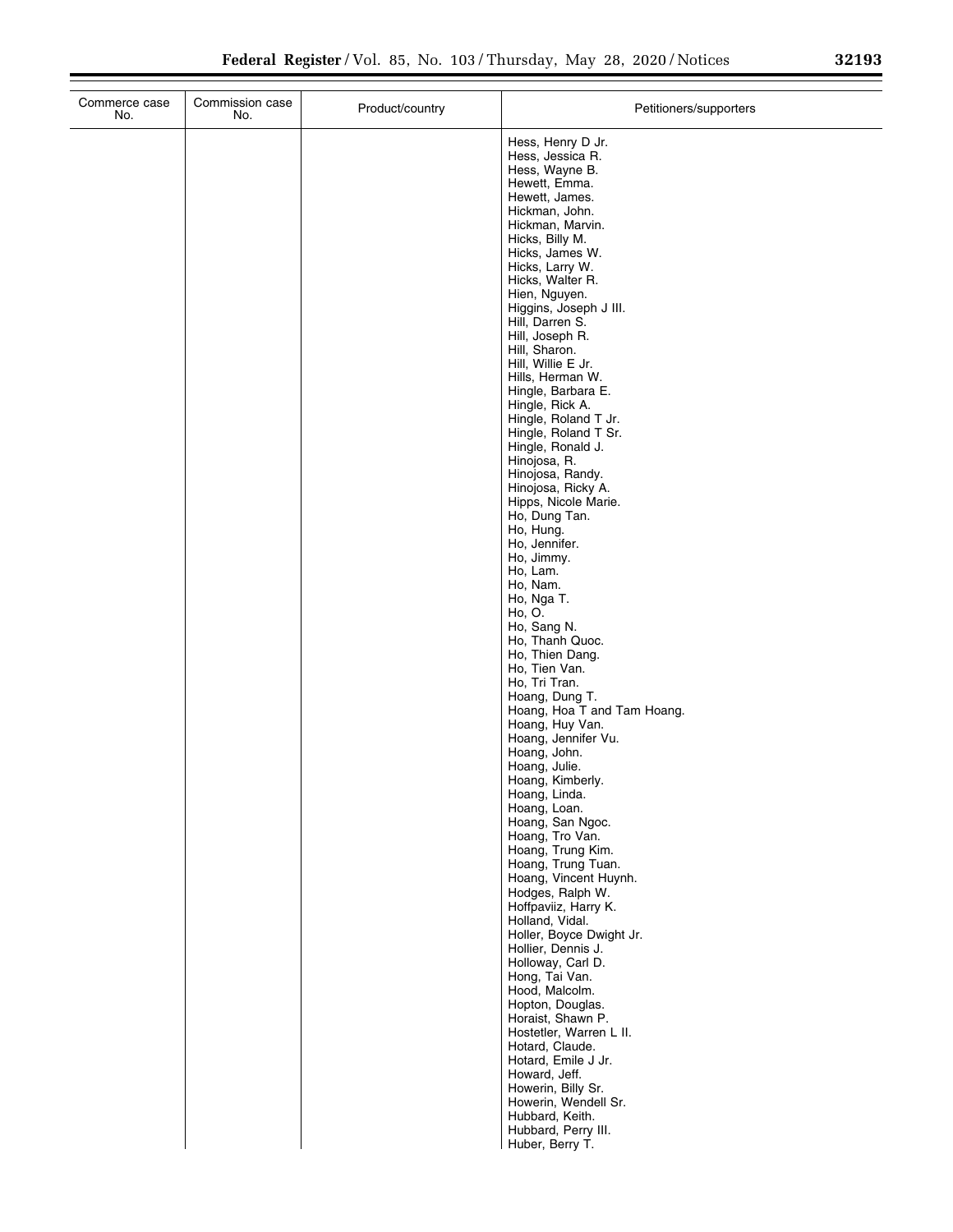| Commerce case<br>No. | Commission case<br>No. | Product/country | Petitioners/supporters                                                                                                                                                                                                                                                                                                                                                                                                                                                                                                                                                                                                                                                                                                                                                                                                                                                                                                                                                                                                                                                                                                                                                                          |
|----------------------|------------------------|-----------------|-------------------------------------------------------------------------------------------------------------------------------------------------------------------------------------------------------------------------------------------------------------------------------------------------------------------------------------------------------------------------------------------------------------------------------------------------------------------------------------------------------------------------------------------------------------------------------------------------------------------------------------------------------------------------------------------------------------------------------------------------------------------------------------------------------------------------------------------------------------------------------------------------------------------------------------------------------------------------------------------------------------------------------------------------------------------------------------------------------------------------------------------------------------------------------------------------|
|                      |                        |                 | Hess, Henry D Jr.<br>Hess, Jessica R.<br>Hess, Wayne B.<br>Hewett, Emma.<br>Hewett, James.<br>Hickman, John.<br>Hickman, Marvin.<br>Hicks, Billy M.<br>Hicks, James W.<br>Hicks, Larry W.<br>Hicks, Walter R.<br>Hien, Nguyen.<br>Higgins, Joseph J III.<br>Hill, Darren S.<br>Hill, Joseph R.<br>Hill, Sharon.<br>Hill, Willie E Jr.<br>Hills, Herman W.<br>Hingle, Barbara E.<br>Hingle, Rick A.<br>Hingle, Roland T Jr.<br>Hingle, Roland T Sr.<br>Hingle, Ronald J.<br>Hinojosa, R.<br>Hinojosa, Randy.<br>Hinojosa, Ricky A.<br>Hipps, Nicole Marie.<br>Ho, Dung Tan.<br>Ho, Hung.<br>Ho, Jennifer.<br>Ho, Jimmy.<br>Ho, Lam.<br>Ho, Nam.<br>Ho, Nga T.<br>Ho, O.<br>Ho, Sang N.<br>Ho, Thanh Quoc.<br>Ho, Thien Dang.<br>Ho, Tien Van.<br>Ho, Tri Tran.<br>Hoang, Dung T.<br>Hoang, Hoa T and Tam Hoang.<br>Hoang, Huy Van.<br>Hoang, Jennifer Vu.<br>Hoang, John.<br>Hoang, Julie.<br>Hoang, Kimberly.<br>Hoang, Linda.<br>Hoang, Loan.<br>Hoang, San Ngoc.<br>Hoang, Tro Van.<br>Hoang, Trung Kim.<br>Hoang, Trung Tuan.<br>Hoang, Vincent Huynh.<br>Hodges, Ralph W.<br>Hoffpaviiz, Harry K.<br>Holland, Vidal.<br>Holler, Boyce Dwight Jr.<br>Hollier, Dennis J.<br>Holloway, Carl D. |
|                      |                        |                 | Hong, Tai Van.<br>Hood, Malcolm.<br>Hopton, Douglas.<br>Horaist, Shawn P.<br>Hostetler, Warren L II.<br>Hotard, Claude.<br>Hotard, Emile J Jr.<br>Howard, Jeff.<br>Howerin, Billy Sr.                                                                                                                                                                                                                                                                                                                                                                                                                                                                                                                                                                                                                                                                                                                                                                                                                                                                                                                                                                                                           |
|                      |                        |                 | Howerin, Wendell Sr.<br>Hubbard, Keith.<br>Hubbard, Perry III.<br>Huber, Berry T.                                                                                                                                                                                                                                                                                                                                                                                                                                                                                                                                                                                                                                                                                                                                                                                                                                                                                                                                                                                                                                                                                                               |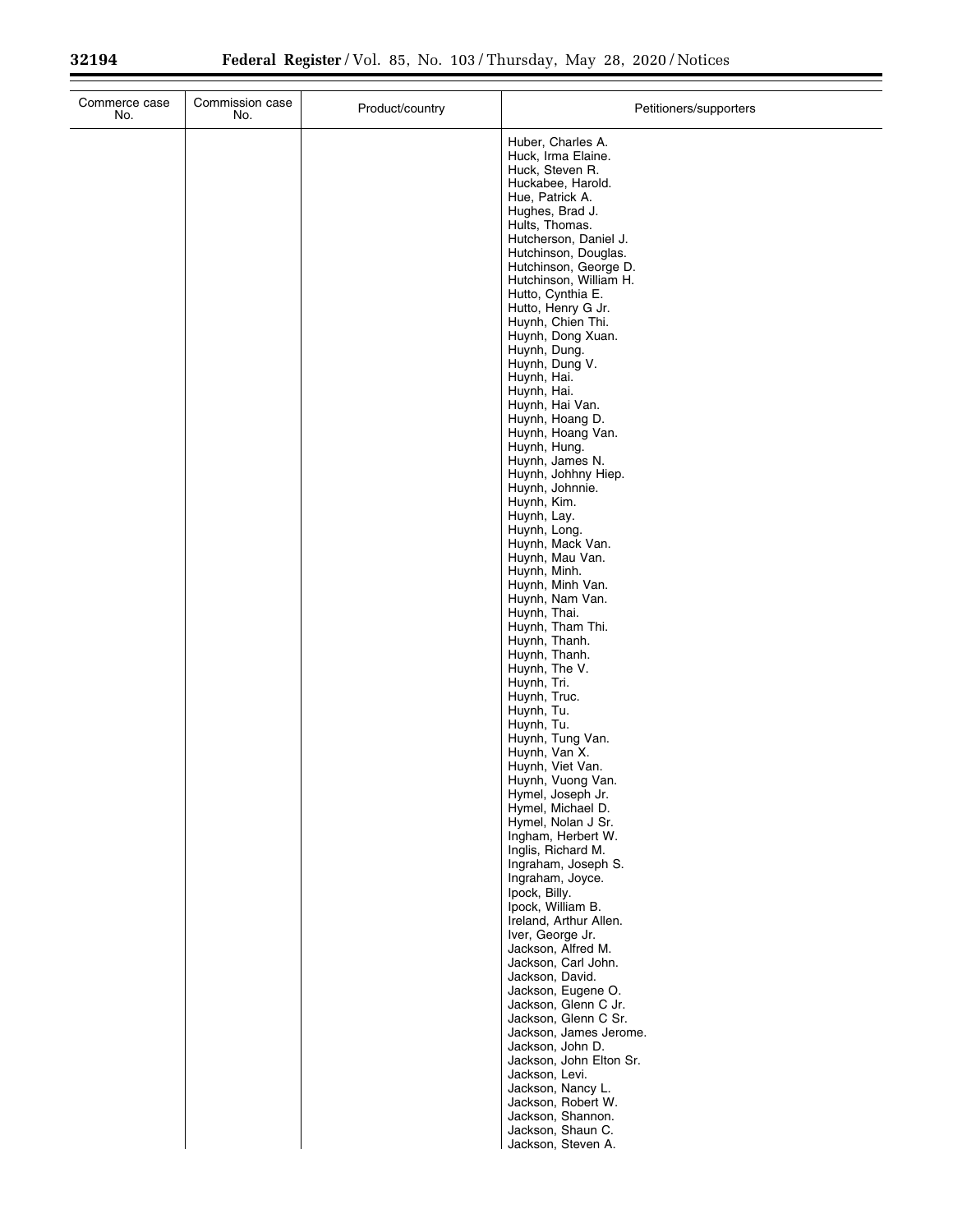| Commerce case<br>No. | Commission case<br>No. | Product/country | Petitioners/supporters                                                                                                                                                                                                                                                                                                                                                                                                                                                                                                                                                                                                                                                                                                                                                                                                                                                                                                                                                                                                                                                                                                                                                                                                                                                        |
|----------------------|------------------------|-----------------|-------------------------------------------------------------------------------------------------------------------------------------------------------------------------------------------------------------------------------------------------------------------------------------------------------------------------------------------------------------------------------------------------------------------------------------------------------------------------------------------------------------------------------------------------------------------------------------------------------------------------------------------------------------------------------------------------------------------------------------------------------------------------------------------------------------------------------------------------------------------------------------------------------------------------------------------------------------------------------------------------------------------------------------------------------------------------------------------------------------------------------------------------------------------------------------------------------------------------------------------------------------------------------|
|                      |                        |                 | Huber, Charles A.<br>Huck, Irma Elaine.<br>Huck, Steven R.<br>Huckabee, Harold.<br>Hue, Patrick A.<br>Hughes, Brad J.<br>Hults, Thomas.<br>Hutcherson, Daniel J.<br>Hutchinson, Douglas.<br>Hutchinson, George D.<br>Hutchinson, William H.<br>Hutto, Cynthia E.<br>Hutto, Henry G Jr.<br>Huynh, Chien Thi.<br>Huynh, Dong Xuan.<br>Huynh, Dung.<br>Huynh, Dung V.<br>Huynh, Hai.<br>Huynh, Hai.<br>Huynh, Hai Van.<br>Huynh, Hoang D.<br>Huynh, Hoang Van.<br>Huynh, Hung.<br>Huynh, James N.<br>Huynh, Johhny Hiep.<br>Huynh, Johnnie.<br>Huynh, Kim.<br>Huynh, Lay.<br>Huynh, Long.<br>Huynh, Mack Van.<br>Huynh, Mau Van.<br>Huynh, Minh.<br>Huynh, Minh Van.<br>Huynh, Nam Van.<br>Huynh, Thai.<br>Huynh, Tham Thi.<br>Huynh, Thanh.<br>Huynh, Thanh.<br>Huynh, The V.<br>Huynh, Tri.<br>Huynh, Truc.<br>Huynh, Tu.<br>Huynh, Tu.<br>Huynh, Tung Van.<br>Huynh, Van X.<br>Huynh, Viet Van.<br>Huynh, Vuong Van.<br>Hymel, Joseph Jr.<br>Hymel, Michael D.<br>Hymel, Nolan J Sr.<br>Ingham, Herbert W.<br>Inglis, Richard M.<br>Ingraham, Joseph S.<br>Ingraham, Joyce.<br>Ipock, Billy.<br>Ipock, William B.<br>Ireland, Arthur Allen.<br>Iver, George Jr.<br>Jackson, Alfred M.<br>Jackson, Carl John.<br>Jackson, David.<br>Jackson, Eugene O.<br>Jackson, Glenn C Jr. |
|                      |                        |                 | Jackson, Glenn C Sr.<br>Jackson, James Jerome.<br>Jackson, John D.<br>Jackson, John Elton Sr.<br>Jackson, Levi.<br>Jackson, Nancy L.<br>Jackson, Robert W.                                                                                                                                                                                                                                                                                                                                                                                                                                                                                                                                                                                                                                                                                                                                                                                                                                                                                                                                                                                                                                                                                                                    |
|                      |                        |                 | Jackson, Shannon.<br>Jackson, Shaun C.<br>Jackson, Steven A.                                                                                                                                                                                                                                                                                                                                                                                                                                                                                                                                                                                                                                                                                                                                                                                                                                                                                                                                                                                                                                                                                                                                                                                                                  |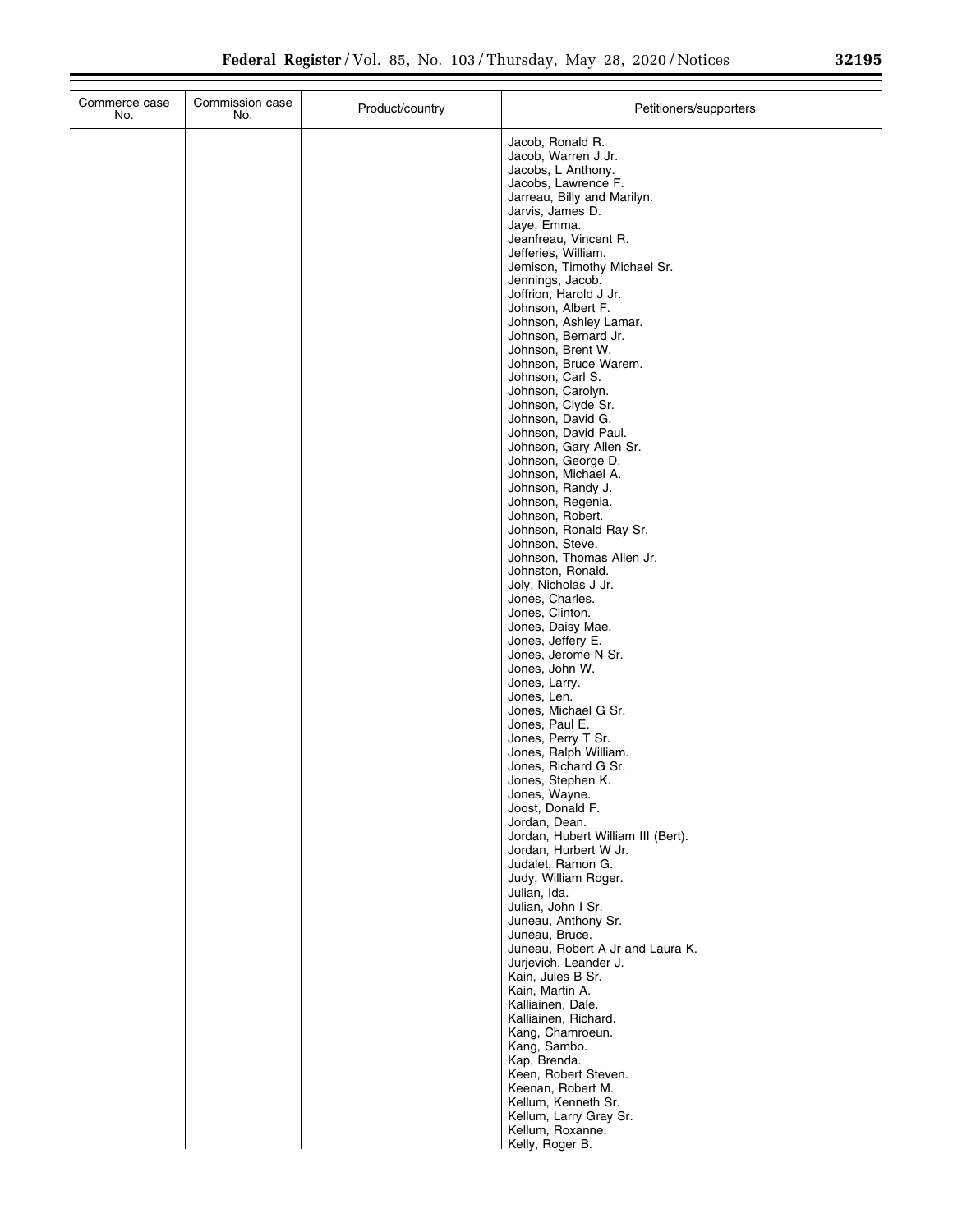| 32195 |  |  |
|-------|--|--|
|       |  |  |

| Commerce case<br>No. | Commission case<br>No. | Product/country | Petitioners/supporters                                      |
|----------------------|------------------------|-----------------|-------------------------------------------------------------|
|                      |                        |                 | Jacob, Ronald R.                                            |
|                      |                        |                 | Jacob, Warren J Jr.                                         |
|                      |                        |                 | Jacobs, L Anthony.<br>Jacobs, Lawrence F.                   |
|                      |                        |                 | Jarreau, Billy and Marilyn.                                 |
|                      |                        |                 | Jarvis, James D.                                            |
|                      |                        |                 | Jaye, Emma.<br>Jeanfreau, Vincent R.                        |
|                      |                        |                 | Jefferies, William.                                         |
|                      |                        |                 | Jemison, Timothy Michael Sr.                                |
|                      |                        |                 | Jennings, Jacob.                                            |
|                      |                        |                 | Joffrion, Harold J Jr.<br>Johnson, Albert F.                |
|                      |                        |                 | Johnson, Ashley Lamar.                                      |
|                      |                        |                 | Johnson, Bernard Jr.<br>Johnson, Brent W.                   |
|                      |                        |                 | Johnson, Bruce Warem.                                       |
|                      |                        |                 | Johnson, Carl S.                                            |
|                      |                        |                 | Johnson, Carolyn.<br>Johnson, Clyde Sr.                     |
|                      |                        |                 | Johnson, David G.                                           |
|                      |                        |                 | Johnson, David Paul.                                        |
|                      |                        |                 | Johnson, Gary Allen Sr.                                     |
|                      |                        |                 | Johnson, George D.<br>Johnson, Michael A.                   |
|                      |                        |                 | Johnson, Randy J.                                           |
|                      |                        |                 | Johnson, Regenia.                                           |
|                      |                        |                 | Johnson, Robert.<br>Johnson, Ronald Ray Sr.                 |
|                      |                        |                 | Johnson, Steve.                                             |
|                      |                        |                 | Johnson, Thomas Allen Jr.                                   |
|                      |                        |                 | Johnston, Ronald.<br>Joly, Nicholas J Jr.                   |
|                      |                        |                 | Jones, Charles.                                             |
|                      |                        |                 | Jones, Clinton.                                             |
|                      |                        |                 | Jones, Daisy Mae.<br>Jones, Jeffery E.                      |
|                      |                        |                 | Jones, Jerome N Sr.                                         |
|                      |                        |                 | Jones, John W.                                              |
|                      |                        |                 | Jones, Larry.<br>Jones, Len.                                |
|                      |                        |                 | Jones, Michael G Sr.                                        |
|                      |                        |                 | Jones, Paul E.                                              |
|                      |                        |                 | Jones, Perry T Sr.<br>Jones, Ralph William.                 |
|                      |                        |                 | Jones, Richard G Sr.                                        |
|                      |                        |                 | Jones, Stephen K.                                           |
|                      |                        |                 | Jones, Wayne.<br>Joost, Donald F.                           |
|                      |                        |                 | Jordan, Dean.                                               |
|                      |                        |                 | Jordan, Hubert William III (Bert).<br>Jordan, Hurbert W Jr. |
|                      |                        |                 | Judalet, Ramon G.                                           |
|                      |                        |                 | Judy, William Roger.                                        |
|                      |                        |                 | Julian, Ida.<br>Julian, John I Sr.                          |
|                      |                        |                 | Juneau, Anthony Sr.                                         |
|                      |                        |                 | Juneau, Bruce.                                              |
|                      |                        |                 | Juneau, Robert A Jr and Laura K.                            |
|                      |                        |                 | Jurjevich, Leander J.<br>Kain, Jules B Sr.                  |
|                      |                        |                 | Kain, Martin A.                                             |
|                      |                        |                 | Kalliainen, Dale.                                           |
|                      |                        |                 | Kalliainen, Richard.<br>Kang, Chamroeun.                    |
|                      |                        |                 | Kang, Sambo.                                                |
|                      |                        |                 | Kap, Brenda.                                                |
|                      |                        |                 | Keen, Robert Steven.<br>Keenan, Robert M.                   |
|                      |                        |                 | Kellum, Kenneth Sr.                                         |
|                      |                        |                 | Kellum, Larry Gray Sr.                                      |
|                      |                        |                 | Kellum, Roxanne.                                            |
|                      |                        |                 | Kelly, Roger B.                                             |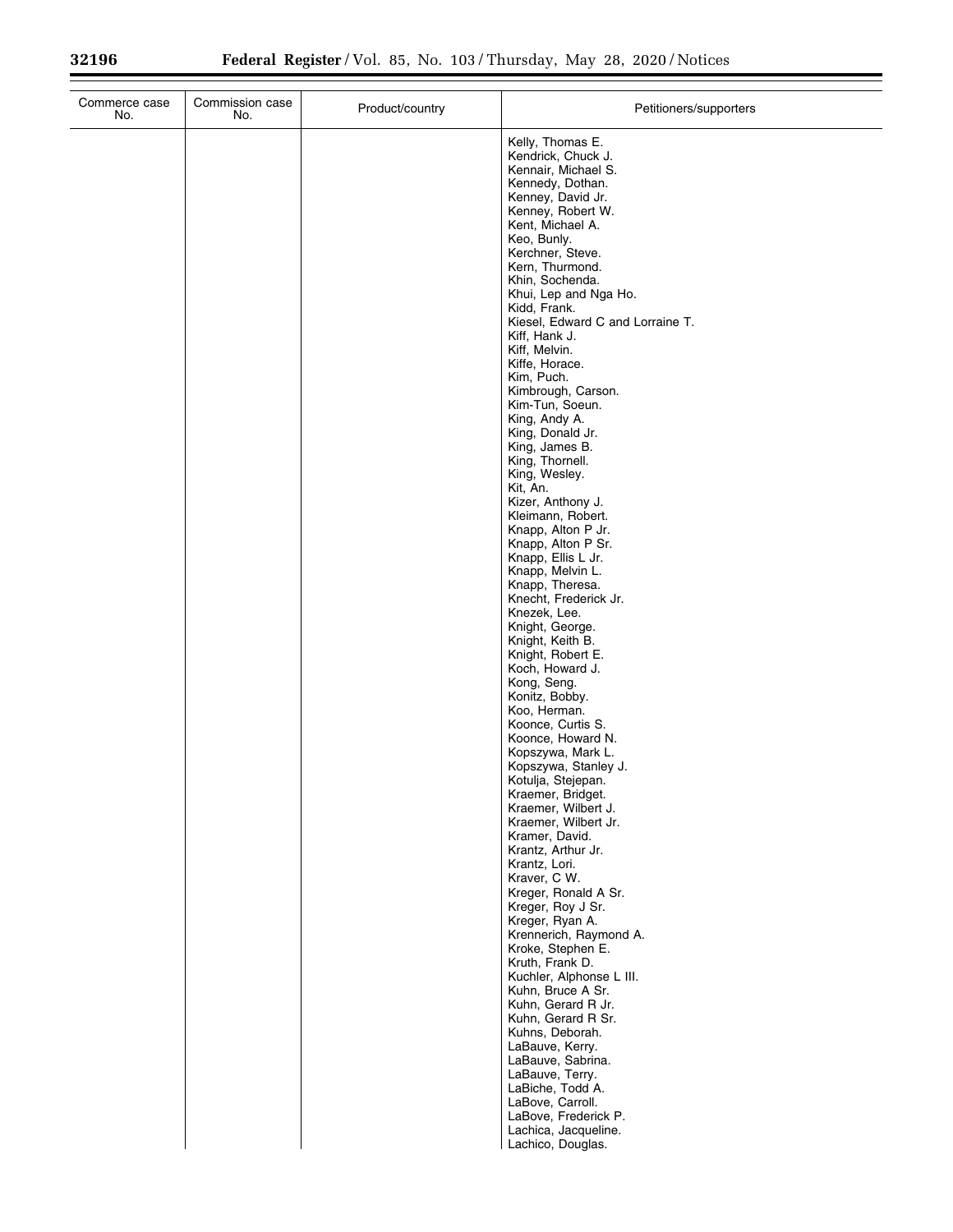| Commerce case<br>Commission case<br>No.<br>No. | Product/country | Petitioners/supporters                                                                                                                                                                                                                                                                                                                                                                                                                                                                                                                                                                                                                                                                                                                                                                                                                                                                                                                                                                                                                                                                                                                                                                                                                                                                                                                                                                                                     |
|------------------------------------------------|-----------------|----------------------------------------------------------------------------------------------------------------------------------------------------------------------------------------------------------------------------------------------------------------------------------------------------------------------------------------------------------------------------------------------------------------------------------------------------------------------------------------------------------------------------------------------------------------------------------------------------------------------------------------------------------------------------------------------------------------------------------------------------------------------------------------------------------------------------------------------------------------------------------------------------------------------------------------------------------------------------------------------------------------------------------------------------------------------------------------------------------------------------------------------------------------------------------------------------------------------------------------------------------------------------------------------------------------------------------------------------------------------------------------------------------------------------|
|                                                |                 | Kelly, Thomas E.<br>Kendrick, Chuck J.<br>Kennair, Michael S.<br>Kennedy, Dothan.<br>Kenney, David Jr.<br>Kenney, Robert W.<br>Kent, Michael A.<br>Keo, Bunly.<br>Kerchner, Steve.<br>Kern, Thurmond.<br>Khin, Sochenda.<br>Khui, Lep and Nga Ho.<br>Kidd, Frank.<br>Kiesel, Edward C and Lorraine T.<br>Kiff, Hank J.<br>Kiff, Melvin.<br>Kiffe, Horace.<br>Kim, Puch.<br>Kimbrough, Carson.<br>Kim-Tun, Soeun.<br>King, Andy A.<br>King, Donald Jr.<br>King, James B.<br>King, Thornell.<br>King, Wesley.<br>Kit, An.<br>Kizer, Anthony J.<br>Kleimann, Robert.<br>Knapp, Alton P Jr.<br>Knapp, Alton P Sr.<br>Knapp, Ellis L Jr.<br>Knapp, Melvin L.<br>Knapp, Theresa.<br>Knecht, Frederick Jr.<br>Knezek, Lee.<br>Knight, George.<br>Knight, Keith B.<br>Knight, Robert E.<br>Koch, Howard J.<br>Kong, Seng.<br>Konitz, Bobby.<br>Koo, Herman.<br>Koonce, Curtis S.<br>Koonce, Howard N.<br>Kopszywa, Mark L.<br>Kopszywa, Stanley J.<br>Kotulja, Stejepan.<br>Kraemer, Bridget.<br>Kraemer, Wilbert J.<br>Kraemer, Wilbert Jr.<br>Kramer, David.<br>Krantz, Arthur Jr.<br>Krantz, Lori.<br>Kraver, C W.<br>Kreger, Ronald A Sr.<br>Kreger, Roy J Sr.<br>Kreger, Ryan A.<br>Krennerich, Raymond A.<br>Kroke, Stephen E.<br>Kruth, Frank D.<br>Kuchler, Alphonse L III.<br>Kuhn, Bruce A Sr.<br>Kuhn, Gerard R Jr.<br>Kuhn, Gerard R Sr.<br>Kuhns, Deborah.<br>LaBauve, Kerry.<br>LaBauve, Sabrina.<br>LaBauve, Terry. |
|                                                |                 | LaBiche, Todd A.<br>LaBove, Carroll.<br>LaBove, Frederick P.<br>Lachica, Jacqueline.<br>Lachico, Douglas.                                                                                                                                                                                                                                                                                                                                                                                                                                                                                                                                                                                                                                                                                                                                                                                                                                                                                                                                                                                                                                                                                                                                                                                                                                                                                                                  |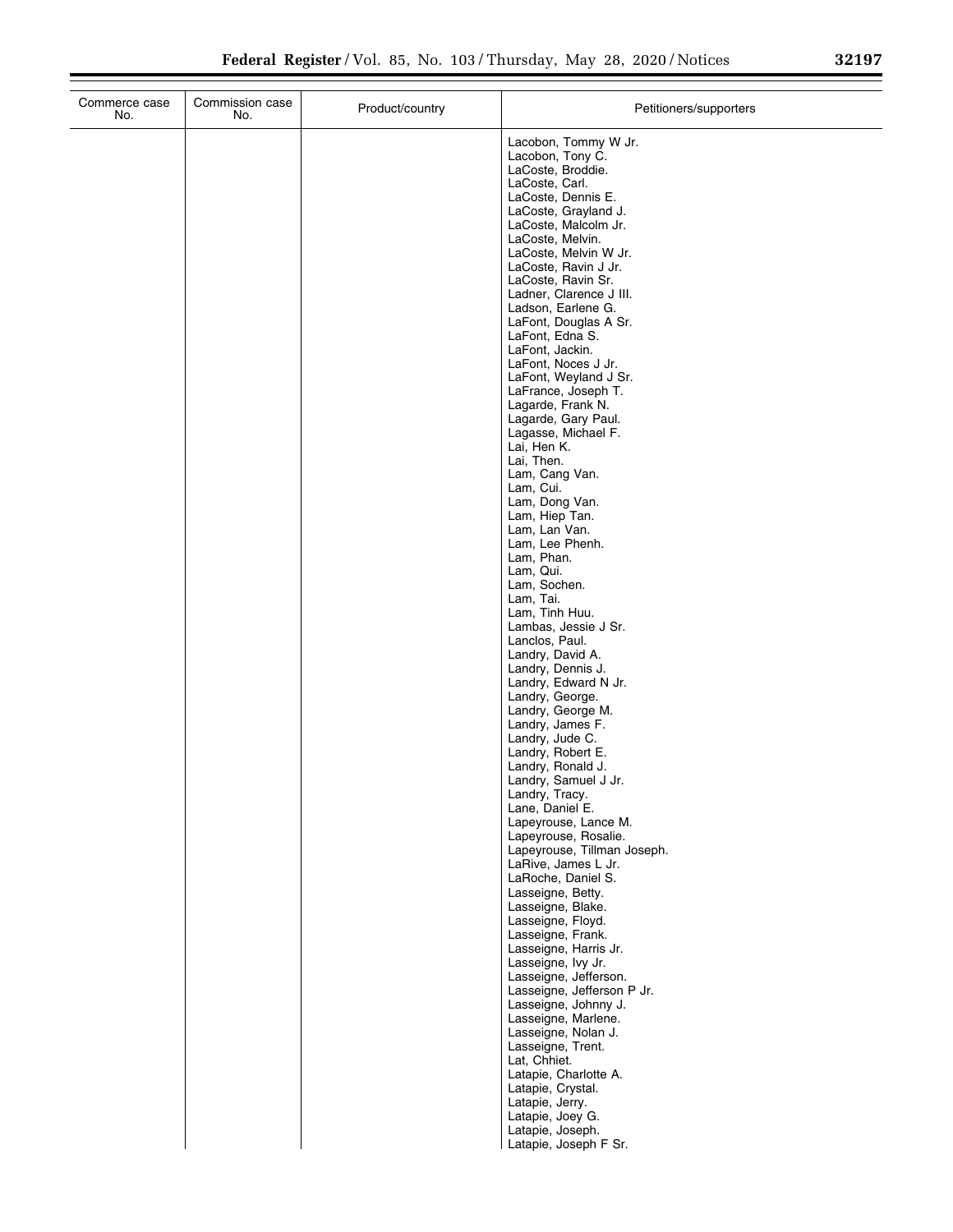$\overline{a}$ 

| Commerce case<br>No. | Commission case<br>No. | Product/country | Petitioners/supporters                                                                                |
|----------------------|------------------------|-----------------|-------------------------------------------------------------------------------------------------------|
|                      |                        |                 | Lacobon, Tommy W Jr.<br>Lacobon, Tony C.<br>LaCoste, Broddie.<br>LaCoste, Carl.<br>LaCoste, Dennis E. |
|                      |                        |                 | LaCoste, Grayland J.<br>LaCoste, Malcolm Jr.                                                          |
|                      |                        |                 | LaCoste, Melvin.<br>LaCoste, Melvin W Jr.                                                             |
|                      |                        |                 | LaCoste, Ravin J Jr.<br>LaCoste, Ravin Sr.                                                            |
|                      |                        |                 | Ladner, Clarence J III.<br>Ladson, Earlene G.                                                         |
|                      |                        |                 | LaFont, Douglas A Sr.<br>LaFont, Edna S.                                                              |
|                      |                        |                 | LaFont, Jackin.<br>LaFont, Noces J Jr.                                                                |
|                      |                        |                 | LaFont, Weyland J Sr.<br>LaFrance, Joseph T.                                                          |
|                      |                        |                 | Lagarde, Frank N.<br>Lagarde, Gary Paul.                                                              |
|                      |                        |                 | Lagasse, Michael F.<br>Lai, Hen K.<br>Lai, Then.                                                      |
|                      |                        |                 | Lam, Cang Van.<br>Lam, Cui.                                                                           |
|                      |                        |                 | Lam, Dong Van.<br>Lam, Hiep Tan.                                                                      |
|                      |                        |                 | Lam, Lan Van.<br>Lam, Lee Phenh.                                                                      |
|                      |                        |                 | Lam, Phan.<br>Lam, Qui.                                                                               |
|                      |                        |                 | Lam, Sochen.<br>Lam, Tai.                                                                             |
|                      |                        |                 | Lam, Tinh Huu.<br>Lambas, Jessie J Sr.                                                                |
|                      |                        |                 | Lanclos, Paul.<br>Landry, David A.                                                                    |
|                      |                        |                 | Landry, Dennis J.<br>Landry, Edward N Jr.                                                             |
|                      |                        |                 | Landry, George.<br>Landry, George M.                                                                  |
|                      |                        |                 | Landry, James F.<br>Landry, Jude C.                                                                   |
|                      |                        |                 | Landry, Robert E.<br>Landry, Ronald J.                                                                |
|                      |                        |                 | Landry, Samuel J Jr.<br>Landry, Tracy.<br>Lane, Daniel E.                                             |
|                      |                        |                 | Lapeyrouse, Lance M.<br>Lapeyrouse, Rosalie.                                                          |
|                      |                        |                 | Lapeyrouse, Tillman Joseph.<br>LaRive, James L Jr.                                                    |
|                      |                        |                 | LaRoche, Daniel S.<br>Lasseigne, Betty.                                                               |
|                      |                        |                 | Lasseigne, Blake.<br>Lasseigne, Floyd.                                                                |
|                      |                        |                 | Lasseigne, Frank.<br>Lasseigne, Harris Jr.                                                            |
|                      |                        |                 | Lasseigne, Ivy Jr.<br>Lasseigne, Jefferson.                                                           |
|                      |                        |                 | Lasseigne, Jefferson P Jr.<br>Lasseigne, Johnny J.                                                    |
|                      |                        |                 | Lasseigne, Marlene.<br>Lasseigne, Nolan J.                                                            |
|                      |                        |                 | Lasseigne, Trent.<br>Lat, Chhiet.                                                                     |
|                      |                        |                 | Latapie, Charlotte A.<br>Latapie, Crystal.                                                            |
|                      |                        |                 | Latapie, Jerry.<br>Latapie, Joey G.                                                                   |
|                      |                        |                 | Latapie, Joseph.<br>Latapie, Joseph F Sr.                                                             |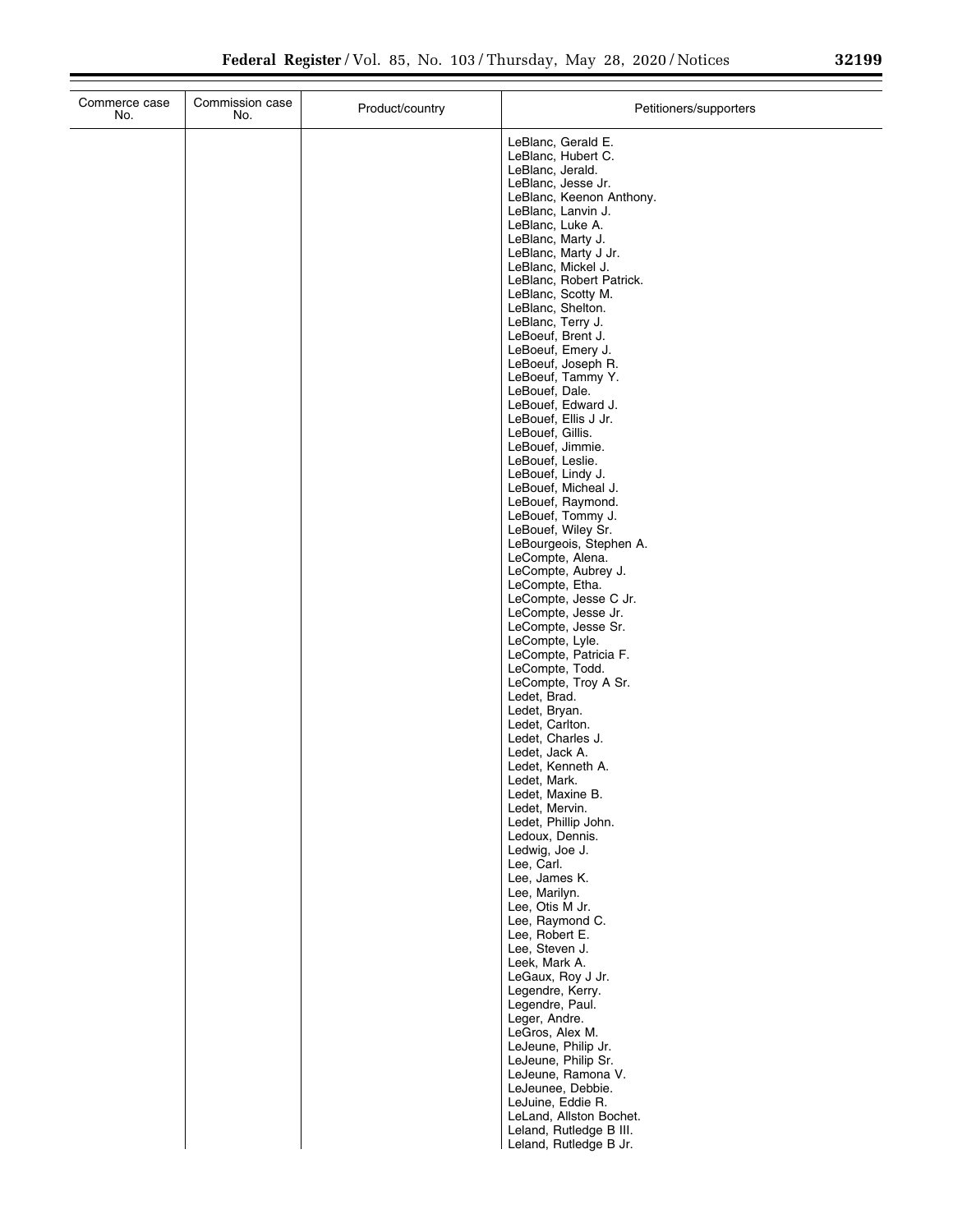$\mathbb{R}^n$ 

| No.           | Commission case<br>No. | Product/country | Petitioners/supporters                                                                                                                                                                                                                                                                                                                                                                                                                                                                                                                                                                                                                                                                                                                                                                                                                                                                                                                                                               |
|---------------|------------------------|-----------------|--------------------------------------------------------------------------------------------------------------------------------------------------------------------------------------------------------------------------------------------------------------------------------------------------------------------------------------------------------------------------------------------------------------------------------------------------------------------------------------------------------------------------------------------------------------------------------------------------------------------------------------------------------------------------------------------------------------------------------------------------------------------------------------------------------------------------------------------------------------------------------------------------------------------------------------------------------------------------------------|
| Commerce case |                        |                 | LeBlanc, Gerald E.<br>LeBlanc, Hubert C.<br>LeBlanc, Jerald.<br>LeBlanc, Jesse Jr.<br>LeBlanc, Keenon Anthony.<br>LeBlanc, Lanvin J.<br>LeBlanc, Luke A.<br>LeBlanc, Marty J.<br>LeBlanc, Marty J Jr.<br>LeBlanc, Mickel J.<br>LeBlanc, Robert Patrick.<br>LeBlanc, Scotty M.<br>LeBlanc, Shelton.<br>LeBlanc, Terry J.<br>LeBoeuf, Brent J.<br>LeBoeuf, Emery J.<br>LeBoeuf, Joseph R.<br>LeBoeuf, Tammy Y.<br>LeBouef, Dale.<br>LeBouef, Edward J.<br>LeBouef, Ellis J Jr.<br>LeBouef, Gillis.<br>LeBouef, Jimmie.<br>LeBouef, Leslie.<br>LeBouef, Lindy J.<br>LeBouef, Micheal J.<br>LeBouef, Raymond.<br>LeBouef, Tommy J.<br>LeBouef, Wiley Sr.<br>LeBourgeois, Stephen A.<br>LeCompte, Alena.<br>LeCompte, Aubrey J.<br>LeCompte, Etha.<br>LeCompte, Jesse C Jr.<br>LeCompte, Jesse Jr.<br>LeCompte, Jesse Sr.<br>LeCompte, Lyle.<br>LeCompte, Patricia F.<br>LeCompte, Todd.<br>LeCompte, Troy A Sr.<br>Ledet, Brad.<br>Ledet, Bryan.<br>Ledet, Carlton.<br>Ledet, Charles J. |
|               |                        |                 | Ledet, Jack A.<br>Ledet, Kenneth A.<br>Ledet, Mark.<br>Ledet, Maxine B.                                                                                                                                                                                                                                                                                                                                                                                                                                                                                                                                                                                                                                                                                                                                                                                                                                                                                                              |
|               |                        |                 | Ledet, Mervin.<br>Ledet, Phillip John.<br>Ledoux, Dennis.<br>Ledwig, Joe J.<br>Lee, Carl.<br>Lee, James K.<br>Lee, Marilyn.<br>Lee, Otis M Jr.                                                                                                                                                                                                                                                                                                                                                                                                                                                                                                                                                                                                                                                                                                                                                                                                                                       |
|               |                        |                 | Lee, Raymond C.<br>Lee, Robert E.<br>Lee, Steven J.<br>Leek, Mark A.<br>LeGaux, Roy J Jr.<br>Legendre, Kerry.<br>Legendre, Paul.<br>Leger, Andre.<br>LeGros, Alex M.                                                                                                                                                                                                                                                                                                                                                                                                                                                                                                                                                                                                                                                                                                                                                                                                                 |
|               |                        |                 | LeJeune, Philip Jr.<br>LeJeune, Philip Sr.<br>LeJeune, Ramona V.                                                                                                                                                                                                                                                                                                                                                                                                                                                                                                                                                                                                                                                                                                                                                                                                                                                                                                                     |

LeJeunee, Debbie. LeJuine, Eddie R. LeLand, Allston Bochet. Leland, Rutledge B III. Leland, Rutledge B Jr.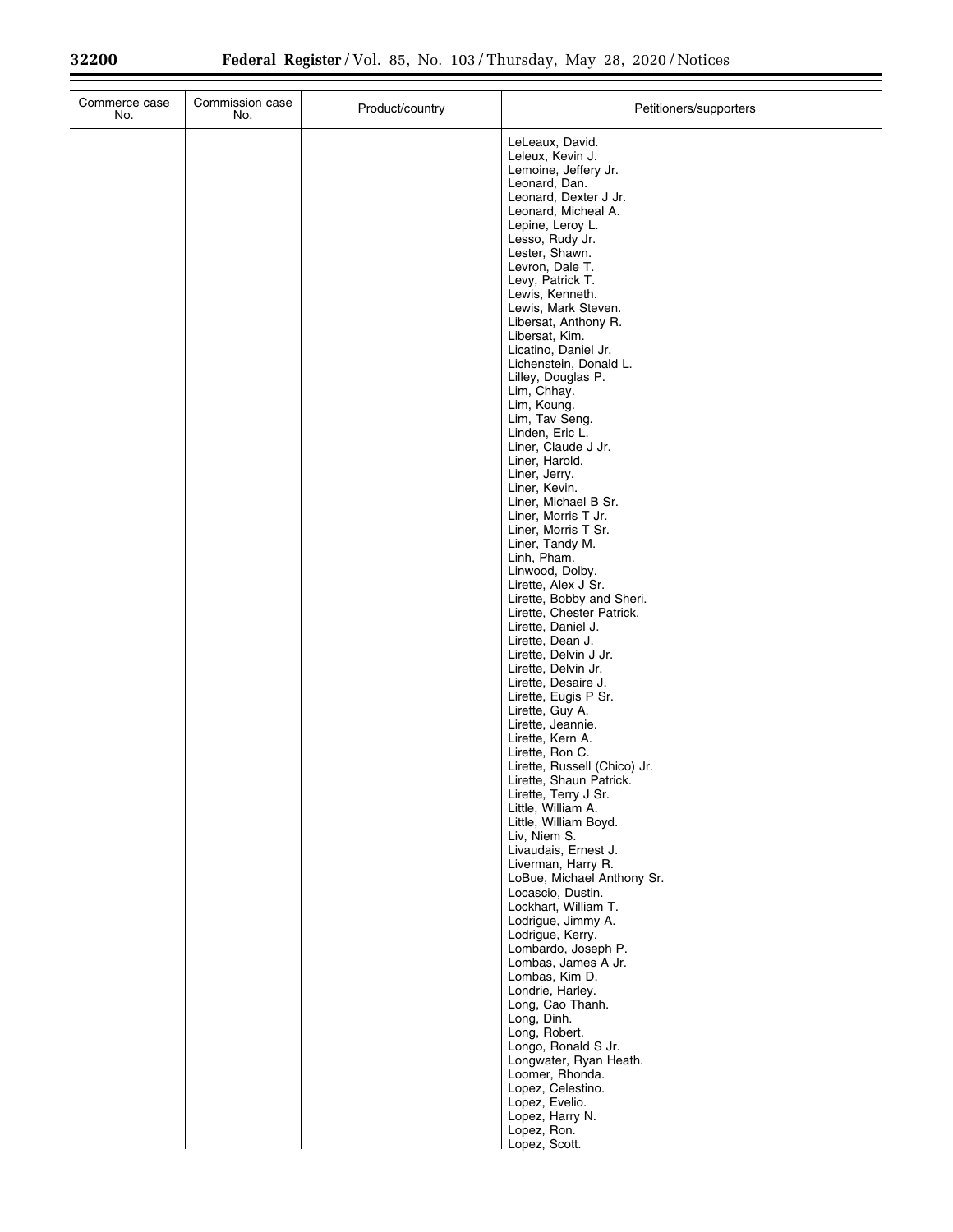| Commerce case<br>No. | Commission case<br>No. | Product/country | Petitioners/supporters                                                                                                                                                                                                                                                                                           |
|----------------------|------------------------|-----------------|------------------------------------------------------------------------------------------------------------------------------------------------------------------------------------------------------------------------------------------------------------------------------------------------------------------|
|                      |                        |                 | LeLeaux, David.<br>Leleux, Kevin J.<br>Lemoine, Jeffery Jr.<br>Leonard, Dan.<br>Leonard, Dexter J Jr.<br>Leonard, Micheal A.<br>Lepine, Leroy L.<br>Lesso, Rudy Jr.<br>Lester, Shawn.<br>Levron, Dale T.<br>Levy, Patrick T.<br>Lewis, Kenneth.<br>Lewis, Mark Steven.<br>Libersat, Anthony R.<br>Libersat, Kim. |
|                      |                        |                 | Licatino, Daniel Jr.<br>Lichenstein, Donald L.<br>Lilley, Douglas P.<br>Lim, Chhay.<br>Lim, Koung.<br>Lim, Tav Seng.<br>Linden, Eric L.<br>Liner, Claude J Jr.<br>Liner, Harold.<br>Liner, Jerry.<br>Liner, Kevin.<br>Liner, Michael B Sr.<br>Liner, Morris T Jr.                                                |
|                      |                        |                 | Liner, Morris T Sr.<br>Liner, Tandy M.<br>Linh, Pham.<br>Linwood, Dolby.<br>Lirette, Alex J Sr.<br>Lirette, Bobby and Sheri.<br>Lirette, Chester Patrick.<br>Lirette, Daniel J.<br>Lirette, Dean J.<br>Lirette, Delvin J Jr.<br>Lirette, Delvin Jr.<br>Lirette, Desaire J.                                       |
|                      |                        |                 | Lirette, Eugis P Sr.<br>Lirette, Guy A.<br>Lirette, Jeannie.<br>Lirette, Kern A.<br>Lirette, Ron C.<br>Lirette, Russell (Chico) Jr.<br>Lirette, Shaun Patrick.<br>Lirette, Terry J Sr.<br>Little, William A.<br>Little, William Boyd.<br>Liv, Niem S.<br>Livaudais, Ernest J.<br>Liverman, Harry R.              |
|                      |                        |                 | LoBue, Michael Anthony Sr.<br>Locascio, Dustin.<br>Lockhart, William T.<br>Lodrigue, Jimmy A.<br>Lodrigue, Kerry.<br>Lombardo, Joseph P.<br>Lombas, James A Jr.<br>Lombas, Kim D.<br>Londrie, Harley.<br>Long, Cao Thanh.<br>Long, Dinh.<br>Long, Robert.                                                        |
|                      |                        |                 | Longo, Ronald S Jr.<br>Longwater, Ryan Heath.<br>Loomer, Rhonda.<br>Lopez, Celestino.<br>Lopez, Evelio.<br>Lopez, Harry N.<br>Lopez, Ron.<br>Lopez, Scott.                                                                                                                                                       |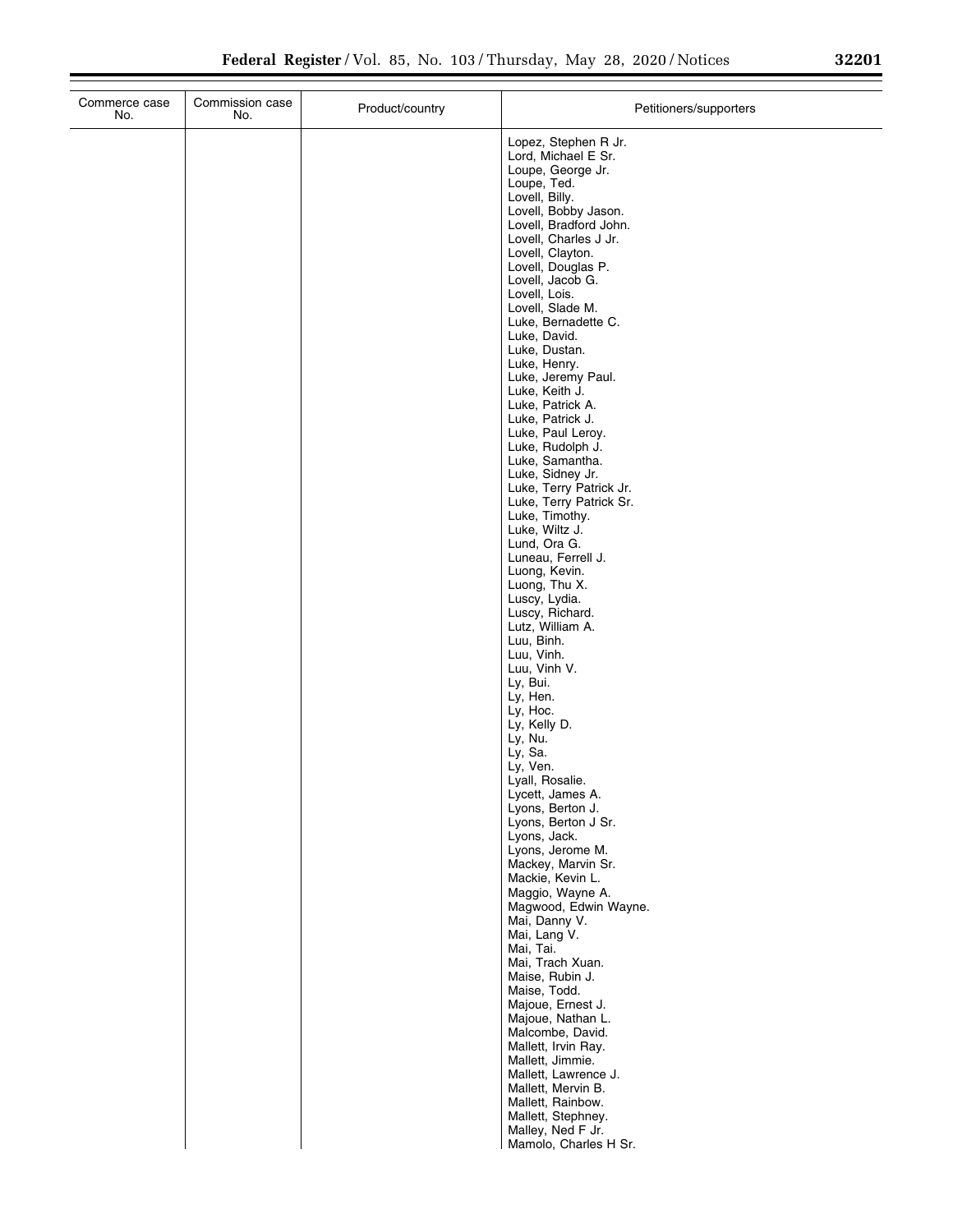| Commerce case<br>No. | Commission case<br>No. | Product/country | Petitioners/supporters                                                                                                                                                                                                                                                                                                                                                                                                                                                                                                                                                                                                                                                                                                                                                                                                                                                                                                                                                                                                                                                                                                                                             |
|----------------------|------------------------|-----------------|--------------------------------------------------------------------------------------------------------------------------------------------------------------------------------------------------------------------------------------------------------------------------------------------------------------------------------------------------------------------------------------------------------------------------------------------------------------------------------------------------------------------------------------------------------------------------------------------------------------------------------------------------------------------------------------------------------------------------------------------------------------------------------------------------------------------------------------------------------------------------------------------------------------------------------------------------------------------------------------------------------------------------------------------------------------------------------------------------------------------------------------------------------------------|
|                      |                        |                 | Lopez, Stephen R Jr.<br>Lord, Michael E Sr.<br>Loupe, George Jr.<br>Loupe, Ted.<br>Lovell, Billy.<br>Lovell, Bobby Jason.<br>Lovell, Bradford John.<br>Lovell, Charles J Jr.<br>Lovell, Clayton.<br>Lovell, Douglas P.<br>Lovell, Jacob G.<br>Lovell, Lois.<br>Lovell, Slade M.<br>Luke, Bernadette C.<br>Luke, David.<br>Luke, Dustan.<br>Luke, Henry.<br>Luke, Jeremy Paul.<br>Luke, Keith J.<br>Luke, Patrick A.<br>Luke, Patrick J.<br>Luke, Paul Leroy.<br>Luke, Rudolph J.<br>Luke, Samantha.<br>Luke, Sidney Jr.<br>Luke, Terry Patrick Jr.<br>Luke, Terry Patrick Sr.<br>Luke, Timothy.<br>Luke, Wiltz J.<br>Lund, Ora G.<br>Luneau, Ferrell J.<br>Luong, Kevin.<br>Luong, Thu X.<br>Luscy, Lydia.<br>Luscy, Richard.<br>Lutz, William A.<br>Luu, Binh.<br>Luu, Vinh.<br>Luu, Vinh V.<br>Ly, Bui.<br>Ly, Hen.<br>Ly, Hoc.<br>Ly, Kelly D.<br>Ly, Nu.<br>Ly, Sa.<br>Ly, Ven.<br>Lyall, Rosalie.<br>Lycett, James A.<br>Lyons, Berton J.<br>Lyons, Berton J Sr.<br>Lyons, Jack.<br>Lyons, Jerome M.<br>Mackey, Marvin Sr.<br>Mackie, Kevin L.<br>Maggio, Wayne A.<br>Magwood, Edwin Wayne.<br>Mai, Danny V.<br>Mai, Lang V.<br>Mai, Tai.<br>Mai, Trach Xuan. |
|                      |                        |                 | Maise, Rubin J.<br>Maise, Todd.<br>Majoue, Ernest J.<br>Majoue, Nathan L.<br>Malcombe, David.<br>Mallett, Irvin Ray.<br>Mallett, Jimmie.                                                                                                                                                                                                                                                                                                                                                                                                                                                                                                                                                                                                                                                                                                                                                                                                                                                                                                                                                                                                                           |
|                      |                        |                 | Mallett, Lawrence J.<br>Mallett, Mervin B.<br>Mallett, Rainbow.<br>Mallett, Stephney.<br>Malley, Ned F Jr.<br>Mamolo, Charles H Sr.                                                                                                                                                                                                                                                                                                                                                                                                                                                                                                                                                                                                                                                                                                                                                                                                                                                                                                                                                                                                                                |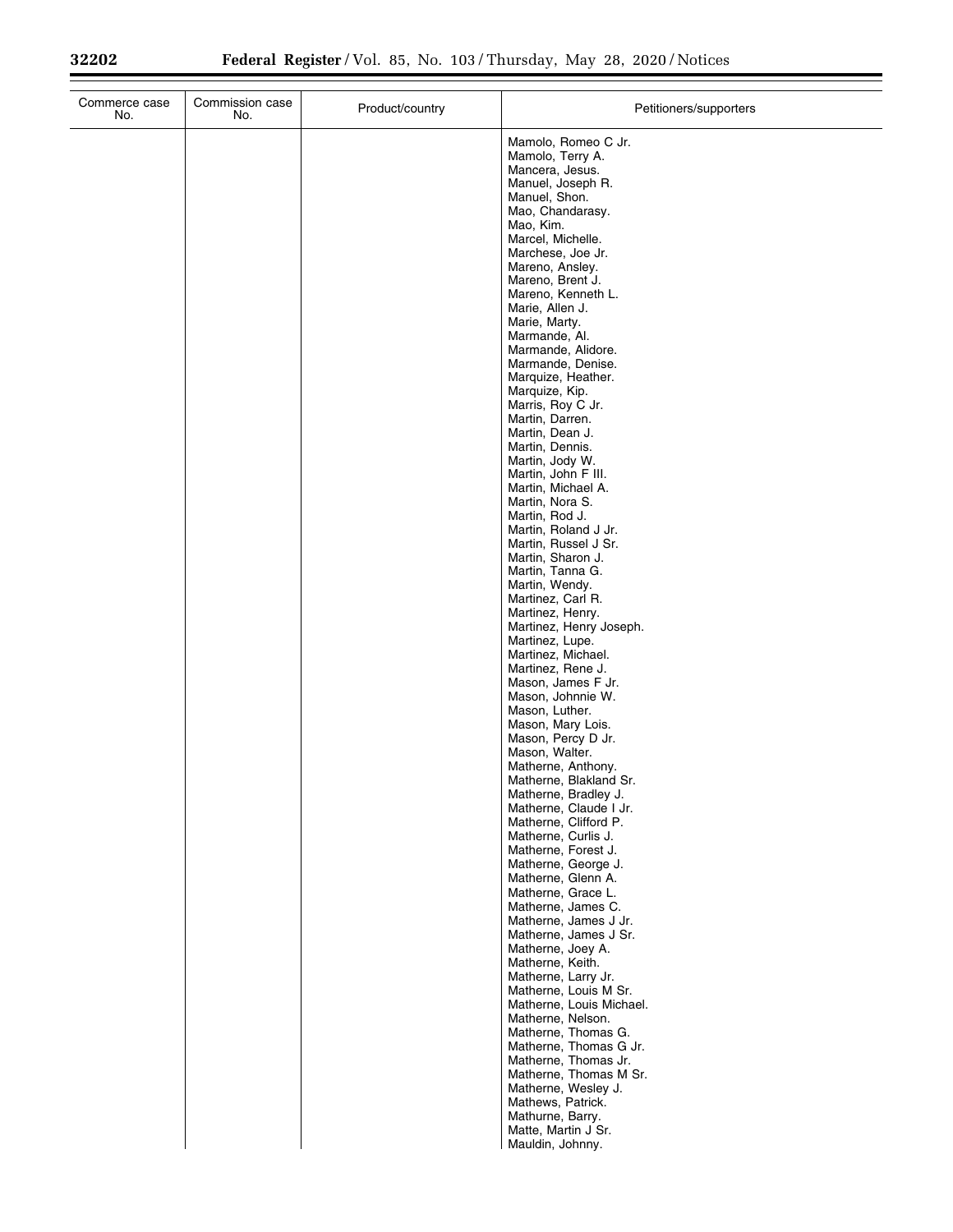| Commerce case<br>No. | Commission case<br>No. | Product/country | Petitioners/supporters                          |
|----------------------|------------------------|-----------------|-------------------------------------------------|
|                      |                        |                 | Mamolo, Romeo C Jr.                             |
|                      |                        |                 | Mamolo, Terry A.<br>Mancera, Jesus.             |
|                      |                        |                 | Manuel, Joseph R.                               |
|                      |                        |                 | Manuel, Shon.                                   |
|                      |                        |                 | Mao, Chandarasy.<br>Mao, Kim.                   |
|                      |                        |                 | Marcel, Michelle.                               |
|                      |                        |                 | Marchese, Joe Jr.                               |
|                      |                        |                 | Mareno, Ansley.<br>Mareno, Brent J.             |
|                      |                        |                 | Mareno, Kenneth L.                              |
|                      |                        |                 | Marie, Allen J.<br>Marie, Marty.                |
|                      |                        |                 | Marmande, Al.                                   |
|                      |                        |                 | Marmande, Alidore.                              |
|                      |                        |                 | Marmande, Denise.<br>Marquize, Heather.         |
|                      |                        |                 | Marquize, Kip.                                  |
|                      |                        |                 | Marris, Roy C Jr.<br>Martin, Darren.            |
|                      |                        |                 | Martin, Dean J.                                 |
|                      |                        |                 | Martin, Dennis.                                 |
|                      |                        |                 | Martin, Jody W.<br>Martin, John F III.          |
|                      |                        |                 | Martin, Michael A.                              |
|                      |                        |                 | Martin, Nora S.<br>Martin, Rod J.               |
|                      |                        |                 | Martin, Roland J Jr.                            |
|                      |                        |                 | Martin, Russel J Sr.                            |
|                      |                        |                 | Martin, Sharon J.<br>Martin, Tanna G.           |
|                      |                        |                 | Martin, Wendy.                                  |
|                      |                        |                 | Martinez, Carl R.<br>Martinez, Henry.           |
|                      |                        |                 | Martinez, Henry Joseph.                         |
|                      |                        |                 | Martinez, Lupe.                                 |
|                      |                        |                 | Martinez, Michael.<br>Martinez, Rene J.         |
|                      |                        |                 | Mason, James F Jr.                              |
|                      |                        |                 | Mason, Johnnie W.                               |
|                      |                        |                 | Mason, Luther.<br>Mason, Mary Lois.             |
|                      |                        |                 | Mason, Percy D Jr.                              |
|                      |                        |                 | Mason, Walter.<br>Matherne, Anthony.            |
|                      |                        |                 | Matherne, Blakland Sr.                          |
|                      |                        |                 | Matherne, Bradley J.                            |
|                      |                        |                 | Matherne, Claude I Jr.<br>Matherne, Clifford P. |
|                      |                        |                 | Matherne, Curlis J.                             |
|                      |                        |                 | Matherne, Forest J.<br>Matherne, George J.      |
|                      |                        |                 | Matherne, Glenn A.                              |
|                      |                        |                 | Matherne, Grace L.                              |
|                      |                        |                 | Matherne, James C.<br>Matherne, James J Jr.     |
|                      |                        |                 | Matherne, James J Sr.                           |
|                      |                        |                 | Matherne, Joey A.<br>Matherne, Keith.           |
|                      |                        |                 | Matherne, Larry Jr.                             |
|                      |                        |                 | Matherne, Louis M Sr.                           |
|                      |                        |                 | Matherne, Louis Michael.<br>Matherne, Nelson.   |
|                      |                        |                 | Matherne, Thomas G.                             |
|                      |                        |                 | Matherne, Thomas G Jr.                          |
|                      |                        |                 | Matherne, Thomas Jr.<br>Matherne, Thomas M Sr.  |
|                      |                        |                 | Matherne, Wesley J.                             |
|                      |                        |                 | Mathews, Patrick.                               |
|                      |                        |                 | Mathurne, Barry.<br>Matte, Martin J Sr.         |
|                      |                        |                 | Mauldin, Johnny.                                |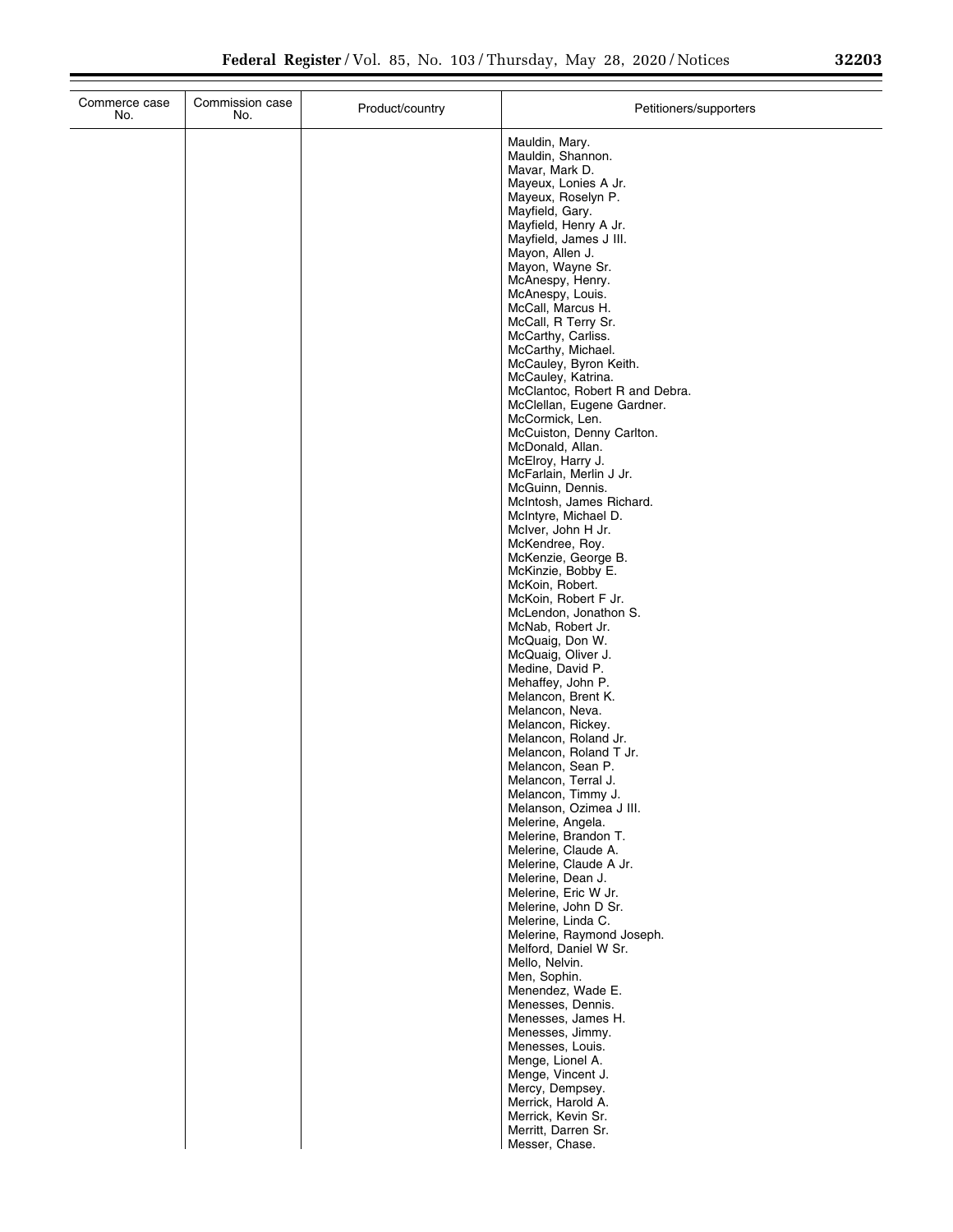|  | <u>.</u> | 20 | i | . . |
|--|----------|----|---|-----|
|  |          |    |   |     |
|  |          |    |   |     |
|  |          |    |   |     |

| Commerce case<br>No. | Commission case<br>No. | Product/country | Petitioners/supporters                          |
|----------------------|------------------------|-----------------|-------------------------------------------------|
|                      |                        |                 | Mauldin, Mary.                                  |
|                      |                        |                 | Mauldin, Shannon.                               |
|                      |                        |                 | Mavar, Mark D.<br>Mayeux, Lonies A Jr.          |
|                      |                        |                 | Mayeux, Roselyn P.                              |
|                      |                        |                 | Mayfield, Gary.                                 |
|                      |                        |                 | Mayfield, Henry A Jr.                           |
|                      |                        |                 | Mayfield, James J III.<br>Mayon, Allen J.       |
|                      |                        |                 | Mayon, Wayne Sr.                                |
|                      |                        |                 | McAnespy, Henry.                                |
|                      |                        |                 | McAnespy, Louis.<br>McCall, Marcus H.           |
|                      |                        |                 | McCall, R Terry Sr.                             |
|                      |                        |                 | McCarthy, Carliss.                              |
|                      |                        |                 | McCarthy, Michael.<br>McCauley, Byron Keith.    |
|                      |                        |                 | McCauley, Katrina.                              |
|                      |                        |                 | McClantoc, Robert R and Debra.                  |
|                      |                        |                 | McClellan, Eugene Gardner.<br>McCormick, Len.   |
|                      |                        |                 | McCuiston, Denny Carlton.                       |
|                      |                        |                 | McDonald, Allan.                                |
|                      |                        |                 | McElroy, Harry J.<br>McFarlain, Merlin J Jr.    |
|                      |                        |                 | McGuinn, Dennis.                                |
|                      |                        |                 | McIntosh, James Richard.                        |
|                      |                        |                 | McIntyre, Michael D.<br>McIver, John H Jr.      |
|                      |                        |                 | McKendree, Roy.                                 |
|                      |                        |                 | McKenzie, George B.                             |
|                      |                        |                 | McKinzie, Bobby E.<br>McKoin, Robert.           |
|                      |                        |                 | McKoin, Robert F Jr.                            |
|                      |                        |                 | McLendon, Jonathon S.                           |
|                      |                        |                 | McNab, Robert Jr.                               |
|                      |                        |                 | McQuaig, Don W.<br>McQuaig, Oliver J.           |
|                      |                        |                 | Medine, David P.                                |
|                      |                        |                 | Mehaffey, John P.                               |
|                      |                        |                 | Melancon, Brent K.<br>Melancon, Neva.           |
|                      |                        |                 | Melancon, Rickey.                               |
|                      |                        |                 | Melancon, Roland Jr.                            |
|                      |                        |                 | Melancon, Roland T Jr.<br>Melancon, Sean P.     |
|                      |                        |                 | Melancon, Terral J.                             |
|                      |                        |                 | Melancon, Timmy J.                              |
|                      |                        |                 | Melanson, Ozimea J III.<br>Melerine, Angela.    |
|                      |                        |                 | Melerine, Brandon T.                            |
|                      |                        |                 | Melerine, Claude A.                             |
|                      |                        |                 | Melerine, Claude A Jr.<br>Melerine, Dean J.     |
|                      |                        |                 | Melerine, Eric W Jr.                            |
|                      |                        |                 | Melerine, John D Sr.                            |
|                      |                        |                 | Melerine, Linda C.<br>Melerine, Raymond Joseph. |
|                      |                        |                 | Melford, Daniel W Sr.                           |
|                      |                        |                 | Mello, Nelvin.                                  |
|                      |                        |                 | Men, Sophin.<br>Menendez, Wade E.               |
|                      |                        |                 | Menesses, Dennis.                               |
|                      |                        |                 | Menesses, James H.                              |
|                      |                        |                 | Menesses, Jimmy.<br>Menesses, Louis.            |
|                      |                        |                 | Menge, Lionel A.                                |
|                      |                        |                 | Menge, Vincent J.                               |
|                      |                        |                 | Mercy, Dempsey.                                 |
|                      |                        |                 | Merrick, Harold A.<br>Merrick, Kevin Sr.        |
|                      |                        |                 | Merritt, Darren Sr.                             |
|                      |                        |                 | Messer, Chase.                                  |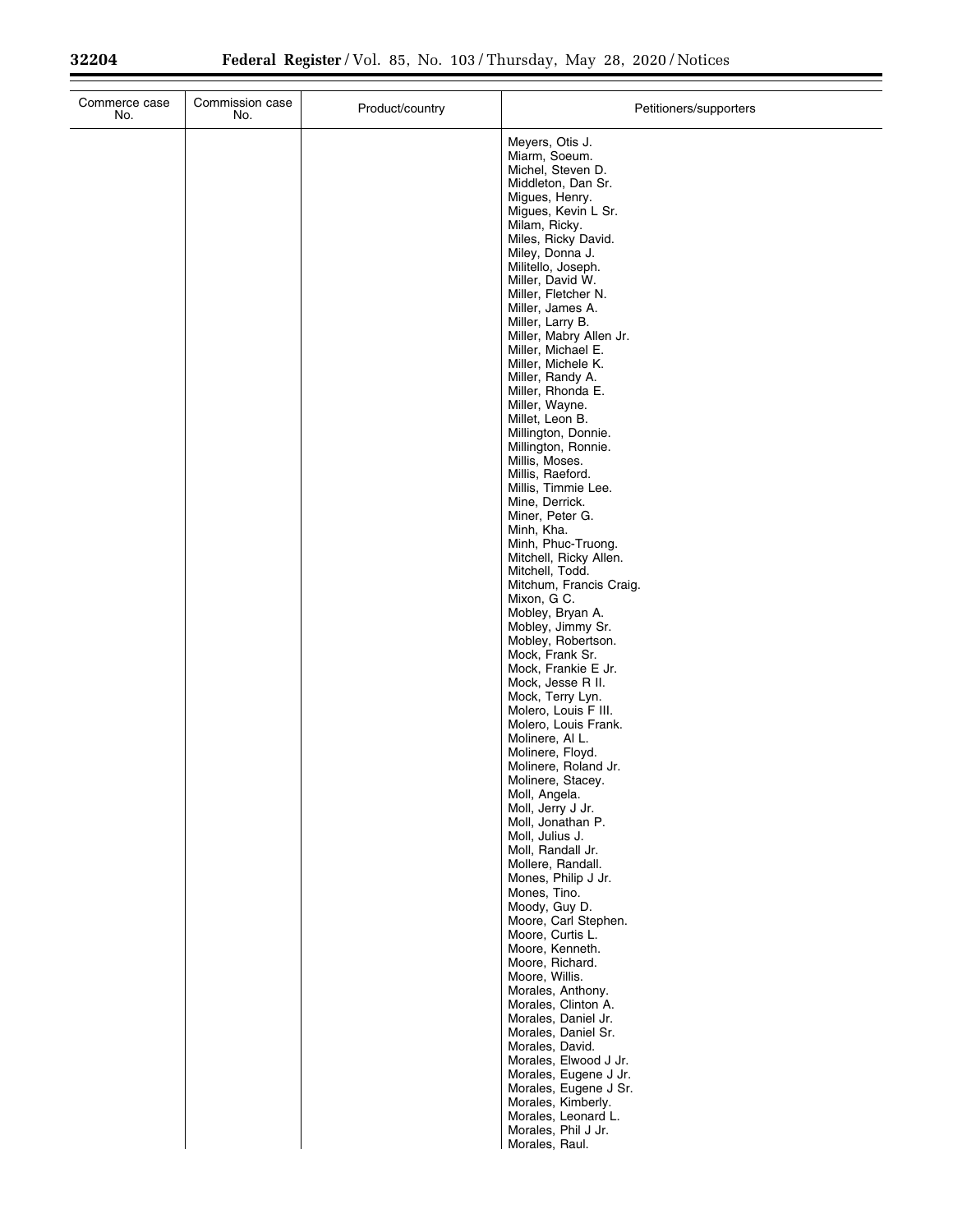| Commerce case<br>No. | Commission case<br>No. | Product/country | Petitioners/supporters                                                                                                                                                                                                                                                                                                                                                                                                                                                                                                                                                                                                                                                                                                                                                                                                                                                                                                                                                                                                                                                                                                                                                                                                                                                                                                                                                                                                                                                                     |
|----------------------|------------------------|-----------------|--------------------------------------------------------------------------------------------------------------------------------------------------------------------------------------------------------------------------------------------------------------------------------------------------------------------------------------------------------------------------------------------------------------------------------------------------------------------------------------------------------------------------------------------------------------------------------------------------------------------------------------------------------------------------------------------------------------------------------------------------------------------------------------------------------------------------------------------------------------------------------------------------------------------------------------------------------------------------------------------------------------------------------------------------------------------------------------------------------------------------------------------------------------------------------------------------------------------------------------------------------------------------------------------------------------------------------------------------------------------------------------------------------------------------------------------------------------------------------------------|
|                      |                        |                 | Meyers, Otis J.<br>Miarm, Soeum.<br>Michel, Steven D.<br>Middleton, Dan Sr.<br>Migues, Henry.<br>Migues, Kevin L Sr.<br>Milam, Ricky.<br>Miles, Ricky David.<br>Miley, Donna J.<br>Militello, Joseph.<br>Miller, David W.<br>Miller, Fletcher N.<br>Miller, James A.<br>Miller, Larry B.<br>Miller, Mabry Allen Jr.<br>Miller, Michael E.<br>Miller, Michele K.<br>Miller, Randy A.<br>Miller, Rhonda E.<br>Miller, Wayne.<br>Millet, Leon B.<br>Millington, Donnie.<br>Millington, Ronnie.<br>Millis, Moses.<br>Millis, Raeford.<br>Millis, Timmie Lee.<br>Mine, Derrick.<br>Miner, Peter G.<br>Minh, Kha.<br>Minh, Phuc-Truong.<br>Mitchell, Ricky Allen.<br>Mitchell, Todd.<br>Mitchum, Francis Craig.<br>Mixon, G C.<br>Mobley, Bryan A.<br>Mobley, Jimmy Sr.<br>Mobley, Robertson.<br>Mock, Frank Sr.<br>Mock, Frankie E Jr.<br>Mock, Jesse R II.<br>Mock, Terry Lyn.<br>Molero, Louis F III.<br>Molero, Louis Frank.<br>Molinere, Al L.<br>Molinere, Floyd.<br>Molinere, Roland Jr.<br>Molinere, Stacey.<br>Moll, Angela.<br>Moll, Jerry J Jr.<br>Moll, Jonathan P.<br>Moll, Julius J.<br>Moll, Randall Jr.<br>Mollere, Randall.<br>Mones, Philip J Jr.<br>Mones, Tino.<br>Moody, Guy D.<br>Moore, Carl Stephen.<br>Moore, Curtis L.<br>Moore, Kenneth.<br>Moore, Richard.<br>Moore, Willis.<br>Morales, Anthony.<br>Morales, Clinton A.<br>Morales, Daniel Jr.<br>Morales, Daniel Sr.<br>Morales, David.<br>Morales, Elwood J Jr.<br>Morales, Eugene J Jr.<br>Morales, Eugene J Sr. |
|                      |                        |                 | Morales, Kimberly.<br>Morales, Leonard L.<br>Morales, Phil J Jr.<br>Morales, Raul.                                                                                                                                                                                                                                                                                                                                                                                                                                                                                                                                                                                                                                                                                                                                                                                                                                                                                                                                                                                                                                                                                                                                                                                                                                                                                                                                                                                                         |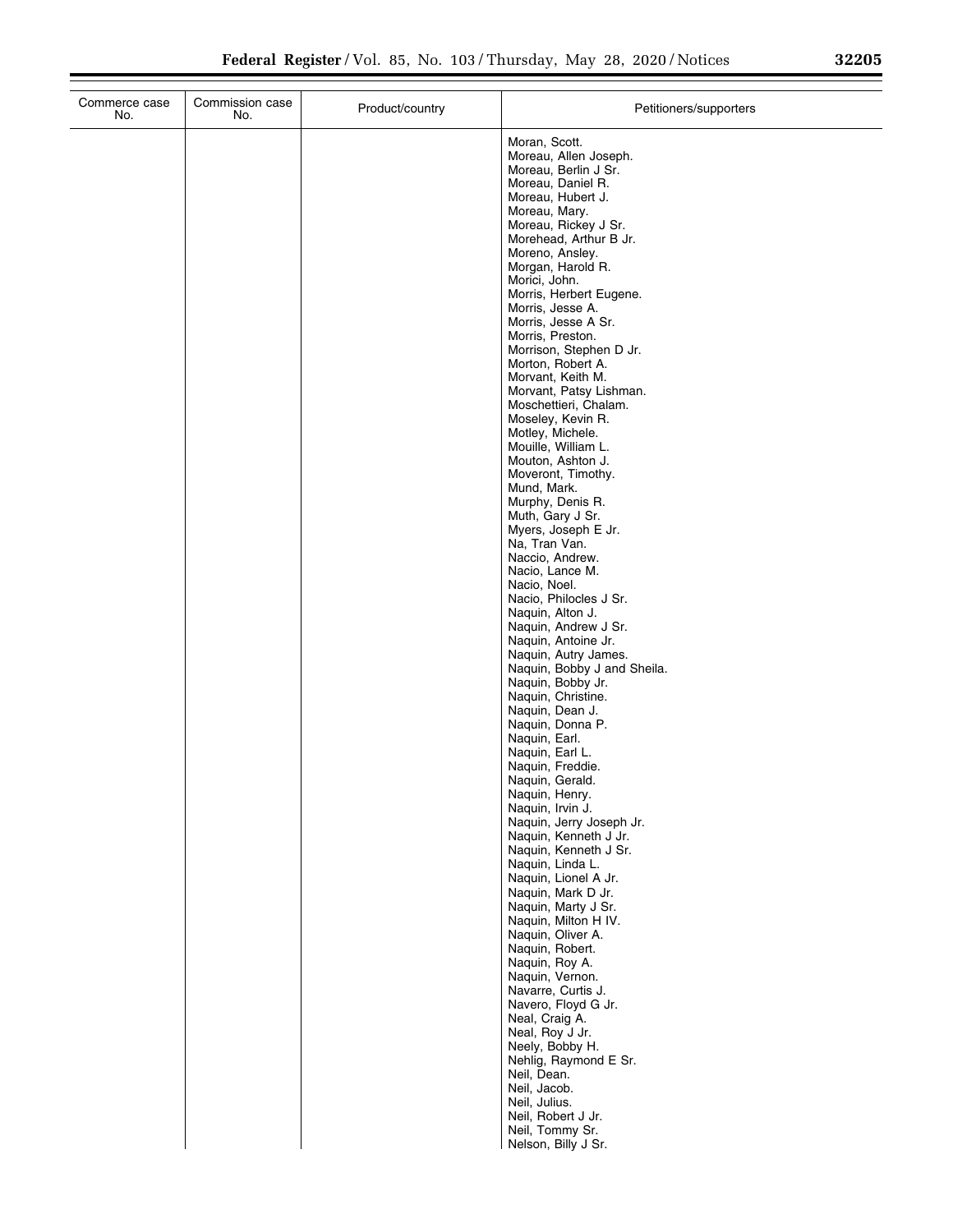|  | 32205 |  |
|--|-------|--|
|  |       |  |

| Commerce case<br>No. | Commission case<br>No. | Product/country | Petitioners/supporters                         |
|----------------------|------------------------|-----------------|------------------------------------------------|
|                      |                        |                 | Moran, Scott.<br>Moreau, Allen Joseph.         |
|                      |                        |                 | Moreau, Berlin J Sr.                           |
|                      |                        |                 | Moreau, Daniel R.<br>Moreau, Hubert J.         |
|                      |                        |                 | Moreau, Mary.                                  |
|                      |                        |                 | Moreau, Rickey J Sr.<br>Morehead, Arthur B Jr. |
|                      |                        |                 | Moreno, Ansley.                                |
|                      |                        |                 | Morgan, Harold R.<br>Morici, John.             |
|                      |                        |                 | Morris, Herbert Eugene.                        |
|                      |                        |                 | Morris, Jesse A.<br>Morris, Jesse A Sr.        |
|                      |                        |                 | Morris, Preston.                               |
|                      |                        |                 | Morrison, Stephen D Jr.                        |
|                      |                        |                 | Morton, Robert A.<br>Morvant, Keith M.         |
|                      |                        |                 | Morvant, Patsy Lishman.                        |
|                      |                        |                 | Moschettieri, Chalam.<br>Moseley, Kevin R.     |
|                      |                        |                 | Motley, Michele.                               |
|                      |                        |                 | Mouille, William L.                            |
|                      |                        |                 | Mouton, Ashton J.<br>Moveront, Timothy.        |
|                      |                        |                 | Mund, Mark.                                    |
|                      |                        |                 | Murphy, Denis R.<br>Muth, Gary J Sr.           |
|                      |                        |                 | Myers, Joseph E Jr.                            |
|                      |                        |                 | Na, Tran Van.                                  |
|                      |                        |                 | Naccio, Andrew.<br>Nacio, Lance M.             |
|                      |                        |                 | Nacio, Noel.                                   |
|                      |                        |                 | Nacio, Philocles J Sr.<br>Naquin, Alton J.     |
|                      |                        |                 | Naquin, Andrew J Sr.                           |
|                      |                        |                 | Naquin, Antoine Jr.<br>Naquin, Autry James.    |
|                      |                        |                 | Naquin, Bobby J and Sheila.                    |
|                      |                        |                 | Naquin, Bobby Jr.                              |
|                      |                        |                 | Naquin, Christine.<br>Naquin, Dean J.          |
|                      |                        |                 | Naquin, Donna P.                               |
|                      |                        |                 | Naquin, Earl.<br>Naquin, Earl L.               |
|                      |                        |                 | Naquin, Freddie.                               |
|                      |                        |                 | Naquin, Gerald.                                |
|                      |                        |                 | Naquin, Henry.<br>Naquin, Irvin J.             |
|                      |                        |                 | Naquin, Jerry Joseph Jr.                       |
|                      |                        |                 | Naquin, Kenneth J Jr.<br>Naquin, Kenneth J Sr. |
|                      |                        |                 | Naquin, Linda L.                               |
|                      |                        |                 | Naquin, Lionel A Jr.<br>Naquin, Mark D Jr.     |
|                      |                        |                 | Naquin, Marty J Sr.                            |
|                      |                        |                 | Naquin, Milton H IV.                           |
|                      |                        |                 | Naquin, Oliver A.<br>Naquin, Robert.           |
|                      |                        |                 | Naquin, Roy A.                                 |
|                      |                        |                 | Naquin, Vernon.<br>Navarre, Curtis J.          |
|                      |                        |                 | Navero, Floyd G Jr.                            |
|                      |                        |                 | Neal, Craig A.                                 |
|                      |                        |                 | Neal, Roy J Jr.<br>Neely, Bobby H.             |
|                      |                        |                 | Nehlig, Raymond E Sr.                          |
|                      |                        |                 | Neil, Dean.<br>Neil, Jacob.                    |
|                      |                        |                 | Neil, Julius.                                  |
|                      |                        |                 | Neil, Robert J Jr.                             |
|                      |                        |                 | Neil, Tommy Sr.<br>Nelson, Billy J Sr.         |
|                      |                        |                 |                                                |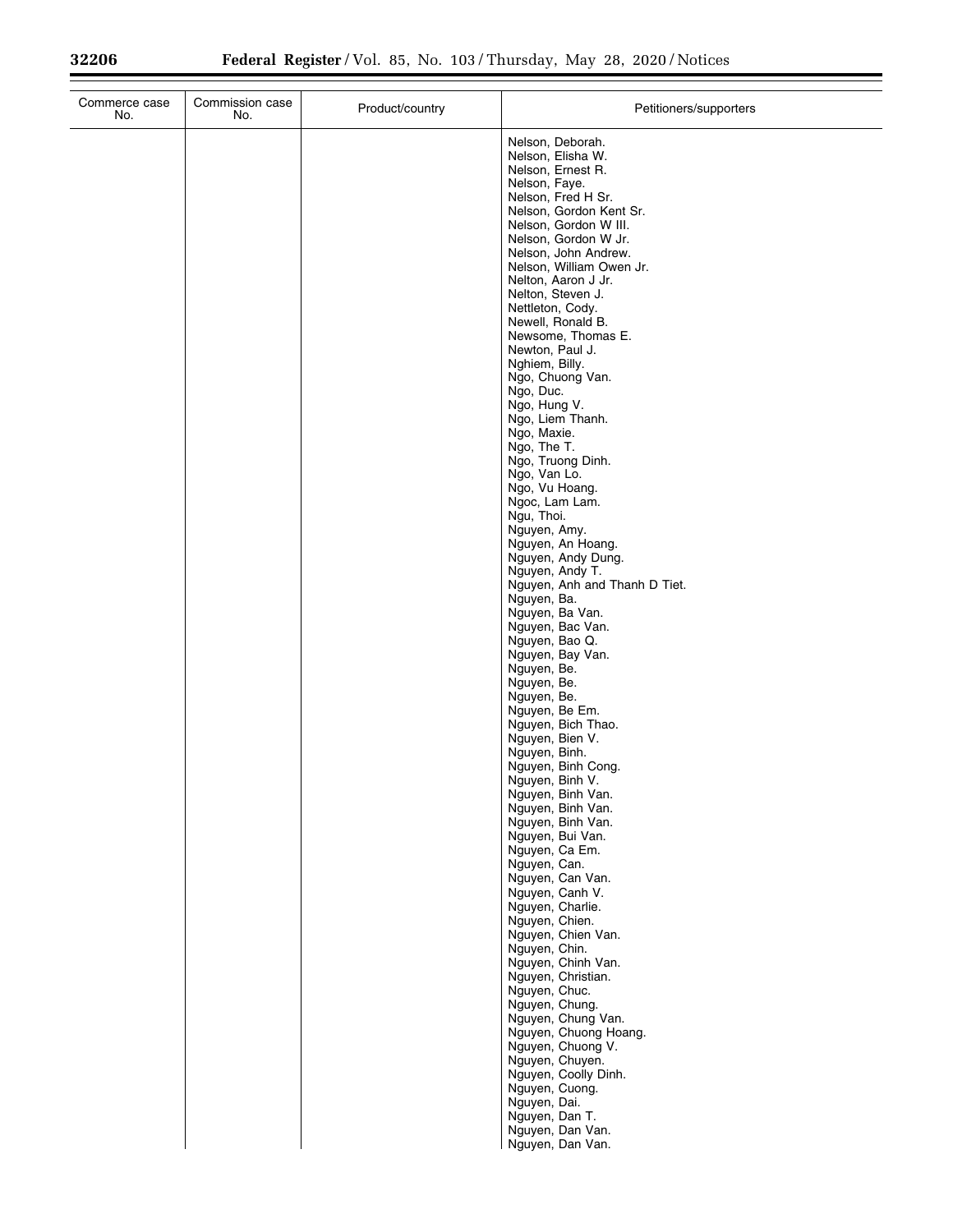| Commerce case<br>No. | Commission case<br>No. | Product/country | Petitioners/supporters                                                                                                                                                                                                                                                                                                                                                                                                                                                                                                                                                                                                                                                                                                                                                                                                                                                                                                                                                                                                                                                        |
|----------------------|------------------------|-----------------|-------------------------------------------------------------------------------------------------------------------------------------------------------------------------------------------------------------------------------------------------------------------------------------------------------------------------------------------------------------------------------------------------------------------------------------------------------------------------------------------------------------------------------------------------------------------------------------------------------------------------------------------------------------------------------------------------------------------------------------------------------------------------------------------------------------------------------------------------------------------------------------------------------------------------------------------------------------------------------------------------------------------------------------------------------------------------------|
|                      |                        |                 | Nelson, Deborah.<br>Nelson, Elisha W.<br>Nelson, Ernest R.<br>Nelson, Faye.<br>Nelson, Fred H Sr.<br>Nelson, Gordon Kent Sr.<br>Nelson, Gordon W III.<br>Nelson, Gordon W Jr.<br>Nelson, John Andrew.<br>Nelson, William Owen Jr.<br>Nelton, Aaron J Jr.<br>Nelton, Steven J.<br>Nettleton, Cody.<br>Newell, Ronald B.<br>Newsome, Thomas E.<br>Newton, Paul J.<br>Nghiem, Billy.<br>Ngo, Chuong Van.<br>Ngo, Duc.<br>Ngo, Hung V.<br>Ngo, Liem Thanh.<br>Ngo, Maxie.<br>Ngo, The T.<br>Ngo, Truong Dinh.<br>Ngo, Van Lo.<br>Ngo, Vu Hoang.<br>Ngoc, Lam Lam.<br>Ngu, Thoi.<br>Nguyen, Amy.<br>Nguyen, An Hoang.<br>Nguyen, Andy Dung.<br>Nguyen, Andy T.<br>Nguyen, Anh and Thanh D Tiet.<br>Nguyen, Ba.<br>Nguyen, Ba Van.<br>Nguyen, Bac Van.<br>Nguyen, Bao Q.<br>Nguyen, Bay Van.<br>Nguyen, Be.<br>Nguyen, Be.<br>Nguyen, Be.<br>Nguyen, Be Em.<br>Nguyen, Bich Thao.<br>Nguyen, Bien V.<br>Nguyen, Binh.<br>Nguyen, Binh Cong.<br>Nguyen, Binh V.<br>Nguyen, Binh Van.<br>Nguyen, Binh Van.<br>Nguyen, Binh Van.<br>Nguyen, Bui Van.<br>Nguyen, Ca Em.<br>Nguyen, Can. |
|                      |                        |                 |                                                                                                                                                                                                                                                                                                                                                                                                                                                                                                                                                                                                                                                                                                                                                                                                                                                                                                                                                                                                                                                                               |
|                      |                        |                 | Nguyen, Can Van.<br>Nguyen, Canh V.<br>Nguyen, Charlie.<br>Nguyen, Chien.<br>Nguyen, Chien Van.<br>Nguyen, Chin.<br>Nguyen, Chinh Van.<br>Nguyen, Christian.<br>Nguyen, Chuc.<br>Nguyen, Chung.<br>Nguyen, Chung Van.<br>Nguyen, Chuong Hoang.<br>Nguyen, Chuong V.<br>Nguyen, Chuyen.                                                                                                                                                                                                                                                                                                                                                                                                                                                                                                                                                                                                                                                                                                                                                                                        |
|                      |                        |                 | Nguyen, Coolly Dinh.<br>Nguyen, Cuong.<br>Nguyen, Dai.<br>Nguyen, Dan T.<br>Nguyen, Dan Van.<br>Nguyen, Dan Van.                                                                                                                                                                                                                                                                                                                                                                                                                                                                                                                                                                                                                                                                                                                                                                                                                                                                                                                                                              |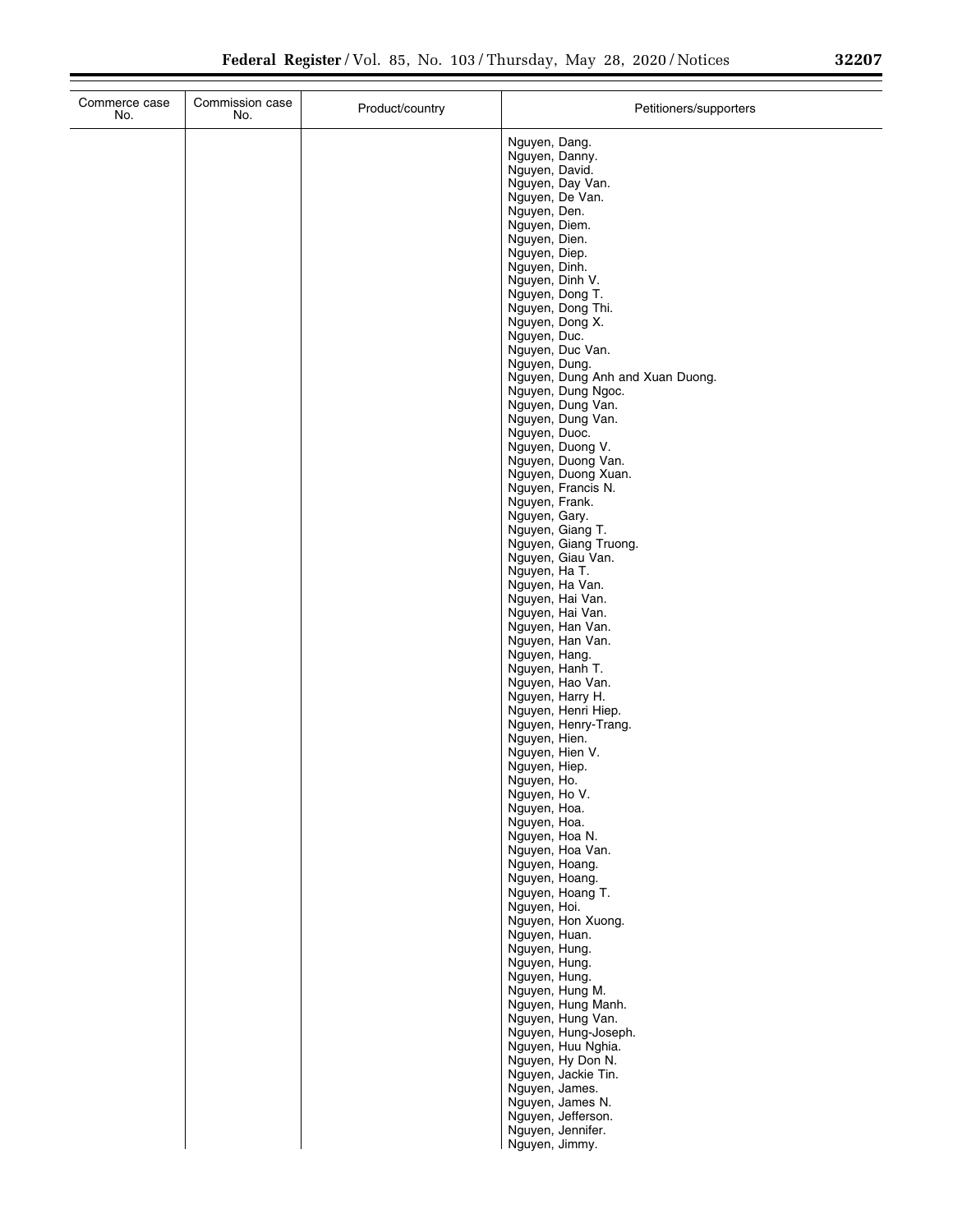| Commerce case<br>No. | Commission case<br>No. | Product/country | Petitioners/supporters                                                                                                                                                                                                                                                                                                                                                                                                                                                                                                                                                                                                                                                                                                                                                                                                                                                                                                                                                                               |
|----------------------|------------------------|-----------------|------------------------------------------------------------------------------------------------------------------------------------------------------------------------------------------------------------------------------------------------------------------------------------------------------------------------------------------------------------------------------------------------------------------------------------------------------------------------------------------------------------------------------------------------------------------------------------------------------------------------------------------------------------------------------------------------------------------------------------------------------------------------------------------------------------------------------------------------------------------------------------------------------------------------------------------------------------------------------------------------------|
|                      |                        |                 | Nguyen, Dang.<br>Nguyen, Danny.<br>Nguyen, David.<br>Nguyen, Day Van.<br>Nguyen, De Van.<br>Nguyen, Den.<br>Nguyen, Diem.<br>Nguyen, Dien.<br>Nguyen, Diep.<br>Nguyen, Dinh.<br>Nguyen, Dinh V.<br>Nguyen, Dong T.<br>Nguyen, Dong Thi.<br>Nguyen, Dong X.<br>Nguyen, Duc.<br>Nguyen, Duc Van.<br>Nguyen, Dung.<br>Nguyen, Dung Anh and Xuan Duong.<br>Nguyen, Dung Ngoc.<br>Nguyen, Dung Van.<br>Nguyen, Dung Van.<br>Nguyen, Duoc.<br>Nguyen, Duong V.<br>Nguyen, Duong Van.<br>Nguyen, Duong Xuan.<br>Nguyen, Francis N.<br>Nguyen, Frank.<br>Nguyen, Gary.<br>Nguyen, Giang T.<br>Nguyen, Giang Truong.<br>Nguyen, Giau Van.<br>Nguyen, Ha T.<br>Nguyen, Ha Van.<br>Nguyen, Hai Van.<br>Nguyen, Hai Van.<br>Nguyen, Han Van.<br>Nguyen, Han Van.<br>Nguyen, Hang.<br>Nguyen, Hanh T.<br>Nguyen, Hao Van.<br>Nguyen, Harry H.<br>Nguyen, Henri Hiep.<br>Nguyen, Henry-Trang.<br>Nguyen, Hien.<br>Nguyen, Hien V.<br>Nguyen, Hiep.<br>Nguyen, Ho.<br>Nguyen, Ho V.<br>Nguyen, Hoa.<br>Nguyen, Hoa. |
|                      |                        |                 | Nguyen, Hoa N.<br>Nguyen, Hoa Van.<br>Nguyen, Hoang.<br>Nguyen, Hoang.<br>Nguyen, Hoang T.<br>Nguyen, Hoi.<br>Nguyen, Hon Xuong.                                                                                                                                                                                                                                                                                                                                                                                                                                                                                                                                                                                                                                                                                                                                                                                                                                                                     |
|                      |                        |                 | Nguyen, Huan.<br>Nguyen, Hung.<br>Nguyen, Hung.<br>Nguyen, Hung.<br>Nguyen, Hung M.<br>Nguyen, Hung Manh.<br>Nguyen, Hung Van.<br>Nguyen, Hung-Joseph.<br>Nguyen, Huu Nghia.<br>Nguyen, Hy Don N.<br>Nguyen, Jackie Tin.<br>Nguyen, James.<br>Nguyen, James N.<br>Nguyen, Jefferson.<br>Nguyen, Jennifer.<br>Nguyen, Jimmy.                                                                                                                                                                                                                                                                                                                                                                                                                                                                                                                                                                                                                                                                          |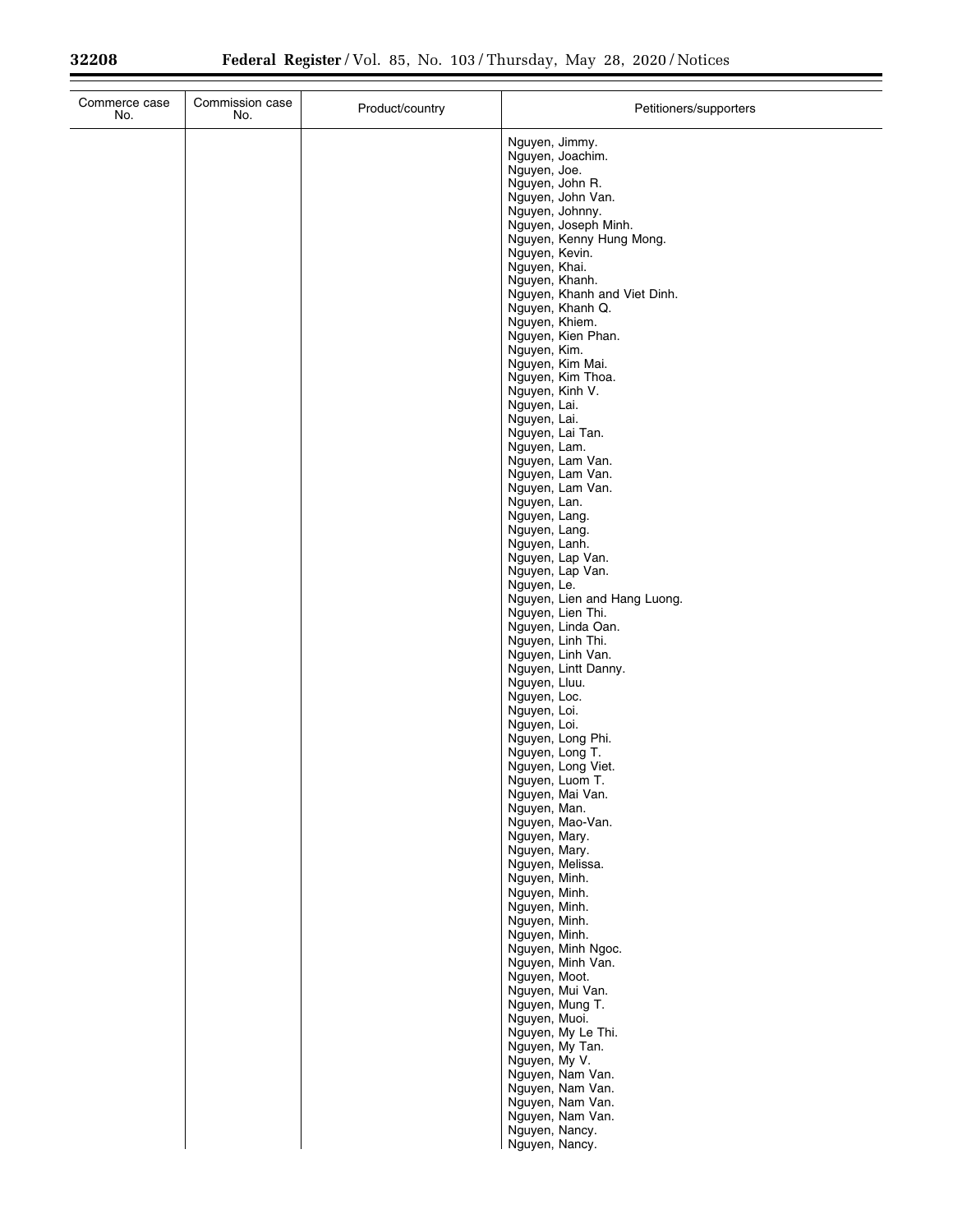| Commerce case<br>No. | Commission case<br>No. | Product/country | Petitioners/supporters                                                |
|----------------------|------------------------|-----------------|-----------------------------------------------------------------------|
|                      |                        |                 | Nguyen, Jimmy.<br>Nguyen, Joachim.<br>Nguyen, Joe.<br>Nguyen, John R. |
|                      |                        |                 | Nguyen, John Van.<br>Nguyen, Johnny.                                  |
|                      |                        |                 | Nguyen, Joseph Minh.<br>Nguyen, Kenny Hung Mong.                      |
|                      |                        |                 | Nguyen, Kevin.<br>Nguyen, Khai.                                       |
|                      |                        |                 | Nguyen, Khanh.<br>Nguyen, Khanh and Viet Dinh.                        |
|                      |                        |                 | Nguyen, Khanh Q.<br>Nguyen, Khiem.                                    |
|                      |                        |                 | Nguyen, Kien Phan.<br>Nguyen, Kim.                                    |
|                      |                        |                 | Nguyen, Kim Mai.                                                      |
|                      |                        |                 | Nguyen, Kim Thoa.<br>Nguyen, Kinh V.                                  |
|                      |                        |                 | Nguyen, Lai.<br>Nguyen, Lai.                                          |
|                      |                        |                 | Nguyen, Lai Tan.<br>Nguyen, Lam.                                      |
|                      |                        |                 | Nguyen, Lam Van.<br>Nguyen, Lam Van.                                  |
|                      |                        |                 | Nguyen, Lam Van.<br>Nguyen, Lan.                                      |
|                      |                        |                 | Nguyen, Lang.<br>Nguyen, Lang.                                        |
|                      |                        |                 | Nguyen, Lanh.<br>Nguyen, Lap Van.                                     |
|                      |                        |                 | Nguyen, Lap Van.<br>Nguyen, Le.                                       |
|                      |                        |                 | Nguyen, Lien and Hang Luong.<br>Nguyen, Lien Thi.                     |
|                      |                        |                 | Nguyen, Linda Oan.<br>Nguyen, Linh Thi.                               |
|                      |                        |                 | Nguyen, Linh Van.<br>Nguyen, Lintt Danny.                             |
|                      |                        |                 | Nguyen, Lluu.<br>Nguyen, Loc.                                         |
|                      |                        |                 | Nguyen, Loi.<br>Nguyen, Loi.                                          |
|                      |                        |                 | Nguyen, Long Phi.<br>Nguyen, Long T.                                  |
|                      |                        |                 | Nguyen, Long Viet.<br>Nguyen, Luom T.                                 |
|                      |                        |                 | Nguyen, Mai Van.                                                      |
|                      |                        |                 | Nguyen, Man.<br>Nguyen, Mao-Van.                                      |
|                      |                        |                 | Nguyen, Mary.<br>Nguyen, Mary.                                        |
|                      |                        |                 | Nguyen, Melissa.<br>Nguyen, Minh.                                     |
|                      |                        |                 | Nguyen, Minh.<br>Nguyen, Minh.                                        |
|                      |                        |                 | Nguyen, Minh.<br>Nguyen, Minh.                                        |
|                      |                        |                 | Nguyen, Minh Ngoc.<br>Nguyen, Minh Van.                               |
|                      |                        |                 | Nguyen, Moot.<br>Nguyen, Mui Van.                                     |
|                      |                        |                 | Nguyen, Mung T.<br>Nguyen, Muoi.                                      |
|                      |                        |                 | Nguyen, My Le Thi.<br>Nguyen, My Tan.                                 |
|                      |                        |                 | Nguyen, My V.<br>Nguyen, Nam Van.                                     |
|                      |                        |                 | Nguyen, Nam Van.<br>Nguyen, Nam Van.                                  |
|                      |                        |                 | Nguyen, Nam Van.                                                      |
|                      |                        |                 | Nguyen, Nancy.<br>Nguyen, Nancy.                                      |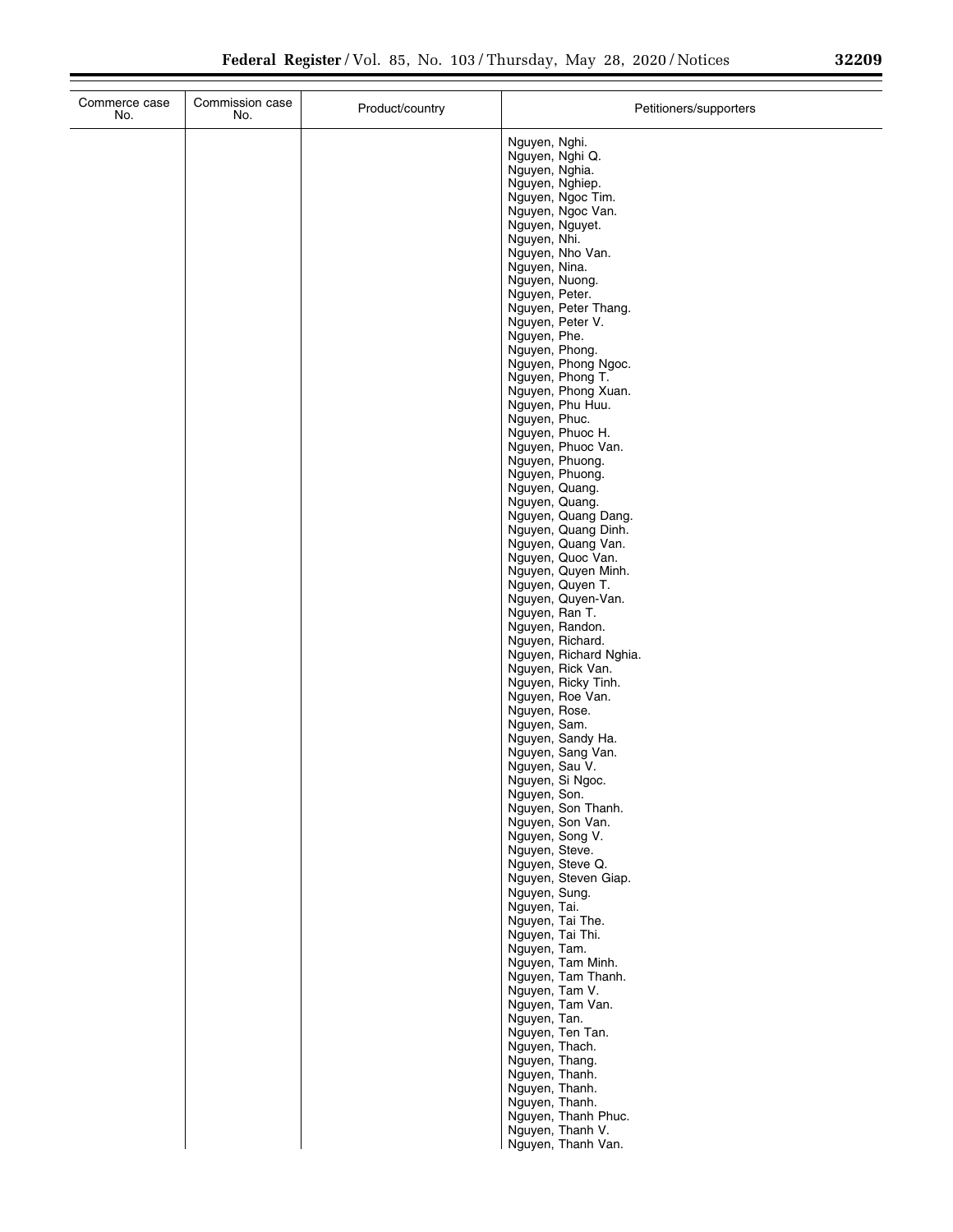| Commerce case<br>No. | Commission case<br>No. | Product/country | Petitioners/supporters                      |
|----------------------|------------------------|-----------------|---------------------------------------------|
|                      |                        |                 | Nguyen, Nghi.                               |
|                      |                        |                 | Nguyen, Nghi Q.<br>Nguyen, Nghia.           |
|                      |                        |                 | Nguyen, Nghiep.                             |
|                      |                        |                 | Nguyen, Ngoc Tim.<br>Nguyen, Ngoc Van.      |
|                      |                        |                 | Nguyen, Nguyet.                             |
|                      |                        |                 | Nguyen, Nhi.                                |
|                      |                        |                 | Nguyen, Nho Van.<br>Nguyen, Nina.           |
|                      |                        |                 | Nguyen, Nuong.                              |
|                      |                        |                 | Nguyen, Peter.<br>Nguyen, Peter Thang.      |
|                      |                        |                 | Nguyen, Peter V.                            |
|                      |                        |                 | Nguyen, Phe.<br>Nguyen, Phong.              |
|                      |                        |                 | Nguyen, Phong Ngoc.                         |
|                      |                        |                 | Nguyen, Phong T.<br>Nguyen, Phong Xuan.     |
|                      |                        |                 | Nguyen, Phu Huu.                            |
|                      |                        |                 | Nguyen, Phuc.                               |
|                      |                        |                 | Nguyen, Phuoc H.<br>Nguyen, Phuoc Van.      |
|                      |                        |                 | Nguyen, Phuong.                             |
|                      |                        |                 | Nguyen, Phuong.<br>Nguyen, Quang.           |
|                      |                        |                 | Nguyen, Quang.                              |
|                      |                        |                 | Nguyen, Quang Dang.<br>Nguyen, Quang Dinh.  |
|                      |                        |                 | Nguyen, Quang Van.                          |
|                      |                        |                 | Nguyen, Quoc Van.<br>Nguyen, Quyen Minh.    |
|                      |                        |                 | Nguyen, Quyen T.                            |
|                      |                        |                 | Nguyen, Quyen-Van.                          |
|                      |                        |                 | Nguyen, Ran T.<br>Nguyen, Randon.           |
|                      |                        |                 | Nguyen, Richard.                            |
|                      |                        |                 | Nguyen, Richard Nghia.<br>Nguyen, Rick Van. |
|                      |                        |                 | Nguyen, Ricky Tinh.                         |
|                      |                        |                 | Nguyen, Roe Van.<br>Nguyen, Rose.           |
|                      |                        |                 | Nguyen, Sam.                                |
|                      |                        |                 | Nguyen, Sandy Ha.<br>Nguyen, Sang Van.      |
|                      |                        |                 | Nguyen, Sau V.                              |
|                      |                        |                 | Nguyen, Si Ngoc.                            |
|                      |                        |                 | Nguyen, Son.<br>Nguyen, Son Thanh.          |
|                      |                        |                 | Nguyen, Son Van.                            |
|                      |                        |                 | Nguyen, Song V.<br>Nguyen, Steve.           |
|                      |                        |                 | Nguyen, Steve Q.                            |
|                      |                        |                 | Nguyen, Steven Giap.<br>Nguyen, Sung.       |
|                      |                        |                 | Nguyen, Tai.                                |
|                      |                        |                 | Nguyen, Tai The.<br>Nguyen, Tai Thi.        |
|                      |                        |                 | Nguyen, Tam.                                |
|                      |                        |                 | Nguyen, Tam Minh.                           |
|                      |                        |                 | Nguyen, Tam Thanh.<br>Nguyen, Tam V.        |
|                      |                        |                 | Nguyen, Tam Van.                            |
|                      |                        |                 | Nguyen, Tan.<br>Nguyen, Ten Tan.            |
|                      |                        |                 | Nguyen, Thach.                              |
|                      |                        |                 | Nguyen, Thang.<br>Nguyen, Thanh.            |
|                      |                        |                 | Nguyen, Thanh.                              |
|                      |                        |                 | Nguyen, Thanh.                              |
|                      |                        |                 | Nguyen, Thanh Phuc.<br>Nguyen, Thanh V.     |
|                      |                        |                 | Nguyen, Thanh Van.                          |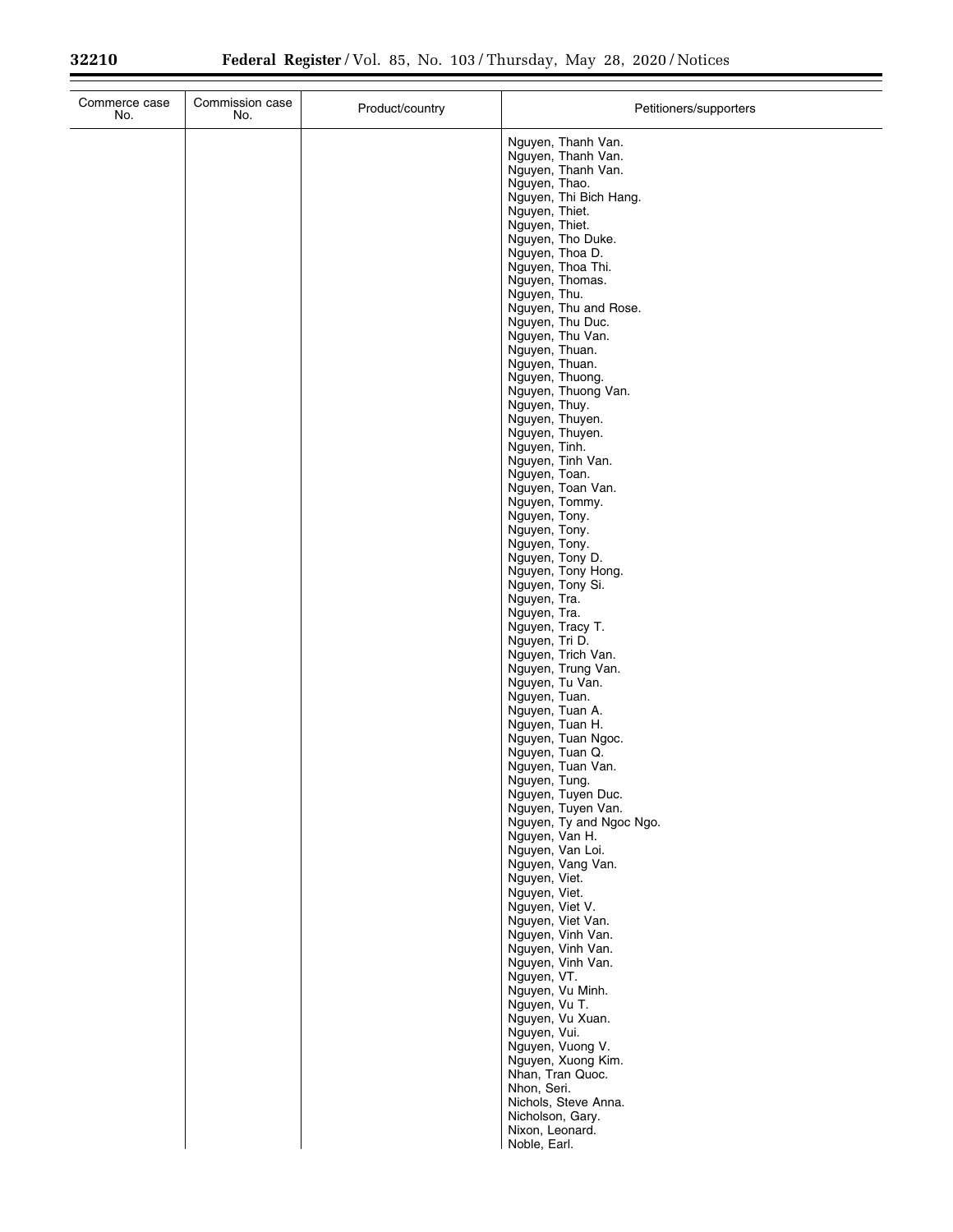| Commerce case<br>No. | Commission case<br>No. | Product/country | Petitioners/supporters                                                                                                                                                                                                                                                                                                                                                                                                                                                                                                                                                                                                                                                                                                                                                                                                                                                                                                                                                                                                                                                                                                                                                                                                                                      |
|----------------------|------------------------|-----------------|-------------------------------------------------------------------------------------------------------------------------------------------------------------------------------------------------------------------------------------------------------------------------------------------------------------------------------------------------------------------------------------------------------------------------------------------------------------------------------------------------------------------------------------------------------------------------------------------------------------------------------------------------------------------------------------------------------------------------------------------------------------------------------------------------------------------------------------------------------------------------------------------------------------------------------------------------------------------------------------------------------------------------------------------------------------------------------------------------------------------------------------------------------------------------------------------------------------------------------------------------------------|
|                      |                        |                 | Nguyen, Thanh Van.<br>Nguyen, Thanh Van.<br>Nguyen, Thanh Van.<br>Nguyen, Thao.<br>Nguyen, Thi Bich Hang.<br>Nguyen, Thiet.<br>Nguyen, Thiet.<br>Nguyen, Tho Duke.<br>Nguyen, Thoa D.<br>Nguyen, Thoa Thi.<br>Nguyen, Thomas.<br>Nguyen, Thu.<br>Nguyen, Thu and Rose.<br>Nguyen, Thu Duc.<br>Nguyen, Thu Van.<br>Nguyen, Thuan.<br>Nguyen, Thuan.<br>Nguyen, Thuong.<br>Nguyen, Thuong Van.<br>Nguyen, Thuy.<br>Nguyen, Thuyen.<br>Nguyen, Thuyen.<br>Nguyen, Tinh.<br>Nguyen, Tinh Van.<br>Nguyen, Toan.<br>Nguyen, Toan Van.<br>Nguyen, Tommy.<br>Nguyen, Tony.<br>Nguyen, Tony.<br>Nguyen, Tony.<br>Nguyen, Tony D.<br>Nguyen, Tony Hong.<br>Nguyen, Tony Si.<br>Nguyen, Tra.<br>Nguyen, Tra.<br>Nguyen, Tracy T.<br>Nguyen, Tri D.<br>Nguyen, Trich Van.<br>Nguyen, Trung Van.<br>Nguyen, Tu Van.<br>Nguyen, Tuan.<br>Nguyen, Tuan A.<br>Nguyen, Tuan H.<br>Nguyen, Tuan Ngoc.<br>Nguyen, Tuan Q.<br>Nguyen, Tuan Van.<br>Nguyen, Tung.<br>Nguyen, Tuyen Duc.<br>Nguyen, Tuyen Van.<br>Nguyen, Ty and Ngoc Ngo.<br>Nguyen, Van H.<br>Nguyen, Van Loi.<br>Nguyen, Vang Van.<br>Nguyen, Viet.<br>Nguyen, Viet.<br>Nguyen, Viet V.<br>Nguyen, Viet Van.<br>Nguyen, Vinh Van.<br>Nguyen, Vinh Van.<br>Nguyen, Vinh Van.<br>Nguyen, VT.<br>Nguyen, Vu Minh. |
|                      |                        |                 | Nguyen, Vu T.<br>Nguyen, Vu Xuan.<br>Nguyen, Vui.<br>Nguyen, Vuong V.<br>Nguyen, Xuong Kim.                                                                                                                                                                                                                                                                                                                                                                                                                                                                                                                                                                                                                                                                                                                                                                                                                                                                                                                                                                                                                                                                                                                                                                 |
|                      |                        |                 | Nhan, Tran Quoc.<br>Nhon, Seri.<br>Nichols, Steve Anna.<br>Nicholson, Gary.<br>Nixon, Leonard.<br>Noble, Earl.                                                                                                                                                                                                                                                                                                                                                                                                                                                                                                                                                                                                                                                                                                                                                                                                                                                                                                                                                                                                                                                                                                                                              |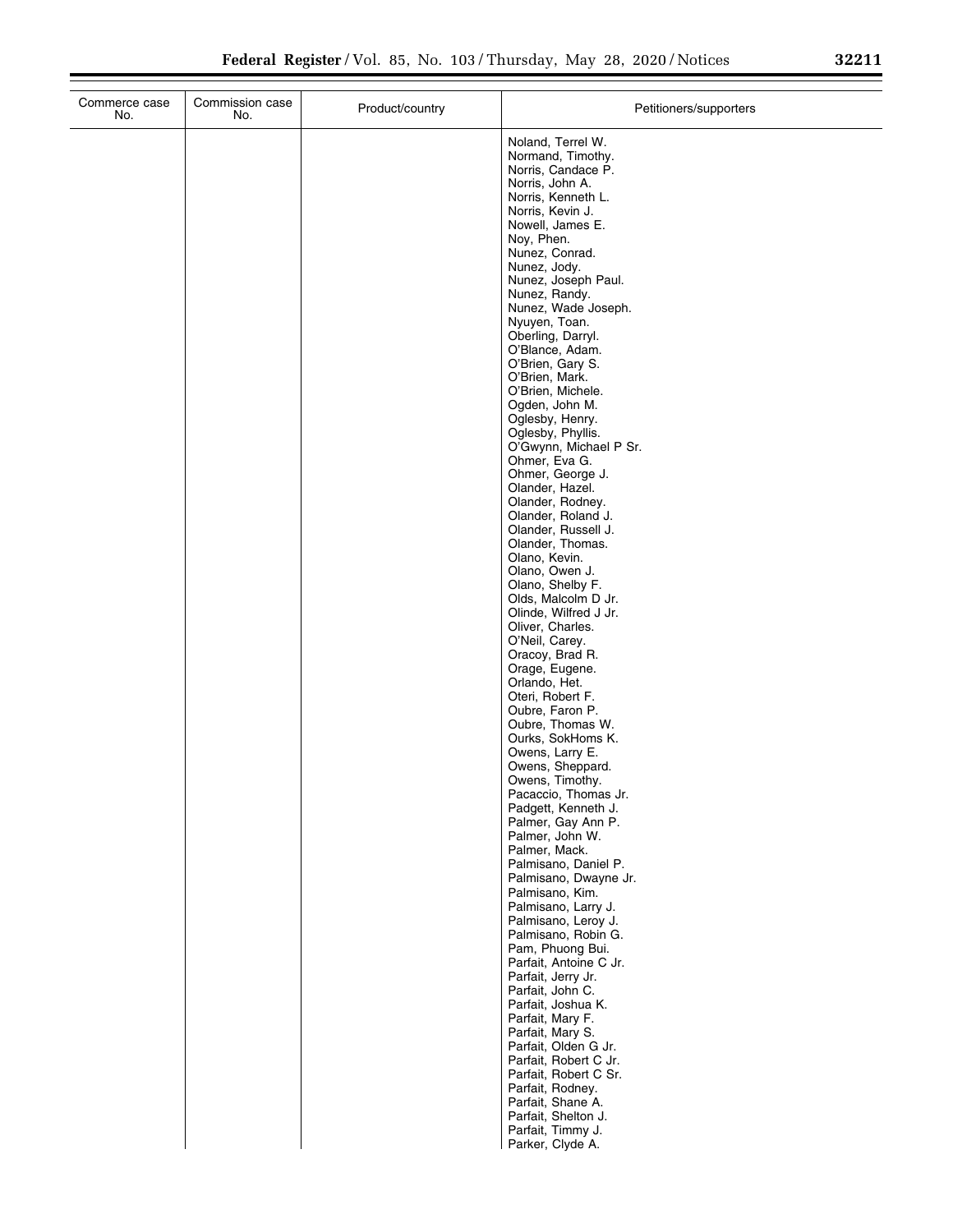| Commerce case<br>No. | Commission case<br>No. | Product/country | Petitioners/supporters                                                                                                                                                                                                                                                                                                                                                                                                                                                                                                                                                                                                                                                                                                                                                                                                                                                                                                                                                                                                                                                                                                                                                                                                                                                                                                                                                                                                                                               |
|----------------------|------------------------|-----------------|----------------------------------------------------------------------------------------------------------------------------------------------------------------------------------------------------------------------------------------------------------------------------------------------------------------------------------------------------------------------------------------------------------------------------------------------------------------------------------------------------------------------------------------------------------------------------------------------------------------------------------------------------------------------------------------------------------------------------------------------------------------------------------------------------------------------------------------------------------------------------------------------------------------------------------------------------------------------------------------------------------------------------------------------------------------------------------------------------------------------------------------------------------------------------------------------------------------------------------------------------------------------------------------------------------------------------------------------------------------------------------------------------------------------------------------------------------------------|
|                      |                        |                 | Noland, Terrel W.<br>Normand, Timothy.<br>Norris, Candace P.<br>Norris, John A.<br>Norris, Kenneth L.<br>Norris, Kevin J.<br>Nowell, James E.<br>Noy, Phen.<br>Nunez, Conrad.<br>Nunez, Jody.<br>Nunez, Joseph Paul.<br>Nunez, Randy.<br>Nunez, Wade Joseph.<br>Nyuyen, Toan.<br>Oberling, Darryl.<br>O'Blance, Adam.<br>O'Brien, Gary S.<br>O'Brien, Mark.<br>O'Brien, Michele.<br>Ogden, John M.<br>Oglesby, Henry.<br>Oglesby, Phyllis.<br>O'Gwynn, Michael P Sr.<br>Ohmer, Eva G.<br>Ohmer, George J.<br>Olander, Hazel.<br>Olander, Rodney.<br>Olander, Roland J.<br>Olander, Russell J.<br>Olander, Thomas.<br>Olano, Kevin.<br>Olano, Owen J.<br>Olano, Shelby F.<br>Olds, Malcolm D Jr.<br>Olinde, Wilfred J Jr.<br>Oliver, Charles.<br>O'Neil, Carey.<br>Oracoy, Brad R.<br>Orage, Eugene.<br>Orlando, Het.<br>Oteri, Robert F.<br>Oubre, Faron P.<br>Oubre, Thomas W.<br>Ourks, SokHoms K.<br>Owens, Larry E.<br>Owens, Sheppard.<br>Owens, Timothy.<br>Pacaccio, Thomas Jr.<br>Padgett, Kenneth J.<br>Palmer, Gay Ann P.<br>Palmer, John W.<br>Palmer, Mack.<br>Palmisano, Daniel P.<br>Palmisano, Dwayne Jr.<br>Palmisano, Kim.<br>Palmisano, Larry J.<br>Palmisano, Leroy J.<br>Palmisano, Robin G.<br>Pam, Phuong Bui.<br>Parfait, Antoine C Jr.<br>Parfait, Jerry Jr.<br>Parfait, John C.<br>Parfait, Joshua K.<br>Parfait, Mary F.<br>Parfait, Mary S.<br>Parfait, Olden G Jr.<br>Parfait, Robert C Jr.<br>Parfait, Robert C Sr.<br>Parfait, Rodney. |
|                      |                        |                 | Parfait, Shane A.<br>Parfait, Shelton J.<br>Parfait, Timmy J.<br>Parker, Clyde A.                                                                                                                                                                                                                                                                                                                                                                                                                                                                                                                                                                                                                                                                                                                                                                                                                                                                                                                                                                                                                                                                                                                                                                                                                                                                                                                                                                                    |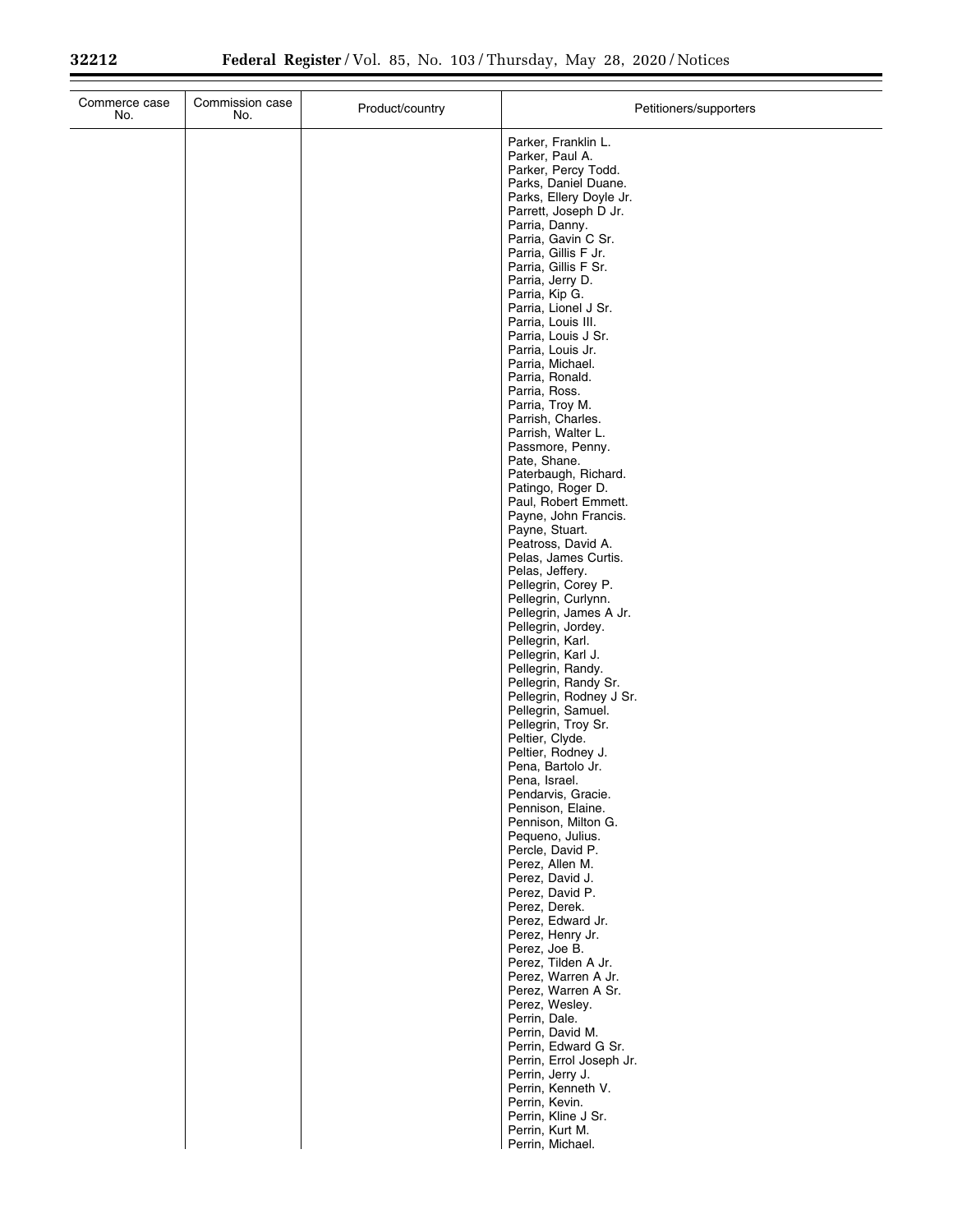| Parker, Franklin L.<br>Parker, Paul A.<br>Parker, Percy Todd.<br>Parks, Daniel Duane.<br>Parks, Ellery Doyle Jr.<br>Parrett, Joseph D Jr.<br>Parria, Danny.<br>Parria, Gavin C Sr.<br>Parria, Gillis F Jr.<br>Parria, Gillis F Sr.<br>Parria, Jerry D.<br>Parria, Kip G.<br>Parria, Lionel J Sr.<br>Parria, Louis III.<br>Parria, Louis J Sr.<br>Parria, Louis Jr.<br>Parria, Michael.<br>Parria, Ronald.<br>Parria, Ross.<br>Parria, Troy M.<br>Parrish, Charles.<br>Parrish, Walter L.<br>Passmore, Penny.<br>Pate, Shane.<br>Paterbaugh, Richard.<br>Patingo, Roger D.<br>Paul, Robert Emmett.<br>Payne, John Francis.<br>Payne, Stuart.<br>Peatross, David A.<br>Pelas, James Curtis.<br>Pelas, Jeffery.<br>Pellegrin, Corey P.<br>Pellegrin, Curlynn.<br>Pellegrin, James A Jr.<br>Pellegrin, Jordey.<br>Pellegrin, Karl.<br>Pellegrin, Karl J.<br>Pellegrin, Randy.<br>Pellegrin, Randy Sr.<br>Pellegrin, Rodney J Sr.<br>Pellegrin, Samuel.<br>Pellegrin, Troy Sr.<br>Peltier, Clyde.<br>Peltier, Rodney J.<br>Pena, Bartolo Jr.<br>Pena, Israel.<br>Pendarvis, Gracie.<br>Pennison, Elaine.<br>Pennison, Milton G.<br>Pequeno, Julius.<br>Percle, David P.<br>Perez, Allen M.<br>Perez, David J.<br>Perez, David P.<br>Perez, Derek.<br>Perez, Edward Jr.<br>Perez, Henry Jr.<br>Perez, Joe B.<br>Perez, Tilden A Jr.<br>Perez, Warren A Jr.<br>Perez, Warren A Sr.<br>Perez, Wesley.<br>Perrin, Dale.<br>Perrin, David M.<br>Perrin, Edward G Sr.<br>Perrin, Errol Joseph Jr.<br>Perrin, Jerry J.<br>Perrin, Kenneth V.<br>Perrin, Kevin.<br>Perrin, Kline J Sr.<br>Perrin, Kurt M. | Commerce case<br>No. | Commission case<br>No. | Product/country | Petitioners/supporters |
|----------------------------------------------------------------------------------------------------------------------------------------------------------------------------------------------------------------------------------------------------------------------------------------------------------------------------------------------------------------------------------------------------------------------------------------------------------------------------------------------------------------------------------------------------------------------------------------------------------------------------------------------------------------------------------------------------------------------------------------------------------------------------------------------------------------------------------------------------------------------------------------------------------------------------------------------------------------------------------------------------------------------------------------------------------------------------------------------------------------------------------------------------------------------------------------------------------------------------------------------------------------------------------------------------------------------------------------------------------------------------------------------------------------------------------------------------------------------------------------------------------------------------------------------------------------------------------------------|----------------------|------------------------|-----------------|------------------------|
|                                                                                                                                                                                                                                                                                                                                                                                                                                                                                                                                                                                                                                                                                                                                                                                                                                                                                                                                                                                                                                                                                                                                                                                                                                                                                                                                                                                                                                                                                                                                                                                              |                      |                        |                 |                        |
|                                                                                                                                                                                                                                                                                                                                                                                                                                                                                                                                                                                                                                                                                                                                                                                                                                                                                                                                                                                                                                                                                                                                                                                                                                                                                                                                                                                                                                                                                                                                                                                              |                      |                        |                 |                        |
|                                                                                                                                                                                                                                                                                                                                                                                                                                                                                                                                                                                                                                                                                                                                                                                                                                                                                                                                                                                                                                                                                                                                                                                                                                                                                                                                                                                                                                                                                                                                                                                              |                      |                        |                 |                        |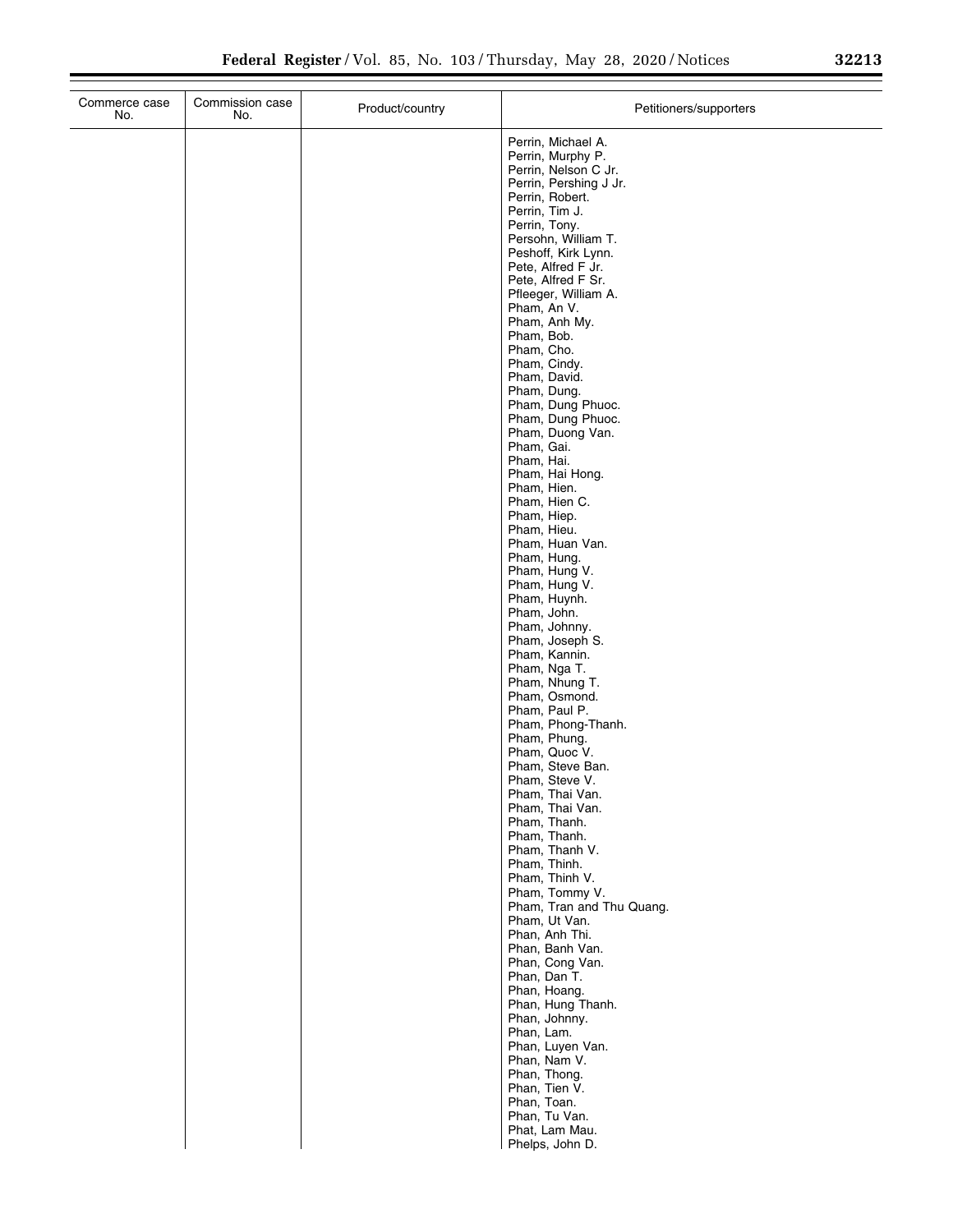| Commerce case<br>No. | Commission case<br>No. | Product/country | Petitioners/supporters                                          |
|----------------------|------------------------|-----------------|-----------------------------------------------------------------|
|                      |                        |                 | Perrin, Michael A.<br>Perrin, Murphy P.<br>Perrin, Nelson C Jr. |
|                      |                        |                 | Perrin, Pershing J Jr.<br>Perrin, Robert.                       |
|                      |                        |                 | Perrin, Tim J.                                                  |
|                      |                        |                 | Perrin, Tony.<br>Persohn, William T.                            |
|                      |                        |                 | Peshoff, Kirk Lynn.                                             |
|                      |                        |                 | Pete, Alfred F Jr.<br>Pete, Alfred F Sr.                        |
|                      |                        |                 | Pfleeger, William A.<br>Pham, An V.                             |
|                      |                        |                 | Pham, Anh My.                                                   |
|                      |                        |                 | Pham, Bob.<br>Pham, Cho.                                        |
|                      |                        |                 | Pham, Cindy.                                                    |
|                      |                        |                 | Pham, David.<br>Pham, Dung.                                     |
|                      |                        |                 | Pham, Dung Phuoc.                                               |
|                      |                        |                 | Pham, Dung Phuoc.<br>Pham, Duong Van.                           |
|                      |                        |                 | Pham, Gai.<br>Pham, Hai.                                        |
|                      |                        |                 | Pham, Hai Hong.                                                 |
|                      |                        |                 | Pham, Hien.<br>Pham, Hien C.                                    |
|                      |                        |                 | Pham, Hiep.                                                     |
|                      |                        |                 | Pham, Hieu.<br>Pham, Huan Van.                                  |
|                      |                        |                 | Pham, Hung.                                                     |
|                      |                        |                 | Pham, Hung V.<br>Pham, Hung V.                                  |
|                      |                        |                 | Pham, Huynh.<br>Pham, John.                                     |
|                      |                        |                 | Pham, Johnny.                                                   |
|                      |                        |                 | Pham, Joseph S.<br>Pham, Kannin.                                |
|                      |                        |                 | Pham, Nga T.                                                    |
|                      |                        |                 | Pham, Nhung T.<br>Pham, Osmond.                                 |
|                      |                        |                 | Pham, Paul P.                                                   |
|                      |                        |                 | Pham, Phong-Thanh.<br>Pham, Phung.                              |
|                      |                        |                 | Pham, Quoc V.<br>Pham, Steve Ban.                               |
|                      |                        |                 | Pham, Steve V.                                                  |
|                      |                        |                 | Pham, Thai Van.<br>Pham, Thai Van.                              |
|                      |                        |                 | Pham, Thanh.                                                    |
|                      |                        |                 | Pham, Thanh.<br>Pham, Thanh V.                                  |
|                      |                        |                 | Pham, Thinh.                                                    |
|                      |                        |                 | Pham, Thinh V.<br>Pham, Tommy V.                                |
|                      |                        |                 | Pham, Tran and Thu Quang.<br>Pham, Ut Van.                      |
|                      |                        |                 | Phan, Anh Thi.                                                  |
|                      |                        |                 | Phan, Banh Van.<br>Phan, Cong Van.                              |
|                      |                        |                 | Phan, Dan T.                                                    |
|                      |                        |                 | Phan, Hoang.<br>Phan, Hung Thanh.                               |
|                      |                        |                 | Phan, Johnny.                                                   |
|                      |                        |                 | Phan, Lam.<br>Phan, Luyen Van.                                  |
|                      |                        |                 | Phan, Nam V.                                                    |
|                      |                        |                 | Phan, Thong.<br>Phan, Tien V.                                   |
|                      |                        |                 | Phan, Toan.                                                     |
|                      |                        |                 | Phan, Tu Van.<br>Phat, Lam Mau.                                 |
|                      |                        |                 | Phelps, John D.                                                 |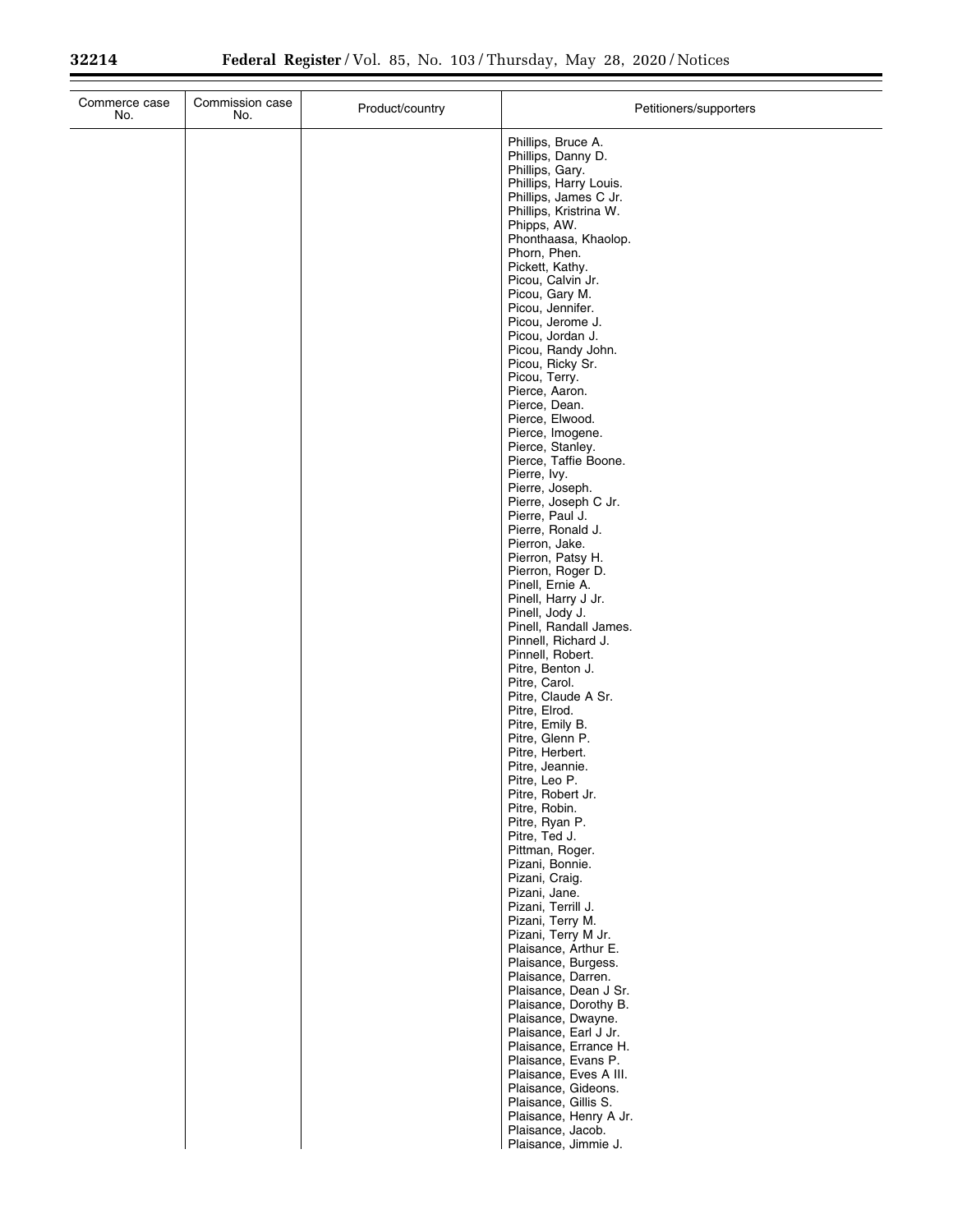| Commerce case<br>No. | Commission case<br>No. | Product/country | Petitioners/supporters                                                                                                                                                                                                                                                                                                |
|----------------------|------------------------|-----------------|-----------------------------------------------------------------------------------------------------------------------------------------------------------------------------------------------------------------------------------------------------------------------------------------------------------------------|
|                      |                        |                 | Phillips, Bruce A.<br>Phillips, Danny D.<br>Phillips, Gary.<br>Phillips, Harry Louis.<br>Phillips, James C Jr.<br>Phillips, Kristrina W.<br>Phipps, AW.<br>Phonthaasa, Khaolop.<br>Phorn, Phen.<br>Pickett, Kathy.<br>Picou, Calvin Jr.<br>Picou, Gary M.<br>Picou, Jennifer.<br>Picou, Jerome J.<br>Picou, Jordan J. |
|                      |                        |                 | Picou, Randy John.<br>Picou, Ricky Sr.<br>Picou, Terry.<br>Pierce, Aaron.<br>Pierce, Dean.<br>Pierce, Elwood.<br>Pierce, Imogene.<br>Pierce, Stanley.<br>Pierce, Taffie Boone.<br>Pierre, Ivy.<br>Pierre, Joseph.<br>Pierre, Joseph C Jr.                                                                             |
|                      |                        |                 | Pierre, Paul J.<br>Pierre, Ronald J.<br>Pierron, Jake.<br>Pierron, Patsy H.<br>Pierron, Roger D.<br>Pinell, Ernie A.<br>Pinell, Harry J Jr.<br>Pinell, Jody J.<br>Pinell, Randall James.<br>Pinnell, Richard J.<br>Pinnell, Robert.                                                                                   |
|                      |                        |                 | Pitre, Benton J.<br>Pitre, Carol.<br>Pitre, Claude A Sr.<br>Pitre, Elrod.<br>Pitre, Emily B.<br>Pitre, Glenn P.<br>Pitre, Herbert.<br>Pitre, Jeannie.<br>Pitre, Leo P.<br>Pitre, Robert Jr.<br>Pitre, Robin.                                                                                                          |
|                      |                        |                 | Pitre, Ryan P.<br>Pitre, Ted J.<br>Pittman, Roger.<br>Pizani, Bonnie.<br>Pizani, Craig.<br>Pizani, Jane.<br>Pizani, Terrill J.<br>Pizani, Terry M.<br>Pizani, Terry M Jr.<br>Plaisance, Arthur E.                                                                                                                     |
|                      |                        |                 | Plaisance, Burgess.<br>Plaisance, Darren.<br>Plaisance, Dean J Sr.<br>Plaisance, Dorothy B.<br>Plaisance, Dwayne.<br>Plaisance, Earl J Jr.<br>Plaisance, Errance H.<br>Plaisance, Evans P.<br>Plaisance, Eves A III.<br>Plaisance, Gideons.<br>Plaisance, Gillis S.<br>Plaisance, Henry A Jr.                         |
|                      |                        |                 | Plaisance, Jacob.<br>Plaisance, Jimmie J.                                                                                                                                                                                                                                                                             |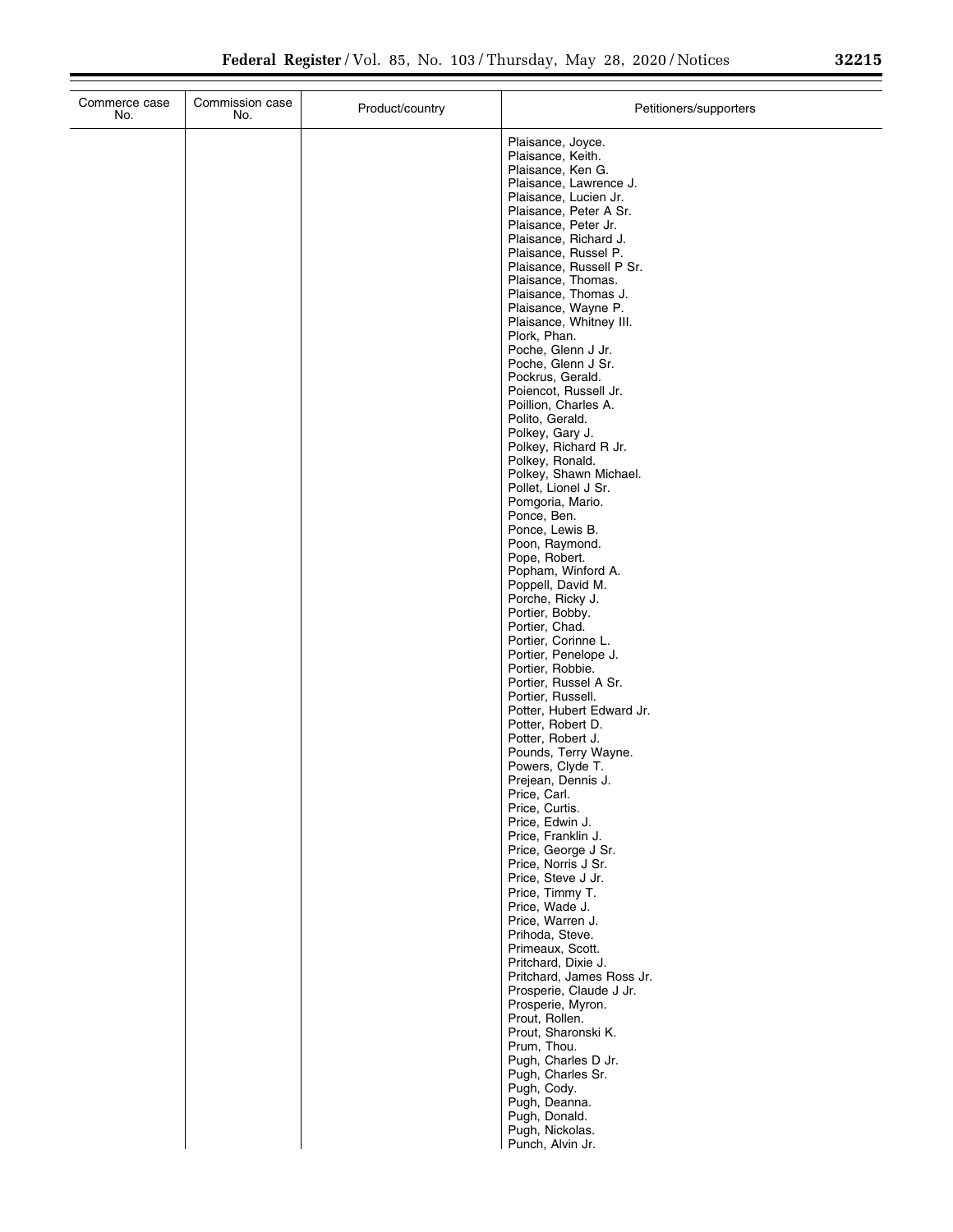| Plaisance, Joyce.<br>Plaisance, Keith.<br>Plaisance, Ken G.<br>Plaisance, Lawrence J.<br>Plaisance, Lucien Jr.<br>Plaisance, Peter A Sr.<br>Plaisance, Peter Jr.<br>Plaisance, Richard J.<br>Plaisance, Russel P.<br>Plaisance, Russell P Sr.<br>Plaisance, Thomas.<br>Plaisance, Thomas J.<br>Plaisance, Wayne P.<br>Plaisance, Whitney III.<br>Plork, Phan.<br>Poche, Glenn J Jr.<br>Poche, Glenn J Sr.<br>Pockrus, Gerald.<br>Poiencot, Russell Jr.<br>Poillion, Charles A.<br>Polito, Gerald.<br>Polkey, Gary J.<br>Polkey, Richard R Jr.<br>Polkey, Ronald.<br>Polkey, Shawn Michael.<br>Pollet, Lionel J Sr.<br>Pomgoria, Mario.<br>Ponce, Ben.<br>Ponce, Lewis B.<br>Poon, Raymond.<br>Pope, Robert.<br>Popham, Winford A.<br>Poppell, David M.<br>Porche, Ricky J.<br>Portier, Bobby.<br>Portier, Chad.<br>Portier, Corinne L.<br>Portier, Penelope J.<br>Portier, Robbie.<br>Portier, Russel A Sr.<br>Portier, Russell.<br>Potter, Hubert Edward Jr.<br>Potter, Robert D.<br>Potter, Robert J.<br>Pounds, Terry Wayne.<br>Powers, Clyde T.<br>Prejean, Dennis J.<br>Price, Carl.<br>Price, Curtis.<br>Price, Edwin J.<br>Price, Franklin J.<br>Price, George J Sr.<br>Price, Norris J Sr.<br>Price, Steve J Jr.<br>Price, Timmy T.<br>Price, Wade J.<br>Price, Warren J.<br>Prihoda, Steve.<br>Primeaux, Scott.<br>Pritchard, Dixie J.<br>Pritchard, James Ross Jr.<br>Prosperie, Claude J Jr. | Commerce case<br>No. | Commission case<br>No. | Product/country | Petitioners/supporters |
|---------------------------------------------------------------------------------------------------------------------------------------------------------------------------------------------------------------------------------------------------------------------------------------------------------------------------------------------------------------------------------------------------------------------------------------------------------------------------------------------------------------------------------------------------------------------------------------------------------------------------------------------------------------------------------------------------------------------------------------------------------------------------------------------------------------------------------------------------------------------------------------------------------------------------------------------------------------------------------------------------------------------------------------------------------------------------------------------------------------------------------------------------------------------------------------------------------------------------------------------------------------------------------------------------------------------------------------------------------------------------------------------------------|----------------------|------------------------|-----------------|------------------------|
|                                                                                                                                                                                                                                                                                                                                                                                                                                                                                                                                                                                                                                                                                                                                                                                                                                                                                                                                                                                                                                                                                                                                                                                                                                                                                                                                                                                                         |                      |                        |                 |                        |
|                                                                                                                                                                                                                                                                                                                                                                                                                                                                                                                                                                                                                                                                                                                                                                                                                                                                                                                                                                                                                                                                                                                                                                                                                                                                                                                                                                                                         |                      |                        |                 |                        |
|                                                                                                                                                                                                                                                                                                                                                                                                                                                                                                                                                                                                                                                                                                                                                                                                                                                                                                                                                                                                                                                                                                                                                                                                                                                                                                                                                                                                         |                      |                        |                 |                        |
|                                                                                                                                                                                                                                                                                                                                                                                                                                                                                                                                                                                                                                                                                                                                                                                                                                                                                                                                                                                                                                                                                                                                                                                                                                                                                                                                                                                                         |                      |                        |                 |                        |
|                                                                                                                                                                                                                                                                                                                                                                                                                                                                                                                                                                                                                                                                                                                                                                                                                                                                                                                                                                                                                                                                                                                                                                                                                                                                                                                                                                                                         |                      |                        |                 |                        |
|                                                                                                                                                                                                                                                                                                                                                                                                                                                                                                                                                                                                                                                                                                                                                                                                                                                                                                                                                                                                                                                                                                                                                                                                                                                                                                                                                                                                         |                      |                        |                 |                        |
| Prout, Rollen.                                                                                                                                                                                                                                                                                                                                                                                                                                                                                                                                                                                                                                                                                                                                                                                                                                                                                                                                                                                                                                                                                                                                                                                                                                                                                                                                                                                          |                      |                        |                 | Prosperie, Myron.      |
| Prout, Sharonski K.<br>Prum, Thou.<br>Pugh, Charles D Jr.<br>Pugh, Charles Sr.<br>Pugh, Cody.<br>Pugh, Deanna.<br>Pugh, Donald.<br>Pugh, Nickolas.<br>Punch, Alvin Jr.                                                                                                                                                                                                                                                                                                                                                                                                                                                                                                                                                                                                                                                                                                                                                                                                                                                                                                                                                                                                                                                                                                                                                                                                                                  |                      |                        |                 |                        |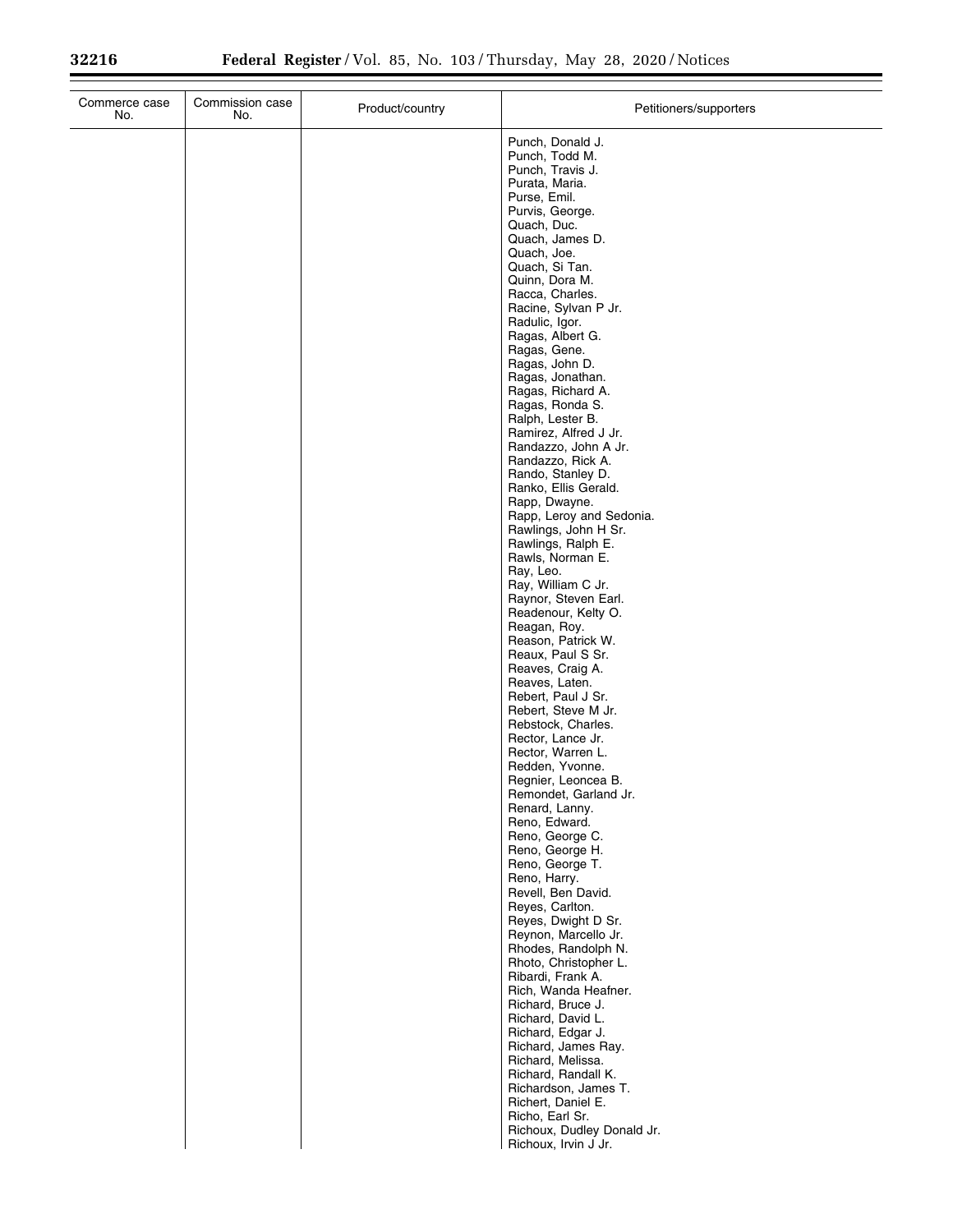| Commerce case<br>No. | Commission case<br>No. | Product/country | Petitioners/supporters                        |
|----------------------|------------------------|-----------------|-----------------------------------------------|
|                      |                        |                 | Punch, Donald J.                              |
|                      |                        |                 | Punch, Todd M.<br>Punch, Travis J.            |
|                      |                        |                 | Purata, Maria.                                |
|                      |                        |                 | Purse, Emil.<br>Purvis, George.               |
|                      |                        |                 | Quach, Duc.                                   |
|                      |                        |                 | Quach, James D.<br>Quach, Joe.                |
|                      |                        |                 | Quach, Si Tan.                                |
|                      |                        |                 | Quinn, Dora M.                                |
|                      |                        |                 | Racca, Charles.<br>Racine, Sylvan P Jr.       |
|                      |                        |                 | Radulic, Igor.                                |
|                      |                        |                 | Ragas, Albert G.<br>Ragas, Gene.              |
|                      |                        |                 | Ragas, John D.                                |
|                      |                        |                 | Ragas, Jonathan.<br>Ragas, Richard A.         |
|                      |                        |                 | Ragas, Ronda S.                               |
|                      |                        |                 | Ralph, Lester B.<br>Ramirez, Alfred J Jr.     |
|                      |                        |                 | Randazzo, John A Jr.                          |
|                      |                        |                 | Randazzo, Rick A.<br>Rando, Stanley D.        |
|                      |                        |                 | Ranko, Ellis Gerald.                          |
|                      |                        |                 | Rapp, Dwayne.<br>Rapp, Leroy and Sedonia.     |
|                      |                        |                 | Rawlings, John H Sr.                          |
|                      |                        |                 | Rawlings, Ralph E.<br>Rawls, Norman E.        |
|                      |                        |                 | Ray, Leo.                                     |
|                      |                        |                 | Ray, William C Jr.<br>Raynor, Steven Earl.    |
|                      |                        |                 | Readenour, Kelty O.                           |
|                      |                        |                 | Reagan, Roy.                                  |
|                      |                        |                 | Reason, Patrick W.<br>Reaux, Paul S Sr.       |
|                      |                        |                 | Reaves, Craig A.                              |
|                      |                        |                 | Reaves, Laten.<br>Rebert, Paul J Sr.          |
|                      |                        |                 | Rebert, Steve M Jr.                           |
|                      |                        |                 | Rebstock, Charles.<br>Rector, Lance Jr.       |
|                      |                        |                 | Rector, Warren L.                             |
|                      |                        |                 | Redden, Yvonne.<br>Regnier, Leoncea B.        |
|                      |                        |                 | Remondet, Garland Jr.                         |
|                      |                        |                 | Renard, Lanny.<br>Reno, Edward.               |
|                      |                        |                 | Reno, George C.                               |
|                      |                        |                 | Reno, George H.<br>Reno, George T.            |
|                      |                        |                 | Reno, Harry.                                  |
|                      |                        |                 | Revell, Ben David.<br>Reyes, Carlton.         |
|                      |                        |                 | Reyes, Dwight D Sr.                           |
|                      |                        |                 | Reynon, Marcello Jr.<br>Rhodes, Randolph N.   |
|                      |                        |                 | Rhoto, Christopher L.                         |
|                      |                        |                 | Ribardi, Frank A.<br>Rich, Wanda Heafner.     |
|                      |                        |                 | Richard, Bruce J.                             |
|                      |                        |                 | Richard, David L.<br>Richard, Edgar J.        |
|                      |                        |                 | Richard, James Ray.                           |
|                      |                        |                 | Richard, Melissa.<br>Richard, Randall K.      |
|                      |                        |                 | Richardson, James T.                          |
|                      |                        |                 | Richert, Daniel E.                            |
|                      |                        |                 | Richo, Earl Sr.<br>Richoux, Dudley Donald Jr. |
|                      |                        |                 | Richoux, Irvin J Jr.                          |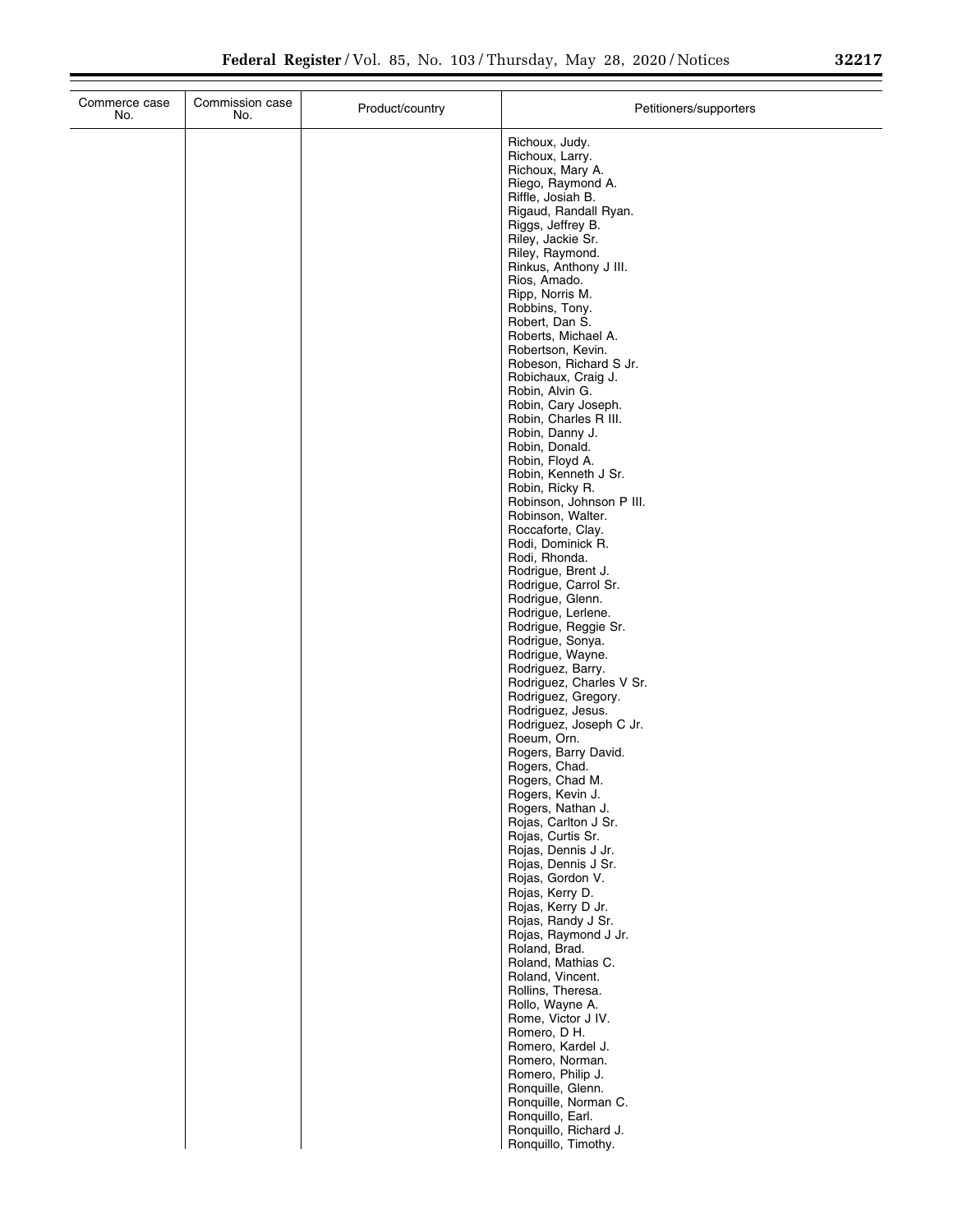|  | Richoux, Judy.<br>Richoux, Larry.<br>Richoux, Mary A.<br>Riego, Raymond A.<br>Riffle, Josiah B.<br>Rigaud, Randall Ryan.<br>Riggs, Jeffrey B.<br>Riley, Jackie Sr.<br>Riley, Raymond.<br>Rinkus, Anthony J III.<br>Rios, Amado.<br>Ripp, Norris M.<br>Robbins, Tony.<br>Robert, Dan S.<br>Roberts, Michael A.<br>Robertson, Kevin.<br>Robeson, Richard S Jr.<br>Robichaux, Craig J.<br>Robin, Alvin G.<br>Robin, Cary Joseph.<br>Robin, Charles R III.<br>Robin, Danny J.<br>Robin, Donald.<br>Robin, Floyd A.<br>Robin, Kenneth J Sr.<br>Robin, Ricky R.<br>Robinson, Johnson P III.<br>Robinson, Walter.<br>Roccaforte, Clay.<br>Rodi, Dominick R.<br>Rodi, Rhonda.<br>Rodrigue, Brent J.<br>Rodrigue, Carrol Sr.<br>Rodrigue, Glenn.<br>Rodrigue, Lerlene.<br>Rodrigue, Reggie Sr.<br>Rodrigue, Sonya.<br>Rodrigue, Wayne.<br>Rodriguez, Barry.<br>Rodriguez, Charles V Sr.<br>Rodriguez, Gregory.<br>Rodriguez, Jesus.<br>Rodriguez, Joseph C Jr.<br>Roeum, Orn.<br>Rogers, Barry David.<br>Rogers, Chad.<br>Rogers, Chad M.<br>Rogers, Kevin J.<br>Rogers, Nathan J.<br>Rojas, Carlton J Sr.<br>Rojas, Curtis Sr.<br>Rojas, Dennis J Jr.<br>Rojas, Dennis J Sr.<br>Rojas, Gordon V.<br>Rojas, Kerry D.<br>Rojas, Kerry D Jr.<br>Rojas, Randy J Sr.<br>Rojas, Raymond J Jr.<br>Roland, Brad.<br>Roland, Mathias C.<br>Roland, Vincent.<br>Rollins, Theresa.<br>Rollo, Wayne A.<br>Rome, Victor J IV.<br>Romero, D H. |
|--|--------------------------------------------------------------------------------------------------------------------------------------------------------------------------------------------------------------------------------------------------------------------------------------------------------------------------------------------------------------------------------------------------------------------------------------------------------------------------------------------------------------------------------------------------------------------------------------------------------------------------------------------------------------------------------------------------------------------------------------------------------------------------------------------------------------------------------------------------------------------------------------------------------------------------------------------------------------------------------------------------------------------------------------------------------------------------------------------------------------------------------------------------------------------------------------------------------------------------------------------------------------------------------------------------------------------------------------------------------------------------------------------------------------------------|
|  | Romero, Kardel J.<br>Romero, Norman.<br>Romero, Philip J.<br>Ronquille, Glenn.<br>Ronquille, Norman C.<br>Ronquillo, Earl.<br>Ronquillo, Richard J.                                                                                                                                                                                                                                                                                                                                                                                                                                                                                                                                                                                                                                                                                                                                                                                                                                                                                                                                                                                                                                                                                                                                                                                                                                                                      |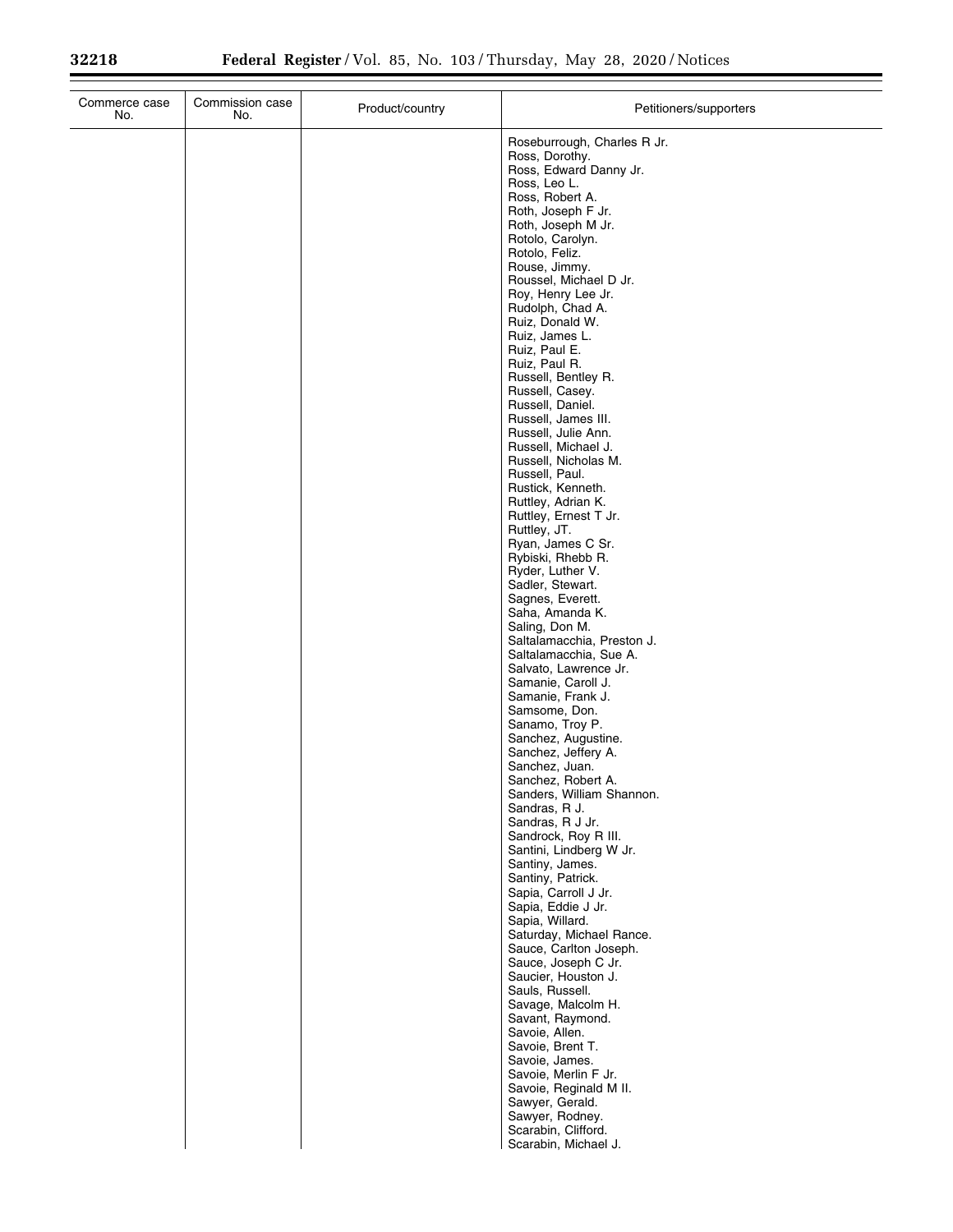| Commerce case<br>No. | Commission case<br>No. | Product/country | Petitioners/supporters                          |
|----------------------|------------------------|-----------------|-------------------------------------------------|
|                      |                        |                 | Roseburrough, Charles R Jr.                     |
|                      |                        |                 | Ross, Dorothy.<br>Ross, Edward Danny Jr.        |
|                      |                        |                 | Ross, Leo L.                                    |
|                      |                        |                 | Ross, Robert A.<br>Roth, Joseph F Jr.           |
|                      |                        |                 | Roth, Joseph M Jr.                              |
|                      |                        |                 | Rotolo, Carolyn.<br>Rotolo, Feliz.              |
|                      |                        |                 | Rouse, Jimmy.                                   |
|                      |                        |                 | Roussel, Michael D Jr.<br>Roy, Henry Lee Jr.    |
|                      |                        |                 | Rudolph, Chad A.                                |
|                      |                        |                 | Ruiz, Donald W.<br>Ruiz, James L.               |
|                      |                        |                 | Ruiz, Paul E.                                   |
|                      |                        |                 | Ruiz, Paul R.<br>Russell, Bentley R.            |
|                      |                        |                 | Russell, Casey.                                 |
|                      |                        |                 | Russell, Daniel.<br>Russell, James III.         |
|                      |                        |                 | Russell, Julie Ann.                             |
|                      |                        |                 | Russell, Michael J.<br>Russell, Nicholas M.     |
|                      |                        |                 | Russell, Paul.                                  |
|                      |                        |                 | Rustick, Kenneth.<br>Ruttley, Adrian K.         |
|                      |                        |                 | Ruttley, Ernest T Jr.                           |
|                      |                        |                 | Ruttley, JT.<br>Ryan, James C Sr.               |
|                      |                        |                 | Rybiski, Rhebb R.                               |
|                      |                        |                 | Ryder, Luther V.<br>Sadler, Stewart.            |
|                      |                        |                 | Sagnes, Everett.                                |
|                      |                        |                 | Saha, Amanda K.<br>Saling, Don M.               |
|                      |                        |                 | Saltalamacchia, Preston J.                      |
|                      |                        |                 | Saltalamacchia, Sue A.<br>Salvato, Lawrence Jr. |
|                      |                        |                 | Samanie, Caroll J.                              |
|                      |                        |                 | Samanie, Frank J.<br>Samsome, Don.              |
|                      |                        |                 | Sanamo, Troy P.                                 |
|                      |                        |                 | Sanchez, Augustine.<br>Sanchez, Jeffery A.      |
|                      |                        |                 | Sanchez, Juan.                                  |
|                      |                        |                 | Sanchez, Robert A.<br>Sanders, William Shannon. |
|                      |                        |                 | Sandras, R J.                                   |
|                      |                        |                 | Sandras, R J Jr.<br>Sandrock, Roy R III.        |
|                      |                        |                 | Santini, Lindberg W Jr.                         |
|                      |                        |                 | Santiny, James.<br>Santiny, Patrick.            |
|                      |                        |                 | Sapia, Carroll J Jr.                            |
|                      |                        |                 | Sapia, Eddie J Jr.<br>Sapia, Willard.           |
|                      |                        |                 | Saturday, Michael Rance.                        |
|                      |                        |                 | Sauce, Carlton Joseph.<br>Sauce, Joseph C Jr.   |
|                      |                        |                 | Saucier, Houston J.                             |
|                      |                        |                 | Sauls, Russell.<br>Savage, Malcolm H.           |
|                      |                        |                 | Savant, Raymond.                                |
|                      |                        |                 | Savoie, Allen.<br>Savoie, Brent T.              |
|                      |                        |                 | Savoie, James.                                  |
|                      |                        |                 | Savoie, Merlin F Jr.<br>Savoie, Reginald M II.  |
|                      |                        |                 | Sawyer, Gerald.                                 |
|                      |                        |                 | Sawyer, Rodney.<br>Scarabin, Clifford.          |
|                      |                        |                 | Scarabin, Michael J.                            |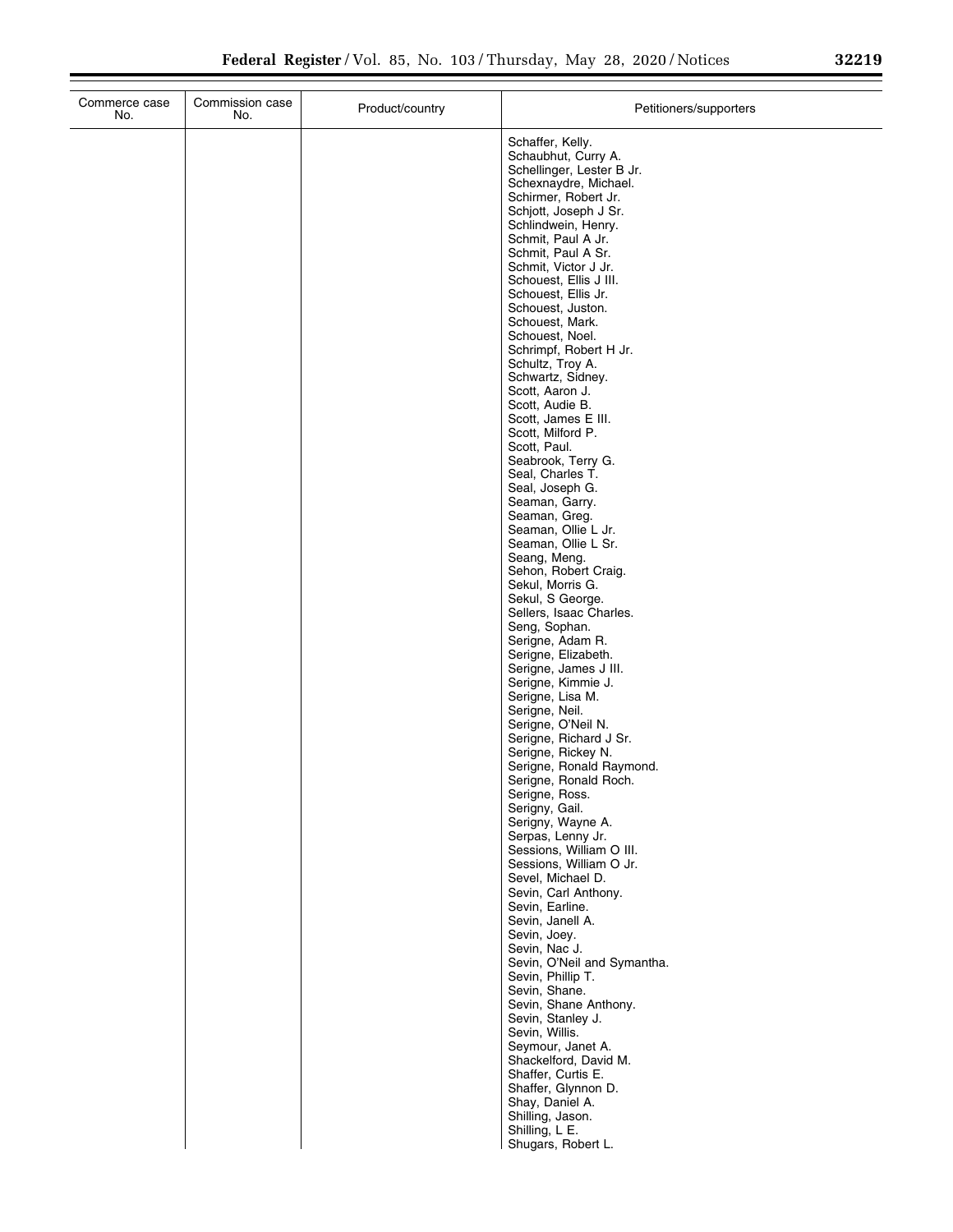$\overline{\phantom{0}}$ 

| Commerce case<br>No. | Commission case<br>No. | Product/country | Petitioners/supporters                        |
|----------------------|------------------------|-----------------|-----------------------------------------------|
|                      |                        |                 | Schaffer, Kelly.                              |
|                      |                        |                 | Schaubhut, Curry A.                           |
|                      |                        |                 | Schellinger, Lester B Jr.                     |
|                      |                        |                 | Schexnaydre, Michael.                         |
|                      |                        |                 | Schirmer, Robert Jr.<br>Schjott, Joseph J Sr. |
|                      |                        |                 | Schlindwein, Henry.                           |
|                      |                        |                 | Schmit, Paul A Jr.                            |
|                      |                        |                 | Schmit, Paul A Sr.                            |
|                      |                        |                 | Schmit, Victor J Jr.                          |
|                      |                        |                 | Schouest, Ellis J III.<br>Schouest, Ellis Jr. |
|                      |                        |                 | Schouest, Juston.                             |
|                      |                        |                 | Schouest, Mark.                               |
|                      |                        |                 | Schouest, Noel.                               |
|                      |                        |                 | Schrimpf, Robert H Jr.                        |
|                      |                        |                 | Schultz, Troy A.<br>Schwartz, Sidney.         |
|                      |                        |                 | Scott, Aaron J.                               |
|                      |                        |                 | Scott, Audie B.                               |
|                      |                        |                 | Scott, James E III.                           |
|                      |                        |                 | Scott, Milford P.                             |
|                      |                        |                 | Scott, Paul.                                  |
|                      |                        |                 | Seabrook, Terry G.<br>Seal, Charles T.        |
|                      |                        |                 | Seal, Joseph G.                               |
|                      |                        |                 | Seaman, Garry.                                |
|                      |                        |                 | Seaman, Greg.                                 |
|                      |                        |                 | Seaman, Ollie L Jr.                           |
|                      |                        |                 | Seaman, Ollie L Sr.<br>Seang, Meng.           |
|                      |                        |                 | Sehon, Robert Craig.                          |
|                      |                        |                 | Sekul, Morris G.                              |
|                      |                        |                 | Sekul, S George.                              |
|                      |                        |                 | Sellers, Isaac Charles.                       |
|                      |                        |                 | Seng, Sophan.<br>Serigne, Adam R.             |
|                      |                        |                 | Serigne, Elizabeth.                           |
|                      |                        |                 | Serigne, James J III.                         |
|                      |                        |                 | Serigne, Kimmie J.                            |
|                      |                        |                 | Serigne, Lisa M.                              |
|                      |                        |                 | Serigne, Neil.<br>Serigne, O'Neil N.          |
|                      |                        |                 | Serigne, Richard J Sr.                        |
|                      |                        |                 | Serigne, Rickey N.                            |
|                      |                        |                 | Serigne, Ronald Raymond.                      |
|                      |                        |                 | Serigne, Ronald Roch.                         |
|                      |                        |                 | Serigne, Ross.                                |
|                      |                        |                 | Serigny, Gail.<br>Serigny, Wayne A.           |
|                      |                        |                 | Serpas, Lenny Jr.                             |
|                      |                        |                 | Sessions, William O III.                      |
|                      |                        |                 | Sessions, William O Jr.                       |
|                      |                        |                 | Sevel, Michael D.                             |
|                      |                        |                 | Sevin, Carl Anthony.<br>Sevin, Earline.       |
|                      |                        |                 | Sevin, Janell A.                              |
|                      |                        |                 | Sevin, Joey.                                  |
|                      |                        |                 | Sevin, Nac J.                                 |
|                      |                        |                 | Sevin, O'Neil and Symantha.                   |
|                      |                        |                 | Sevin, Phillip T.<br>Sevin, Shane.            |
|                      |                        |                 | Sevin, Shane Anthony.                         |
|                      |                        |                 | Sevin, Stanley J.                             |
|                      |                        |                 | Sevin, Willis.                                |
|                      |                        |                 | Seymour, Janet A.                             |
|                      |                        |                 | Shackelford, David M.<br>Shaffer, Curtis E.   |
|                      |                        |                 | Shaffer, Glynnon D.                           |
|                      |                        |                 | Shay, Daniel A.                               |
|                      |                        |                 | Shilling, Jason.                              |
|                      |                        |                 | Shilling, L E.                                |
|                      |                        |                 | Shugars, Robert L.                            |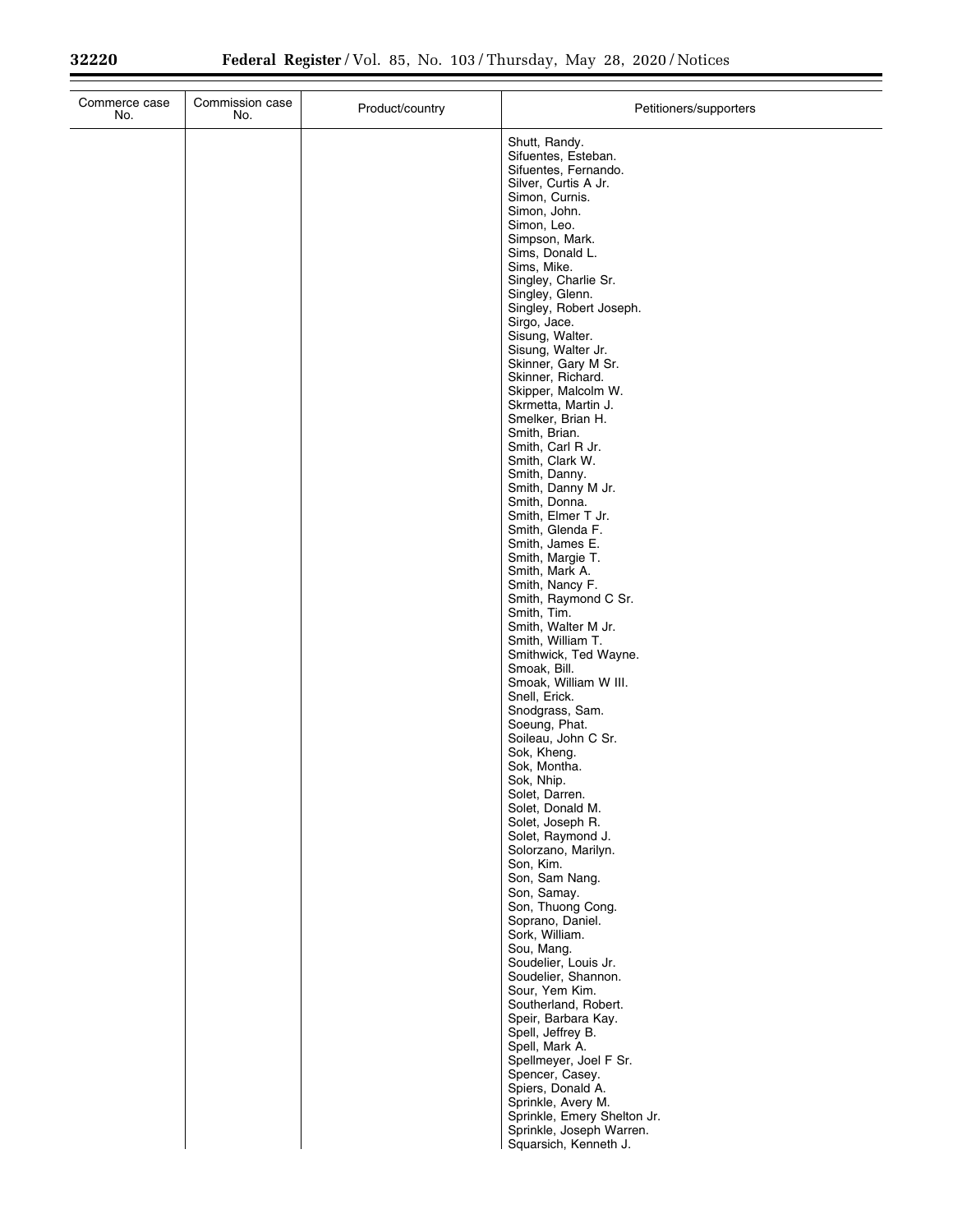| Commerce case<br>No. | Commission case<br>No. | Product/country | Petitioners/supporters                                                                                                                                                                                                                                                                                                                                                                                                                                                                                                                                                                                                                                                                                                                                                                                                                                                                                                                                                                                                                                                          |
|----------------------|------------------------|-----------------|---------------------------------------------------------------------------------------------------------------------------------------------------------------------------------------------------------------------------------------------------------------------------------------------------------------------------------------------------------------------------------------------------------------------------------------------------------------------------------------------------------------------------------------------------------------------------------------------------------------------------------------------------------------------------------------------------------------------------------------------------------------------------------------------------------------------------------------------------------------------------------------------------------------------------------------------------------------------------------------------------------------------------------------------------------------------------------|
|                      |                        |                 | Shutt, Randy.<br>Sifuentes, Esteban.<br>Sifuentes, Fernando.<br>Silver, Curtis A Jr.<br>Simon, Curnis.<br>Simon, John.<br>Simon, Leo.<br>Simpson, Mark.<br>Sims, Donald L.<br>Sims, Mike.<br>Singley, Charlie Sr.<br>Singley, Glenn.<br>Singley, Robert Joseph.<br>Sirgo, Jace.<br>Sisung, Walter.<br>Sisung, Walter Jr.<br>Skinner, Gary M Sr.<br>Skinner, Richard.<br>Skipper, Malcolm W.<br>Skrmetta, Martin J.<br>Smelker, Brian H.<br>Smith, Brian.<br>Smith, Carl R Jr.<br>Smith, Clark W.<br>Smith, Danny.<br>Smith, Danny M Jr.<br>Smith, Donna.<br>Smith, Elmer T Jr.<br>Smith, Glenda F.<br>Smith, James E.<br>Smith, Margie T.<br>Smith, Mark A.<br>Smith, Nancy F.<br>Smith, Raymond C Sr.<br>Smith, Tim.<br>Smith, Walter M Jr.<br>Smith, William T.<br>Smithwick, Ted Wayne.<br>Smoak, Bill.<br>Smoak, William W III.<br>Snell, Erick.<br>Snodgrass, Sam.<br>Soeung, Phat.<br>Soileau, John C Sr.<br>Sok, Kheng.<br>Sok, Montha.<br>Sok, Nhip.<br>Solet, Darren.<br>Solet, Donald M.<br>Solet, Joseph R.<br>Solet, Raymond J.<br>Solorzano, Marilyn.<br>Son, Kim. |
|                      |                        |                 | Son, Sam Nang.<br>Son, Samay.<br>Son, Thuong Cong.                                                                                                                                                                                                                                                                                                                                                                                                                                                                                                                                                                                                                                                                                                                                                                                                                                                                                                                                                                                                                              |
|                      |                        |                 | Soprano, Daniel.<br>Sork, William.<br>Sou, Mang.<br>Soudelier, Louis Jr.<br>Soudelier, Shannon.<br>Sour, Yem Kim.<br>Southerland, Robert.<br>Speir, Barbara Kay.<br>Spell, Jeffrey B.<br>Spell, Mark A.<br>Spellmeyer, Joel F Sr.<br>Spencer, Casey.<br>Spiers, Donald A.<br>Sprinkle, Avery M.<br>Sprinkle, Emery Shelton Jr.<br>Sprinkle, Joseph Warren.<br>Squarsich, Kenneth J.                                                                                                                                                                                                                                                                                                                                                                                                                                                                                                                                                                                                                                                                                             |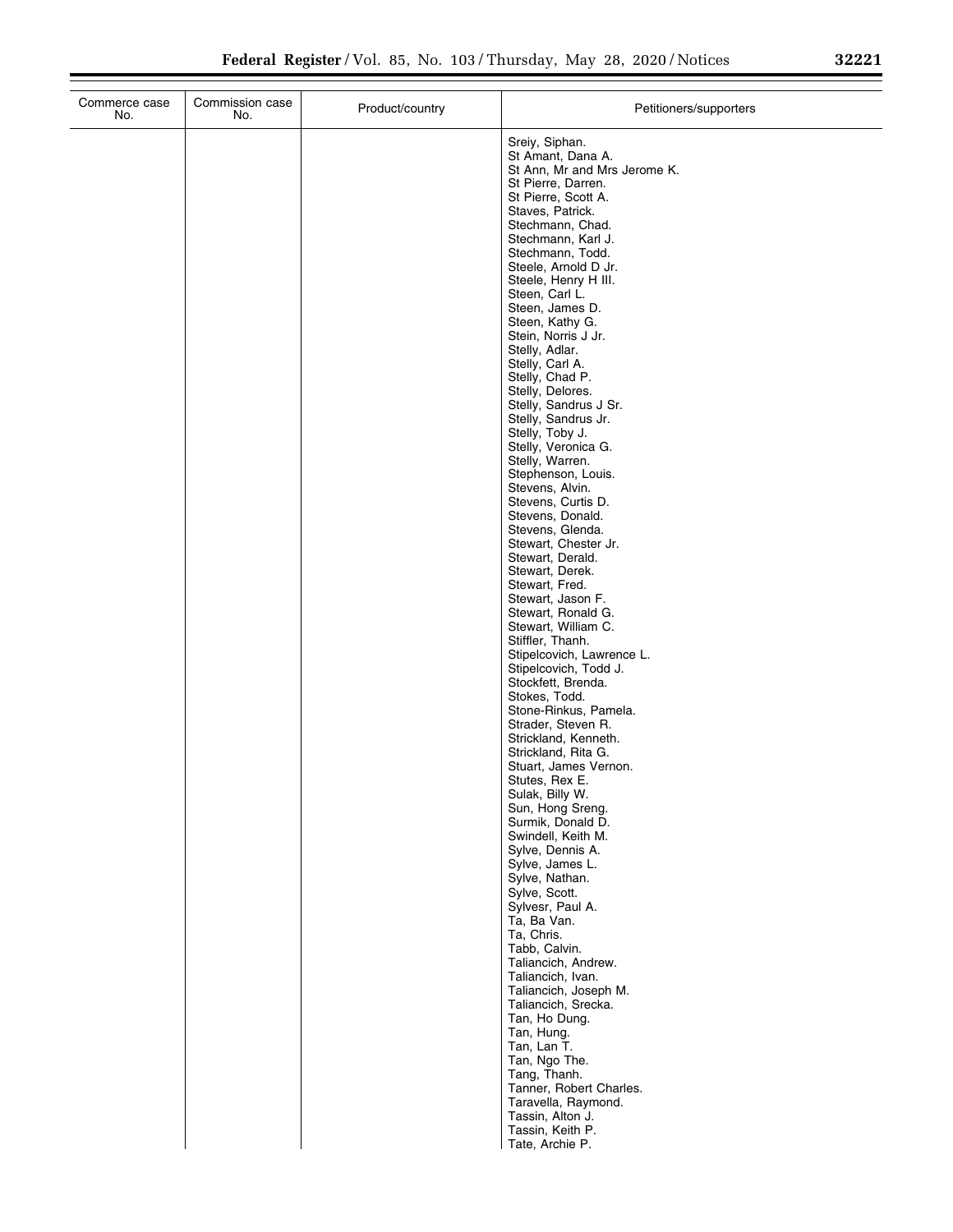| Commerce case<br>No. | Commission case<br>No. | Product/country | Petitioners/supporters                                                                                                                                                                                                                                                                                                                                                                                                                                                                                                                                                                                                                                                                                                                                                                                                                                                                                                                                                                                                                                                                                                                                                                                                                                                                                                                                                                                                                                                                                                        |
|----------------------|------------------------|-----------------|-------------------------------------------------------------------------------------------------------------------------------------------------------------------------------------------------------------------------------------------------------------------------------------------------------------------------------------------------------------------------------------------------------------------------------------------------------------------------------------------------------------------------------------------------------------------------------------------------------------------------------------------------------------------------------------------------------------------------------------------------------------------------------------------------------------------------------------------------------------------------------------------------------------------------------------------------------------------------------------------------------------------------------------------------------------------------------------------------------------------------------------------------------------------------------------------------------------------------------------------------------------------------------------------------------------------------------------------------------------------------------------------------------------------------------------------------------------------------------------------------------------------------------|
|                      |                        |                 | Sreiy, Siphan.<br>St Amant, Dana A.<br>St Ann, Mr and Mrs Jerome K.<br>St Pierre, Darren.<br>St Pierre, Scott A.<br>Staves, Patrick.<br>Stechmann, Chad.<br>Stechmann, Karl J.<br>Stechmann, Todd.<br>Steele, Arnold D Jr.<br>Steele, Henry H III.<br>Steen, Carl L.<br>Steen, James D.<br>Steen, Kathy G.<br>Stein, Norris J Jr.<br>Stelly, Adlar.<br>Stelly, Carl A.<br>Stelly, Chad P.<br>Stelly, Delores.<br>Stelly, Sandrus J Sr.<br>Stelly, Sandrus Jr.<br>Stelly, Toby J.<br>Stelly, Veronica G.<br>Stelly, Warren.<br>Stephenson, Louis.<br>Stevens, Alvin.<br>Stevens, Curtis D.<br>Stevens, Donald.<br>Stevens, Glenda.<br>Stewart, Chester Jr.<br>Stewart, Derald.<br>Stewart, Derek.<br>Stewart, Fred.<br>Stewart, Jason F.<br>Stewart, Ronald G.<br>Stewart, William C.<br>Stiffler, Thanh.<br>Stipelcovich, Lawrence L.<br>Stipelcovich, Todd J.<br>Stockfett, Brenda.<br>Stokes, Todd.<br>Stone-Rinkus, Pamela.<br>Strader, Steven R.<br>Strickland, Kenneth.<br>Strickland, Rita G.<br>Stuart, James Vernon.<br>Stutes, Rex E.<br>Sulak, Billy W.<br>Sun, Hong Sreng.<br>Surmik, Donald D.<br>Swindell, Keith M.<br>Sylve, Dennis A.<br>Sylve, James L.<br>Sylve, Nathan.<br>Sylve, Scott.<br>Sylvesr, Paul A.<br>Ta, Ba Van.<br>Ta, Chris.<br>Tabb, Calvin.<br>Taliancich, Andrew.<br>Taliancich, Ivan.<br>Taliancich, Joseph M.<br>Taliancich, Srecka.<br>Tan, Ho Dung.<br>Tan, Hung.<br>Tan, Lan T.<br>Tan, Ngo The.<br>Tang, Thanh.<br>Tanner, Robert Charles.<br>Taravella, Raymond.<br>Tassin, Alton J. |
|                      |                        |                 | Tassin, Keith P.<br>Tate, Archie P.                                                                                                                                                                                                                                                                                                                                                                                                                                                                                                                                                                                                                                                                                                                                                                                                                                                                                                                                                                                                                                                                                                                                                                                                                                                                                                                                                                                                                                                                                           |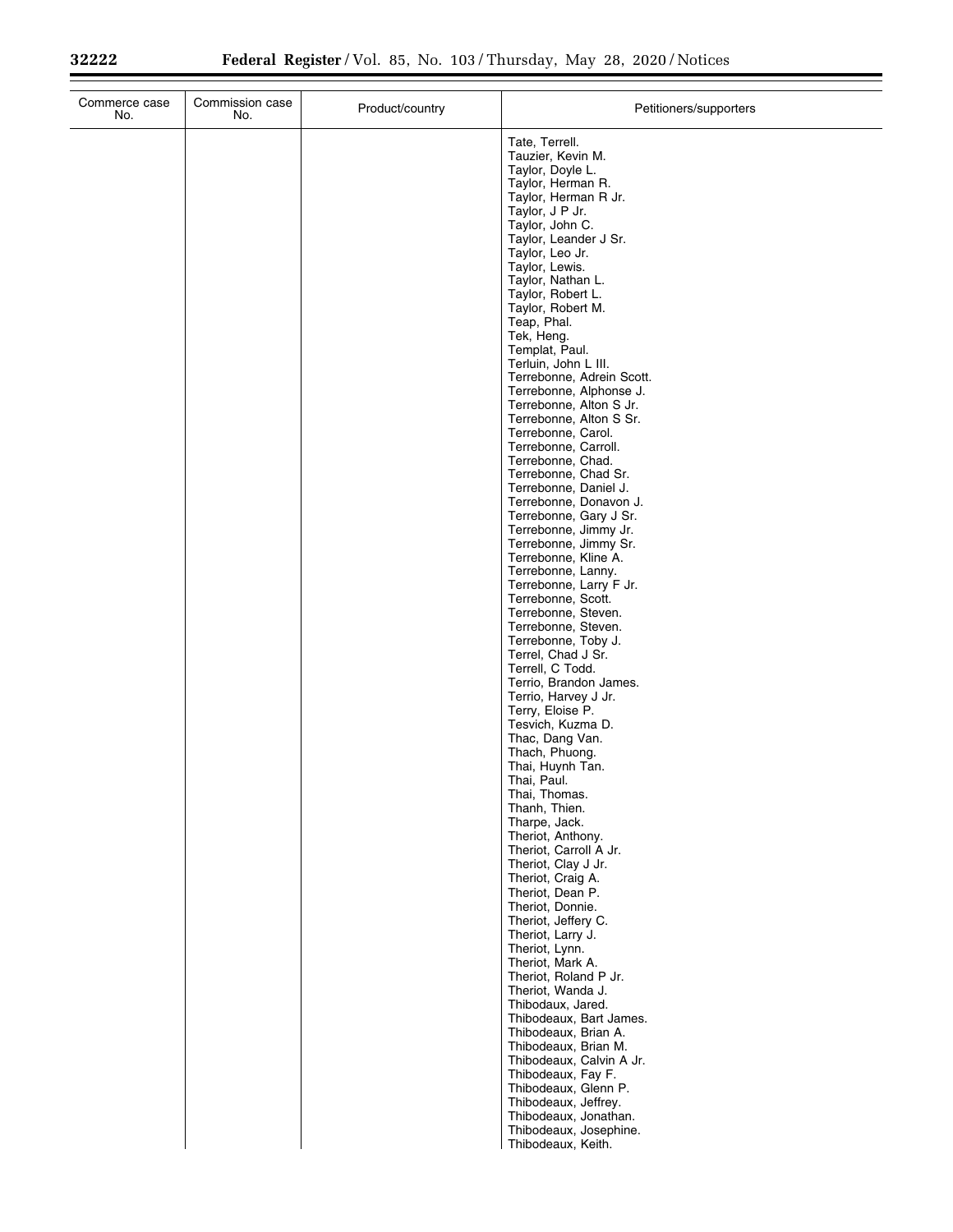| Commerce case<br>No. | Commission case<br>No. | Product/country | Petitioners/supporters                             |
|----------------------|------------------------|-----------------|----------------------------------------------------|
|                      |                        |                 | Tate, Terrell.<br>Tauzier, Kevin M.                |
|                      |                        |                 | Taylor, Doyle L.                                   |
|                      |                        |                 | Taylor, Herman R.<br>Taylor, Herman R Jr.          |
|                      |                        |                 | Taylor, J P Jr.                                    |
|                      |                        |                 | Taylor, John C.                                    |
|                      |                        |                 | Taylor, Leander J Sr.<br>Taylor, Leo Jr.           |
|                      |                        |                 | Taylor, Lewis.                                     |
|                      |                        |                 | Taylor, Nathan L.                                  |
|                      |                        |                 | Taylor, Robert L.<br>Taylor, Robert M.             |
|                      |                        |                 | Teap, Phal.                                        |
|                      |                        |                 | Tek, Heng.<br>Templat, Paul.                       |
|                      |                        |                 | Terluin, John L III.                               |
|                      |                        |                 | Terrebonne, Adrein Scott.                          |
|                      |                        |                 | Terrebonne, Alphonse J.<br>Terrebonne, Alton S Jr. |
|                      |                        |                 | Terrebonne, Alton S Sr.                            |
|                      |                        |                 | Terrebonne, Carol.<br>Terrebonne, Carroll.         |
|                      |                        |                 | Terrebonne, Chad.                                  |
|                      |                        |                 | Terrebonne, Chad Sr.                               |
|                      |                        |                 | Terrebonne, Daniel J.<br>Terrebonne, Donavon J.    |
|                      |                        |                 | Terrebonne, Gary J Sr.                             |
|                      |                        |                 | Terrebonne, Jimmy Jr.<br>Terrebonne, Jimmy Sr.     |
|                      |                        |                 | Terrebonne, Kline A.                               |
|                      |                        |                 | Terrebonne, Lanny.                                 |
|                      |                        |                 | Terrebonne, Larry F Jr.<br>Terrebonne, Scott.      |
|                      |                        |                 | Terrebonne, Steven.                                |
|                      |                        |                 | Terrebonne, Steven.<br>Terrebonne, Toby J.         |
|                      |                        |                 | Terrel, Chad J Sr.                                 |
|                      |                        |                 | Terrell, C Todd.<br>Terrio, Brandon James.         |
|                      |                        |                 | Terrio, Harvey J Jr.                               |
|                      |                        |                 | Terry, Eloise P.                                   |
|                      |                        |                 | Tesvich, Kuzma D.<br>Thac, Dang Van.               |
|                      |                        |                 | Thach, Phuong.                                     |
|                      |                        |                 | Thai, Huynh Tan.<br>Thai, Paul.                    |
|                      |                        |                 | Thai, Thomas.                                      |
|                      |                        |                 | Thanh, Thien.                                      |
|                      |                        |                 | Tharpe, Jack.<br>Theriot, Anthony.                 |
|                      |                        |                 | Theriot, Carroll A Jr.                             |
|                      |                        |                 | Theriot, Clay J Jr.<br>Theriot, Craig A.           |
|                      |                        |                 | Theriot, Dean P.                                   |
|                      |                        |                 | Theriot, Donnie.                                   |
|                      |                        |                 | Theriot, Jeffery C.<br>Theriot, Larry J.           |
|                      |                        |                 | Theriot, Lynn.                                     |
|                      |                        |                 | Theriot, Mark A.<br>Theriot, Roland P Jr.          |
|                      |                        |                 | Theriot, Wanda J.                                  |
|                      |                        |                 | Thibodaux, Jared.                                  |
|                      |                        |                 | Thibodeaux, Bart James.<br>Thibodeaux, Brian A.    |
|                      |                        |                 | Thibodeaux, Brian M.                               |
|                      |                        |                 | Thibodeaux, Calvin A Jr.<br>Thibodeaux, Fay F.     |
|                      |                        |                 | Thibodeaux, Glenn P.                               |
|                      |                        |                 | Thibodeaux, Jeffrey.                               |
|                      |                        |                 | Thibodeaux, Jonathan.<br>Thibodeaux, Josephine.    |
|                      |                        |                 | Thibodeaux, Keith.                                 |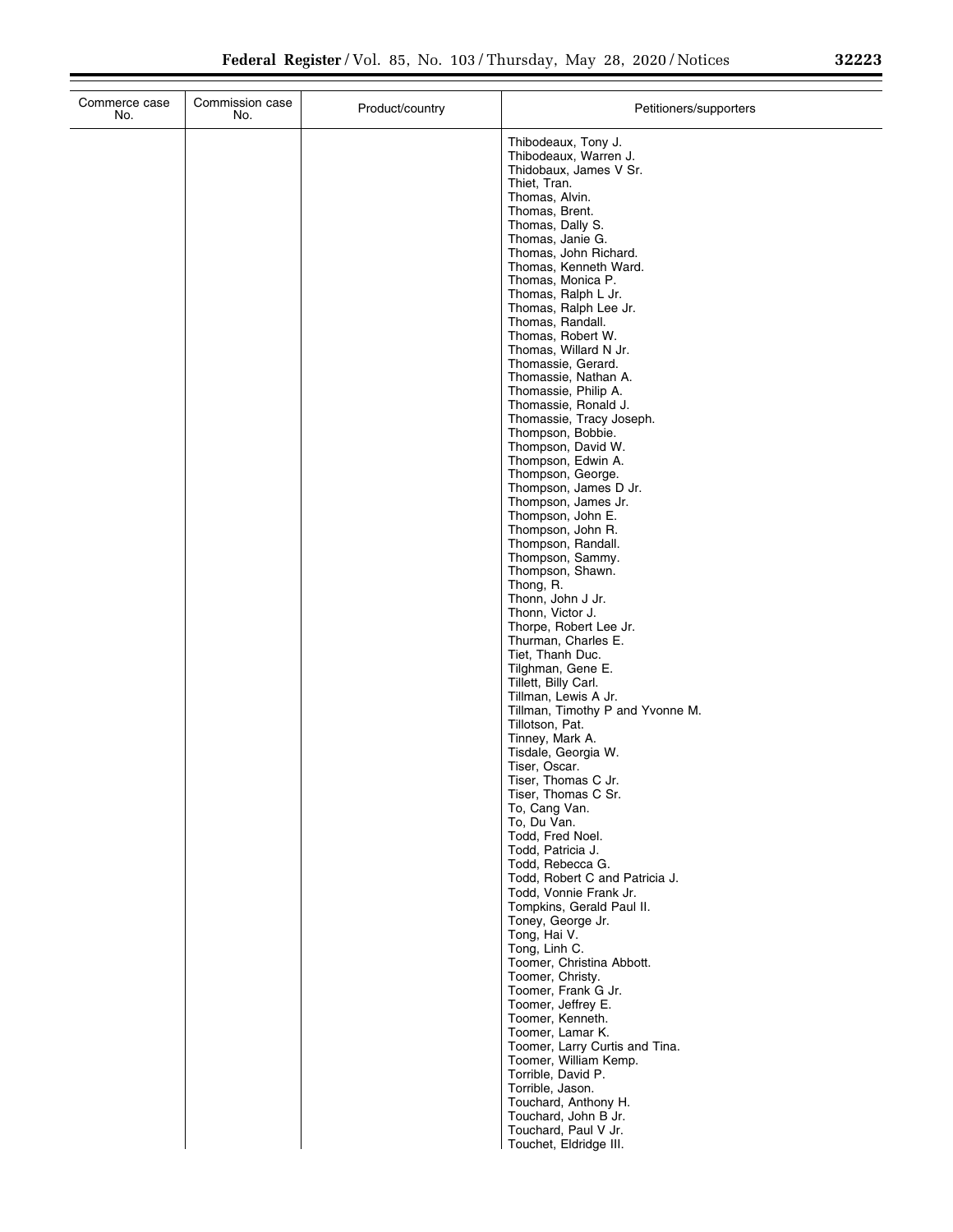| Commerce case<br>No. | Commission case<br>No. | Product/country | Petitioners/supporters                        |
|----------------------|------------------------|-----------------|-----------------------------------------------|
|                      |                        |                 | Thibodeaux, Tony J.                           |
|                      |                        |                 | Thibodeaux, Warren J.                         |
|                      |                        |                 | Thidobaux, James V Sr.                        |
|                      |                        |                 | Thiet, Tran.                                  |
|                      |                        |                 | Thomas, Alvin.<br>Thomas, Brent.              |
|                      |                        |                 | Thomas, Dally S.                              |
|                      |                        |                 | Thomas, Janie G.                              |
|                      |                        |                 | Thomas, John Richard.                         |
|                      |                        |                 | Thomas, Kenneth Ward.                         |
|                      |                        |                 | Thomas, Monica P.                             |
|                      |                        |                 | Thomas, Ralph L Jr.                           |
|                      |                        |                 | Thomas, Ralph Lee Jr.<br>Thomas, Randall.     |
|                      |                        |                 | Thomas, Robert W.                             |
|                      |                        |                 | Thomas, Willard N Jr.                         |
|                      |                        |                 | Thomassie, Gerard.                            |
|                      |                        |                 | Thomassie, Nathan A.                          |
|                      |                        |                 | Thomassie, Philip A.                          |
|                      |                        |                 | Thomassie, Ronald J.                          |
|                      |                        |                 | Thomassie, Tracy Joseph.<br>Thompson, Bobbie. |
|                      |                        |                 | Thompson, David W.                            |
|                      |                        |                 | Thompson, Edwin A.                            |
|                      |                        |                 | Thompson, George.                             |
|                      |                        |                 | Thompson, James D Jr.                         |
|                      |                        |                 | Thompson, James Jr.                           |
|                      |                        |                 | Thompson, John E.<br>Thompson, John R.        |
|                      |                        |                 | Thompson, Randall.                            |
|                      |                        |                 | Thompson, Sammy.                              |
|                      |                        |                 | Thompson, Shawn.                              |
|                      |                        |                 | Thong, R.                                     |
|                      |                        |                 | Thonn, John J Jr.                             |
|                      |                        |                 | Thonn, Victor J.<br>Thorpe, Robert Lee Jr.    |
|                      |                        |                 | Thurman, Charles E.                           |
|                      |                        |                 | Tiet, Thanh Duc.                              |
|                      |                        |                 | Tilghman, Gene E.                             |
|                      |                        |                 | Tillett, Billy Carl.                          |
|                      |                        |                 | Tillman, Lewis A Jr.                          |
|                      |                        |                 | Tillman, Timothy P and Yvonne M.              |
|                      |                        |                 | Tillotson, Pat.<br>Tinney, Mark A.            |
|                      |                        |                 | Tisdale, Georgia W.                           |
|                      |                        |                 | Tiser, Oscar.                                 |
|                      |                        |                 | Tiser, Thomas C Jr.                           |
|                      |                        |                 | Tiser, Thomas C Sr.                           |
|                      |                        |                 | To, Cang Van.                                 |
|                      |                        |                 | To, Du Van.                                   |
|                      |                        |                 | Todd, Fred Noel.<br>Todd, Patricia J.         |
|                      |                        |                 | Todd, Rebecca G.                              |
|                      |                        |                 | Todd, Robert C and Patricia J.                |
|                      |                        |                 | Todd, Vonnie Frank Jr.                        |
|                      |                        |                 | Tompkins, Gerald Paul II.                     |
|                      |                        |                 | Toney, George Jr.                             |
|                      |                        |                 | Tong, Hai V.                                  |
|                      |                        |                 | Tong, Linh C.<br>Toomer, Christina Abbott.    |
|                      |                        |                 | Toomer, Christy.                              |
|                      |                        |                 | Toomer, Frank G Jr.                           |
|                      |                        |                 | Toomer, Jeffrey E.                            |
|                      |                        |                 | Toomer, Kenneth.                              |
|                      |                        |                 | Toomer, Lamar K.                              |
|                      |                        |                 | Toomer, Larry Curtis and Tina.                |
|                      |                        |                 | Toomer, William Kemp.                         |
|                      |                        |                 | Torrible, David P.<br>Torrible, Jason.        |
|                      |                        |                 |                                               |

Touchard, Anthony H. Touchard, John B Jr. Touchard, Paul V Jr. Touchet, Eldridge III.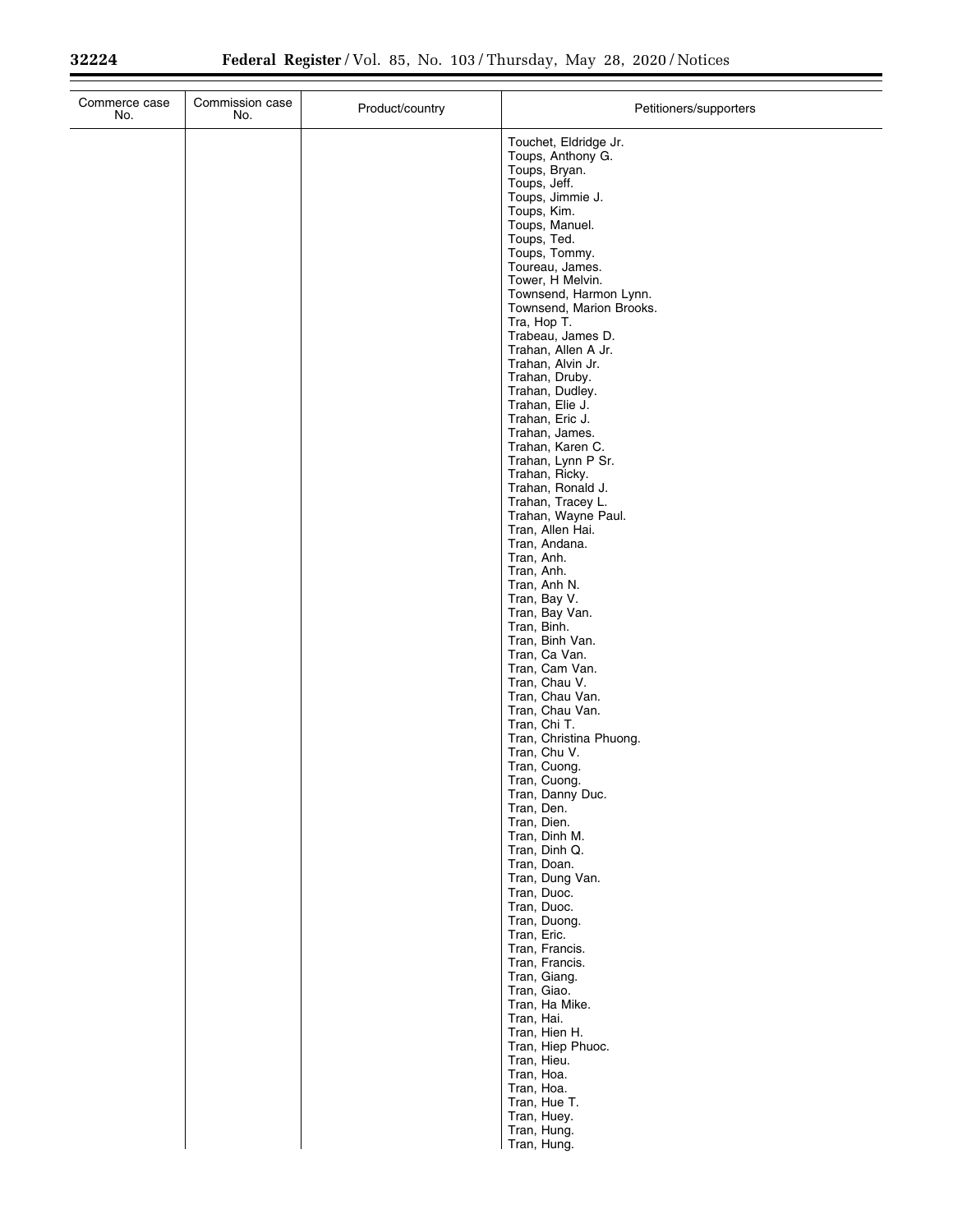Ξ

| Commerce case<br>No. | Commission case<br>No. | Product/country | Petitioners/supporters                  |
|----------------------|------------------------|-----------------|-----------------------------------------|
|                      |                        |                 | Touchet, Eldridge Jr.                   |
|                      |                        |                 | Toups, Anthony G.                       |
|                      |                        |                 | Toups, Bryan.<br>Toups, Jeff.           |
|                      |                        |                 | Toups, Jimmie J.                        |
|                      |                        |                 | Toups, Kim.<br>Toups, Manuel.           |
|                      |                        |                 | Toups, Ted.                             |
|                      |                        |                 | Toups, Tommy.                           |
|                      |                        |                 | Toureau, James.<br>Tower, H Melvin.     |
|                      |                        |                 | Townsend, Harmon Lynn.                  |
|                      |                        |                 | Townsend, Marion Brooks.                |
|                      |                        |                 | Tra, Hop T.<br>Trabeau, James D.        |
|                      |                        |                 | Trahan, Allen A Jr.                     |
|                      |                        |                 | Trahan, Alvin Jr.<br>Trahan, Druby.     |
|                      |                        |                 | Trahan, Dudley.                         |
|                      |                        |                 | Trahan, Elie J.                         |
|                      |                        |                 | Trahan, Eric J.<br>Trahan, James.       |
|                      |                        |                 | Trahan, Karen C.                        |
|                      |                        |                 | Trahan, Lynn P Sr.<br>Trahan, Ricky.    |
|                      |                        |                 | Trahan, Ronald J.                       |
|                      |                        |                 | Trahan, Tracey L.                       |
|                      |                        |                 | Trahan, Wayne Paul.<br>Tran, Allen Hai. |
|                      |                        |                 | Tran, Andana.                           |
|                      |                        |                 | Tran, Anh.<br>Tran, Anh.                |
|                      |                        |                 | Tran, Anh N.                            |
|                      |                        |                 | Tran, Bay V.                            |
|                      |                        |                 | Tran, Bay Van.<br>Tran, Binh.           |
|                      |                        |                 | Tran, Binh Van.                         |
|                      |                        |                 | Tran, Ca Van.<br>Tran, Cam Van.         |
|                      |                        |                 | Tran, Chau V.                           |
|                      |                        |                 | Tran, Chau Van.                         |
|                      |                        |                 | Tran, Chau Van.<br>Tran, Chi T.         |
|                      |                        |                 | Tran, Christina Phuong.                 |
|                      |                        |                 | Tran, Chu V.<br>Tran, Cuong.            |
|                      |                        |                 | Tran, Cuong.                            |
|                      |                        |                 | Tran, Danny Duc.                        |
|                      |                        |                 | Tran, Den.<br>Tran, Dien.               |
|                      |                        |                 | Tran, Dinh M.                           |
|                      |                        |                 | Tran, Dinh Q.<br>Tran, Doan.            |
|                      |                        |                 | Tran, Dung Van.                         |
|                      |                        |                 | Tran, Duoc.<br>Tran, Duoc.              |
|                      |                        |                 | Tran, Duong.                            |
|                      |                        |                 | Tran, Eric.                             |
|                      |                        |                 | Tran, Francis.<br>Tran, Francis.        |
|                      |                        |                 | Tran, Giang.                            |
|                      |                        |                 | Tran, Giao.                             |
|                      |                        |                 | Tran, Ha Mike.<br>Tran, Hai.            |
|                      |                        |                 | Tran, Hien H.                           |
|                      |                        |                 | Tran, Hiep Phuoc.<br>Tran, Hieu.        |
|                      |                        |                 | Tran, Hoa.                              |
|                      |                        |                 | Tran, Hoa.                              |
|                      |                        |                 | Tran, Hue T.<br>Tran, Huey.             |
|                      |                        |                 | Tran, Hung.                             |
|                      |                        |                 | Tran, Hung.                             |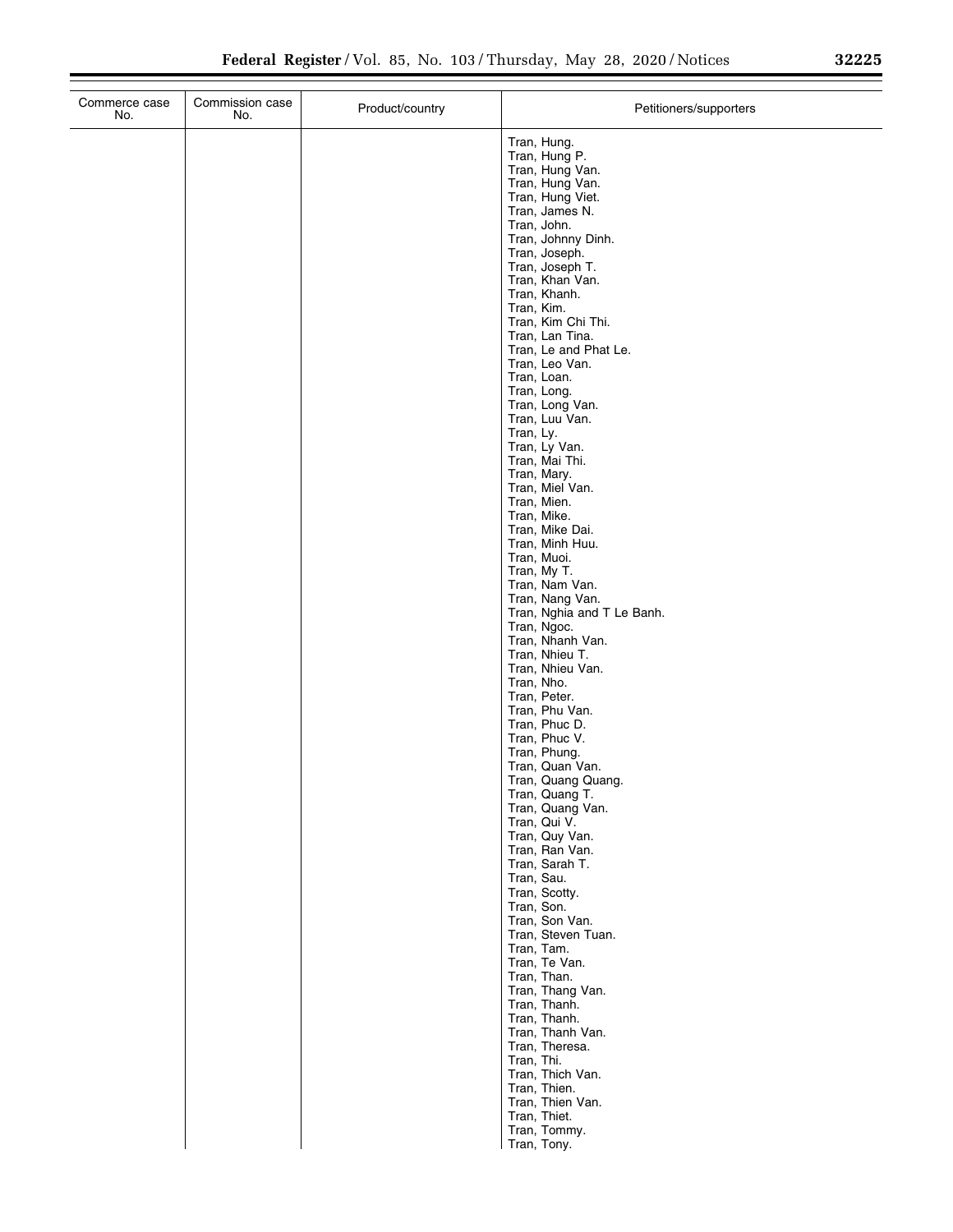| Commerce case<br>No. | Commission case<br>No. | Product/country | Petitioners/supporters                                                                                                                                                                                                                                                                                                                                                                                                                                                                                                       |
|----------------------|------------------------|-----------------|------------------------------------------------------------------------------------------------------------------------------------------------------------------------------------------------------------------------------------------------------------------------------------------------------------------------------------------------------------------------------------------------------------------------------------------------------------------------------------------------------------------------------|
|                      |                        |                 | Tran, Hung.<br>Tran, Hung P.<br>Tran, Hung Van.<br>Tran, Hung Van.<br>Tran, Hung Viet.<br>Tran, James N.<br>Tran, John.<br>Tran, Johnny Dinh.<br>Tran, Joseph.<br>Tran, Joseph T.<br>Tran, Khan Van.<br>Tran, Khanh.<br>Tran, Kim.<br>Tran, Kim Chi Thi.<br>Tran, Lan Tina.<br>Tran, Le and Phat Le.<br>Tran, Leo Van.<br>Tran, Loan.<br>Tran, Long.<br>Tran, Long Van.<br>Tran, Luu Van.<br>Tran, Ly.<br>Tran, Ly Van.<br>Tran, Mai Thi.<br>Tran, Mary.<br>Tran, Miel Van.<br>Tran, Mien.<br>Tran, Mike.<br>Tran, Mike Dai. |
|                      |                        |                 | Tran, Minh Huu.<br>Tran, Muoi.<br>Tran, My T.<br>Tran, Nam Van.<br>Tran, Nang Van.<br>Tran, Nghia and T Le Banh.<br>Tran, Ngoc.<br>Tran, Nhanh Van.<br>Tran, Nhieu T.                                                                                                                                                                                                                                                                                                                                                        |
|                      |                        |                 | Tran, Nhieu Van.<br>Tran, Nho.<br>Tran, Peter.<br>Tran, Phu Van.<br>Tran, Phuc D.<br>Tran, Phuc V.<br>Tran, Phung.<br>Tran, Quan Van.<br>Tran, Quang Quang.<br>Tran, Quang T.                                                                                                                                                                                                                                                                                                                                                |
|                      |                        |                 | Tran, Quang Van.<br>Tran, Qui V.<br>Tran, Quy Van.<br>Tran, Ran Van.<br>Tran, Sarah T.<br>Tran, Sau.<br>Tran, Scotty.<br>Tran, Son.<br>Tran, Son Van.                                                                                                                                                                                                                                                                                                                                                                        |
|                      |                        |                 | Tran, Steven Tuan.<br>Tran, Tam.<br>Tran, Te Van.<br>Tran, Than.<br>Tran, Thang Van.<br>Tran, Thanh.<br>Tran, Thanh.<br>Tran, Thanh Van.<br>Tran, Theresa.                                                                                                                                                                                                                                                                                                                                                                   |
|                      |                        |                 | Tran, Thi.<br>Tran, Thich Van.<br>Tran, Thien.<br>Tran, Thien Van.<br>Tran, Thiet.<br>Tran, Tommy.<br>Tran, Tony.                                                                                                                                                                                                                                                                                                                                                                                                            |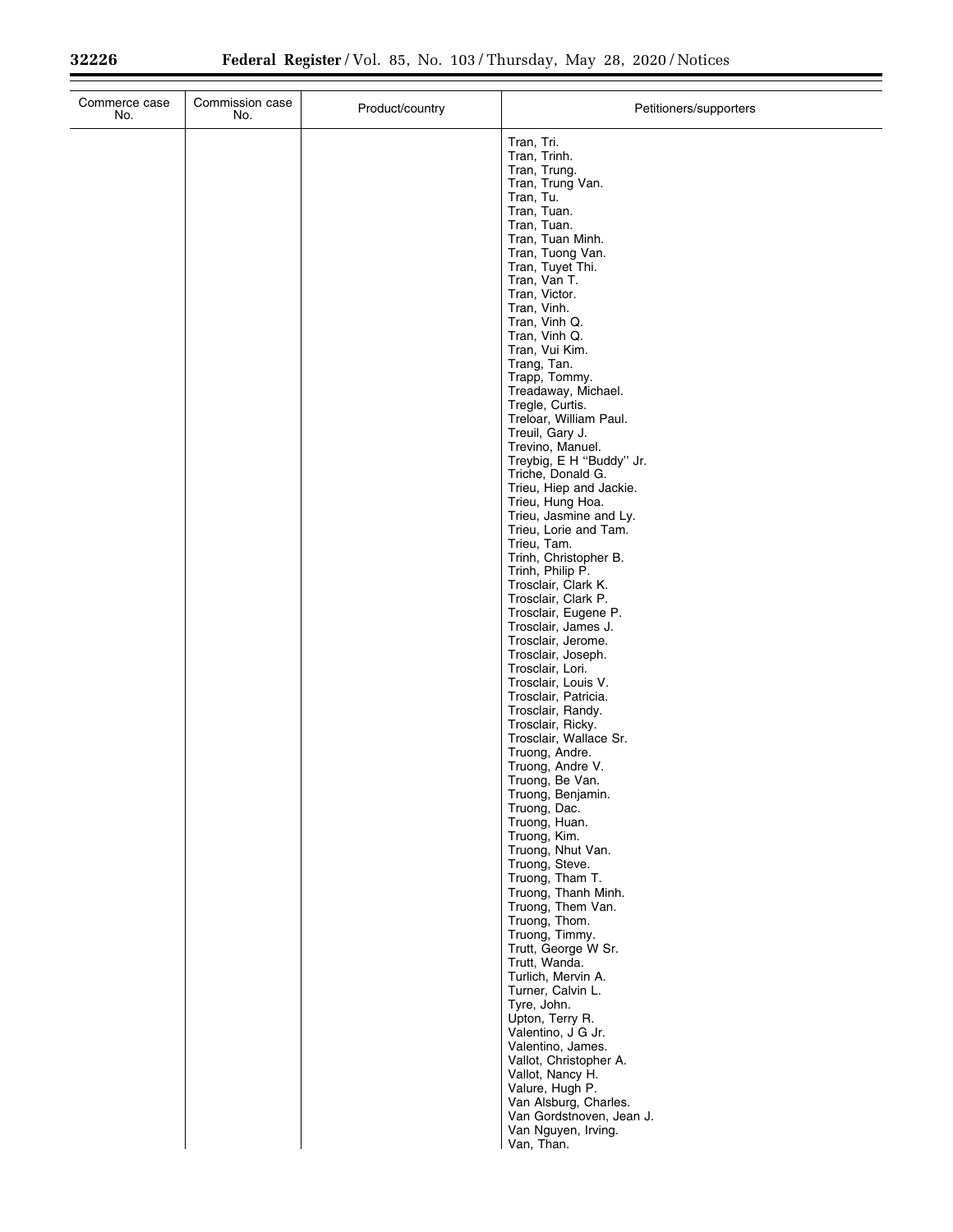| Commerce case<br>No. | Commission case<br>No. | Product/country | Petitioners/supporters                          |
|----------------------|------------------------|-----------------|-------------------------------------------------|
|                      |                        |                 | Tran, Tri.                                      |
|                      |                        |                 | Tran, Trinh.                                    |
|                      |                        |                 | Tran, Trung.<br>Tran, Trung Van.                |
|                      |                        |                 | Tran, Tu.                                       |
|                      |                        |                 | Tran, Tuan.<br>Tran, Tuan.                      |
|                      |                        |                 | Tran, Tuan Minh.                                |
|                      |                        |                 | Tran, Tuong Van.                                |
|                      |                        |                 | Tran, Tuyet Thi.<br>Tran, Van T.                |
|                      |                        |                 | Tran, Victor.                                   |
|                      |                        |                 | Tran, Vinh.                                     |
|                      |                        |                 | Tran, Vinh Q.<br>Tran, Vinh Q.                  |
|                      |                        |                 | Tran, Vui Kim.                                  |
|                      |                        |                 | Trang, Tan.                                     |
|                      |                        |                 | Trapp, Tommy.<br>Treadaway, Michael.            |
|                      |                        |                 | Tregle, Curtis.                                 |
|                      |                        |                 | Treloar, William Paul.<br>Treuil, Gary J.       |
|                      |                        |                 | Trevino, Manuel.                                |
|                      |                        |                 | Treybig, E H "Buddy" Jr.                        |
|                      |                        |                 | Triche, Donald G.<br>Trieu, Hiep and Jackie.    |
|                      |                        |                 | Trieu, Hung Hoa.                                |
|                      |                        |                 | Trieu, Jasmine and Ly.                          |
|                      |                        |                 | Trieu, Lorie and Tam.<br>Trieu, Tam.            |
|                      |                        |                 | Trinh, Christopher B.                           |
|                      |                        |                 | Trinh, Philip P.                                |
|                      |                        |                 | Trosclair, Clark K.<br>Trosclair, Clark P.      |
|                      |                        |                 | Trosclair, Eugene P.                            |
|                      |                        |                 | Trosclair, James J.<br>Trosclair, Jerome.       |
|                      |                        |                 | Trosclair, Joseph.                              |
|                      |                        |                 | Trosclair, Lori.                                |
|                      |                        |                 | Trosclair, Louis V.<br>Trosclair, Patricia.     |
|                      |                        |                 | Trosclair, Randy.                               |
|                      |                        |                 | Trosclair, Ricky.                               |
|                      |                        |                 | Trosclair, Wallace Sr.<br>Truong, Andre.        |
|                      |                        |                 | Truong, Andre V.                                |
|                      |                        |                 | Truong, Be Van.                                 |
|                      |                        |                 | Truong, Benjamin.<br>Truong, Dac.               |
|                      |                        |                 | Truong, Huan.                                   |
|                      |                        |                 | Truong, Kim.<br>Truong, Nhut Van.               |
|                      |                        |                 | Truong, Steve.                                  |
|                      |                        |                 | Truong, Tham T.                                 |
|                      |                        |                 | Truong, Thanh Minh.<br>Truong, Them Van.        |
|                      |                        |                 | Truong, Thom.                                   |
|                      |                        |                 | Truong, Timmy.                                  |
|                      |                        |                 | Trutt, George W Sr.<br>Trutt, Wanda.            |
|                      |                        |                 | Turlich, Mervin A.                              |
|                      |                        |                 | Turner, Calvin L.                               |
|                      |                        |                 | Tyre, John.<br>Upton, Terry R.                  |
|                      |                        |                 | Valentino, J G Jr.                              |
|                      |                        |                 | Valentino, James.                               |
|                      |                        |                 | Vallot, Christopher A.<br>Vallot, Nancy H.      |
|                      |                        |                 | Valure, Hugh P.                                 |
|                      |                        |                 | Van Alsburg, Charles.                           |
|                      |                        |                 | Van Gordstnoven, Jean J.<br>Van Nguyen, Irving. |
|                      |                        |                 | Van, Than.                                      |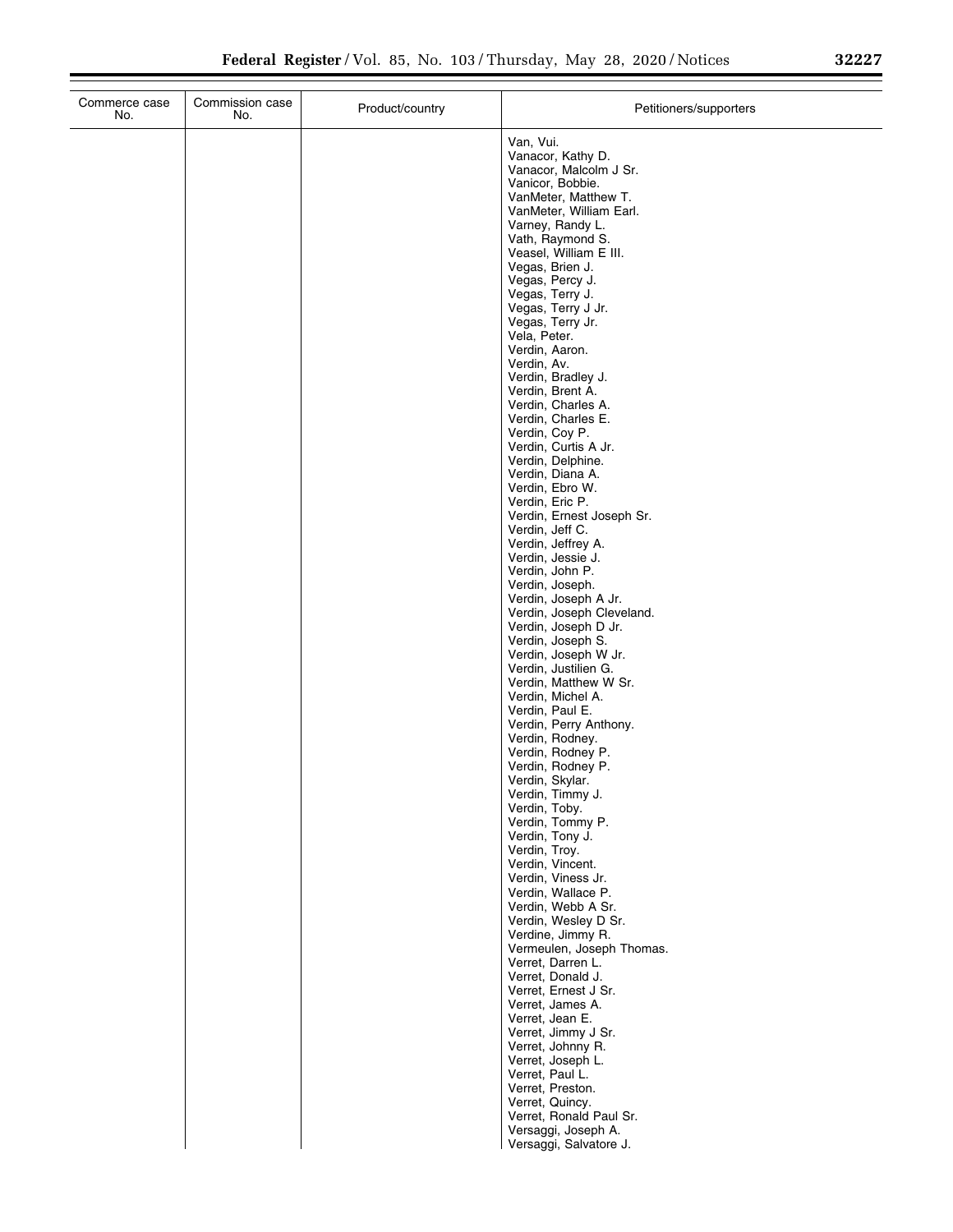| Van, Vui.<br>Vanacor, Kathy D.<br>Vanacor, Malcolm J Sr.<br>Vanicor, Bobbie.<br>VanMeter, Matthew T.<br>VanMeter, William Earl.<br>Varney, Randy L.<br>Vath, Raymond S.<br>Veasel, William E III.<br>Vegas, Brien J.<br>Vegas, Percy J.<br>Vegas, Terry J.<br>Vegas, Terry J Jr.<br>Vegas, Terry Jr.<br>Vela, Peter.<br>Verdin, Aaron.<br>Verdin, Av.<br>Verdin, Bradley J.<br>Verdin, Brent A.<br>Verdin, Charles A.<br>Verdin, Charles E.<br>Verdin, Coy P.<br>Verdin, Curtis A Jr.<br>Verdin, Delphine.<br>Verdin, Diana A.<br>Verdin, Ebro W.<br>Verdin, Eric P.<br>Verdin, Ernest Joseph Sr.<br>Verdin, Jeff C.<br>Verdin, Jeffrey A.<br>Verdin, Jessie J.<br>Verdin, John P.<br>Verdin, Joseph.<br>Verdin, Joseph A Jr.<br>Verdin, Joseph Cleveland.<br>Verdin, Joseph D Jr.<br>Verdin, Joseph S.<br>Verdin, Joseph W Jr.<br>Verdin, Justilien G.<br>Verdin, Matthew W Sr.<br>Verdin, Michel A.<br>Verdin, Paul E.<br>Verdin, Perry Anthony.<br>Verdin, Rodney.<br>Verdin, Rodney P.<br>Verdin, Rodney P.<br>Verdin, Skylar.<br>Verdin, Timmy J.<br>Verdin, Toby.<br>Verdin, Tommy P.<br>Verdin, Tony J.<br>Verdin, Troy.<br>Verdin, Vincent.<br>Verdin, Viness Jr.<br>Verdin, Wallace P.<br>Verdin, Webb A Sr.<br>Verdin, Wesley D Sr.<br>Verdine, Jimmy R.<br>Vermeulen, Joseph Thomas.<br>Verret, Darren L.<br>Verret, Donald J. | Commerce case<br>No. | Commission case<br>No. | Product/country | Petitioners/supporters |  |
|-------------------------------------------------------------------------------------------------------------------------------------------------------------------------------------------------------------------------------------------------------------------------------------------------------------------------------------------------------------------------------------------------------------------------------------------------------------------------------------------------------------------------------------------------------------------------------------------------------------------------------------------------------------------------------------------------------------------------------------------------------------------------------------------------------------------------------------------------------------------------------------------------------------------------------------------------------------------------------------------------------------------------------------------------------------------------------------------------------------------------------------------------------------------------------------------------------------------------------------------------------------------------------------------------------------------------------------------|----------------------|------------------------|-----------------|------------------------|--|
| Verret, James A.<br>Verret, Jean E.<br>Verret, Jimmy J Sr.<br>Verret, Johnny R.                                                                                                                                                                                                                                                                                                                                                                                                                                                                                                                                                                                                                                                                                                                                                                                                                                                                                                                                                                                                                                                                                                                                                                                                                                                           |                      |                        |                 | Verret, Ernest J Sr.   |  |
| Verret, Joseph L.<br>Verret, Paul L.<br>Verret, Preston.<br>Verret, Quincy.<br>Verret, Ronald Paul Sr.<br>Versaggi, Joseph A.                                                                                                                                                                                                                                                                                                                                                                                                                                                                                                                                                                                                                                                                                                                                                                                                                                                                                                                                                                                                                                                                                                                                                                                                             |                      |                        |                 |                        |  |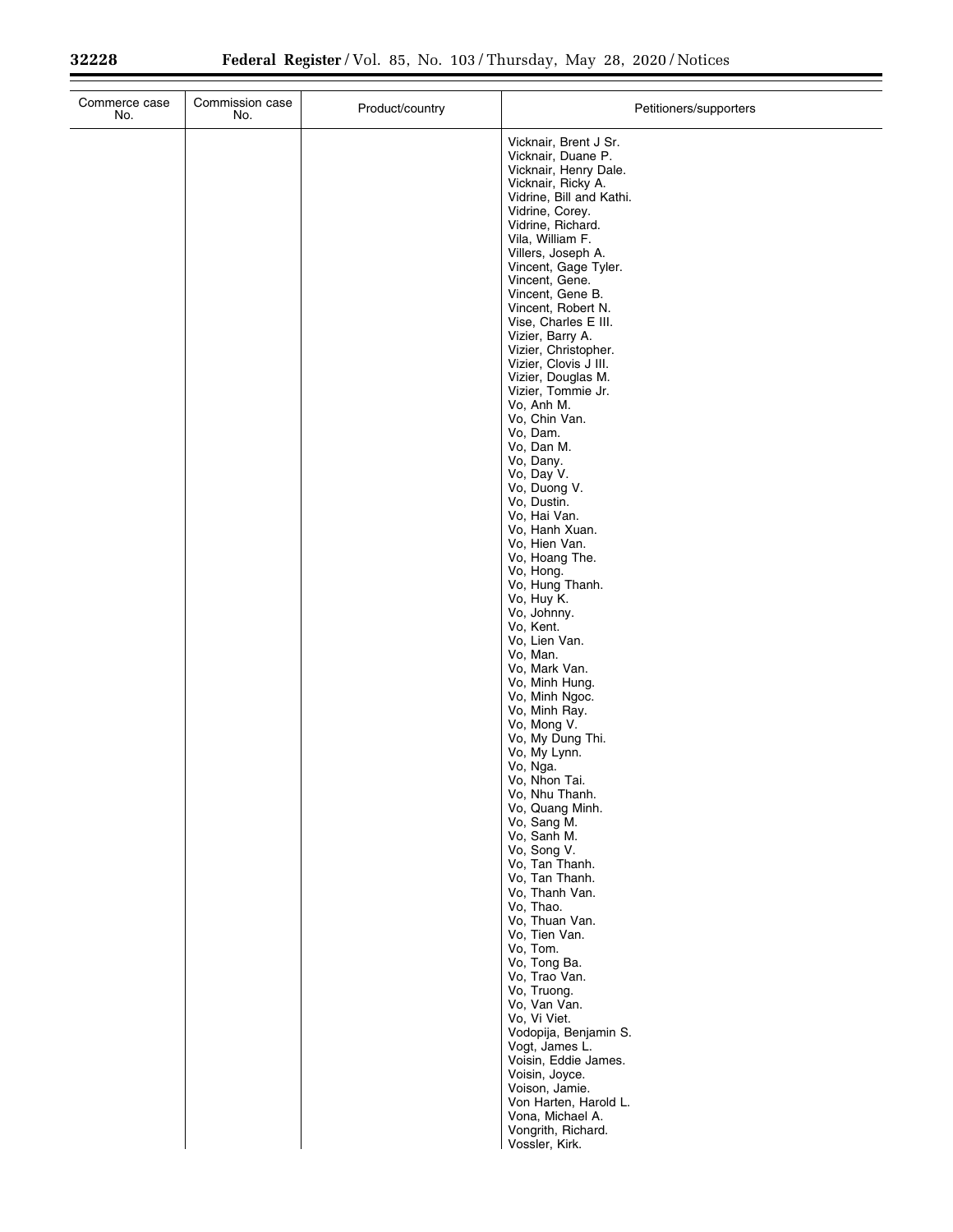| No.<br>No. | Product/country | Petitioners/supporters                                                                                                                                                                                                                                                                                                                                                                                                                                                                                                                                                                                                                                                                                                                                                                                                                                                                                                                                                                                                                                                                                                                                         |
|------------|-----------------|----------------------------------------------------------------------------------------------------------------------------------------------------------------------------------------------------------------------------------------------------------------------------------------------------------------------------------------------------------------------------------------------------------------------------------------------------------------------------------------------------------------------------------------------------------------------------------------------------------------------------------------------------------------------------------------------------------------------------------------------------------------------------------------------------------------------------------------------------------------------------------------------------------------------------------------------------------------------------------------------------------------------------------------------------------------------------------------------------------------------------------------------------------------|
|            |                 | Vicknair, Brent J Sr.<br>Vicknair, Duane P.<br>Vicknair, Henry Dale.<br>Vicknair, Ricky A.<br>Vidrine, Bill and Kathi.<br>Vidrine, Corey.<br>Vidrine, Richard.<br>Vila, William F.<br>Villers, Joseph A.<br>Vincent, Gage Tyler.<br>Vincent, Gene.<br>Vincent, Gene B.<br>Vincent, Robert N.<br>Vise, Charles E III.<br>Vizier, Barry A.<br>Vizier, Christopher.<br>Vizier, Clovis J III.<br>Vizier, Douglas M.<br>Vizier, Tommie Jr.<br>Vo, Anh M.<br>Vo, Chin Van.<br>Vo, Dam.<br>Vo, Dan M.<br>Vo, Dany.<br>Vo, Day V.<br>Vo, Duong V.<br>Vo, Dustin.<br>Vo, Hai Van.<br>Vo, Hanh Xuan.<br>Vo, Hien Van.<br>Vo, Hoang The.<br>Vo, Hong.<br>Vo, Hung Thanh.<br>Vo, Huy K.<br>Vo, Johnny.<br>Vo, Kent.<br>Vo, Lien Van.<br>Vo, Man.<br>Vo, Mark Van.<br>Vo, Minh Hung.<br>Vo, Minh Ngoc.<br>Vo, Minh Ray.<br>Vo, Mong V.<br>Vo, My Dung Thi.<br>Vo, My Lynn.<br>Vo, Nga.<br>Vo, Nhon Tai.<br>Vo, Nhu Thanh.<br>Vo, Quang Minh.<br>Vo, Sang M.<br>Vo, Sanh M.<br>Vo, Song V.<br>Vo, Tan Thanh.<br>Vo, Tan Thanh.<br>Vo, Thanh Van.<br>Vo, Thao.<br>Vo, Thuan Van.<br>Vo, Tien Van.<br>Vo, Tom.<br>Vo, Tong Ba.<br>Vo, Trao Van.<br>Vo, Truong.<br>Vo, Van Van. |
|            |                 | Vo, Vi Viet.<br>Vodopija, Benjamin S.<br>Vogt, James L.<br>Voisin, Eddie James.<br>Voisin, Joyce.<br>Voison, Jamie.<br>Von Harten, Harold L.<br>Vona, Michael A.<br>Vongrith, Richard.<br>Vossler, Kirk.                                                                                                                                                                                                                                                                                                                                                                                                                                                                                                                                                                                                                                                                                                                                                                                                                                                                                                                                                       |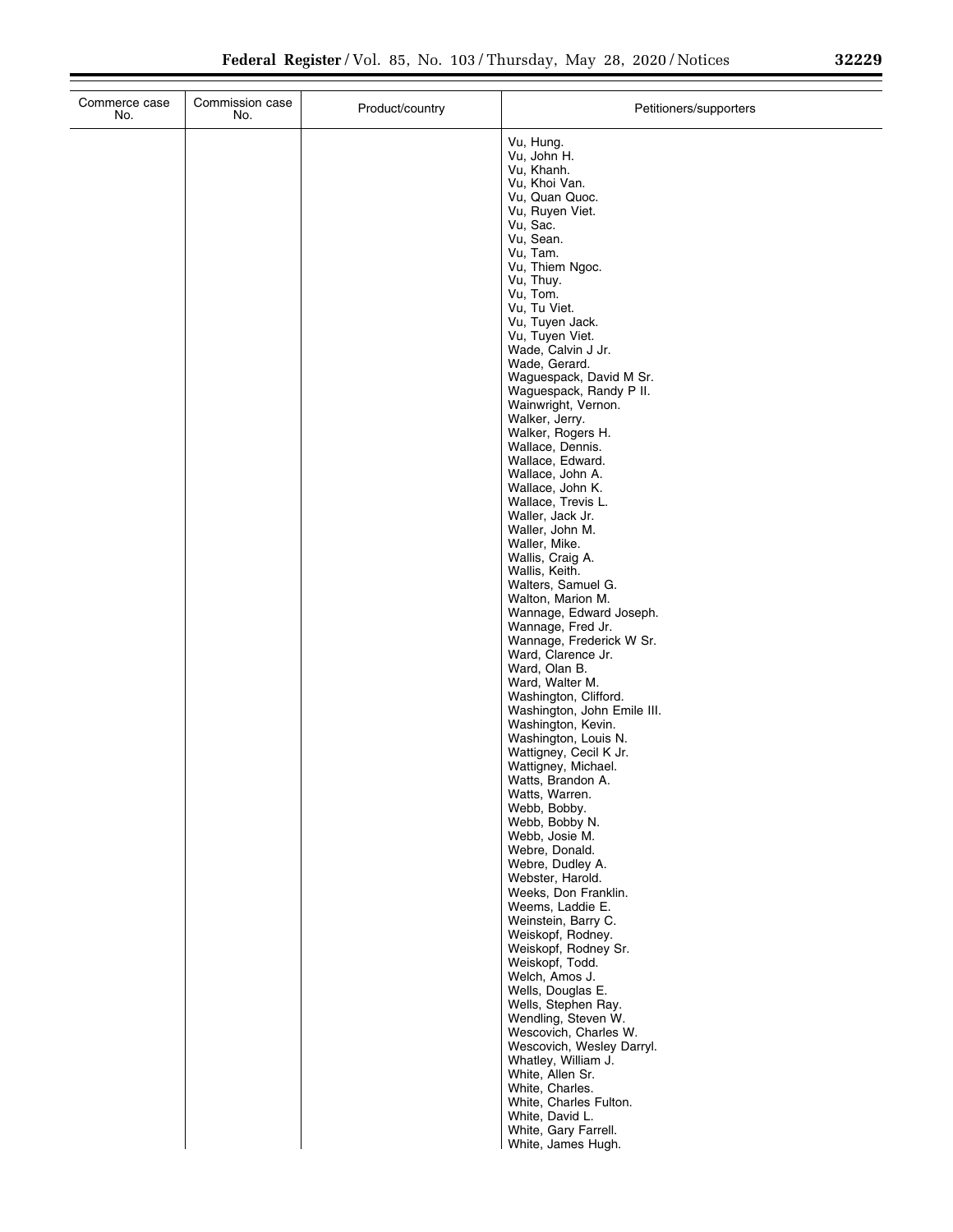| Vu, Hung.<br>Vu, John H.<br>Vu, Khanh.<br>Vu, Khoi Van.<br>Vu, Quan Quoc.<br>Vu, Ruyen Viet.<br>Vu, Sac.<br>Vu, Sean.<br>Vu, Tam.<br>Vu, Thiem Ngoc.<br>Vu, Thuy.<br>Vu, Tom.<br>Vu, Tu Viet.<br>Vu, Tuyen Jack.<br>Vu, Tuyen Viet.<br>Wade, Calvin J Jr.<br>Wade, Gerard.<br>Waguespack, David M Sr.<br>Waguespack, Randy P II.<br>Wainwright, Vernon.<br>Walker, Jerry.<br>Walker, Rogers H.<br>Wallace, Dennis.<br>Wallace, Edward.<br>Wallace, John A.<br>Wallace, John K.<br>Wallace, Trevis L.<br>Waller, Jack Jr.<br>Waller, John M.<br>Waller, Mike.<br>Wallis, Craig A.<br>Wallis, Keith.<br>Walters, Samuel G.<br>Walton, Marion M.<br>Wannage, Edward Joseph.<br>Wannage, Fred Jr.<br>Wannage, Frederick W Sr.<br>Ward, Clarence Jr.<br>Ward, Olan B.<br>Ward, Walter M.<br>Washington, Clifford.<br>Washington, John Emile III.<br>Washington, Kevin.<br>Washington, Louis N.<br>Wattigney, Cecil K Jr.<br>Wattigney, Michael.<br>Watts, Brandon A.<br>Watts, Warren.<br>Webb, Bobby.<br>Webb, Bobby N.<br>Webb, Josie M.<br>Webre, Donald.<br>Webre, Dudley A.<br>Webster, Harold.<br>Weeks, Don Franklin.<br>Weems, Laddie E.<br>Weinstein, Barry C.<br>Weiskopf, Rodney.<br>Weiskopf, Rodney Sr.<br>Weiskopf, Todd.<br>Welch, Amos J.<br>Wells, Douglas E.<br>Wells, Stephen Ray.<br>Wendling, Steven W.<br>Wescovich, Charles W.<br>Wescovich, Wesley Darryl.<br>Whatley, William J.<br>White, Allen Sr.<br>White, Charles.<br>White, Charles Fulton.<br>White, David L.<br>White, Gary Farrell.<br>White, James Hugh. | Commerce case<br>No. | Commission case<br>No. | Product/country | Petitioners/supporters |
|----------------------------------------------------------------------------------------------------------------------------------------------------------------------------------------------------------------------------------------------------------------------------------------------------------------------------------------------------------------------------------------------------------------------------------------------------------------------------------------------------------------------------------------------------------------------------------------------------------------------------------------------------------------------------------------------------------------------------------------------------------------------------------------------------------------------------------------------------------------------------------------------------------------------------------------------------------------------------------------------------------------------------------------------------------------------------------------------------------------------------------------------------------------------------------------------------------------------------------------------------------------------------------------------------------------------------------------------------------------------------------------------------------------------------------------------------------------------------------------------------------------------------------------|----------------------|------------------------|-----------------|------------------------|
|                                                                                                                                                                                                                                                                                                                                                                                                                                                                                                                                                                                                                                                                                                                                                                                                                                                                                                                                                                                                                                                                                                                                                                                                                                                                                                                                                                                                                                                                                                                                        |                      |                        |                 |                        |
|                                                                                                                                                                                                                                                                                                                                                                                                                                                                                                                                                                                                                                                                                                                                                                                                                                                                                                                                                                                                                                                                                                                                                                                                                                                                                                                                                                                                                                                                                                                                        |                      |                        |                 |                        |
|                                                                                                                                                                                                                                                                                                                                                                                                                                                                                                                                                                                                                                                                                                                                                                                                                                                                                                                                                                                                                                                                                                                                                                                                                                                                                                                                                                                                                                                                                                                                        |                      |                        |                 |                        |
|                                                                                                                                                                                                                                                                                                                                                                                                                                                                                                                                                                                                                                                                                                                                                                                                                                                                                                                                                                                                                                                                                                                                                                                                                                                                                                                                                                                                                                                                                                                                        |                      |                        |                 |                        |
|                                                                                                                                                                                                                                                                                                                                                                                                                                                                                                                                                                                                                                                                                                                                                                                                                                                                                                                                                                                                                                                                                                                                                                                                                                                                                                                                                                                                                                                                                                                                        |                      |                        |                 |                        |
|                                                                                                                                                                                                                                                                                                                                                                                                                                                                                                                                                                                                                                                                                                                                                                                                                                                                                                                                                                                                                                                                                                                                                                                                                                                                                                                                                                                                                                                                                                                                        |                      |                        |                 |                        |
|                                                                                                                                                                                                                                                                                                                                                                                                                                                                                                                                                                                                                                                                                                                                                                                                                                                                                                                                                                                                                                                                                                                                                                                                                                                                                                                                                                                                                                                                                                                                        |                      |                        |                 |                        |
|                                                                                                                                                                                                                                                                                                                                                                                                                                                                                                                                                                                                                                                                                                                                                                                                                                                                                                                                                                                                                                                                                                                                                                                                                                                                                                                                                                                                                                                                                                                                        |                      |                        |                 |                        |
|                                                                                                                                                                                                                                                                                                                                                                                                                                                                                                                                                                                                                                                                                                                                                                                                                                                                                                                                                                                                                                                                                                                                                                                                                                                                                                                                                                                                                                                                                                                                        |                      |                        |                 |                        |
|                                                                                                                                                                                                                                                                                                                                                                                                                                                                                                                                                                                                                                                                                                                                                                                                                                                                                                                                                                                                                                                                                                                                                                                                                                                                                                                                                                                                                                                                                                                                        |                      |                        |                 |                        |
|                                                                                                                                                                                                                                                                                                                                                                                                                                                                                                                                                                                                                                                                                                                                                                                                                                                                                                                                                                                                                                                                                                                                                                                                                                                                                                                                                                                                                                                                                                                                        |                      |                        |                 |                        |
|                                                                                                                                                                                                                                                                                                                                                                                                                                                                                                                                                                                                                                                                                                                                                                                                                                                                                                                                                                                                                                                                                                                                                                                                                                                                                                                                                                                                                                                                                                                                        |                      |                        |                 |                        |
|                                                                                                                                                                                                                                                                                                                                                                                                                                                                                                                                                                                                                                                                                                                                                                                                                                                                                                                                                                                                                                                                                                                                                                                                                                                                                                                                                                                                                                                                                                                                        |                      |                        |                 |                        |
|                                                                                                                                                                                                                                                                                                                                                                                                                                                                                                                                                                                                                                                                                                                                                                                                                                                                                                                                                                                                                                                                                                                                                                                                                                                                                                                                                                                                                                                                                                                                        |                      |                        |                 |                        |
|                                                                                                                                                                                                                                                                                                                                                                                                                                                                                                                                                                                                                                                                                                                                                                                                                                                                                                                                                                                                                                                                                                                                                                                                                                                                                                                                                                                                                                                                                                                                        |                      |                        |                 |                        |
|                                                                                                                                                                                                                                                                                                                                                                                                                                                                                                                                                                                                                                                                                                                                                                                                                                                                                                                                                                                                                                                                                                                                                                                                                                                                                                                                                                                                                                                                                                                                        |                      |                        |                 |                        |
|                                                                                                                                                                                                                                                                                                                                                                                                                                                                                                                                                                                                                                                                                                                                                                                                                                                                                                                                                                                                                                                                                                                                                                                                                                                                                                                                                                                                                                                                                                                                        |                      |                        |                 |                        |
|                                                                                                                                                                                                                                                                                                                                                                                                                                                                                                                                                                                                                                                                                                                                                                                                                                                                                                                                                                                                                                                                                                                                                                                                                                                                                                                                                                                                                                                                                                                                        |                      |                        |                 |                        |
|                                                                                                                                                                                                                                                                                                                                                                                                                                                                                                                                                                                                                                                                                                                                                                                                                                                                                                                                                                                                                                                                                                                                                                                                                                                                                                                                                                                                                                                                                                                                        |                      |                        |                 |                        |
|                                                                                                                                                                                                                                                                                                                                                                                                                                                                                                                                                                                                                                                                                                                                                                                                                                                                                                                                                                                                                                                                                                                                                                                                                                                                                                                                                                                                                                                                                                                                        |                      |                        |                 |                        |
|                                                                                                                                                                                                                                                                                                                                                                                                                                                                                                                                                                                                                                                                                                                                                                                                                                                                                                                                                                                                                                                                                                                                                                                                                                                                                                                                                                                                                                                                                                                                        |                      |                        |                 |                        |
|                                                                                                                                                                                                                                                                                                                                                                                                                                                                                                                                                                                                                                                                                                                                                                                                                                                                                                                                                                                                                                                                                                                                                                                                                                                                                                                                                                                                                                                                                                                                        |                      |                        |                 |                        |
|                                                                                                                                                                                                                                                                                                                                                                                                                                                                                                                                                                                                                                                                                                                                                                                                                                                                                                                                                                                                                                                                                                                                                                                                                                                                                                                                                                                                                                                                                                                                        |                      |                        |                 |                        |
|                                                                                                                                                                                                                                                                                                                                                                                                                                                                                                                                                                                                                                                                                                                                                                                                                                                                                                                                                                                                                                                                                                                                                                                                                                                                                                                                                                                                                                                                                                                                        |                      |                        |                 |                        |
|                                                                                                                                                                                                                                                                                                                                                                                                                                                                                                                                                                                                                                                                                                                                                                                                                                                                                                                                                                                                                                                                                                                                                                                                                                                                                                                                                                                                                                                                                                                                        |                      |                        |                 |                        |
|                                                                                                                                                                                                                                                                                                                                                                                                                                                                                                                                                                                                                                                                                                                                                                                                                                                                                                                                                                                                                                                                                                                                                                                                                                                                                                                                                                                                                                                                                                                                        |                      |                        |                 |                        |
|                                                                                                                                                                                                                                                                                                                                                                                                                                                                                                                                                                                                                                                                                                                                                                                                                                                                                                                                                                                                                                                                                                                                                                                                                                                                                                                                                                                                                                                                                                                                        |                      |                        |                 |                        |
|                                                                                                                                                                                                                                                                                                                                                                                                                                                                                                                                                                                                                                                                                                                                                                                                                                                                                                                                                                                                                                                                                                                                                                                                                                                                                                                                                                                                                                                                                                                                        |                      |                        |                 |                        |
|                                                                                                                                                                                                                                                                                                                                                                                                                                                                                                                                                                                                                                                                                                                                                                                                                                                                                                                                                                                                                                                                                                                                                                                                                                                                                                                                                                                                                                                                                                                                        |                      |                        |                 |                        |
|                                                                                                                                                                                                                                                                                                                                                                                                                                                                                                                                                                                                                                                                                                                                                                                                                                                                                                                                                                                                                                                                                                                                                                                                                                                                                                                                                                                                                                                                                                                                        |                      |                        |                 |                        |
|                                                                                                                                                                                                                                                                                                                                                                                                                                                                                                                                                                                                                                                                                                                                                                                                                                                                                                                                                                                                                                                                                                                                                                                                                                                                                                                                                                                                                                                                                                                                        |                      |                        |                 |                        |
|                                                                                                                                                                                                                                                                                                                                                                                                                                                                                                                                                                                                                                                                                                                                                                                                                                                                                                                                                                                                                                                                                                                                                                                                                                                                                                                                                                                                                                                                                                                                        |                      |                        |                 |                        |
|                                                                                                                                                                                                                                                                                                                                                                                                                                                                                                                                                                                                                                                                                                                                                                                                                                                                                                                                                                                                                                                                                                                                                                                                                                                                                                                                                                                                                                                                                                                                        |                      |                        |                 |                        |
|                                                                                                                                                                                                                                                                                                                                                                                                                                                                                                                                                                                                                                                                                                                                                                                                                                                                                                                                                                                                                                                                                                                                                                                                                                                                                                                                                                                                                                                                                                                                        |                      |                        |                 |                        |
|                                                                                                                                                                                                                                                                                                                                                                                                                                                                                                                                                                                                                                                                                                                                                                                                                                                                                                                                                                                                                                                                                                                                                                                                                                                                                                                                                                                                                                                                                                                                        |                      |                        |                 |                        |
|                                                                                                                                                                                                                                                                                                                                                                                                                                                                                                                                                                                                                                                                                                                                                                                                                                                                                                                                                                                                                                                                                                                                                                                                                                                                                                                                                                                                                                                                                                                                        |                      |                        |                 |                        |
|                                                                                                                                                                                                                                                                                                                                                                                                                                                                                                                                                                                                                                                                                                                                                                                                                                                                                                                                                                                                                                                                                                                                                                                                                                                                                                                                                                                                                                                                                                                                        |                      |                        |                 |                        |
|                                                                                                                                                                                                                                                                                                                                                                                                                                                                                                                                                                                                                                                                                                                                                                                                                                                                                                                                                                                                                                                                                                                                                                                                                                                                                                                                                                                                                                                                                                                                        |                      |                        |                 |                        |
|                                                                                                                                                                                                                                                                                                                                                                                                                                                                                                                                                                                                                                                                                                                                                                                                                                                                                                                                                                                                                                                                                                                                                                                                                                                                                                                                                                                                                                                                                                                                        |                      |                        |                 |                        |
|                                                                                                                                                                                                                                                                                                                                                                                                                                                                                                                                                                                                                                                                                                                                                                                                                                                                                                                                                                                                                                                                                                                                                                                                                                                                                                                                                                                                                                                                                                                                        |                      |                        |                 |                        |
|                                                                                                                                                                                                                                                                                                                                                                                                                                                                                                                                                                                                                                                                                                                                                                                                                                                                                                                                                                                                                                                                                                                                                                                                                                                                                                                                                                                                                                                                                                                                        |                      |                        |                 |                        |
|                                                                                                                                                                                                                                                                                                                                                                                                                                                                                                                                                                                                                                                                                                                                                                                                                                                                                                                                                                                                                                                                                                                                                                                                                                                                                                                                                                                                                                                                                                                                        |                      |                        |                 |                        |
|                                                                                                                                                                                                                                                                                                                                                                                                                                                                                                                                                                                                                                                                                                                                                                                                                                                                                                                                                                                                                                                                                                                                                                                                                                                                                                                                                                                                                                                                                                                                        |                      |                        |                 |                        |
|                                                                                                                                                                                                                                                                                                                                                                                                                                                                                                                                                                                                                                                                                                                                                                                                                                                                                                                                                                                                                                                                                                                                                                                                                                                                                                                                                                                                                                                                                                                                        |                      |                        |                 |                        |
|                                                                                                                                                                                                                                                                                                                                                                                                                                                                                                                                                                                                                                                                                                                                                                                                                                                                                                                                                                                                                                                                                                                                                                                                                                                                                                                                                                                                                                                                                                                                        |                      |                        |                 |                        |
|                                                                                                                                                                                                                                                                                                                                                                                                                                                                                                                                                                                                                                                                                                                                                                                                                                                                                                                                                                                                                                                                                                                                                                                                                                                                                                                                                                                                                                                                                                                                        |                      |                        |                 |                        |
|                                                                                                                                                                                                                                                                                                                                                                                                                                                                                                                                                                                                                                                                                                                                                                                                                                                                                                                                                                                                                                                                                                                                                                                                                                                                                                                                                                                                                                                                                                                                        |                      |                        |                 |                        |
|                                                                                                                                                                                                                                                                                                                                                                                                                                                                                                                                                                                                                                                                                                                                                                                                                                                                                                                                                                                                                                                                                                                                                                                                                                                                                                                                                                                                                                                                                                                                        |                      |                        |                 |                        |
|                                                                                                                                                                                                                                                                                                                                                                                                                                                                                                                                                                                                                                                                                                                                                                                                                                                                                                                                                                                                                                                                                                                                                                                                                                                                                                                                                                                                                                                                                                                                        |                      |                        |                 |                        |
|                                                                                                                                                                                                                                                                                                                                                                                                                                                                                                                                                                                                                                                                                                                                                                                                                                                                                                                                                                                                                                                                                                                                                                                                                                                                                                                                                                                                                                                                                                                                        |                      |                        |                 |                        |
|                                                                                                                                                                                                                                                                                                                                                                                                                                                                                                                                                                                                                                                                                                                                                                                                                                                                                                                                                                                                                                                                                                                                                                                                                                                                                                                                                                                                                                                                                                                                        |                      |                        |                 |                        |
|                                                                                                                                                                                                                                                                                                                                                                                                                                                                                                                                                                                                                                                                                                                                                                                                                                                                                                                                                                                                                                                                                                                                                                                                                                                                                                                                                                                                                                                                                                                                        |                      |                        |                 |                        |
|                                                                                                                                                                                                                                                                                                                                                                                                                                                                                                                                                                                                                                                                                                                                                                                                                                                                                                                                                                                                                                                                                                                                                                                                                                                                                                                                                                                                                                                                                                                                        |                      |                        |                 |                        |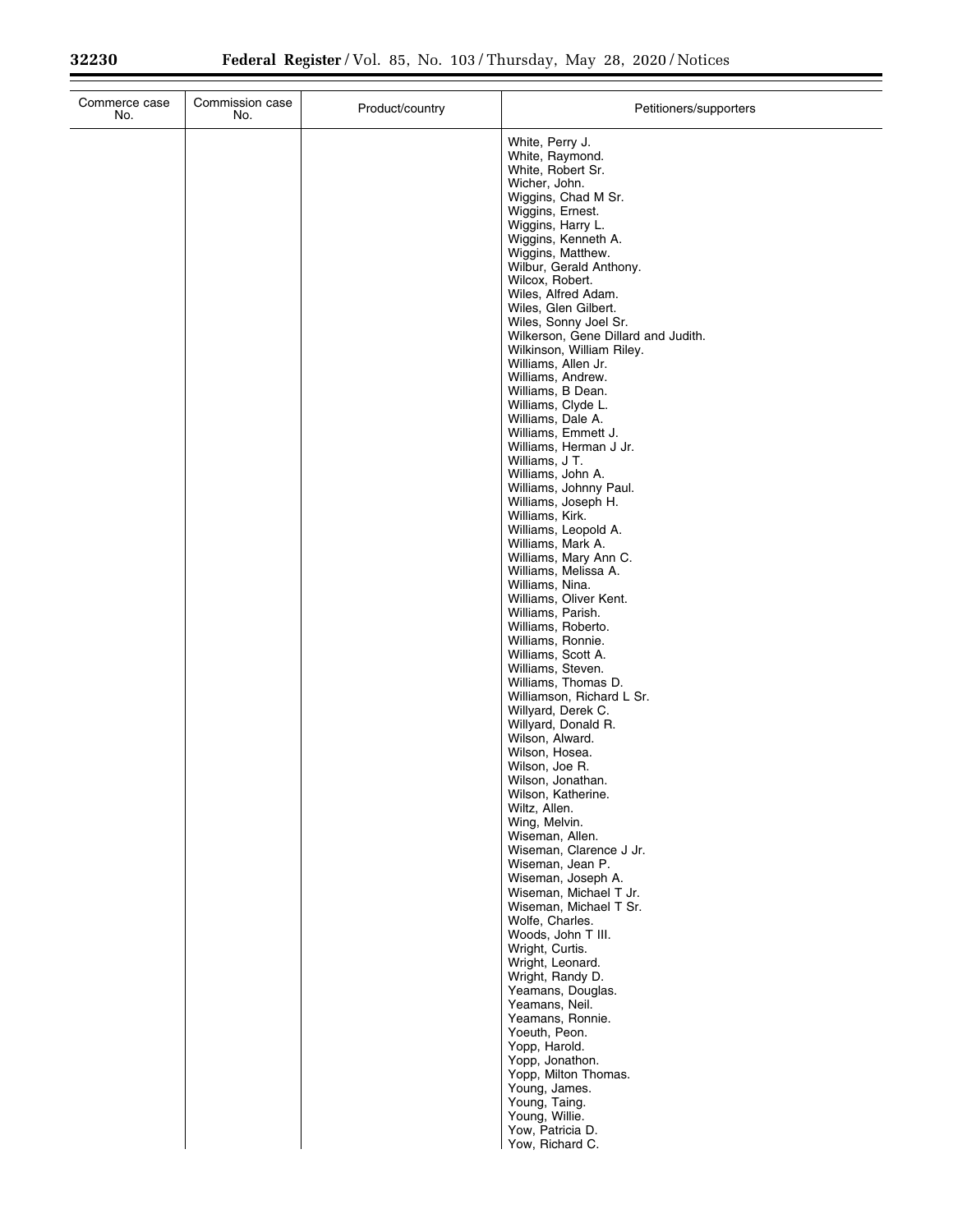| Commerce case<br>Commission case<br>No.<br>No. | Product/country | Petitioners/supporters                                                                                                                                                                                                                                                                                                                                                                                                                                                                                                                                                                                                                                                                                                                                                                                                                                                                                                                                                                                                                                                                                                                                                                                                                                                                                                                                                                                                                                                                                            |
|------------------------------------------------|-----------------|-------------------------------------------------------------------------------------------------------------------------------------------------------------------------------------------------------------------------------------------------------------------------------------------------------------------------------------------------------------------------------------------------------------------------------------------------------------------------------------------------------------------------------------------------------------------------------------------------------------------------------------------------------------------------------------------------------------------------------------------------------------------------------------------------------------------------------------------------------------------------------------------------------------------------------------------------------------------------------------------------------------------------------------------------------------------------------------------------------------------------------------------------------------------------------------------------------------------------------------------------------------------------------------------------------------------------------------------------------------------------------------------------------------------------------------------------------------------------------------------------------------------|
|                                                |                 | White, Perry J.<br>White, Raymond.<br>White, Robert Sr.<br>Wicher, John.<br>Wiggins, Chad M Sr.<br>Wiggins, Ernest.<br>Wiggins, Harry L.<br>Wiggins, Kenneth A.<br>Wiggins, Matthew.<br>Wilbur, Gerald Anthony.<br>Wilcox, Robert.<br>Wiles, Alfred Adam.<br>Wiles, Glen Gilbert.<br>Wiles, Sonny Joel Sr.<br>Wilkerson, Gene Dillard and Judith.<br>Wilkinson, William Riley.<br>Williams, Allen Jr.<br>Williams, Andrew.<br>Williams, B Dean.<br>Williams, Clyde L.<br>Williams, Dale A.<br>Williams, Emmett J.<br>Williams, Herman J Jr.<br>Williams, J T.<br>Williams, John A.<br>Williams, Johnny Paul.<br>Williams, Joseph H.<br>Williams, Kirk.<br>Williams, Leopold A.<br>Williams, Mark A.<br>Williams, Mary Ann C.<br>Williams, Melissa A.<br>Williams, Nina.<br>Williams, Oliver Kent.<br>Williams, Parish.<br>Williams, Roberto.<br>Williams, Ronnie.<br>Williams, Scott A.<br>Williams, Steven.<br>Williams, Thomas D.<br>Williamson, Richard L Sr.<br>Willyard, Derek C.<br>Willyard, Donald R.<br>Wilson, Alward.<br>Wilson, Hosea.<br>Wilson, Joe R.<br>Wilson, Jonathan.<br>Wilson, Katherine.<br>Wiltz, Allen.<br>Wing, Melvin.<br>Wiseman, Allen.<br>Wiseman, Clarence J Jr.<br>Wiseman, Jean P.<br>Wiseman, Joseph A.<br>Wiseman, Michael T Jr.<br>Wiseman, Michael T Sr.<br>Wolfe, Charles.<br>Woods, John T III.<br>Wright, Curtis.<br>Wright, Leonard.<br>Wright, Randy D.<br>Yeamans, Douglas.<br>Yeamans, Neil.<br>Yeamans, Ronnie.<br>Yoeuth, Peon.<br>Yopp, Harold.<br>Yopp, Jonathon. |
|                                                |                 | Yopp, Milton Thomas.<br>Young, James.<br>Young, Taing.<br>Young, Willie.<br>Yow, Patricia D.<br>Yow, Richard C.                                                                                                                                                                                                                                                                                                                                                                                                                                                                                                                                                                                                                                                                                                                                                                                                                                                                                                                                                                                                                                                                                                                                                                                                                                                                                                                                                                                                   |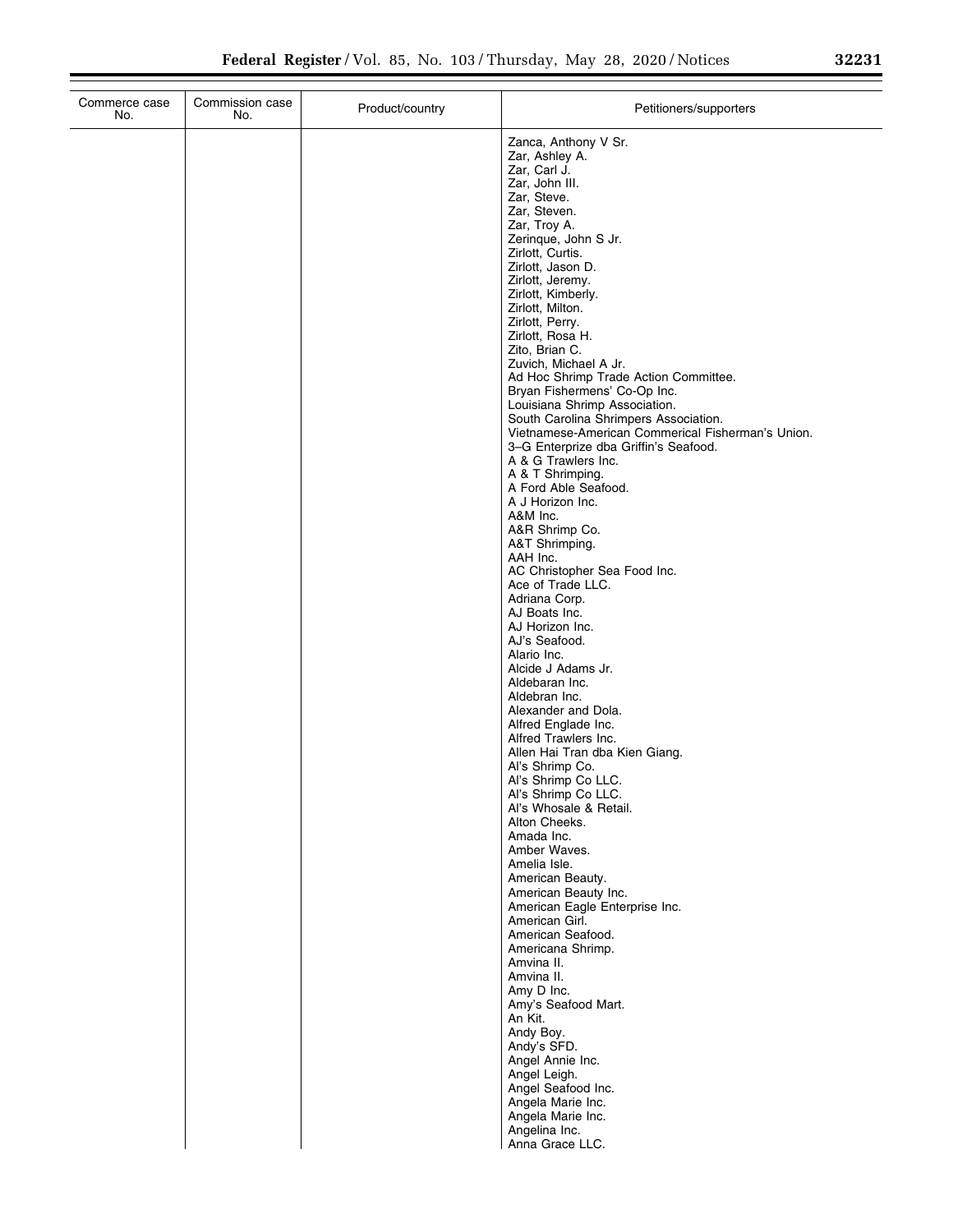| Commerce case<br>No. | Commission case<br>No. | Product/country | Petitioners/supporters                                                                     |
|----------------------|------------------------|-----------------|--------------------------------------------------------------------------------------------|
|                      |                        |                 | Zanca, Anthony V Sr.                                                                       |
|                      |                        |                 | Zar, Ashley A.                                                                             |
|                      |                        |                 | Zar, Carl J.<br>Zar, John III.                                                             |
|                      |                        |                 | Zar, Steve.                                                                                |
|                      |                        |                 | Zar, Steven.                                                                               |
|                      |                        |                 | Zar, Troy A.                                                                               |
|                      |                        |                 | Zerinque, John S Jr.<br>Zirlott, Curtis.                                                   |
|                      |                        |                 | Zirlott, Jason D.                                                                          |
|                      |                        |                 | Zirlott, Jeremy.                                                                           |
|                      |                        |                 | Zirlott, Kimberly.                                                                         |
|                      |                        |                 | Zirlott, Milton.<br>Zirlott, Perry.                                                        |
|                      |                        |                 | Zirlott, Rosa H.                                                                           |
|                      |                        |                 | Zito, Brian C.                                                                             |
|                      |                        |                 | Zuvich, Michael A Jr.<br>Ad Hoc Shrimp Trade Action Committee.                             |
|                      |                        |                 | Bryan Fishermens' Co-Op Inc.                                                               |
|                      |                        |                 | Louisiana Shrimp Association.                                                              |
|                      |                        |                 | South Carolina Shrimpers Association.                                                      |
|                      |                        |                 | Vietnamese-American Commerical Fisherman's Union.<br>3-G Enterprize dba Griffin's Seafood. |
|                      |                        |                 | A & G Trawlers Inc.                                                                        |
|                      |                        |                 | A & T Shrimping.                                                                           |
|                      |                        |                 | A Ford Able Seafood.<br>A J Horizon Inc.                                                   |
|                      |                        |                 | A&M Inc.                                                                                   |
|                      |                        |                 | A&R Shrimp Co.                                                                             |
|                      |                        |                 | A&T Shrimping.                                                                             |
|                      |                        |                 | AAH Inc.<br>AC Christopher Sea Food Inc.                                                   |
|                      |                        |                 | Ace of Trade LLC.                                                                          |
|                      |                        |                 | Adriana Corp.                                                                              |
|                      |                        |                 | AJ Boats Inc.<br>AJ Horizon Inc.                                                           |
|                      |                        |                 | AJ's Seafood.                                                                              |
|                      |                        |                 | Alario Inc.                                                                                |
|                      |                        |                 | Alcide J Adams Jr.<br>Aldebaran Inc.                                                       |
|                      |                        |                 | Aldebran Inc.                                                                              |
|                      |                        |                 | Alexander and Dola.                                                                        |
|                      |                        |                 | Alfred Englade Inc.<br>Alfred Trawlers Inc.                                                |
|                      |                        |                 | Allen Hai Tran dba Kien Giang.                                                             |
|                      |                        |                 | Al's Shrimp Co.                                                                            |
|                      |                        |                 | Al's Shrimp Co LLC.                                                                        |
|                      |                        |                 | Al's Shrimp Co LLC.<br>Al's Whosale & Retail.                                              |
|                      |                        |                 | Alton Cheeks.                                                                              |
|                      |                        |                 | Amada Inc.                                                                                 |
|                      |                        |                 | Amber Waves.<br>Amelia Isle.                                                               |
|                      |                        |                 | American Beauty.                                                                           |
|                      |                        |                 | American Beauty Inc.                                                                       |
|                      |                        |                 | American Eagle Enterprise Inc.<br>American Girl.                                           |
|                      |                        |                 | American Seafood.                                                                          |
|                      |                        |                 | Americana Shrimp.                                                                          |
|                      |                        |                 | Amvina II.<br>Amvina II.                                                                   |
|                      |                        |                 | Amy D Inc.                                                                                 |
|                      |                        |                 | Amy's Seafood Mart.                                                                        |
|                      |                        |                 | An Kit.<br>Andy Boy.                                                                       |
|                      |                        |                 | Andy's SFD.                                                                                |
|                      |                        |                 | Angel Annie Inc.                                                                           |
|                      |                        |                 | Angel Leigh.                                                                               |
|                      |                        |                 | Angel Seafood Inc.<br>Angela Marie Inc.                                                    |
|                      |                        |                 | Angela Marie Inc.                                                                          |
|                      |                        |                 | Angelina Inc.                                                                              |
|                      |                        |                 | Anna Grace LLC.                                                                            |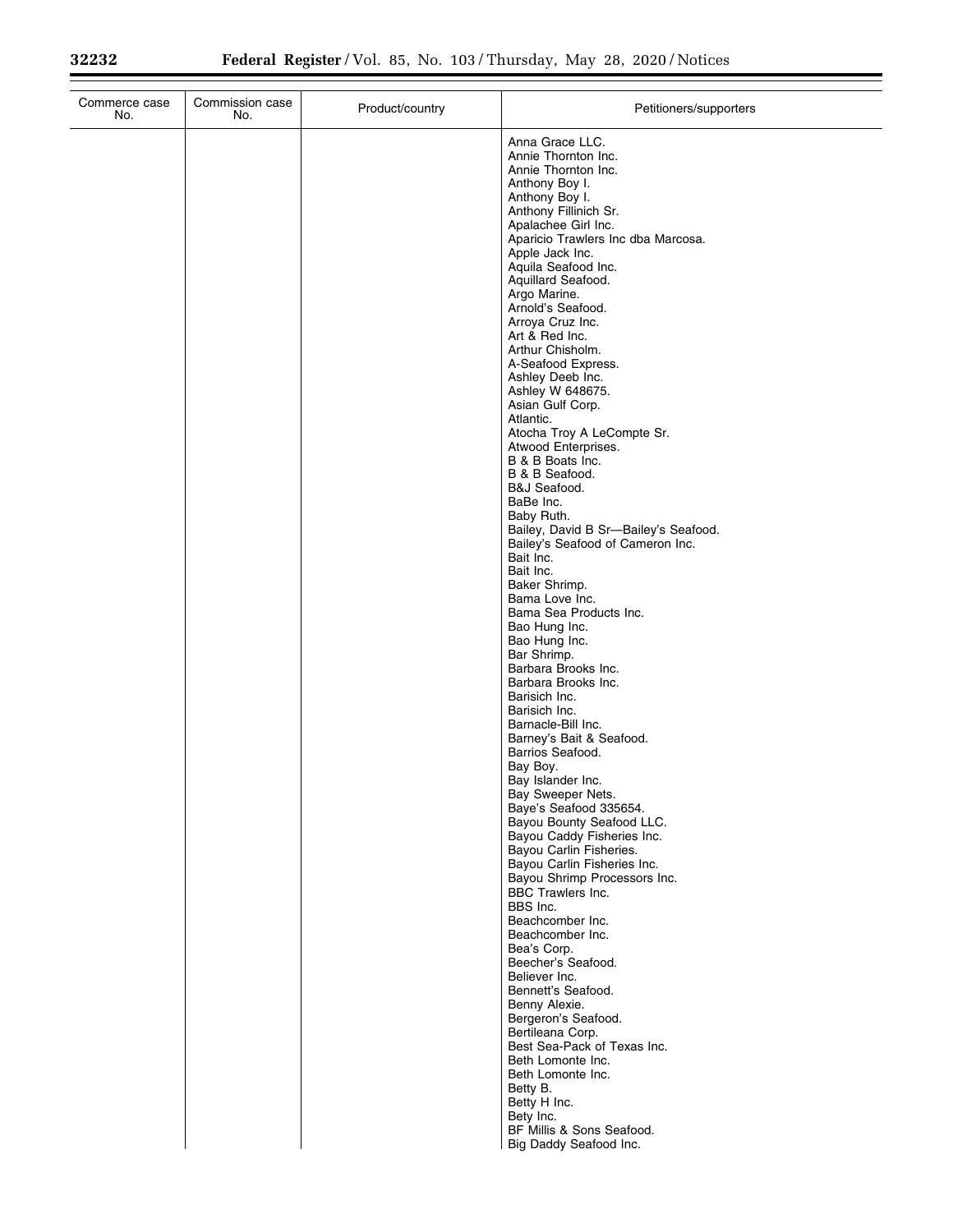| Commerce case<br>No. | Commission case<br>No. | Product/country | Petitioners/supporters                                    |
|----------------------|------------------------|-----------------|-----------------------------------------------------------|
|                      |                        |                 | Anna Grace LLC.<br>Annie Thornton Inc.                    |
|                      |                        |                 | Annie Thornton Inc.                                       |
|                      |                        |                 | Anthony Boy I.<br>Anthony Boy I.                          |
|                      |                        |                 | Anthony Fillinich Sr.                                     |
|                      |                        |                 | Apalachee Girl Inc.<br>Aparicio Trawlers Inc dba Marcosa. |
|                      |                        |                 | Apple Jack Inc.                                           |
|                      |                        |                 | Aquila Seafood Inc.<br>Aquillard Seafood.                 |
|                      |                        |                 | Argo Marine.                                              |
|                      |                        |                 | Arnold's Seafood.                                         |
|                      |                        |                 | Arroya Cruz Inc.<br>Art & Red Inc.                        |
|                      |                        |                 | Arthur Chisholm.                                          |
|                      |                        |                 | A-Seafood Express.<br>Ashley Deeb Inc.                    |
|                      |                        |                 | Ashley W 648675.                                          |
|                      |                        |                 | Asian Gulf Corp.<br>Atlantic.                             |
|                      |                        |                 | Atocha Troy A LeCompte Sr.                                |
|                      |                        |                 | Atwood Enterprises.                                       |
|                      |                        |                 | B & B Boats Inc.<br>B & B Seafood.                        |
|                      |                        |                 | B&J Seafood.                                              |
|                      |                        |                 | BaBe Inc.                                                 |
|                      |                        |                 | Baby Ruth.<br>Bailey, David B Sr-Bailey's Seafood.        |
|                      |                        |                 | Bailey's Seafood of Cameron Inc.                          |
|                      |                        |                 | Bait Inc.<br>Bait Inc.                                    |
|                      |                        |                 | Baker Shrimp.                                             |
|                      |                        |                 | Bama Love Inc.<br>Bama Sea Products Inc.                  |
|                      |                        |                 | Bao Hung Inc.                                             |
|                      |                        |                 | Bao Hung Inc.                                             |
|                      |                        |                 | Bar Shrimp.<br>Barbara Brooks Inc.                        |
|                      |                        |                 | Barbara Brooks Inc.                                       |
|                      |                        |                 | Barisich Inc.<br>Barisich Inc.                            |
|                      |                        |                 | Barnacle-Bill Inc.                                        |
|                      |                        |                 | Barney's Bait & Seafood.                                  |
|                      |                        |                 | Barrios Seafood.<br>Bay Boy.                              |
|                      |                        |                 | Bay Islander Inc.                                         |
|                      |                        |                 | Bay Sweeper Nets.<br>Baye's Seafood 335654.               |
|                      |                        |                 | Bayou Bounty Seafood LLC.                                 |
|                      |                        |                 | Bayou Caddy Fisheries Inc.<br>Bayou Carlin Fisheries.     |
|                      |                        |                 | Bayou Carlin Fisheries Inc.                               |
|                      |                        |                 | Bayou Shrimp Processors Inc.                              |
|                      |                        |                 | BBC Trawlers Inc.<br>BBS Inc.                             |
|                      |                        |                 | Beachcomber Inc.                                          |
|                      |                        |                 | Beachcomber Inc.<br>Bea's Corp.                           |
|                      |                        |                 | Beecher's Seafood.                                        |
|                      |                        |                 | Believer Inc.                                             |
|                      |                        |                 | Bennett's Seafood.<br>Benny Alexie.                       |
|                      |                        |                 | Bergeron's Seafood.                                       |
|                      |                        |                 | Bertileana Corp.<br>Best Sea-Pack of Texas Inc.           |
|                      |                        |                 | Beth Lomonte Inc.                                         |
|                      |                        |                 | Beth Lomonte Inc.                                         |
|                      |                        |                 | Betty B.<br>Betty H Inc.                                  |
|                      |                        |                 | Bety Inc.                                                 |
|                      |                        |                 | BF Millis & Sons Seafood.<br>Big Daddy Seafood Inc.       |
|                      |                        |                 |                                                           |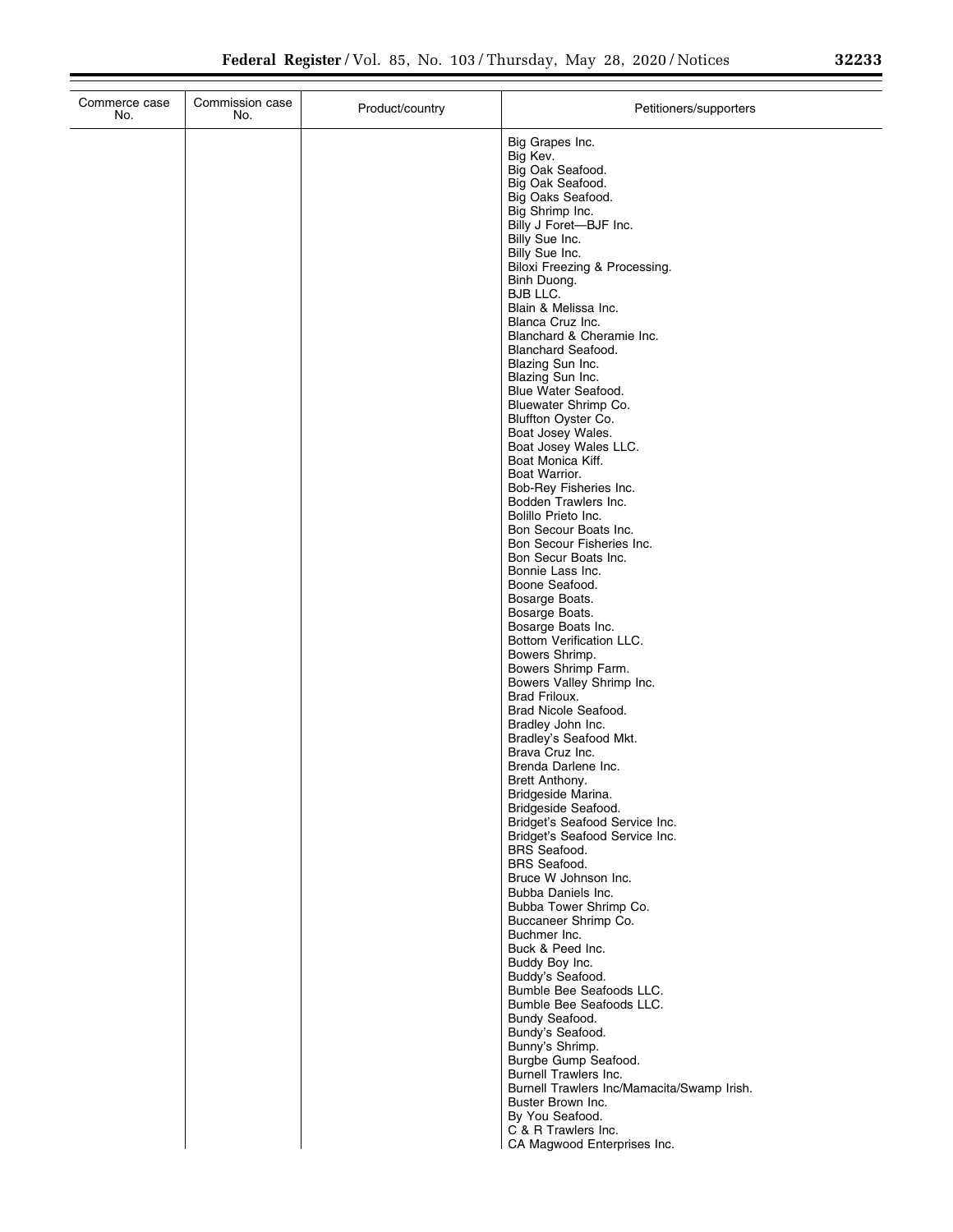| Commerce case<br>No. | Commission case<br>No. | Product/country | Petitioners/supporters                                           |
|----------------------|------------------------|-----------------|------------------------------------------------------------------|
|                      |                        |                 | Big Grapes Inc.                                                  |
|                      |                        |                 | Big Kev.                                                         |
|                      |                        |                 | Big Oak Seafood.<br>Big Oak Seafood.                             |
|                      |                        |                 | Big Oaks Seafood.                                                |
|                      |                        |                 | Big Shrimp Inc.                                                  |
|                      |                        |                 | Billy J Foret-BJF Inc.<br>Billy Sue Inc.                         |
|                      |                        |                 | Billy Sue Inc.                                                   |
|                      |                        |                 | Biloxi Freezing & Processing.                                    |
|                      |                        |                 | Binh Duong.                                                      |
|                      |                        |                 | BJB LLC.<br>Blain & Melissa Inc.                                 |
|                      |                        |                 | Blanca Cruz Inc.                                                 |
|                      |                        |                 | Blanchard & Cheramie Inc.                                        |
|                      |                        |                 | <b>Blanchard Seafood.</b><br>Blazing Sun Inc.                    |
|                      |                        |                 | Blazing Sun Inc.                                                 |
|                      |                        |                 | Blue Water Seafood.                                              |
|                      |                        |                 | Bluewater Shrimp Co.<br>Bluffton Oyster Co.                      |
|                      |                        |                 | Boat Josey Wales.                                                |
|                      |                        |                 | Boat Josey Wales LLC.                                            |
|                      |                        |                 | Boat Monica Kiff.                                                |
|                      |                        |                 | Boat Warrior.<br>Bob-Rey Fisheries Inc.                          |
|                      |                        |                 | Bodden Trawlers Inc.                                             |
|                      |                        |                 | Bolillo Prieto Inc.                                              |
|                      |                        |                 | Bon Secour Boats Inc.<br>Bon Secour Fisheries Inc.               |
|                      |                        |                 | Bon Secur Boats Inc.                                             |
|                      |                        |                 | Bonnie Lass Inc.                                                 |
|                      |                        |                 | Boone Seafood.<br>Bosarge Boats.                                 |
|                      |                        |                 | Bosarge Boats.                                                   |
|                      |                        |                 | Bosarge Boats Inc.                                               |
|                      |                        |                 | Bottom Verification LLC.<br>Bowers Shrimp.                       |
|                      |                        |                 | Bowers Shrimp Farm.                                              |
|                      |                        |                 | Bowers Valley Shrimp Inc.                                        |
|                      |                        |                 | Brad Friloux.<br>Brad Nicole Seafood.                            |
|                      |                        |                 | Bradley John Inc.                                                |
|                      |                        |                 | Bradley's Seafood Mkt.                                           |
|                      |                        |                 | Brava Cruz Inc.                                                  |
|                      |                        |                 | Brenda Darlene Inc.<br>Brett Anthony.                            |
|                      |                        |                 | Bridgeside Marina.                                               |
|                      |                        |                 | Bridgeside Seafood.                                              |
|                      |                        |                 | Bridget's Seafood Service Inc.<br>Bridget's Seafood Service Inc. |
|                      |                        |                 | <b>BRS</b> Seafood.                                              |
|                      |                        |                 | <b>BRS</b> Seafood.                                              |
|                      |                        |                 | Bruce W Johnson Inc.<br>Bubba Daniels Inc.                       |
|                      |                        |                 | Bubba Tower Shrimp Co.                                           |
|                      |                        |                 | Buccaneer Shrimp Co.                                             |
|                      |                        |                 | Buchmer Inc.<br>Buck & Peed Inc.                                 |
|                      |                        |                 | Buddy Boy Inc.                                                   |
|                      |                        |                 | Buddy's Seafood.                                                 |
|                      |                        |                 | Bumble Bee Seafoods LLC.                                         |
|                      |                        |                 | Bumble Bee Seafoods LLC.<br>Bundy Seafood.                       |
|                      |                        |                 | Bundy's Seafood.                                                 |
|                      |                        |                 | Bunny's Shrimp.                                                  |
|                      |                        |                 | Burgbe Gump Seafood.<br>Burnell Trawlers Inc.                    |
|                      |                        |                 | Burnell Trawlers Inc/Mamacita/Swamp Irish.                       |
|                      |                        |                 | Buster Brown Inc.                                                |
|                      |                        |                 | By You Seafood.                                                  |
|                      |                        |                 | C & R Trawlers Inc.<br>CA Magwood Enterprises Inc.               |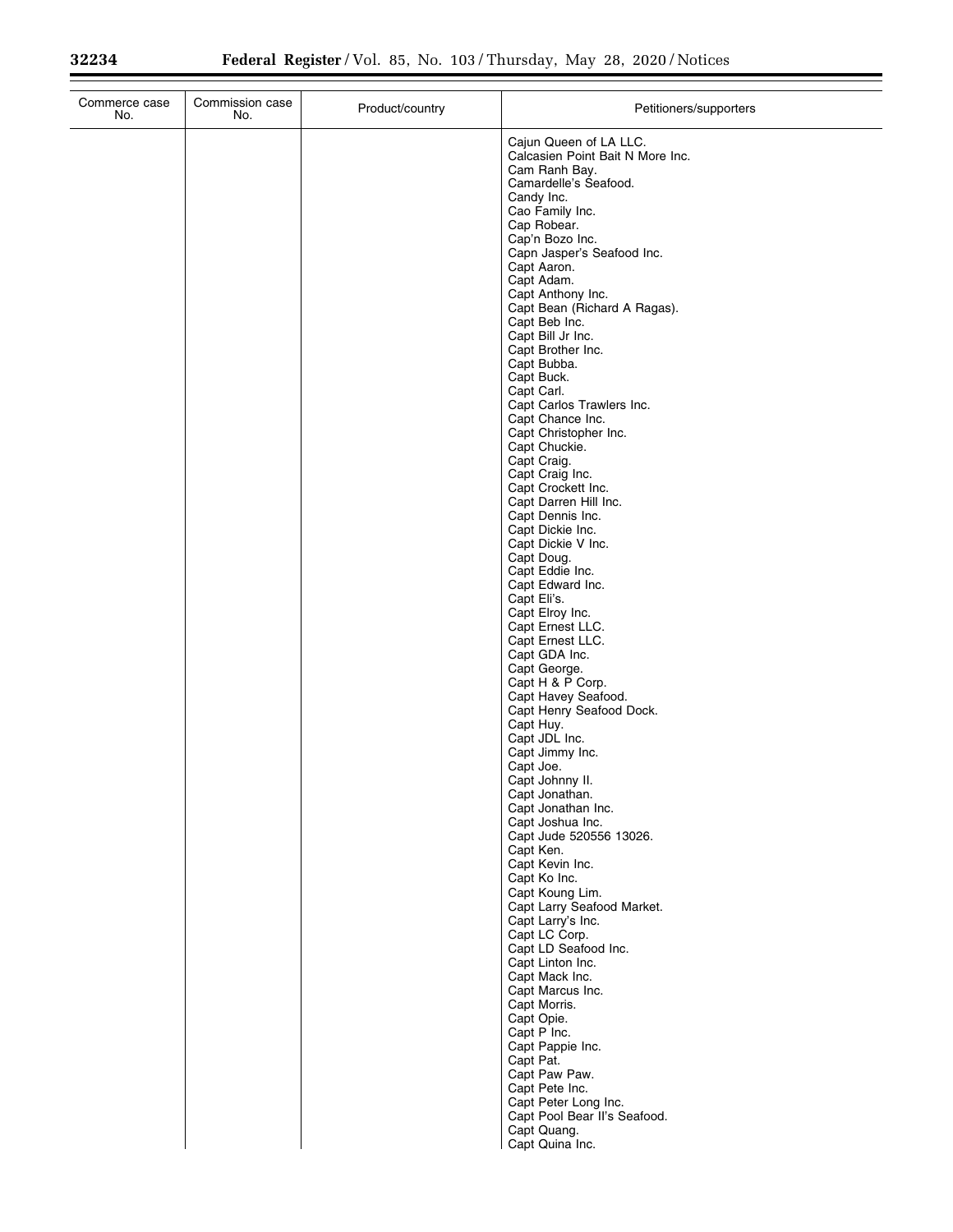| Commerce case<br>No. | Commission case<br>No. | Product/country | Petitioners/supporters                                     |
|----------------------|------------------------|-----------------|------------------------------------------------------------|
|                      |                        |                 | Cajun Queen of LA LLC.<br>Calcasien Point Bait N More Inc. |
|                      |                        |                 | Cam Ranh Bay.<br>Camardelle's Seafood.                     |
|                      |                        |                 | Candy Inc.                                                 |
|                      |                        |                 | Cao Family Inc.<br>Cap Robear.                             |
|                      |                        |                 | Cap'n Bozo Inc.                                            |
|                      |                        |                 | Capn Jasper's Seafood Inc.<br>Capt Aaron.                  |
|                      |                        |                 | Capt Adam.                                                 |
|                      |                        |                 | Capt Anthony Inc.<br>Capt Bean (Richard A Ragas).          |
|                      |                        |                 | Capt Beb Inc.                                              |
|                      |                        |                 | Capt Bill Jr Inc.<br>Capt Brother Inc.                     |
|                      |                        |                 | Capt Bubba.                                                |
|                      |                        |                 | Capt Buck.<br>Capt Carl.                                   |
|                      |                        |                 | Capt Carlos Trawlers Inc.                                  |
|                      |                        |                 | Capt Chance Inc.<br>Capt Christopher Inc.                  |
|                      |                        |                 | Capt Chuckie.                                              |
|                      |                        |                 | Capt Craig.<br>Capt Craig Inc.                             |
|                      |                        |                 | Capt Crockett Inc.                                         |
|                      |                        |                 | Capt Darren Hill Inc.<br>Capt Dennis Inc.                  |
|                      |                        |                 | Capt Dickie Inc.<br>Capt Dickie V Inc.                     |
|                      |                        |                 | Capt Doug.                                                 |
|                      |                        |                 | Capt Eddie Inc.<br>Capt Edward Inc.                        |
|                      |                        |                 | Capt Eli's.                                                |
|                      |                        |                 | Capt Elroy Inc.<br>Capt Ernest LLC.                        |
|                      |                        |                 | Capt Ernest LLC.                                           |
|                      |                        |                 | Capt GDA Inc.<br>Capt George.                              |
|                      |                        |                 | Capt H & P Corp.                                           |
|                      |                        |                 | Capt Havey Seafood.<br>Capt Henry Seafood Dock.            |
|                      |                        |                 | Capt Huy.                                                  |
|                      |                        |                 | Capt JDL Inc.<br>Capt Jimmy Inc.                           |
|                      |                        |                 | Capt Joe.                                                  |
|                      |                        |                 | Capt Johnny II.<br>Capt Jonathan.                          |
|                      |                        |                 | Capt Jonathan Inc.                                         |
|                      |                        |                 | Capt Joshua Inc.<br>Capt Jude 520556 13026.                |
|                      |                        |                 | Capt Ken.                                                  |
|                      |                        |                 | Capt Kevin Inc.<br>Capt Ko Inc.                            |
|                      |                        |                 | Capt Koung Lim.                                            |
|                      |                        |                 | Capt Larry Seafood Market.<br>Capt Larry's Inc.            |
|                      |                        |                 | Capt LC Corp.                                              |
|                      |                        |                 | Capt LD Seafood Inc.<br>Capt Linton Inc.                   |
|                      |                        |                 | Capt Mack Inc.                                             |
|                      |                        |                 | Capt Marcus Inc.<br>Capt Morris.                           |
|                      |                        |                 | Capt Opie.                                                 |
|                      |                        |                 | Capt P Inc.<br>Capt Pappie Inc.                            |
|                      |                        |                 | Capt Pat.                                                  |
|                      |                        |                 | Capt Paw Paw.<br>Capt Pete Inc.                            |
|                      |                        |                 | Capt Peter Long Inc.                                       |
|                      |                        |                 | Capt Pool Bear II's Seafood.<br>Capt Quang.                |
|                      |                        |                 | Capt Quina Inc.                                            |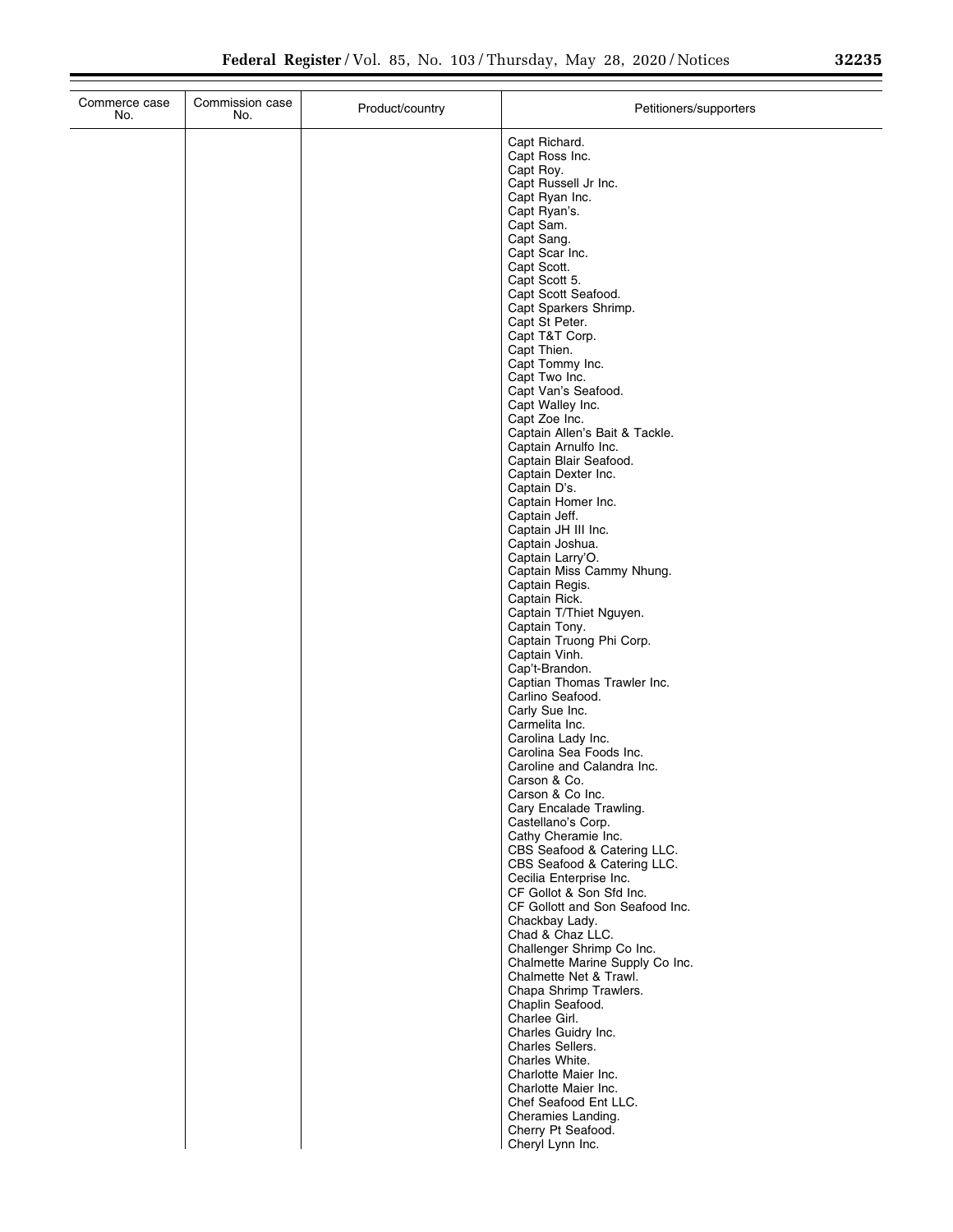| Commerce case<br>No. | Commission case<br>No. | Product/country | Petitioners/supporters                                                                 |
|----------------------|------------------------|-----------------|----------------------------------------------------------------------------------------|
|                      |                        |                 | Capt Richard.<br>Capt Ross Inc.<br>Capt Roy.<br>Capt Russell Jr Inc.                   |
|                      |                        |                 | Capt Ryan Inc.<br>Capt Ryan's.<br>Capt Sam.                                            |
|                      |                        |                 | Capt Sang.<br>Capt Scar Inc.                                                           |
|                      |                        |                 | Capt Scott.<br>Capt Scott 5.                                                           |
|                      |                        |                 | Capt Scott Seafood.<br>Capt Sparkers Shrimp.                                           |
|                      |                        |                 | Capt St Peter.<br>Capt T&T Corp.<br>Capt Thien.                                        |
|                      |                        |                 | Capt Tommy Inc.<br>Capt Two Inc.                                                       |
|                      |                        |                 | Capt Van's Seafood.<br>Capt Walley Inc.                                                |
|                      |                        |                 | Capt Zoe Inc.<br>Captain Allen's Bait & Tackle.                                        |
|                      |                        |                 | Captain Arnulfo Inc.<br>Captain Blair Seafood.<br>Captain Dexter Inc.                  |
|                      |                        |                 | Captain D's.<br>Captain Homer Inc.                                                     |
|                      |                        |                 | Captain Jeff.<br>Captain JH III Inc.                                                   |
|                      |                        |                 | Captain Joshua.<br>Captain Larry'O.                                                    |
|                      |                        |                 | Captain Miss Cammy Nhung.<br>Captain Regis.<br>Captain Rick.                           |
|                      |                        |                 | Captain T/Thiet Nguyen.<br>Captain Tony.                                               |
|                      |                        |                 | Captain Truong Phi Corp.<br>Captain Vinh.                                              |
|                      |                        |                 | Cap't-Brandon.<br>Captian Thomas Trawler Inc.<br>Carlino Seafood.                      |
|                      |                        |                 | Carly Sue Inc.<br>Carmelita Inc.                                                       |
|                      |                        |                 | Carolina Lady Inc.<br>Carolina Sea Foods Inc.                                          |
|                      |                        |                 | Caroline and Calandra Inc.<br>Carson & Co.                                             |
|                      |                        |                 | Carson & Co Inc.<br>Cary Encalade Trawling.                                            |
|                      |                        |                 | Castellano's Corp.<br>Cathy Cheramie Inc.<br>CBS Seafood & Catering LLC.               |
|                      |                        |                 | CBS Seafood & Catering LLC.<br>Cecilia Enterprise Inc.                                 |
|                      |                        |                 | CF Gollot & Son Sfd Inc.<br>CF Gollott and Son Seafood Inc.                            |
|                      |                        |                 | Chackbay Lady.<br>Chad & Chaz LLC.                                                     |
|                      |                        |                 | Challenger Shrimp Co Inc.<br>Chalmette Marine Supply Co Inc.<br>Chalmette Net & Trawl. |
|                      |                        |                 | Chapa Shrimp Trawlers.<br>Chaplin Seafood.                                             |
|                      |                        |                 | Charlee Girl.<br>Charles Guidry Inc.                                                   |
|                      |                        |                 | Charles Sellers.<br>Charles White.                                                     |
|                      |                        |                 | Charlotte Maier Inc.<br>Charlotte Maier Inc.<br>Chef Seafood Ent LLC.                  |
|                      |                        |                 | Cheramies Landing.<br>Cherry Pt Seafood.                                               |
|                      |                        |                 | Cheryl Lynn Inc.                                                                       |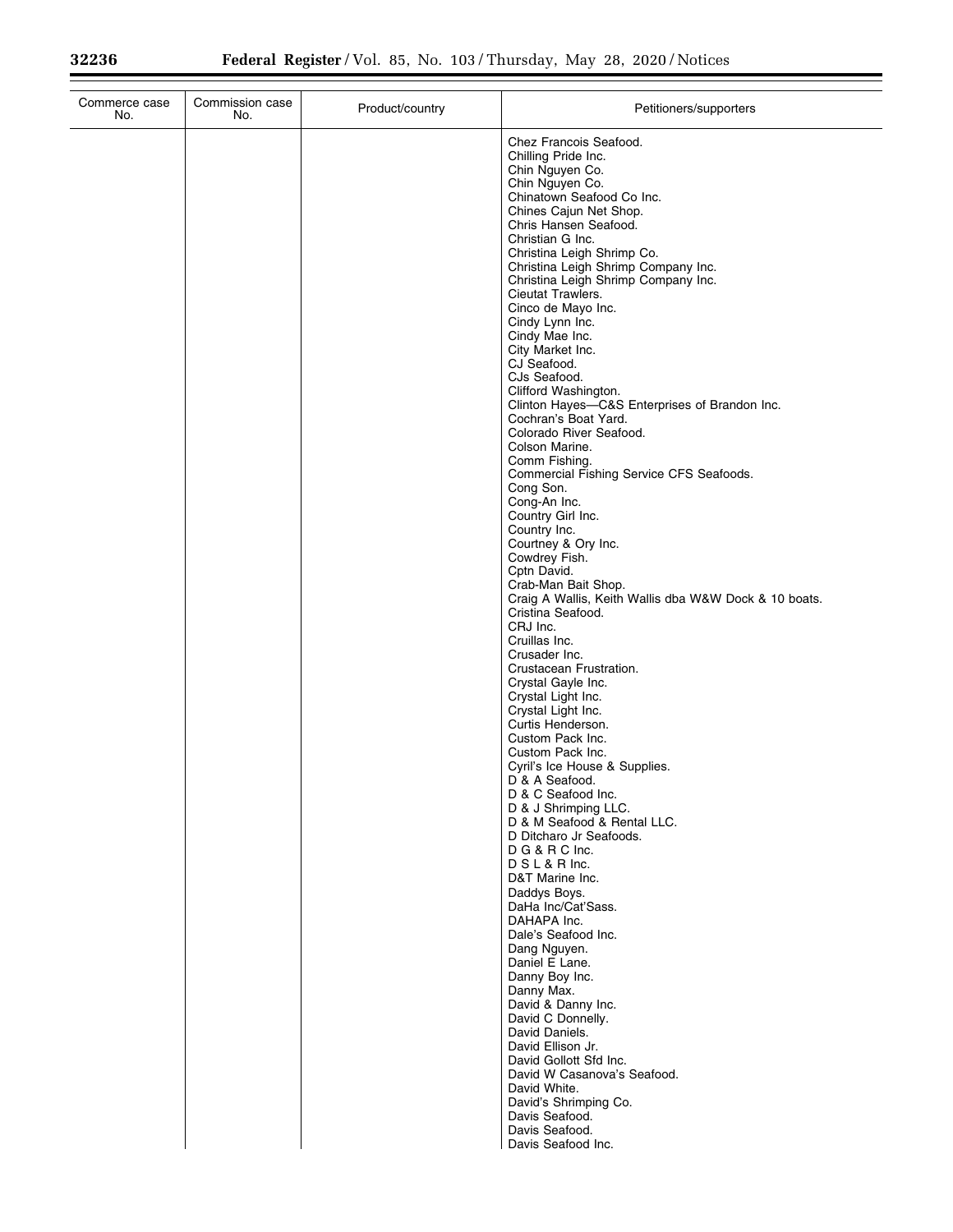| Commerce case<br>Commission case<br>No.<br>No. | Product/country | Petitioners/supporters                                                                                                                                                                                                                                                                                                                                                                                                                                                                                                                                                                                                                                                                                                                                                                                                                                                                                                                                                                                                                                                                                                                                                                                                                                                                                                                                                                                |
|------------------------------------------------|-----------------|-------------------------------------------------------------------------------------------------------------------------------------------------------------------------------------------------------------------------------------------------------------------------------------------------------------------------------------------------------------------------------------------------------------------------------------------------------------------------------------------------------------------------------------------------------------------------------------------------------------------------------------------------------------------------------------------------------------------------------------------------------------------------------------------------------------------------------------------------------------------------------------------------------------------------------------------------------------------------------------------------------------------------------------------------------------------------------------------------------------------------------------------------------------------------------------------------------------------------------------------------------------------------------------------------------------------------------------------------------------------------------------------------------|
|                                                |                 | Chez Francois Seafood.<br>Chilling Pride Inc.<br>Chin Nguyen Co.<br>Chin Nguyen Co.<br>Chinatown Seafood Co Inc.<br>Chines Cajun Net Shop.<br>Chris Hansen Seafood.<br>Christian G Inc.<br>Christina Leigh Shrimp Co.<br>Christina Leigh Shrimp Company Inc.<br>Christina Leigh Shrimp Company Inc.<br>Cieutat Trawlers.<br>Cinco de Mayo Inc.<br>Cindy Lynn Inc.<br>Cindy Mae Inc.<br>City Market Inc.<br>CJ Seafood.<br>CJs Seafood.<br>Clifford Washington.<br>Clinton Hayes-C&S Enterprises of Brandon Inc.<br>Cochran's Boat Yard.<br>Colorado River Seafood.<br>Colson Marine.<br>Comm Fishing.<br>Commercial Fishing Service CFS Seafoods.<br>Cong Son.<br>Cong-An Inc.<br>Country Girl Inc.<br>Country Inc.<br>Courtney & Ory Inc.<br>Cowdrey Fish.<br>Cptn David.<br>Crab-Man Bait Shop.<br>Craig A Wallis, Keith Wallis dba W&W Dock & 10 boats.<br>Cristina Seafood.<br>CRJ Inc.<br>Cruillas Inc.<br>Crusader Inc.<br>Crustacean Frustration.<br>Crystal Gayle Inc.<br>Crystal Light Inc.<br>Crystal Light Inc.<br>Curtis Henderson.<br>Custom Pack Inc.<br>Custom Pack Inc.<br>Cyril's Ice House & Supplies.<br>D & A Seafood.<br>D & C Seafood Inc.<br>D & J Shrimping LLC.<br>D & M Seafood & Rental LLC.<br>D Ditcharo Jr Seafoods.<br>D G & R C Inc.<br>D S L & R Inc.<br>D&T Marine Inc.<br>Daddys Boys.<br>DaHa Inc/Cat'Sass.<br>DAHAPA Inc.<br>Dale's Seafood Inc.<br>Dang Nguyen. |
|                                                |                 | Daniel E Lane.                                                                                                                                                                                                                                                                                                                                                                                                                                                                                                                                                                                                                                                                                                                                                                                                                                                                                                                                                                                                                                                                                                                                                                                                                                                                                                                                                                                        |
|                                                |                 | Danny Boy Inc.<br>Danny Max.<br>David & Danny Inc.<br>David C Donnelly.<br>David Daniels.<br>David Ellison Jr.                                                                                                                                                                                                                                                                                                                                                                                                                                                                                                                                                                                                                                                                                                                                                                                                                                                                                                                                                                                                                                                                                                                                                                                                                                                                                        |
|                                                |                 | David Gollott Sfd Inc.<br>David W Casanova's Seafood.<br>David White.<br>David's Shrimping Co.<br>Davis Seafood.<br>Davis Seafood.<br>Davis Seafood Inc.                                                                                                                                                                                                                                                                                                                                                                                                                                                                                                                                                                                                                                                                                                                                                                                                                                                                                                                                                                                                                                                                                                                                                                                                                                              |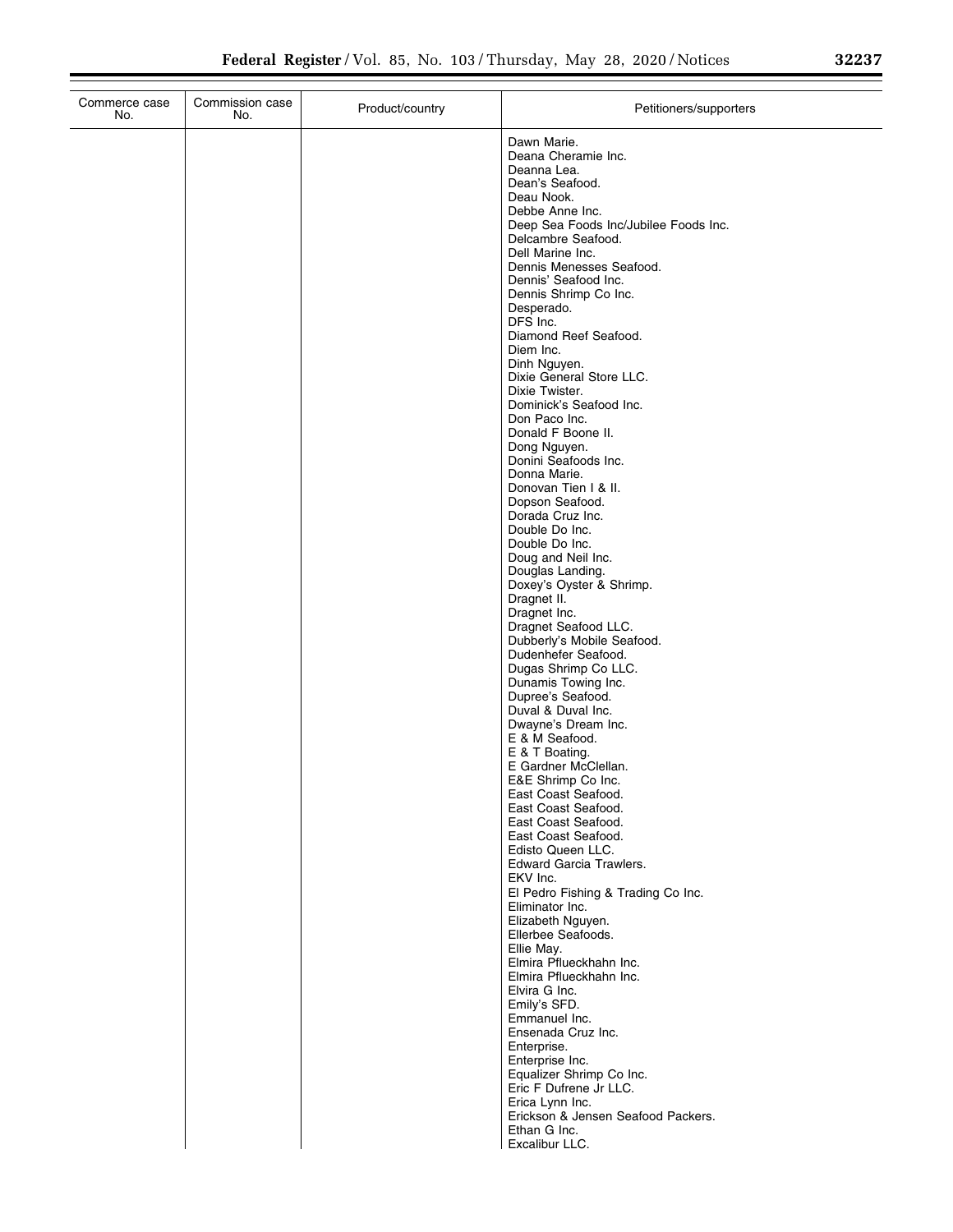| Commerce case<br>No. | Commission case<br>No. | Product/country | Petitioners/supporters                                      |
|----------------------|------------------------|-----------------|-------------------------------------------------------------|
|                      |                        |                 | Dawn Marie.                                                 |
|                      |                        |                 | Deana Cheramie Inc.                                         |
|                      |                        |                 | Deanna Lea.<br>Dean's Seafood.                              |
|                      |                        |                 | Deau Nook.                                                  |
|                      |                        |                 | Debbe Anne Inc.                                             |
|                      |                        |                 | Deep Sea Foods Inc/Jubilee Foods Inc.<br>Delcambre Seafood. |
|                      |                        |                 | Dell Marine Inc.                                            |
|                      |                        |                 | Dennis Menesses Seafood.                                    |
|                      |                        |                 | Dennis' Seafood Inc.                                        |
|                      |                        |                 | Dennis Shrimp Co Inc.<br>Desperado.                         |
|                      |                        |                 | DFS Inc.                                                    |
|                      |                        |                 | Diamond Reef Seafood.                                       |
|                      |                        |                 | Diem Inc.<br>Dinh Nguyen.                                   |
|                      |                        |                 | Dixie General Store LLC.                                    |
|                      |                        |                 | Dixie Twister.                                              |
|                      |                        |                 | Dominick's Seafood Inc.<br>Don Paco Inc.                    |
|                      |                        |                 | Donald F Boone II.                                          |
|                      |                        |                 | Dong Nguyen.                                                |
|                      |                        |                 | Donini Seafoods Inc.<br>Donna Marie.                        |
|                      |                        |                 | Donovan Tien I & II.                                        |
|                      |                        |                 | Dopson Seafood.                                             |
|                      |                        |                 | Dorada Cruz Inc.<br>Double Do Inc.                          |
|                      |                        |                 | Double Do Inc.                                              |
|                      |                        |                 | Doug and Neil Inc.                                          |
|                      |                        |                 | Douglas Landing.                                            |
|                      |                        |                 | Doxey's Oyster & Shrimp.<br>Dragnet II.                     |
|                      |                        |                 | Dragnet Inc.                                                |
|                      |                        |                 | Dragnet Seafood LLC.                                        |
|                      |                        |                 | Dubberly's Mobile Seafood.<br>Dudenhefer Seafood.           |
|                      |                        |                 | Dugas Shrimp Co LLC.                                        |
|                      |                        |                 | Dunamis Towing Inc.                                         |
|                      |                        |                 | Dupree's Seafood.<br>Duval & Duval Inc.                     |
|                      |                        |                 | Dwayne's Dream Inc.                                         |
|                      |                        |                 | E & M Seafood.                                              |
|                      |                        |                 | E & T Boating.<br>E Gardner McClellan.                      |
|                      |                        |                 | E&E Shrimp Co Inc.                                          |
|                      |                        |                 | East Coast Seafood.                                         |
|                      |                        |                 | East Coast Seafood.<br>East Coast Seafood.                  |
|                      |                        |                 | East Coast Seafood.                                         |
|                      |                        |                 | Edisto Queen LLC.                                           |
|                      |                        |                 | <b>Edward Garcia Trawlers.</b><br>EKV Inc.                  |
|                      |                        |                 | El Pedro Fishing & Trading Co Inc.                          |
|                      |                        |                 | Eliminator Inc.                                             |
|                      |                        |                 | Elizabeth Nguyen.<br>Ellerbee Seafoods.                     |
|                      |                        |                 | Ellie May.                                                  |
|                      |                        |                 | Elmira Pflueckhahn Inc.                                     |
|                      |                        |                 | Elmira Pflueckhahn Inc.                                     |
|                      |                        |                 | Elvira G Inc.<br>Emily's SFD.                               |
|                      |                        |                 | Emmanuel Inc.                                               |
|                      |                        |                 | Ensenada Cruz Inc.                                          |
|                      |                        |                 | Enterprise.<br>Enterprise Inc.                              |
|                      |                        |                 | Equalizer Shrimp Co Inc.                                    |
|                      |                        |                 | Eric F Dufrene Jr LLC.                                      |
|                      |                        |                 | Erica Lynn Inc.<br>Erickson & Jensen Seafood Packers.       |
|                      |                        |                 | Ethan G Inc.                                                |
|                      |                        |                 | Excalibur LLC.                                              |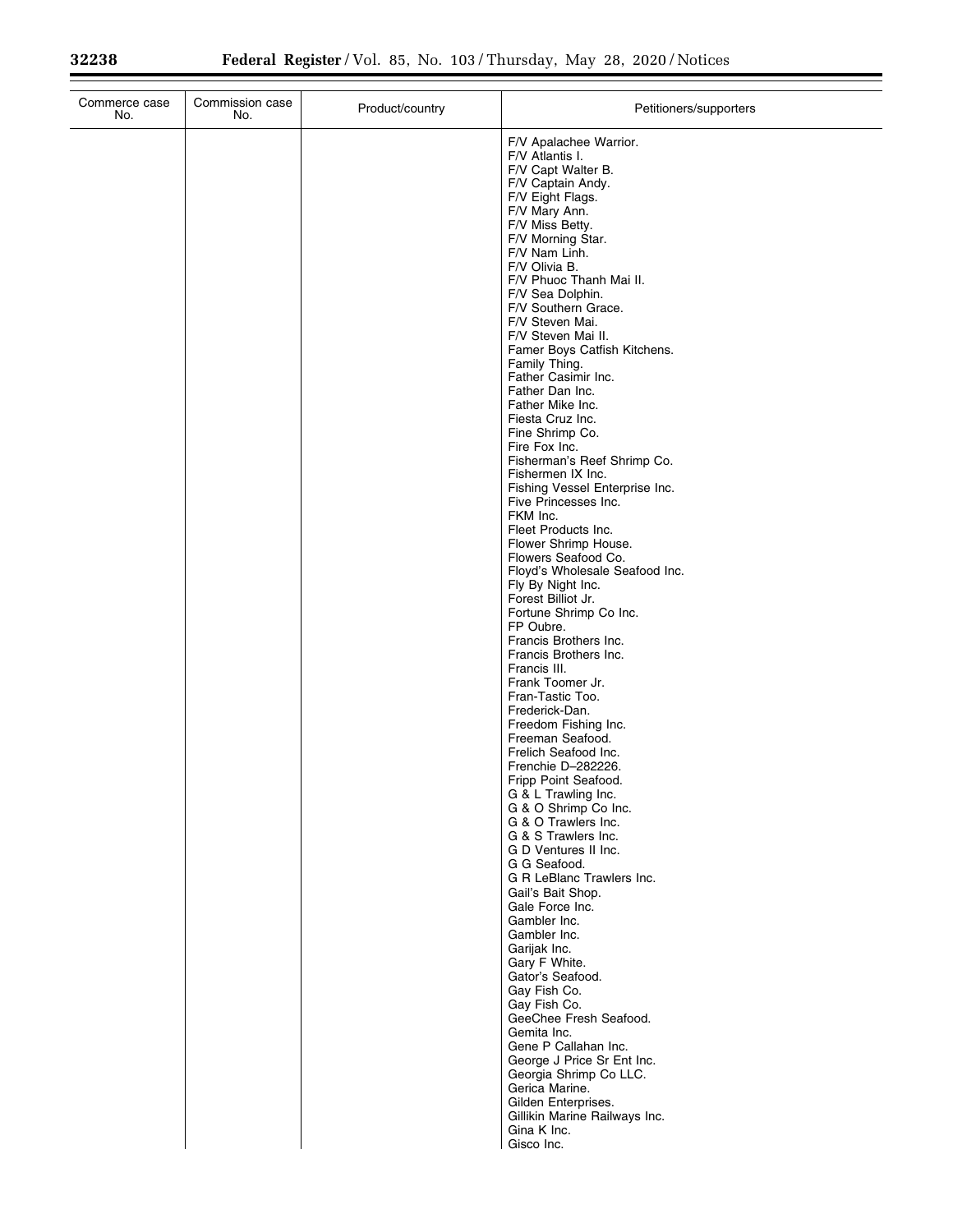| F/V Apalachee Warrior.<br>F/V Atlantis I.<br>F/V Capt Walter B.<br>F/V Captain Andy.<br>F/V Eight Flags.<br>F/V Mary Ann.<br>F/V Miss Betty.<br>F/V Morning Star.<br>F/V Nam Linh.<br>F/V Olivia B.<br>F/V Phuoc Thanh Mai II.<br>F/V Sea Dolphin.<br>F/V Southern Grace.<br>F/V Steven Mai. | Commerce case<br>No. | Commission case<br>No. | Product/country | Petitioners/supporters |
|----------------------------------------------------------------------------------------------------------------------------------------------------------------------------------------------------------------------------------------------------------------------------------------------|----------------------|------------------------|-----------------|------------------------|
|                                                                                                                                                                                                                                                                                              |                      |                        |                 |                        |
|                                                                                                                                                                                                                                                                                              |                      |                        |                 |                        |
|                                                                                                                                                                                                                                                                                              |                      |                        |                 |                        |
|                                                                                                                                                                                                                                                                                              |                      |                        |                 |                        |
|                                                                                                                                                                                                                                                                                              |                      |                        |                 |                        |
|                                                                                                                                                                                                                                                                                              |                      |                        |                 |                        |
|                                                                                                                                                                                                                                                                                              |                      |                        |                 |                        |
|                                                                                                                                                                                                                                                                                              |                      |                        |                 |                        |
|                                                                                                                                                                                                                                                                                              |                      |                        |                 |                        |
|                                                                                                                                                                                                                                                                                              |                      |                        |                 |                        |
|                                                                                                                                                                                                                                                                                              |                      |                        |                 | F/V Steven Mai II.     |
| Famer Boys Catfish Kitchens.                                                                                                                                                                                                                                                                 |                      |                        |                 |                        |
| Family Thing.<br>Father Casimir Inc.                                                                                                                                                                                                                                                         |                      |                        |                 |                        |
| Father Dan Inc.                                                                                                                                                                                                                                                                              |                      |                        |                 |                        |
| Father Mike Inc.                                                                                                                                                                                                                                                                             |                      |                        |                 |                        |
| Fiesta Cruz Inc.<br>Fine Shrimp Co.                                                                                                                                                                                                                                                          |                      |                        |                 |                        |
| Fire Fox Inc.                                                                                                                                                                                                                                                                                |                      |                        |                 |                        |
| Fisherman's Reef Shrimp Co.<br>Fishermen IX Inc.                                                                                                                                                                                                                                             |                      |                        |                 |                        |
| Fishing Vessel Enterprise Inc.                                                                                                                                                                                                                                                               |                      |                        |                 |                        |
| Five Princesses Inc.                                                                                                                                                                                                                                                                         |                      |                        |                 |                        |
| FKM Inc.<br>Fleet Products Inc.                                                                                                                                                                                                                                                              |                      |                        |                 |                        |
| Flower Shrimp House.                                                                                                                                                                                                                                                                         |                      |                        |                 |                        |
| Flowers Seafood Co.                                                                                                                                                                                                                                                                          |                      |                        |                 |                        |
| Floyd's Wholesale Seafood Inc.<br>Fly By Night Inc.                                                                                                                                                                                                                                          |                      |                        |                 |                        |
| Forest Billiot Jr.                                                                                                                                                                                                                                                                           |                      |                        |                 |                        |
| Fortune Shrimp Co Inc.<br>FP Oubre.                                                                                                                                                                                                                                                          |                      |                        |                 |                        |
| Francis Brothers Inc.                                                                                                                                                                                                                                                                        |                      |                        |                 |                        |
| Francis Brothers Inc.                                                                                                                                                                                                                                                                        |                      |                        |                 |                        |
| Francis III.<br>Frank Toomer Jr.                                                                                                                                                                                                                                                             |                      |                        |                 |                        |
| Fran-Tastic Too.                                                                                                                                                                                                                                                                             |                      |                        |                 |                        |
| Frederick-Dan.                                                                                                                                                                                                                                                                               |                      |                        |                 |                        |
| Freedom Fishing Inc.<br>Freeman Seafood.                                                                                                                                                                                                                                                     |                      |                        |                 |                        |
| Frelich Seafood Inc.                                                                                                                                                                                                                                                                         |                      |                        |                 |                        |
| Frenchie D-282226.<br>Fripp Point Seafood.                                                                                                                                                                                                                                                   |                      |                        |                 |                        |
| G & L Trawling Inc.                                                                                                                                                                                                                                                                          |                      |                        |                 |                        |
| G & O Shrimp Co Inc.                                                                                                                                                                                                                                                                         |                      |                        |                 |                        |
| G & O Trawlers Inc.<br>G & S Trawlers Inc.                                                                                                                                                                                                                                                   |                      |                        |                 |                        |
| G D Ventures II Inc.                                                                                                                                                                                                                                                                         |                      |                        |                 |                        |
| G G Seafood.<br>G R LeBlanc Trawlers Inc.                                                                                                                                                                                                                                                    |                      |                        |                 |                        |
| Gail's Bait Shop.                                                                                                                                                                                                                                                                            |                      |                        |                 |                        |
| Gale Force Inc.                                                                                                                                                                                                                                                                              |                      |                        |                 |                        |
| Gambler Inc.<br>Gambler Inc.                                                                                                                                                                                                                                                                 |                      |                        |                 |                        |
| Garijak Inc.                                                                                                                                                                                                                                                                                 |                      |                        |                 |                        |
| Gary F White.<br>Gator's Seafood.                                                                                                                                                                                                                                                            |                      |                        |                 |                        |
| Gay Fish Co.                                                                                                                                                                                                                                                                                 |                      |                        |                 |                        |
| Gay Fish Co.                                                                                                                                                                                                                                                                                 |                      |                        |                 |                        |
| GeeChee Fresh Seafood.<br>Gemita Inc.                                                                                                                                                                                                                                                        |                      |                        |                 |                        |
| Gene P Callahan Inc.                                                                                                                                                                                                                                                                         |                      |                        |                 |                        |
| George J Price Sr Ent Inc.                                                                                                                                                                                                                                                                   |                      |                        |                 |                        |
| Georgia Shrimp Co LLC.<br>Gerica Marine.                                                                                                                                                                                                                                                     |                      |                        |                 |                        |
| Gilden Enterprises.                                                                                                                                                                                                                                                                          |                      |                        |                 |                        |
| Gillikin Marine Railways Inc.<br>Gina K Inc.                                                                                                                                                                                                                                                 |                      |                        |                 |                        |
| Gisco Inc.                                                                                                                                                                                                                                                                                   |                      |                        |                 |                        |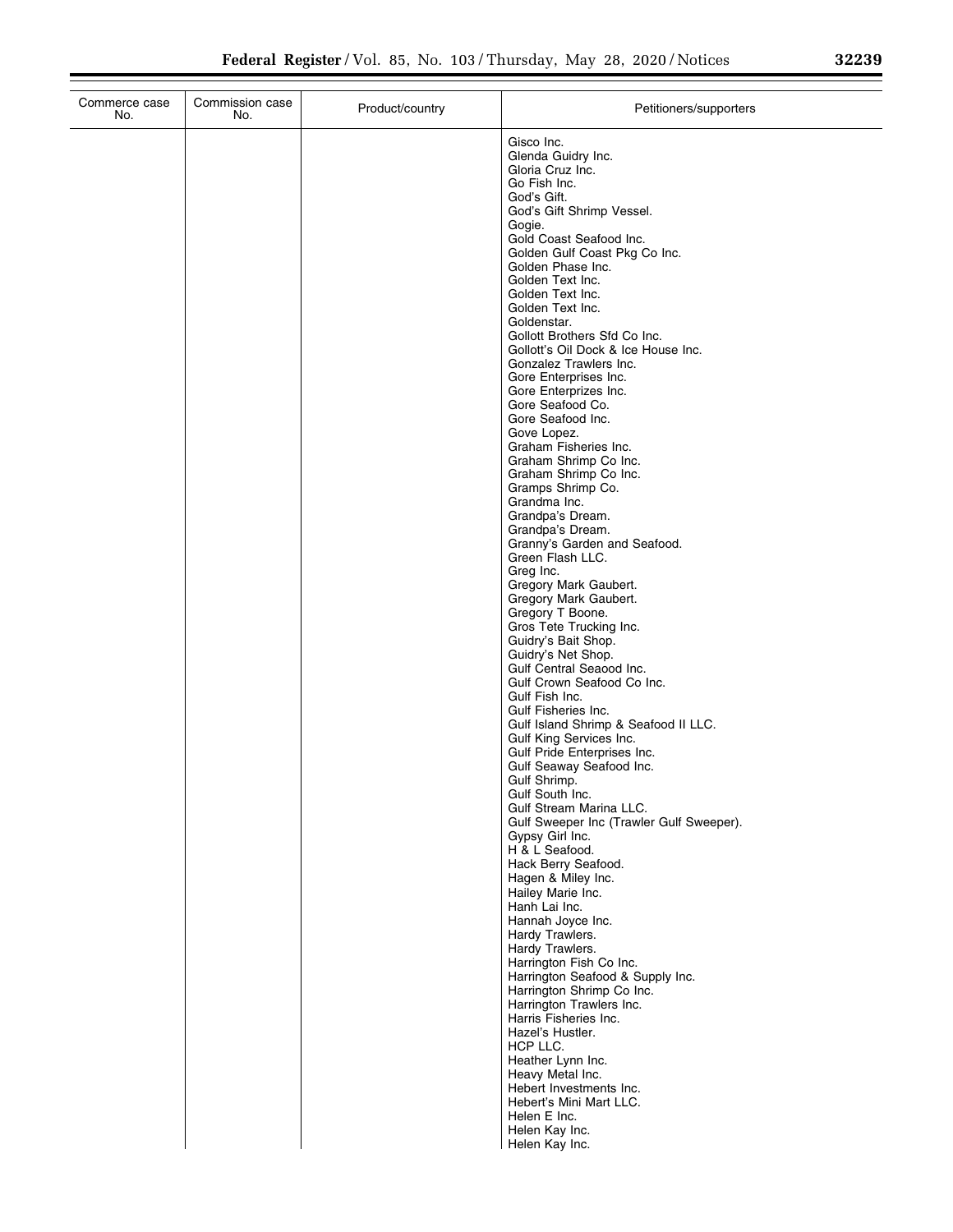| Commerce case<br>No. | Commission case<br>No. | Product/country | Petitioners/supporters                                                                                                                                                                                                                                                                                                                                                                                                                                                                                                                                                                                                                                                                                                                                                                                                                                                                                                                                                                                                                                                                                                                                                                                                                                                                                                                                                                                                                                                                                                                                                                                                                                                                                                                     |
|----------------------|------------------------|-----------------|--------------------------------------------------------------------------------------------------------------------------------------------------------------------------------------------------------------------------------------------------------------------------------------------------------------------------------------------------------------------------------------------------------------------------------------------------------------------------------------------------------------------------------------------------------------------------------------------------------------------------------------------------------------------------------------------------------------------------------------------------------------------------------------------------------------------------------------------------------------------------------------------------------------------------------------------------------------------------------------------------------------------------------------------------------------------------------------------------------------------------------------------------------------------------------------------------------------------------------------------------------------------------------------------------------------------------------------------------------------------------------------------------------------------------------------------------------------------------------------------------------------------------------------------------------------------------------------------------------------------------------------------------------------------------------------------------------------------------------------------|
|                      |                        |                 | Gisco Inc.<br>Glenda Guidry Inc.<br>Gloria Cruz Inc.<br>Go Fish Inc.<br>God's Gift.<br>God's Gift Shrimp Vessel.<br>Gogie.<br>Gold Coast Seafood Inc.<br>Golden Gulf Coast Pkg Co Inc.<br>Golden Phase Inc.<br>Golden Text Inc.<br>Golden Text Inc.<br>Golden Text Inc.<br>Goldenstar.<br>Gollott Brothers Sfd Co Inc.<br>Gollott's Oil Dock & Ice House Inc.<br>Gonzalez Trawlers Inc.<br>Gore Enterprises Inc.<br>Gore Enterprizes Inc.<br>Gore Seafood Co.<br>Gore Seafood Inc.<br>Gove Lopez.<br>Graham Fisheries Inc.<br>Graham Shrimp Co Inc.<br>Graham Shrimp Co Inc.<br>Gramps Shrimp Co.<br>Grandma Inc.<br>Grandpa's Dream.<br>Grandpa's Dream.<br>Granny's Garden and Seafood.<br>Green Flash LLC.<br>Greg Inc.<br>Gregory Mark Gaubert.<br>Gregory Mark Gaubert.<br>Gregory T Boone.<br>Gros Tete Trucking Inc.<br>Guidry's Bait Shop.<br>Guidry's Net Shop.<br>Gulf Central Seaood Inc.<br>Gulf Crown Seafood Co Inc.<br>Gulf Fish Inc.<br>Gulf Fisheries Inc.<br>Gulf Island Shrimp & Seafood II LLC.<br>Gulf King Services Inc.<br>Gulf Pride Enterprises Inc.<br>Gulf Seaway Seafood Inc.<br>Gulf Shrimp.<br>Gulf South Inc.<br>Gulf Stream Marina LLC.<br>Gulf Sweeper Inc (Trawler Gulf Sweeper).<br>Gypsy Girl Inc.<br>H & L Seafood.<br>Hack Berry Seafood.<br>Hagen & Miley Inc.<br>Hailey Marie Inc.<br>Hanh Lai Inc.<br>Hannah Joyce Inc.<br>Hardy Trawlers.<br>Hardy Trawlers.<br>Harrington Fish Co Inc.<br>Harrington Seafood & Supply Inc.<br>Harrington Shrimp Co Inc.<br>Harrington Trawlers Inc.<br>Harris Fisheries Inc.<br>Hazel's Hustler.<br>HCP LLC.<br>Heather Lynn Inc.<br>Heavy Metal Inc.<br>Hebert Investments Inc.<br>Hebert's Mini Mart LLC.<br>Helen E Inc.<br>Helen Kay Inc.<br>Helen Kay Inc. |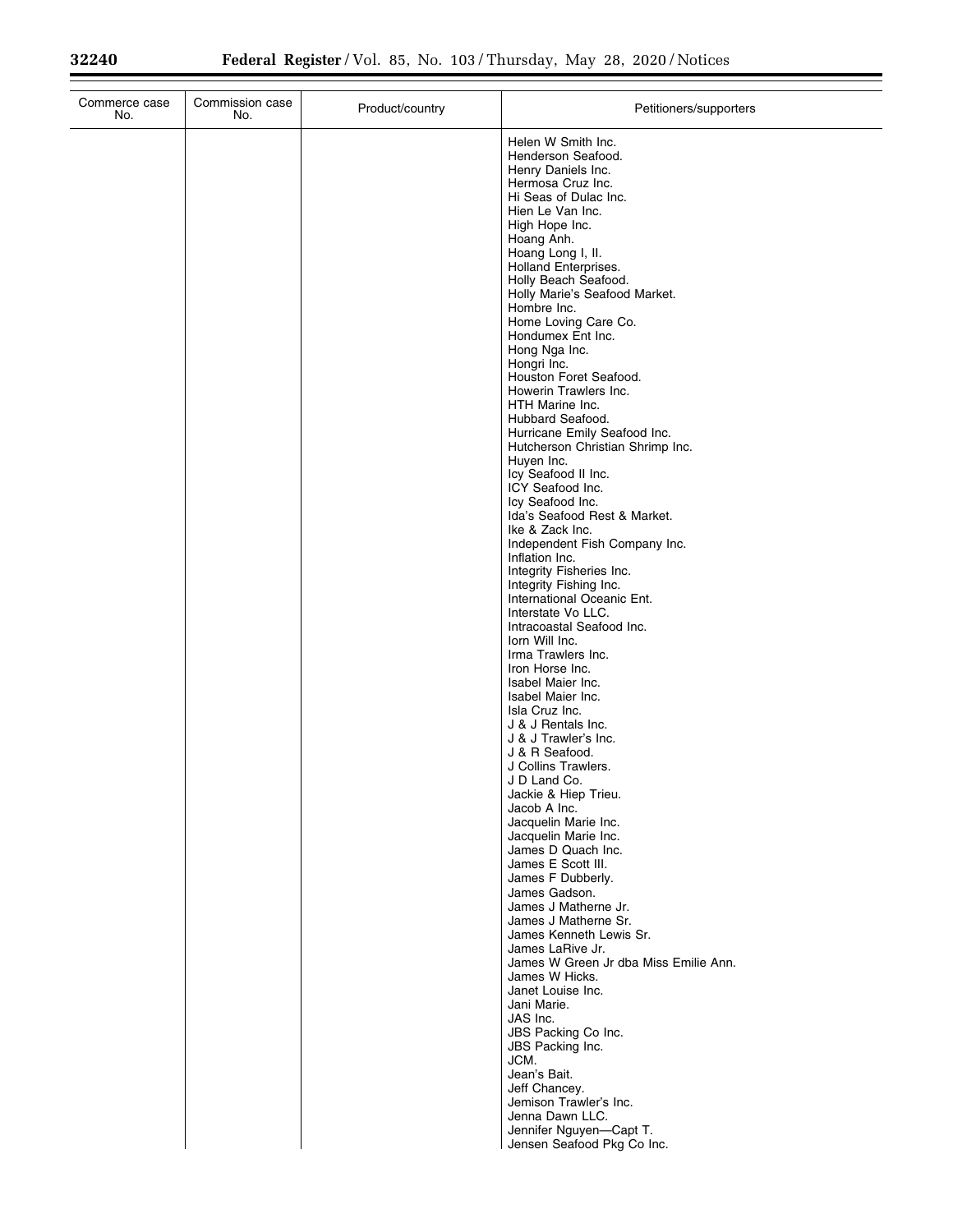| Commerce case<br>No. | Commission case<br>No. | Product/country | Petitioners/supporters                                                                                                                                                                                                                                                                                                                                                                                                                                                                                                                                                                                                                                                                                                                                                                                                                                                                                                                                                                                                          |
|----------------------|------------------------|-----------------|---------------------------------------------------------------------------------------------------------------------------------------------------------------------------------------------------------------------------------------------------------------------------------------------------------------------------------------------------------------------------------------------------------------------------------------------------------------------------------------------------------------------------------------------------------------------------------------------------------------------------------------------------------------------------------------------------------------------------------------------------------------------------------------------------------------------------------------------------------------------------------------------------------------------------------------------------------------------------------------------------------------------------------|
|                      |                        |                 | Helen W Smith Inc.<br>Henderson Seafood.<br>Henry Daniels Inc.<br>Hermosa Cruz Inc.<br>Hi Seas of Dulac Inc.<br>Hien Le Van Inc.<br>High Hope Inc.<br>Hoang Anh.<br>Hoang Long I, II.<br>Holland Enterprises.<br>Holly Beach Seafood.<br>Holly Marie's Seafood Market.<br>Hombre Inc.<br>Home Loving Care Co.<br>Hondumex Ent Inc.<br>Hong Nga Inc.<br>Hongri Inc.<br>Houston Foret Seafood.<br>Howerin Trawlers Inc.<br>HTH Marine Inc.<br>Hubbard Seafood.<br>Hurricane Emily Seafood Inc.<br>Hutcherson Christian Shrimp Inc.<br>Huyen Inc.<br>Icy Seafood II Inc.<br>ICY Seafood Inc.<br>Icy Seafood Inc.<br>Ida's Seafood Rest & Market.<br>Ike & Zack Inc.<br>Independent Fish Company Inc.<br>Inflation Inc.<br>Integrity Fisheries Inc.<br>Integrity Fishing Inc.<br>International Oceanic Ent.<br>Interstate Vo LLC.<br>Intracoastal Seafood Inc.<br>lorn Will Inc.<br>Irma Trawlers Inc.<br>Iron Horse Inc.<br>Isabel Maier Inc.<br>Isabel Maier Inc.<br>Isla Cruz Inc.<br>J & J Rentals Inc.<br>J & J Trawler's Inc. |
|                      |                        |                 |                                                                                                                                                                                                                                                                                                                                                                                                                                                                                                                                                                                                                                                                                                                                                                                                                                                                                                                                                                                                                                 |
|                      |                        |                 | J & R Seafood.<br>J Collins Trawlers.<br>J D Land Co.<br>Jackie & Hiep Trieu.<br>Jacob A Inc.<br>Jacquelin Marie Inc.<br>Jacquelin Marie Inc.<br>James D Quach Inc.<br>James E Scott III.<br>James F Dubberly.<br>James Gadson.<br>James J Matherne Jr.                                                                                                                                                                                                                                                                                                                                                                                                                                                                                                                                                                                                                                                                                                                                                                         |
|                      |                        |                 | James J Matherne Sr.<br>James Kenneth Lewis Sr.<br>James LaRive Jr.<br>James W Green Jr dba Miss Emilie Ann.<br>James W Hicks.<br>Janet Louise Inc.<br>Jani Marie.<br>JAS Inc.<br>JBS Packing Co Inc.<br>JBS Packing Inc.<br>JCM.<br>Jean's Bait.<br>Jeff Chancey.                                                                                                                                                                                                                                                                                                                                                                                                                                                                                                                                                                                                                                                                                                                                                              |
|                      |                        |                 | Jemison Trawler's Inc.<br>Jenna Dawn LLC.<br>Jennifer Nguyen-Capt T.<br>Jensen Seafood Pkg Co Inc.                                                                                                                                                                                                                                                                                                                                                                                                                                                                                                                                                                                                                                                                                                                                                                                                                                                                                                                              |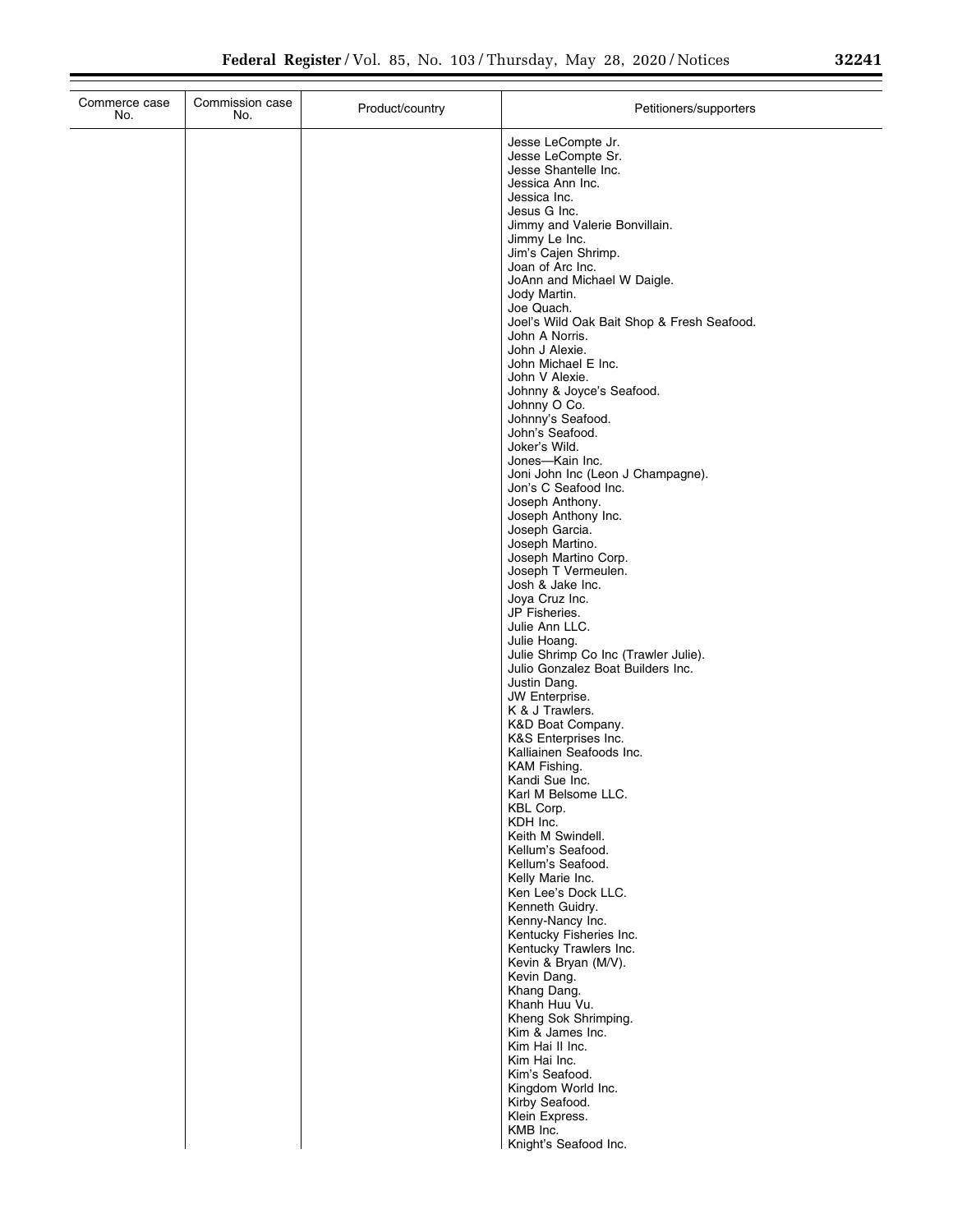| Commission case<br>Commerce case<br>No.<br>No. | Product/country | Petitioners/supporters                               |
|------------------------------------------------|-----------------|------------------------------------------------------|
|                                                |                 | Jesse LeCompte Jr.                                   |
|                                                |                 | Jesse LeCompte Sr.<br>Jesse Shantelle Inc.           |
|                                                |                 | Jessica Ann Inc.                                     |
|                                                |                 | Jessica Inc.                                         |
|                                                |                 | Jesus G Inc.                                         |
|                                                |                 | Jimmy and Valerie Bonvillain.<br>Jimmy Le Inc.       |
|                                                |                 | Jim's Cajen Shrimp.                                  |
|                                                |                 | Joan of Arc Inc.                                     |
|                                                |                 | JoAnn and Michael W Daigle.<br>Jody Martin.          |
|                                                |                 | Joe Quach.                                           |
|                                                |                 | Joel's Wild Oak Bait Shop & Fresh Seafood.           |
|                                                |                 | John A Norris.<br>John J Alexie.                     |
|                                                |                 | John Michael E Inc.                                  |
|                                                |                 | John V Alexie.                                       |
|                                                |                 | Johnny & Joyce's Seafood.<br>Johnny O Co.            |
|                                                |                 | Johnny's Seafood.                                    |
|                                                |                 | John's Seafood.                                      |
|                                                |                 | Joker's Wild.                                        |
|                                                |                 | Jones-Kain Inc.<br>Joni John Inc (Leon J Champagne). |
|                                                |                 | Jon's C Seafood Inc.                                 |
|                                                |                 | Joseph Anthony.                                      |
|                                                |                 | Joseph Anthony Inc.<br>Joseph Garcia.                |
|                                                |                 | Joseph Martino.                                      |
|                                                |                 | Joseph Martino Corp.                                 |
|                                                |                 | Joseph T Vermeulen.<br>Josh & Jake Inc.              |
|                                                |                 | Joya Cruz Inc.                                       |
|                                                |                 | JP Fisheries.                                        |
|                                                |                 | Julie Ann LLC.<br>Julie Hoang.                       |
|                                                |                 | Julie Shrimp Co Inc (Trawler Julie).                 |
|                                                |                 | Julio Gonzalez Boat Builders Inc.                    |
|                                                |                 | Justin Dang.<br>JW Enterprise.                       |
|                                                |                 | K & J Trawlers.                                      |
|                                                |                 | K&D Boat Company.                                    |
|                                                |                 | K&S Enterprises Inc.<br>Kalliainen Seafoods Inc.     |
|                                                |                 | KAM Fishing.                                         |
|                                                |                 | Kandi Sue Inc.                                       |
|                                                |                 | Karl M Belsome LLC.                                  |
|                                                |                 | KBL Corp.<br>KDH Inc.                                |
|                                                |                 | Keith M Swindell.                                    |
|                                                |                 | Kellum's Seafood.                                    |
|                                                |                 | Kellum's Seafood.<br>Kelly Marie Inc.                |
|                                                |                 | Ken Lee's Dock LLC.                                  |
|                                                |                 | Kenneth Guidry.                                      |
|                                                |                 | Kenny-Nancy Inc.<br>Kentucky Fisheries Inc.          |
|                                                |                 | Kentucky Trawlers Inc.                               |
|                                                |                 | Kevin & Bryan (M/V).                                 |
|                                                |                 | Kevin Dang.<br>Khang Dang.                           |
|                                                |                 | Khanh Huu Vu.                                        |
|                                                |                 | Kheng Sok Shrimping.                                 |
|                                                |                 | Kim & James Inc.<br>Kim Hai II Inc.                  |
|                                                |                 | Kim Hai Inc.                                         |
|                                                |                 | Kim's Seafood.                                       |
|                                                |                 | Kingdom World Inc.                                   |
|                                                |                 | Kirby Seafood.<br>Klein Express.                     |
|                                                |                 | KMB Inc.                                             |
|                                                |                 | Knight's Seafood Inc.                                |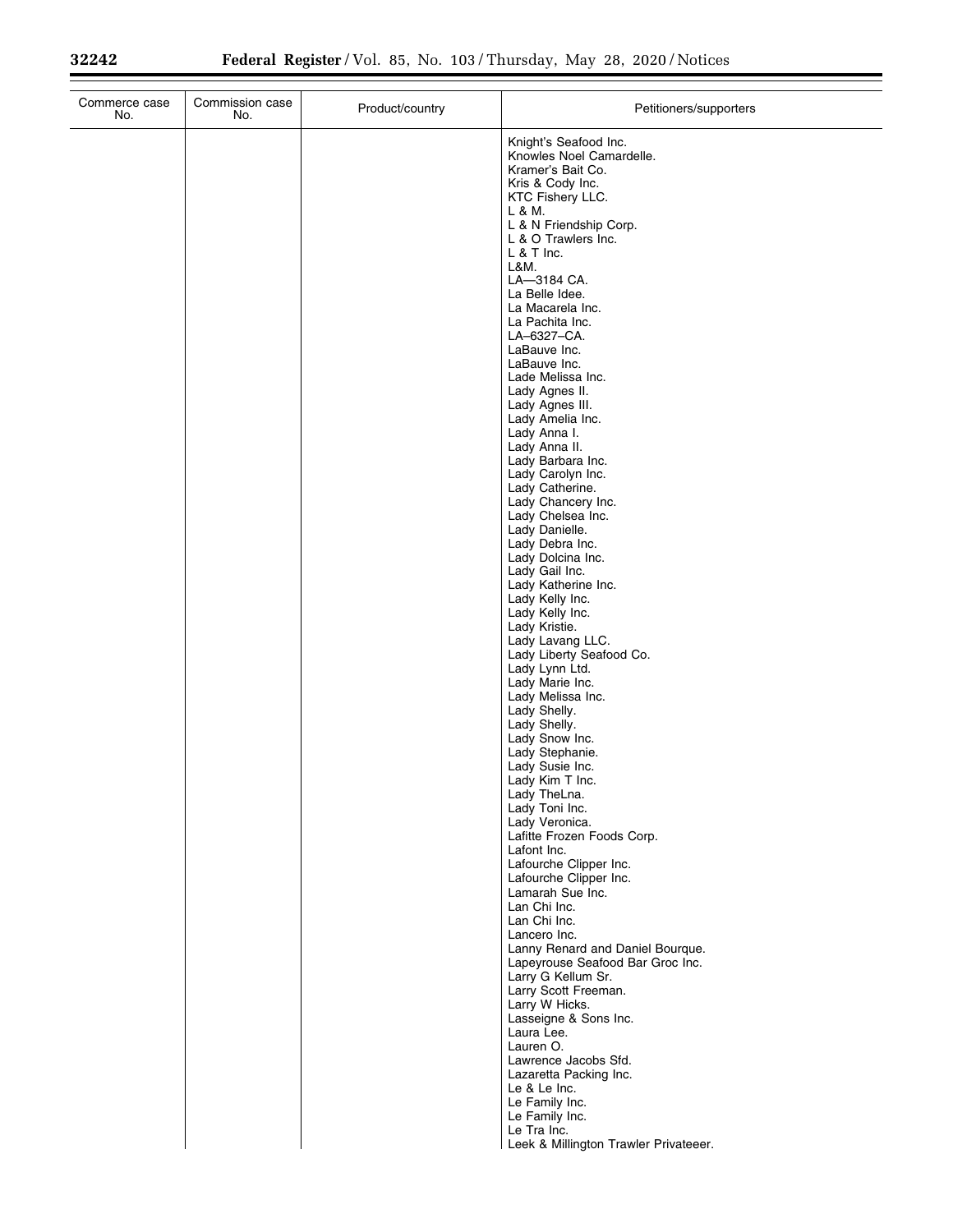| Knight's Seafood Inc.<br>Knowles Noel Camardelle.<br>Kramer's Bait Co.<br>Kris & Cody Inc.<br>KTC Fishery LLC.<br>L & M.<br>L & N Friendship Corp.<br>L & O Trawlers Inc.<br>$L$ & T Inc.<br>L&M.<br>LA-3184 CA.<br>La Belle Idee.<br>La Macarela Inc.<br>La Pachita Inc.<br>LA-6327-CA.<br>LaBauve Inc.<br>LaBauve Inc.<br>Lade Melissa Inc.<br>Lady Agnes II.<br>Lady Agnes III.<br>Lady Amelia Inc.<br>Lady Anna I.<br>Lady Anna II.<br>Lady Barbara Inc.<br>Lady Carolyn Inc.<br>Lady Catherine.<br>Lady Chancery Inc.<br>Lady Chelsea Inc.<br>Lady Danielle.<br>Lady Debra Inc.<br>Lady Dolcina Inc.<br>Lady Gail Inc.<br>Lady Katherine Inc.<br>Lady Kelly Inc.<br>Lady Kelly Inc.<br>Lady Kristie.<br>Lady Lavang LLC.<br>Lady Liberty Seafood Co.<br>Lady Lynn Ltd.<br>Lady Marie Inc.<br>Lady Melissa Inc.<br>Lady Shelly.<br>Lady Shelly.<br>Lady Snow Inc.<br>Lady Stephanie.<br>Lady Susie Inc.<br>Lady Kim T Inc.<br>Lady TheLna.<br>Lady Toni Inc.<br>Lady Veronica.<br>Lafitte Frozen Foods Corp.<br>Lafont Inc.<br>Lafourche Clipper Inc.<br>Lafourche Clipper Inc.<br>Lamarah Sue Inc.<br>Lan Chi Inc.<br>Lan Chi Inc.<br>Lancero Inc.<br>Lanny Renard and Daniel Bourque.<br>Lapeyrouse Seafood Bar Groc Inc.<br>Larry G Kellum Sr.<br>Larry Scott Freeman.<br>Larry W Hicks.<br>Lasseigne & Sons Inc.<br>Laura Lee.<br>Lauren O.<br>Lawrence Jacobs Sfd.<br>Lazaretta Packing Inc.<br>Le & Le Inc.<br>Le Family Inc.<br>Le Family Inc.<br>Le Tra Inc.<br>Leek & Millington Trawler Privateeer. | Commerce case<br>No. | Commission case<br>No. | Product/country | Petitioners/supporters |
|-------------------------------------------------------------------------------------------------------------------------------------------------------------------------------------------------------------------------------------------------------------------------------------------------------------------------------------------------------------------------------------------------------------------------------------------------------------------------------------------------------------------------------------------------------------------------------------------------------------------------------------------------------------------------------------------------------------------------------------------------------------------------------------------------------------------------------------------------------------------------------------------------------------------------------------------------------------------------------------------------------------------------------------------------------------------------------------------------------------------------------------------------------------------------------------------------------------------------------------------------------------------------------------------------------------------------------------------------------------------------------------------------------------------------------------------------------------------------------------------------------------------|----------------------|------------------------|-----------------|------------------------|
|                                                                                                                                                                                                                                                                                                                                                                                                                                                                                                                                                                                                                                                                                                                                                                                                                                                                                                                                                                                                                                                                                                                                                                                                                                                                                                                                                                                                                                                                                                                   |                      |                        |                 |                        |
|                                                                                                                                                                                                                                                                                                                                                                                                                                                                                                                                                                                                                                                                                                                                                                                                                                                                                                                                                                                                                                                                                                                                                                                                                                                                                                                                                                                                                                                                                                                   |                      |                        |                 |                        |
|                                                                                                                                                                                                                                                                                                                                                                                                                                                                                                                                                                                                                                                                                                                                                                                                                                                                                                                                                                                                                                                                                                                                                                                                                                                                                                                                                                                                                                                                                                                   |                      |                        |                 |                        |
|                                                                                                                                                                                                                                                                                                                                                                                                                                                                                                                                                                                                                                                                                                                                                                                                                                                                                                                                                                                                                                                                                                                                                                                                                                                                                                                                                                                                                                                                                                                   |                      |                        |                 |                        |
|                                                                                                                                                                                                                                                                                                                                                                                                                                                                                                                                                                                                                                                                                                                                                                                                                                                                                                                                                                                                                                                                                                                                                                                                                                                                                                                                                                                                                                                                                                                   |                      |                        |                 |                        |
|                                                                                                                                                                                                                                                                                                                                                                                                                                                                                                                                                                                                                                                                                                                                                                                                                                                                                                                                                                                                                                                                                                                                                                                                                                                                                                                                                                                                                                                                                                                   |                      |                        |                 |                        |
|                                                                                                                                                                                                                                                                                                                                                                                                                                                                                                                                                                                                                                                                                                                                                                                                                                                                                                                                                                                                                                                                                                                                                                                                                                                                                                                                                                                                                                                                                                                   |                      |                        |                 |                        |
|                                                                                                                                                                                                                                                                                                                                                                                                                                                                                                                                                                                                                                                                                                                                                                                                                                                                                                                                                                                                                                                                                                                                                                                                                                                                                                                                                                                                                                                                                                                   |                      |                        |                 |                        |
|                                                                                                                                                                                                                                                                                                                                                                                                                                                                                                                                                                                                                                                                                                                                                                                                                                                                                                                                                                                                                                                                                                                                                                                                                                                                                                                                                                                                                                                                                                                   |                      |                        |                 |                        |
|                                                                                                                                                                                                                                                                                                                                                                                                                                                                                                                                                                                                                                                                                                                                                                                                                                                                                                                                                                                                                                                                                                                                                                                                                                                                                                                                                                                                                                                                                                                   |                      |                        |                 |                        |
|                                                                                                                                                                                                                                                                                                                                                                                                                                                                                                                                                                                                                                                                                                                                                                                                                                                                                                                                                                                                                                                                                                                                                                                                                                                                                                                                                                                                                                                                                                                   |                      |                        |                 |                        |
|                                                                                                                                                                                                                                                                                                                                                                                                                                                                                                                                                                                                                                                                                                                                                                                                                                                                                                                                                                                                                                                                                                                                                                                                                                                                                                                                                                                                                                                                                                                   |                      |                        |                 |                        |
|                                                                                                                                                                                                                                                                                                                                                                                                                                                                                                                                                                                                                                                                                                                                                                                                                                                                                                                                                                                                                                                                                                                                                                                                                                                                                                                                                                                                                                                                                                                   |                      |                        |                 |                        |
|                                                                                                                                                                                                                                                                                                                                                                                                                                                                                                                                                                                                                                                                                                                                                                                                                                                                                                                                                                                                                                                                                                                                                                                                                                                                                                                                                                                                                                                                                                                   |                      |                        |                 |                        |
|                                                                                                                                                                                                                                                                                                                                                                                                                                                                                                                                                                                                                                                                                                                                                                                                                                                                                                                                                                                                                                                                                                                                                                                                                                                                                                                                                                                                                                                                                                                   |                      |                        |                 |                        |
|                                                                                                                                                                                                                                                                                                                                                                                                                                                                                                                                                                                                                                                                                                                                                                                                                                                                                                                                                                                                                                                                                                                                                                                                                                                                                                                                                                                                                                                                                                                   |                      |                        |                 |                        |
|                                                                                                                                                                                                                                                                                                                                                                                                                                                                                                                                                                                                                                                                                                                                                                                                                                                                                                                                                                                                                                                                                                                                                                                                                                                                                                                                                                                                                                                                                                                   |                      |                        |                 |                        |
|                                                                                                                                                                                                                                                                                                                                                                                                                                                                                                                                                                                                                                                                                                                                                                                                                                                                                                                                                                                                                                                                                                                                                                                                                                                                                                                                                                                                                                                                                                                   |                      |                        |                 |                        |
|                                                                                                                                                                                                                                                                                                                                                                                                                                                                                                                                                                                                                                                                                                                                                                                                                                                                                                                                                                                                                                                                                                                                                                                                                                                                                                                                                                                                                                                                                                                   |                      |                        |                 |                        |
|                                                                                                                                                                                                                                                                                                                                                                                                                                                                                                                                                                                                                                                                                                                                                                                                                                                                                                                                                                                                                                                                                                                                                                                                                                                                                                                                                                                                                                                                                                                   |                      |                        |                 |                        |
|                                                                                                                                                                                                                                                                                                                                                                                                                                                                                                                                                                                                                                                                                                                                                                                                                                                                                                                                                                                                                                                                                                                                                                                                                                                                                                                                                                                                                                                                                                                   |                      |                        |                 |                        |
|                                                                                                                                                                                                                                                                                                                                                                                                                                                                                                                                                                                                                                                                                                                                                                                                                                                                                                                                                                                                                                                                                                                                                                                                                                                                                                                                                                                                                                                                                                                   |                      |                        |                 |                        |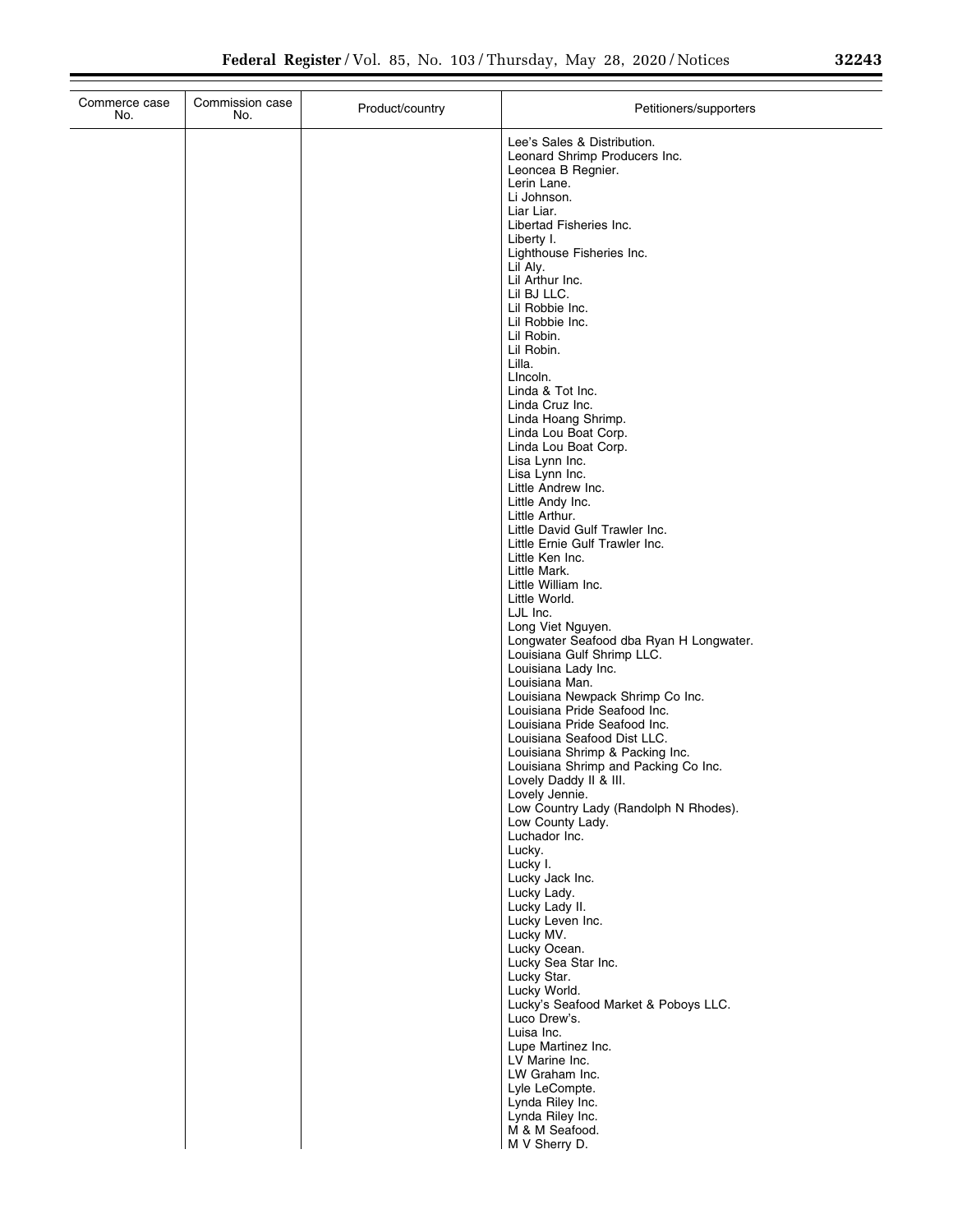|      | 29942 |  |
|------|-------|--|
| しムムコ |       |  |

| Commerce case<br>No. | Commission case<br>No. | Product/country | Petitioners/supporters                                                |
|----------------------|------------------------|-----------------|-----------------------------------------------------------------------|
|                      |                        |                 | Lee's Sales & Distribution.<br>Leonard Shrimp Producers Inc.          |
|                      |                        |                 | Leoncea B Regnier.                                                    |
|                      |                        |                 | Lerin Lane.<br>Li Johnson.                                            |
|                      |                        |                 | Liar Liar.                                                            |
|                      |                        |                 | Libertad Fisheries Inc.                                               |
|                      |                        |                 | Liberty I.<br>Lighthouse Fisheries Inc.                               |
|                      |                        |                 | Lil Aly.                                                              |
|                      |                        |                 | Lil Arthur Inc.                                                       |
|                      |                        |                 | Lil BJ LLC.<br>Lil Robbie Inc.                                        |
|                      |                        |                 | Lil Robbie Inc.                                                       |
|                      |                        |                 | Lil Robin.<br>Lil Robin.                                              |
|                      |                        |                 | Lilla.                                                                |
|                      |                        |                 | Lincoln.                                                              |
|                      |                        |                 | Linda & Tot Inc.<br>Linda Cruz Inc.                                   |
|                      |                        |                 | Linda Hoang Shrimp.                                                   |
|                      |                        |                 | Linda Lou Boat Corp.                                                  |
|                      |                        |                 | Linda Lou Boat Corp.<br>Lisa Lynn Inc.                                |
|                      |                        |                 | Lisa Lynn Inc.                                                        |
|                      |                        |                 | Little Andrew Inc.<br>Little Andy Inc.                                |
|                      |                        |                 | Little Arthur.                                                        |
|                      |                        |                 | Little David Gulf Trawler Inc.                                        |
|                      |                        |                 | Little Ernie Gulf Trawler Inc.<br>Little Ken Inc.                     |
|                      |                        |                 | Little Mark.                                                          |
|                      |                        |                 | Little William Inc.<br>Little World.                                  |
|                      |                        |                 | LJL Inc.                                                              |
|                      |                        |                 | Long Viet Nguyen.                                                     |
|                      |                        |                 | Longwater Seafood dba Ryan H Longwater.<br>Louisiana Gulf Shrimp LLC. |
|                      |                        |                 | Louisiana Lady Inc.                                                   |
|                      |                        |                 | Louisiana Man.                                                        |
|                      |                        |                 | Louisiana Newpack Shrimp Co Inc.<br>Louisiana Pride Seafood Inc.      |
|                      |                        |                 | Louisiana Pride Seafood Inc.                                          |
|                      |                        |                 | Louisiana Seafood Dist LLC.<br>Louisiana Shrimp & Packing Inc.        |
|                      |                        |                 | Louisiana Shrimp and Packing Co Inc.                                  |
|                      |                        |                 | Lovely Daddy II & III.                                                |
|                      |                        |                 | Lovely Jennie.<br>Low Country Lady (Randolph N Rhodes).               |
|                      |                        |                 | Low County Lady.                                                      |
|                      |                        |                 | Luchador Inc.<br>Lucky.                                               |
|                      |                        |                 | Lucky I.                                                              |
|                      |                        |                 | Lucky Jack Inc.                                                       |
|                      |                        |                 | Lucky Lady.<br>Lucky Lady II.                                         |
|                      |                        |                 | Lucky Leven Inc.                                                      |
|                      |                        |                 | Lucky MV.<br>Lucky Ocean.                                             |
|                      |                        |                 | Lucky Sea Star Inc.                                                   |
|                      |                        |                 | Lucky Star.                                                           |
|                      |                        |                 | Lucky World.<br>Lucky's Seafood Market & Poboys LLC.                  |
|                      |                        |                 | Luco Drew's.                                                          |
|                      |                        |                 | Luisa Inc.                                                            |
|                      |                        |                 | Lupe Martinez Inc.<br>LV Marine Inc.                                  |
|                      |                        |                 | LW Graham Inc.                                                        |
|                      |                        |                 | Lyle LeCompte.                                                        |
|                      |                        |                 | Lynda Riley Inc.<br>Lynda Riley Inc.                                  |
|                      |                        |                 | M & M Seafood.                                                        |
|                      |                        |                 | M V Sherry D.                                                         |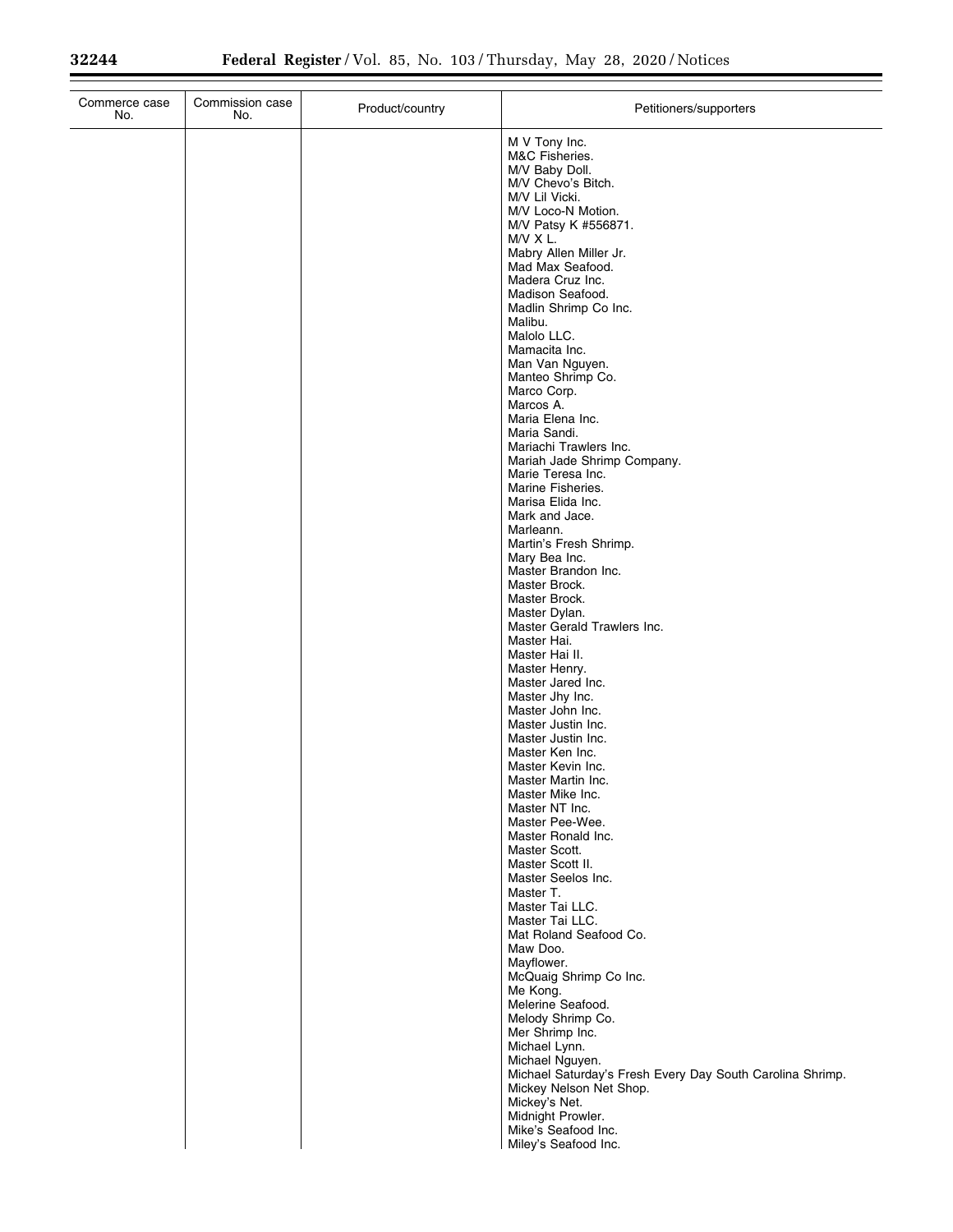Ξ

Ξ

| Commerce case<br>No. | Commission case<br>No. | Product/country | Petitioners/supporters                                                                                                                                                                                                                                                                                                                                                                                                                                                                                                                                                                                                                                                                                                                                                                                                                                                                                                                                                                                                                                                                                                                                                                                                              |
|----------------------|------------------------|-----------------|-------------------------------------------------------------------------------------------------------------------------------------------------------------------------------------------------------------------------------------------------------------------------------------------------------------------------------------------------------------------------------------------------------------------------------------------------------------------------------------------------------------------------------------------------------------------------------------------------------------------------------------------------------------------------------------------------------------------------------------------------------------------------------------------------------------------------------------------------------------------------------------------------------------------------------------------------------------------------------------------------------------------------------------------------------------------------------------------------------------------------------------------------------------------------------------------------------------------------------------|
|                      |                        |                 | M V Tony Inc.<br>M&C Fisheries.<br>M/V Baby Doll.<br>M/V Chevo's Bitch.<br>M/V Lil Vicki.<br>M/V Loco-N Motion.<br>M/V Patsy K #556871.<br>M/V X L.<br>Mabry Allen Miller Jr.<br>Mad Max Seafood.<br>Madera Cruz Inc.<br>Madison Seafood.<br>Madlin Shrimp Co Inc.<br>Malibu.<br>Malolo LLC.<br>Mamacita Inc.<br>Man Van Nguyen.<br>Manteo Shrimp Co.<br>Marco Corp.<br>Marcos A.<br>Maria Elena Inc.<br>Maria Sandi.<br>Mariachi Trawlers Inc.<br>Mariah Jade Shrimp Company.<br>Marie Teresa Inc.<br>Marine Fisheries.<br>Marisa Elida Inc.<br>Mark and Jace.<br>Marleann.<br>Martin's Fresh Shrimp.<br>Mary Bea Inc.<br>Master Brandon Inc.<br>Master Brock.<br>Master Brock.<br>Master Dylan.<br>Master Gerald Trawlers Inc.<br>Master Hai.<br>Master Hai II.<br>Master Henry.<br>Master Jared Inc.<br>Master Jhy Inc.<br>Master John Inc.<br>Master Justin Inc.<br>Master Justin Inc.<br>Master Ken Inc.<br>Master Kevin Inc.<br>Master Martin Inc.<br>Master Mike Inc.<br>Master NT Inc.<br>Master Pee-Wee.<br>Master Ronald Inc.<br>Master Scott.<br>Master Scott II.<br>Master Seelos Inc.<br>Master T.<br>Master Tai LLC.<br>Master Tai LLC.<br>Mat Roland Seafood Co.<br>Maw Doo.<br>Mayflower.<br>McQuaig Shrimp Co Inc. |
|                      |                        |                 | Me Kong.<br>Melerine Seafood.                                                                                                                                                                                                                                                                                                                                                                                                                                                                                                                                                                                                                                                                                                                                                                                                                                                                                                                                                                                                                                                                                                                                                                                                       |
|                      |                        |                 | Melody Shrimp Co.<br>Mer Shrimp Inc.<br>Michael Lynn.<br>Michael Nguyen.<br>Michael Saturday's Fresh Every Day South Carolina Shrimp.<br>Mickey Nelson Net Shop.<br>Mickey's Net.<br>Midnight Prowler.<br>Mike's Seafood Inc.                                                                                                                                                                                                                                                                                                                                                                                                                                                                                                                                                                                                                                                                                                                                                                                                                                                                                                                                                                                                       |
|                      |                        |                 | Miley's Seafood Inc.                                                                                                                                                                                                                                                                                                                                                                                                                                                                                                                                                                                                                                                                                                                                                                                                                                                                                                                                                                                                                                                                                                                                                                                                                |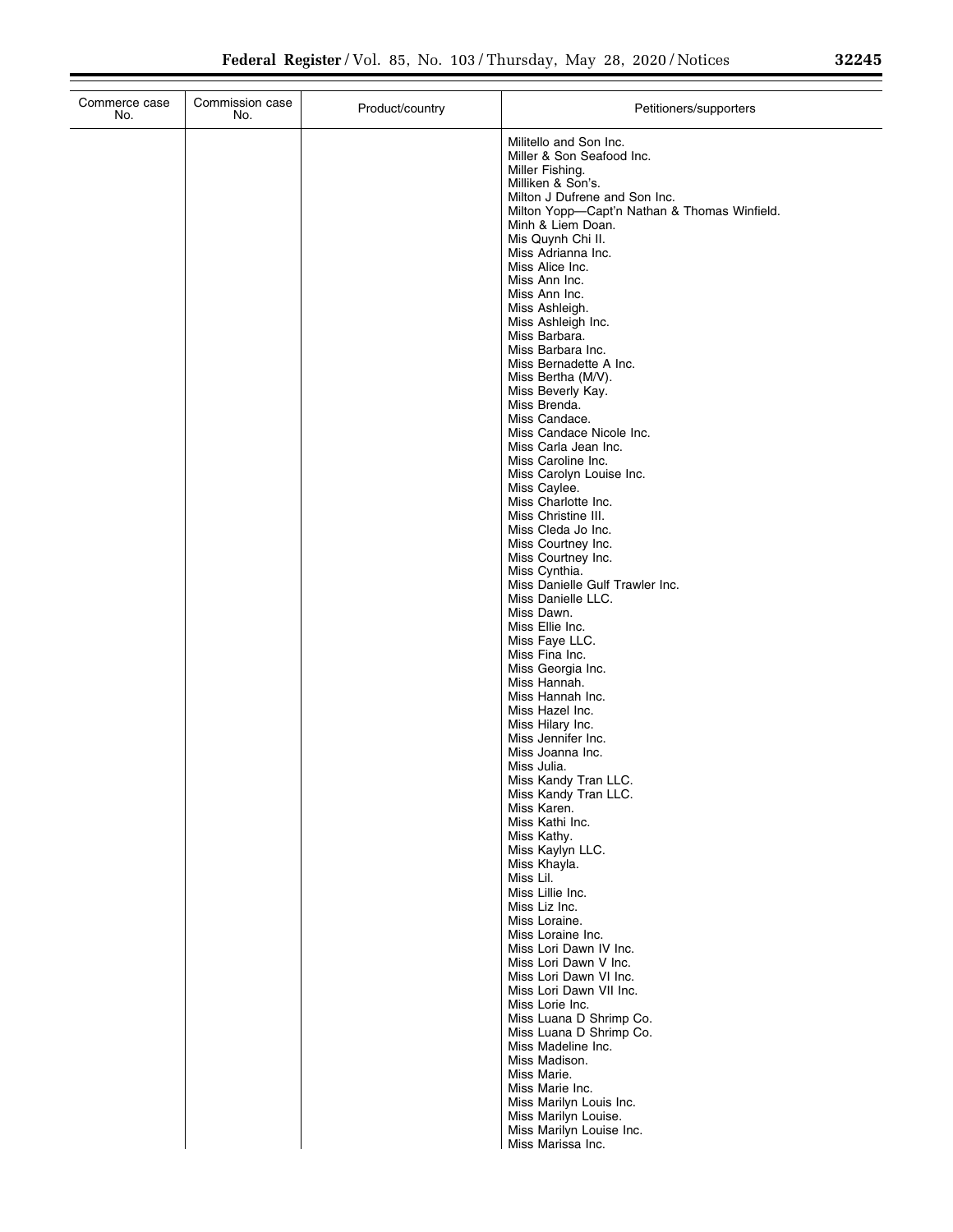| Commerce case<br>No. | Commission case<br>No. | Product/country | Petitioners/supporters                                                        |
|----------------------|------------------------|-----------------|-------------------------------------------------------------------------------|
|                      |                        |                 | Militello and Son Inc.                                                        |
|                      |                        |                 | Miller & Son Seafood Inc.<br>Miller Fishing.                                  |
|                      |                        |                 | Milliken & Son's.                                                             |
|                      |                        |                 | Milton J Dufrene and Son Inc.<br>Milton Yopp-Capt'n Nathan & Thomas Winfield. |
|                      |                        |                 | Minh & Liem Doan.                                                             |
|                      |                        |                 | Mis Quynh Chi II.                                                             |
|                      |                        |                 | Miss Adrianna Inc.<br>Miss Alice Inc.                                         |
|                      |                        |                 | Miss Ann Inc.                                                                 |
|                      |                        |                 | Miss Ann Inc.<br>Miss Ashleigh.                                               |
|                      |                        |                 | Miss Ashleigh Inc.                                                            |
|                      |                        |                 | Miss Barbara.<br>Miss Barbara Inc.                                            |
|                      |                        |                 | Miss Bernadette A Inc.                                                        |
|                      |                        |                 | Miss Bertha (M/V).<br>Miss Beverly Kay.                                       |
|                      |                        |                 | Miss Brenda.                                                                  |
|                      |                        |                 | Miss Candace.<br>Miss Candace Nicole Inc.                                     |
|                      |                        |                 | Miss Carla Jean Inc.                                                          |
|                      |                        |                 | Miss Caroline Inc.                                                            |
|                      |                        |                 | Miss Carolyn Louise Inc.<br>Miss Caylee.                                      |
|                      |                        |                 | Miss Charlotte Inc.                                                           |
|                      |                        |                 | Miss Christine III.<br>Miss Cleda Jo Inc.                                     |
|                      |                        |                 | Miss Courtney Inc.                                                            |
|                      |                        |                 | Miss Courtney Inc.<br>Miss Cynthia.                                           |
|                      |                        |                 | Miss Danielle Gulf Trawler Inc.                                               |
|                      |                        |                 | Miss Danielle LLC.<br>Miss Dawn.                                              |
|                      |                        |                 | Miss Ellie Inc.                                                               |
|                      |                        |                 | Miss Faye LLC.                                                                |
|                      |                        |                 | Miss Fina Inc.<br>Miss Georgia Inc.                                           |
|                      |                        |                 | Miss Hannah.                                                                  |
|                      |                        |                 | Miss Hannah Inc.<br>Miss Hazel Inc.                                           |
|                      |                        |                 | Miss Hilary Inc.                                                              |
|                      |                        |                 | Miss Jennifer Inc.<br>Miss Joanna Inc.                                        |
|                      |                        |                 | Miss Julia.                                                                   |
|                      |                        |                 | Miss Kandy Tran LLC.<br>Miss Kandy Tran LLC.                                  |
|                      |                        |                 | Miss Karen.                                                                   |
|                      |                        |                 | Miss Kathi Inc.<br>Miss Kathy.                                                |
|                      |                        |                 | Miss Kaylyn LLC.                                                              |
|                      |                        |                 | Miss Khayla.<br>Miss Lil.                                                     |
|                      |                        |                 | Miss Lillie Inc.                                                              |
|                      |                        |                 | Miss Liz Inc.                                                                 |
|                      |                        |                 | Miss Loraine.<br>Miss Loraine Inc.                                            |
|                      |                        |                 | Miss Lori Dawn IV Inc.                                                        |
|                      |                        |                 | Miss Lori Dawn V Inc.<br>Miss Lori Dawn VI Inc.                               |
|                      |                        |                 | Miss Lori Dawn VII Inc.                                                       |
|                      |                        |                 | Miss Lorie Inc.<br>Miss Luana D Shrimp Co.                                    |
|                      |                        |                 | Miss Luana D Shrimp Co.                                                       |
|                      |                        |                 | Miss Madeline Inc.<br>Miss Madison.                                           |
|                      |                        |                 | Miss Marie.                                                                   |
|                      |                        |                 | Miss Marie Inc.                                                               |
|                      |                        |                 | Miss Marilyn Louis Inc.<br>Miss Marilyn Louise.                               |
|                      |                        |                 | Miss Marilyn Louise Inc.                                                      |
|                      |                        |                 | Miss Marissa Inc.                                                             |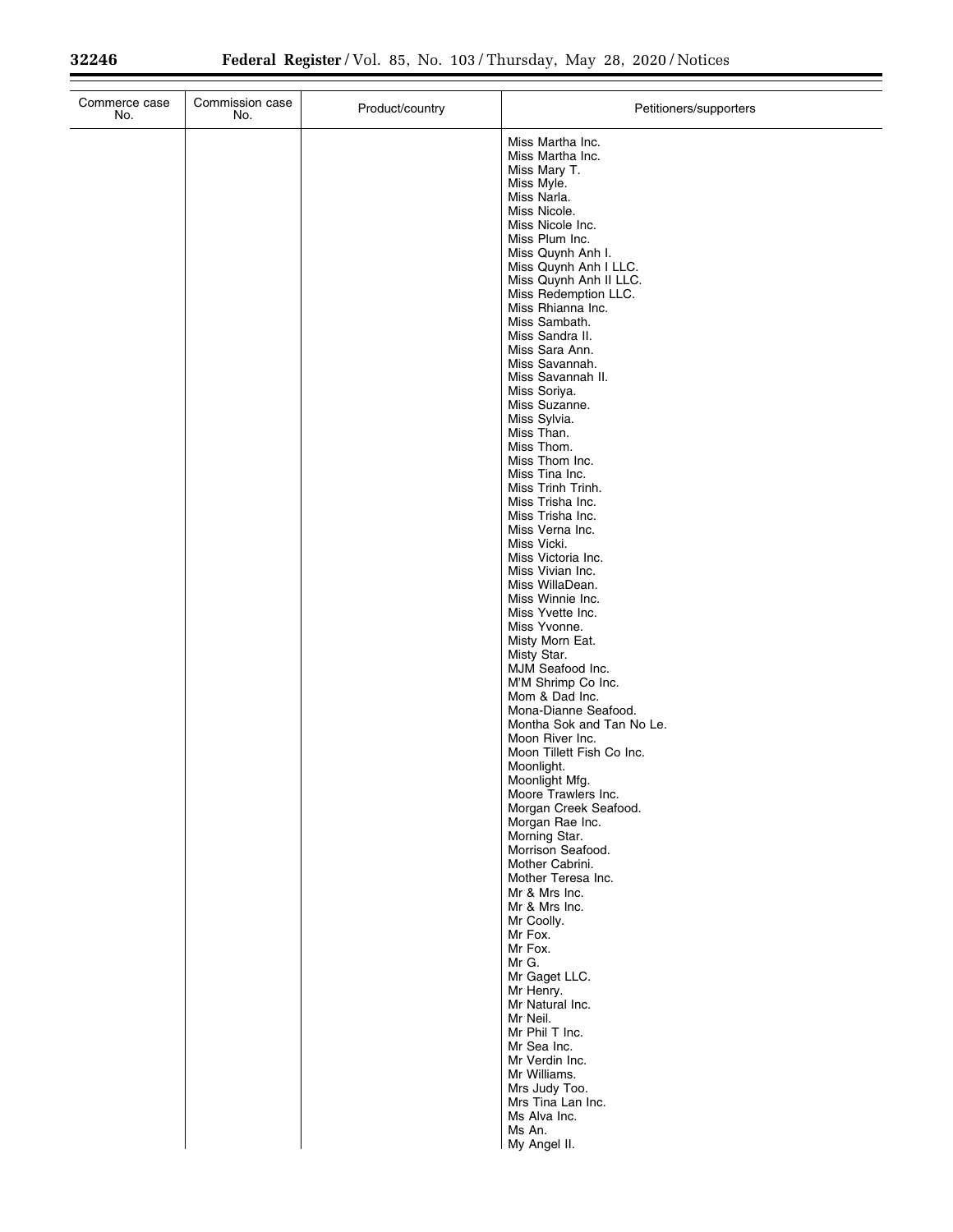| Commerce case<br>No. | Commission case<br>No. | Product/country | Petitioners/supporters                       |
|----------------------|------------------------|-----------------|----------------------------------------------|
|                      |                        |                 | Miss Martha Inc.                             |
|                      |                        |                 | Miss Martha Inc.<br>Miss Mary T.             |
|                      |                        |                 | Miss Myle.                                   |
|                      |                        |                 | Miss Narla.<br>Miss Nicole.                  |
|                      |                        |                 | Miss Nicole Inc.                             |
|                      |                        |                 | Miss Plum Inc.                               |
|                      |                        |                 | Miss Quynh Anh I.<br>Miss Quynh Anh I LLC.   |
|                      |                        |                 | Miss Quynh Anh II LLC.                       |
|                      |                        |                 | Miss Redemption LLC.<br>Miss Rhianna Inc.    |
|                      |                        |                 | Miss Sambath.                                |
|                      |                        |                 | Miss Sandra II.<br>Miss Sara Ann.            |
|                      |                        |                 | Miss Savannah.                               |
|                      |                        |                 | Miss Savannah II.<br>Miss Soriya.            |
|                      |                        |                 | Miss Suzanne.                                |
|                      |                        |                 | Miss Sylvia.<br>Miss Than.                   |
|                      |                        |                 | Miss Thom.                                   |
|                      |                        |                 | Miss Thom Inc.<br>Miss Tina Inc.             |
|                      |                        |                 | Miss Trinh Trinh.                            |
|                      |                        |                 | Miss Trisha Inc.                             |
|                      |                        |                 | Miss Trisha Inc.<br>Miss Verna Inc.          |
|                      |                        |                 | Miss Vicki.                                  |
|                      |                        |                 | Miss Victoria Inc.<br>Miss Vivian Inc.       |
|                      |                        |                 | Miss WillaDean.                              |
|                      |                        |                 | Miss Winnie Inc.<br>Miss Yvette Inc.         |
|                      |                        |                 | Miss Yvonne.                                 |
|                      |                        |                 | Misty Morn Eat.<br>Misty Star.               |
|                      |                        |                 | MJM Seafood Inc.                             |
|                      |                        |                 | M'M Shrimp Co Inc.                           |
|                      |                        |                 | Mom & Dad Inc.<br>Mona-Dianne Seafood.       |
|                      |                        |                 | Montha Sok and Tan No Le.                    |
|                      |                        |                 | Moon River Inc.<br>Moon Tillett Fish Co Inc. |
|                      |                        |                 | Moonlight.                                   |
|                      |                        |                 | Moonlight Mfg.<br>Moore Trawlers Inc.        |
|                      |                        |                 | Morgan Creek Seafood.                        |
|                      |                        |                 | Morgan Rae Inc.<br>Morning Star.             |
|                      |                        |                 | Morrison Seafood.                            |
|                      |                        |                 | Mother Cabrini.<br>Mother Teresa Inc.        |
|                      |                        |                 | Mr & Mrs Inc.                                |
|                      |                        |                 | Mr & Mrs Inc.<br>Mr Coolly.                  |
|                      |                        |                 | Mr Fox.                                      |
|                      |                        |                 | Mr Fox.                                      |
|                      |                        |                 | Mr G.<br>Mr Gaget LLC.                       |
|                      |                        |                 | Mr Henry.                                    |
|                      |                        |                 | Mr Natural Inc.<br>Mr Neil.                  |
|                      |                        |                 | Mr Phil T Inc.                               |
|                      |                        |                 | Mr Sea Inc.<br>Mr Verdin Inc.                |
|                      |                        |                 | Mr Williams.                                 |
|                      |                        |                 | Mrs Judy Too.<br>Mrs Tina Lan Inc.           |
|                      |                        |                 | Ms Alva Inc.                                 |
|                      |                        |                 | Ms An.                                       |
|                      |                        |                 | My Angel II.                                 |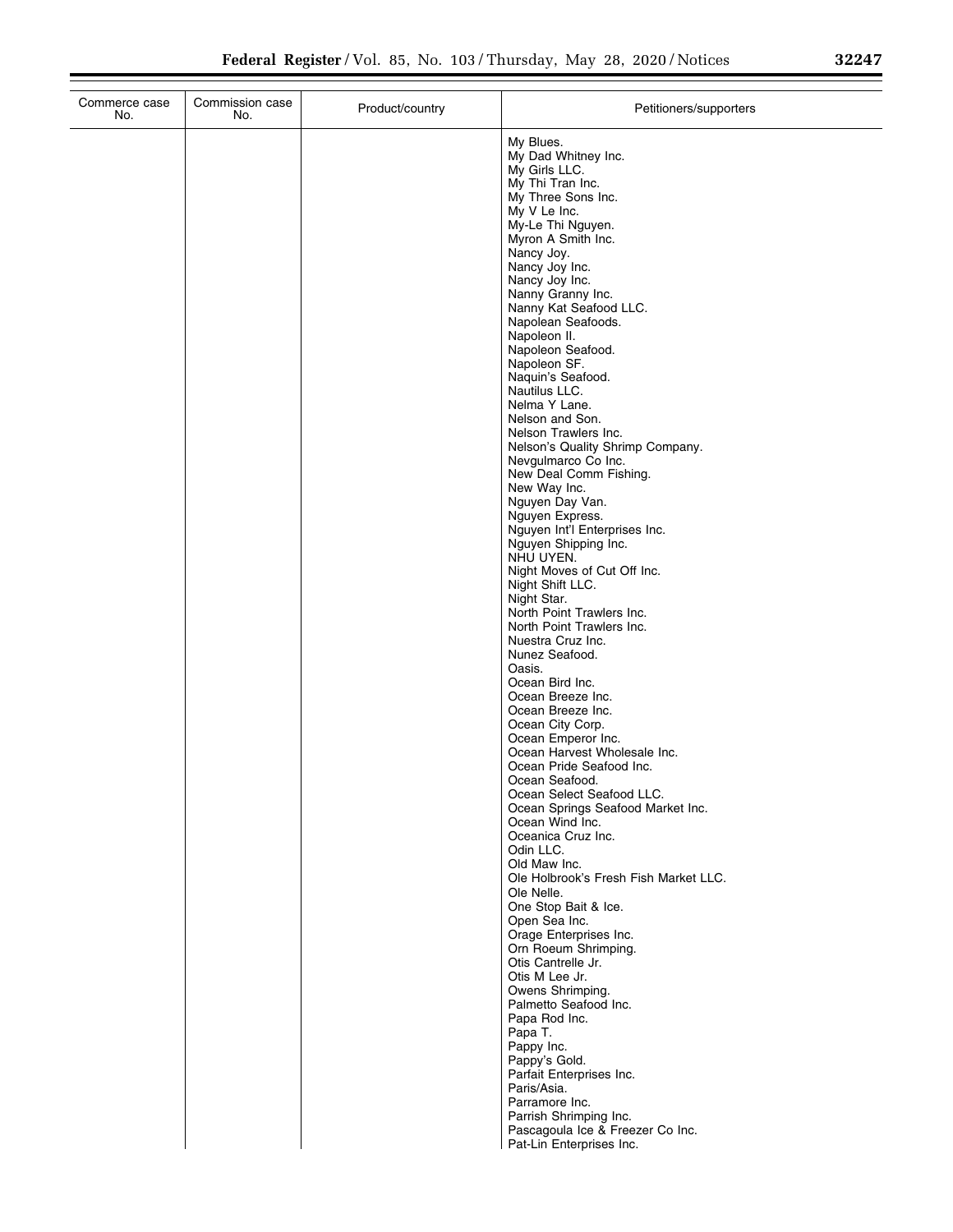| Commission case<br>Commerce case<br>No.<br>No. | Product/country | Petitioners/supporters                                                                                                                                                                                                                                                                                                                                                                                                                                                                                                                                                                                                                                                                                                                                                            |
|------------------------------------------------|-----------------|-----------------------------------------------------------------------------------------------------------------------------------------------------------------------------------------------------------------------------------------------------------------------------------------------------------------------------------------------------------------------------------------------------------------------------------------------------------------------------------------------------------------------------------------------------------------------------------------------------------------------------------------------------------------------------------------------------------------------------------------------------------------------------------|
|                                                |                 | My Blues.<br>My Dad Whitney Inc.<br>My Girls LLC.<br>My Thi Tran Inc.<br>My Three Sons Inc.<br>My V Le Inc.<br>My-Le Thi Nguyen.<br>Myron A Smith Inc.<br>Nancy Joy.<br>Nancy Joy Inc.<br>Nancy Joy Inc.<br>Nanny Granny Inc.<br>Nanny Kat Seafood LLC.<br>Napolean Seafoods.<br>Napoleon II.<br>Napoleon Seafood.<br>Napoleon SF.<br>Naquin's Seafood.<br>Nautilus LLC.<br>Nelma Y Lane.<br>Nelson and Son.<br>Nelson Trawlers Inc.<br>Nelson's Quality Shrimp Company.<br>Nevgulmarco Co Inc.<br>New Deal Comm Fishing.<br>New Way Inc.<br>Nguyen Day Van.<br>Nguyen Express.<br>Nguyen Int'l Enterprises Inc.<br>Nguyen Shipping Inc.<br>NHU UYEN.<br>Night Moves of Cut Off Inc.<br>Night Shift LLC.<br>Night Star.<br>North Point Trawlers Inc.<br>North Point Trawlers Inc. |
|                                                |                 | Nuestra Cruz Inc.<br>Nunez Seafood.<br>Oasis.<br>Ocean Bird Inc.<br>Ocean Breeze Inc.<br>Ocean Breeze Inc.<br>Ocean City Corp.                                                                                                                                                                                                                                                                                                                                                                                                                                                                                                                                                                                                                                                    |
|                                                |                 | Ocean Emperor Inc.<br>Ocean Harvest Wholesale Inc.<br>Ocean Pride Seafood Inc.<br>Ocean Seafood.<br>Ocean Select Seafood LLC.<br>Ocean Springs Seafood Market Inc.<br>Ocean Wind Inc.<br>Oceanica Cruz Inc.<br>Odin LLC.<br>Old Maw Inc.<br>Ole Holbrook's Fresh Fish Market LLC.<br>Ole Nelle.<br>One Stop Bait & Ice.                                                                                                                                                                                                                                                                                                                                                                                                                                                           |
|                                                |                 | Open Sea Inc.<br>Orage Enterprises Inc.<br>Orn Roeum Shrimping.<br>Otis Cantrelle Jr.<br>Otis M Lee Jr.<br>Owens Shrimping.<br>Palmetto Seafood Inc.<br>Papa Rod Inc.<br>Papa T.<br>Pappy Inc.<br>Pappy's Gold.<br>Parfait Enterprises Inc.<br>Paris/Asia.<br>Parramore Inc.<br>Parrish Shrimping Inc.<br>Pascagoula Ice & Freezer Co Inc.                                                                                                                                                                                                                                                                                                                                                                                                                                        |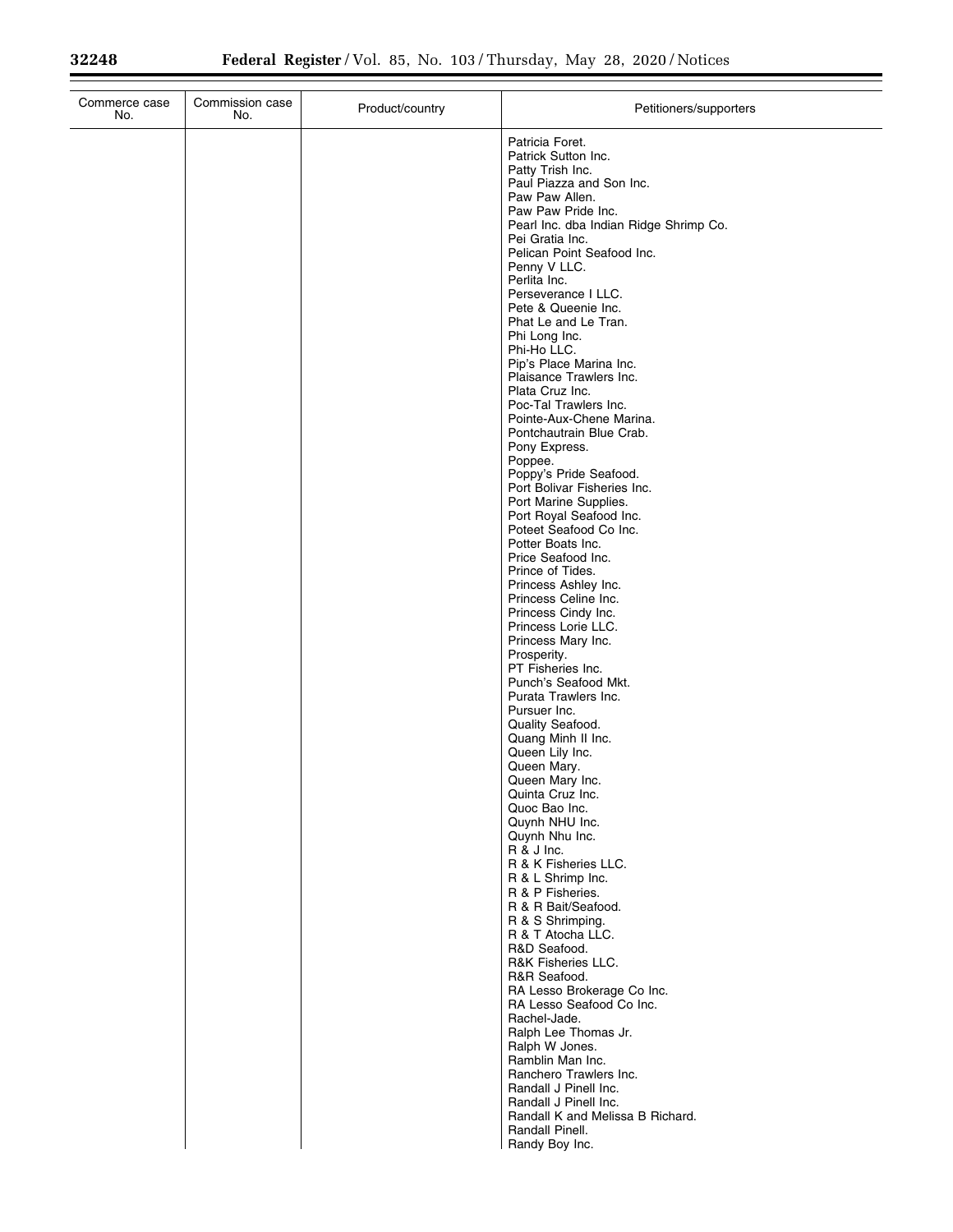$\equiv$ 

| Commerce case<br>No. | Commission case<br>No. | Product/country | Petitioners/supporters                                                                                                                                                                                                                                                                                                                                                                                                                                                                                                                                                                                                                                                                                                                                                                                                                                                                                                                                                                                                        |
|----------------------|------------------------|-----------------|-------------------------------------------------------------------------------------------------------------------------------------------------------------------------------------------------------------------------------------------------------------------------------------------------------------------------------------------------------------------------------------------------------------------------------------------------------------------------------------------------------------------------------------------------------------------------------------------------------------------------------------------------------------------------------------------------------------------------------------------------------------------------------------------------------------------------------------------------------------------------------------------------------------------------------------------------------------------------------------------------------------------------------|
|                      |                        |                 | Patricia Foret.<br>Patrick Sutton Inc.<br>Patty Trish Inc.<br>Paul Piazza and Son Inc.<br>Paw Paw Allen.<br>Paw Paw Pride Inc.<br>Pearl Inc. dba Indian Ridge Shrimp Co.<br>Pei Gratia Inc.<br>Pelican Point Seafood Inc.<br>Penny V LLC.<br>Perlita Inc.<br>Perseverance I LLC.<br>Pete & Queenie Inc.<br>Phat Le and Le Tran.<br>Phi Long Inc.<br>Phi-Ho LLC.<br>Pip's Place Marina Inc.<br>Plaisance Trawlers Inc.<br>Plata Cruz Inc.<br>Poc-Tal Trawlers Inc.<br>Pointe-Aux-Chene Marina.<br>Pontchautrain Blue Crab.<br>Pony Express.<br>Poppee.<br>Poppy's Pride Seafood.<br>Port Bolivar Fisheries Inc.<br>Port Marine Supplies.<br>Port Royal Seafood Inc.<br>Poteet Seafood Co Inc.<br>Potter Boats Inc.<br>Price Seafood Inc.<br>Prince of Tides.<br>Princess Ashley Inc.<br>Princess Celine Inc.<br>Princess Cindy Inc.<br>Princess Lorie LLC.<br>Princess Mary Inc.<br>Prosperity.<br>PT Fisheries Inc.<br>Punch's Seafood Mkt.<br>Purata Trawlers Inc.<br>Pursuer Inc.<br>Quality Seafood.<br>Quang Minh II Inc. |
|                      |                        |                 | Queen Lily Inc.<br>Queen Mary.                                                                                                                                                                                                                                                                                                                                                                                                                                                                                                                                                                                                                                                                                                                                                                                                                                                                                                                                                                                                |
|                      |                        |                 | Queen Mary Inc.<br>Quinta Cruz Inc.<br>Quoc Bao Inc.<br>Quynh NHU Inc.<br>Quynh Nhu Inc.<br>R & J Inc.<br>R & K Fisheries LLC.<br>R & L Shrimp Inc.<br>R & P Fisheries.<br>R & R Bait/Seafood.                                                                                                                                                                                                                                                                                                                                                                                                                                                                                                                                                                                                                                                                                                                                                                                                                                |
|                      |                        |                 | R & S Shrimping.<br>R & T Atocha LLC.<br>R&D Seafood.<br>R&K Fisheries LLC.<br>R&R Seafood.<br>RA Lesso Brokerage Co Inc.<br>RA Lesso Seafood Co Inc.<br>Rachel-Jade.<br>Ralph Lee Thomas Jr.<br>Ralph W Jones.<br>Ramblin Man Inc.                                                                                                                                                                                                                                                                                                                                                                                                                                                                                                                                                                                                                                                                                                                                                                                           |
|                      |                        |                 | Ranchero Trawlers Inc.<br>Randall J Pinell Inc.<br>Randall J Pinell Inc.<br>Randall K and Melissa B Richard.<br>Randall Pinell.<br>Randy Boy Inc.                                                                                                                                                                                                                                                                                                                                                                                                                                                                                                                                                                                                                                                                                                                                                                                                                                                                             |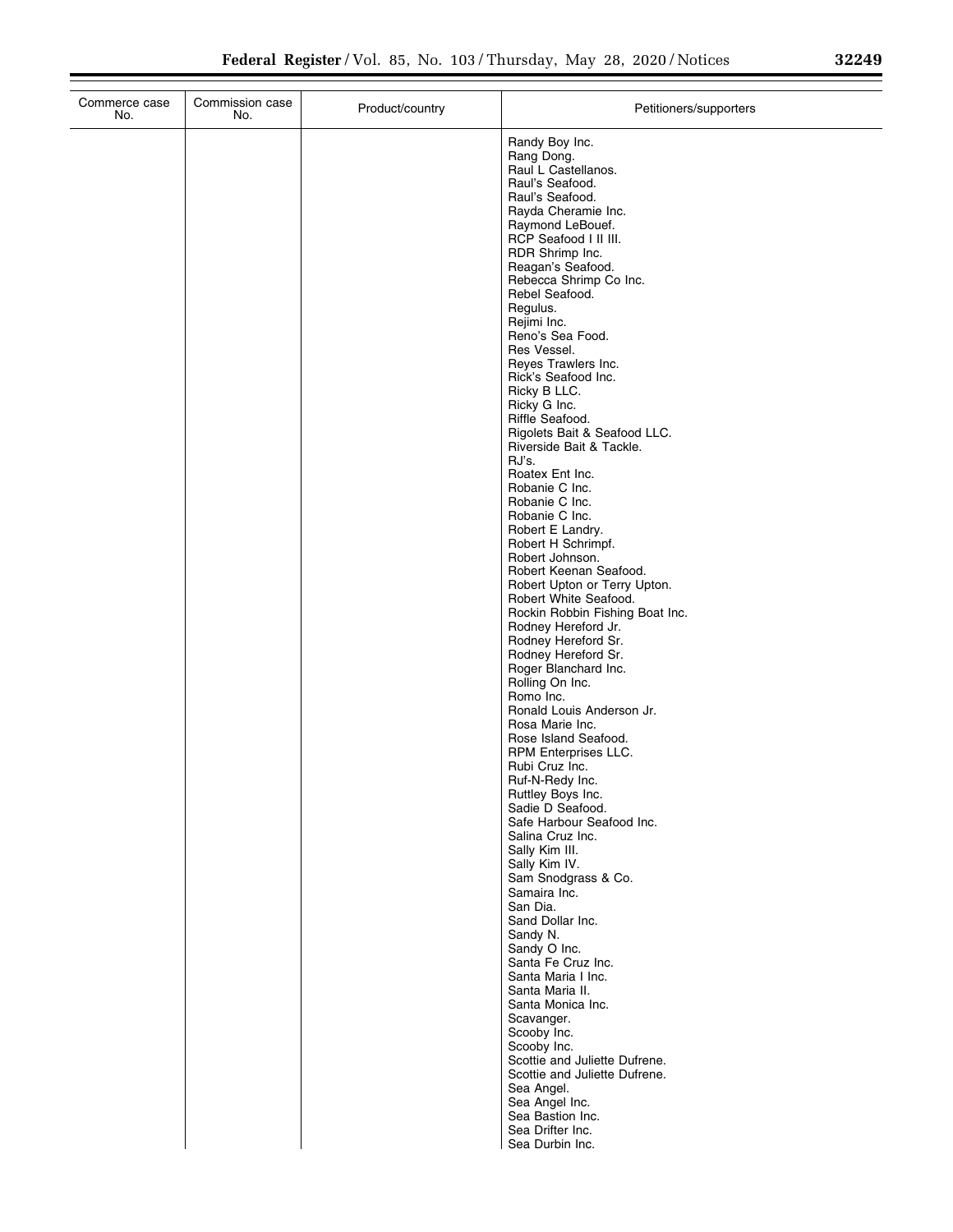| Commerce case<br>No. | Commission case<br>No. | Product/country | Petitioners/supporters                                   |
|----------------------|------------------------|-----------------|----------------------------------------------------------|
|                      |                        |                 | Randy Boy Inc.                                           |
|                      |                        |                 | Rang Dong.                                               |
|                      |                        |                 | Raul L Castellanos.<br>Raul's Seafood.                   |
|                      |                        |                 | Raul's Seafood.                                          |
|                      |                        |                 | Rayda Cheramie Inc.                                      |
|                      |                        |                 | Raymond LeBouef.                                         |
|                      |                        |                 | RCP Seafood I II III.<br>RDR Shrimp Inc.                 |
|                      |                        |                 | Reagan's Seafood.                                        |
|                      |                        |                 | Rebecca Shrimp Co Inc.                                   |
|                      |                        |                 | Rebel Seafood.<br>Regulus.                               |
|                      |                        |                 | Rejimi Inc.                                              |
|                      |                        |                 | Reno's Sea Food.                                         |
|                      |                        |                 | Res Vessel.<br>Reyes Trawlers Inc.                       |
|                      |                        |                 | Rick's Seafood Inc.                                      |
|                      |                        |                 | Ricky B LLC.                                             |
|                      |                        |                 | Ricky G Inc.                                             |
|                      |                        |                 | Riffle Seafood.<br>Rigolets Bait & Seafood LLC.          |
|                      |                        |                 | Riverside Bait & Tackle.                                 |
|                      |                        |                 | RJ's.                                                    |
|                      |                        |                 | Roatex Ent Inc.<br>Robanie C Inc.                        |
|                      |                        |                 | Robanie C Inc.                                           |
|                      |                        |                 | Robanie C Inc.                                           |
|                      |                        |                 | Robert E Landry.<br>Robert H Schrimpf.                   |
|                      |                        |                 | Robert Johnson.                                          |
|                      |                        |                 | Robert Keenan Seafood.                                   |
|                      |                        |                 | Robert Upton or Terry Upton.                             |
|                      |                        |                 | Robert White Seafood.<br>Rockin Robbin Fishing Boat Inc. |
|                      |                        |                 | Rodney Hereford Jr.                                      |
|                      |                        |                 | Rodney Hereford Sr.                                      |
|                      |                        |                 | Rodney Hereford Sr.<br>Roger Blanchard Inc.              |
|                      |                        |                 | Rolling On Inc.                                          |
|                      |                        |                 | Romo Inc.                                                |
|                      |                        |                 | Ronald Louis Anderson Jr.<br>Rosa Marie Inc.             |
|                      |                        |                 | Rose Island Seafood.                                     |
|                      |                        |                 | RPM Enterprises LLC.                                     |
|                      |                        |                 | Rubi Cruz Inc.<br>Ruf-N-Redy Inc.                        |
|                      |                        |                 | Ruttley Boys Inc.                                        |
|                      |                        |                 | Sadie D Seafood.                                         |
|                      |                        |                 | Safe Harbour Seafood Inc.                                |
|                      |                        |                 | Salina Cruz Inc.<br>Sally Kim III.                       |
|                      |                        |                 | Sally Kim IV.                                            |
|                      |                        |                 | Sam Snodgrass & Co.                                      |
|                      |                        |                 | Samaira Inc.<br>San Dia.                                 |
|                      |                        |                 | Sand Dollar Inc.                                         |
|                      |                        |                 | Sandy N.                                                 |
|                      |                        |                 | Sandy O Inc.<br>Santa Fe Cruz Inc.                       |
|                      |                        |                 | Santa Maria I Inc.                                       |
|                      |                        |                 | Santa Maria II.                                          |
|                      |                        |                 | Santa Monica Inc.<br>Scavanger.                          |
|                      |                        |                 | Scooby Inc.                                              |
|                      |                        |                 | Scooby Inc.                                              |
|                      |                        |                 | Scottie and Juliette Dufrene.                            |
|                      |                        |                 | Scottie and Juliette Dufrene.<br>Sea Angel.              |
|                      |                        |                 | Sea Angel Inc.                                           |
|                      |                        |                 | Sea Bastion Inc.                                         |
|                      |                        |                 | Sea Drifter Inc.<br>Sea Durbin Inc.                      |
|                      |                        |                 |                                                          |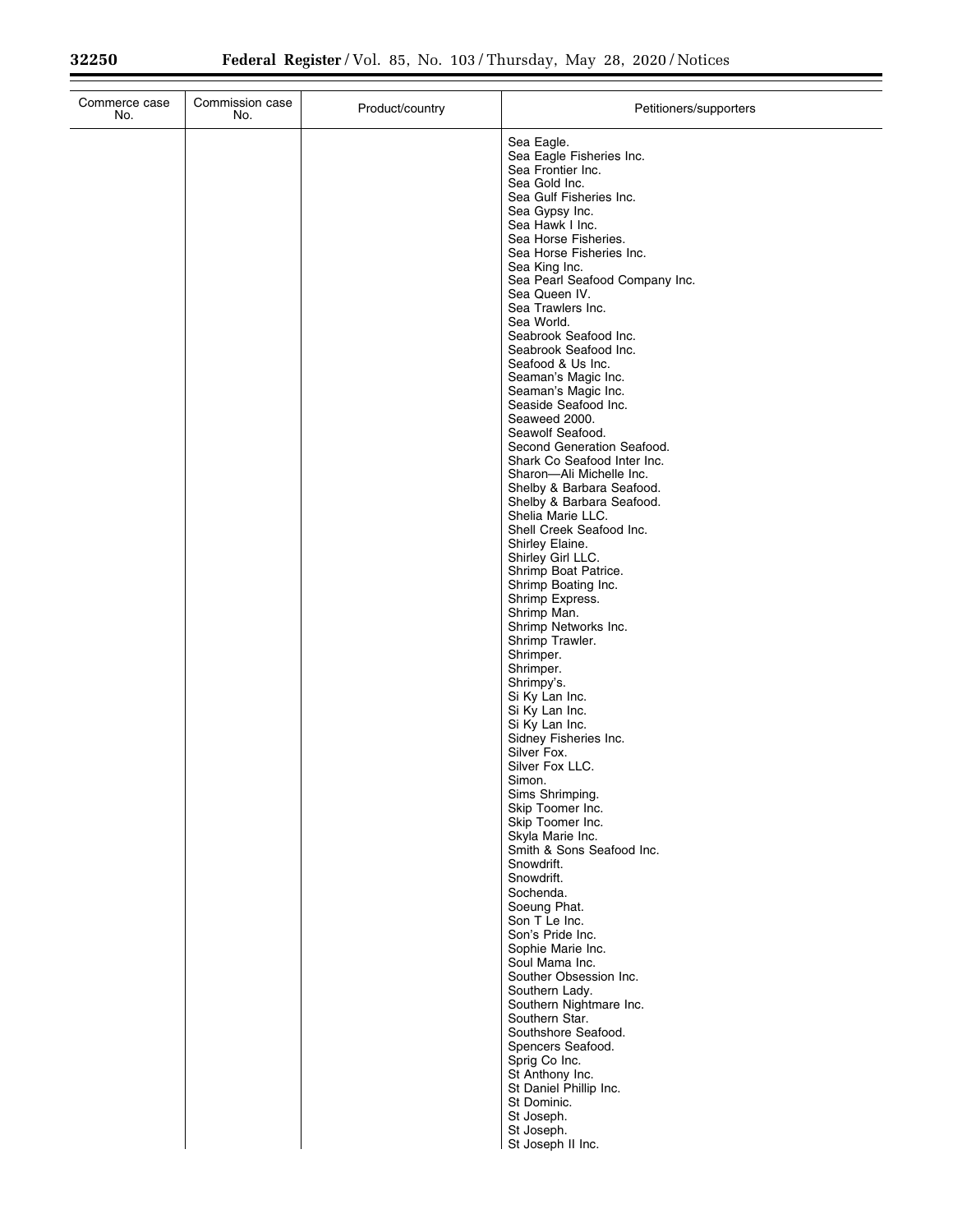$\equiv$ 

| Commerce case<br>No. | Commission case<br>No. | Product/country | Petitioners/supporters                                                                                                                                                                           |
|----------------------|------------------------|-----------------|--------------------------------------------------------------------------------------------------------------------------------------------------------------------------------------------------|
|                      |                        |                 | Sea Eagle.<br>Sea Eagle Fisheries Inc.<br>Sea Frontier Inc.<br>Sea Gold Inc.<br>Sea Gulf Fisheries Inc.<br>Sea Gypsy Inc.<br>Sea Hawk I Inc.<br>Sea Horse Fisheries.<br>Sea Horse Fisheries Inc. |
|                      |                        |                 | Sea King Inc.<br>Sea Pearl Seafood Company Inc.<br>Sea Queen IV.<br>Sea Trawlers Inc.<br>Sea World.                                                                                              |
|                      |                        |                 | Seabrook Seafood Inc.<br>Seabrook Seafood Inc.<br>Seafood & Us Inc.<br>Seaman's Magic Inc.<br>Seaman's Magic Inc.<br>Seaside Seafood Inc.                                                        |
|                      |                        |                 | Seaweed 2000.<br>Seawolf Seafood.<br>Second Generation Seafood.<br>Shark Co Seafood Inter Inc.<br>Sharon-Ali Michelle Inc.<br>Shelby & Barbara Seafood.                                          |
|                      |                        |                 | Shelby & Barbara Seafood.<br>Shelia Marie LLC.<br>Shell Creek Seafood Inc.<br>Shirley Elaine.<br>Shirley Girl LLC.                                                                               |
|                      |                        |                 | Shrimp Boat Patrice.<br>Shrimp Boating Inc.<br>Shrimp Express.<br>Shrimp Man.<br>Shrimp Networks Inc.                                                                                            |
|                      |                        |                 | Shrimp Trawler.<br>Shrimper.<br>Shrimper.<br>Shrimpy's.<br>Si Ky Lan Inc.<br>Si Ky Lan Inc.                                                                                                      |
|                      |                        |                 | Si Ky Lan Inc.<br>Sidney Fisheries Inc.<br>Silver Fox.<br>Silver Fox LLC.<br>Simon.                                                                                                              |
|                      |                        |                 | Sims Shrimping.<br>Skip Toomer Inc.<br>Skip Toomer Inc.<br>Skyla Marie Inc.<br>Smith & Sons Seafood Inc.                                                                                         |
|                      |                        |                 | Snowdrift.<br>Snowdrift.<br>Sochenda.<br>Soeung Phat.<br>Son T Le Inc.                                                                                                                           |
|                      |                        |                 | Son's Pride Inc.<br>Sophie Marie Inc.<br>Soul Mama Inc.<br>Souther Obsession Inc.<br>Southern Lady.                                                                                              |
|                      |                        |                 | Southern Nightmare Inc.<br>Southern Star.<br>Southshore Seafood.<br>Spencers Seafood.<br>Sprig Co Inc.<br>St Anthony Inc.                                                                        |
|                      |                        |                 | St Daniel Phillip Inc.<br>St Dominic.<br>St Joseph.<br>St Joseph.<br>St Joseph II Inc.                                                                                                           |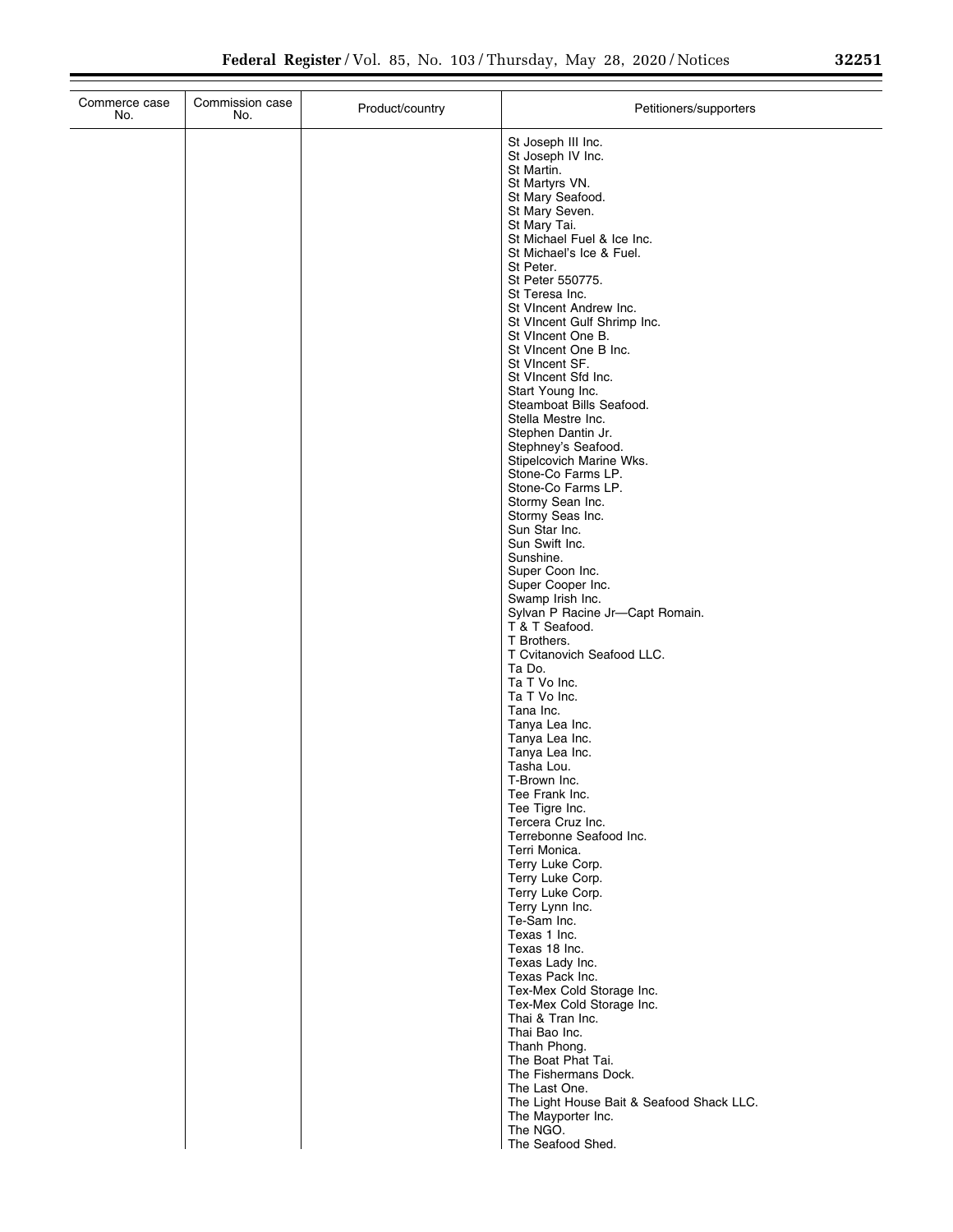| 32251 |  |  |
|-------|--|--|
|       |  |  |

| Commerce case<br>No. | Commission case<br>No. | Product/country | Petitioners/supporters                                                                                                                                                                                                                                                                                                                                                                                                                                                                                                                                                                                                                                                                                                                                                                                                                                                                                                                                                                                                                                                                                                                                                                                                                                                                        |
|----------------------|------------------------|-----------------|-----------------------------------------------------------------------------------------------------------------------------------------------------------------------------------------------------------------------------------------------------------------------------------------------------------------------------------------------------------------------------------------------------------------------------------------------------------------------------------------------------------------------------------------------------------------------------------------------------------------------------------------------------------------------------------------------------------------------------------------------------------------------------------------------------------------------------------------------------------------------------------------------------------------------------------------------------------------------------------------------------------------------------------------------------------------------------------------------------------------------------------------------------------------------------------------------------------------------------------------------------------------------------------------------|
|                      |                        |                 | St Joseph III Inc.<br>St Joseph IV Inc.<br>St Martin.<br>St Martyrs VN.<br>St Mary Seafood.<br>St Mary Seven.<br>St Mary Tai.<br>St Michael Fuel & Ice Inc.<br>St Michael's Ice & Fuel.<br>St Peter.<br>St Peter 550775.<br>St Teresa Inc.<br>St VIncent Andrew Inc.<br>St VIncent Gulf Shrimp Inc.<br>St VIncent One B.<br>St VIncent One B Inc.<br>St VIncent SF.<br>St VIncent Sfd Inc.<br>Start Young Inc.<br>Steamboat Bills Seafood.<br>Stella Mestre Inc.<br>Stephen Dantin Jr.<br>Stephney's Seafood.<br>Stipelcovich Marine Wks.<br>Stone-Co Farms LP.<br>Stone-Co Farms LP.<br>Stormy Sean Inc.<br>Stormy Seas Inc.<br>Sun Star Inc.<br>Sun Swift Inc.<br>Sunshine.<br>Super Coon Inc.<br>Super Cooper Inc.<br>Swamp Irish Inc.<br>Sylvan P Racine Jr-Capt Romain.<br>T & T Seafood.<br>T Brothers.<br>T Cvitanovich Seafood LLC.<br>Ta Do.<br>Ta T Vo Inc.<br>Ta T Vo Inc.<br>Tana Inc.<br>Tanya Lea Inc.<br>Tanya Lea Inc.<br>Tanya Lea Inc.<br>Tasha Lou.<br>T-Brown Inc.<br>Tee Frank Inc.<br>Tee Tigre Inc.<br>Tercera Cruz Inc.<br>Terrebonne Seafood Inc.<br>Terri Monica.<br>Terry Luke Corp.<br>Terry Luke Corp.<br>Terry Luke Corp.<br>Terry Lynn Inc.<br>Te-Sam Inc.<br>Texas 1 Inc.<br>Texas 18 Inc.<br>Texas Lady Inc.<br>Texas Pack Inc.<br>Tex-Mex Cold Storage Inc. |
|                      |                        |                 | Tex-Mex Cold Storage Inc.                                                                                                                                                                                                                                                                                                                                                                                                                                                                                                                                                                                                                                                                                                                                                                                                                                                                                                                                                                                                                                                                                                                                                                                                                                                                     |
|                      |                        |                 | Thai & Tran Inc.<br>Thai Bao Inc.<br>Thanh Phong.<br>The Boat Phat Tai.<br>The Fishermans Dock.                                                                                                                                                                                                                                                                                                                                                                                                                                                                                                                                                                                                                                                                                                                                                                                                                                                                                                                                                                                                                                                                                                                                                                                               |
|                      |                        |                 | The Last One.<br>The Light House Bait & Seafood Shack LLC.<br>The Mayporter Inc.<br>The NGO.<br>The Seafood Shed.                                                                                                                                                                                                                                                                                                                                                                                                                                                                                                                                                                                                                                                                                                                                                                                                                                                                                                                                                                                                                                                                                                                                                                             |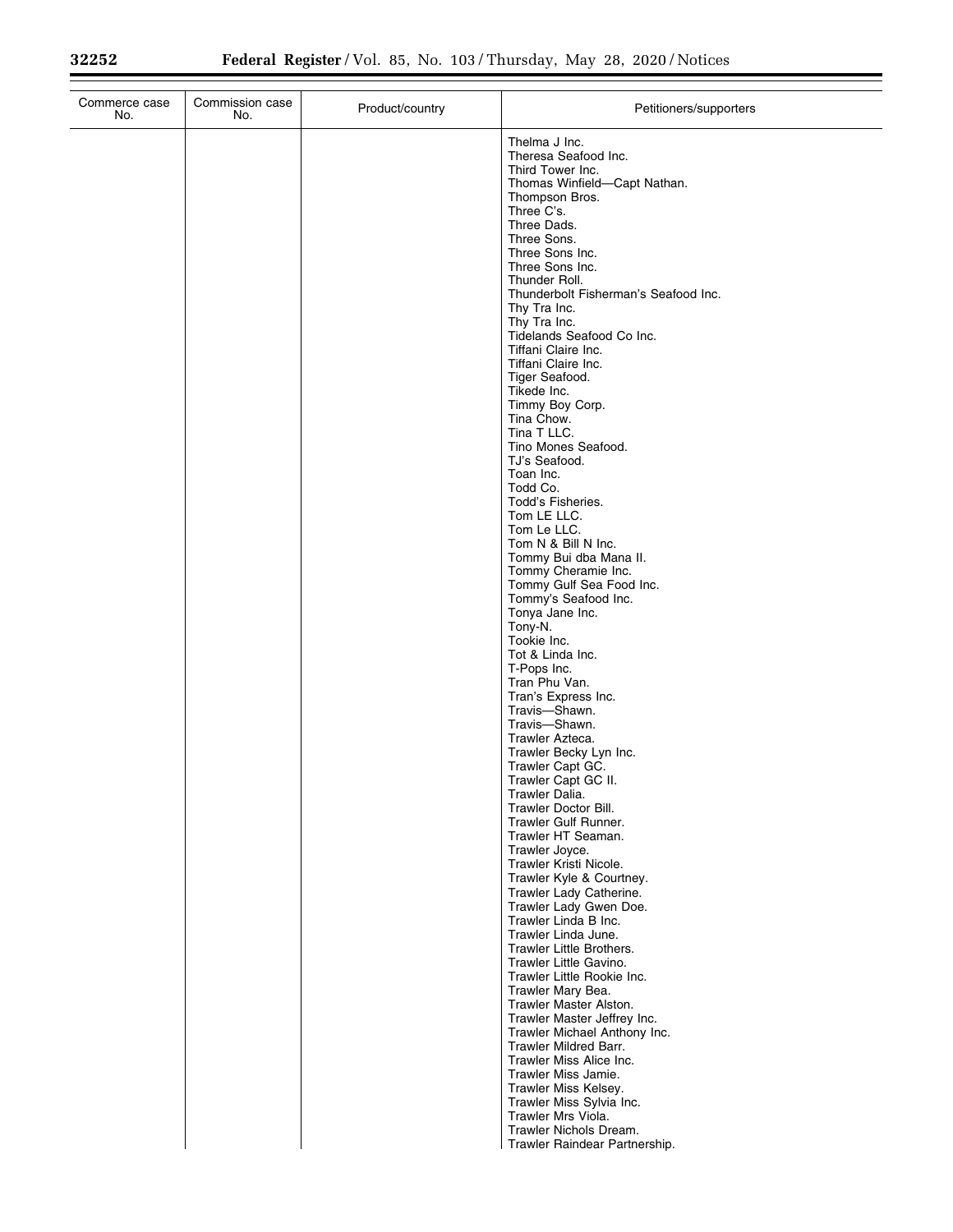$\equiv$ 

| Commerce case<br>No. | Commission case<br>No. | Product/country | Petitioners/supporters                                       |
|----------------------|------------------------|-----------------|--------------------------------------------------------------|
|                      |                        |                 | Thelma J Inc.<br>Theresa Seafood Inc.<br>Third Tower Inc.    |
|                      |                        |                 | Thomas Winfield-Capt Nathan.<br>Thompson Bros.<br>Three C's. |
|                      |                        |                 | Three Dads.                                                  |
|                      |                        |                 | Three Sons.<br>Three Sons Inc.                               |
|                      |                        |                 | Three Sons Inc.<br>Thunder Roll.                             |
|                      |                        |                 | Thunderbolt Fisherman's Seafood Inc.<br>Thy Tra Inc.         |
|                      |                        |                 | Thy Tra Inc.<br>Tidelands Seafood Co Inc.                    |
|                      |                        |                 | Tiffani Claire Inc.<br>Tiffani Claire Inc.                   |
|                      |                        |                 | Tiger Seafood.<br>Tikede Inc.                                |
|                      |                        |                 | Timmy Boy Corp.                                              |
|                      |                        |                 | Tina Chow.<br>Tina T LLC.                                    |
|                      |                        |                 | Tino Mones Seafood.<br>TJ's Seafood.                         |
|                      |                        |                 | Toan Inc.<br>Todd Co.                                        |
|                      |                        |                 | Todd's Fisheries.<br>Tom LE LLC.                             |
|                      |                        |                 | Tom Le LLC.<br>Tom N & Bill N Inc.                           |
|                      |                        |                 | Tommy Bui dba Mana II.<br>Tommy Cheramie Inc.                |
|                      |                        |                 | Tommy Gulf Sea Food Inc.<br>Tommy's Seafood Inc.             |
|                      |                        |                 | Tonya Jane Inc.<br>Tony-N.                                   |
|                      |                        |                 | Tookie Inc.<br>Tot & Linda Inc.                              |
|                      |                        |                 | T-Pops Inc.                                                  |
|                      |                        |                 | Tran Phu Van.<br>Tran's Express Inc.                         |
|                      |                        |                 | Travis-Shawn.<br>Travis-Shawn.                               |
|                      |                        |                 | Trawler Azteca.<br>Trawler Becky Lyn Inc.                    |
|                      |                        |                 | Trawler Capt GC.<br>Trawler Capt GC II.                      |
|                      |                        |                 | Trawler Dalia.<br>Trawler Doctor Bill.                       |
|                      |                        |                 | Trawler Gulf Runner.<br>Trawler HT Seaman.                   |
|                      |                        |                 | Trawler Joyce.<br>Trawler Kristi Nicole.                     |
|                      |                        |                 | Trawler Kyle & Courtney.<br>Trawler Lady Catherine.          |
|                      |                        |                 | Trawler Lady Gwen Doe.<br>Trawler Linda B Inc.               |
|                      |                        |                 | Trawler Linda June.<br>Trawler Little Brothers.              |
|                      |                        |                 | Trawler Little Gavino.                                       |
|                      |                        |                 | Trawler Little Rookie Inc.<br>Trawler Mary Bea.              |
|                      |                        |                 | Trawler Master Alston.<br>Trawler Master Jeffrey Inc.        |
|                      |                        |                 | Trawler Michael Anthony Inc.<br>Trawler Mildred Barr.        |
|                      |                        |                 | Trawler Miss Alice Inc.<br>Trawler Miss Jamie.               |
|                      |                        |                 | Trawler Miss Kelsey.<br>Trawler Miss Sylvia Inc.             |
|                      |                        |                 | Trawler Mrs Viola.<br>Trawler Nichols Dream.                 |
|                      |                        |                 | Trawler Raindear Partnership.                                |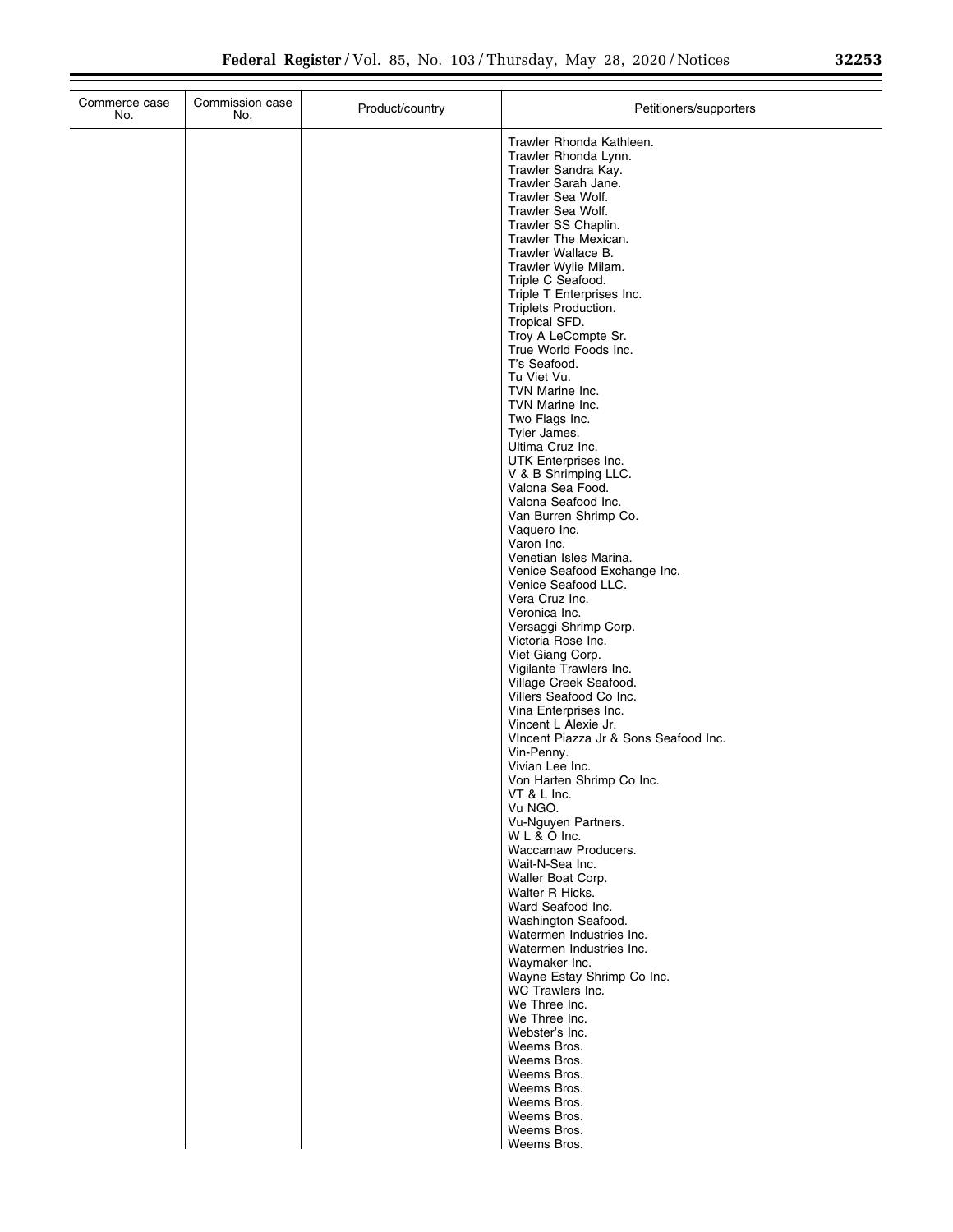|  | 32253 |  |
|--|-------|--|
|  |       |  |

| Trawler Rhonda Kathleen.<br>Trawler Rhonda Lynn.<br>Trawler Sandra Kay.<br>Trawler Sarah Jane.<br>Trawler Sea Wolf.<br>Trawler Sea Wolf.<br>Trawler SS Chaplin.<br>Trawler The Mexican.<br>Trawler Wallace B.<br>Trawler Wylie Milam.<br>Triple C Seafood.<br>Triple T Enterprises Inc.<br>Triplets Production.<br>Tropical SFD.<br>Troy A LeCompte Sr.<br>True World Foods Inc.<br>T's Seafood.<br>Tu Viet Vu.<br>TVN Marine Inc.<br>TVN Marine Inc.<br>Two Flags Inc.<br>Tyler James.<br>Ultima Cruz Inc.<br>UTK Enterprises Inc.<br>V & B Shrimping LLC.<br>Valona Sea Food.<br>Valona Seafood Inc.<br>Van Burren Shrimp Co.<br>Vaquero Inc.<br>Varon Inc.<br>Venetian Isles Marina.<br>Venice Seafood Exchange Inc.<br>Venice Seafood LLC.<br>Vera Cruz Inc.<br>Veronica Inc.<br>Versaggi Shrimp Corp.<br>Victoria Rose Inc.<br>Viet Giang Corp.<br>Vigilante Trawlers Inc.<br>Village Creek Seafood.<br>Villers Seafood Co Inc.<br>Vina Enterprises Inc.<br>Vincent L Alexie Jr.<br>VIncent Piazza Jr & Sons Seafood Inc.<br>Vin-Penny.<br>Vivian Lee Inc.<br>Von Harten Shrimp Co Inc.<br>VT & L Inc.<br>Vu NGO.<br>Vu-Nguyen Partners.<br>WL&OInc.<br>Waccamaw Producers.<br>Wait-N-Sea Inc.<br>Waller Boat Corp.<br>Walter R Hicks.<br>Ward Seafood Inc.<br>Washington Seafood.<br>Watermen Industries Inc.<br>Watermen Industries Inc.<br>Waymaker Inc.<br>Wayne Estay Shrimp Co Inc.<br>WC Trawlers Inc.<br>We Three Inc.<br>We Three Inc.<br>Webster's Inc.<br>Weems Bros.<br>Weems Bros.<br>Weems Bros.<br>Weems Bros.<br>Weems Bros.<br>Weems Bros.<br>Weems Bros.<br>Weems Bros. | Commerce case<br>No. | Commission case<br>No. | Product/country | Petitioners/supporters |
|------------------------------------------------------------------------------------------------------------------------------------------------------------------------------------------------------------------------------------------------------------------------------------------------------------------------------------------------------------------------------------------------------------------------------------------------------------------------------------------------------------------------------------------------------------------------------------------------------------------------------------------------------------------------------------------------------------------------------------------------------------------------------------------------------------------------------------------------------------------------------------------------------------------------------------------------------------------------------------------------------------------------------------------------------------------------------------------------------------------------------------------------------------------------------------------------------------------------------------------------------------------------------------------------------------------------------------------------------------------------------------------------------------------------------------------------------------------------------------------------------------------------------------------------------------------------------------------------|----------------------|------------------------|-----------------|------------------------|
|                                                                                                                                                                                                                                                                                                                                                                                                                                                                                                                                                                                                                                                                                                                                                                                                                                                                                                                                                                                                                                                                                                                                                                                                                                                                                                                                                                                                                                                                                                                                                                                                |                      |                        |                 |                        |
|                                                                                                                                                                                                                                                                                                                                                                                                                                                                                                                                                                                                                                                                                                                                                                                                                                                                                                                                                                                                                                                                                                                                                                                                                                                                                                                                                                                                                                                                                                                                                                                                |                      |                        |                 |                        |
|                                                                                                                                                                                                                                                                                                                                                                                                                                                                                                                                                                                                                                                                                                                                                                                                                                                                                                                                                                                                                                                                                                                                                                                                                                                                                                                                                                                                                                                                                                                                                                                                |                      |                        |                 |                        |
|                                                                                                                                                                                                                                                                                                                                                                                                                                                                                                                                                                                                                                                                                                                                                                                                                                                                                                                                                                                                                                                                                                                                                                                                                                                                                                                                                                                                                                                                                                                                                                                                |                      |                        |                 |                        |
|                                                                                                                                                                                                                                                                                                                                                                                                                                                                                                                                                                                                                                                                                                                                                                                                                                                                                                                                                                                                                                                                                                                                                                                                                                                                                                                                                                                                                                                                                                                                                                                                |                      |                        |                 |                        |
|                                                                                                                                                                                                                                                                                                                                                                                                                                                                                                                                                                                                                                                                                                                                                                                                                                                                                                                                                                                                                                                                                                                                                                                                                                                                                                                                                                                                                                                                                                                                                                                                |                      |                        |                 |                        |
|                                                                                                                                                                                                                                                                                                                                                                                                                                                                                                                                                                                                                                                                                                                                                                                                                                                                                                                                                                                                                                                                                                                                                                                                                                                                                                                                                                                                                                                                                                                                                                                                |                      |                        |                 |                        |
|                                                                                                                                                                                                                                                                                                                                                                                                                                                                                                                                                                                                                                                                                                                                                                                                                                                                                                                                                                                                                                                                                                                                                                                                                                                                                                                                                                                                                                                                                                                                                                                                |                      |                        |                 |                        |
|                                                                                                                                                                                                                                                                                                                                                                                                                                                                                                                                                                                                                                                                                                                                                                                                                                                                                                                                                                                                                                                                                                                                                                                                                                                                                                                                                                                                                                                                                                                                                                                                |                      |                        |                 |                        |
|                                                                                                                                                                                                                                                                                                                                                                                                                                                                                                                                                                                                                                                                                                                                                                                                                                                                                                                                                                                                                                                                                                                                                                                                                                                                                                                                                                                                                                                                                                                                                                                                |                      |                        |                 |                        |
|                                                                                                                                                                                                                                                                                                                                                                                                                                                                                                                                                                                                                                                                                                                                                                                                                                                                                                                                                                                                                                                                                                                                                                                                                                                                                                                                                                                                                                                                                                                                                                                                |                      |                        |                 |                        |
|                                                                                                                                                                                                                                                                                                                                                                                                                                                                                                                                                                                                                                                                                                                                                                                                                                                                                                                                                                                                                                                                                                                                                                                                                                                                                                                                                                                                                                                                                                                                                                                                |                      |                        |                 |                        |
|                                                                                                                                                                                                                                                                                                                                                                                                                                                                                                                                                                                                                                                                                                                                                                                                                                                                                                                                                                                                                                                                                                                                                                                                                                                                                                                                                                                                                                                                                                                                                                                                |                      |                        |                 |                        |
|                                                                                                                                                                                                                                                                                                                                                                                                                                                                                                                                                                                                                                                                                                                                                                                                                                                                                                                                                                                                                                                                                                                                                                                                                                                                                                                                                                                                                                                                                                                                                                                                |                      |                        |                 |                        |
|                                                                                                                                                                                                                                                                                                                                                                                                                                                                                                                                                                                                                                                                                                                                                                                                                                                                                                                                                                                                                                                                                                                                                                                                                                                                                                                                                                                                                                                                                                                                                                                                |                      |                        |                 |                        |
|                                                                                                                                                                                                                                                                                                                                                                                                                                                                                                                                                                                                                                                                                                                                                                                                                                                                                                                                                                                                                                                                                                                                                                                                                                                                                                                                                                                                                                                                                                                                                                                                |                      |                        |                 |                        |
|                                                                                                                                                                                                                                                                                                                                                                                                                                                                                                                                                                                                                                                                                                                                                                                                                                                                                                                                                                                                                                                                                                                                                                                                                                                                                                                                                                                                                                                                                                                                                                                                |                      |                        |                 |                        |
|                                                                                                                                                                                                                                                                                                                                                                                                                                                                                                                                                                                                                                                                                                                                                                                                                                                                                                                                                                                                                                                                                                                                                                                                                                                                                                                                                                                                                                                                                                                                                                                                |                      |                        |                 |                        |
|                                                                                                                                                                                                                                                                                                                                                                                                                                                                                                                                                                                                                                                                                                                                                                                                                                                                                                                                                                                                                                                                                                                                                                                                                                                                                                                                                                                                                                                                                                                                                                                                |                      |                        |                 |                        |
|                                                                                                                                                                                                                                                                                                                                                                                                                                                                                                                                                                                                                                                                                                                                                                                                                                                                                                                                                                                                                                                                                                                                                                                                                                                                                                                                                                                                                                                                                                                                                                                                |                      |                        |                 |                        |
|                                                                                                                                                                                                                                                                                                                                                                                                                                                                                                                                                                                                                                                                                                                                                                                                                                                                                                                                                                                                                                                                                                                                                                                                                                                                                                                                                                                                                                                                                                                                                                                                |                      |                        |                 |                        |
|                                                                                                                                                                                                                                                                                                                                                                                                                                                                                                                                                                                                                                                                                                                                                                                                                                                                                                                                                                                                                                                                                                                                                                                                                                                                                                                                                                                                                                                                                                                                                                                                |                      |                        |                 |                        |
|                                                                                                                                                                                                                                                                                                                                                                                                                                                                                                                                                                                                                                                                                                                                                                                                                                                                                                                                                                                                                                                                                                                                                                                                                                                                                                                                                                                                                                                                                                                                                                                                |                      |                        |                 |                        |
|                                                                                                                                                                                                                                                                                                                                                                                                                                                                                                                                                                                                                                                                                                                                                                                                                                                                                                                                                                                                                                                                                                                                                                                                                                                                                                                                                                                                                                                                                                                                                                                                |                      |                        |                 |                        |
|                                                                                                                                                                                                                                                                                                                                                                                                                                                                                                                                                                                                                                                                                                                                                                                                                                                                                                                                                                                                                                                                                                                                                                                                                                                                                                                                                                                                                                                                                                                                                                                                |                      |                        |                 |                        |
|                                                                                                                                                                                                                                                                                                                                                                                                                                                                                                                                                                                                                                                                                                                                                                                                                                                                                                                                                                                                                                                                                                                                                                                                                                                                                                                                                                                                                                                                                                                                                                                                |                      |                        |                 |                        |
|                                                                                                                                                                                                                                                                                                                                                                                                                                                                                                                                                                                                                                                                                                                                                                                                                                                                                                                                                                                                                                                                                                                                                                                                                                                                                                                                                                                                                                                                                                                                                                                                |                      |                        |                 |                        |
|                                                                                                                                                                                                                                                                                                                                                                                                                                                                                                                                                                                                                                                                                                                                                                                                                                                                                                                                                                                                                                                                                                                                                                                                                                                                                                                                                                                                                                                                                                                                                                                                |                      |                        |                 |                        |
|                                                                                                                                                                                                                                                                                                                                                                                                                                                                                                                                                                                                                                                                                                                                                                                                                                                                                                                                                                                                                                                                                                                                                                                                                                                                                                                                                                                                                                                                                                                                                                                                |                      |                        |                 |                        |
|                                                                                                                                                                                                                                                                                                                                                                                                                                                                                                                                                                                                                                                                                                                                                                                                                                                                                                                                                                                                                                                                                                                                                                                                                                                                                                                                                                                                                                                                                                                                                                                                |                      |                        |                 |                        |
|                                                                                                                                                                                                                                                                                                                                                                                                                                                                                                                                                                                                                                                                                                                                                                                                                                                                                                                                                                                                                                                                                                                                                                                                                                                                                                                                                                                                                                                                                                                                                                                                |                      |                        |                 |                        |
|                                                                                                                                                                                                                                                                                                                                                                                                                                                                                                                                                                                                                                                                                                                                                                                                                                                                                                                                                                                                                                                                                                                                                                                                                                                                                                                                                                                                                                                                                                                                                                                                |                      |                        |                 |                        |
|                                                                                                                                                                                                                                                                                                                                                                                                                                                                                                                                                                                                                                                                                                                                                                                                                                                                                                                                                                                                                                                                                                                                                                                                                                                                                                                                                                                                                                                                                                                                                                                                |                      |                        |                 |                        |
|                                                                                                                                                                                                                                                                                                                                                                                                                                                                                                                                                                                                                                                                                                                                                                                                                                                                                                                                                                                                                                                                                                                                                                                                                                                                                                                                                                                                                                                                                                                                                                                                |                      |                        |                 |                        |
|                                                                                                                                                                                                                                                                                                                                                                                                                                                                                                                                                                                                                                                                                                                                                                                                                                                                                                                                                                                                                                                                                                                                                                                                                                                                                                                                                                                                                                                                                                                                                                                                |                      |                        |                 |                        |
|                                                                                                                                                                                                                                                                                                                                                                                                                                                                                                                                                                                                                                                                                                                                                                                                                                                                                                                                                                                                                                                                                                                                                                                                                                                                                                                                                                                                                                                                                                                                                                                                |                      |                        |                 |                        |
|                                                                                                                                                                                                                                                                                                                                                                                                                                                                                                                                                                                                                                                                                                                                                                                                                                                                                                                                                                                                                                                                                                                                                                                                                                                                                                                                                                                                                                                                                                                                                                                                |                      |                        |                 |                        |
|                                                                                                                                                                                                                                                                                                                                                                                                                                                                                                                                                                                                                                                                                                                                                                                                                                                                                                                                                                                                                                                                                                                                                                                                                                                                                                                                                                                                                                                                                                                                                                                                |                      |                        |                 |                        |
|                                                                                                                                                                                                                                                                                                                                                                                                                                                                                                                                                                                                                                                                                                                                                                                                                                                                                                                                                                                                                                                                                                                                                                                                                                                                                                                                                                                                                                                                                                                                                                                                |                      |                        |                 |                        |
|                                                                                                                                                                                                                                                                                                                                                                                                                                                                                                                                                                                                                                                                                                                                                                                                                                                                                                                                                                                                                                                                                                                                                                                                                                                                                                                                                                                                                                                                                                                                                                                                |                      |                        |                 |                        |
|                                                                                                                                                                                                                                                                                                                                                                                                                                                                                                                                                                                                                                                                                                                                                                                                                                                                                                                                                                                                                                                                                                                                                                                                                                                                                                                                                                                                                                                                                                                                                                                                |                      |                        |                 |                        |
|                                                                                                                                                                                                                                                                                                                                                                                                                                                                                                                                                                                                                                                                                                                                                                                                                                                                                                                                                                                                                                                                                                                                                                                                                                                                                                                                                                                                                                                                                                                                                                                                |                      |                        |                 |                        |
|                                                                                                                                                                                                                                                                                                                                                                                                                                                                                                                                                                                                                                                                                                                                                                                                                                                                                                                                                                                                                                                                                                                                                                                                                                                                                                                                                                                                                                                                                                                                                                                                |                      |                        |                 |                        |
|                                                                                                                                                                                                                                                                                                                                                                                                                                                                                                                                                                                                                                                                                                                                                                                                                                                                                                                                                                                                                                                                                                                                                                                                                                                                                                                                                                                                                                                                                                                                                                                                |                      |                        |                 |                        |
|                                                                                                                                                                                                                                                                                                                                                                                                                                                                                                                                                                                                                                                                                                                                                                                                                                                                                                                                                                                                                                                                                                                                                                                                                                                                                                                                                                                                                                                                                                                                                                                                |                      |                        |                 |                        |
|                                                                                                                                                                                                                                                                                                                                                                                                                                                                                                                                                                                                                                                                                                                                                                                                                                                                                                                                                                                                                                                                                                                                                                                                                                                                                                                                                                                                                                                                                                                                                                                                |                      |                        |                 |                        |
|                                                                                                                                                                                                                                                                                                                                                                                                                                                                                                                                                                                                                                                                                                                                                                                                                                                                                                                                                                                                                                                                                                                                                                                                                                                                                                                                                                                                                                                                                                                                                                                                |                      |                        |                 |                        |
|                                                                                                                                                                                                                                                                                                                                                                                                                                                                                                                                                                                                                                                                                                                                                                                                                                                                                                                                                                                                                                                                                                                                                                                                                                                                                                                                                                                                                                                                                                                                                                                                |                      |                        |                 |                        |
|                                                                                                                                                                                                                                                                                                                                                                                                                                                                                                                                                                                                                                                                                                                                                                                                                                                                                                                                                                                                                                                                                                                                                                                                                                                                                                                                                                                                                                                                                                                                                                                                |                      |                        |                 |                        |
|                                                                                                                                                                                                                                                                                                                                                                                                                                                                                                                                                                                                                                                                                                                                                                                                                                                                                                                                                                                                                                                                                                                                                                                                                                                                                                                                                                                                                                                                                                                                                                                                |                      |                        |                 |                        |
|                                                                                                                                                                                                                                                                                                                                                                                                                                                                                                                                                                                                                                                                                                                                                                                                                                                                                                                                                                                                                                                                                                                                                                                                                                                                                                                                                                                                                                                                                                                                                                                                |                      |                        |                 |                        |